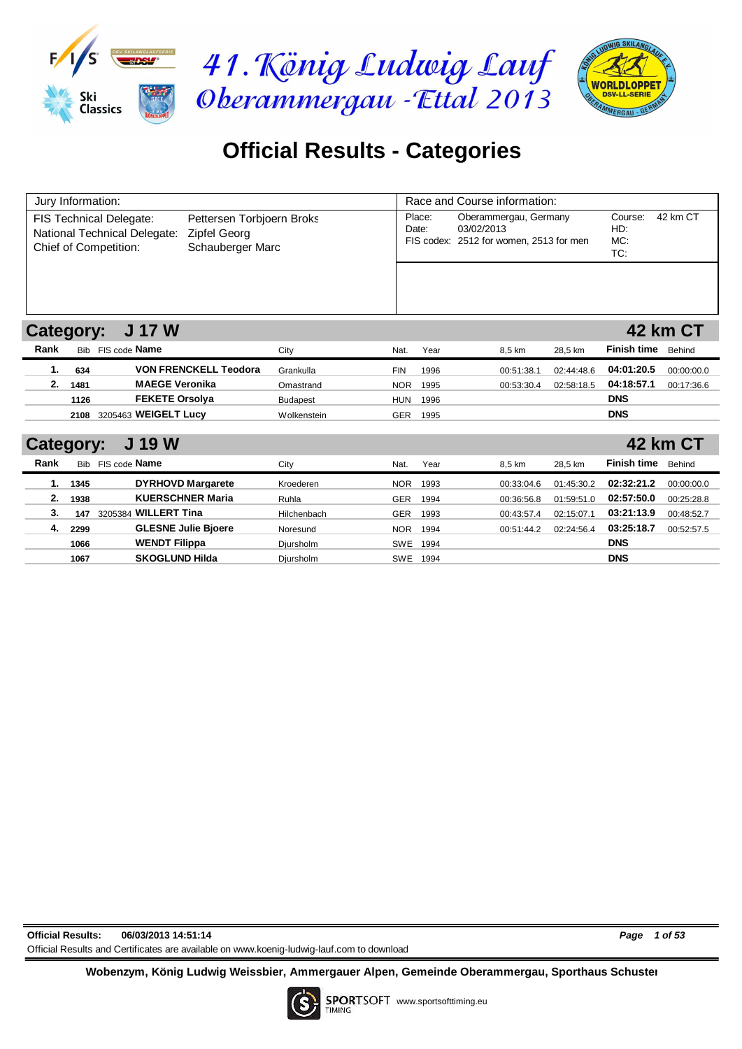





## **Official Results - Categories**

|                  | Jury Information: |                              |                              |                 |            |          | Race and Course information:            |            |                    |                 |  |  |  |
|------------------|-------------------|------------------------------|------------------------------|-----------------|------------|----------|-----------------------------------------|------------|--------------------|-----------------|--|--|--|
|                  |                   |                              |                              |                 |            |          |                                         |            |                    |                 |  |  |  |
|                  |                   | FIS Technical Delegate:      | Pettersen Torbjoern Broks    |                 |            | Place:   | Oberammergau, Germany                   |            | Course:            | 42 km CT        |  |  |  |
|                  |                   | National Technical Delegate: | Zipfel Georg                 |                 |            | Date:    | 03/02/2013                              |            | HD:                |                 |  |  |  |
|                  |                   | Chief of Competition:        | Schauberger Marc             |                 |            |          | FIS codex: 2512 for women, 2513 for men |            | MC:<br>TC:         |                 |  |  |  |
|                  |                   |                              |                              |                 |            |          |                                         |            |                    |                 |  |  |  |
|                  |                   |                              |                              |                 |            |          |                                         |            |                    |                 |  |  |  |
|                  |                   |                              |                              |                 |            |          |                                         |            |                    |                 |  |  |  |
|                  |                   |                              |                              |                 |            |          |                                         |            |                    |                 |  |  |  |
|                  |                   |                              |                              |                 |            |          |                                         |            |                    |                 |  |  |  |
| <b>Category:</b> |                   | <b>J 17 W</b>                |                              |                 |            |          |                                         |            |                    | <b>42 km CT</b> |  |  |  |
| Rank             |                   | Bib FIS code Name            |                              | City            | Nat.       | Year     | 8,5 km                                  | 28,5 km    | <b>Finish time</b> | Behind          |  |  |  |
| 1.               | 634               |                              | <b>VON FRENCKELL Teodora</b> | Grankulla       | <b>FIN</b> | 1996     | 00:51:38.1                              | 02:44:48.6 | 04:01:20.5         | 00:00:00.0      |  |  |  |
| 2.               | 1481              | <b>MAEGE Veronika</b>        |                              | Omastrand       | <b>NOR</b> | 1995     | 00:53:30.4                              | 02:58:18.5 | 04:18:57.1         | 00:17:36.6      |  |  |  |
|                  | 1126              | <b>FEKETE Orsolya</b>        |                              | <b>Budapest</b> | <b>HUN</b> | 1996     |                                         |            | <b>DNS</b>         |                 |  |  |  |
|                  | 2108              | 3205463 WEIGELT Lucy         |                              | Wolkenstein     | <b>GER</b> | 1995     |                                         |            | <b>DNS</b>         |                 |  |  |  |
|                  |                   |                              |                              |                 |            |          |                                         |            |                    |                 |  |  |  |
| <b>Category:</b> |                   | <b>J 19 W</b>                |                              |                 |            |          |                                         |            |                    | 42 km CT        |  |  |  |
| Rank             |                   | Bib FIS code Name            |                              | City            | Nat.       | Year     | 8,5 km                                  | 28,5 km    | <b>Finish time</b> | Behind          |  |  |  |
| 1.               | 1345              | <b>DYRHOVD Margarete</b>     |                              | Kroederen       | <b>NOR</b> | 1993     | 00:33:04.6                              | 01:45:30.2 | 02:32:21.2         | 00:00:00.0      |  |  |  |
| 2.               | 1938              | <b>KUERSCHNER Maria</b>      |                              | Ruhla           | <b>GER</b> | 1994     | 00:36:56.8                              | 01:59:51.0 | 02:57:50.0         | 00:25:28.8      |  |  |  |
| 3.               | 147               | 3205384 WILLERT Tina         |                              | Hilchenbach     | <b>GER</b> | 1993     | 00:43:57.4                              | 02:15:07.1 | 03:21:13.9         | 00:48:52.7      |  |  |  |
| 4.               | 2299              | <b>GLESNE Julie Bjoere</b>   |                              | Noresund        | <b>NOR</b> | 1994     | 00:51:44.2                              | 02:24:56.4 | 03:25:18.7         | 00:52:57.5      |  |  |  |
|                  | 1066              | <b>WENDT Filippa</b>         |                              | Diursholm       | <b>SWE</b> | 1994     |                                         |            | <b>DNS</b>         |                 |  |  |  |
|                  | 1067              | <b>SKOGLUND Hilda</b>        |                              | Diursholm       |            | SWE 1994 |                                         |            | <b>DNS</b>         |                 |  |  |  |

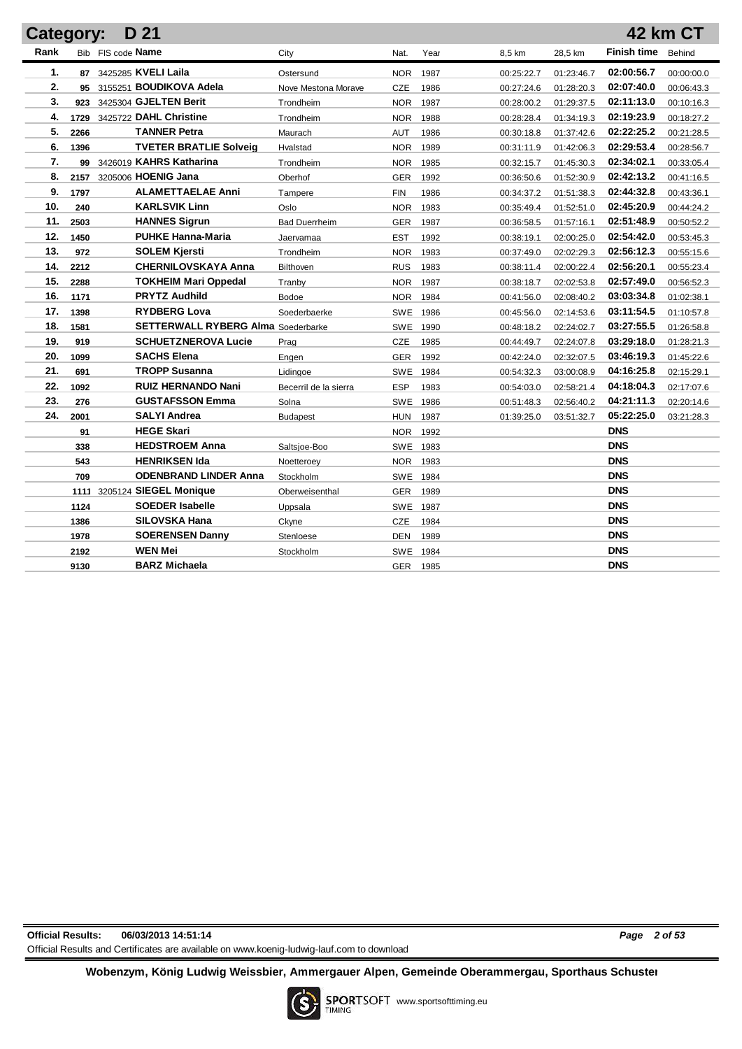| Category: |      | D 21                                      |                       |            |      |            |            |                    | 42 km CT   |
|-----------|------|-------------------------------------------|-----------------------|------------|------|------------|------------|--------------------|------------|
| Rank      |      | Bib FIS code Name                         | City                  | Nat.       | Year | 8,5 km     | 28,5 km    | <b>Finish time</b> | Behind     |
| 1.        |      | 87 3425285 KVELI Laila                    | Ostersund             | <b>NOR</b> | 1987 | 00:25:22.7 | 01:23:46.7 | 02:00:56.7         | 00:00:00.0 |
| 2.        |      | 95 3155251 BOUDIKOVA Adela                | Nove Mestona Morave   | <b>CZE</b> | 1986 | 00:27:24.6 | 01:28:20.3 | 02:07:40.0         | 00:06:43.3 |
| 3.        | 923  | 3425304 GJELTEN Berit                     | Trondheim             | <b>NOR</b> | 1987 | 00:28:00.2 | 01:29:37.5 | 02:11:13.0         | 00:10:16.3 |
| 4.        | 1729 | 3425722 DAHL Christine                    | Trondheim             | <b>NOR</b> | 1988 | 00:28:28.4 | 01:34:19.3 | 02:19:23.9         | 00:18:27.2 |
| 5.        | 2266 | <b>TANNER Petra</b>                       | Maurach               | AUT        | 1986 | 00:30:18.8 | 01:37:42.6 | 02:22:25.2         | 00:21:28.5 |
| 6.        | 1396 | <b>TVETER BRATLIE Solveig</b>             | Hvalstad              | <b>NOR</b> | 1989 | 00:31:11.9 | 01:42:06.3 | 02:29:53.4         | 00:28:56.7 |
| 7.        |      | 99 3426019 KAHRS Katharina                | Trondheim             | <b>NOR</b> | 1985 | 00:32:15.7 | 01:45:30.3 | 02:34:02.1         | 00:33:05.4 |
| 8.        | 2157 | 3205006 HOENIG Jana                       | Oberhof               | <b>GER</b> | 1992 | 00:36:50.6 | 01:52:30.9 | 02:42:13.2         | 00:41:16.5 |
| 9.        | 1797 | <b>ALAMETTAELAE Anni</b>                  | Tampere               | <b>FIN</b> | 1986 | 00:34:37.2 | 01:51:38.3 | 02:44:32.8         | 00:43:36.1 |
| 10.       | 240  | <b>KARLSVIK Linn</b>                      | Oslo                  | <b>NOR</b> | 1983 | 00:35:49.4 | 01:52:51.0 | 02:45:20.9         | 00:44:24.2 |
| 11.       | 2503 | <b>HANNES Sigrun</b>                      | <b>Bad Duerrheim</b>  | <b>GER</b> | 1987 | 00:36:58.5 | 01:57:16.1 | 02:51:48.9         | 00:50:52.2 |
| 12.       | 1450 | <b>PUHKE Hanna-Maria</b>                  | Jaervamaa             | <b>EST</b> | 1992 | 00:38:19.1 | 02:00:25.0 | 02:54:42.0         | 00:53:45.3 |
| 13.       | 972  | <b>SOLEM Kjersti</b>                      | Trondheim             | <b>NOR</b> | 1983 | 00:37:49.0 | 02:02:29.3 | 02:56:12.3         | 00:55:15.6 |
| 14.       | 2212 | <b>CHERNILOVSKAYA Anna</b>                | <b>Bilthoven</b>      | <b>RUS</b> | 1983 | 00:38:11.4 | 02:00:22.4 | 02:56:20.1         | 00:55:23.4 |
| 15.       | 2288 | <b>TOKHEIM Mari Oppedal</b>               | Tranby                | <b>NOR</b> | 1987 | 00:38:18.7 | 02:02:53.8 | 02:57:49.0         | 00:56:52.3 |
| 16.       | 1171 | <b>PRYTZ Audhild</b>                      | Bodoe                 | NOR.       | 1984 | 00:41:56.0 | 02:08:40.2 | 03:03:34.8         | 01:02:38.1 |
| 17.       | 1398 | <b>RYDBERG Lova</b>                       | Soederbaerke          | <b>SWE</b> | 1986 | 00:45:56.0 | 02:14:53.6 | 03:11:54.5         | 01:10:57.8 |
| 18.       | 1581 | <b>SETTERWALL RYBERG Alma Soederbarke</b> |                       | <b>SWE</b> | 1990 | 00:48:18.2 | 02:24:02.7 | 03:27:55.5         | 01:26:58.8 |
| 19.       | 919  | <b>SCHUETZNEROVA Lucie</b>                | Prag                  | <b>CZE</b> | 1985 | 00:44:49.7 | 02:24:07.8 | 03:29:18.0         | 01:28:21.3 |
| 20.       | 1099 | <b>SACHS Elena</b>                        | Engen                 | <b>GER</b> | 1992 | 00:42:24.0 | 02:32:07.5 | 03:46:19.3         | 01:45:22.6 |
| 21.       | 691  | <b>TROPP Susanna</b>                      | Lidingoe              | <b>SWE</b> | 1984 | 00:54:32.3 | 03:00:08.9 | 04:16:25.8         | 02:15:29.1 |
| 22.       | 1092 | <b>RUIZ HERNANDO Nani</b>                 | Becerril de la sierra | <b>ESP</b> | 1983 | 00:54:03.0 | 02:58:21.4 | 04:18:04.3         | 02:17:07.6 |
| 23.       | 276  | <b>GUSTAFSSON Emma</b>                    | Solna                 | <b>SWE</b> | 1986 | 00:51:48.3 | 02:56:40.2 | 04:21:11.3         | 02:20:14.6 |
| 24.       | 2001 | <b>SALYI Andrea</b>                       | <b>Budapest</b>       | <b>HUN</b> | 1987 | 01:39:25.0 | 03:51:32.7 | 05:22:25.0         | 03:21:28.3 |
|           | 91   | <b>HEGE Skari</b>                         |                       | <b>NOR</b> | 1992 |            |            | <b>DNS</b>         |            |
|           | 338  | <b>HEDSTROEM Anna</b>                     | Saltsjoe-Boo          | SWE        | 1983 |            |            | <b>DNS</b>         |            |
|           | 543  | <b>HENRIKSEN Ida</b>                      | Noetteroey            | NOR.       | 1983 |            |            | <b>DNS</b>         |            |
|           | 709  | <b>ODENBRAND LINDER Anna</b>              | Stockholm             | SWE        | 1984 |            |            | <b>DNS</b>         |            |
|           |      | 1111 3205124 SIEGEL Monique               | Oberweisenthal        | <b>GER</b> | 1989 |            |            | <b>DNS</b>         |            |
|           | 1124 | <b>SOEDER Isabelle</b>                    | Uppsala               | SWE 1987   |      |            |            | <b>DNS</b>         |            |
|           | 1386 | <b>SILOVSKA Hana</b>                      | Ckvne                 | <b>CZE</b> | 1984 |            |            | <b>DNS</b>         |            |
|           | 1978 | <b>SOERENSEN Danny</b>                    | Stenloese             | <b>DEN</b> | 1989 |            |            | <b>DNS</b>         |            |
|           | 2192 | <b>WEN Mei</b>                            | Stockholm             | <b>SWE</b> | 1984 |            |            | <b>DNS</b>         |            |
|           | 9130 | <b>BARZ Michaela</b>                      |                       | <b>GER</b> | 1985 |            |            | <b>DNS</b>         |            |

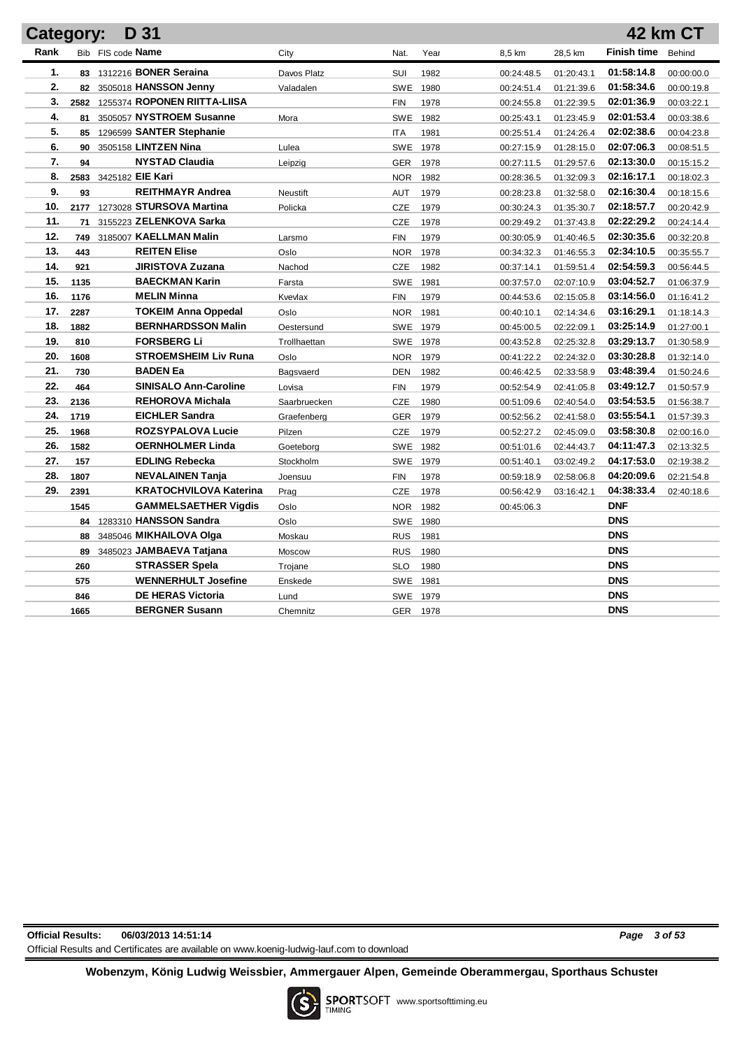| D 31<br>Category: |      |                                   |              |            |          |            |            |                    | <b>42 km CT</b> |
|-------------------|------|-----------------------------------|--------------|------------|----------|------------|------------|--------------------|-----------------|
| Rank              |      | Bib FIS code Name                 | City         | Nat.       | Year     | 8,5 km     | 28,5 km    | <b>Finish time</b> | Behind          |
| 1.                |      | 83 1312216 BONER Seraina          | Davos Platz  | SUI        | 1982     | 00:24:48.5 | 01:20:43.1 | 01:58:14.8         | 00:00:00.0      |
| 2.                |      | 82 3505018 HANSSON Jenny          | Valadalen    | SWE        | 1980     | 00:24:51.4 | 01:21:39.6 | 01:58:34.6         | 00:00:19.8      |
| 3.                |      | 2582 1255374 ROPONEN RIITTA-LIISA |              | <b>FIN</b> | 1978     | 00:24:55.8 | 01:22:39.5 | 02:01:36.9         | 00:03:22.1      |
| 4.                | 81   | 3505057 NYSTROEM Susanne          | Mora         | SWE        | 1982     | 00:25:43.1 | 01:23:45.9 | 02:01:53.4         | 00:03:38.6      |
| 5.                | 85   | 1296599 SANTER Stephanie          |              | <b>ITA</b> | 1981     | 00:25:51.4 | 01:24:26.4 | 02:02:38.6         | 00:04:23.8      |
| 6.                | 90   | 3505158 LINTZEN Nina              | Lulea        |            | SWE 1978 | 00:27:15.9 | 01:28:15.0 | 02:07:06.3         | 00:08:51.5      |
| 7.                | 94   | <b>NYSTAD Claudia</b>             | Leipzig      | GER        | 1978     | 00:27:11.5 | 01:29:57.6 | 02:13:30.0         | 00:15:15.2      |
| 8.                |      | 2583 3425182 EIE Kari             |              | <b>NOR</b> | 1982     | 00:28:36.5 | 01:32:09.3 | 02:16:17.1         | 00:18:02.3      |
| 9.                | 93   | <b>REITHMAYR Andrea</b>           | Neustift     | AUT        | 1979     | 00:28:23.8 | 01:32:58.0 | 02:16:30.4         | 00:18:15.6      |
| 10.               | 2177 | 1273028 STURSOVA Martina          | Policka      | CZE        | 1979     | 00:30:24.3 | 01:35:30.7 | 02:18:57.7         | 00:20:42.9      |
| 11.               |      | 71 3155223 ZELENKOVA Sarka        |              | CZE        | 1978     | 00:29:49.2 | 01:37:43.8 | 02:22:29.2         | 00:24:14.4      |
| 12.               |      | 749 3185007 KAELLMAN Malin        | Larsmo       | <b>FIN</b> | 1979     | 00:30:05.9 | 01:40:46.5 | 02:30:35.6         | 00:32:20.8      |
| 13.               | 443  | <b>REITEN Elise</b>               | Oslo         | <b>NOR</b> | 1978     | 00:34:32.3 | 01:46:55.3 | 02:34:10.5         | 00:35:55.7      |
| 14.               | 921  | <b>JIRISTOVA Zuzana</b>           | Nachod       | <b>CZE</b> | 1982     | 00:37:14.1 | 01:59:51.4 | 02:54:59.3         | 00:56:44.5      |
| 15.               | 1135 | <b>BAECKMAN Karin</b>             | Farsta       |            | SWE 1981 | 00:37:57.0 | 02:07:10.9 | 03:04:52.7         | 01:06:37.9      |
| 16.               | 1176 | <b>MELIN Minna</b>                | Kvevlax      | <b>FIN</b> | 1979     | 00:44:53.6 | 02:15:05.8 | 03:14:56.0         | 01:16:41.2      |
| 17.               | 2287 | <b>TOKEIM Anna Oppedal</b>        | Oslo         | <b>NOR</b> | 1981     | 00:40:10.1 | 02:14:34.6 | 03:16:29.1         | 01:18:14.3      |
| 18.               | 1882 | <b>BERNHARDSSON Malin</b>         | Oestersund   |            | SWE 1979 | 00:45:00.5 | 02:22:09.1 | 03:25:14.9         | 01:27:00.1      |
| 19.               | 810  | <b>FORSBERG Li</b>                | Trollhaettan |            | SWE 1978 | 00:43:52.8 | 02:25:32.8 | 03:29:13.7         | 01:30:58.9      |
| 20.               | 1608 | <b>STROEMSHEIM Liv Runa</b>       | Oslo         | <b>NOR</b> | 1979     | 00:41:22.2 | 02:24:32.0 | 03:30:28.8         | 01:32:14.0      |
| 21.               | 730  | <b>BADEN Ea</b>                   | Bagsvaerd    | DEN        | 1982     | 00:46:42.5 | 02:33:58.9 | 03:48:39.4         | 01:50:24.6      |
| 22.               | 464  | <b>SINISALO Ann-Caroline</b>      | Lovisa       | <b>FIN</b> | 1979     | 00:52:54.9 | 02:41:05.8 | 03:49:12.7         | 01:50:57.9      |
| 23.               | 2136 | <b>REHOROVA Michala</b>           | Saarbruecken | <b>CZE</b> | 1980     | 00:51:09.6 | 02:40:54.0 | 03:54:53.5         | 01:56:38.7      |
| 24.               | 1719 | <b>EICHLER Sandra</b>             | Graefenberg  | GER        | 1979     | 00:52:56.2 | 02:41:58.0 | 03:55:54.1         | 01:57:39.3      |
| 25.               | 1968 | <b>ROZSYPALOVA Lucie</b>          | Pilzen       | CZE        | 1979     | 00:52:27.2 | 02:45:09.0 | 03:58:30.8         | 02:00:16.0      |
| 26.               | 1582 | <b>OERNHOLMER Linda</b>           | Goeteborg    |            | SWE 1982 | 00:51:01.6 | 02:44:43.7 | 04:11:47.3         | 02:13:32.5      |
| 27.               | 157  | <b>EDLING Rebecka</b>             | Stockholm    |            | SWE 1979 | 00:51:40.1 | 03:02:49.2 | 04:17:53.0         | 02:19:38.2      |
| 28.               | 1807 | <b>NEVALAINEN Tanja</b>           | Joensuu      | <b>FIN</b> | 1978     | 00:59:18.9 | 02:58:06.8 | 04:20:09.6         | 02:21:54.8      |
| 29.               | 2391 | <b>KRATOCHVILOVA Katerina</b>     | Prag         | <b>CZE</b> | 1978     | 00:56:42.9 | 03:16:42.1 | 04:38:33.4         | 02:40:18.6      |
|                   | 1545 | <b>GAMMELSAETHER Vigdis</b>       | Oslo         |            | NOR 1982 | 00:45:06.3 |            | <b>DNF</b>         |                 |
|                   |      | 84 1283310 HANSSON Sandra         | Oslo         |            | SWE 1980 |            |            | <b>DNS</b>         |                 |
|                   |      | 88 3485046 MIKHAILOVA Olga        | Moskau       | <b>RUS</b> | 1981     |            |            | <b>DNS</b>         |                 |
|                   |      | 89 3485023 JAMBAEVA Tatjana       | Moscow       | <b>RUS</b> | 1980     |            |            | <b>DNS</b>         |                 |
|                   | 260  | <b>STRASSER Spela</b>             | Trojane      | <b>SLO</b> | 1980     |            |            | <b>DNS</b>         |                 |
|                   | 575  | <b>WENNERHULT Josefine</b>        | Enskede      | <b>SWE</b> | 1981     |            |            | <b>DNS</b>         |                 |
|                   | 846  | <b>DE HERAS Victoria</b>          | Lund         | <b>SWE</b> | 1979     |            |            | <b>DNS</b>         |                 |
|                   | 1665 | <b>BERGNER Susann</b>             | Chemnitz     | <b>GER</b> | 1978     |            |            | <b>DNS</b>         |                 |

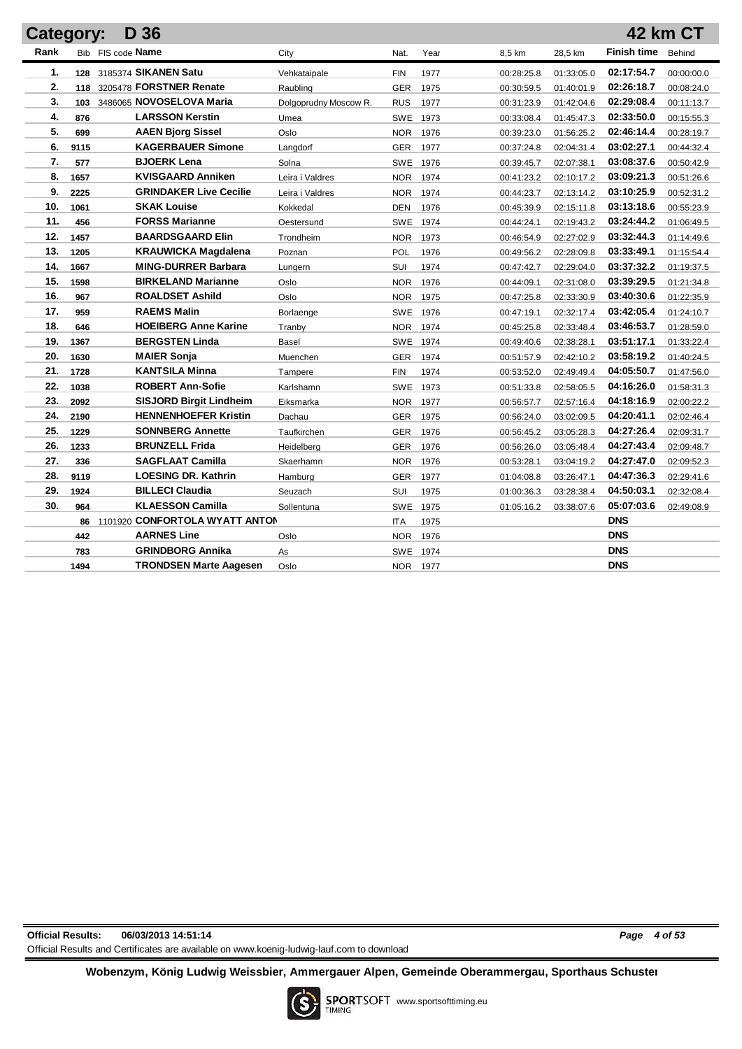| Category: |      | D 36                              |                       |            |          |            |            |                    | 42 km CT   |
|-----------|------|-----------------------------------|-----------------------|------------|----------|------------|------------|--------------------|------------|
| Rank      |      | Bib FIS code Name                 | City                  | Nat.       | Year     | 8,5 km     | 28,5 km    | <b>Finish time</b> | Behind     |
| 1.        |      | 128 3185374 SIKANEN Satu          | Vehkataipale          | <b>FIN</b> | 1977     | 00:28:25.8 | 01:33:05.0 | 02:17:54.7         | 00:00:00.0 |
| 2.        |      | 118 3205478 FORSTNER Renate       | Raubling              | <b>GER</b> | 1975     | 00:30:59.5 | 01:40:01.9 | 02:26:18.7         | 00:08:24.0 |
| 3.        | 103  | 3486065 NOVOSELOVA Maria          | Dolgoprudny Moscow R. | <b>RUS</b> | 1977     | 00:31:23.9 | 01:42:04.6 | 02:29:08.4         | 00:11:13.7 |
| 4.        | 876  | <b>LARSSON Kerstin</b>            | Umea                  | <b>SWE</b> | 1973     | 00:33:08.4 | 01:45:47.3 | 02:33:50.0         | 00:15:55.3 |
| 5.        | 699  | <b>AAEN Bjorg Sissel</b>          | Oslo                  | <b>NOR</b> | 1976     | 00:39:23.0 | 01:56:25.2 | 02:46:14.4         | 00:28:19.7 |
| 6.        | 9115 | <b>KAGERBAUER Simone</b>          | Langdorf              | <b>GER</b> | 1977     | 00:37:24.8 | 02:04:31.4 | 03:02:27.1         | 00:44:32.4 |
| 7.        | 577  | <b>BJOERK Lena</b>                | Solna                 |            | SWE 1976 | 00:39:45.7 | 02:07:38.1 | 03:08:37.6         | 00:50:42.9 |
| 8.        | 1657 | <b>KVISGAARD Anniken</b>          | Leira i Valdres       | <b>NOR</b> | 1974     | 00:41:23.2 | 02:10:17.2 | 03:09:21.3         | 00:51:26.6 |
| 9.        | 2225 | <b>GRINDAKER Live Cecilie</b>     | Leira i Valdres       | <b>NOR</b> | 1974     | 00:44:23.7 | 02:13:14.2 | 03:10:25.9         | 00:52:31.2 |
| 10.       | 1061 | <b>SKAK Louise</b>                | Kokkedal              | DEN        | 1976     | 00:45:39.9 | 02:15:11.8 | 03:13:18.6         | 00:55:23.9 |
| 11.       | 456  | <b>FORSS Marianne</b>             | Oestersund            | SWE 1974   |          | 00:44:24.1 | 02:19:43.2 | 03:24:44.2         | 01:06:49.5 |
| 12.       | 1457 | <b>BAARDSGAARD Elin</b>           | Trondheim             |            | NOR 1973 | 00:46:54.9 | 02:27:02.9 | 03:32:44.3         | 01:14:49.6 |
| 13.       | 1205 | <b>KRAUWICKA Magdalena</b>        | Poznan                | POL        | 1976     | 00:49:56.2 | 02:28:09.8 | 03:33:49.1         | 01:15:54.4 |
| 14.       | 1667 | <b>MING-DURRER Barbara</b>        | Lungern               | SUI        | 1974     | 00:47:42.7 | 02:29:04.0 | 03:37:32.2         | 01:19:37.5 |
| 15.       | 1598 | <b>BIRKELAND Marianne</b>         | Oslo                  | <b>NOR</b> | 1976     | 00:44:09.1 | 02:31:08.0 | 03:39:29.5         | 01:21:34.8 |
| 16.       | 967  | <b>ROALDSET Ashild</b>            | Oslo                  | NOR.       | 1975     | 00:47:25.8 | 02:33:30.9 | 03:40:30.6         | 01:22:35.9 |
| 17.       | 959  | <b>RAEMS Malin</b>                | Borlaenge             | <b>SWE</b> | 1976     | 00:47:19.1 | 02:32:17.4 | 03:42:05.4         | 01:24:10.7 |
| 18.       | 646  | <b>HOEIBERG Anne Karine</b>       | Tranby                | <b>NOR</b> | 1974     | 00:45:25.8 | 02:33:48.4 | 03:46:53.7         | 01:28:59.0 |
| 19.       | 1367 | <b>BERGSTEN Linda</b>             | Basel                 | SWE        | 1974     | 00:49:40.6 | 02:38:28.1 | 03:51:17.1         | 01:33:22.4 |
| 20.       | 1630 | <b>MAIER Sonja</b>                | Muenchen              | <b>GER</b> | 1974     | 00:51:57.9 | 02:42:10.2 | 03:58:19.2         | 01:40:24.5 |
| 21.       | 1728 | <b>KANTSILA Minna</b>             | Tampere               | <b>FIN</b> | 1974     | 00:53:52.0 | 02:49:49.4 | 04:05:50.7         | 01:47:56.0 |
| 22.       | 1038 | <b>ROBERT Ann-Sofie</b>           | Karlshamn             |            | SWE 1973 | 00:51:33.8 | 02:58:05.5 | 04:16:26.0         | 01:58:31.3 |
| 23.       | 2092 | <b>SISJORD Birgit Lindheim</b>    | Eiksmarka             | <b>NOR</b> | 1977     | 00:56:57.7 | 02:57:16.4 | 04:18:16.9         | 02:00:22.2 |
| 24.       | 2190 | <b>HENNENHOEFER Kristin</b>       | Dachau                | GER        | 1975     | 00:56:24.0 | 03:02:09.5 | 04:20:41.1         | 02:02:46.4 |
| 25.       | 1229 | <b>SONNBERG Annette</b>           | Taufkirchen           | <b>GER</b> | 1976     | 00:56:45.2 | 03:05:28.3 | 04:27:26.4         | 02:09:31.7 |
| 26.       | 1233 | <b>BRUNZELL Frida</b>             | Heidelberg            | <b>GER</b> | 1976     | 00:56:26.0 | 03:05:48.4 | 04:27:43.4         | 02:09:48.7 |
| 27.       | 336  | <b>SAGFLAAT Camilla</b>           | Skaerhamn             | <b>NOR</b> | 1976     | 00:53:28.1 | 03:04:19.2 | 04:27:47.0         | 02:09:52.3 |
| 28.       | 9119 | <b>LOESING DR. Kathrin</b>        | Hamburg               | GER        | 1977     | 01:04:08.8 | 03:26:47.1 | 04:47:36.3         | 02:29:41.6 |
| 29.       | 1924 | <b>BILLECI Claudia</b>            | Seuzach               | SUI        | 1975     | 01:00:36.3 | 03:28:38.4 | 04:50:03.1         | 02:32:08.4 |
| 30.       | 964  | <b>KLAESSON Camilla</b>           | Sollentuna            |            | SWE 1975 | 01:05:16.2 | 03:38:07.6 | 05:07:03.6         | 02:49:08.9 |
|           |      | 86 1101920 CONFORTOLA WYATT ANTON |                       | ITA        | 1975     |            |            | <b>DNS</b>         |            |
|           | 442  | <b>AARNES Line</b>                | Oslo                  | <b>NOR</b> | 1976     |            |            | <b>DNS</b>         |            |
|           | 783  | <b>GRINDBORG Annika</b>           | As                    |            | SWE 1974 |            |            | <b>DNS</b>         |            |
|           | 1494 | <b>TRONDSEN Marte Aagesen</b>     | Oslo                  | NOR 1977   |          |            |            | <b>DNS</b>         |            |

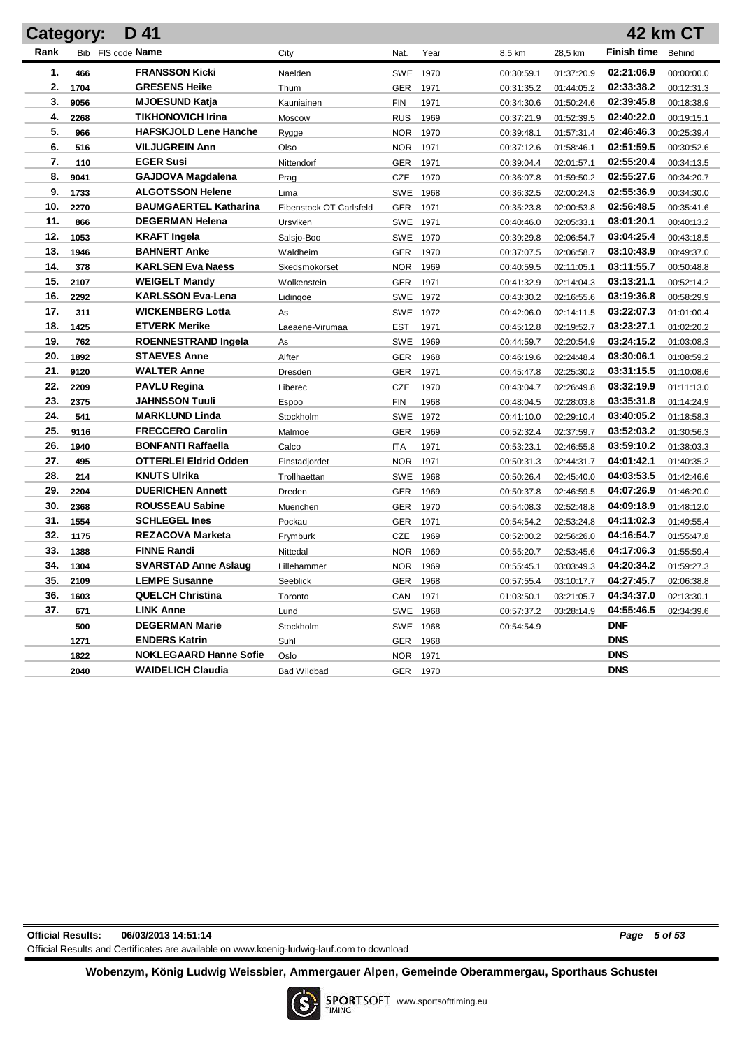|      | <b>Category:</b> | D 41                          |                         |            |          |            |            |                    | <b>42 km CT</b> |
|------|------------------|-------------------------------|-------------------------|------------|----------|------------|------------|--------------------|-----------------|
| Rank |                  | Bib FIS code Name             | City                    | Nat.       | Year     | 8,5 km     | 28,5 km    | <b>Finish time</b> | Behind          |
| 1.   | 466              | <b>FRANSSON Kicki</b>         | Naelden                 |            | SWE 1970 | 00:30:59.1 | 01:37:20.9 | 02:21:06.9         | 00:00:00.0      |
| 2.   | 1704             | <b>GRESENS Heike</b>          | Thum                    | GER        | 1971     | 00:31:35.2 | 01:44:05.2 | 02:33:38.2         | 00:12:31.3      |
| 3.   | 9056             | <b>MJOESUND Katja</b>         | Kauniainen              | <b>FIN</b> | 1971     | 00:34:30.6 | 01:50:24.6 | 02:39:45.8         | 00:18:38.9      |
| 4.   | 2268             | <b>TIKHONOVICH Irina</b>      | Moscow                  | <b>RUS</b> | 1969     | 00:37:21.9 | 01:52:39.5 | 02:40:22.0         | 00:19:15.1      |
| 5.   | 966              | <b>HAFSKJOLD Lene Hanche</b>  | Rygge                   | <b>NOR</b> | 1970     | 00:39:48.1 | 01:57:31.4 | 02:46:46.3         | 00:25:39.4      |
| 6.   | 516              | <b>VILJUGREIN Ann</b>         | Olso                    |            | NOR 1971 | 00:37:12.6 | 01:58:46.1 | 02:51:59.5         | 00:30:52.6      |
| 7.   | 110              | <b>EGER Susi</b>              | Nittendorf              | GER        | 1971     | 00:39:04.4 | 02:01:57.1 | 02:55:20.4         | 00:34:13.5      |
| 8.   | 9041             | <b>GAJDOVA Magdalena</b>      | Prag                    | CZE        | 1970     | 00:36:07.8 | 01:59:50.2 | 02:55:27.6         | 00:34:20.7      |
| 9.   | 1733             | <b>ALGOTSSON Helene</b>       | Lima                    |            | SWE 1968 | 00:36:32.5 | 02:00:24.3 | 02:55:36.9         | 00:34:30.0      |
| 10.  | 2270             | <b>BAUMGAERTEL Katharina</b>  | Eibenstock OT Carlsfeld | GER        | 1971     | 00:35:23.8 | 02:00:53.8 | 02:56:48.5         | 00:35:41.6      |
| 11.  | 866              | <b>DEGERMAN Helena</b>        | Ursviken                |            | SWE 1971 | 00:40:46.0 | 02:05:33.1 | 03:01:20.1         | 00:40:13.2      |
| 12.  | 1053             | <b>KRAFT</b> Ingela           | Salsjo-Boo              |            | SWE 1970 | 00:39:29.8 | 02:06:54.7 | 03:04:25.4         | 00:43:18.5      |
| 13.  | 1946             | <b>BAHNERT Anke</b>           | Waldheim                | GER        | 1970     | 00:37:07.5 | 02:06:58.7 | 03:10:43.9         | 00:49:37.0      |
| 14.  | 378              | <b>KARLSEN Eva Naess</b>      | Skedsmokorset           | <b>NOR</b> | 1969     | 00:40:59.5 | 02:11:05.1 | 03:11:55.7         | 00:50:48.8      |
| 15.  | 2107             | <b>WEIGELT Mandy</b>          | Wolkenstein             | GER        | 1971     | 00:41:32.9 | 02:14:04.3 | 03:13:21.1         | 00:52:14.2      |
| 16.  | 2292             | <b>KARLSSON Eva-Lena</b>      | Lidingoe                |            | SWE 1972 | 00:43:30.2 | 02:16:55.6 | 03:19:36.8         | 00:58:29.9      |
| 17.  | 311              | <b>WICKENBERG Lotta</b>       | As                      |            | SWE 1972 | 00:42:06.0 | 02:14:11.5 | 03:22:07.3         | 01:01:00.4      |
| 18.  | 1425             | <b>ETVERK Merike</b>          | Laeaene-Virumaa         | <b>EST</b> | 1971     | 00:45:12.8 | 02:19:52.7 | 03:23:27.1         | 01:02:20.2      |
| 19.  | 762              | <b>ROENNESTRAND Ingela</b>    | As                      |            | SWE 1969 | 00:44:59.7 | 02:20:54.9 | 03:24:15.2         | 01:03:08.3      |
| 20.  | 1892             | <b>STAEVES Anne</b>           | Alfter                  | <b>GER</b> | 1968     | 00:46:19.6 | 02:24:48.4 | 03:30:06.1         | 01:08:59.2      |
| 21.  | 9120             | <b>WALTER Anne</b>            | Dresden                 | <b>GER</b> | 1971     | 00:45:47.8 | 02:25:30.2 | 03:31:15.5         | 01:10:08.6      |
| 22.  | 2209             | <b>PAVLU Regina</b>           | Liberec                 | <b>CZE</b> | 1970     | 00:43:04.7 | 02:26:49.8 | 03:32:19.9         | 01:11:13.0      |
| 23.  | 2375             | <b>JAHNSSON Tuuli</b>         | <b>Espoo</b>            | <b>FIN</b> | 1968     | 00:48:04.5 | 02:28:03.8 | 03:35:31.8         | 01:14:24.9      |
| 24.  | 541              | <b>MARKLUND Linda</b>         | Stockholm               |            | SWE 1972 | 00:41:10.0 | 02:29:10.4 | 03:40:05.2         | 01:18:58.3      |
| 25.  | 9116             | <b>FRECCERO Carolin</b>       | Malmoe                  | <b>GER</b> | 1969     | 00:52:32.4 | 02:37:59.7 | 03:52:03.2         | 01:30:56.3      |
| 26.  | 1940             | <b>BONFANTI Raffaella</b>     | Calco                   | <b>ITA</b> | 1971     | 00:53:23.1 | 02:46:55.8 | 03:59:10.2         | 01:38:03.3      |
| 27.  | 495              | <b>OTTERLEI Eldrid Odden</b>  | Finstadjordet           | NOR        | 1971     | 00:50:31.3 | 02:44:31.7 | 04:01:42.1         | 01:40:35.2      |
| 28.  | 214              | <b>KNUTS Ulrika</b>           | Trollhaettan            |            | SWE 1968 | 00:50:26.4 | 02:45:40.0 | 04:03:53.5         | 01:42:46.6      |
| 29.  | 2204             | <b>DUERICHEN Annett</b>       | Dreden                  | GER        | 1969     | 00:50:37.8 | 02:46:59.5 | 04:07:26.9         | 01:46:20.0      |
| 30.  | 2368             | <b>ROUSSEAU Sabine</b>        | Muenchen                | <b>GER</b> | 1970     | 00:54:08.3 | 02:52:48.8 | 04:09:18.9         | 01:48:12.0      |
| 31.  | 1554             | <b>SCHLEGEL Ines</b>          | Pockau                  | <b>GER</b> | 1971     | 00:54:54.2 | 02:53:24.8 | 04:11:02.3         | 01:49:55.4      |
| 32.  | 1175             | <b>REZACOVA Marketa</b>       | Frymburk                | <b>CZE</b> | 1969     | 00:52:00.2 | 02:56:26.0 | 04:16:54.7         | 01:55:47.8      |
| 33.  | 1388             | <b>FINNE Randi</b>            | Nittedal                | <b>NOR</b> | 1969     | 00:55:20.7 | 02:53:45.6 | 04:17:06.3         | 01:55:59.4      |
| 34.  | 1304             | <b>SVARSTAD Anne Aslaug</b>   | Lillehammer             |            | NOR 1969 | 00:55:45.1 | 03:03:49.3 | 04:20:34.2         | 01:59:27.3      |
| 35.  | 2109             | <b>LEMPE Susanne</b>          | Seeblick                |            | GER 1968 | 00:57:55.4 | 03:10:17.7 | 04:27:45.7         | 02:06:38.8      |
| 36.  | 1603             | <b>QUELCH Christina</b>       | Toronto                 |            | CAN 1971 | 01:03:50.1 | 03:21:05.7 | 04:34:37.0         | 02:13:30.1      |
| 37.  | 671              | <b>LINK Anne</b>              | Lund                    |            | SWE 1968 | 00:57:37.2 | 03:28:14.9 | 04:55:46.5         | 02:34:39.6      |
|      | 500              | <b>DEGERMAN Marie</b>         | Stockholm               |            | SWE 1968 | 00:54:54.9 |            | <b>DNF</b>         |                 |
|      | 1271             | <b>ENDERS Katrin</b>          | Suhl                    |            | GER 1968 |            |            | <b>DNS</b>         |                 |
|      | 1822             | <b>NOKLEGAARD Hanne Sofie</b> | Oslo                    |            | NOR 1971 |            |            | <b>DNS</b>         |                 |
|      | 2040             | <b>WAIDELICH Claudia</b>      | <b>Bad Wildbad</b>      |            | GER 1970 |            |            | <b>DNS</b>         |                 |

**Official Results: 06/03/2013 14:51:14** *Page 5 of 53* Official Results and Certificates are available on www.koenig-ludwig-lauf.com to download

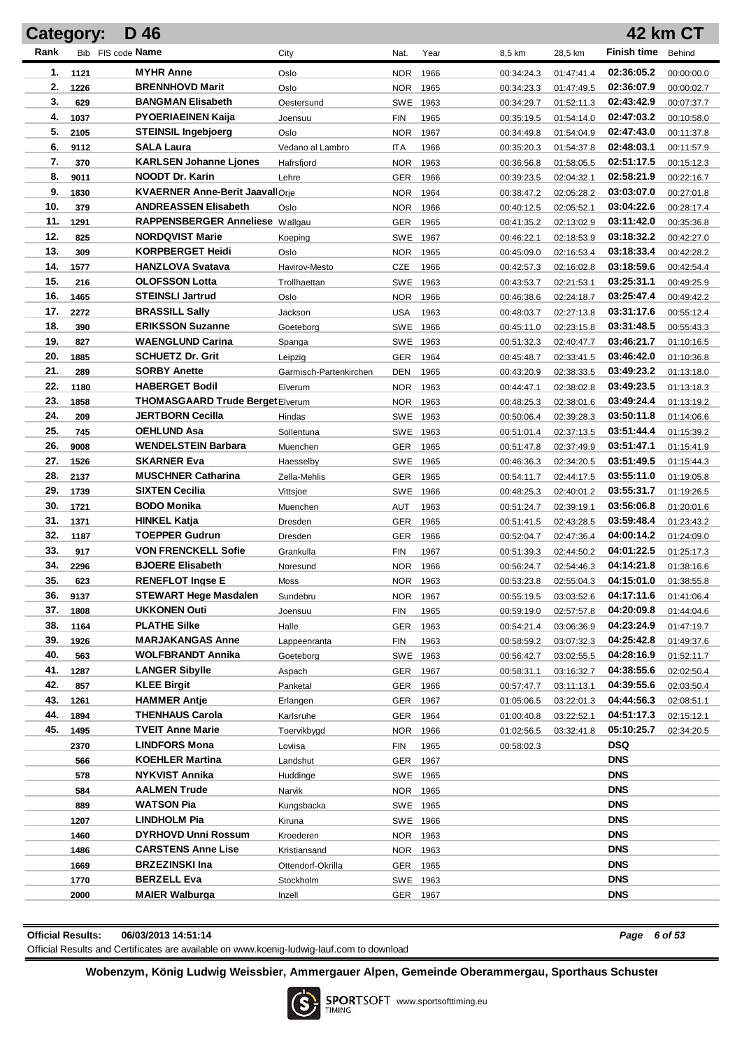|      | Category: | D 46                                   |                        |            |      |            |            |                    | <b>42 km CT</b> |
|------|-----------|----------------------------------------|------------------------|------------|------|------------|------------|--------------------|-----------------|
| Rank |           | Bib FIS code Name                      | City                   | Nat.       | Year | 8,5 km     | 28,5 km    | <b>Finish time</b> | Behind          |
| 1.   | 1121      | <b>MYHR Anne</b>                       | Oslo                   | <b>NOR</b> | 1966 | 00:34:24.3 | 01:47:41.4 | 02:36:05.2         | 00:00:00.0      |
| 2.   | 1226      | <b>BRENNHOVD Marit</b>                 | Oslo                   | <b>NOR</b> | 1965 | 00:34:23.3 | 01:47:49.5 | 02:36:07.9         | 00:00:02.7      |
| 3.   | 629       | <b>BANGMAN Elisabeth</b>               | Oestersund             | SWE 1963   |      | 00:34:29.7 | 01:52:11.3 | 02:43:42.9         | 00:07:37.7      |
| 4.   | 1037      | <b>PYOERIAEINEN Kaija</b>              | Joensuu                | <b>FIN</b> | 1965 | 00:35:19.5 | 01:54:14.0 | 02:47:03.2         | 00:10:58.0      |
| 5.   | 2105      | <b>STEINSIL Ingebjoerg</b>             | Oslo                   | <b>NOR</b> | 1967 | 00:34:49.8 | 01:54:04.9 | 02:47:43.0         | 00:11:37.8      |
| 6.   | 9112      | <b>SALA Laura</b>                      | Vedano al Lambro       | <b>ITA</b> | 1966 | 00:35:20.3 | 01:54:37.8 | 02:48:03.1         | 00:11:57.9      |
| 7.   | 370       | <b>KARLSEN Johanne Ljones</b>          | Hafrsfjord             | <b>NOR</b> | 1963 | 00:36:56.8 | 01:58:05.5 | 02:51:17.5         | 00:15:12.3      |
| 8.   | 9011      | <b>NOODT Dr. Karin</b>                 | Lehre                  | GER        | 1966 | 00:39:23.5 | 02:04:32.1 | 02:58:21.9         | 00:22:16.7      |
| 9.   | 1830      | <b>KVAERNER Anne-Berit JaavallOrie</b> |                        | <b>NOR</b> | 1964 | 00:38:47.2 | 02:05:28.2 | 03:03:07.0         | 00:27:01.8      |
| 10.  | 379       | <b>ANDREASSEN Elisabeth</b>            | Oslo                   | <b>NOR</b> | 1966 | 00:40:12.5 | 02:05:52.1 | 03:04:22.6         | 00:28:17.4      |
| 11.  | 1291      | RAPPENSBERGER Anneliese Wallgau        |                        | GER        | 1965 | 00:41:35.2 | 02:13:02.9 | 03:11:42.0         | 00:35:36.8      |
| 12.  | 825       | <b>NORDQVIST Marie</b>                 | Koeping                | SWE        | 1967 | 00:46:22.1 | 02:18:53.9 | 03:18:32.2         | 00:42:27.0      |
| 13.  | 309       | <b>KORPBERGET Heidi</b>                | Oslo                   | <b>NOR</b> | 1965 | 00:45:09.0 | 02:16:53.4 | 03:18:33.4         | 00:42:28.2      |
| 14.  | 1577      | <b>HANZLOVA Svatava</b>                | Havirov-Mesto          | CZE        | 1966 | 00:42:57.3 | 02:16:02.8 | 03:18:59.6         | 00:42:54.4      |
| 15.  | 216       | <b>OLOFSSON Lotta</b>                  | Trollhaettan           | SWE        | 1963 | 00:43:53.7 | 02:21:53.1 | 03:25:31.1         | 00:49:25.9      |
| 16.  | 1465      | <b>STEINSLI Jartrud</b>                | Oslo                   | <b>NOR</b> | 1966 | 00:46:38.6 | 02:24:18.7 | 03:25:47.4         | 00:49:42.2      |
| 17.  | 2272      | <b>BRASSILL Sally</b>                  | Jackson                | USA        | 1963 | 00:48:03.7 | 02:27:13.8 | 03:31:17.6         | 00:55:12.4      |
| 18.  | 390       | <b>ERIKSSON Suzanne</b>                | Goeteborg              | SWE        | 1966 | 00:45:11.0 | 02:23:15.8 | 03:31:48.5         | 00:55:43.3      |
| 19.  | 827       | <b>WAENGLUND Carina</b>                | Spanga                 | SWE 1963   |      | 00:51:32.3 | 02:40:47.7 | 03:46:21.7         | 01:10:16.5      |
| 20.  | 1885      | <b>SCHUETZ Dr. Grit</b>                | Leipzig                | GER        | 1964 | 00:45:48.7 | 02:33:41.5 | 03:46:42.0         | 01:10:36.8      |
| 21.  | 289       | <b>SORBY Anette</b>                    | Garmisch-Partenkirchen | DEN        | 1965 | 00:43:20.9 | 02:38:33.5 | 03:49:23.2         | 01:13:18.0      |
| 22.  | 1180      | <b>HABERGET Bodil</b>                  | Elverum                | <b>NOR</b> | 1963 | 00:44:47.1 | 02:38:02.8 | 03:49:23.5         | 01:13:18.3      |
| 23.  | 1858      | THOMASGAARD Trude Berget Elverum       |                        | NOR.       | 1963 | 00:48:25.3 | 02:38:01.6 | 03:49:24.4         | 01:13:19.2      |
| 24.  | 209       | JERTBORN Cecilla                       | Hindas                 | SWE 1963   |      | 00:50:06.4 | 02:39:28.3 | 03:50:11.8         | 01:14:06.6      |
| 25.  | 745       | <b>OEHLUND Asa</b>                     | Sollentuna             | SWE 1963   |      | 00:51:01.4 | 02:37:13.5 | 03:51:44.4         | 01:15:39.2      |
| 26.  | 9008      | <b>WENDELSTEIN Barbara</b>             | Muenchen               | GER        | 1965 | 00:51:47.8 | 02:37:49.9 | 03:51:47.1         | 01:15:41.9      |
| 27.  | 1526      | <b>SKARNER Eva</b>                     | Haesselby              | <b>SWE</b> | 1965 | 00:46:36.3 | 02:34:20.5 | 03:51:49.5         | 01:15:44.3      |
| 28.  | 2137      | <b>MUSCHNER Catharina</b>              | Zella-Mehlis           | GER        | 1965 | 00:54:11.7 | 02:44:17.5 | 03:55:11.0         | 01:19:05.8      |
| 29.  | 1739      | <b>SIXTEN Cecilia</b>                  | Vittsjoe               | <b>SWE</b> | 1966 | 00:48:25.3 | 02:40:01.2 | 03:55:31.7         | 01:19:26.5      |
| 30.  | 1721      | <b>BODO Monika</b>                     | Muenchen               | AUT        | 1963 | 00:51:24.7 | 02:39:19.1 | 03:56:06.8         | 01:20:01.6      |
| 31.  | 1371      | <b>HINKEL Katja</b>                    | Dresden                | GER        | 1965 | 00:51:41.5 | 02:43:28.5 | 03:59:48.4         | 01:23:43.2      |
| 32.  | 1187      | <b>TOEPPER Gudrun</b>                  | Dresden                | GER        | 1966 | 00:52:04.7 | 02:47:36.4 | 04:00:14.2         | 01:24:09.0      |
| 33.  | 917       | <b>VON FRENCKELL Sofie</b>             | Grankulla              | <b>FIN</b> | 1967 | 00:51:39.3 | 02:44:50.2 | 04:01:22.5         | 01:25:17.3      |
| 34.  | 2296      | <b>BJOERE Elisabeth</b>                | Noresund               | NOR.       | 1966 | 00:56:24.7 | 02:54:46.3 | 04:14:21.8         | 01:38:16.6      |
| 35.  | 623       | <b>RENEFLOT Ingse E</b>                | Moss                   | NOR 1963   |      | 00:53:23.8 | 02:55:04.3 | 04:15:01.0         | 01:38:55.8      |
| 36.  | 9137      | <b>STEWART Hege Masdalen</b>           | Sundebru               | NOR 1967   |      | 00:55:19.5 | 03:03:52.6 | 04:17:11.6         | 01:41:06.4      |
| 37.  | 1808      | <b>UKKONEN Outi</b>                    | Joensuu                | <b>FIN</b> | 1965 | 00:59:19.0 | 02:57:57.8 | 04:20:09.8         | 01:44:04.6      |
| 38.  | 1164      | <b>PLATHE Silke</b>                    | Halle                  | <b>GER</b> | 1963 | 00:54:21.4 | 03:06:36.9 | 04:23:24.9         | 01:47:19.7      |
| 39.  | 1926      | <b>MARJAKANGAS Anne</b>                | Lappeenranta           | <b>FIN</b> | 1963 | 00:58:59.2 | 03:07:32.3 | 04:25:42.8         | 01:49:37.6      |
| 40.  | 563       | <b>WOLFBRANDT Annika</b>               | Goeteborg              | SWE 1963   |      | 00:56:42.7 | 03:02:55.5 | 04:28:16.9         | 01:52:11.7      |
| 41.  | 1287      | <b>LANGER Sibylle</b>                  | Aspach                 | <b>GER</b> | 1967 | 00:58:31.1 | 03:16:32.7 | 04:38:55.6         | 02:02:50.4      |
| 42.  | 857       | <b>KLEE Birgit</b>                     | Panketal               | <b>GER</b> | 1966 | 00:57:47.7 | 03:11:13.1 | 04:39:55.6         | 02:03:50.4      |
| 43.  | 1261      | <b>HAMMER Antie</b>                    | Erlangen               | <b>GER</b> | 1967 | 01:05:06.5 | 03:22:01.3 | 04:44:56.3         | 02:08:51.1      |
| 44.  | 1894      | <b>THENHAUS Carola</b>                 | Karlsruhe              | <b>GER</b> | 1964 | 01:00:40.8 | 03:22:52.1 | 04:51:17.3         | 02:15:12.1      |
| 45.  | 1495      | <b>TVEIT Anne Marie</b>                | Toervikbygd            | <b>NOR</b> | 1966 | 01:02:56.5 | 03:32:41.8 | 05:10:25.7         | 02:34:20.5      |
|      | 2370      | <b>LINDFORS Mona</b>                   | Loviisa                | <b>FIN</b> | 1965 | 00:58:02.3 |            | DSQ                |                 |
|      | 566       | <b>KOEHLER Martina</b>                 | Landshut               | <b>GER</b> | 1967 |            |            | <b>DNS</b>         |                 |
|      | 578       | NYKVIST Annika                         | Huddinge               | SWE 1965   |      |            |            | <b>DNS</b>         |                 |
|      | 584       | <b>AALMEN Trude</b>                    | Narvik                 | NOR 1965   |      |            |            | <b>DNS</b>         |                 |
|      | 889       | <b>WATSON Pia</b>                      | Kungsbacka             | SWE 1965   |      |            |            | <b>DNS</b>         |                 |
|      | 1207      | LINDHOLM Pia                           | Kiruna                 | SWE 1966   |      |            |            | <b>DNS</b>         |                 |
|      | 1460      | <b>DYRHOVD Unni Rossum</b>             | Kroederen              | NOR 1963   |      |            |            | <b>DNS</b>         |                 |
|      | 1486      | <b>CARSTENS Anne Lise</b>              | Kristiansand           | NOR 1963   |      |            |            | <b>DNS</b>         |                 |
|      | 1669      | <b>BRZEZINSKI Ina</b>                  | Ottendorf-Okrilla      | GER        | 1965 |            |            | <b>DNS</b>         |                 |
|      | 1770      | <b>BERZELL Eva</b>                     | Stockholm              | SWE 1963   |      |            |            | <b>DNS</b>         |                 |
|      | 2000      | <b>MAIER Walburga</b>                  | Inzell                 | GER 1967   |      |            |            | <b>DNS</b>         |                 |

**Official Results: 06/03/2013 14:51:14** *Page 6 of 53*

Official Results and Certificates are available on www.koenig-ludwig-lauf.com to download

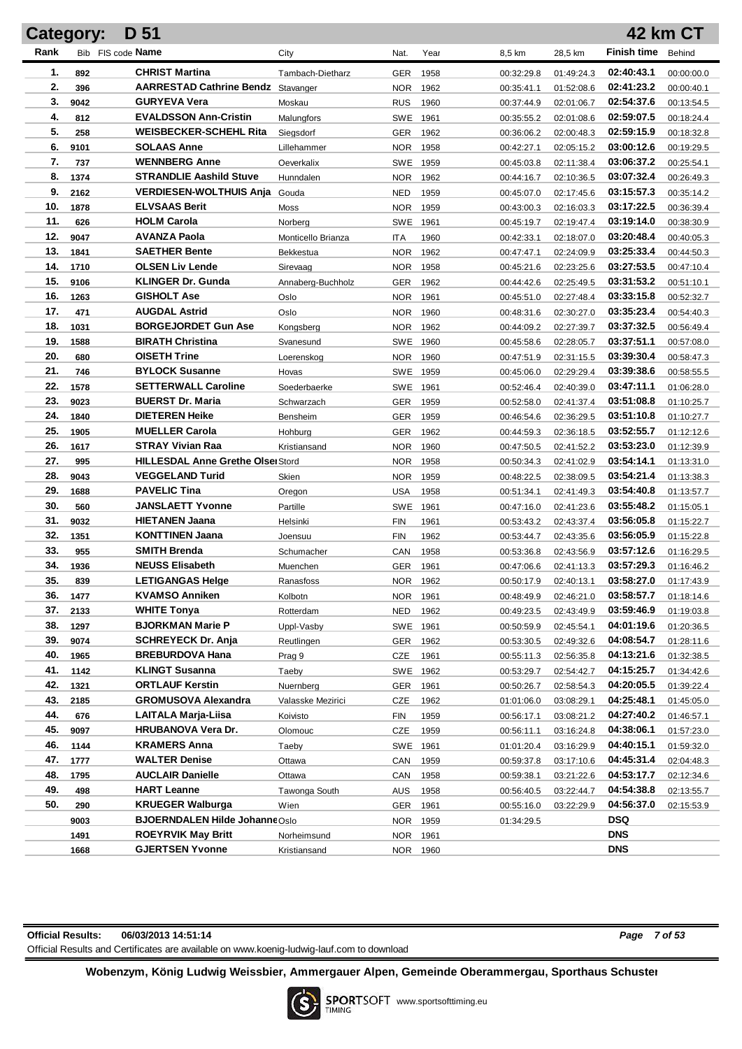| <b>Category:</b> |              | D 51                                                               |                    |                    |              |                          |                          |                          | 42 km CT                 |
|------------------|--------------|--------------------------------------------------------------------|--------------------|--------------------|--------------|--------------------------|--------------------------|--------------------------|--------------------------|
| Rank             |              | Bib FIS code Name                                                  | City               | Nat.               | Year         | 8,5 km                   | 28,5 km                  | <b>Finish time</b>       | Behind                   |
| 1.               | 892          | <b>CHRIST Martina</b>                                              | Tambach-Dietharz   | <b>GER</b>         | 1958         | 00:32:29.8               | 01:49:24.3               | 02:40:43.1               | 00:00:00.0               |
| 2.               | 396          | <b>AARRESTAD Cathrine Bendz</b> Stavanger                          |                    | <b>NOR</b>         | 1962         | 00:35:41.1               | 01:52:08.6               | 02:41:23.2               | 00:00:40.1               |
| 3.               | 9042         | <b>GURYEVA Vera</b>                                                | Moskau             | <b>RUS</b>         | 1960         | 00:37:44.9               | 02:01:06.7               | 02:54:37.6               | 00:13:54.5               |
| 4.               | 812          | <b>EVALDSSON Ann-Cristin</b>                                       | Malungfors         | SWE                | 1961         | 00:35:55.2               | 02:01:08.6               | 02:59:07.5               | 00:18:24.4               |
| 5.               | 258          | <b>WEISBECKER-SCHEHL Rita</b>                                      | Siegsdorf          | <b>GER</b>         | 1962         | 00:36:06.2               | 02:00:48.3               | 02:59:15.9               | 00:18:32.8               |
| 6.               | 9101         | <b>SOLAAS Anne</b>                                                 | Lillehammer        | <b>NOR</b>         | 1958         | 00:42:27.1               | 02:05:15.2               | 03:00:12.6               | 00:19:29.5               |
| 7.               | 737          | <b>WENNBERG Anne</b>                                               | Oeverkalix         | SWE                | 1959         | 00:45:03.8               | 02:11:38.4               | 03:06:37.2               | 00:25:54.1               |
| 8.               | 1374         | <b>STRANDLIE Aashild Stuve</b>                                     | Hunndalen          | <b>NOR</b>         | 1962         | 00:44:16.7               | 02:10:36.5               | 03:07:32.4               | 00:26:49.3               |
| 9.               | 2162         | <b>VERDIESEN-WOLTHUIS Anja</b>                                     | Gouda              | <b>NED</b>         | 1959         | 00:45:07.0               | 02:17:45.6               | 03:15:57.3               | 00:35:14.2               |
| 10.              | 1878         | <b>ELVSAAS Berit</b>                                               | Moss               | <b>NOR</b>         | 1959         | 00:43:00.3               | 02:16:03.3               | 03:17:22.5               | 00:36:39.4               |
| 11.              | 626          | <b>HOLM Carola</b>                                                 | Norberg            | SWE                | 1961         | 00:45:19.7               | 02:19:47.4               | 03:19:14.0               | 00:38:30.9               |
| 12.              | 9047         | <b>AVANZA Paola</b>                                                | Monticello Brianza | <b>ITA</b>         | 1960         | 00:42:33.1               | 02:18:07.0               | 03:20:48.4               | 00:40:05.3               |
| 13.              | 1841         | <b>SAETHER Bente</b>                                               | Bekkestua          | <b>NOR</b>         | 1962         | 00:47:47.1               | 02:24:09.9               | 03:25:33.4               | 00:44:50.3               |
| 14.              | 1710         | <b>OLSEN Liv Lende</b>                                             | Sirevaag           | <b>NOR</b>         | 1958         | 00:45:21.6               | 02:23:25.6               | 03:27:53.5               | 00:47:10.4               |
| 15.              | 9106         | <b>KLINGER Dr. Gunda</b>                                           | Annaberg-Buchholz  | <b>GER</b>         | 1962         | 00:44:42.6               | 02:25:49.5               | 03:31:53.2               | 00:51:10.1               |
| 16.              | 1263         | <b>GISHOLT Ase</b>                                                 | Oslo               | <b>NOR</b>         | 1961         | 00:45:51.0               | 02:27:48.4               | 03:33:15.8               | 00:52:32.7               |
| 17.              | 471          | <b>AUGDAL Astrid</b>                                               | Oslo               | <b>NOR</b>         | 1960         | 00:48:31.6               | 02:30:27.0               | 03:35:23.4               | 00:54:40.3               |
| 18.              | 1031         | <b>BORGEJORDET Gun Ase</b>                                         | Kongsberg          | <b>NOR</b>         | 1962         | 00:44:09.2               | 02:27:39.7               | 03:37:32.5               | 00:56:49.4               |
| 19.              | 1588         | <b>BIRATH Christina</b>                                            | Svanesund          | SWE                | 1960         | 00:45:58.6               | 02:28:05.7               | 03:37:51.1               | 00:57:08.0               |
| 20.              | 680          | <b>OISETH Trine</b>                                                | Loerenskog         | NOR.               | 1960         | 00:47:51.9               | 02:31:15.5               | 03:39:30.4               | 00:58:47.3               |
| 21.              | 746          | <b>BYLOCK Susanne</b>                                              | Hovas              | SWE 1959           |              | 00:45:06.0               | 02:29:29.4               | 03:39:38.6               | 00:58:55.5               |
| 22.              | 1578         | <b>SETTERWALL Caroline</b>                                         | Soederbaerke       | SWE 1961           |              | 00:52:46.4               | 02:40:39.0               | 03:47:11.1               | 01:06:28.0               |
| 23.              | 9023         | <b>BUERST Dr. Maria</b>                                            | Schwarzach         | <b>GER</b>         | 1959         | 00:52:58.0               | 02:41:37.4               | 03:51:08.8               | 01:10:25.7               |
| 24.              | 1840         | <b>DIETEREN Heike</b>                                              | Bensheim           | <b>GER</b>         | 1959         | 00:46:54.6               | 02:36:29.5               | 03:51:10.8               | 01:10:27.7               |
| 25.              | 1905         | <b>MUELLER Carola</b>                                              | Hohburg            | <b>GER</b>         | 1962         | 00:44:59.3               | 02:36:18.5               | 03:52:55.7               | 01:12:12.6               |
| 26.              | 1617         | <b>STRAY Vivian Raa</b>                                            | Kristiansand       | NOR.               | 1960         | 00:47:50.5               | 02:41:52.2               | 03:53:23.0               | 01:12:39.9               |
| 27.<br>28.       | 995          | <b>HILLESDAL Anne Grethe Olsei Stord</b><br><b>VEGGELAND Turid</b> |                    | NOR.               | 1958         | 00:50:34.3               | 02:41:02.9               | 03:54:14.1<br>03:54:21.4 | 01:13:31.0               |
| 29.              | 9043<br>1688 | <b>PAVELIC Tina</b>                                                | Skien              | NOR.<br><b>USA</b> | 1959<br>1958 | 00:48:22.5               | 02:38:09.5<br>02:41:49.3 | 03:54:40.8               | 01:13:38.3               |
| 30.              | 560          | <b>JANSLAETT Yvonne</b>                                            | Oregon<br>Partille | SWE                | 1961         | 00:51:34.1<br>00:47:16.0 | 02:41:23.6               | 03:55:48.2               | 01:13:57.7<br>01:15:05.1 |
| 31.              | 9032         | <b>HIETANEN Jaana</b>                                              | Helsinki           | <b>FIN</b>         | 1961         | 00:53:43.2               | 02:43:37.4               | 03:56:05.8               | 01:15:22.7               |
| 32.              | 1351         | <b>KONTTINEN Jaana</b>                                             | Joensuu            | <b>FIN</b>         | 1962         | 00:53:44.7               | 02:43:35.6               | 03:56:05.9               | 01:15:22.8               |
| 33.              | 955          | <b>SMITH Brenda</b>                                                | Schumacher         | CAN                | 1958         | 00:53:36.8               | 02:43:56.9               | 03:57:12.6               | 01:16:29.5               |
| 34.              | 1936         | <b>NEUSS Elisabeth</b>                                             | Muenchen           | <b>GER</b>         | 1961         | 00:47:06.6               | 02:41:13.3               | 03:57:29.3               | 01:16:46.2               |
| 35.              | 839          | <b>LETIGANGAS Helge</b>                                            | Ranasfoss          | NOR 1962           |              | 00:50:17.9               | 02:40:13.1               | 03:58:27.0               | 01:17:43.9               |
| 36.              | 1477         | <b>KVAMSO Anniken</b>                                              | Kolbotn            | NOR 1961           |              | 00:48:49.9               | 02:46:21.0               | 03:58:57.7               | 01:18:14.6               |
| 37.              | 2133         | <b>WHITE Tonya</b>                                                 | Rotterdam          | NED                | 1962         | 00:49:23.5               | 02:43:49.9               | 03:59:46.9               | 01:19:03.8               |
| 38.              | 1297         | <b>BJORKMAN Marie P</b>                                            | Uppl-Vasby         | SWE 1961           |              | 00:50:59.9               | 02:45:54.1               | 04:01:19.6               | 01:20:36.5               |
| 39.              | 9074         | <b>SCHREYECK Dr. Anja</b>                                          | Reutlingen         | <b>GER</b>         | 1962         | 00:53:30.5               | 02:49:32.6               | 04:08:54.7               | 01:28:11.6               |
| 40.              | 1965         | <b>BREBURDOVA Hana</b>                                             | Prag 9             | <b>CZE</b>         | 1961         | 00:55:11.3               | 02:56:35.8               | 04:13:21.6               | 01:32:38.5               |
| 41.              | 1142         | <b>KLINGT Susanna</b>                                              | Taeby              | SWE 1962           |              | 00:53:29.7               | 02:54:42.7               | 04:15:25.7               | 01:34:42.6               |
| 42.              | 1321         | <b>ORTLAUF Kerstin</b>                                             | Nuernberg          | <b>GER</b>         | 1961         | 00:50:26.7               | 02:58:54.3               | 04:20:05.5               | 01:39:22.4               |
| 43.              | 2185         | <b>GROMUSOVA Alexandra</b>                                         | Valasske Mezirici  | <b>CZE</b>         | 1962         | 01:01:06.0               | 03:08:29.1               | 04:25:48.1               | 01:45:05.0               |
| 44.              | 676          | LAITALA Marja-Liisa                                                | Koivisto           | <b>FIN</b>         | 1959         | 00:56:17.1               | 03:08:21.2               | 04:27:40.2               | 01:46:57.1               |
| 45.              | 9097         | <b>HRUBANOVA Vera Dr.</b>                                          | Olomouc            | <b>CZE</b>         | 1959         | 00:56:11.1               | 03:16:24.8               | 04:38:06.1               | 01:57:23.0               |
| 46.              | 1144         | <b>KRAMERS Anna</b>                                                | Taeby              | SWE 1961           |              | 01:01:20.4               | 03:16:29.9               | 04:40:15.1               | 01:59:32.0               |
| 47.              | 1777         | <b>WALTER Denise</b>                                               | Ottawa             | CAN                | 1959         | 00:59:37.8               | 03:17:10.6               | 04:45:31.4               | 02:04:48.3               |
| 48.              | 1795         | <b>AUCLAIR Danielle</b>                                            | Ottawa             | CAN                | 1958         | 00:59:38.1               | 03:21:22.6               | 04:53:17.7               | 02:12:34.6               |
| 49.              | 498          | <b>HART Leanne</b>                                                 | Tawonga South      | <b>AUS</b>         | 1958         | 00:56:40.5               | 03:22:44.7               | 04:54:38.8               | 02:13:55.7               |
| 50.              | 290          | <b>KRUEGER Walburga</b>                                            | Wien               | <b>GER</b>         | 1961         | 00:55:16.0               | 03:22:29.9               | 04:56:37.0               | 02:15:53.9               |
|                  | 9003         | <b>BJOERNDALEN Hilde JohanneOslo</b>                               |                    | <b>NOR</b>         | 1959         | 01:34:29.5               |                          | <b>DSQ</b>               |                          |
|                  | 1491         | <b>ROEYRVIK May Britt</b>                                          | Norheimsund        | <b>NOR</b>         | 1961         |                          |                          | <b>DNS</b>               |                          |
|                  | 1668         | <b>GJERTSEN Yvonne</b>                                             | Kristiansand       | NOR 1960           |              |                          |                          | <b>DNS</b>               |                          |

| <b>Official Results:</b> | 06/03/2013 14:51:14                                                                       |
|--------------------------|-------------------------------------------------------------------------------------------|
|                          | Official Results and Certificates are available on www.koenig-ludwig-lauf.com to download |

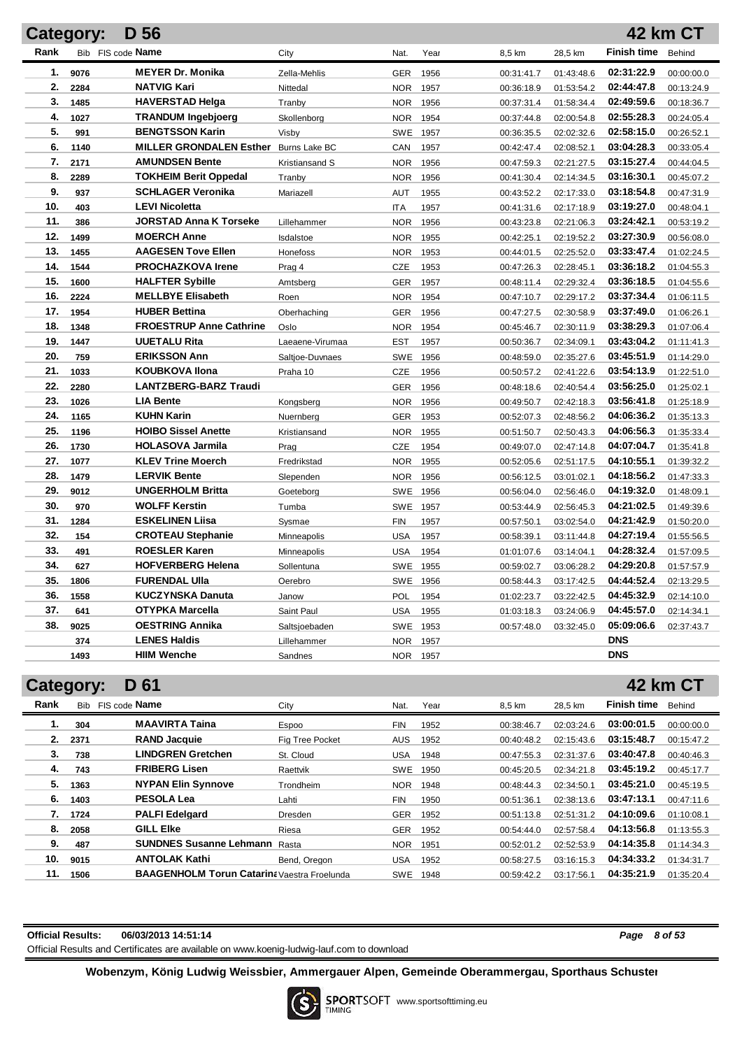|      | Category: | D 56                           |                 |            |          |            |            |                    | 42 km CT   |
|------|-----------|--------------------------------|-----------------|------------|----------|------------|------------|--------------------|------------|
| Rank |           | Bib FIS code Name              | City            | Nat.       | Year     | 8,5 km     | 28,5 km    | <b>Finish time</b> | Behind     |
| 1.   | 9076      | <b>MEYER Dr. Monika</b>        | Zella-Mehlis    | <b>GER</b> | 1956     | 00:31:41.7 | 01:43:48.6 | 02:31:22.9         | 00:00:00.0 |
| 2.   | 2284      | <b>NATVIG Kari</b>             | Nittedal        | <b>NOR</b> | 1957     | 00:36:18.9 | 01:53:54.2 | 02:44:47.8         | 00:13:24.9 |
| 3.   | 1485      | <b>HAVERSTAD Helga</b>         | Tranby          | <b>NOR</b> | 1956     | 00:37:31.4 | 01:58:34.4 | 02:49:59.6         | 00:18:36.7 |
| 4.   | 1027      | <b>TRANDUM Ingebjoerg</b>      | Skollenborg     | <b>NOR</b> | 1954     | 00:37:44.8 | 02:00:54.8 | 02:55:28.3         | 00:24:05.4 |
| 5.   | 991       | <b>BENGTSSON Karin</b>         | Visby           | <b>SWE</b> | 1957     | 00:36:35.5 | 02:02:32.6 | 02:58:15.0         | 00:26:52.1 |
| 6.   | 1140      | <b>MILLER GRONDALEN Esther</b> | Burns Lake BC   | CAN        | 1957     | 00:42:47.4 | 02:08:52.1 | 03:04:28.3         | 00:33:05.4 |
| 7.   | 2171      | <b>AMUNDSEN Bente</b>          | Kristiansand S  | NOR.       | 1956     | 00:47:59.3 | 02:21:27.5 | 03:15:27.4         | 00:44:04.5 |
| 8.   | 2289      | <b>TOKHEIM Berit Oppedal</b>   | Tranby          | <b>NOR</b> | 1956     | 00:41:30.4 | 02:14:34.5 | 03:16:30.1         | 00:45:07.2 |
| 9.   | 937       | <b>SCHLAGER Veronika</b>       | Mariazell       | <b>AUT</b> | 1955     | 00:43:52.2 | 02:17:33.0 | 03:18:54.8         | 00:47:31.9 |
| 10.  | 403       | <b>LEVI Nicoletta</b>          |                 | <b>ITA</b> | 1957     | 00:41:31.6 | 02:17:18.9 | 03:19:27.0         | 00:48:04.1 |
| 11.  | 386       | <b>JORSTAD Anna K Torseke</b>  | Lillehammer     | <b>NOR</b> | 1956     | 00:43:23.8 | 02:21:06.3 | 03:24:42.1         | 00:53:19.2 |
| 12.  | 1499      | <b>MOERCH Anne</b>             | Isdalstoe       | <b>NOR</b> | 1955     | 00:42:25.1 | 02:19:52.2 | 03:27:30.9         | 00:56:08.0 |
| 13.  | 1455      | <b>AAGESEN Tove Ellen</b>      | Honefoss        | <b>NOR</b> | 1953     | 00:44:01.5 | 02:25:52.0 | 03:33:47.4         | 01:02:24.5 |
| 14.  | 1544      | <b>PROCHAZKOVA Irene</b>       | Prag 4          | CZE        | 1953     | 00:47:26.3 | 02:28:45.1 | 03:36:18.2         | 01:04:55.3 |
| 15.  | 1600      | <b>HALFTER Sybille</b>         | Amtsberg        | GER        | 1957     | 00:48:11.4 | 02:29:32.4 | 03:36:18.5         | 01:04:55.6 |
| 16.  | 2224      | <b>MELLBYE Elisabeth</b>       | Roen            | <b>NOR</b> | 1954     | 00:47:10.7 | 02:29:17.2 | 03:37:34.4         | 01:06:11.5 |
| 17.  | 1954      | <b>HUBER Bettina</b>           | Oberhaching     | GER        | 1956     | 00:47:27.5 | 02:30:58.9 | 03:37:49.0         | 01:06:26.1 |
| 18.  | 1348      | <b>FROESTRUP Anne Cathrine</b> | Oslo            | <b>NOR</b> | 1954     | 00:45:46.7 | 02:30:11.9 | 03:38:29.3         | 01:07:06.4 |
| 19.  | 1447      | <b>UUETALU Rita</b>            | Laeaene-Virumaa | <b>EST</b> | 1957     | 00:50:36.7 | 02:34:09.1 | 03:43:04.2         | 01:11:41.3 |
| 20.  | 759       | <b>ERIKSSON Ann</b>            | Saltjoe-Duvnaes | <b>SWE</b> | 1956     | 00:48:59.0 | 02:35:27.6 | 03:45:51.9         | 01:14:29.0 |
| 21.  | 1033      | <b>KOUBKOVA Ilona</b>          | Praha 10        | CZE        | 1956     | 00:50:57.2 | 02:41:22.6 | 03:54:13.9         | 01:22:51.0 |
| 22.  | 2280      | <b>LANTZBERG-BARZ Traudi</b>   |                 | GER        | 1956     | 00:48:18.6 | 02:40:54.4 | 03:56:25.0         | 01:25:02.1 |
| 23.  | 1026      | <b>LIA Bente</b>               | Kongsberg       | <b>NOR</b> | 1956     | 00:49:50.7 | 02:42:18.3 | 03:56:41.8         | 01:25:18.9 |
| 24.  | 1165      | <b>KUHN Karin</b>              | Nuernberg       | GER        | 1953     | 00:52:07.3 | 02:48:56.2 | 04:06:36.2         | 01:35:13.3 |
| 25.  | 1196      | <b>HOIBO Sissel Anette</b>     | Kristiansand    | <b>NOR</b> | 1955     | 00:51:50.7 | 02:50:43.3 | 04:06:56.3         | 01:35:33.4 |
| 26.  | 1730      | <b>HOLASOVA Jarmila</b>        | Prag            | CZE        | 1954     | 00:49:07.0 | 02:47:14.8 | 04:07:04.7         | 01:35:41.8 |
| 27.  | 1077      | <b>KLEV Trine Moerch</b>       | Fredrikstad     | <b>NOR</b> | 1955     | 00:52:05.6 | 02:51:17.5 | 04:10:55.1         | 01:39:32.2 |
| 28.  | 1479      | <b>LERVIK Bente</b>            | Slependen       | <b>NOR</b> | 1956     | 00:56:12.5 | 03:01:02.1 | 04:18:56.2         | 01:47:33.3 |
| 29.  | 9012      | <b>UNGERHOLM Britta</b>        | Goeteborg       | SWE        | 1956     | 00:56:04.0 | 02:56:46.0 | 04:19:32.0         | 01:48:09.1 |
| 30.  | 970       | <b>WOLFF Kerstin</b>           | Tumba           |            | SWE 1957 | 00:53:44.9 | 02:56:45.3 | 04:21:02.5         | 01:49:39.6 |
| 31.  | 1284      | <b>ESKELINEN Liisa</b>         | Sysmae          | <b>FIN</b> | 1957     | 00:57:50.1 | 03:02:54.0 | 04:21:42.9         | 01:50:20.0 |
| 32.  | 154       | <b>CROTEAU Stephanie</b>       | Minneapolis     | <b>USA</b> | 1957     | 00:58:39.1 | 03:11:44.8 | 04:27:19.4         | 01:55:56.5 |
| 33.  | 491       | <b>ROESLER Karen</b>           | Minneapolis     | <b>USA</b> | 1954     | 01:01:07.6 | 03:14:04.1 | 04:28:32.4         | 01:57:09.5 |
| 34.  | 627       | <b>HOFVERBERG Helena</b>       | Sollentuna      | SWE        | 1955     | 00:59:02.7 | 03:06:28.2 | 04:29:20.8         | 01:57:57.9 |
| 35.  | 1806      | <b>FURENDAL UIIa</b>           | Oerebro         |            | SWE 1956 | 00:58:44.3 | 03:17:42.5 | 04:44:52.4         | 02:13:29.5 |
| 36.  | 1558      | <b>KUCZYNSKA Danuta</b>        | Janow           | POL        | 1954     | 01:02:23.7 | 03:22:42.5 | 04:45:32.9         | 02:14:10.0 |
| 37.  | 641       | <b>OTYPKA Marcella</b>         | Saint Paul      | <b>USA</b> | 1955     | 01:03:18.3 | 03:24:06.9 | 04:45:57.0         | 02:14:34.1 |
| 38.  | 9025      | <b>OESTRING Annika</b>         | Saltsjoebaden   |            | SWE 1953 | 00:57:48.0 | 03:32:45.0 | 05:09:06.6         | 02:37:43.7 |
|      | 374       | <b>LENES Haldis</b>            | Lillehammer     | <b>NOR</b> | 1957     |            |            | <b>DNS</b>         |            |
|      | 1493      | <b>HIIM Wenche</b>             | Sandnes         | <b>NOR</b> | 1957     |            |            | <b>DNS</b>         |            |

| <b>Category:</b> |      | D 61                                        |                 |            |      |            |            |                    |            |
|------------------|------|---------------------------------------------|-----------------|------------|------|------------|------------|--------------------|------------|
| Rank             |      | Bib FIS code Name                           | City            | Nat.       | Year | 8,5 km     | 28,5 km    | <b>Finish time</b> | Behind     |
|                  | 304  | <b>MAAVIRTA Taina</b>                       | <b>Espoo</b>    | <b>FIN</b> | 1952 | 00:38:46.7 | 02:03:24.6 | 03:00:01.5         | 00:00:00.0 |
| 2.               | 2371 | <b>RAND Jacquie</b>                         | Fig Tree Pocket | <b>AUS</b> | 1952 | 00:40:48.2 | 02:15:43.6 | 03:15:48.7         | 00:15:47.2 |
| 3.               | 738  | <b>LINDGREN Gretchen</b>                    | St. Cloud       | <b>USA</b> | 1948 | 00:47:55.3 | 02:31:37.6 | 03:40:47.8         | 00:40:46.3 |
| 4.               | 743  | <b>FRIBERG Lisen</b>                        | Raettvik        | <b>SWE</b> | 1950 | 00:45:20.5 | 02:34:21.8 | 03:45:19.2         | 00:45:17.7 |
| 5.               | 1363 | <b>NYPAN Elin Synnove</b>                   | Trondheim       | <b>NOR</b> | 1948 | 00:48:44.3 | 02:34:50.1 | 03:45:21.0         | 00:45:19.5 |
| 6.               | 1403 | <b>PESOLA Lea</b>                           | Lahti           | <b>FIN</b> | 1950 | 00:51:36.1 | 02:38:13.6 | 03:47:13.1         | 00:47:11.6 |
| 7.               | 1724 | <b>PALFI Edelgard</b>                       | Dresden         | <b>GER</b> | 1952 | 00:51:13.8 | 02:51:31.2 | 04:10:09.6         | 01:10:08.1 |
| 8.               | 2058 | <b>GILL EIKe</b>                            | Riesa           | <b>GER</b> | 1952 | 00:54:44.0 | 02:57:58.4 | 04:13:56.8         | 01:13:55.3 |
| 9.               | 487  | <b>SUNDNES Susanne Lehmann</b>              | Rasta           | <b>NOR</b> | 1951 | 00:52:01.2 | 02:52:53.9 | 04:14:35.8         | 01:14:34.3 |
| 10.              | 9015 | <b>ANTOLAK Kathi</b>                        | Bend, Oregon    | <b>USA</b> | 1952 | 00:58:27.5 | 03:16:15.3 | 04:34:33.2         | 01:34:31.7 |
| 11.              | 1506 | BAAGENHOLM Torun Catarina Vaestra Froelunda |                 | <b>SWE</b> | 1948 | 00:59:42.2 | 03:17:56.1 | 04:35:21.9         | 01:35:20.4 |

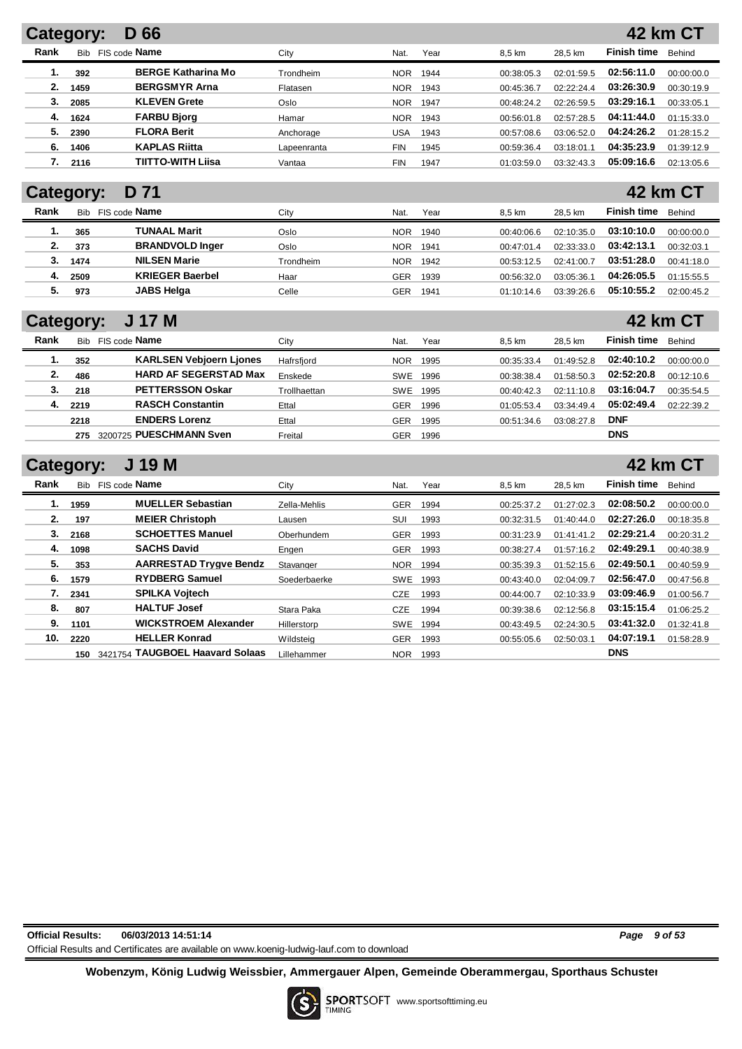| Category: |            | D 66                      |             |            |      |            |            |                    | <b>42 km CT</b> |
|-----------|------------|---------------------------|-------------|------------|------|------------|------------|--------------------|-----------------|
| Rank      | <b>Bib</b> | FIS code <b>Name</b>      | City        | Nat.       | Year | 8.5 km     | 28.5 km    | <b>Finish time</b> | Behind          |
| 1.        | 392        | <b>BERGE Katharina Mo</b> | Trondheim   | <b>NOR</b> | 1944 | 00:38:05.3 | 02:01:59.5 | 02:56:11.0         | 00:00:00.0      |
| 2.        | 1459       | <b>BERGSMYR Arna</b>      | Flatasen    | <b>NOR</b> | 1943 | 00:45:36.7 | 02:22:24.4 | 03:26:30.9         | 00:30:19.9      |
| З.        | 2085       | <b>KLEVEN Grete</b>       | Oslo        | <b>NOR</b> | 1947 | 00:48:24.2 | 02:26:59.5 | 03:29:16.1         | 00:33:05.1      |
| 4.        | 1624       | <b>FARBU Bjorg</b>        | Hamar       | <b>NOR</b> | 1943 | 00:56:01.8 | 02:57:28.5 | 04:11:44.0         | 01:15:33.0      |
| 5.        | 2390       | <b>FLORA Berit</b>        | Anchorage   | USA        | 1943 | 00:57:08.6 | 03:06:52.0 | 04:24:26.2         | 01:28:15.2      |
| 6.        | 1406       | <b>KAPLAS Riitta</b>      | Lapeenranta | <b>FIN</b> | 1945 | 00:59:36.4 | 03:18:01.1 | 04:35:23.9         | 01:39:12.9      |
|           | 2116       | TIITTO-WITH Liisa         | Vantaa      | <b>FIN</b> | 1947 | 01:03:59.0 | 03:32:43.3 | 05:09:16.6         | 02:13:05.6      |

## **Category: D 71**

| Rank | <b>Bib</b> | FIS code <b>Name</b>   | City      | Nat.       | Year | 8.5 km     | 28.5 km    | <b>Finish time</b> | Behind     |
|------|------------|------------------------|-----------|------------|------|------------|------------|--------------------|------------|
|      | 365        | TUNAAL Marit           | Oslo      | <b>NOR</b> | 1940 | 00:40:06.6 | 02:10:35.0 | 03:10:10.0         | 00:00:00.0 |
|      | 373        | <b>BRANDVOLD Inger</b> | Oslo      | <b>NOR</b> | 1941 | 00:47:01.4 | 02:33:33.0 | 03:42:13.1         | 00:32:03.1 |
|      | 1474       | <b>NILSEN Marie</b>    | Trondheim | <b>NOR</b> | 1942 | 00:53:12.5 | 02:41:00.7 | 03:51:28.0         | 00:41:18.0 |
| 4.   | 2509       | <b>KRIEGER Baerbel</b> | Haar      | GER        | 1939 | 00:56:32.0 | 03:05:36.1 | 04:26:05.5         | 01:15:55.5 |
| 5.   | 973        | <b>JABS Helga</b>      | Celle     | GER        | 1941 | 01:10:14.6 | 03:39:26.6 | 05:10:55.2         | 02:00:45.2 |

## **Category: J 17 M**

|      | -          |                                |              |            |      |            |            |                    |            |
|------|------------|--------------------------------|--------------|------------|------|------------|------------|--------------------|------------|
| Rank | <b>Bib</b> | FIS code <b>Name</b>           | Citv         | Nat.       | Year | 8.5 km     | 28.5 km    | <b>Finish time</b> | Behind     |
|      | 352        | <b>KARLSEN Vebjoern Ljones</b> | Hafrsfjord   | <b>NOR</b> | 1995 | 00:35:33.4 | 01:49:52.8 | 02:40:10.2         | 00:00:00.0 |
| 2.   | 486        | <b>HARD AF SEGERSTAD Max</b>   | Enskede      | SWE        | 1996 | 00:38:38.4 | 01:58:50.3 | 02:52:20.8         | 00:12:10.6 |
| 3.   | 218        | <b>PETTERSSON Oskar</b>        | Trollhaettan | <b>SWE</b> | 1995 | 00:40:42.3 | 02:11:10.8 | 03:16:04.7         | 00:35:54.5 |
| 4.   | 2219       | <b>RASCH Constantin</b>        | Ettal        | GER        | 1996 | 01:05:53.4 | 03:34:49.4 | 05:02:49.4         | 02:22:39.2 |
|      | 2218       | <b>ENDERS Lorenz</b>           | Ettal        | GER        | 1995 | 00:51:34.6 | 03:08:27.8 | <b>DNF</b>         |            |
|      | 275        | 3200725 PUESCHMANN Sven        | Freital      | GER        | 1996 |            |            | <b>DNS</b>         |            |

| <b>Category:</b> |  | J 19 M |  |
|------------------|--|--------|--|
|------------------|--|--------|--|

| Rank | <b>Bib</b> | FIS code Name                   | City         | Nat.       | Year | 8.5 km     | 28.5 km    | <b>Finish time</b> | Behind     |
|------|------------|---------------------------------|--------------|------------|------|------------|------------|--------------------|------------|
| 1.   | 1959       | <b>MUELLER Sebastian</b>        | Zella-Mehlis | <b>GER</b> | 1994 | 00:25:37.2 | 01:27:02.3 | 02:08:50.2         | 00:00:00.0 |
| 2.   | 197        | <b>MEIER Christoph</b>          | Lausen       | SUI        | 1993 | 00:32:31.5 | 01:40:44.0 | 02:27:26.0         | 00:18:35.8 |
| 3.   | 2168       | <b>SCHOETTES Manuel</b>         | Oberhundem   | <b>GER</b> | 1993 | 00:31:23.9 | 01:41:41.2 | 02:29:21.4         | 00:20:31.2 |
| 4.   | 1098       | <b>SACHS David</b>              | Engen        | <b>GER</b> | 1993 | 00:38:27.4 | 01:57:16.2 | 02:49:29.1         | 00:40:38.9 |
| 5.   | 353        | <b>AARRESTAD Trygve Bendz</b>   | Stavanger    | <b>NOR</b> | 1994 | 00:35:39.3 | 01:52:15.6 | 02:49:50.1         | 00:40:59.9 |
| 6.   | 1579       | <b>RYDBERG Samuel</b>           | Soederbaerke | <b>SWE</b> | 1993 | 00:43:40.0 | 02:04:09.7 | 02:56:47.0         | 00:47:56.8 |
| 7.   | 2341       | <b>SPILKA Voitech</b>           |              | <b>CZE</b> | 1993 | 00:44:00.7 | 02:10:33.9 | 03:09:46.9         | 01:00:56.7 |
| 8.   | 807        | <b>HALTUF Josef</b>             | Stara Paka   | CZE        | 1994 | 00:39:38.6 | 02:12:56.8 | 03:15:15.4         | 01:06:25.2 |
| 9.   | 1101       | <b>WICKSTROEM Alexander</b>     | Hillerstorp  | <b>SWE</b> | 1994 | 00:43:49.5 | 02:24:30.5 | 03:41:32.0         | 01:32:41.8 |
| 10.  | 2220       | <b>HELLER Konrad</b>            | Wildsteig    | <b>GER</b> | 1993 | 00:55:05.6 | 02:50:03.1 | 04:07:19.1         | 01:58:28.9 |
|      | 150        | 3421754 TAUGBOEL Haavard Solaas | Lillehammer  | <b>NOR</b> | 1993 |            |            | <b>DNS</b>         |            |

**Official Results: 06/03/2013 14:51:14** *Page 9 of 53* Official Results and Certificates are available on www.koenig-ludwig-lauf.com to download

**42 km CT**

**42 km CT**

**42 km CT**

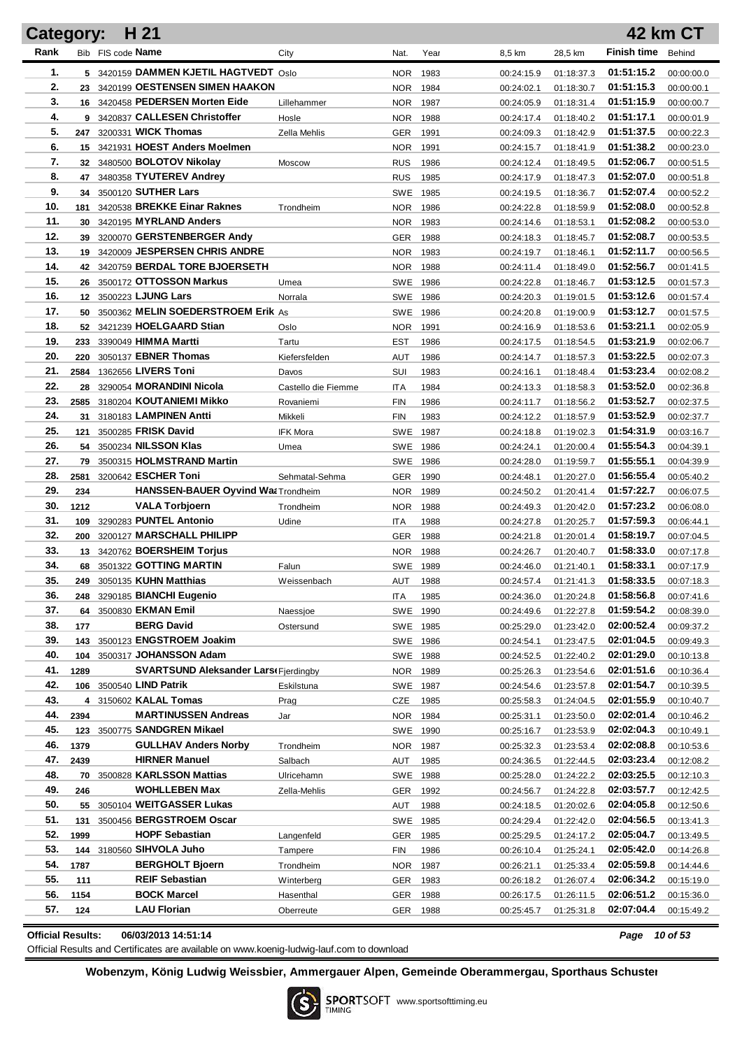|            |             | H 21                                                |                     | <b>42 km CT</b><br><b>Category:</b> |              |                          |                          |                          |                          |  |  |
|------------|-------------|-----------------------------------------------------|---------------------|-------------------------------------|--------------|--------------------------|--------------------------|--------------------------|--------------------------|--|--|
| Rank       |             | Bib FIS code Name                                   | City                | Nat.                                | Year         | 8,5 km                   | 28,5 km                  | <b>Finish time</b>       | Behind                   |  |  |
| 1.         |             | 5 3420159 DAMMEN KJETIL HAGTVEDT Oslo               |                     | <b>NOR</b>                          | 1983         | 00:24:15.9               | 01:18:37.3               | 01:51:15.2               | 00:00:00.0               |  |  |
| 2.         |             | 23 3420199 OESTENSEN SIMEN HAAKON                   |                     | NOR.                                | 1984         | 00:24:02.1               | 01:18:30.7               | 01:51:15.3               | 00:00:00.1               |  |  |
| 3.         |             | 16 3420458 PEDERSEN Morten Eide                     | Lillehammer         | NOR.                                | 1987         | 00:24:05.9               | 01:18:31.4               | 01:51:15.9               | 00:00:00.7               |  |  |
| 4.         |             | 9 3420837 CALLESEN Christoffer                      | Hosle               | NOR.                                | 1988         | 00:24:17.4               | 01:18:40.2               | 01:51:17.1               | 00:00:01.9               |  |  |
| 5.         | 247         | 3200331 WICK Thomas                                 | Zella Mehlis        | <b>GER</b>                          | 1991         | 00:24:09.3               | 01:18:42.9               | 01:51:37.5               | 00:00:22.3               |  |  |
| 6.         |             | 15 3421931 HOEST Anders Moelmen                     |                     | <b>NOR</b>                          | 1991         | 00:24:15.7               | 01:18:41.9               | 01:51:38.2               | 00:00:23.0               |  |  |
| 7.         |             | 32 3480500 BOLOTOV Nikolay                          | Moscow              | <b>RUS</b>                          | 1986         | 00:24:12.4               | 01:18:49.5               | 01:52:06.7               | 00:00:51.5               |  |  |
| 8.         | 47          | 3480358 TYUTEREV Andrey                             |                     | <b>RUS</b>                          | 1985         | 00:24:17.9               | 01:18:47.3               | 01:52:07.0               | 00:00:51.8               |  |  |
| 9.         |             | 34 3500120 SUTHER Lars                              |                     | SWE 1985                            |              | 00:24:19.5               | 01:18:36.7               | 01:52:07.4               | 00:00:52.2               |  |  |
| 10.        | 181         | 3420538 BREKKE Einar Raknes                         | Trondheim           | NOR.                                | 1986         | 00:24:22.8               | 01:18:59.9               | 01:52:08.0               | 00:00:52.8               |  |  |
| 11.        | 30          | 3420195 MYRLAND Anders                              |                     | <b>NOR</b>                          | 1983         | 00:24:14.6               | 01:18:53.1               | 01:52:08.2               | 00:00:53.0               |  |  |
| 12.        | 39          | 3200070 GERSTENBERGER Andy                          |                     | <b>GER</b>                          | 1988         | 00:24:18.3               | 01:18:45.7               | 01:52:08.7               | 00:00:53.5               |  |  |
| 13.        |             | 19 3420009 JESPERSEN CHRIS ANDRE                    |                     | <b>NOR</b>                          | 1983         | 00:24:19.7               | 01:18:46.1               | 01:52:11.7               | 00:00:56.5               |  |  |
| 14.        |             | 42 3420759 BERDAL TORE BJOERSETH                    |                     | NOR.                                | 1988         | 00:24:11.4               | 01:18:49.0               | 01:52:56.7               | 00:01:41.5               |  |  |
| 15.        |             | 26 3500172 OTTOSSON Markus                          | Umea                | SWE 1986                            |              | 00:24:22.8               | 01:18:46.7               | 01:53:12.5               | 00:01:57.3               |  |  |
| 16.        |             | 12 3500223 LJUNG Lars                               | Norrala             | SWE 1986                            |              | 00:24:20.3               | 01:19:01.5               | 01:53:12.6               | 00:01:57.4               |  |  |
| 17.        |             | 50 3500362 MELIN SOEDERSTROEM Erik As               |                     | SWE 1986                            |              | 00:24:20.8               | 01:19:00.9               | 01:53:12.7               | 00:01:57.5               |  |  |
| 18.        |             | 52 3421239 HOELGAARD Stian                          | Oslo                | NOR.                                | 1991         | 00:24:16.9               | 01:18:53.6               | 01:53:21.1               | 00:02:05.9               |  |  |
| 19.        | 233         | 3390049 HIMMA Martti                                | Tartu               | EST                                 | 1986         | 00:24:17.5               | 01:18:54.5               | 01:53:21.9               | 00:02:06.7               |  |  |
| 20.        | 220         | 3050137 EBNER Thomas                                | Kiefersfelden       | AUT                                 | 1986         | 00:24:14.7               | 01:18:57.3               | 01:53:22.5               | 00:02:07.3               |  |  |
| 21.        | 2584        | 1362656 LIVERS Toni                                 | Davos               | SUI                                 | 1983         | 00:24:16.1               | 01:18:48.4               | 01:53:23.4               | 00:02:08.2               |  |  |
| 22.        |             | 28 3290054 MORANDINI Nicola                         | Castello die Fiemme | <b>ITA</b>                          | 1984         | 00:24:13.3               | 01:18:58.3               | 01:53:52.0               | 00:02:36.8               |  |  |
| 23.        |             | 2585 3180204 KOUTANIEMI Mikko                       | Rovaniemi           | <b>FIN</b>                          | 1986         | 00:24:11.7               | 01:18:56.2               | 01:53:52.7               | 00:02:37.5               |  |  |
| 24.        | 31          | 3180183 LAMPINEN Antti                              | Mikkeli             | <b>FIN</b>                          | 1983         | 00:24:12.2               | 01:18:57.9               | 01:53:52.9               | 00:02:37.7               |  |  |
| 25.        | 121         | 3500285 FRISK David                                 | <b>IFK Mora</b>     | SWE 1987                            |              | 00:24:18.8               | 01:19:02.3               | 01:54:31.9               | 00:03:16.7               |  |  |
| 26.        |             | 54 3500234 NILSSON Klas                             | Umea                | SWE 1986                            |              | 00:24:24.1               | 01:20:00.4               | 01:55:54.3               | 00:04:39.1               |  |  |
| 27.<br>28. |             | 79 3500315 HOLMSTRAND Martin<br>3200642 ESCHER Toni |                     | SWE 1986                            |              | 00:24:28.0               | 01:19:59.7               | 01:55:55.1               | 00:04:39.9               |  |  |
| 29.        | 2581        | HANSSEN-BAUER Oyvind Wat Trondheim                  | Sehmatal-Sehma      | <b>GER</b>                          | 1990         | 00:24:48.1               | 01:20:27.0               | 01:56:55.4<br>01:57:22.7 | 00:05:40.2               |  |  |
| 30.        | 234<br>1212 | <b>VALA Torbjoern</b>                               |                     | <b>NOR</b><br><b>NOR</b>            | 1989<br>1988 | 00:24:50.2               | 01:20:41.4               | 01:57:23.2               | 00:06:07.5               |  |  |
| 31.        |             | 109 3290283 PUNTEL Antonio                          | Trondheim<br>Udine  | ITA                                 | 1988         | 00:24:49.3<br>00:24:27.8 | 01:20:42.0<br>01:20:25.7 | 01:57:59.3               | 00:06:08.0<br>00:06:44.1 |  |  |
| 32.        |             | 200 3200127 MARSCHALL PHILIPP                       |                     | <b>GER</b>                          | 1988         | 00:24:21.8               | 01:20:01.4               | 01:58:19.7               | 00:07:04.5               |  |  |
| 33.        |             | 13 3420762 <b>BOERSHEIM Torius</b>                  |                     | <b>NOR</b>                          | 1988         | 00:24:26.7               | 01:20:40.7               | 01:58:33.0               | 00:07:17.8               |  |  |
| 34.        |             | 68 3501322 GOTTING MARTIN                           | Falun               | SWE 1989                            |              | 00:24:46.0               | 01:21:40.1               | 01:58:33.1               | 00:07:17.9               |  |  |
| 35.        |             | 249 3050135 KUHN Matthias                           | Weissenbach         | AUT 1988                            |              | 00:24:57.4               | 01:21:41.3               | 01:58:33.5               | 00:07:18.3               |  |  |
| 36.        |             | 248 3290185 BIANCHI Eugenio                         |                     | ITA.                                | 1985         | 00:24:36.0               | 01:20:24.8               | 01:58:56.8               | 00:07:41.6               |  |  |
| 37.        |             | 64 3500830 EKMAN Emil                               | Naessioe            | SWE 1990                            |              | 00:24:49.6               | 01:22:27.8               | 01:59:54.2               | 00:08:39.0               |  |  |
| 38.        | 177         | <b>BERG David</b>                                   | Ostersund           | SWE 1985                            |              | 00:25:29.0               | 01:23:42.0               | 02:00:52.4               | 00:09:37.2               |  |  |
| 39.        |             | 143 3500123 ENGSTROEM Joakim                        |                     | SWE 1986                            |              | 00:24:54.1               | 01:23:47.5               | 02:01:04.5               | 00:09:49.3               |  |  |
| 40.        |             | 104 3500317 JOHANSSON Adam                          |                     | SWE 1988                            |              | 00:24:52.5               | 01:22:40.2               | 02:01:29.0               | 00:10:13.8               |  |  |
| 41.        | 1289        | <b>SVARTSUND Aleksander Lars(Fjerdingby</b>         |                     | NOR                                 | 1989         | 00:25:26.3               | 01:23:54.6               | 02:01:51.6               | 00:10:36.4               |  |  |
| 42.        |             | 106 3500540 LIND Patrik                             | Eskilstuna          | SWE 1987                            |              | 00:24:54.6               | 01:23:57.8               | 02:01:54.7               | 00:10:39.5               |  |  |
| 43.        |             | 4 3150602 KALAL Tomas                               | Prag                | CZE                                 | 1985         | 00:25:58.3               | 01:24:04.5               | 02:01:55.9               | 00:10:40.7               |  |  |
| 44.        | 2394        | <b>MARTINUSSEN Andreas</b>                          | Jar                 | NOR                                 | 1984         | 00:25:31.1               | 01:23:50.0               | 02:02:01.4               | 00:10:46.2               |  |  |
| 45.        |             | 123 3500775 SANDGREN Mikael                         |                     | SWE 1990                            |              | 00:25:16.7               | 01:23:53.9               | 02:02:04.3               | 00:10:49.1               |  |  |
| 46.        | 1379        | <b>GULLHAV Anders Norby</b>                         | Trondheim           | NOR                                 | 1987         | 00:25:32.3               | 01:23:53.4               | 02:02:08.8               | 00:10:53.6               |  |  |
| 47.        | 2439        | <b>HIRNER Manuel</b>                                | Salbach             | AUT                                 | 1985         | 00:24:36.5               | 01:22:44.5               | 02:03:23.4               | 00:12:08.2               |  |  |
| 48.        |             | 70 3500828 KARLSSON Mattias                         | Ulricehamn          | SWE 1988                            |              | 00:25:28.0               | 01:24:22.2               | 02:03:25.5               | 00:12:10.3               |  |  |
| 49.        | 246         | <b>WOHLLEBEN Max</b>                                | Zella-Mehlis        | <b>GER</b>                          | 1992         | 00:24:56.7               | 01:24:22.8               | 02:03:57.7               | 00:12:42.5               |  |  |
| 50.        |             | 55 3050104 WEITGASSER Lukas                         |                     | AUT                                 | 1988         | 00:24:18.5               | 01:20:02.6               | 02:04:05.8               | 00:12:50.6               |  |  |
| 51.        | 131         | 3500456 BERGSTROEM Oscar                            |                     | SWE 1985                            |              | 00:24:29.4               | 01:22:42.0               | 02:04:56.5               | 00:13:41.3               |  |  |
| 52.        | 1999        | <b>HOPF Sebastian</b>                               | Langenfeld          | <b>GER</b>                          | 1985         | 00:25:29.5               | 01:24:17.2               | 02:05:04.7               | 00:13:49.5               |  |  |
| 53.        |             | 144 3180560 SIHVOLA Juho                            | Tampere             | FIN                                 | 1986         | 00:26:10.4               | 01:25:24.1               | 02:05:42.0               | 00:14:26.8               |  |  |
| 54.        | 1787        | <b>BERGHOLT Bjoern</b>                              | Trondheim           | NOR.                                | 1987         | 00:26:21.1               | 01:25:33.4               | 02:05:59.8               | 00:14:44.6               |  |  |
| 55.        | 111         | <b>REIF Sebastian</b>                               | Winterberg          | <b>GER</b>                          | 1983         | 00:26:18.2               | 01:26:07.4               | 02:06:34.2               | 00:15:19.0               |  |  |
| 56.        | 1154        | <b>BOCK Marcel</b>                                  | Hasenthal           | GER                                 | 1988         | 00:26:17.5               | 01:26:11.5               | 02:06:51.2               | 00:15:36.0               |  |  |
| 57.        | 124         | <b>LAU Florian</b>                                  | Oberreute           | GER 1988                            |              | 00:25:45.7               | 01:25:31.8               | 02:07:04.4               | 00:15:49.2               |  |  |
|            |             |                                                     |                     |                                     |              |                          |                          |                          |                          |  |  |

**Official Results: 06/03/2013 14:51:14** *Page 10 of 53*

Official Results and Certificates are available on www.koenig-ludwig-lauf.com to download

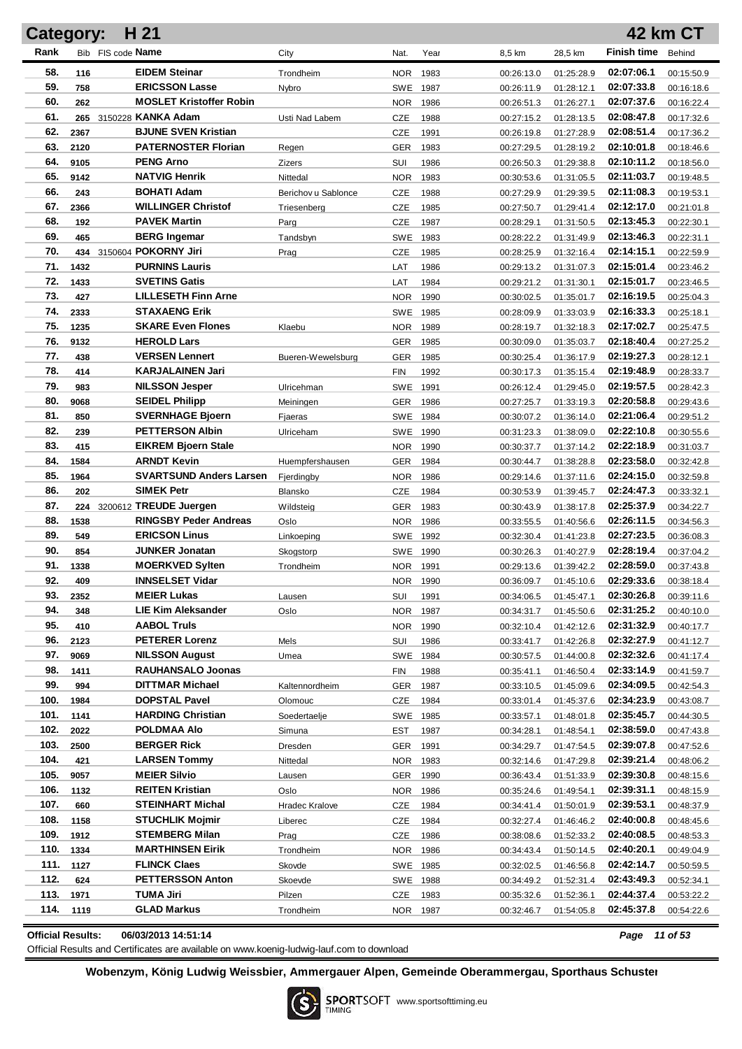| H 21<br><b>42 km CT</b><br><b>Category:</b> |             |                                             |                         |                  |      |                          |                          |                          |                          |
|---------------------------------------------|-------------|---------------------------------------------|-------------------------|------------------|------|--------------------------|--------------------------|--------------------------|--------------------------|
| Rank                                        |             | Bib FIS code Name                           | City                    | Nat.             | Year | 8,5 km                   | 28,5 km                  | <b>Finish time</b>       | Behind                   |
| 58.                                         | 116         | <b>EIDEM Steinar</b>                        | Trondheim               | <b>NOR</b>       | 1983 | 00:26:13.0               | 01:25:28.9               | 02:07:06.1               | 00:15:50.9               |
| 59.                                         | 758         | <b>ERICSSON Lasse</b>                       | Nybro                   | SWE 1987         |      | 00:26:11.9               | 01:28:12.1               | 02:07:33.8               | 00:16:18.6               |
| 60.                                         | 262         | <b>MOSLET Kristoffer Robin</b>              |                         | <b>NOR</b>       | 1986 | 00:26:51.3               | 01:26:27.1               | 02:07:37.6               | 00:16:22.4               |
| 61.                                         |             | 265 3150228 KANKA Adam                      | Usti Nad Labem          | CZE              | 1988 | 00:27:15.2               | 01:28:13.5               | 02:08:47.8               | 00:17:32.6               |
| 62.                                         | 2367        | <b>BJUNE SVEN Kristian</b>                  |                         | CZE              | 1991 | 00:26:19.8               | 01:27:28.9               | 02:08:51.4               | 00:17:36.2               |
| 63.                                         | 2120        | <b>PATERNOSTER Florian</b>                  | Regen                   | GER              | 1983 | 00:27:29.5               | 01:28:19.2               | 02:10:01.8               | 00:18:46.6               |
| 64.                                         | 9105        | <b>PENG Arno</b>                            | <b>Zizers</b>           | SUI              | 1986 | 00:26:50.3               | 01:29:38.8               | 02:10:11.2               | 00:18:56.0               |
| 65.                                         | 9142        | <b>NATVIG Henrik</b>                        | Nittedal                | <b>NOR</b>       | 1983 | 00:30:53.6               | 01:31:05.5               | 02:11:03.7               | 00:19:48.5               |
| 66.                                         | 243         | <b>BOHATI Adam</b>                          | Berichov u Sablonce     | CZE              | 1988 | 00:27:29.9               | 01:29:39.5               | 02:11:08.3               | 00:19:53.1               |
| 67.                                         | 2366        | <b>WILLINGER Christof</b>                   | Triesenberg             | CZE              | 1985 | 00:27:50.7               | 01:29:41.4               | 02:12:17.0               | 00:21:01.8               |
| 68.                                         | 192         | <b>PAVEK Martin</b>                         | Parg                    | CZE              | 1987 | 00:28:29.1               | 01:31:50.5               | 02:13:45.3               | 00:22:30.1               |
| 69.                                         | 465         | <b>BERG Ingemar</b>                         | Tandsbyn                | SWE              | 1983 | 00:28:22.2               | 01:31:49.9               | 02:13:46.3               | 00:22:31.1               |
| 70.                                         |             | 434 3150604 POKORNY Jiri                    | Prag                    | CZE              | 1985 | 00:28:25.9               | 01:32:16.4               | 02:14:15.1               | 00:22:59.9               |
| 71.                                         | 1432        | <b>PURNINS Lauris</b>                       |                         | LAT              | 1986 | 00:29:13.2               | 01:31:07.3               | 02:15:01.4               | 00:23:46.2               |
| 72.                                         | 1433        | <b>SVETINS Gatis</b>                        |                         | LAT              | 1984 | 00:29:21.2               | 01:31:30.1               | 02:15:01.7               | 00:23:46.5               |
| 73.                                         | 427         | <b>LILLESETH Finn Arne</b>                  |                         | <b>NOR</b>       | 1990 | 00:30:02.5               | 01:35:01.7               | 02:16:19.5               | 00:25:04.3               |
| 74.                                         | 2333        | <b>STAXAENG Erik</b>                        |                         | SWE              | 1985 | 00:28:09.9               | 01:33:03.9               | 02:16:33.3               | 00:25:18.1               |
| 75.                                         | 1235        | <b>SKARE Even Flones</b>                    | Klaebu                  | <b>NOR</b>       | 1989 | 00:28:19.7               | 01:32:18.3               | 02:17:02.7               | 00:25:47.5               |
| 76.                                         | 9132        | <b>HEROLD Lars</b>                          |                         | GER              | 1985 | 00:30:09.0               | 01:35:03.7               | 02:18:40.4               | 00:27:25.2               |
| 77.                                         | 438         | <b>VERSEN Lennert</b>                       | Bueren-Wewelsburg       | <b>GER</b>       | 1985 | 00:30:25.4               | 01:36:17.9               | 02:19:27.3               | 00:28:12.1               |
| 78.                                         | 414         | <b>KARJALAINEN Jari</b>                     |                         | <b>FIN</b>       | 1992 | 00:30:17.3               | 01:35:15.4               | 02:19:48.9               | 00:28:33.7               |
| 79.                                         | 983         | <b>NILSSON Jesper</b>                       | Ulricehman              | <b>SWE</b>       | 1991 | 00:26:12.4               | 01:29:45.0               | 02:19:57.5               | 00:28:42.3               |
| 80.                                         | 9068        | <b>SEIDEL Philipp</b>                       | Meiningen               | GER              | 1986 | 00:27:25.7               | 01:33:19.3               | 02:20:58.8               | 00:29:43.6               |
| 81.                                         | 850         | <b>SVERNHAGE Bjoern</b>                     | Fjaeras                 | SWE 1984         |      | 00:30:07.2               | 01:36:14.0               | 02:21:06.4               | 00:29:51.2               |
| 82.                                         | 239         | <b>PETTERSON Albin</b>                      | Ulriceham               | SWE 1990         |      | 00:31:23.3               | 01:38:09.0               | 02:22:10.8               | 00:30:55.6               |
| 83.                                         | 415         | <b>EIKREM Bjoern Stale</b>                  |                         | <b>NOR</b>       | 1990 | 00:30:37.7               | 01:37:14.2               | 02:22:18.9               | 00:31:03.7               |
| 84.                                         | 1584        | <b>ARNDT Kevin</b>                          | Huempfershausen         | GER              | 1984 | 00:30:44.7               | 01:38:28.8               | 02:23:58.0               | 00:32:42.8               |
| 85.<br>86.                                  | 1964        | <b>SVARTSUND Anders Larsen</b>              | Fjerdingby              | <b>NOR</b>       | 1986 | 00:29:14.6               | 01:37:11.6               | 02:24:15.0               | 00:32:59.8               |
| 87.                                         | 202         | <b>SIMEK Petr</b><br>3200612 TREUDE Juergen | Blansko                 | <b>CZE</b>       | 1984 | 00:30:53.9               | 01:39:45.7               | 02:24:47.3<br>02:25:37.9 | 00:33:32.1               |
| 88.                                         | 224<br>1538 | <b>RINGSBY Peder Andreas</b>                | Wildsteig               | GER              | 1983 | 00:30:43.9               | 01:38:17.8<br>01:40:56.6 | 02:26:11.5               | 00:34:22.7               |
| 89.                                         | 549         | <b>ERICSON Linus</b>                        | Oslo                    | NOR.<br>SWE 1992 | 1986 | 00:33:55.5<br>00:32:30.4 | 01:41:23.8               | 02:27:23.5               | 00:34:56.3<br>00:36:08.3 |
| 90.                                         | 854         | <b>JUNKER Jonatan</b>                       | Linkoeping<br>Skogstorp | SWE 1990         |      | 00:30:26.3               | 01:40:27.9               | 02:28:19.4               | 00:37:04.2               |
| 91.                                         | 1338        | <b>MOERKVED Sylten</b>                      | Trondheim               | NOR.             | 1991 | 00:29:13.6               | 01:39:42.2               | 02:28:59.0               | 00:37:43.8               |
| 92.                                         | 409         | <b>INNSELSET Vidar</b>                      |                         | NOR 1990         |      | 00:36:09.7               | 01:45:10.6               | 02:29:33.6               | 00:38:18.4               |
| 93.                                         | 2352        | <b>MEIER Lukas</b>                          | Lausen                  | SUI              | 1991 | 00:34:06.5               | 01:45:47.1               | 02:30:26.8               | 00:39:11.6               |
| 94.                                         | 348         | <b>LIE Kim Aleksander</b>                   | Oslo                    | <b>NOR</b>       | 1987 | 00:34:31.7               | 01:45:50.6               | 02:31:25.2               | 00:40:10.0               |
| 95.                                         | 410         | <b>AABOL Truls</b>                          |                         | NOR 1990         |      | 00:32:10.4               | 01:42:12.6               | 02:31:32.9               | 00:40:17.7               |
| 96.                                         | 2123        | <b>PETERER Lorenz</b>                       | Mels                    | SUI              | 1986 | 00:33:41.7               | 01:42:26.8               | 02:32:27.9               | 00:41:12.7               |
| 97.                                         | 9069        | <b>NILSSON August</b>                       | Umea                    | SWE 1984         |      | 00:30:57.5               | 01:44:00.8               | 02:32:32.6               | 00:41:17.4               |
| 98.                                         | 1411        | <b>RAUHANSALO Joonas</b>                    |                         | <b>FIN</b>       | 1988 | 00:35:41.1               | 01:46:50.4               | 02:33:14.9               | 00:41:59.7               |
| 99.                                         | 994         | DITTMAR Michael                             | Kaltennordheim          | GER              | 1987 | 00:33:10.5               | 01:45:09.6               | 02:34:09.5               | 00:42:54.3               |
| 100.                                        | 1984        | <b>DOPSTAL Pavel</b>                        | Olomouc                 | <b>CZE</b>       | 1984 | 00:33:01.4               | 01:45:37.6               | 02:34:23.9               | 00:43:08.7               |
| 101.                                        | 1141        | <b>HARDING Christian</b>                    | Soedertaelje            | SWE 1985         |      | 00:33:57.1               | 01:48:01.8               | 02:35:45.7               | 00:44:30.5               |
| 102.                                        | 2022        | POLDMAA Alo                                 | Simuna                  | EST              | 1987 | 00:34:28.1               | 01:48:54.1               | 02:38:59.0               | 00:47:43.8               |
| 103.                                        | 2500        | <b>BERGER Rick</b>                          | Dresden                 | GER              | 1991 | 00:34:29.7               | 01:47:54.5               | 02:39:07.8               | 00:47:52.6               |
| 104.                                        | 421         | <b>LARSEN Tommy</b>                         | Nittedal                | NOR 1983         |      | 00:32:14.6               | 01:47:29.8               | 02:39:21.4               | 00:48:06.2               |
| 105.                                        | 9057        | <b>MEIER Silvio</b>                         | Lausen                  | GER              | 1990 | 00:36:43.4               | 01:51:33.9               | 02:39:30.8               | 00:48:15.6               |
| 106.                                        | 1132        | <b>REITEN Kristian</b>                      | Oslo                    | NOR 1986         |      | 00:35:24.6               | 01:49:54.1               | 02:39:31.1               | 00:48:15.9               |
| 107.                                        | 660         | <b>STEINHART Michal</b>                     | Hradec Kralove          | CZE              | 1984 | 00:34:41.4               | 01:50:01.9               | 02:39:53.1               | 00:48:37.9               |
| 108.                                        | 1158        | <b>STUCHLIK Mojmir</b>                      | Liberec                 | <b>CZE</b>       | 1984 | 00:32:27.4               | 01:46:46.2               | 02:40:00.8               | 00:48:45.6               |
| 109.                                        | 1912        | <b>STEMBERG Milan</b>                       | Prag                    | CZE              | 1986 | 00:38:08.6               | 01:52:33.2               | 02:40:08.5               | 00:48:53.3               |
| 110.                                        | 1334        | <b>MARTHINSEN Eirik</b>                     | Trondheim               | NOR 1986         |      | 00:34:43.4               | 01:50:14.5               | 02:40:20.1               | 00:49:04.9               |
| 111.                                        | 1127        | <b>FLINCK Claes</b>                         | Skovde                  | SWE 1985         |      | 00:32:02.5               | 01:46:56.8               | 02:42:14.7               | 00:50:59.5               |
| 112.                                        | 624         | <b>PETTERSSON Anton</b>                     | Skoevde                 | SWE 1988         |      | 00:34:49.2               | 01:52:31.4               | 02:43:49.3               | 00:52:34.1               |
| 113.                                        | 1971        | TUMA Jiri                                   | Pilzen                  | CZE              | 1983 | 00:35:32.6               | 01:52:36.1               | 02:44:37.4               | 00:53:22.2               |
| 114.                                        | 1119        | <b>GLAD Markus</b>                          | Trondheim               | NOR 1987         |      | 00:32:46.7               | 01:54:05.8               | 02:45:37.8               | 00:54:22.6               |

**Official Results: 06/03/2013 14:51:14** *Page 11 of 53*

Official Results and Certificates are available on www.koenig-ludwig-lauf.com to download

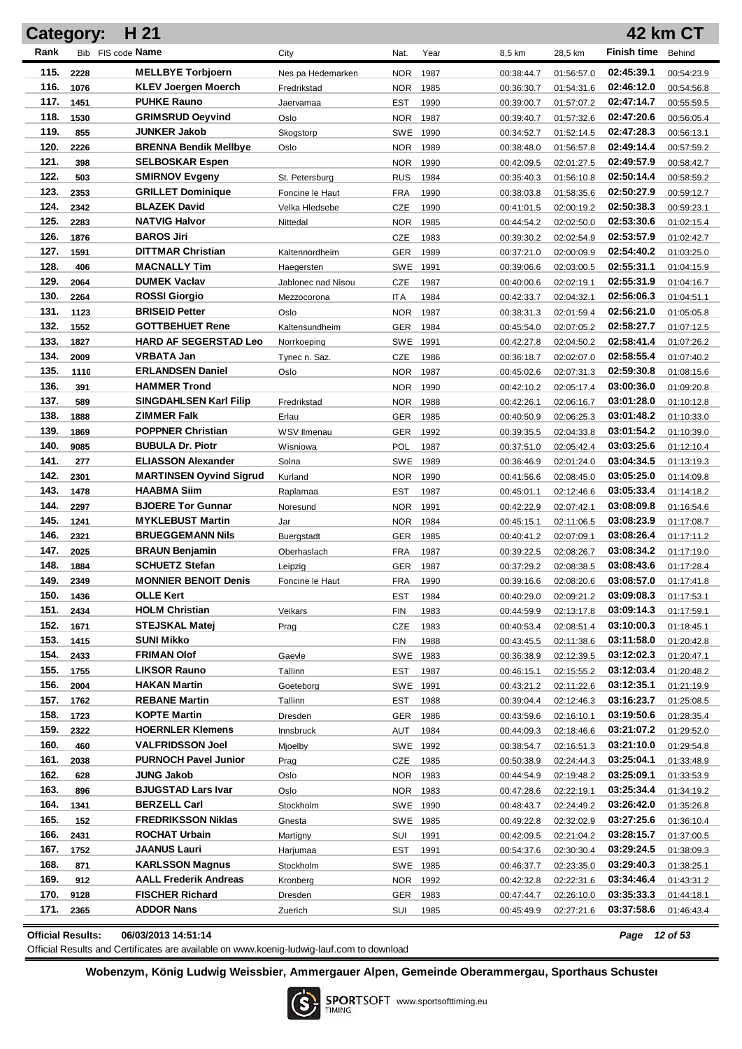| Bib FIS code Name<br><b>Finish time</b><br>Rank<br>City<br>Year<br>8,5 km<br>28,5 km<br>Behind<br>Nat.<br>115.<br><b>MELLBYE Torbjoern</b><br>02:45:39.1<br>2228<br>1987<br>Nes pa Hedemarken<br><b>NOR</b><br>00:38:44.7<br>01:56:57.0<br>00:54:23.9<br>116.<br><b>KLEV Joergen Moerch</b><br>1076<br>1985<br>02:46:12.0<br>Fredrikstad<br><b>NOR</b><br>00:36:30.7<br>01:54:31.6<br>00:54:56.8<br>117.<br><b>PUHKE Rauno</b><br>02:47:14.7<br>1451<br>1990<br><b>EST</b><br>00:39:00.7<br>01:57:07.2<br>00:55:59.5<br>Jaervamaa<br>118.<br><b>GRIMSRUD Oeyvind</b><br>02:47:20.6<br>1530<br>1987<br>Oslo<br><b>NOR</b><br>00:39:40.7<br>01:57:32.6<br>00:56:05.4<br>119.<br><b>JUNKER Jakob</b><br>02:47:28.3<br>855<br>1990<br>Skogstorp<br><b>SWE</b><br>00:34:52.7<br>01:52:14.5<br>00:56:13.1<br>120.<br>2226<br><b>BRENNA Bendik Mellbye</b><br>02:49:14.4<br>1989<br>Oslo<br><b>NOR</b><br>00:38:48.0<br>01:56:57.8<br>00:57:59.2<br>121.<br><b>SELBOSKAR Espen</b><br>02:49:57.9<br>398<br>1990<br><b>NOR</b><br>00:42:09.5<br>02:01:27.5<br>00:58:42.7<br>122.<br>503<br><b>SMIRNOV Evgeny</b><br>02:50:14.4<br>1984<br>St. Petersburg<br><b>RUS</b><br>00:35:40.3<br>01:56:10.8<br>00:58:59.2<br>123.<br>2353<br><b>GRILLET Dominique</b><br>02:50:27.9<br><b>FRA</b><br>1990<br>Foncine le Haut<br>00:38:03.8<br>01:58:35.6<br>00:59:12.7<br>124.<br>2342<br><b>BLAZEK David</b><br>02:50:38.3<br>CZE<br>1990<br>Velka Hledsebe<br>00:41:01.5<br>02:00:19.2<br>00:59:23.1<br>125.<br><b>NATVIG Halvor</b><br>02:53:30.6<br>2283<br>1985<br>Nittedal<br><b>NOR</b><br>00:44:54.2<br>02:02:50.0<br>01:02:15.4<br>126.<br><b>BAROS Jiri</b><br>02:53:57.9<br>1876<br>CZE<br>1983<br>00:39:30.2<br>02:02:54.9<br>01:02:42.7<br>127.<br><b>DITTMAR Christian</b><br>02:54:40.2<br>1591<br>1989<br>Kaltennordheim<br><b>GER</b><br>00:37:21.0<br>02:00:09.9<br>01:03:25.0<br>128.<br><b>MACNALLY Tim</b><br>02:55:31.1<br>406<br>1991<br>SWE<br>00:39:06.6<br>02:03:00.5<br>01:04:15.9<br>Haegersten<br>129.<br>2064<br><b>DUMEK Vaclav</b><br>02:55:31.9<br>1987<br>Jablonec nad Nisou<br>CZE<br>00:40:00.6<br>02:02:19.1<br>01:04:16.7<br>130.<br>2264<br><b>ROSSI Giorgio</b><br>02:56:06.3<br>1984<br>ITA<br>00:42:33.7<br>02:04:32.1<br>01:04:51.1<br>Mezzocorona<br>131.<br><b>BRISEID Petter</b><br>02:56:21.0<br>1123<br><b>NOR</b><br>1987<br>Oslo<br>00:38:31.3<br>02:01:59.4<br>01:05:05.8<br>132.<br><b>GOTTBEHUET Rene</b><br>02:58:27.7<br>1552<br>1984<br>Kaltensundheim<br><b>GER</b><br>00:45:54.0<br>02:07:05.2<br>01:07:12.5<br>133.<br>1827<br><b>HARD AF SEGERSTAD Leo</b><br>02:58:41.4<br>1991<br>SWE<br>00:42:27.8<br>02:04:50.2<br>01:07:26.2<br>Norrkoeping<br>134.<br><b>VRBATA Jan</b><br>02:58:55.4<br>2009<br><b>CZE</b><br>1986<br>02:02:07.0<br>Tynec n. Saz.<br>00:36:18.7<br>01:07:40.2<br>135.<br><b>ERLANDSEN Daniel</b><br>02:59:30.8<br>1110<br><b>NOR</b><br>1987<br>02:07:31.3<br>Oslo<br>00:45:02.6<br>01:08:15.6<br>136.<br><b>HAMMER Trond</b><br>03:00:36.0<br>391<br><b>NOR</b><br>1990<br>02:05:17.4<br>00:42:10.2<br>01:09:20.8<br>137.<br><b>SINGDAHLSEN Karl Filip</b><br>03:01:28.0<br>589<br>1988<br>02:06:16.7<br>Fredrikstad<br><b>NOR</b><br>00:42:26.1<br>01:10:12.8<br>138.<br><b>ZIMMER Falk</b><br>03:01:48.2<br>1888<br>1985<br>02:06:25.3<br>Erlau<br><b>GER</b><br>00:40:50.9<br>01:10:33.0<br>139.<br><b>POPPNER Christian</b><br>03:01:54.2<br>1869<br><b>GER</b><br>1992<br>02:04:33.8<br>WSV Ilmenau<br>00:39:35.5<br>01:10:39.0<br>140.<br><b>BUBULA Dr. Piotr</b><br>03:03:25.6<br>9085<br>POL<br>1987<br>02:05:42.4<br>01:12:10.4<br>Wisniowa<br>00:37:51.0<br>141.<br><b>ELIASSON Alexander</b><br>03:04:34.5<br>277<br>Solna<br><b>SWE</b><br>1989<br>02:01:24.0<br>01:13:19.3<br>00:36:46.9<br>142.<br><b>MARTINSEN Oyvind Sigrud</b><br>03:05:25.0<br>2301<br>1990<br>02:08:45.0<br>Kurland<br><b>NOR</b><br>00:41:56.6<br>01:14:09.8<br>143.<br><b>HAABMA Siim</b><br>03:05:33.4<br>1478<br>EST<br>1987<br>02:12:46.6<br>Raplamaa<br>00:45:01.1<br>01:14:18.2<br>144.<br><b>BJOERE Tor Gunnar</b><br>03:08:09.8<br>2297<br><b>NOR</b><br>1991<br>02:07:42.1<br>Noresund<br>00:42:22.9<br>01:16:54.6<br>145.<br><b>MYKLEBUST Martin</b><br>03:08:23.9<br>1241<br>1984<br>Jar<br><b>NOR</b><br>00:45:15.1<br>02:11:06.5<br>01:17:08.7<br>146.<br><b>BRUEGGEMANN Nils</b><br>03:08:26.4<br>2321<br><b>GER</b><br>1985<br>02:07:09.1<br>01:17:11.2<br><b>Buergstadt</b><br>00:40:41.2<br>147.<br>03:08:34.2<br>2025<br><b>BRAUN Benjamin</b><br><b>FRA</b><br>1987<br>Oberhaslach<br>00:39:22.5<br>02:08:26.7<br>01:17:19.0<br>148.<br><b>SCHUETZ Stefan</b><br>03:08:43.6<br>1884<br><b>GER</b><br>1987<br>02:08:38.5<br>01:17:28.4<br>00:37:29.2<br>Leipzig<br>149.<br><b>MONNIER BENOIT Denis</b><br>03:08:57.0<br>2349<br><b>FRA</b><br>1990<br>02:08:20.6<br>00:39:16.6<br>01:17:41.8<br>Foncine le Haut<br>150.<br><b>OLLE Kert</b><br>03:09:08.3<br>1436<br>02:09:21.2<br>01:17:53.1<br><b>EST</b><br>1984<br>00:40:29.0<br>151.<br><b>HOLM Christian</b><br>2434<br>03:09:14.3<br>02:13:17.8<br>01:17:59.1<br>Veikars<br><b>FIN</b><br>1983<br>00:44:59.9<br>152.<br><b>STEJSKAL Matej</b><br>1671<br>03:10:00.3<br><b>CZE</b><br>1983<br>02:08:51.4<br>Prag<br>00:40:53.4<br>01:18:45.1<br>153.<br><b>SUNI Mikko</b><br>1415<br>03:11:58.0<br><b>FIN</b><br>1988<br>00:43:45.5<br>02:11:38.6<br>01:20:42.8<br>154.<br><b>FRIMAN Olof</b><br>2433<br>03:12:02.3<br>Gaevle<br>SWE<br>1983<br>02:12:39.5<br>01:20:47.1<br>00:36:38.9<br>155.<br><b>LIKSOR Rauno</b><br>1755<br>03:12:03.4<br>Tallinn<br><b>EST</b><br>1987<br>00:46:15.1<br>02:15:55.2<br>01:20:48.2<br>156.<br>2004<br><b>HAKAN Martin</b><br>03:12:35.1<br>SWE<br>1991<br>02:11:22.6<br>01:21:19.9<br>Goeteborg<br>00:43:21.2<br>157.<br><b>REBANE Martin</b><br>03:16:23.7<br>1762<br>Tallinn<br>EST<br>1988<br>00:39:04.4<br>02:12:46.3<br>01:25:08.5<br>158.<br><b>KOPTE Martin</b><br>03:19:50.6<br>1723<br><b>GER</b><br>1986<br>00:43:59.6<br>02:16:10.1<br>01:28:35.4<br>Dresden<br>159.<br><b>HOERNLER Klemens</b><br>2322<br>03:21:07.2<br>AUT<br>1984<br>00:44:09.3<br>02:18:46.6<br>01:29:52.0<br>Innsbruck<br>160.<br><b>VALFRIDSSON Joel</b><br>460<br>03:21:10.0<br>SWE 1992<br>00:38:54.7<br>02:16:51.3<br>01:29:54.8<br>Mioelby<br>161.<br><b>PURNOCH Pavel Junior</b><br>03:25:04.1<br>2038<br>CZE<br>1985<br>02:24:44.3<br>01:33:48.9<br>Prag<br>00:50:38.9<br>162.<br><b>JUNG Jakob</b><br>628<br>03:25:09.1<br>Oslo<br>NOR.<br>1983<br>00:44:54.9<br>02:19:48.2<br>01:33:53.9<br>163.<br><b>BJUGSTAD Lars Ivar</b><br>03:25:34.4<br>896<br>Oslo<br>NOR.<br>1983<br>00:47:28.6<br>02:22:19.1<br>01:34:19.2<br>164.<br><b>BERZELL Carl</b><br>1341<br>03:26:42.0<br>Stockholm<br>SWE 1990<br>02:24:49.2<br>01:35:26.8<br>00:48:43.7<br>165.<br><b>FREDRIKSSON Niklas</b><br>152<br>03:27:25.6<br>SWE 1985<br>00:49:22.8<br>02:32:02.9<br>01:36:10.4<br>Gnesta<br>166.<br><b>ROCHAT Urbain</b><br>2431<br>03:28:15.7<br>SUI<br>1991<br>00:42:09.5<br>02:21:04.2<br>01:37:00.5<br>Martigny<br>167.<br><b>JAANUS Lauri</b><br>1752<br>03:29:24.5<br><b>EST</b><br>1991<br>00:54:37.6<br>02:30:30.4<br>01:38:09.3<br>Harjumaa<br>168.<br><b>KARLSSON Magnus</b><br>871<br>03:29:40.3<br>Stockholm<br>SWE<br>1985<br>00:46:37.7<br>02:23:35.0<br>01:38:25.1<br>169.<br><b>AALL Frederik Andreas</b><br>912<br>03:34:46.4<br>NOR.<br>1992<br>00:42:32.8<br>02:22:31.6<br>01:43:31.2<br>Kronberg<br>170.<br><b>FISCHER Richard</b><br>9128<br>03:35:33.3<br>GER<br>1983<br>02:26:10.0<br>01:44:18.1<br>Dresden<br>00:47:44.7<br>171.<br><b>ADDOR Nans</b><br>2365<br>03:37:58.6<br><b>SUI</b><br>1985<br>02:27:21.6<br>01:46:43.4<br>Zuerich<br>00:45:49.9 | <b>Category:</b> | H 21 |  |  |  | <b>42 km CT</b> |
|--------------------------------------------------------------------------------------------------------------------------------------------------------------------------------------------------------------------------------------------------------------------------------------------------------------------------------------------------------------------------------------------------------------------------------------------------------------------------------------------------------------------------------------------------------------------------------------------------------------------------------------------------------------------------------------------------------------------------------------------------------------------------------------------------------------------------------------------------------------------------------------------------------------------------------------------------------------------------------------------------------------------------------------------------------------------------------------------------------------------------------------------------------------------------------------------------------------------------------------------------------------------------------------------------------------------------------------------------------------------------------------------------------------------------------------------------------------------------------------------------------------------------------------------------------------------------------------------------------------------------------------------------------------------------------------------------------------------------------------------------------------------------------------------------------------------------------------------------------------------------------------------------------------------------------------------------------------------------------------------------------------------------------------------------------------------------------------------------------------------------------------------------------------------------------------------------------------------------------------------------------------------------------------------------------------------------------------------------------------------------------------------------------------------------------------------------------------------------------------------------------------------------------------------------------------------------------------------------------------------------------------------------------------------------------------------------------------------------------------------------------------------------------------------------------------------------------------------------------------------------------------------------------------------------------------------------------------------------------------------------------------------------------------------------------------------------------------------------------------------------------------------------------------------------------------------------------------------------------------------------------------------------------------------------------------------------------------------------------------------------------------------------------------------------------------------------------------------------------------------------------------------------------------------------------------------------------------------------------------------------------------------------------------------------------------------------------------------------------------------------------------------------------------------------------------------------------------------------------------------------------------------------------------------------------------------------------------------------------------------------------------------------------------------------------------------------------------------------------------------------------------------------------------------------------------------------------------------------------------------------------------------------------------------------------------------------------------------------------------------------------------------------------------------------------------------------------------------------------------------------------------------------------------------------------------------------------------------------------------------------------------------------------------------------------------------------------------------------------------------------------------------------------------------------------------------------------------------------------------------------------------------------------------------------------------------------------------------------------------------------------------------------------------------------------------------------------------------------------------------------------------------------------------------------------------------------------------------------------------------------------------------------------------------------------------------------------------------------------------------------------------------------------------------------------------------------------------------------------------------------------------------------------------------------------------------------------------------------------------------------------------------------------------------------------------------------------------------------------------------------------------------------------------------------------------------------------------------------------------------------------------------------------------------------------------------------------------------------------------------------------------------------------------------------------------------------------------------------------------------------------------------------------------------------------------------------------------------------------------------------------------------------------------------------------------------------------------------------------------------------------------------------------------------------------------------------------------------------------------------------------------------------------------------------------------------------------------------------------------------------------------------------------------------------------------------------------------------------------------------------------------------------------------------------------------------------------------------------------------------------------------------------------------------------------------------------------------------------------------------------------------------------------------------------------------------------------------------------------------------------------------------------------------------------------------------------------------------------------------------------------------------------------------------------------------------------------------------------------------------------------------------------------------------------------------------------------------------------------------------------------------------------------------------------------------------------------------------------------------------------------------------------------------------------------------------------------------------------|------------------|------|--|--|--|-----------------|
|                                                                                                                                                                                                                                                                                                                                                                                                                                                                                                                                                                                                                                                                                                                                                                                                                                                                                                                                                                                                                                                                                                                                                                                                                                                                                                                                                                                                                                                                                                                                                                                                                                                                                                                                                                                                                                                                                                                                                                                                                                                                                                                                                                                                                                                                                                                                                                                                                                                                                                                                                                                                                                                                                                                                                                                                                                                                                                                                                                                                                                                                                                                                                                                                                                                                                                                                                                                                                                                                                                                                                                                                                                                                                                                                                                                                                                                                                                                                                                                                                                                                                                                                                                                                                                                                                                                                                                                                                                                                                                                                                                                                                                                                                                                                                                                                                                                                                                                                                                                                                                                                                                                                                                                                                                                                                                                                                                                                                                                                                                                                                                                                                                                                                                                                                                                                                                                                                                                                                                                                                                                                                                                                                                                                                                                                                                                                                                                                                                                                                                                                                                                                                                                                                                                                                                                                                                                                                                                                                                                                                                                                                                                                                                                                                                                                                                                                                                                                                                                                                                                                                                                                                                                                                                                          |                  |      |  |  |  |                 |
|                                                                                                                                                                                                                                                                                                                                                                                                                                                                                                                                                                                                                                                                                                                                                                                                                                                                                                                                                                                                                                                                                                                                                                                                                                                                                                                                                                                                                                                                                                                                                                                                                                                                                                                                                                                                                                                                                                                                                                                                                                                                                                                                                                                                                                                                                                                                                                                                                                                                                                                                                                                                                                                                                                                                                                                                                                                                                                                                                                                                                                                                                                                                                                                                                                                                                                                                                                                                                                                                                                                                                                                                                                                                                                                                                                                                                                                                                                                                                                                                                                                                                                                                                                                                                                                                                                                                                                                                                                                                                                                                                                                                                                                                                                                                                                                                                                                                                                                                                                                                                                                                                                                                                                                                                                                                                                                                                                                                                                                                                                                                                                                                                                                                                                                                                                                                                                                                                                                                                                                                                                                                                                                                                                                                                                                                                                                                                                                                                                                                                                                                                                                                                                                                                                                                                                                                                                                                                                                                                                                                                                                                                                                                                                                                                                                                                                                                                                                                                                                                                                                                                                                                                                                                                                                          |                  |      |  |  |  |                 |
|                                                                                                                                                                                                                                                                                                                                                                                                                                                                                                                                                                                                                                                                                                                                                                                                                                                                                                                                                                                                                                                                                                                                                                                                                                                                                                                                                                                                                                                                                                                                                                                                                                                                                                                                                                                                                                                                                                                                                                                                                                                                                                                                                                                                                                                                                                                                                                                                                                                                                                                                                                                                                                                                                                                                                                                                                                                                                                                                                                                                                                                                                                                                                                                                                                                                                                                                                                                                                                                                                                                                                                                                                                                                                                                                                                                                                                                                                                                                                                                                                                                                                                                                                                                                                                                                                                                                                                                                                                                                                                                                                                                                                                                                                                                                                                                                                                                                                                                                                                                                                                                                                                                                                                                                                                                                                                                                                                                                                                                                                                                                                                                                                                                                                                                                                                                                                                                                                                                                                                                                                                                                                                                                                                                                                                                                                                                                                                                                                                                                                                                                                                                                                                                                                                                                                                                                                                                                                                                                                                                                                                                                                                                                                                                                                                                                                                                                                                                                                                                                                                                                                                                                                                                                                                                          |                  |      |  |  |  |                 |
|                                                                                                                                                                                                                                                                                                                                                                                                                                                                                                                                                                                                                                                                                                                                                                                                                                                                                                                                                                                                                                                                                                                                                                                                                                                                                                                                                                                                                                                                                                                                                                                                                                                                                                                                                                                                                                                                                                                                                                                                                                                                                                                                                                                                                                                                                                                                                                                                                                                                                                                                                                                                                                                                                                                                                                                                                                                                                                                                                                                                                                                                                                                                                                                                                                                                                                                                                                                                                                                                                                                                                                                                                                                                                                                                                                                                                                                                                                                                                                                                                                                                                                                                                                                                                                                                                                                                                                                                                                                                                                                                                                                                                                                                                                                                                                                                                                                                                                                                                                                                                                                                                                                                                                                                                                                                                                                                                                                                                                                                                                                                                                                                                                                                                                                                                                                                                                                                                                                                                                                                                                                                                                                                                                                                                                                                                                                                                                                                                                                                                                                                                                                                                                                                                                                                                                                                                                                                                                                                                                                                                                                                                                                                                                                                                                                                                                                                                                                                                                                                                                                                                                                                                                                                                                                          |                  |      |  |  |  |                 |
|                                                                                                                                                                                                                                                                                                                                                                                                                                                                                                                                                                                                                                                                                                                                                                                                                                                                                                                                                                                                                                                                                                                                                                                                                                                                                                                                                                                                                                                                                                                                                                                                                                                                                                                                                                                                                                                                                                                                                                                                                                                                                                                                                                                                                                                                                                                                                                                                                                                                                                                                                                                                                                                                                                                                                                                                                                                                                                                                                                                                                                                                                                                                                                                                                                                                                                                                                                                                                                                                                                                                                                                                                                                                                                                                                                                                                                                                                                                                                                                                                                                                                                                                                                                                                                                                                                                                                                                                                                                                                                                                                                                                                                                                                                                                                                                                                                                                                                                                                                                                                                                                                                                                                                                                                                                                                                                                                                                                                                                                                                                                                                                                                                                                                                                                                                                                                                                                                                                                                                                                                                                                                                                                                                                                                                                                                                                                                                                                                                                                                                                                                                                                                                                                                                                                                                                                                                                                                                                                                                                                                                                                                                                                                                                                                                                                                                                                                                                                                                                                                                                                                                                                                                                                                                                          |                  |      |  |  |  |                 |
|                                                                                                                                                                                                                                                                                                                                                                                                                                                                                                                                                                                                                                                                                                                                                                                                                                                                                                                                                                                                                                                                                                                                                                                                                                                                                                                                                                                                                                                                                                                                                                                                                                                                                                                                                                                                                                                                                                                                                                                                                                                                                                                                                                                                                                                                                                                                                                                                                                                                                                                                                                                                                                                                                                                                                                                                                                                                                                                                                                                                                                                                                                                                                                                                                                                                                                                                                                                                                                                                                                                                                                                                                                                                                                                                                                                                                                                                                                                                                                                                                                                                                                                                                                                                                                                                                                                                                                                                                                                                                                                                                                                                                                                                                                                                                                                                                                                                                                                                                                                                                                                                                                                                                                                                                                                                                                                                                                                                                                                                                                                                                                                                                                                                                                                                                                                                                                                                                                                                                                                                                                                                                                                                                                                                                                                                                                                                                                                                                                                                                                                                                                                                                                                                                                                                                                                                                                                                                                                                                                                                                                                                                                                                                                                                                                                                                                                                                                                                                                                                                                                                                                                                                                                                                                                          |                  |      |  |  |  |                 |
|                                                                                                                                                                                                                                                                                                                                                                                                                                                                                                                                                                                                                                                                                                                                                                                                                                                                                                                                                                                                                                                                                                                                                                                                                                                                                                                                                                                                                                                                                                                                                                                                                                                                                                                                                                                                                                                                                                                                                                                                                                                                                                                                                                                                                                                                                                                                                                                                                                                                                                                                                                                                                                                                                                                                                                                                                                                                                                                                                                                                                                                                                                                                                                                                                                                                                                                                                                                                                                                                                                                                                                                                                                                                                                                                                                                                                                                                                                                                                                                                                                                                                                                                                                                                                                                                                                                                                                                                                                                                                                                                                                                                                                                                                                                                                                                                                                                                                                                                                                                                                                                                                                                                                                                                                                                                                                                                                                                                                                                                                                                                                                                                                                                                                                                                                                                                                                                                                                                                                                                                                                                                                                                                                                                                                                                                                                                                                                                                                                                                                                                                                                                                                                                                                                                                                                                                                                                                                                                                                                                                                                                                                                                                                                                                                                                                                                                                                                                                                                                                                                                                                                                                                                                                                                                          |                  |      |  |  |  |                 |
|                                                                                                                                                                                                                                                                                                                                                                                                                                                                                                                                                                                                                                                                                                                                                                                                                                                                                                                                                                                                                                                                                                                                                                                                                                                                                                                                                                                                                                                                                                                                                                                                                                                                                                                                                                                                                                                                                                                                                                                                                                                                                                                                                                                                                                                                                                                                                                                                                                                                                                                                                                                                                                                                                                                                                                                                                                                                                                                                                                                                                                                                                                                                                                                                                                                                                                                                                                                                                                                                                                                                                                                                                                                                                                                                                                                                                                                                                                                                                                                                                                                                                                                                                                                                                                                                                                                                                                                                                                                                                                                                                                                                                                                                                                                                                                                                                                                                                                                                                                                                                                                                                                                                                                                                                                                                                                                                                                                                                                                                                                                                                                                                                                                                                                                                                                                                                                                                                                                                                                                                                                                                                                                                                                                                                                                                                                                                                                                                                                                                                                                                                                                                                                                                                                                                                                                                                                                                                                                                                                                                                                                                                                                                                                                                                                                                                                                                                                                                                                                                                                                                                                                                                                                                                                                          |                  |      |  |  |  |                 |
|                                                                                                                                                                                                                                                                                                                                                                                                                                                                                                                                                                                                                                                                                                                                                                                                                                                                                                                                                                                                                                                                                                                                                                                                                                                                                                                                                                                                                                                                                                                                                                                                                                                                                                                                                                                                                                                                                                                                                                                                                                                                                                                                                                                                                                                                                                                                                                                                                                                                                                                                                                                                                                                                                                                                                                                                                                                                                                                                                                                                                                                                                                                                                                                                                                                                                                                                                                                                                                                                                                                                                                                                                                                                                                                                                                                                                                                                                                                                                                                                                                                                                                                                                                                                                                                                                                                                                                                                                                                                                                                                                                                                                                                                                                                                                                                                                                                                                                                                                                                                                                                                                                                                                                                                                                                                                                                                                                                                                                                                                                                                                                                                                                                                                                                                                                                                                                                                                                                                                                                                                                                                                                                                                                                                                                                                                                                                                                                                                                                                                                                                                                                                                                                                                                                                                                                                                                                                                                                                                                                                                                                                                                                                                                                                                                                                                                                                                                                                                                                                                                                                                                                                                                                                                                                          |                  |      |  |  |  |                 |
|                                                                                                                                                                                                                                                                                                                                                                                                                                                                                                                                                                                                                                                                                                                                                                                                                                                                                                                                                                                                                                                                                                                                                                                                                                                                                                                                                                                                                                                                                                                                                                                                                                                                                                                                                                                                                                                                                                                                                                                                                                                                                                                                                                                                                                                                                                                                                                                                                                                                                                                                                                                                                                                                                                                                                                                                                                                                                                                                                                                                                                                                                                                                                                                                                                                                                                                                                                                                                                                                                                                                                                                                                                                                                                                                                                                                                                                                                                                                                                                                                                                                                                                                                                                                                                                                                                                                                                                                                                                                                                                                                                                                                                                                                                                                                                                                                                                                                                                                                                                                                                                                                                                                                                                                                                                                                                                                                                                                                                                                                                                                                                                                                                                                                                                                                                                                                                                                                                                                                                                                                                                                                                                                                                                                                                                                                                                                                                                                                                                                                                                                                                                                                                                                                                                                                                                                                                                                                                                                                                                                                                                                                                                                                                                                                                                                                                                                                                                                                                                                                                                                                                                                                                                                                                                          |                  |      |  |  |  |                 |
|                                                                                                                                                                                                                                                                                                                                                                                                                                                                                                                                                                                                                                                                                                                                                                                                                                                                                                                                                                                                                                                                                                                                                                                                                                                                                                                                                                                                                                                                                                                                                                                                                                                                                                                                                                                                                                                                                                                                                                                                                                                                                                                                                                                                                                                                                                                                                                                                                                                                                                                                                                                                                                                                                                                                                                                                                                                                                                                                                                                                                                                                                                                                                                                                                                                                                                                                                                                                                                                                                                                                                                                                                                                                                                                                                                                                                                                                                                                                                                                                                                                                                                                                                                                                                                                                                                                                                                                                                                                                                                                                                                                                                                                                                                                                                                                                                                                                                                                                                                                                                                                                                                                                                                                                                                                                                                                                                                                                                                                                                                                                                                                                                                                                                                                                                                                                                                                                                                                                                                                                                                                                                                                                                                                                                                                                                                                                                                                                                                                                                                                                                                                                                                                                                                                                                                                                                                                                                                                                                                                                                                                                                                                                                                                                                                                                                                                                                                                                                                                                                                                                                                                                                                                                                                                          |                  |      |  |  |  |                 |
|                                                                                                                                                                                                                                                                                                                                                                                                                                                                                                                                                                                                                                                                                                                                                                                                                                                                                                                                                                                                                                                                                                                                                                                                                                                                                                                                                                                                                                                                                                                                                                                                                                                                                                                                                                                                                                                                                                                                                                                                                                                                                                                                                                                                                                                                                                                                                                                                                                                                                                                                                                                                                                                                                                                                                                                                                                                                                                                                                                                                                                                                                                                                                                                                                                                                                                                                                                                                                                                                                                                                                                                                                                                                                                                                                                                                                                                                                                                                                                                                                                                                                                                                                                                                                                                                                                                                                                                                                                                                                                                                                                                                                                                                                                                                                                                                                                                                                                                                                                                                                                                                                                                                                                                                                                                                                                                                                                                                                                                                                                                                                                                                                                                                                                                                                                                                                                                                                                                                                                                                                                                                                                                                                                                                                                                                                                                                                                                                                                                                                                                                                                                                                                                                                                                                                                                                                                                                                                                                                                                                                                                                                                                                                                                                                                                                                                                                                                                                                                                                                                                                                                                                                                                                                                                          |                  |      |  |  |  |                 |
|                                                                                                                                                                                                                                                                                                                                                                                                                                                                                                                                                                                                                                                                                                                                                                                                                                                                                                                                                                                                                                                                                                                                                                                                                                                                                                                                                                                                                                                                                                                                                                                                                                                                                                                                                                                                                                                                                                                                                                                                                                                                                                                                                                                                                                                                                                                                                                                                                                                                                                                                                                                                                                                                                                                                                                                                                                                                                                                                                                                                                                                                                                                                                                                                                                                                                                                                                                                                                                                                                                                                                                                                                                                                                                                                                                                                                                                                                                                                                                                                                                                                                                                                                                                                                                                                                                                                                                                                                                                                                                                                                                                                                                                                                                                                                                                                                                                                                                                                                                                                                                                                                                                                                                                                                                                                                                                                                                                                                                                                                                                                                                                                                                                                                                                                                                                                                                                                                                                                                                                                                                                                                                                                                                                                                                                                                                                                                                                                                                                                                                                                                                                                                                                                                                                                                                                                                                                                                                                                                                                                                                                                                                                                                                                                                                                                                                                                                                                                                                                                                                                                                                                                                                                                                                                          |                  |      |  |  |  |                 |
|                                                                                                                                                                                                                                                                                                                                                                                                                                                                                                                                                                                                                                                                                                                                                                                                                                                                                                                                                                                                                                                                                                                                                                                                                                                                                                                                                                                                                                                                                                                                                                                                                                                                                                                                                                                                                                                                                                                                                                                                                                                                                                                                                                                                                                                                                                                                                                                                                                                                                                                                                                                                                                                                                                                                                                                                                                                                                                                                                                                                                                                                                                                                                                                                                                                                                                                                                                                                                                                                                                                                                                                                                                                                                                                                                                                                                                                                                                                                                                                                                                                                                                                                                                                                                                                                                                                                                                                                                                                                                                                                                                                                                                                                                                                                                                                                                                                                                                                                                                                                                                                                                                                                                                                                                                                                                                                                                                                                                                                                                                                                                                                                                                                                                                                                                                                                                                                                                                                                                                                                                                                                                                                                                                                                                                                                                                                                                                                                                                                                                                                                                                                                                                                                                                                                                                                                                                                                                                                                                                                                                                                                                                                                                                                                                                                                                                                                                                                                                                                                                                                                                                                                                                                                                                                          |                  |      |  |  |  |                 |
|                                                                                                                                                                                                                                                                                                                                                                                                                                                                                                                                                                                                                                                                                                                                                                                                                                                                                                                                                                                                                                                                                                                                                                                                                                                                                                                                                                                                                                                                                                                                                                                                                                                                                                                                                                                                                                                                                                                                                                                                                                                                                                                                                                                                                                                                                                                                                                                                                                                                                                                                                                                                                                                                                                                                                                                                                                                                                                                                                                                                                                                                                                                                                                                                                                                                                                                                                                                                                                                                                                                                                                                                                                                                                                                                                                                                                                                                                                                                                                                                                                                                                                                                                                                                                                                                                                                                                                                                                                                                                                                                                                                                                                                                                                                                                                                                                                                                                                                                                                                                                                                                                                                                                                                                                                                                                                                                                                                                                                                                                                                                                                                                                                                                                                                                                                                                                                                                                                                                                                                                                                                                                                                                                                                                                                                                                                                                                                                                                                                                                                                                                                                                                                                                                                                                                                                                                                                                                                                                                                                                                                                                                                                                                                                                                                                                                                                                                                                                                                                                                                                                                                                                                                                                                                                          |                  |      |  |  |  |                 |
|                                                                                                                                                                                                                                                                                                                                                                                                                                                                                                                                                                                                                                                                                                                                                                                                                                                                                                                                                                                                                                                                                                                                                                                                                                                                                                                                                                                                                                                                                                                                                                                                                                                                                                                                                                                                                                                                                                                                                                                                                                                                                                                                                                                                                                                                                                                                                                                                                                                                                                                                                                                                                                                                                                                                                                                                                                                                                                                                                                                                                                                                                                                                                                                                                                                                                                                                                                                                                                                                                                                                                                                                                                                                                                                                                                                                                                                                                                                                                                                                                                                                                                                                                                                                                                                                                                                                                                                                                                                                                                                                                                                                                                                                                                                                                                                                                                                                                                                                                                                                                                                                                                                                                                                                                                                                                                                                                                                                                                                                                                                                                                                                                                                                                                                                                                                                                                                                                                                                                                                                                                                                                                                                                                                                                                                                                                                                                                                                                                                                                                                                                                                                                                                                                                                                                                                                                                                                                                                                                                                                                                                                                                                                                                                                                                                                                                                                                                                                                                                                                                                                                                                                                                                                                                                          |                  |      |  |  |  |                 |
|                                                                                                                                                                                                                                                                                                                                                                                                                                                                                                                                                                                                                                                                                                                                                                                                                                                                                                                                                                                                                                                                                                                                                                                                                                                                                                                                                                                                                                                                                                                                                                                                                                                                                                                                                                                                                                                                                                                                                                                                                                                                                                                                                                                                                                                                                                                                                                                                                                                                                                                                                                                                                                                                                                                                                                                                                                                                                                                                                                                                                                                                                                                                                                                                                                                                                                                                                                                                                                                                                                                                                                                                                                                                                                                                                                                                                                                                                                                                                                                                                                                                                                                                                                                                                                                                                                                                                                                                                                                                                                                                                                                                                                                                                                                                                                                                                                                                                                                                                                                                                                                                                                                                                                                                                                                                                                                                                                                                                                                                                                                                                                                                                                                                                                                                                                                                                                                                                                                                                                                                                                                                                                                                                                                                                                                                                                                                                                                                                                                                                                                                                                                                                                                                                                                                                                                                                                                                                                                                                                                                                                                                                                                                                                                                                                                                                                                                                                                                                                                                                                                                                                                                                                                                                                                          |                  |      |  |  |  |                 |
|                                                                                                                                                                                                                                                                                                                                                                                                                                                                                                                                                                                                                                                                                                                                                                                                                                                                                                                                                                                                                                                                                                                                                                                                                                                                                                                                                                                                                                                                                                                                                                                                                                                                                                                                                                                                                                                                                                                                                                                                                                                                                                                                                                                                                                                                                                                                                                                                                                                                                                                                                                                                                                                                                                                                                                                                                                                                                                                                                                                                                                                                                                                                                                                                                                                                                                                                                                                                                                                                                                                                                                                                                                                                                                                                                                                                                                                                                                                                                                                                                                                                                                                                                                                                                                                                                                                                                                                                                                                                                                                                                                                                                                                                                                                                                                                                                                                                                                                                                                                                                                                                                                                                                                                                                                                                                                                                                                                                                                                                                                                                                                                                                                                                                                                                                                                                                                                                                                                                                                                                                                                                                                                                                                                                                                                                                                                                                                                                                                                                                                                                                                                                                                                                                                                                                                                                                                                                                                                                                                                                                                                                                                                                                                                                                                                                                                                                                                                                                                                                                                                                                                                                                                                                                                                          |                  |      |  |  |  |                 |
|                                                                                                                                                                                                                                                                                                                                                                                                                                                                                                                                                                                                                                                                                                                                                                                                                                                                                                                                                                                                                                                                                                                                                                                                                                                                                                                                                                                                                                                                                                                                                                                                                                                                                                                                                                                                                                                                                                                                                                                                                                                                                                                                                                                                                                                                                                                                                                                                                                                                                                                                                                                                                                                                                                                                                                                                                                                                                                                                                                                                                                                                                                                                                                                                                                                                                                                                                                                                                                                                                                                                                                                                                                                                                                                                                                                                                                                                                                                                                                                                                                                                                                                                                                                                                                                                                                                                                                                                                                                                                                                                                                                                                                                                                                                                                                                                                                                                                                                                                                                                                                                                                                                                                                                                                                                                                                                                                                                                                                                                                                                                                                                                                                                                                                                                                                                                                                                                                                                                                                                                                                                                                                                                                                                                                                                                                                                                                                                                                                                                                                                                                                                                                                                                                                                                                                                                                                                                                                                                                                                                                                                                                                                                                                                                                                                                                                                                                                                                                                                                                                                                                                                                                                                                                                                          |                  |      |  |  |  |                 |
|                                                                                                                                                                                                                                                                                                                                                                                                                                                                                                                                                                                                                                                                                                                                                                                                                                                                                                                                                                                                                                                                                                                                                                                                                                                                                                                                                                                                                                                                                                                                                                                                                                                                                                                                                                                                                                                                                                                                                                                                                                                                                                                                                                                                                                                                                                                                                                                                                                                                                                                                                                                                                                                                                                                                                                                                                                                                                                                                                                                                                                                                                                                                                                                                                                                                                                                                                                                                                                                                                                                                                                                                                                                                                                                                                                                                                                                                                                                                                                                                                                                                                                                                                                                                                                                                                                                                                                                                                                                                                                                                                                                                                                                                                                                                                                                                                                                                                                                                                                                                                                                                                                                                                                                                                                                                                                                                                                                                                                                                                                                                                                                                                                                                                                                                                                                                                                                                                                                                                                                                                                                                                                                                                                                                                                                                                                                                                                                                                                                                                                                                                                                                                                                                                                                                                                                                                                                                                                                                                                                                                                                                                                                                                                                                                                                                                                                                                                                                                                                                                                                                                                                                                                                                                                                          |                  |      |  |  |  |                 |
|                                                                                                                                                                                                                                                                                                                                                                                                                                                                                                                                                                                                                                                                                                                                                                                                                                                                                                                                                                                                                                                                                                                                                                                                                                                                                                                                                                                                                                                                                                                                                                                                                                                                                                                                                                                                                                                                                                                                                                                                                                                                                                                                                                                                                                                                                                                                                                                                                                                                                                                                                                                                                                                                                                                                                                                                                                                                                                                                                                                                                                                                                                                                                                                                                                                                                                                                                                                                                                                                                                                                                                                                                                                                                                                                                                                                                                                                                                                                                                                                                                                                                                                                                                                                                                                                                                                                                                                                                                                                                                                                                                                                                                                                                                                                                                                                                                                                                                                                                                                                                                                                                                                                                                                                                                                                                                                                                                                                                                                                                                                                                                                                                                                                                                                                                                                                                                                                                                                                                                                                                                                                                                                                                                                                                                                                                                                                                                                                                                                                                                                                                                                                                                                                                                                                                                                                                                                                                                                                                                                                                                                                                                                                                                                                                                                                                                                                                                                                                                                                                                                                                                                                                                                                                                                          |                  |      |  |  |  |                 |
|                                                                                                                                                                                                                                                                                                                                                                                                                                                                                                                                                                                                                                                                                                                                                                                                                                                                                                                                                                                                                                                                                                                                                                                                                                                                                                                                                                                                                                                                                                                                                                                                                                                                                                                                                                                                                                                                                                                                                                                                                                                                                                                                                                                                                                                                                                                                                                                                                                                                                                                                                                                                                                                                                                                                                                                                                                                                                                                                                                                                                                                                                                                                                                                                                                                                                                                                                                                                                                                                                                                                                                                                                                                                                                                                                                                                                                                                                                                                                                                                                                                                                                                                                                                                                                                                                                                                                                                                                                                                                                                                                                                                                                                                                                                                                                                                                                                                                                                                                                                                                                                                                                                                                                                                                                                                                                                                                                                                                                                                                                                                                                                                                                                                                                                                                                                                                                                                                                                                                                                                                                                                                                                                                                                                                                                                                                                                                                                                                                                                                                                                                                                                                                                                                                                                                                                                                                                                                                                                                                                                                                                                                                                                                                                                                                                                                                                                                                                                                                                                                                                                                                                                                                                                                                                          |                  |      |  |  |  |                 |
|                                                                                                                                                                                                                                                                                                                                                                                                                                                                                                                                                                                                                                                                                                                                                                                                                                                                                                                                                                                                                                                                                                                                                                                                                                                                                                                                                                                                                                                                                                                                                                                                                                                                                                                                                                                                                                                                                                                                                                                                                                                                                                                                                                                                                                                                                                                                                                                                                                                                                                                                                                                                                                                                                                                                                                                                                                                                                                                                                                                                                                                                                                                                                                                                                                                                                                                                                                                                                                                                                                                                                                                                                                                                                                                                                                                                                                                                                                                                                                                                                                                                                                                                                                                                                                                                                                                                                                                                                                                                                                                                                                                                                                                                                                                                                                                                                                                                                                                                                                                                                                                                                                                                                                                                                                                                                                                                                                                                                                                                                                                                                                                                                                                                                                                                                                                                                                                                                                                                                                                                                                                                                                                                                                                                                                                                                                                                                                                                                                                                                                                                                                                                                                                                                                                                                                                                                                                                                                                                                                                                                                                                                                                                                                                                                                                                                                                                                                                                                                                                                                                                                                                                                                                                                                                          |                  |      |  |  |  |                 |
|                                                                                                                                                                                                                                                                                                                                                                                                                                                                                                                                                                                                                                                                                                                                                                                                                                                                                                                                                                                                                                                                                                                                                                                                                                                                                                                                                                                                                                                                                                                                                                                                                                                                                                                                                                                                                                                                                                                                                                                                                                                                                                                                                                                                                                                                                                                                                                                                                                                                                                                                                                                                                                                                                                                                                                                                                                                                                                                                                                                                                                                                                                                                                                                                                                                                                                                                                                                                                                                                                                                                                                                                                                                                                                                                                                                                                                                                                                                                                                                                                                                                                                                                                                                                                                                                                                                                                                                                                                                                                                                                                                                                                                                                                                                                                                                                                                                                                                                                                                                                                                                                                                                                                                                                                                                                                                                                                                                                                                                                                                                                                                                                                                                                                                                                                                                                                                                                                                                                                                                                                                                                                                                                                                                                                                                                                                                                                                                                                                                                                                                                                                                                                                                                                                                                                                                                                                                                                                                                                                                                                                                                                                                                                                                                                                                                                                                                                                                                                                                                                                                                                                                                                                                                                                                          |                  |      |  |  |  |                 |
|                                                                                                                                                                                                                                                                                                                                                                                                                                                                                                                                                                                                                                                                                                                                                                                                                                                                                                                                                                                                                                                                                                                                                                                                                                                                                                                                                                                                                                                                                                                                                                                                                                                                                                                                                                                                                                                                                                                                                                                                                                                                                                                                                                                                                                                                                                                                                                                                                                                                                                                                                                                                                                                                                                                                                                                                                                                                                                                                                                                                                                                                                                                                                                                                                                                                                                                                                                                                                                                                                                                                                                                                                                                                                                                                                                                                                                                                                                                                                                                                                                                                                                                                                                                                                                                                                                                                                                                                                                                                                                                                                                                                                                                                                                                                                                                                                                                                                                                                                                                                                                                                                                                                                                                                                                                                                                                                                                                                                                                                                                                                                                                                                                                                                                                                                                                                                                                                                                                                                                                                                                                                                                                                                                                                                                                                                                                                                                                                                                                                                                                                                                                                                                                                                                                                                                                                                                                                                                                                                                                                                                                                                                                                                                                                                                                                                                                                                                                                                                                                                                                                                                                                                                                                                                                          |                  |      |  |  |  |                 |
|                                                                                                                                                                                                                                                                                                                                                                                                                                                                                                                                                                                                                                                                                                                                                                                                                                                                                                                                                                                                                                                                                                                                                                                                                                                                                                                                                                                                                                                                                                                                                                                                                                                                                                                                                                                                                                                                                                                                                                                                                                                                                                                                                                                                                                                                                                                                                                                                                                                                                                                                                                                                                                                                                                                                                                                                                                                                                                                                                                                                                                                                                                                                                                                                                                                                                                                                                                                                                                                                                                                                                                                                                                                                                                                                                                                                                                                                                                                                                                                                                                                                                                                                                                                                                                                                                                                                                                                                                                                                                                                                                                                                                                                                                                                                                                                                                                                                                                                                                                                                                                                                                                                                                                                                                                                                                                                                                                                                                                                                                                                                                                                                                                                                                                                                                                                                                                                                                                                                                                                                                                                                                                                                                                                                                                                                                                                                                                                                                                                                                                                                                                                                                                                                                                                                                                                                                                                                                                                                                                                                                                                                                                                                                                                                                                                                                                                                                                                                                                                                                                                                                                                                                                                                                                                          |                  |      |  |  |  |                 |
|                                                                                                                                                                                                                                                                                                                                                                                                                                                                                                                                                                                                                                                                                                                                                                                                                                                                                                                                                                                                                                                                                                                                                                                                                                                                                                                                                                                                                                                                                                                                                                                                                                                                                                                                                                                                                                                                                                                                                                                                                                                                                                                                                                                                                                                                                                                                                                                                                                                                                                                                                                                                                                                                                                                                                                                                                                                                                                                                                                                                                                                                                                                                                                                                                                                                                                                                                                                                                                                                                                                                                                                                                                                                                                                                                                                                                                                                                                                                                                                                                                                                                                                                                                                                                                                                                                                                                                                                                                                                                                                                                                                                                                                                                                                                                                                                                                                                                                                                                                                                                                                                                                                                                                                                                                                                                                                                                                                                                                                                                                                                                                                                                                                                                                                                                                                                                                                                                                                                                                                                                                                                                                                                                                                                                                                                                                                                                                                                                                                                                                                                                                                                                                                                                                                                                                                                                                                                                                                                                                                                                                                                                                                                                                                                                                                                                                                                                                                                                                                                                                                                                                                                                                                                                                                          |                  |      |  |  |  |                 |
|                                                                                                                                                                                                                                                                                                                                                                                                                                                                                                                                                                                                                                                                                                                                                                                                                                                                                                                                                                                                                                                                                                                                                                                                                                                                                                                                                                                                                                                                                                                                                                                                                                                                                                                                                                                                                                                                                                                                                                                                                                                                                                                                                                                                                                                                                                                                                                                                                                                                                                                                                                                                                                                                                                                                                                                                                                                                                                                                                                                                                                                                                                                                                                                                                                                                                                                                                                                                                                                                                                                                                                                                                                                                                                                                                                                                                                                                                                                                                                                                                                                                                                                                                                                                                                                                                                                                                                                                                                                                                                                                                                                                                                                                                                                                                                                                                                                                                                                                                                                                                                                                                                                                                                                                                                                                                                                                                                                                                                                                                                                                                                                                                                                                                                                                                                                                                                                                                                                                                                                                                                                                                                                                                                                                                                                                                                                                                                                                                                                                                                                                                                                                                                                                                                                                                                                                                                                                                                                                                                                                                                                                                                                                                                                                                                                                                                                                                                                                                                                                                                                                                                                                                                                                                                                          |                  |      |  |  |  |                 |
|                                                                                                                                                                                                                                                                                                                                                                                                                                                                                                                                                                                                                                                                                                                                                                                                                                                                                                                                                                                                                                                                                                                                                                                                                                                                                                                                                                                                                                                                                                                                                                                                                                                                                                                                                                                                                                                                                                                                                                                                                                                                                                                                                                                                                                                                                                                                                                                                                                                                                                                                                                                                                                                                                                                                                                                                                                                                                                                                                                                                                                                                                                                                                                                                                                                                                                                                                                                                                                                                                                                                                                                                                                                                                                                                                                                                                                                                                                                                                                                                                                                                                                                                                                                                                                                                                                                                                                                                                                                                                                                                                                                                                                                                                                                                                                                                                                                                                                                                                                                                                                                                                                                                                                                                                                                                                                                                                                                                                                                                                                                                                                                                                                                                                                                                                                                                                                                                                                                                                                                                                                                                                                                                                                                                                                                                                                                                                                                                                                                                                                                                                                                                                                                                                                                                                                                                                                                                                                                                                                                                                                                                                                                                                                                                                                                                                                                                                                                                                                                                                                                                                                                                                                                                                                                          |                  |      |  |  |  |                 |
|                                                                                                                                                                                                                                                                                                                                                                                                                                                                                                                                                                                                                                                                                                                                                                                                                                                                                                                                                                                                                                                                                                                                                                                                                                                                                                                                                                                                                                                                                                                                                                                                                                                                                                                                                                                                                                                                                                                                                                                                                                                                                                                                                                                                                                                                                                                                                                                                                                                                                                                                                                                                                                                                                                                                                                                                                                                                                                                                                                                                                                                                                                                                                                                                                                                                                                                                                                                                                                                                                                                                                                                                                                                                                                                                                                                                                                                                                                                                                                                                                                                                                                                                                                                                                                                                                                                                                                                                                                                                                                                                                                                                                                                                                                                                                                                                                                                                                                                                                                                                                                                                                                                                                                                                                                                                                                                                                                                                                                                                                                                                                                                                                                                                                                                                                                                                                                                                                                                                                                                                                                                                                                                                                                                                                                                                                                                                                                                                                                                                                                                                                                                                                                                                                                                                                                                                                                                                                                                                                                                                                                                                                                                                                                                                                                                                                                                                                                                                                                                                                                                                                                                                                                                                                                                          |                  |      |  |  |  |                 |
|                                                                                                                                                                                                                                                                                                                                                                                                                                                                                                                                                                                                                                                                                                                                                                                                                                                                                                                                                                                                                                                                                                                                                                                                                                                                                                                                                                                                                                                                                                                                                                                                                                                                                                                                                                                                                                                                                                                                                                                                                                                                                                                                                                                                                                                                                                                                                                                                                                                                                                                                                                                                                                                                                                                                                                                                                                                                                                                                                                                                                                                                                                                                                                                                                                                                                                                                                                                                                                                                                                                                                                                                                                                                                                                                                                                                                                                                                                                                                                                                                                                                                                                                                                                                                                                                                                                                                                                                                                                                                                                                                                                                                                                                                                                                                                                                                                                                                                                                                                                                                                                                                                                                                                                                                                                                                                                                                                                                                                                                                                                                                                                                                                                                                                                                                                                                                                                                                                                                                                                                                                                                                                                                                                                                                                                                                                                                                                                                                                                                                                                                                                                                                                                                                                                                                                                                                                                                                                                                                                                                                                                                                                                                                                                                                                                                                                                                                                                                                                                                                                                                                                                                                                                                                                                          |                  |      |  |  |  |                 |
|                                                                                                                                                                                                                                                                                                                                                                                                                                                                                                                                                                                                                                                                                                                                                                                                                                                                                                                                                                                                                                                                                                                                                                                                                                                                                                                                                                                                                                                                                                                                                                                                                                                                                                                                                                                                                                                                                                                                                                                                                                                                                                                                                                                                                                                                                                                                                                                                                                                                                                                                                                                                                                                                                                                                                                                                                                                                                                                                                                                                                                                                                                                                                                                                                                                                                                                                                                                                                                                                                                                                                                                                                                                                                                                                                                                                                                                                                                                                                                                                                                                                                                                                                                                                                                                                                                                                                                                                                                                                                                                                                                                                                                                                                                                                                                                                                                                                                                                                                                                                                                                                                                                                                                                                                                                                                                                                                                                                                                                                                                                                                                                                                                                                                                                                                                                                                                                                                                                                                                                                                                                                                                                                                                                                                                                                                                                                                                                                                                                                                                                                                                                                                                                                                                                                                                                                                                                                                                                                                                                                                                                                                                                                                                                                                                                                                                                                                                                                                                                                                                                                                                                                                                                                                                                          |                  |      |  |  |  |                 |
|                                                                                                                                                                                                                                                                                                                                                                                                                                                                                                                                                                                                                                                                                                                                                                                                                                                                                                                                                                                                                                                                                                                                                                                                                                                                                                                                                                                                                                                                                                                                                                                                                                                                                                                                                                                                                                                                                                                                                                                                                                                                                                                                                                                                                                                                                                                                                                                                                                                                                                                                                                                                                                                                                                                                                                                                                                                                                                                                                                                                                                                                                                                                                                                                                                                                                                                                                                                                                                                                                                                                                                                                                                                                                                                                                                                                                                                                                                                                                                                                                                                                                                                                                                                                                                                                                                                                                                                                                                                                                                                                                                                                                                                                                                                                                                                                                                                                                                                                                                                                                                                                                                                                                                                                                                                                                                                                                                                                                                                                                                                                                                                                                                                                                                                                                                                                                                                                                                                                                                                                                                                                                                                                                                                                                                                                                                                                                                                                                                                                                                                                                                                                                                                                                                                                                                                                                                                                                                                                                                                                                                                                                                                                                                                                                                                                                                                                                                                                                                                                                                                                                                                                                                                                                                                          |                  |      |  |  |  |                 |
|                                                                                                                                                                                                                                                                                                                                                                                                                                                                                                                                                                                                                                                                                                                                                                                                                                                                                                                                                                                                                                                                                                                                                                                                                                                                                                                                                                                                                                                                                                                                                                                                                                                                                                                                                                                                                                                                                                                                                                                                                                                                                                                                                                                                                                                                                                                                                                                                                                                                                                                                                                                                                                                                                                                                                                                                                                                                                                                                                                                                                                                                                                                                                                                                                                                                                                                                                                                                                                                                                                                                                                                                                                                                                                                                                                                                                                                                                                                                                                                                                                                                                                                                                                                                                                                                                                                                                                                                                                                                                                                                                                                                                                                                                                                                                                                                                                                                                                                                                                                                                                                                                                                                                                                                                                                                                                                                                                                                                                                                                                                                                                                                                                                                                                                                                                                                                                                                                                                                                                                                                                                                                                                                                                                                                                                                                                                                                                                                                                                                                                                                                                                                                                                                                                                                                                                                                                                                                                                                                                                                                                                                                                                                                                                                                                                                                                                                                                                                                                                                                                                                                                                                                                                                                                                          |                  |      |  |  |  |                 |
|                                                                                                                                                                                                                                                                                                                                                                                                                                                                                                                                                                                                                                                                                                                                                                                                                                                                                                                                                                                                                                                                                                                                                                                                                                                                                                                                                                                                                                                                                                                                                                                                                                                                                                                                                                                                                                                                                                                                                                                                                                                                                                                                                                                                                                                                                                                                                                                                                                                                                                                                                                                                                                                                                                                                                                                                                                                                                                                                                                                                                                                                                                                                                                                                                                                                                                                                                                                                                                                                                                                                                                                                                                                                                                                                                                                                                                                                                                                                                                                                                                                                                                                                                                                                                                                                                                                                                                                                                                                                                                                                                                                                                                                                                                                                                                                                                                                                                                                                                                                                                                                                                                                                                                                                                                                                                                                                                                                                                                                                                                                                                                                                                                                                                                                                                                                                                                                                                                                                                                                                                                                                                                                                                                                                                                                                                                                                                                                                                                                                                                                                                                                                                                                                                                                                                                                                                                                                                                                                                                                                                                                                                                                                                                                                                                                                                                                                                                                                                                                                                                                                                                                                                                                                                                                          |                  |      |  |  |  |                 |
|                                                                                                                                                                                                                                                                                                                                                                                                                                                                                                                                                                                                                                                                                                                                                                                                                                                                                                                                                                                                                                                                                                                                                                                                                                                                                                                                                                                                                                                                                                                                                                                                                                                                                                                                                                                                                                                                                                                                                                                                                                                                                                                                                                                                                                                                                                                                                                                                                                                                                                                                                                                                                                                                                                                                                                                                                                                                                                                                                                                                                                                                                                                                                                                                                                                                                                                                                                                                                                                                                                                                                                                                                                                                                                                                                                                                                                                                                                                                                                                                                                                                                                                                                                                                                                                                                                                                                                                                                                                                                                                                                                                                                                                                                                                                                                                                                                                                                                                                                                                                                                                                                                                                                                                                                                                                                                                                                                                                                                                                                                                                                                                                                                                                                                                                                                                                                                                                                                                                                                                                                                                                                                                                                                                                                                                                                                                                                                                                                                                                                                                                                                                                                                                                                                                                                                                                                                                                                                                                                                                                                                                                                                                                                                                                                                                                                                                                                                                                                                                                                                                                                                                                                                                                                                                          |                  |      |  |  |  |                 |
|                                                                                                                                                                                                                                                                                                                                                                                                                                                                                                                                                                                                                                                                                                                                                                                                                                                                                                                                                                                                                                                                                                                                                                                                                                                                                                                                                                                                                                                                                                                                                                                                                                                                                                                                                                                                                                                                                                                                                                                                                                                                                                                                                                                                                                                                                                                                                                                                                                                                                                                                                                                                                                                                                                                                                                                                                                                                                                                                                                                                                                                                                                                                                                                                                                                                                                                                                                                                                                                                                                                                                                                                                                                                                                                                                                                                                                                                                                                                                                                                                                                                                                                                                                                                                                                                                                                                                                                                                                                                                                                                                                                                                                                                                                                                                                                                                                                                                                                                                                                                                                                                                                                                                                                                                                                                                                                                                                                                                                                                                                                                                                                                                                                                                                                                                                                                                                                                                                                                                                                                                                                                                                                                                                                                                                                                                                                                                                                                                                                                                                                                                                                                                                                                                                                                                                                                                                                                                                                                                                                                                                                                                                                                                                                                                                                                                                                                                                                                                                                                                                                                                                                                                                                                                                                          |                  |      |  |  |  |                 |
|                                                                                                                                                                                                                                                                                                                                                                                                                                                                                                                                                                                                                                                                                                                                                                                                                                                                                                                                                                                                                                                                                                                                                                                                                                                                                                                                                                                                                                                                                                                                                                                                                                                                                                                                                                                                                                                                                                                                                                                                                                                                                                                                                                                                                                                                                                                                                                                                                                                                                                                                                                                                                                                                                                                                                                                                                                                                                                                                                                                                                                                                                                                                                                                                                                                                                                                                                                                                                                                                                                                                                                                                                                                                                                                                                                                                                                                                                                                                                                                                                                                                                                                                                                                                                                                                                                                                                                                                                                                                                                                                                                                                                                                                                                                                                                                                                                                                                                                                                                                                                                                                                                                                                                                                                                                                                                                                                                                                                                                                                                                                                                                                                                                                                                                                                                                                                                                                                                                                                                                                                                                                                                                                                                                                                                                                                                                                                                                                                                                                                                                                                                                                                                                                                                                                                                                                                                                                                                                                                                                                                                                                                                                                                                                                                                                                                                                                                                                                                                                                                                                                                                                                                                                                                                                          |                  |      |  |  |  |                 |
|                                                                                                                                                                                                                                                                                                                                                                                                                                                                                                                                                                                                                                                                                                                                                                                                                                                                                                                                                                                                                                                                                                                                                                                                                                                                                                                                                                                                                                                                                                                                                                                                                                                                                                                                                                                                                                                                                                                                                                                                                                                                                                                                                                                                                                                                                                                                                                                                                                                                                                                                                                                                                                                                                                                                                                                                                                                                                                                                                                                                                                                                                                                                                                                                                                                                                                                                                                                                                                                                                                                                                                                                                                                                                                                                                                                                                                                                                                                                                                                                                                                                                                                                                                                                                                                                                                                                                                                                                                                                                                                                                                                                                                                                                                                                                                                                                                                                                                                                                                                                                                                                                                                                                                                                                                                                                                                                                                                                                                                                                                                                                                                                                                                                                                                                                                                                                                                                                                                                                                                                                                                                                                                                                                                                                                                                                                                                                                                                                                                                                                                                                                                                                                                                                                                                                                                                                                                                                                                                                                                                                                                                                                                                                                                                                                                                                                                                                                                                                                                                                                                                                                                                                                                                                                                          |                  |      |  |  |  |                 |
|                                                                                                                                                                                                                                                                                                                                                                                                                                                                                                                                                                                                                                                                                                                                                                                                                                                                                                                                                                                                                                                                                                                                                                                                                                                                                                                                                                                                                                                                                                                                                                                                                                                                                                                                                                                                                                                                                                                                                                                                                                                                                                                                                                                                                                                                                                                                                                                                                                                                                                                                                                                                                                                                                                                                                                                                                                                                                                                                                                                                                                                                                                                                                                                                                                                                                                                                                                                                                                                                                                                                                                                                                                                                                                                                                                                                                                                                                                                                                                                                                                                                                                                                                                                                                                                                                                                                                                                                                                                                                                                                                                                                                                                                                                                                                                                                                                                                                                                                                                                                                                                                                                                                                                                                                                                                                                                                                                                                                                                                                                                                                                                                                                                                                                                                                                                                                                                                                                                                                                                                                                                                                                                                                                                                                                                                                                                                                                                                                                                                                                                                                                                                                                                                                                                                                                                                                                                                                                                                                                                                                                                                                                                                                                                                                                                                                                                                                                                                                                                                                                                                                                                                                                                                                                                          |                  |      |  |  |  |                 |
|                                                                                                                                                                                                                                                                                                                                                                                                                                                                                                                                                                                                                                                                                                                                                                                                                                                                                                                                                                                                                                                                                                                                                                                                                                                                                                                                                                                                                                                                                                                                                                                                                                                                                                                                                                                                                                                                                                                                                                                                                                                                                                                                                                                                                                                                                                                                                                                                                                                                                                                                                                                                                                                                                                                                                                                                                                                                                                                                                                                                                                                                                                                                                                                                                                                                                                                                                                                                                                                                                                                                                                                                                                                                                                                                                                                                                                                                                                                                                                                                                                                                                                                                                                                                                                                                                                                                                                                                                                                                                                                                                                                                                                                                                                                                                                                                                                                                                                                                                                                                                                                                                                                                                                                                                                                                                                                                                                                                                                                                                                                                                                                                                                                                                                                                                                                                                                                                                                                                                                                                                                                                                                                                                                                                                                                                                                                                                                                                                                                                                                                                                                                                                                                                                                                                                                                                                                                                                                                                                                                                                                                                                                                                                                                                                                                                                                                                                                                                                                                                                                                                                                                                                                                                                                                          |                  |      |  |  |  |                 |
|                                                                                                                                                                                                                                                                                                                                                                                                                                                                                                                                                                                                                                                                                                                                                                                                                                                                                                                                                                                                                                                                                                                                                                                                                                                                                                                                                                                                                                                                                                                                                                                                                                                                                                                                                                                                                                                                                                                                                                                                                                                                                                                                                                                                                                                                                                                                                                                                                                                                                                                                                                                                                                                                                                                                                                                                                                                                                                                                                                                                                                                                                                                                                                                                                                                                                                                                                                                                                                                                                                                                                                                                                                                                                                                                                                                                                                                                                                                                                                                                                                                                                                                                                                                                                                                                                                                                                                                                                                                                                                                                                                                                                                                                                                                                                                                                                                                                                                                                                                                                                                                                                                                                                                                                                                                                                                                                                                                                                                                                                                                                                                                                                                                                                                                                                                                                                                                                                                                                                                                                                                                                                                                                                                                                                                                                                                                                                                                                                                                                                                                                                                                                                                                                                                                                                                                                                                                                                                                                                                                                                                                                                                                                                                                                                                                                                                                                                                                                                                                                                                                                                                                                                                                                                                                          |                  |      |  |  |  |                 |
|                                                                                                                                                                                                                                                                                                                                                                                                                                                                                                                                                                                                                                                                                                                                                                                                                                                                                                                                                                                                                                                                                                                                                                                                                                                                                                                                                                                                                                                                                                                                                                                                                                                                                                                                                                                                                                                                                                                                                                                                                                                                                                                                                                                                                                                                                                                                                                                                                                                                                                                                                                                                                                                                                                                                                                                                                                                                                                                                                                                                                                                                                                                                                                                                                                                                                                                                                                                                                                                                                                                                                                                                                                                                                                                                                                                                                                                                                                                                                                                                                                                                                                                                                                                                                                                                                                                                                                                                                                                                                                                                                                                                                                                                                                                                                                                                                                                                                                                                                                                                                                                                                                                                                                                                                                                                                                                                                                                                                                                                                                                                                                                                                                                                                                                                                                                                                                                                                                                                                                                                                                                                                                                                                                                                                                                                                                                                                                                                                                                                                                                                                                                                                                                                                                                                                                                                                                                                                                                                                                                                                                                                                                                                                                                                                                                                                                                                                                                                                                                                                                                                                                                                                                                                                                                          |                  |      |  |  |  |                 |
|                                                                                                                                                                                                                                                                                                                                                                                                                                                                                                                                                                                                                                                                                                                                                                                                                                                                                                                                                                                                                                                                                                                                                                                                                                                                                                                                                                                                                                                                                                                                                                                                                                                                                                                                                                                                                                                                                                                                                                                                                                                                                                                                                                                                                                                                                                                                                                                                                                                                                                                                                                                                                                                                                                                                                                                                                                                                                                                                                                                                                                                                                                                                                                                                                                                                                                                                                                                                                                                                                                                                                                                                                                                                                                                                                                                                                                                                                                                                                                                                                                                                                                                                                                                                                                                                                                                                                                                                                                                                                                                                                                                                                                                                                                                                                                                                                                                                                                                                                                                                                                                                                                                                                                                                                                                                                                                                                                                                                                                                                                                                                                                                                                                                                                                                                                                                                                                                                                                                                                                                                                                                                                                                                                                                                                                                                                                                                                                                                                                                                                                                                                                                                                                                                                                                                                                                                                                                                                                                                                                                                                                                                                                                                                                                                                                                                                                                                                                                                                                                                                                                                                                                                                                                                                                          |                  |      |  |  |  |                 |
|                                                                                                                                                                                                                                                                                                                                                                                                                                                                                                                                                                                                                                                                                                                                                                                                                                                                                                                                                                                                                                                                                                                                                                                                                                                                                                                                                                                                                                                                                                                                                                                                                                                                                                                                                                                                                                                                                                                                                                                                                                                                                                                                                                                                                                                                                                                                                                                                                                                                                                                                                                                                                                                                                                                                                                                                                                                                                                                                                                                                                                                                                                                                                                                                                                                                                                                                                                                                                                                                                                                                                                                                                                                                                                                                                                                                                                                                                                                                                                                                                                                                                                                                                                                                                                                                                                                                                                                                                                                                                                                                                                                                                                                                                                                                                                                                                                                                                                                                                                                                                                                                                                                                                                                                                                                                                                                                                                                                                                                                                                                                                                                                                                                                                                                                                                                                                                                                                                                                                                                                                                                                                                                                                                                                                                                                                                                                                                                                                                                                                                                                                                                                                                                                                                                                                                                                                                                                                                                                                                                                                                                                                                                                                                                                                                                                                                                                                                                                                                                                                                                                                                                                                                                                                                                          |                  |      |  |  |  |                 |
|                                                                                                                                                                                                                                                                                                                                                                                                                                                                                                                                                                                                                                                                                                                                                                                                                                                                                                                                                                                                                                                                                                                                                                                                                                                                                                                                                                                                                                                                                                                                                                                                                                                                                                                                                                                                                                                                                                                                                                                                                                                                                                                                                                                                                                                                                                                                                                                                                                                                                                                                                                                                                                                                                                                                                                                                                                                                                                                                                                                                                                                                                                                                                                                                                                                                                                                                                                                                                                                                                                                                                                                                                                                                                                                                                                                                                                                                                                                                                                                                                                                                                                                                                                                                                                                                                                                                                                                                                                                                                                                                                                                                                                                                                                                                                                                                                                                                                                                                                                                                                                                                                                                                                                                                                                                                                                                                                                                                                                                                                                                                                                                                                                                                                                                                                                                                                                                                                                                                                                                                                                                                                                                                                                                                                                                                                                                                                                                                                                                                                                                                                                                                                                                                                                                                                                                                                                                                                                                                                                                                                                                                                                                                                                                                                                                                                                                                                                                                                                                                                                                                                                                                                                                                                                                          |                  |      |  |  |  |                 |
|                                                                                                                                                                                                                                                                                                                                                                                                                                                                                                                                                                                                                                                                                                                                                                                                                                                                                                                                                                                                                                                                                                                                                                                                                                                                                                                                                                                                                                                                                                                                                                                                                                                                                                                                                                                                                                                                                                                                                                                                                                                                                                                                                                                                                                                                                                                                                                                                                                                                                                                                                                                                                                                                                                                                                                                                                                                                                                                                                                                                                                                                                                                                                                                                                                                                                                                                                                                                                                                                                                                                                                                                                                                                                                                                                                                                                                                                                                                                                                                                                                                                                                                                                                                                                                                                                                                                                                                                                                                                                                                                                                                                                                                                                                                                                                                                                                                                                                                                                                                                                                                                                                                                                                                                                                                                                                                                                                                                                                                                                                                                                                                                                                                                                                                                                                                                                                                                                                                                                                                                                                                                                                                                                                                                                                                                                                                                                                                                                                                                                                                                                                                                                                                                                                                                                                                                                                                                                                                                                                                                                                                                                                                                                                                                                                                                                                                                                                                                                                                                                                                                                                                                                                                                                                                          |                  |      |  |  |  |                 |
|                                                                                                                                                                                                                                                                                                                                                                                                                                                                                                                                                                                                                                                                                                                                                                                                                                                                                                                                                                                                                                                                                                                                                                                                                                                                                                                                                                                                                                                                                                                                                                                                                                                                                                                                                                                                                                                                                                                                                                                                                                                                                                                                                                                                                                                                                                                                                                                                                                                                                                                                                                                                                                                                                                                                                                                                                                                                                                                                                                                                                                                                                                                                                                                                                                                                                                                                                                                                                                                                                                                                                                                                                                                                                                                                                                                                                                                                                                                                                                                                                                                                                                                                                                                                                                                                                                                                                                                                                                                                                                                                                                                                                                                                                                                                                                                                                                                                                                                                                                                                                                                                                                                                                                                                                                                                                                                                                                                                                                                                                                                                                                                                                                                                                                                                                                                                                                                                                                                                                                                                                                                                                                                                                                                                                                                                                                                                                                                                                                                                                                                                                                                                                                                                                                                                                                                                                                                                                                                                                                                                                                                                                                                                                                                                                                                                                                                                                                                                                                                                                                                                                                                                                                                                                                                          |                  |      |  |  |  |                 |
|                                                                                                                                                                                                                                                                                                                                                                                                                                                                                                                                                                                                                                                                                                                                                                                                                                                                                                                                                                                                                                                                                                                                                                                                                                                                                                                                                                                                                                                                                                                                                                                                                                                                                                                                                                                                                                                                                                                                                                                                                                                                                                                                                                                                                                                                                                                                                                                                                                                                                                                                                                                                                                                                                                                                                                                                                                                                                                                                                                                                                                                                                                                                                                                                                                                                                                                                                                                                                                                                                                                                                                                                                                                                                                                                                                                                                                                                                                                                                                                                                                                                                                                                                                                                                                                                                                                                                                                                                                                                                                                                                                                                                                                                                                                                                                                                                                                                                                                                                                                                                                                                                                                                                                                                                                                                                                                                                                                                                                                                                                                                                                                                                                                                                                                                                                                                                                                                                                                                                                                                                                                                                                                                                                                                                                                                                                                                                                                                                                                                                                                                                                                                                                                                                                                                                                                                                                                                                                                                                                                                                                                                                                                                                                                                                                                                                                                                                                                                                                                                                                                                                                                                                                                                                                                          |                  |      |  |  |  |                 |
|                                                                                                                                                                                                                                                                                                                                                                                                                                                                                                                                                                                                                                                                                                                                                                                                                                                                                                                                                                                                                                                                                                                                                                                                                                                                                                                                                                                                                                                                                                                                                                                                                                                                                                                                                                                                                                                                                                                                                                                                                                                                                                                                                                                                                                                                                                                                                                                                                                                                                                                                                                                                                                                                                                                                                                                                                                                                                                                                                                                                                                                                                                                                                                                                                                                                                                                                                                                                                                                                                                                                                                                                                                                                                                                                                                                                                                                                                                                                                                                                                                                                                                                                                                                                                                                                                                                                                                                                                                                                                                                                                                                                                                                                                                                                                                                                                                                                                                                                                                                                                                                                                                                                                                                                                                                                                                                                                                                                                                                                                                                                                                                                                                                                                                                                                                                                                                                                                                                                                                                                                                                                                                                                                                                                                                                                                                                                                                                                                                                                                                                                                                                                                                                                                                                                                                                                                                                                                                                                                                                                                                                                                                                                                                                                                                                                                                                                                                                                                                                                                                                                                                                                                                                                                                                          |                  |      |  |  |  |                 |
|                                                                                                                                                                                                                                                                                                                                                                                                                                                                                                                                                                                                                                                                                                                                                                                                                                                                                                                                                                                                                                                                                                                                                                                                                                                                                                                                                                                                                                                                                                                                                                                                                                                                                                                                                                                                                                                                                                                                                                                                                                                                                                                                                                                                                                                                                                                                                                                                                                                                                                                                                                                                                                                                                                                                                                                                                                                                                                                                                                                                                                                                                                                                                                                                                                                                                                                                                                                                                                                                                                                                                                                                                                                                                                                                                                                                                                                                                                                                                                                                                                                                                                                                                                                                                                                                                                                                                                                                                                                                                                                                                                                                                                                                                                                                                                                                                                                                                                                                                                                                                                                                                                                                                                                                                                                                                                                                                                                                                                                                                                                                                                                                                                                                                                                                                                                                                                                                                                                                                                                                                                                                                                                                                                                                                                                                                                                                                                                                                                                                                                                                                                                                                                                                                                                                                                                                                                                                                                                                                                                                                                                                                                                                                                                                                                                                                                                                                                                                                                                                                                                                                                                                                                                                                                                          |                  |      |  |  |  |                 |
|                                                                                                                                                                                                                                                                                                                                                                                                                                                                                                                                                                                                                                                                                                                                                                                                                                                                                                                                                                                                                                                                                                                                                                                                                                                                                                                                                                                                                                                                                                                                                                                                                                                                                                                                                                                                                                                                                                                                                                                                                                                                                                                                                                                                                                                                                                                                                                                                                                                                                                                                                                                                                                                                                                                                                                                                                                                                                                                                                                                                                                                                                                                                                                                                                                                                                                                                                                                                                                                                                                                                                                                                                                                                                                                                                                                                                                                                                                                                                                                                                                                                                                                                                                                                                                                                                                                                                                                                                                                                                                                                                                                                                                                                                                                                                                                                                                                                                                                                                                                                                                                                                                                                                                                                                                                                                                                                                                                                                                                                                                                                                                                                                                                                                                                                                                                                                                                                                                                                                                                                                                                                                                                                                                                                                                                                                                                                                                                                                                                                                                                                                                                                                                                                                                                                                                                                                                                                                                                                                                                                                                                                                                                                                                                                                                                                                                                                                                                                                                                                                                                                                                                                                                                                                                                          |                  |      |  |  |  |                 |
|                                                                                                                                                                                                                                                                                                                                                                                                                                                                                                                                                                                                                                                                                                                                                                                                                                                                                                                                                                                                                                                                                                                                                                                                                                                                                                                                                                                                                                                                                                                                                                                                                                                                                                                                                                                                                                                                                                                                                                                                                                                                                                                                                                                                                                                                                                                                                                                                                                                                                                                                                                                                                                                                                                                                                                                                                                                                                                                                                                                                                                                                                                                                                                                                                                                                                                                                                                                                                                                                                                                                                                                                                                                                                                                                                                                                                                                                                                                                                                                                                                                                                                                                                                                                                                                                                                                                                                                                                                                                                                                                                                                                                                                                                                                                                                                                                                                                                                                                                                                                                                                                                                                                                                                                                                                                                                                                                                                                                                                                                                                                                                                                                                                                                                                                                                                                                                                                                                                                                                                                                                                                                                                                                                                                                                                                                                                                                                                                                                                                                                                                                                                                                                                                                                                                                                                                                                                                                                                                                                                                                                                                                                                                                                                                                                                                                                                                                                                                                                                                                                                                                                                                                                                                                                                          |                  |      |  |  |  |                 |
|                                                                                                                                                                                                                                                                                                                                                                                                                                                                                                                                                                                                                                                                                                                                                                                                                                                                                                                                                                                                                                                                                                                                                                                                                                                                                                                                                                                                                                                                                                                                                                                                                                                                                                                                                                                                                                                                                                                                                                                                                                                                                                                                                                                                                                                                                                                                                                                                                                                                                                                                                                                                                                                                                                                                                                                                                                                                                                                                                                                                                                                                                                                                                                                                                                                                                                                                                                                                                                                                                                                                                                                                                                                                                                                                                                                                                                                                                                                                                                                                                                                                                                                                                                                                                                                                                                                                                                                                                                                                                                                                                                                                                                                                                                                                                                                                                                                                                                                                                                                                                                                                                                                                                                                                                                                                                                                                                                                                                                                                                                                                                                                                                                                                                                                                                                                                                                                                                                                                                                                                                                                                                                                                                                                                                                                                                                                                                                                                                                                                                                                                                                                                                                                                                                                                                                                                                                                                                                                                                                                                                                                                                                                                                                                                                                                                                                                                                                                                                                                                                                                                                                                                                                                                                                                          |                  |      |  |  |  |                 |
|                                                                                                                                                                                                                                                                                                                                                                                                                                                                                                                                                                                                                                                                                                                                                                                                                                                                                                                                                                                                                                                                                                                                                                                                                                                                                                                                                                                                                                                                                                                                                                                                                                                                                                                                                                                                                                                                                                                                                                                                                                                                                                                                                                                                                                                                                                                                                                                                                                                                                                                                                                                                                                                                                                                                                                                                                                                                                                                                                                                                                                                                                                                                                                                                                                                                                                                                                                                                                                                                                                                                                                                                                                                                                                                                                                                                                                                                                                                                                                                                                                                                                                                                                                                                                                                                                                                                                                                                                                                                                                                                                                                                                                                                                                                                                                                                                                                                                                                                                                                                                                                                                                                                                                                                                                                                                                                                                                                                                                                                                                                                                                                                                                                                                                                                                                                                                                                                                                                                                                                                                                                                                                                                                                                                                                                                                                                                                                                                                                                                                                                                                                                                                                                                                                                                                                                                                                                                                                                                                                                                                                                                                                                                                                                                                                                                                                                                                                                                                                                                                                                                                                                                                                                                                                                          |                  |      |  |  |  |                 |
|                                                                                                                                                                                                                                                                                                                                                                                                                                                                                                                                                                                                                                                                                                                                                                                                                                                                                                                                                                                                                                                                                                                                                                                                                                                                                                                                                                                                                                                                                                                                                                                                                                                                                                                                                                                                                                                                                                                                                                                                                                                                                                                                                                                                                                                                                                                                                                                                                                                                                                                                                                                                                                                                                                                                                                                                                                                                                                                                                                                                                                                                                                                                                                                                                                                                                                                                                                                                                                                                                                                                                                                                                                                                                                                                                                                                                                                                                                                                                                                                                                                                                                                                                                                                                                                                                                                                                                                                                                                                                                                                                                                                                                                                                                                                                                                                                                                                                                                                                                                                                                                                                                                                                                                                                                                                                                                                                                                                                                                                                                                                                                                                                                                                                                                                                                                                                                                                                                                                                                                                                                                                                                                                                                                                                                                                                                                                                                                                                                                                                                                                                                                                                                                                                                                                                                                                                                                                                                                                                                                                                                                                                                                                                                                                                                                                                                                                                                                                                                                                                                                                                                                                                                                                                                                          |                  |      |  |  |  |                 |
|                                                                                                                                                                                                                                                                                                                                                                                                                                                                                                                                                                                                                                                                                                                                                                                                                                                                                                                                                                                                                                                                                                                                                                                                                                                                                                                                                                                                                                                                                                                                                                                                                                                                                                                                                                                                                                                                                                                                                                                                                                                                                                                                                                                                                                                                                                                                                                                                                                                                                                                                                                                                                                                                                                                                                                                                                                                                                                                                                                                                                                                                                                                                                                                                                                                                                                                                                                                                                                                                                                                                                                                                                                                                                                                                                                                                                                                                                                                                                                                                                                                                                                                                                                                                                                                                                                                                                                                                                                                                                                                                                                                                                                                                                                                                                                                                                                                                                                                                                                                                                                                                                                                                                                                                                                                                                                                                                                                                                                                                                                                                                                                                                                                                                                                                                                                                                                                                                                                                                                                                                                                                                                                                                                                                                                                                                                                                                                                                                                                                                                                                                                                                                                                                                                                                                                                                                                                                                                                                                                                                                                                                                                                                                                                                                                                                                                                                                                                                                                                                                                                                                                                                                                                                                                                          |                  |      |  |  |  |                 |

**Official Results: 06/03/2013 14:51:14** *Page 12 of 53*

Official Results and Certificates are available on www.koenig-ludwig-lauf.com to download

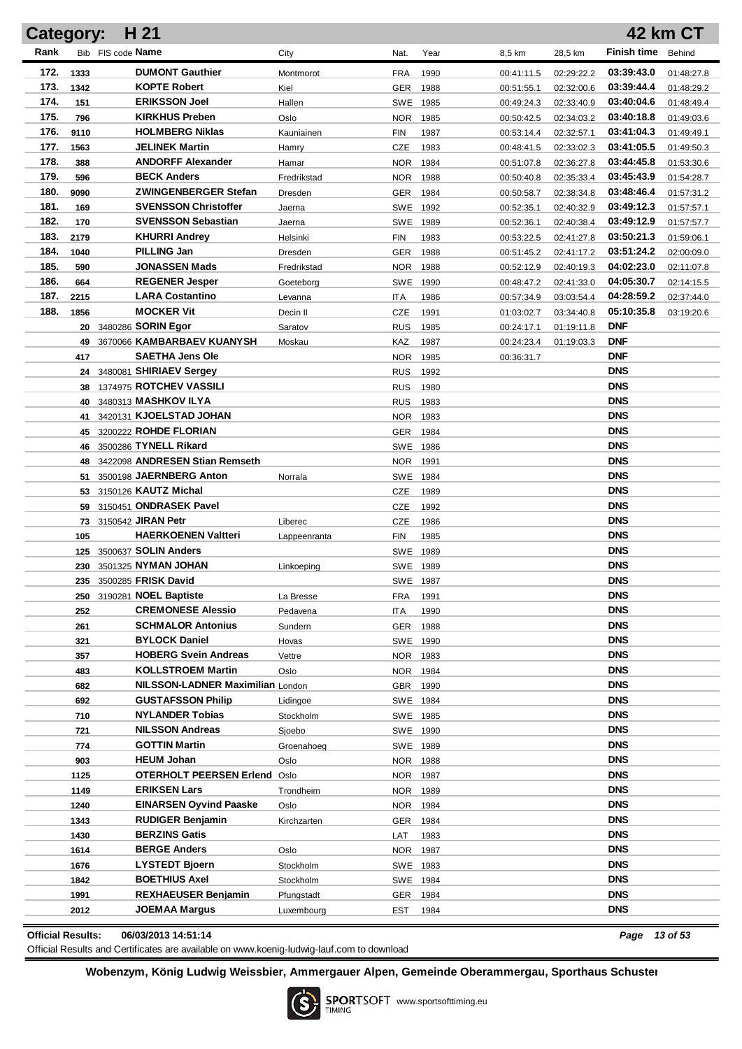|                          | H 21<br>42 km CT<br>Category: |                   |                                                  |                     |            |                      |                          |                          |                          |                          |
|--------------------------|-------------------------------|-------------------|--------------------------------------------------|---------------------|------------|----------------------|--------------------------|--------------------------|--------------------------|--------------------------|
| Rank                     |                               | Bib FIS code Name |                                                  | City                | Nat.       | Year                 | 8,5 km                   | 28,5 km                  | <b>Finish time</b>       | Behind                   |
| 172.                     | 1333                          |                   | <b>DUMONT Gauthier</b>                           | Montmorot           | <b>FRA</b> | 1990                 | 00:41:11.5               | 02:29:22.2               | 03:39:43.0               | 01:48:27.8               |
| 173.                     | 1342                          |                   | <b>KOPTE Robert</b>                              | Kiel                | <b>GER</b> | 1988                 | 00:51:55.1               | 02:32:00.6               | 03:39:44.4               | 01:48:29.2               |
| 174.                     | 151                           |                   | <b>ERIKSSON Joel</b>                             | Hallen              | SWE        | 1985                 | 00:49:24.3               | 02:33:40.9               | 03:40:04.6               | 01:48:49.4               |
| 175.                     | 796                           |                   | <b>KIRKHUS Preben</b>                            | Oslo                | NOR.       | 1985                 | 00:50:42.5               | 02:34:03.2               | 03:40:18.8               | 01:49:03.6               |
| 176.                     | 9110                          |                   | <b>HOLMBERG Niklas</b>                           | Kauniainen          | <b>FIN</b> | 1987                 | 00:53:14.4               | 02:32:57.1               | 03:41:04.3               | 01:49:49.1               |
| 177.                     | 1563                          |                   | <b>JELINEK Martin</b>                            | Hamry               | CZE        | 1983                 | 00:48:41.5               | 02:33:02.3               | 03:41:05.5               | 01:49:50.3               |
| 178.                     | 388                           |                   | <b>ANDORFF Alexander</b>                         | Hamar               | NOR.       | 1984                 | 00:51:07.8               | 02:36:27.8               | 03:44:45.8               | 01:53:30.6               |
| 179.                     | 596                           |                   | <b>BECK Anders</b>                               | Fredrikstad         | NOR.       | 1988                 | 00:50:40.8               | 02:35:33.4               | 03:45:43.9               | 01:54:28.7               |
| 180.                     | 9090                          |                   | <b>ZWINGENBERGER Stefan</b>                      | Dresden             | <b>GER</b> | 1984                 | 00:50:58.7               | 02:38:34.8               | 03:48:46.4               | 01:57:31.2               |
| 181.                     | 169                           |                   | <b>SVENSSON Christoffer</b>                      | Jaerna              | SWE        | 1992                 | 00:52:35.1               | 02:40:32.9               | 03:49:12.3               | 01:57:57.1               |
| 182.                     | 170                           |                   | <b>SVENSSON Sebastian</b>                        | Jaerna              | SWE        | 1989                 | 00:52:36.1               | 02:40:38.4               | 03:49:12.9               | 01:57:57.7               |
| 183.                     | 2179                          |                   | <b>KHURRI Andrey</b>                             | Helsinki            | <b>FIN</b> | 1983                 | 00:53:22.5               | 02:41:27.8               | 03:50:21.3               | 01:59:06.1               |
| 184.                     | 1040                          |                   | <b>PILLING Jan</b>                               | Dresden             | <b>GER</b> | 1988                 | 00:51:45.2               | 02:41:17.2               | 03:51:24.2               | 02:00:09.0               |
| 185.                     | 590                           |                   | <b>JONASSEN Mads</b>                             | Fredrikstad         | NOR.       | 1988                 | 00:52:12.9               | 02:40:19.3               | 04:02:23.0               | 02:11:07.8               |
| 186.<br>187.             | 664                           |                   | <b>REGENER Jesper</b><br><b>LARA Costantino</b>  | Goeteborg           | SWE        | 1990                 | 00:48:47.2               | 02:41:33.0               | 04:05:30.7<br>04:28:59.2 | 02:14:15.5               |
| 188.                     | 2215<br>1856                  |                   | <b>MOCKER Vit</b>                                | Levanna<br>Decin II | ITA<br>CZE | 1986<br>1991         | 00:57:34.9<br>01:03:02.7 | 03:03:54.4<br>03:34:40.8 | 05:10:35.8               | 02:37:44.0<br>03:19:20.6 |
|                          |                               |                   | 20 3480286 SORIN Egor                            | Saratov             | <b>RUS</b> | 1985                 | 00:24:17.1               | 01:19:11.8               | <b>DNF</b>               |                          |
|                          |                               |                   | 49 3670066 KAMBARBAEV KUANYSH                    | Moskau              | KAZ        | 1987                 | 00:24:23.4               | 01:19:03.3               | <b>DNF</b>               |                          |
|                          | 417                           |                   | <b>SAETHA Jens Ole</b>                           |                     | NOR.       | 1985                 | 00:36:31.7               |                          | DNF                      |                          |
|                          |                               |                   | 24 3480081 SHIRIAEV Sergey                       |                     | <b>RUS</b> | 1992                 |                          |                          | <b>DNS</b>               |                          |
|                          |                               |                   | 38 1374975 ROTCHEV VASSILI                       |                     | <b>RUS</b> | 1980                 |                          |                          | <b>DNS</b>               |                          |
|                          |                               |                   | 40 3480313 MASHKOV ILYA                          |                     | <b>RUS</b> | 1983                 |                          |                          | <b>DNS</b>               |                          |
|                          | 41                            |                   | 3420131 KJOELSTAD JOHAN                          |                     |            | NOR 1983             |                          |                          | <b>DNS</b>               |                          |
|                          |                               |                   | 45 3200222 ROHDE FLORIAN                         |                     | GER        | 1984                 |                          |                          | <b>DNS</b>               |                          |
|                          |                               |                   | 46 3500286 TYNELL Rikard                         |                     |            | SWE 1986             |                          |                          | <b>DNS</b>               |                          |
|                          |                               |                   | 48 3422098 ANDRESEN Stian Remseth                |                     |            | NOR 1991             |                          |                          | <b>DNS</b>               |                          |
|                          |                               |                   | 51 3500198 JAERNBERG Anton                       | Norrala             |            | SWE 1984             |                          |                          | <b>DNS</b>               |                          |
|                          |                               |                   | 53 3150126 KAUTZ Michal                          |                     | <b>CZE</b> | 1989                 |                          |                          | <b>DNS</b>               |                          |
|                          |                               |                   | 59 3150451 ONDRASEK Pavel                        |                     | <b>CZE</b> | 1992                 |                          |                          | <b>DNS</b>               |                          |
|                          |                               |                   | 73 3150542 JIRAN Petr                            | Liberec             | <b>CZE</b> | 1986                 |                          |                          | <b>DNS</b>               |                          |
|                          | 105                           |                   | <b>HAERKOENEN Valtteri</b>                       | Lappeenranta        | FIN        | 1985                 |                          |                          | <b>DNS</b>               |                          |
|                          |                               |                   | 125 3500637 SOLIN Anders                         |                     |            | SWE 1989             |                          |                          | <b>DNS</b>               |                          |
|                          |                               |                   | 230 3501325 NYMAN JOHAN                          | Linkoeping          |            | SWE 1989             |                          |                          | <b>DNS</b>               |                          |
|                          |                               |                   | 235 3500285 FRISK David                          |                     |            | SWE 1987             |                          |                          | <b>DNS</b>               |                          |
|                          |                               |                   | 250 3190281 NOEL Baptiste                        | La Bresse           | <b>FRA</b> | 1991                 |                          |                          | <b>DNS</b>               |                          |
|                          | 252                           |                   | <b>CREMONESE Alessio</b>                         | Pedavena            | ITA        | 1990                 |                          |                          | <b>DNS</b>               |                          |
|                          | 261                           |                   | <b>SCHMALOR Antonius</b><br><b>BYLOCK Daniel</b> | Sundern             |            | GER 1988             |                          |                          | <b>DNS</b><br><b>DNS</b> |                          |
|                          | 321                           |                   | <b>HOBERG Svein Andreas</b>                      | Hovas               |            | SWE 1990             |                          |                          | <b>DNS</b>               |                          |
|                          | 357<br>483                    |                   | <b>KOLLSTROEM Martin</b>                         | Vettre<br>Oslo      |            | NOR 1983<br>NOR 1984 |                          |                          | <b>DNS</b>               |                          |
|                          | 682                           |                   | NILSSON-LADNER Maximilian London                 |                     |            | GBR 1990             |                          |                          | <b>DNS</b>               |                          |
|                          | 692                           |                   | <b>GUSTAFSSON Philip</b>                         | Lidingoe            |            | SWE 1984             |                          |                          | <b>DNS</b>               |                          |
|                          | 710                           |                   | <b>NYLANDER Tobias</b>                           | Stockholm           |            | SWE 1985             |                          |                          | <b>DNS</b>               |                          |
|                          | 721                           |                   | <b>NILSSON Andreas</b>                           | Sjoebo              |            | SWE 1990             |                          |                          | <b>DNS</b>               |                          |
|                          | 774                           |                   | <b>GOTTIN Martin</b>                             | Groenahoeg          |            | SWE 1989             |                          |                          | <b>DNS</b>               |                          |
|                          | 903                           |                   | <b>HEUM Johan</b>                                | Oslo                |            | NOR 1988             |                          |                          | <b>DNS</b>               |                          |
|                          | 1125                          |                   | <b>OTERHOLT PEERSEN Erlend Oslo</b>              |                     |            | NOR 1987             |                          |                          | <b>DNS</b>               |                          |
|                          | 1149                          |                   | <b>ERIKSEN Lars</b>                              | Trondheim           |            | NOR 1989             |                          |                          | <b>DNS</b>               |                          |
|                          | 1240                          |                   | <b>EINARSEN Oyvind Paaske</b>                    | Oslo                |            | NOR 1984             |                          |                          | <b>DNS</b>               |                          |
|                          | 1343                          |                   | <b>RUDIGER Benjamin</b>                          | Kirchzarten         | GER        | 1984                 |                          |                          | <b>DNS</b>               |                          |
|                          | 1430                          |                   | <b>BERZINS Gatis</b>                             |                     | LAT        | 1983                 |                          |                          | <b>DNS</b>               |                          |
|                          | 1614                          |                   | <b>BERGE Anders</b>                              | Oslo                |            | NOR 1987             |                          |                          | <b>DNS</b>               |                          |
|                          | 1676                          |                   | <b>LYSTEDT Bjoern</b>                            | Stockholm           |            | SWE 1983             |                          |                          | <b>DNS</b>               |                          |
|                          | 1842                          |                   | <b>BOETHIUS Axel</b>                             | Stockholm           |            | SWE 1984             |                          |                          | <b>DNS</b>               |                          |
|                          | 1991                          |                   | <b>REXHAEUSER Benjamin</b>                       | Pfungstadt          | GER        | 1984                 |                          |                          | <b>DNS</b>               |                          |
|                          | 2012                          |                   | JOEMAA Margus                                    | Luxembourg          | EST        | 1984                 |                          |                          | <b>DNS</b>               |                          |
| <b>Official Results:</b> |                               |                   | 06/03/2013 14:51:14                              |                     |            |                      |                          |                          |                          | Page 13 of 53            |

Official Results and Certificates are available on www.koenig-ludwig-lauf.com to download

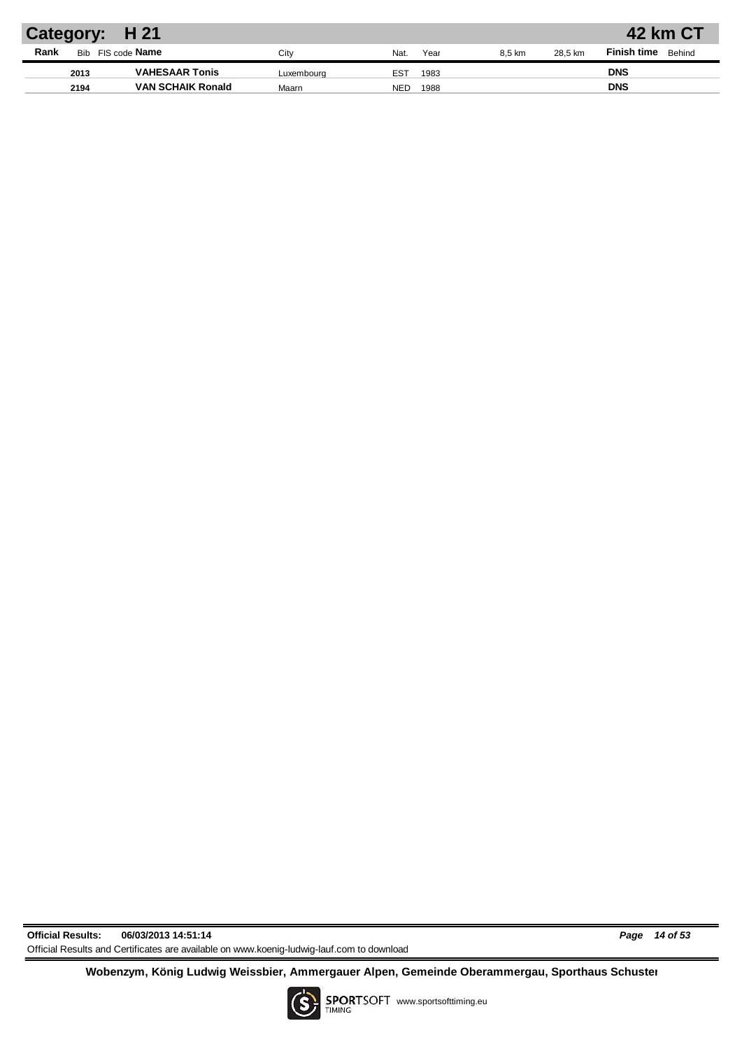| <b>Finish time</b><br>Behind<br>28.5 km<br>8.5 km |
|---------------------------------------------------|
| <b>DNS</b>                                        |
| <b>DNS</b>                                        |
|                                                   |

**Official Results: 06/03/2013 14:51:14** *Page 14 of 53* Official Results and Certificates are available on www.koenig-ludwig-lauf.com to download

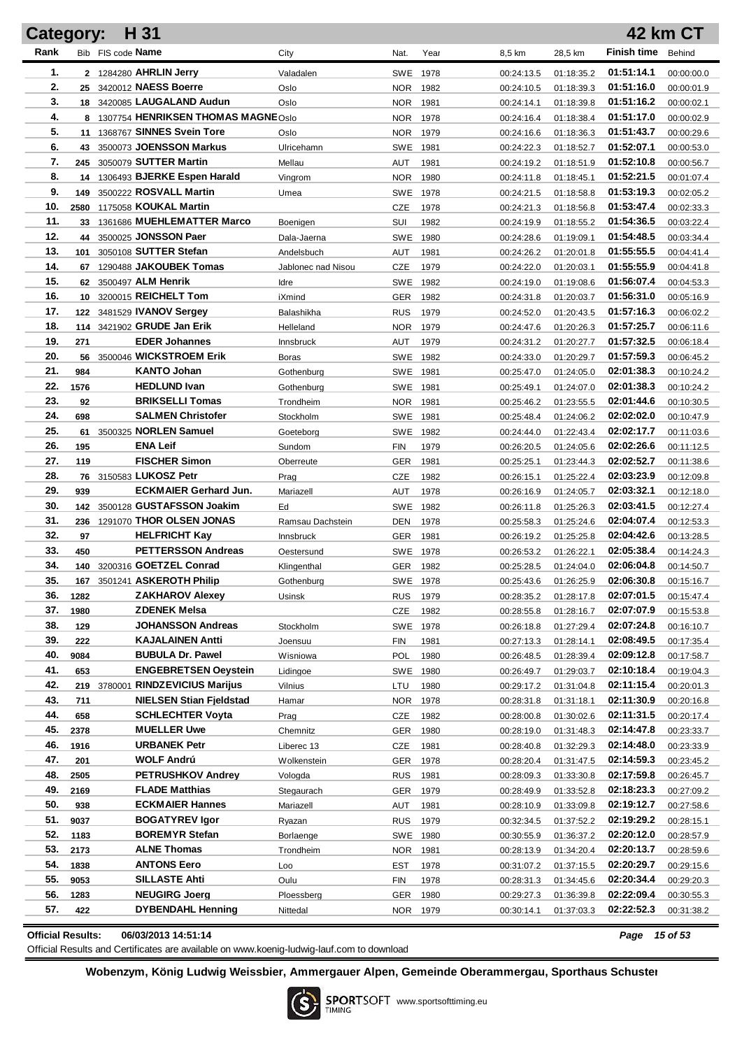| <b>Category:</b> |      | H 31                                            |                    |            |      |            |                          |                    | <b>42 km CT</b> |
|------------------|------|-------------------------------------------------|--------------------|------------|------|------------|--------------------------|--------------------|-----------------|
| Rank             |      | Bib FIS code Name                               | City               | Nat.       | Year | 8,5 km     | 28,5 km                  | <b>Finish time</b> | Behind          |
| 1.               |      | 2 1284280 AHRLIN Jerry                          | Valadalen          | SWE 1978   |      | 00:24:13.5 | 01:18:35.2               | 01:51:14.1         | 00:00:00.0      |
| 2.               |      | 25 3420012 NAESS Boerre                         | Oslo               | NOR.       | 1982 | 00:24:10.5 | 01:18:39.3               | 01:51:16.0         | 00:00:01.9      |
| 3.               |      | 18 3420085 LAUGALAND Audun                      | Oslo               | NOR.       | 1981 | 00:24:14.1 | 01:18:39.8               | 01:51:16.2         | 00:00:02.1      |
| 4.               |      | 8 1307754 HENRIKSEN THOMAS MAGNEOslo            |                    | NOR.       | 1978 | 00:24:16.4 | 01:18:38.4               | 01:51:17.0         | 00:00:02.9      |
| 5.               |      | 11 1368767 SINNES Svein Tore                    | Oslo               | NOR.       | 1979 | 00:24:16.6 | 01:18:36.3               | 01:51:43.7         | 00:00:29.6      |
| 6.               |      | 43 3500073 JOENSSON Markus                      | Ulricehamn         | SWE 1981   |      | 00:24:22.3 | 01:18:52.7               | 01:52:07.1         | 00:00:53.0      |
| 7.               | 245  | 3050079 SUTTER Martin                           | Mellau             | AUT        | 1981 | 00:24:19.2 | 01:18:51.9               | 01:52:10.8         | 00:00:56.7      |
| 8.               |      | 14 1306493 BJERKE Espen Harald                  | Vingrom            | <b>NOR</b> | 1980 | 00:24:11.8 | 01:18:45.1               | 01:52:21.5         | 00:01:07.4      |
| 9.               | 149  | 3500222 ROSVALL Martin                          | Umea               | SWE 1978   |      | 00:24:21.5 | 01:18:58.8               | 01:53:19.3         | 00:02:05.2      |
| 10.              | 2580 | 1175058 KOUKAL Martin                           |                    | CZE        | 1978 | 00:24:21.3 | 01:18:56.8               | 01:53:47.4         | 00:02:33.3      |
| 11.              | 33   | 1361686 MUEHLEMATTER Marco                      | Boenigen           | SUI        | 1982 | 00:24:19.9 | 01:18:55.2               | 01:54:36.5         | 00:03:22.4      |
| 12.              |      | 44 3500025 JONSSON Paer                         | Dala-Jaerna        | <b>SWE</b> | 1980 | 00:24:28.6 | 01:19:09.1               | 01:54:48.5         | 00:03:34.4      |
| 13.              | 101  | 3050108 SUTTER Stefan                           | Andelsbuch         | AUT        | 1981 | 00:24:26.2 | 01:20:01.8               | 01:55:55.5         | 00:04:41.4      |
| 14.              |      | 67 1290488 JAKOUBEK Tomas                       | Jablonec nad Nisou | CZE        | 1979 | 00:24:22.0 | 01:20:03.1               | 01:55:55.9         | 00:04:41.8      |
| 15.              |      | 62 3500497 ALM Henrik                           | Idre               | SWE        | 1982 | 00:24:19.0 | 01:19:08.6               | 01:56:07.4         | 00:04:53.3      |
| 16.              |      | 10 3200015 REICHELT Tom                         | iXmind             | GER        | 1982 | 00:24:31.8 | 01:20:03.7               | 01:56:31.0         | 00:05:16.9      |
| 17.              |      | 122 3481529 <b>IVANOV Sergey</b>                | Balashikha         | <b>RUS</b> | 1979 | 00:24:52.0 | 01:20:43.5               | 01:57:16.3         | 00:06:02.2      |
| 18.              |      | 114 3421902 GRUDE Jan Erik                      | Helleland          | NOR.       | 1979 | 00:24:47.6 | 01:20:26.3               | 01:57:25.7         | 00:06:11.6      |
| 19.              | 271  | <b>EDER Johannes</b>                            | Innsbruck          | AUT        | 1979 | 00:24:31.2 | 01:20:27.7               | 01:57:32.5         | 00:06:18.4      |
| 20.              | 56   | 3500046 WICKSTROEM Erik                         | Boras              | SWE 1982   |      | 00:24:33.0 | 01:20:29.7               | 01:57:59.3         | 00:06:45.2      |
| 21.              | 984  | <b>KANTO Johan</b>                              | Gothenburg         | SWE 1981   |      | 00:25:47.0 | 01:24:05.0               | 02:01:38.3         | 00:10:24.2      |
| 22.              | 1576 | <b>HEDLUND Ivan</b>                             | Gothenburg         | SWE 1981   |      | 00:25:49.1 | 01:24:07.0               | 02:01:38.3         | 00:10:24.2      |
| 23.              | 92   | <b>BRIKSELLI Tomas</b>                          | Trondheim          | <b>NOR</b> | 1981 | 00:25:46.2 | 01:23:55.5               | 02:01:44.6         | 00:10:30.5      |
| 24.              | 698  | <b>SALMEN Christofer</b>                        | Stockholm          | SWE 1981   |      | 00:25:48.4 | 01:24:06.2               | 02:02:02.0         | 00:10:47.9      |
| 25.              | 61   | 3500325 NORLEN Samuel                           | Goeteborg          | SWE 1982   |      | 00:24:44.0 | 01:22:43.4               | 02:02:17.7         | 00:11:03.6      |
| 26.              | 195  | <b>ENA Leif</b>                                 |                    |            |      |            | 01:24:05.6               | 02:02:26.6         |                 |
| 27.              | 119  | <b>FISCHER Simon</b>                            | Sundom             | <b>FIN</b> | 1979 | 00:26:20.5 |                          | 02:02:52.7         | 00:11:12.5      |
| 28.              |      | 76 3150583 LUKOSZ Petr                          | Oberreute          | GER        | 1981 | 00:25:25.1 | 01:23:44.3               | 02:03:23.9         | 00:11:38.6      |
| 29.              | 939  | <b>ECKMAIER Gerhard Jun.</b>                    | Prag               | <b>CZE</b> | 1982 | 00:26:15.1 | 01:25:22.4<br>01:24:05.7 | 02:03:32.1         | 00:12:09.8      |
| 30.              |      | 142 3500128 GUSTAFSSON Joakim                   | Mariazell<br>Ed    | AUT        | 1978 | 00:26:16.9 |                          | 02:03:41.5         | 00:12:18.0      |
| 31.              |      | 1291070 THOR OLSEN JONAS                        |                    | SWE        | 1982 | 00:26:11.8 | 01:25:26.3               | 02:04:07.4         | 00:12:27.4      |
| 32.              | 236  | <b>HELFRICHT Kay</b>                            | Ramsau Dachstein   | DEN        | 1978 | 00:25:58.3 | 01:25:24.6               | 02:04:42.6         | 00:12:53.3      |
| 33.              | 97   | <b>PETTERSSON Andreas</b>                       | Innsbruck          | <b>GER</b> | 1981 | 00:26:19.2 | 01:25:25.8               | 02:05:38.4         | 00:13:28.5      |
| 34.              | 450  | 140 3200316 GOETZEL Conrad                      | Oestersund         | SWE 1978   |      | 00:26:53.2 | 01:26:22.1               | 02:06:04.8         | 00:14:24.3      |
| 35.              |      | 167 3501241 ASKEROTH Philip                     | Klingenthal        | GER        | 1982 | 00:25:28.5 | 01:24:04.0               |                    | 00:14:50.7      |
|                  |      |                                                 | Gothenburg         | SWE 1978   |      | 00:25:43.6 | 01:26:25.9               | 02:06:30.8         | 00:15:16.7      |
| 36.              | 1282 | <b>ZAKHAROV Alexey</b>                          | Usinsk             | <b>RUS</b> | 1979 | 00:28:35.2 | 01:28:17.8               | 02:07:01.5         | 00:15:47.4      |
| 37.              | 1980 | <b>ZDENEK Melsa</b><br><b>JOHANSSON Andreas</b> |                    | CZE        | 1982 | 00:28:55.8 | 01:28:16.7               | 02:07:07.9         | 00:15:53.8      |
| 38.              | 129  |                                                 | Stockholm          | SWE 1978   |      | 00:26:18.8 | 01:27:29.4               | 02:07:24.8         | 00:16:10.7      |
| 39.              | 222  | <b>KAJALAINEN Antti</b>                         | Joensuu            | FIN        | 1981 | 00:27:13.3 | 01:28:14.1               | 02:08:49.5         | 00:17:35.4      |
| 40.              | 9084 | <b>BUBULA Dr. Pawel</b>                         | Wisniowa           | <b>POL</b> | 1980 | 00:26:48.5 | 01:28:39.4               | 02:09:12.8         | 00:17:58.7      |
| 41.              | 653  | <b>ENGEBRETSEN Oeystein</b>                     | Lidingoe           | SWE        | 1980 | 00:26:49.7 | 01:29:03.7               | 02:10:18.4         | 00:19:04.3      |
| 42.              |      | <b>RINDZEVICIUS Marijus</b><br>219 3780001      | Vilnius            | LTU        | 1980 | 00:29:17.2 | 01:31:04.8               | 02:11:15.4         | 00:20:01.3      |
| 43.              | 711  | <b>NIELSEN Stian Fjeldstad</b>                  | Hamar              | NOR        | 1978 | 00:28:31.8 | 01:31:18.1               | 02:11:30.9         | 00:20:16.8      |
| 44.              | 658  | <b>SCHLECHTER Voyta</b>                         | Prag               | CZE        | 1982 | 00:28:00.8 | 01:30:02.6               | 02:11:31.5         | 00:20:17.4      |
| 45.              | 2378 | <b>MUELLER Uwe</b>                              | Chemnitz           | <b>GER</b> | 1980 | 00:28:19.0 | 01:31:48.3               | 02:14:47.8         | 00:23:33.7      |
| 46.              | 1916 | <b>URBANEK Petr</b>                             | Liberec 13         | CZE        | 1981 | 00:28:40.8 | 01:32:29.3               | 02:14:48.0         | 00:23:33.9      |
| 47.              | 201  | WOLF Andrú                                      | Wolkenstein        | GER        | 1978 | 00:28:20.4 | 01:31:47.5               | 02:14:59.3         | 00:23:45.2      |
| 48.              | 2505 | <b>PETRUSHKOV Andrey</b>                        | Vologda            | <b>RUS</b> | 1981 | 00:28:09.3 | 01:33:30.8               | 02:17:59.8         | 00:26:45.7      |
| 49.              | 2169 | <b>FLADE Matthias</b>                           | Stegaurach         | <b>GER</b> | 1979 | 00:28:49.9 | 01:33:52.8               | 02:18:23.3         | 00:27:09.2      |
| 50.              | 938  | <b>ECKMAIER Hannes</b>                          | Mariazell          | AUT        | 1981 | 00:28:10.9 | 01:33:09.8               | 02:19:12.7         | 00:27:58.6      |
| 51.              | 9037 | <b>BOGATYREV Igor</b>                           | Ryazan             | <b>RUS</b> | 1979 | 00:32:34.5 | 01:37:52.2               | 02:19:29.2         | 00:28:15.1      |
| 52.              | 1183 | <b>BOREMYR Stefan</b>                           | Borlaenge          | SWE 1980   |      | 00:30:55.9 | 01:36:37.2               | 02:20:12.0         | 00:28:57.9      |
| 53.              | 2173 | <b>ALNE Thomas</b>                              | Trondheim          | NOR.       | 1981 | 00:28:13.9 | 01:34:20.4               | 02:20:13.7         | 00:28:59.6      |
| 54.              | 1838 | <b>ANTONS Eero</b>                              | Loo                | EST        | 1978 | 00:31:07.2 | 01:37:15.5               | 02:20:29.7         | 00:29:15.6      |
| 55.              | 9053 | <b>SILLASTE Ahti</b>                            | Oulu               | FIN        | 1978 | 00:28:31.3 | 01:34:45.6               | 02:20:34.4         | 00:29:20.3      |
| 56.              | 1283 | <b>NEUGIRG Joerg</b>                            | Ploessberg         | GER        | 1980 | 00:29:27.3 | 01:36:39.8               | 02:22:09.4         | 00:30:55.3      |
| 57.              | 422  | <b>DYBENDAHL Henning</b>                        | Nittedal           | NOR 1979   |      | 00:30:14.1 | 01:37:03.3               | 02:22:52.3         | 00:31:38.2      |
|                  |      |                                                 |                    |            |      |            |                          |                    |                 |

**Official Results: 06/03/2013 14:51:14** *Page 15 of 53*

Official Results and Certificates are available on www.koenig-ludwig-lauf.com to download

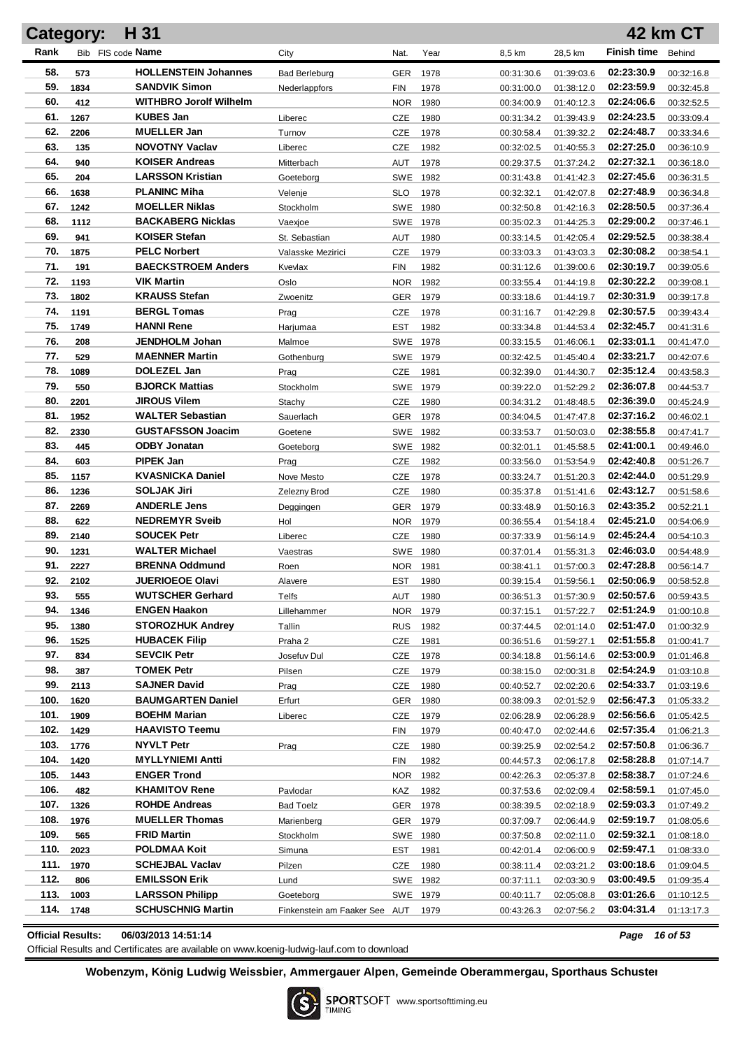| H 31<br>42 km CT<br>Category: |             |                                                  |                               |                          |              |                          |                          |                          |                          |
|-------------------------------|-------------|--------------------------------------------------|-------------------------------|--------------------------|--------------|--------------------------|--------------------------|--------------------------|--------------------------|
| Rank                          |             | Bib FIS code Name                                | City                          | Nat.                     | Year         | 8,5 km                   | 28,5 km                  | <b>Finish time</b>       | Behind                   |
| 58.                           | 573         | <b>HOLLENSTEIN Johannes</b>                      | <b>Bad Berleburg</b>          | <b>GER</b>               | 1978         | 00:31:30.6               | 01:39:03.6               | 02:23:30.9               | 00:32:16.8               |
| 59.                           | 1834        | <b>SANDVIK Simon</b>                             | Nederlappfors                 | FIN                      | 1978         | 00:31:00.0               | 01:38:12.0               | 02:23:59.9               | 00:32:45.8               |
| 60.                           | 412         | <b>WITHBRO Jorolf Wilhelm</b>                    |                               | <b>NOR</b>               | 1980         | 00:34:00.9               | 01:40:12.3               | 02:24:06.6               | 00:32:52.5               |
| 61.                           | 1267        | <b>KUBES Jan</b>                                 | Liberec                       | CZE                      | 1980         | 00:31:34.2               | 01:39:43.9               | 02:24:23.5               | 00:33:09.4               |
| 62.                           | 2206        | <b>MUELLER Jan</b>                               | Turnov                        | CZE                      | 1978         | 00:30:58.4               | 01:39:32.2               | 02:24:48.7               | 00:33:34.6               |
| 63.                           | 135         | <b>NOVOTNY Vaclav</b>                            | Liberec                       | CZE                      | 1982         | 00:32:02.5               | 01:40:55.3               | 02:27:25.0               | 00:36:10.9               |
| 64.                           | 940         | <b>KOISER Andreas</b>                            | Mitterbach                    | AUT                      | 1978         | 00:29:37.5               | 01:37:24.2               | 02:27:32.1               | 00:36:18.0               |
| 65.                           | 204         | <b>LARSSON Kristian</b>                          | Goeteborg                     | SWE                      | 1982         | 00:31:43.8               | 01:41:42.3               | 02:27:45.6               | 00:36:31.5               |
| 66.                           | 1638        | <b>PLANINC Miha</b>                              | Velenje                       | <b>SLO</b>               | 1978         | 00:32:32.1               | 01:42:07.8               | 02:27:48.9               | 00:36:34.8               |
| 67.                           | 1242        | <b>MOELLER Niklas</b>                            | Stockholm                     | SWE                      | 1980         | 00:32:50.8               | 01:42:16.3               | 02:28:50.5               | 00:37:36.4               |
| 68.                           | 1112        | <b>BACKABERG Nicklas</b>                         | Vaexjoe                       | SWE 1978                 |              | 00:35:02.3               | 01:44:25.3               | 02:29:00.2               | 00:37:46.1               |
| 69.                           | 941         | <b>KOISER Stefan</b>                             | St. Sebastian                 | AUT                      | 1980         | 00:33:14.5               | 01:42:05.4               | 02:29:52.5               | 00:38:38.4               |
| 70.<br>71.                    | 1875<br>191 | <b>PELC Norbert</b><br><b>BAECKSTROEM Anders</b> | Valasske Mezirici             | CZE<br><b>FIN</b>        | 1979<br>1982 | 00:33:03.3               | 01:43:03.3               | 02:30:08.2<br>02:30:19.7 | 00:38:54.1               |
| 72.                           | 1193        | <b>VIK Martin</b>                                | Kvevlax<br>Oslo               | <b>NOR</b>               | 1982         | 00:31:12.6<br>00:33:55.4 | 01:39:00.6<br>01:44:19.8 | 02:30:22.2               | 00:39:05.6<br>00:39:08.1 |
| 73.                           | 1802        | <b>KRAUSS Stefan</b>                             | Zwoenitz                      | <b>GER</b>               | 1979         | 00:33:18.6               | 01:44:19.7               | 02:30:31.9               | 00:39:17.8               |
| 74.                           | 1191        | <b>BERGL Tomas</b>                               | Prag                          | CZE                      | 1978         | 00:31:16.7               | 01:42:29.8               | 02:30:57.5               | 00:39:43.4               |
| 75.                           | 1749        | <b>HANNI Rene</b>                                | Harjumaa                      | EST                      | 1982         | 00:33:34.8               | 01:44:53.4               | 02:32:45.7               | 00:41:31.6               |
| 76.                           | 208         | JENDHOLM Johan                                   | Malmoe                        | SWE                      | 1978         | 00:33:15.5               | 01:46:06.1               | 02:33:01.1               | 00:41:47.0               |
| 77.                           | 529         | <b>MAENNER Martin</b>                            | Gothenburg                    | SWE 1979                 |              | 00:32:42.5               | 01:45:40.4               | 02:33:21.7               | 00:42:07.6               |
| 78.                           | 1089        | DOLEZEL Jan                                      | Prag                          | CZE                      | 1981         | 00:32:39.0               | 01:44:30.7               | 02:35:12.4               | 00:43:58.3               |
| 79.                           | 550         | <b>BJORCK Mattias</b>                            | Stockholm                     | SWE                      | 1979         | 00:39:22.0               | 01:52:29.2               | 02:36:07.8               | 00:44:53.7               |
| 80.                           | 2201        | JIROUS Vilem                                     | Stachy                        | CZE                      | 1980         | 00:34:31.2               | 01:48:48.5               | 02:36:39.0               | 00:45:24.9               |
| 81.                           | 1952        | <b>WALTER Sebastian</b>                          | Sauerlach                     | GER                      | 1978         | 00:34:04.5               | 01:47:47.8               | 02:37:16.2               | 00:46:02.1               |
| 82.                           | 2330        | <b>GUSTAFSSON Joacim</b>                         | Goetene                       | <b>SWE</b>               | 1982         | 00:33:53.7               | 01:50:03.0               | 02:38:55.8               | 00:47:41.7               |
| 83.                           | 445         | <b>ODBY Jonatan</b>                              | Goeteborg                     | SWE                      | 1982         | 00:32:01.1               | 01:45:58.5               | 02:41:00.1               | 00:49:46.0               |
| 84.                           | 603         | PIPEK Jan                                        | Prag                          | CZE                      | 1982         | 00:33:56.0               | 01:53:54.9               | 02:42:40.8               | 00:51:26.7               |
| 85.                           | 1157        | <b>KVASNICKA Daniel</b>                          | Nove Mesto                    | CZE                      | 1978         | 00:33:24.7               | 01:51:20.3               | 02:42:44.0               | 00:51:29.9               |
| 86.                           | 1236        | <b>SOLJAK Jiri</b>                               | Zelezny Brod                  | CZE                      | 1980         | 00:35:37.8               | 01:51:41.6               | 02:43:12.7               | 00:51:58.6               |
| 87.                           | 2269        | <b>ANDERLE Jens</b>                              | Deggingen                     | GER                      | 1979         | 00:33:48.9               | 01:50:16.3               | 02:43:35.2               | 00:52:21.1               |
| 88.                           | 622         | <b>NEDREMYR Sveib</b>                            | Hol                           | <b>NOR</b>               | 1979         | 00:36:55.4               | 01:54:18.4               | 02:45:21.0               | 00:54:06.9               |
| 89.                           | 2140        | <b>SOUCEK Petr</b>                               | Liberec                       | CZE                      | 1980         | 00:37:33.9               | 01:56:14.9               | 02:45:24.4               | 00:54:10.3               |
| 90.                           | 1231        | <b>WALTER Michael</b>                            | Vaestras                      | <b>SWE</b>               | 1980         | 00:37:01.4               | 01:55:31.3               | 02:46:03.0               | 00:54:48.9               |
| 91.                           | 2227        | <b>BRENNA Oddmund</b>                            | Roen                          | <b>NOR</b>               | 1981         | 00:38:41.1               | 01:57:00.3               | 02:47:28.8               | 00:56:14.7               |
| 92.                           | 2102        | <b>JUERIOEOE Olavi</b>                           | Alavere                       | <b>EST</b>               | 1980         | 00:39:15.4               | 01:59:56.1               | 02:50:06.9               | 00:58:52.8               |
| 93.                           | 555         | <b>WUTSCHER Gerhard</b>                          | <b>Telfs</b>                  | AUT                      | 1980         | 00:36:51.3               | 01:57:30.9               | 02:50:57.6               | 00:59:43.5               |
| 94.                           | 1346        | <b>ENGEN Haakon</b>                              | Lillehammer                   | <b>NOR</b>               | 1979         | 00:37:15.1               | 01:57:22.7               | 02:51:24.9               | 01:00:10.8               |
| 95.<br>96.                    | 1380        | <b>STOROZHUK Andrey</b><br><b>HUBACEK Filip</b>  | Tallin                        | <b>RUS</b>               | 1982         | 00:37:44.5               | 02:01:14.0               | 02:51:47.0<br>02:51:55.8 | 01:00:32.9               |
| 97.                           | 1525        | <b>SEVCIK Petr</b>                               | Praha 2                       | <b>CZE</b>               | 1981         | 00:36:51.6               | 01:59:27.1               | 02:53:00.9               | 01:00:41.7               |
| 98.                           | 834<br>387  | <b>TOMEK Petr</b>                                | Josefuv Dul<br>Pilsen         | <b>CZE</b><br><b>CZE</b> | 1978<br>1979 | 00:34:18.8<br>00:38:15.0 | 01:56:14.6<br>02:00:31.8 | 02:54:24.9               | 01:01:46.8<br>01:03:10.8 |
| 99.                           | 2113        | <b>SAJNER David</b>                              | Prag                          | <b>CZE</b>               | 1980         | 00:40:52.7               | 02:02:20.6               | 02:54:33.7               | 01:03:19.6               |
| 100.                          | 1620        | <b>BAUMGARTEN Daniel</b>                         | Erfurt                        | <b>GER</b>               | 1980         | 00:38:09.3               | 02:01:52.9               | 02:56:47.3               | 01:05:33.2               |
| 101.                          | 1909        | <b>BOEHM Marian</b>                              | Liberec                       | CZE                      | 1979         | 02:06:28.9               | 02:06:28.9               | 02:56:56.6               | 01:05:42.5               |
| 102.                          | 1429        | <b>HAAVISTO Teemu</b>                            |                               | <b>FIN</b>               | 1979         | 00:40:47.0               | 02:02:44.6               | 02:57:35.4               | 01:06:21.3               |
| 103.                          | 1776        | <b>NYVLT Petr</b>                                | Prag                          | <b>CZE</b>               | 1980         | 00:39:25.9               | 02:02:54.2               | 02:57:50.8               | 01:06:36.7               |
| 104.                          | 1420        | <b>MYLLYNIEMI Antti</b>                          |                               | FIN                      | 1982         | 00:44:57.3               | 02:06:17.8               | 02:58:28.8               | 01:07:14.7               |
| 105.                          | 1443        | <b>ENGER Trond</b>                               |                               | <b>NOR</b>               | 1982         | 00:42:26.3               | 02:05:37.8               | 02:58:38.7               | 01:07:24.6               |
| 106.                          | 482         | <b>KHAMITOV Rene</b>                             | Pavlodar                      | KAZ                      | 1982         | 00:37:53.6               | 02:02:09.4               | 02:58:59.1               | 01:07:45.0               |
| 107.                          | 1326        | <b>ROHDE Andreas</b>                             | <b>Bad Toelz</b>              | <b>GER</b>               | 1978         | 00:38:39.5               | 02:02:18.9               | 02:59:03.3               | 01:07:49.2               |
| 108.                          | 1976        | <b>MUELLER Thomas</b>                            | Marienberg                    | <b>GER</b>               | 1979         | 00:37:09.7               | 02:06:44.9               | 02:59:19.7               | 01:08:05.6               |
| 109.                          | 565         | <b>FRID Martin</b>                               | Stockholm                     | SWE                      | 1980         | 00:37:50.8               | 02:02:11.0               | 02:59:32.1               | 01:08:18.0               |
| 110.                          | 2023        | POLDMAA Koit                                     | Simuna                        | EST                      | 1981         | 00:42:01.4               | 02:06:00.9               | 02:59:47.1               | 01:08:33.0               |
| 111.                          | 1970        | <b>SCHEJBAL Vaclav</b>                           | Pilzen                        | CZE                      | 1980         | 00:38:11.4               | 02:03:21.2               | 03:00:18.6               | 01:09:04.5               |
| 112.                          | 806         | <b>EMILSSON Erik</b>                             | Lund                          | SWE                      | 1982         | 00:37:11.1               | 02:03:30.9               | 03:00:49.5               | 01:09:35.4               |
| 113.                          | 1003        | <b>LARSSON Philipp</b>                           | Goeteborg                     | SWE 1979                 |              | 00:40:11.7               | 02:05:08.8               | 03:01:26.6               | 01:10:12.5               |
| 114.                          | 1748        | <b>SCHUSCHNIG Martin</b>                         | Finkenstein am Faaker See AUT |                          | 1979         | 00:43:26.3               | 02:07:56.2               | 03:04:31.4               | 01:13:17.3               |

**Official Results: 06/03/2013 14:51:14** *Page 16 of 53*

Official Results and Certificates are available on www.koenig-ludwig-lauf.com to download

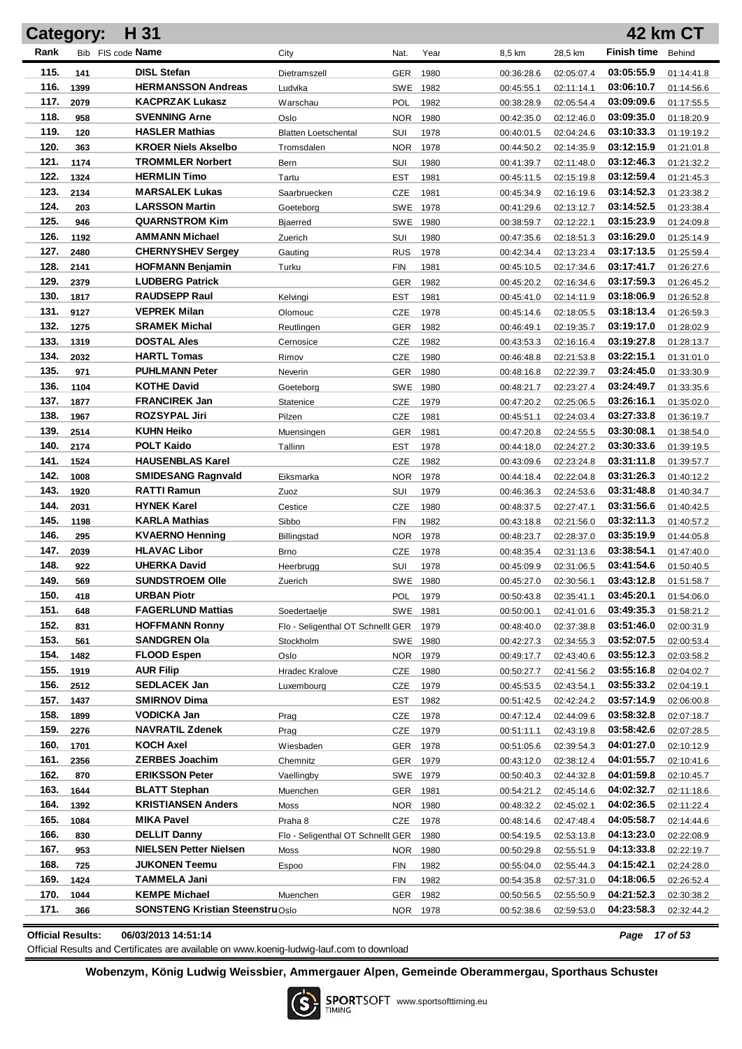|              | <b>Category:</b> | H 31                                          |                                        |                   |                  |                          |                          |                          | 42 km CT                 |
|--------------|------------------|-----------------------------------------------|----------------------------------------|-------------------|------------------|--------------------------|--------------------------|--------------------------|--------------------------|
| Rank         |                  | Bib FIS code Name                             | City                                   | Nat.              | Year             | 8,5 km                   | 28,5 km                  | <b>Finish time</b>       | Behind                   |
| 115.         | 141              | <b>DISL Stefan</b>                            | Dietramszell                           | <b>GER</b>        | 1980             | 00:36:28.6               | 02:05:07.4               | 03:05:55.9               | 01:14:41.8               |
| 116.         | 1399             | <b>HERMANSSON Andreas</b>                     | Ludvika                                | SWE               | 1982             | 00:45:55.1               | 02:11:14.1               | 03:06:10.7               | 01:14:56.6               |
| 117.         | 2079             | <b>KACPRZAK Lukasz</b>                        | Warschau                               | <b>POL</b>        | 1982             | 00:38:28.9               | 02:05:54.4               | 03:09:09.6               | 01:17:55.5               |
| 118.         | 958              | <b>SVENNING Arne</b>                          | Oslo                                   | <b>NOR</b>        | 1980             | 00:42:35.0               | 02:12:46.0               | 03:09:35.0               | 01:18:20.9               |
| 119.         | 120              | <b>HASLER Mathias</b>                         | <b>Blatten Loetschental</b>            | SUI               | 1978             | 00:40:01.5               | 02:04:24.6               | 03:10:33.3               | 01:19:19.2               |
| 120.         | 363              | <b>KROER Niels Akselbo</b>                    | Tromsdalen                             | <b>NOR</b>        | 1978             | 00:44:50.2               | 02:14:35.9               | 03:12:15.9               | 01:21:01.8               |
| 121.         | 1174             | <b>TROMMLER Norbert</b>                       | Bern                                   | SUI               | 1980             | 00:41:39.7               | 02:11:48.0               | 03:12:46.3               | 01:21:32.2               |
| 122.         | 1324             | <b>HERMLIN Timo</b>                           | Tartu                                  | <b>EST</b>        | 1981             | 00:45:11.5               | 02:15:19.8               | 03:12:59.4               | 01:21:45.3               |
| 123.         | 2134             | <b>MARSALEK Lukas</b>                         | Saarbruecken                           | CZE               | 1981             | 00:45:34.9               | 02:16:19.6               | 03:14:52.3               | 01:23:38.2               |
| 124.         | 203              | <b>LARSSON Martin</b>                         | Goeteborg                              | SWE               | 1978             | 00:41:29.6               | 02:13:12.7               | 03:14:52.5               | 01:23:38.4               |
| 125.         | 946              | <b>QUARNSTROM Kim</b>                         | <b>Bjaerred</b>                        | SWE               | 1980             | 00:38:59.7               | 02:12:22.1               | 03:15:23.9               | 01:24:09.8               |
| 126.         | 1192             | <b>AMMANN Michael</b>                         | Zuerich                                | SUI               | 1980             | 00:47:35.6               | 02:18:51.3               | 03:16:29.0               | 01:25:14.9               |
| 127.         | 2480             | <b>CHERNYSHEV Sergey</b>                      | Gauting                                | <b>RUS</b>        | 1978             | 00:42:34.4               | 02:13:23.4               | 03:17:13.5               | 01:25:59.4               |
| 128.         | 2141             | <b>HOFMANN Benjamin</b>                       | Turku                                  | <b>FIN</b>        | 1981             | 00:45:10.5               | 02:17:34.6               | 03:17:41.7               | 01:26:27.6               |
| 129.         | 2379             | <b>LUDBERG Patrick</b>                        |                                        | GER               | 1982             | 00:45:20.2               | 02:16:34.6               | 03:17:59.3               | 01:26:45.2               |
| 130.         | 1817             | <b>RAUDSEPP Raul</b>                          | Kelvingi                               | EST               | 1981             | 00:45:41.0               | 02:14:11.9               | 03:18:06.9               | 01:26:52.8               |
| 131.         | 9127             | <b>VEPREK Milan</b>                           | Olomouc                                | CZE               | 1978             | 00:45:14.6               | 02:18:05.5               | 03:18:13.4               | 01:26:59.3               |
| 132.         | 1275             | <b>SRAMEK Michal</b>                          | Reutlingen                             | GER               | 1982             | 00:46:49.1               | 02:19:35.7               | 03:19:17.0               | 01:28:02.9               |
| 133.         | 1319             | <b>DOSTAL Ales</b>                            | Cernosice                              | CZE               | 1982             | 00:43:53.3               | 02:16:16.4               | 03:19:27.8               | 01:28:13.7               |
| 134.         | 2032             | <b>HARTL Tomas</b>                            | Rimov                                  | <b>CZE</b>        | 1980             | 00:46:48.8               | 02:21:53.8               | 03:22:15.1               | 01:31:01.0               |
| 135.         | 971              | <b>PUHLMANN Peter</b>                         | Neverin                                | <b>GER</b>        | 1980             | 00:48:16.8               | 02:22:39.7               | 03:24:45.0               | 01:33:30.9               |
| 136.         | 1104             | <b>KOTHE David</b>                            | Goeteborg                              | SWE               | 1980             | 00:48:21.7               | 02:23:27.4               | 03:24:49.7               | 01:33:35.6               |
| 137.         | 1877             | <b>FRANCIREK Jan</b>                          | Statenice                              | <b>CZE</b>        | 1979             | 00:47:20.2               | 02:25:06.5               | 03:26:16.1               | 01:35:02.0               |
| 138.         | 1967             | <b>ROZSYPAL Jiri</b>                          | Pilzen                                 | <b>CZE</b>        | 1981             | 00:45:51.1               | 02:24:03.4               | 03:27:33.8               | 01:36:19.7               |
| 139.         | 2514             | <b>KUHN Heiko</b>                             | Muensingen                             | <b>GER</b>        | 1981             | 00:47:20.8               | 02:24:55.5               | 03:30:08.1               | 01:38:54.0               |
| 140.         | 2174             | <b>POLT Kaido</b>                             | Tallinn                                | <b>EST</b>        | 1978             | 00:44:18.0               | 02:24:27.2               | 03:30:33.6               | 01:39:19.5               |
| 141.         | 1524             | <b>HAUSENBLAS Karel</b>                       |                                        | <b>CZE</b>        | 1982             | 00:43:09.6               | 02:23:24.8               | 03:31:11.8               | 01:39:57.7               |
| 142.         | 1008             | <b>SMIDESANG Ragnvald</b>                     | Eiksmarka                              | <b>NOR</b>        | 1978             | 00:44:18.4               | 02:22:04.8               | 03:31:26.3               | 01:40:12.2               |
| 143.         | 1920             | <b>RATTI Ramun</b>                            | Zuoz                                   | SUI               | 1979             | 00:46:36.3               | 02:24:53.6               | 03:31:48.8               | 01:40:34.7               |
| 144.         | 2031             | <b>HYNEK Karel</b>                            | Cestice                                | <b>CZE</b>        | 1980             | 00:48:37.5               | 02:27:47.1               | 03:31:56.6               | 01:40:42.5               |
| 145.<br>146. | 1198             | <b>KARLA Mathias</b>                          | Sibbo                                  | <b>FIN</b>        | 1982             | 00:43:18.8               | 02:21:56.0               | 03:32:11.3               | 01:40:57.2               |
| 147.         | 295              | <b>KVAERNO Henning</b><br><b>HLAVAC Libor</b> | Billingstad                            | NOR.              | 1978             | 00:48:23.7               | 02:28:37.0               | 03:35:19.9<br>03:38:54.1 | 01:44:05.8               |
| 148.         | 2039<br>922      | <b>UHERKA David</b>                           | Brno<br>Heerbrugg                      | <b>CZE</b><br>SUI | 1978             | 00:48:35.4               | 02:31:13.6               | 03:41:54.6               | 01:47:40.0<br>01:50:40.5 |
| 149.         | 569              | <b>SUNDSTROEM Olle</b>                        |                                        |                   | 1978<br>SWE 1980 | 00:45:09.9               | 02:31:06.5<br>02:30:56.1 | 03:43:12.8               |                          |
| 150.         | 418              | <b>URBAN Piotr</b>                            | Zuerich                                |                   | POL 1979         | 00:45:27.0<br>00:50:43.8 | 02:35:41.1               | 03:45:20.1               | 01:51:58.7<br>01:54:06.0 |
| 151.         | 648              | <b>FAGERLUND Mattias</b>                      | Soedertaelje                           |                   | SWE 1981         | 00:50:00.1               | 02:41:01.6               | 03:49:35.3               | 01:58:21.2               |
| 152.         | 831              | <b>HOFFMANN Ronny</b>                         | Flo - Seligenthal OT Schnellt GER 1979 |                   |                  | 00:48:40.0               | 02:37:38.8               | 03:51:46.0               | 02:00:31.9               |
| 153.         | 561              | <b>SANDGREN Ola</b>                           | Stockholm                              |                   | SWE 1980         | 00:42:27.3               | 02:34:55.3               | 03:52:07.5               | 02:00:53.4               |
| 154.         | 1482             | <b>FLOOD Espen</b>                            | Oslo                                   |                   | NOR 1979         | 00:49:17.7               | 02:43:40.6               | 03:55:12.3               | 02:03:58.2               |
| 155.         | 1919             | <b>AUR Filip</b>                              | <b>Hradec Kralove</b>                  | <b>CZE</b>        | 1980             | 00:50:27.7               | 02:41:56.2               | 03:55:16.8               | 02:04:02.7               |
| 156.         | 2512             | <b>SEDLACEK Jan</b>                           | Luxembourg                             | <b>CZE</b>        | 1979             | 00:45:53.5               | 02:43:54.1               | 03:55:33.2               | 02:04:19.1               |
| 157.         | 1437             | <b>SMIRNOV Dima</b>                           |                                        | <b>EST</b>        | 1982             | 00:51:42.5               | 02:42:24.2               | 03:57:14.9               | 02:06:00.8               |
| 158.         | 1899             | VODICKA Jan                                   | Prag                                   | <b>CZE</b>        | 1978             | 00:47:12.4               | 02:44:09.6               | 03:58:32.8               | 02:07:18.7               |
| 159.         | 2276             | <b>NAVRATIL Zdenek</b>                        | Prag                                   | <b>CZE</b>        | 1979             | 00:51:11.1               | 02:43:19.8               | 03:58:42.6               | 02:07:28.5               |
| 160.         | 1701             | <b>KOCH Axel</b>                              | Wiesbaden                              | GER               | 1978             | 00:51:05.6               | 02:39:54.3               | 04:01:27.0               | 02:10:12.9               |
| 161.         | 2356             | <b>ZERBES Joachim</b>                         | Chemnitz                               |                   | GER 1979         | 00:43:12.0               | 02:38:12.4               | 04:01:55.7               | 02:10:41.6               |
| 162.         | 870              | <b>ERIKSSON Peter</b>                         | Vaellingby                             |                   | SWE 1979         | 00:50:40.3               | 02:44:32.8               | 04:01:59.8               | 02:10:45.7               |
| 163.         | 1644             | <b>BLATT Stephan</b>                          | Muenchen                               |                   | GER 1981         | 00:54:21.2               | 02:45:14.6               | 04:02:32.7               | 02:11:18.6               |
| 164.         | 1392             | <b>KRISTIANSEN Anders</b>                     | Moss                                   | <b>NOR</b>        | 1980             | 00:48:32.2               | 02:45:02.1               | 04:02:36.5               | 02:11:22.4               |
| 165.         | 1084             | <b>MIKA Pavel</b>                             | Praha 8                                | CZE               | 1978             | 00:48:14.6               | 02:47:48.4               | 04:05:58.7               | 02:14:44.6               |
| 166.         | 830              | <b>DELLIT Danny</b>                           | Flo - Seligenthal OT Schnellt GER      |                   | 1980             | 00:54:19.5               | 02:53:13.8               | 04:13:23.0               | 02:22:08.9               |
| 167.         | 953              | <b>NIELSEN Petter Nielsen</b>                 | Moss                                   | NOR.              | 1980             | 00:50:29.8               | 02:55:51.9               | 04:13:33.8               | 02:22:19.7               |
| 168.         | 725              | <b>JUKONEN Teemu</b>                          | Espoo                                  | FIN               | 1982             | 00:55:04.0               | 02:55:44.3               | 04:15:42.1               | 02:24:28.0               |
| 169.         | 1424             | <b>TAMMELA Jani</b>                           |                                        | FIN               | 1982             | 00:54:35.8               | 02:57:31.0               | 04:18:06.5               | 02:26:52.4               |
| 170.         | 1044             | <b>KEMPE Michael</b>                          | Muenchen                               | GER               | 1982             | 00:50:56.5               | 02:55:50.9               | 04:21:52.3               | 02:30:38.2               |
| 171.         | 366              | <b>SONSTENG Kristian SteenstruOslo</b>        |                                        |                   | NOR 1978         | 00:52:38.6               | 02:59:53.0               | 04:23:58.3               | 02:32:44.2               |
|              |                  |                                               |                                        |                   |                  |                          |                          |                          |                          |

**Official Results: 06/03/2013 14:51:14** *Page 17 of 53*

Official Results and Certificates are available on www.koenig-ludwig-lauf.com to download

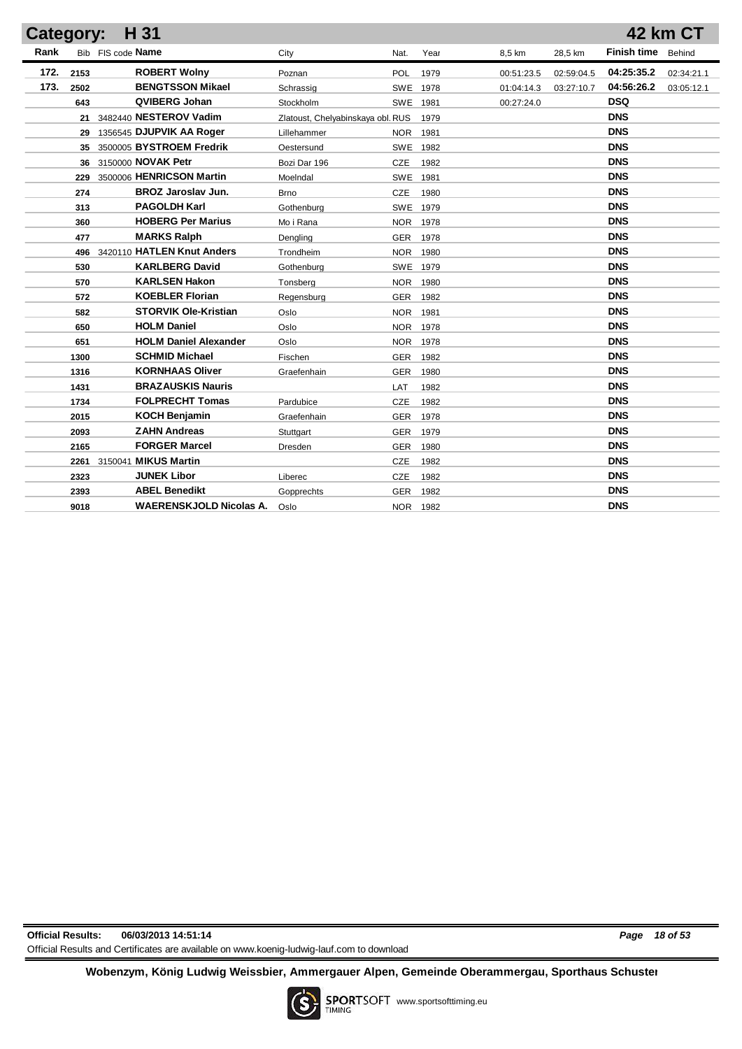| Category: |      | H 31                           |                                   |            |      |            |            |                    | <b>42 km CT</b> |
|-----------|------|--------------------------------|-----------------------------------|------------|------|------------|------------|--------------------|-----------------|
| Rank      |      | Bib FIS code Name              | City                              | Nat.       | Year | 8,5 km     | 28,5 km    | <b>Finish time</b> | Behind          |
| 172.      | 2153 | <b>ROBERT Wolny</b>            | Poznan                            | <b>POL</b> | 1979 | 00:51:23.5 | 02:59:04.5 | 04:25:35.2         | 02:34:21.1      |
| 173.      | 2502 | <b>BENGTSSON Mikael</b>        | Schrassig                         | SWE 1978   |      | 01:04:14.3 | 03:27:10.7 | 04:56:26.2         | 03:05:12.1      |
|           | 643  | QVIBERG Johan                  | Stockholm                         | SWE        | 1981 | 00:27:24.0 |            | <b>DSQ</b>         |                 |
|           |      | 21 3482440 NESTEROV Vadim      | Zlatoust, Chelyabinskaya obl. RUS |            | 1979 |            |            | <b>DNS</b>         |                 |
|           | 29   | 1356545 DJUPVIK AA Roger       | Lillehammer                       | <b>NOR</b> | 1981 |            |            | <b>DNS</b>         |                 |
|           |      | 35 3500005 BYSTROEM Fredrik    | Oestersund                        | <b>SWE</b> | 1982 |            |            | <b>DNS</b>         |                 |
|           |      | 36 3150000 NOVAK Petr          | Bozi Dar 196                      | CZE        | 1982 |            |            | <b>DNS</b>         |                 |
|           | 229  | 3500006 HENRICSON Martin       | MoeIndal                          | <b>SWE</b> | 1981 |            |            | <b>DNS</b>         |                 |
|           | 274  | <b>BROZ Jaroslav Jun.</b>      | Brno                              | CZE        | 1980 |            |            | <b>DNS</b>         |                 |
|           | 313  | <b>PAGOLDH Karl</b>            | Gothenburg                        | <b>SWE</b> | 1979 |            |            | <b>DNS</b>         |                 |
|           | 360  | <b>HOBERG Per Marius</b>       | Mo i Rana                         | <b>NOR</b> | 1978 |            |            | <b>DNS</b>         |                 |
|           | 477  | <b>MARKS Ralph</b>             | Dengling                          | <b>GER</b> | 1978 |            |            | <b>DNS</b>         |                 |
|           | 496  | 3420110 HATLEN Knut Anders     | Trondheim                         | <b>NOR</b> | 1980 |            |            | <b>DNS</b>         |                 |
|           | 530  | <b>KARLBERG David</b>          | Gothenburg                        | SWE 1979   |      |            |            | <b>DNS</b>         |                 |
|           | 570  | <b>KARLSEN Hakon</b>           | Tonsberg                          | <b>NOR</b> | 1980 |            |            | <b>DNS</b>         |                 |
|           | 572  | <b>KOEBLER Florian</b>         | Regensburg                        | <b>GER</b> | 1982 |            |            | <b>DNS</b>         |                 |
|           | 582  | <b>STORVIK Ole-Kristian</b>    | Oslo                              | <b>NOR</b> | 1981 |            |            | <b>DNS</b>         |                 |
|           | 650  | <b>HOLM Daniel</b>             | Oslo                              | <b>NOR</b> | 1978 |            |            | <b>DNS</b>         |                 |
|           | 651  | <b>HOLM Daniel Alexander</b>   | Oslo                              | <b>NOR</b> | 1978 |            |            | <b>DNS</b>         |                 |
|           | 1300 | <b>SCHMID Michael</b>          | Fischen                           | <b>GER</b> | 1982 |            |            | <b>DNS</b>         |                 |
|           | 1316 | <b>KORNHAAS Oliver</b>         | Graefenhain                       | <b>GER</b> | 1980 |            |            | <b>DNS</b>         |                 |
|           | 1431 | <b>BRAZAUSKIS Nauris</b>       |                                   | <b>LAT</b> | 1982 |            |            | <b>DNS</b>         |                 |
|           | 1734 | <b>FOLPRECHT Tomas</b>         | Pardubice                         | CZE        | 1982 |            |            | <b>DNS</b>         |                 |
|           | 2015 | <b>KOCH Benjamin</b>           | Graefenhain                       | <b>GER</b> | 1978 |            |            | <b>DNS</b>         |                 |
|           | 2093 | <b>ZAHN Andreas</b>            | Stuttgart                         | <b>GER</b> | 1979 |            |            | <b>DNS</b>         |                 |
|           | 2165 | <b>FORGER Marcel</b>           | <b>Dresden</b>                    | <b>GER</b> | 1980 |            |            | <b>DNS</b>         |                 |
|           |      | 2261 3150041 MIKUS Martin      |                                   | CZE        | 1982 |            |            | <b>DNS</b>         |                 |
|           | 2323 | <b>JUNEK Libor</b>             | Liberec                           | CZE        | 1982 |            |            | <b>DNS</b>         |                 |
|           | 2393 | <b>ABEL Benedikt</b>           | Gopprechts                        | <b>GER</b> | 1982 |            |            | <b>DNS</b>         |                 |
|           | 9018 | <b>WAERENSKJOLD Nicolas A.</b> | Oslo                              | NOR 1982   |      |            |            | <b>DNS</b>         |                 |
|           |      |                                |                                   |            |      |            |            |                    |                 |

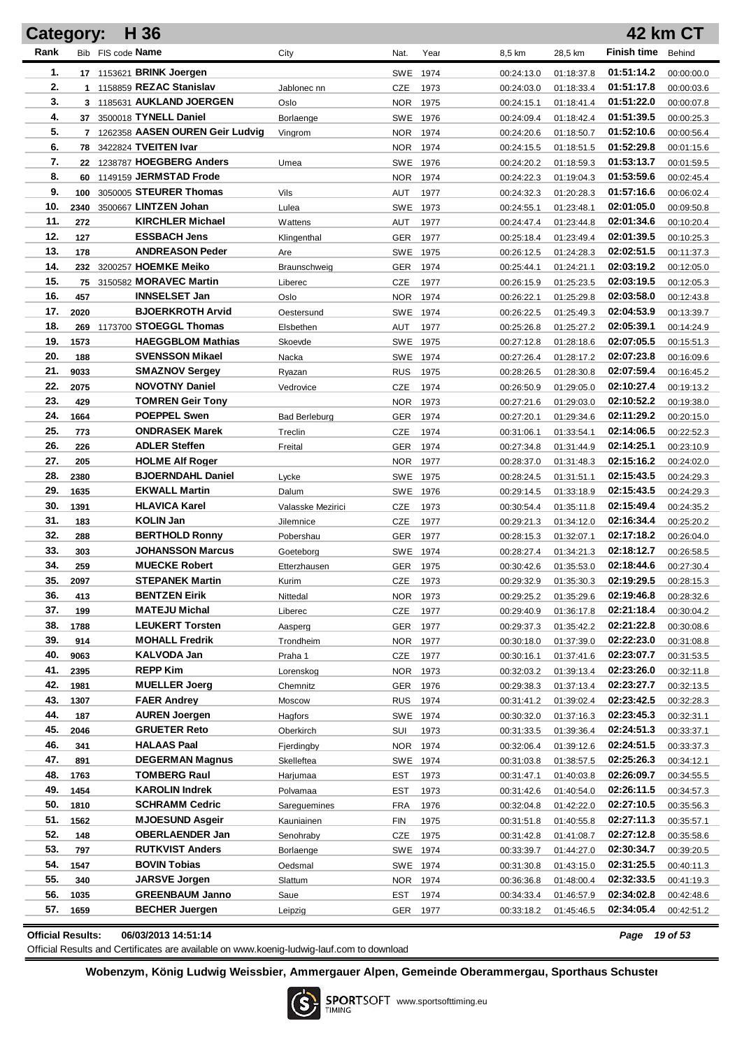| Category:  |             | H 36                                           |                          |                        |              |                          |                          |                          | <b>42 km CT</b>          |
|------------|-------------|------------------------------------------------|--------------------------|------------------------|--------------|--------------------------|--------------------------|--------------------------|--------------------------|
| Rank       |             | Bib FIS code Name                              | City                     | Nat.                   | Year         | 8,5 km                   | 28,5 km                  | <b>Finish time</b>       | Behind                   |
| 1.         |             | 17 1153621 BRINK Joergen                       |                          | SWE 1974               |              | 00:24:13.0               | 01:18:37.8               | 01:51:14.2               | 00:00:00.0               |
| 2.         |             | 1 1158859 REZAC Stanislav                      | Jablonec nn              | CZE                    | 1973         | 00:24:03.0               | 01:18:33.4               | 01:51:17.8               | 00:00:03.6               |
| 3.         |             | 3 1185631 AUKLAND JOERGEN                      | Oslo                     | NOR.                   | 1975         | 00:24:15.1               | 01:18:41.4               | 01:51:22.0               | 00:00:07.8               |
| 4.         |             | 37 3500018 TYNELL Daniel                       | Borlaenge                | SWE 1976               |              | 00:24:09.4               | 01:18:42.4               | 01:51:39.5               | 00:00:25.3               |
| 5.         |             | 7 1262358 AASEN OUREN Geir Ludvig              | Vingrom                  | NOR.                   | 1974         | 00:24:20.6               | 01:18:50.7               | 01:52:10.6               | 00:00:56.4               |
| 6.         |             | 78 3422824 TVEITEN Ivar                        |                          | NOR.                   | 1974         | 00:24:15.5               | 01:18:51.5               | 01:52:29.8               | 00:01:15.6               |
| 7.         | 22          | 1238787 HOEGBERG Anders                        | Umea                     | SWE 1976               |              | 00:24:20.2               | 01:18:59.3               | 01:53:13.7               | 00:01:59.5               |
| 8.         | 60          | 1149159 JERMSTAD Frode                         |                          | NOR.                   | 1974         | 00:24:22.3               | 01:19:04.3               | 01:53:59.6               | 00:02:45.4               |
| 9.         | 100         | 3050005 STEURER Thomas                         | Vils                     | AUT                    | 1977         | 00:24:32.3               | 01:20:28.3               | 01:57:16.6               | 00:06:02.4               |
| 10.        | 2340        | 3500667 LINTZEN Johan                          | Lulea                    | SWE                    | 1973         | 00:24:55.1               | 01:23:48.1               | 02:01:05.0               | 00:09:50.8               |
| 11.        | 272         | <b>KIRCHLER Michael</b>                        | Wattens                  | AUT                    | 1977         | 00:24:47.4               | 01:23:44.8               | 02:01:34.6               | 00:10:20.4               |
| 12.        | 127         | <b>ESSBACH Jens</b>                            | Klingenthal              | GER                    | 1977         | 00:25:18.4               | 01:23:49.4               | 02:01:39.5               | 00:10:25.3               |
| 13.        | 178         | <b>ANDREASON Peder</b>                         | Are                      | SWE 1975               |              | 00:26:12.5               | 01:24:28.3               | 02:02:51.5               | 00:11:37.3               |
| 14.        |             | 232 3200257 HOEMKE Meiko                       | Braunschweig             | GER                    | 1974         | 00:25:44.1               | 01:24:21.1               | 02:03:19.2               | 00:12:05.0               |
| 15.        | 75          | 3150582 MORAVEC Martin                         | Liberec                  | CZE                    | 1977         | 00:26:15.9               | 01:25:23.5               | 02:03:19.5               | 00:12:05.3               |
| 16.        | 457         | <b>INNSELSET Jan</b>                           | Oslo                     | NOR.                   | 1974         | 00:26:22.1               | 01:25:29.8               | 02:03:58.0               | 00:12:43.8               |
| 17.        | 2020        | <b>BJOERKROTH Arvid</b>                        | Oestersund               | SWE 1974               |              | 00:26:22.5               | 01:25:49.3               | 02:04:53.9               | 00:13:39.7               |
| 18.        | 269         | 1173700 STOEGGL Thomas                         | Elsbethen                | AUT                    | 1977         | 00:25:26.8               | 01:25:27.2               | 02:05:39.1               | 00:14:24.9               |
| 19.        | 1573        | <b>HAEGGBLOM Mathias</b>                       | Skoevde                  | SWE 1975               |              | 00:27:12.8               | 01:28:18.6               | 02:07:05.5               | 00:15:51.3               |
| 20.        | 188         | <b>SVENSSON Mikael</b>                         | Nacka                    | SWE 1974               |              | 00:27:26.4               | 01:28:17.2               | 02:07:23.8               | 00:16:09.6               |
| 21.<br>22. | 9033        | <b>SMAZNOV Sergey</b>                          | Ryazan                   | <b>RUS</b>             | 1975         | 00:28:26.5               | 01:28:30.8               | 02:07:59.4               | 00:16:45.2               |
| 23.        | 2075        | <b>NOVOTNY Daniel</b>                          | Vedrovice                | <b>CZE</b>             | 1974         | 00:26:50.9               | 01:29:05.0               | 02:10:27.4<br>02:10:52.2 | 00:19:13.2               |
| 24.        | 429<br>1664 | <b>TOMREN Geir Tony</b><br><b>POEPPEL Swen</b> |                          | NOR.                   | 1973         | 00:27:21.6               | 01:29:03.0               | 02:11:29.2               | 00:19:38.0               |
| 25.        | 773         | <b>ONDRASEK Marek</b>                          | Bad Berleburg<br>Treclin | GER<br><b>CZE</b>      | 1974<br>1974 | 00:27:20.1               | 01:29:34.6               | 02:14:06.5               | 00:20:15.0               |
| 26.        | 226         | <b>ADLER Steffen</b>                           | Freital                  | GER                    | 1974         | 00:31:06.1<br>00:27:34.8 | 01:33:54.1<br>01:31:44.9 | 02:14:25.1               | 00:22:52.3<br>00:23:10.9 |
| 27.        | 205         | <b>HOLME Alf Roger</b>                         |                          | NOR.                   | 1977         | 00:28:37.0               | 01:31:48.3               | 02:15:16.2               | 00:24:02.0               |
| 28.        | 2380        | <b>BJOERNDAHL Daniel</b>                       | Lycke                    | SWE 1975               |              | 00:28:24.5               | 01:31:51.1               | 02:15:43.5               | 00:24:29.3               |
| 29.        | 1635        | <b>EKWALL Martin</b>                           | Dalum                    | SWE 1976               |              | 00:29:14.5               | 01:33:18.9               | 02:15:43.5               | 00:24:29.3               |
| 30.        | 1391        | <b>HLAVICA Karel</b>                           | Valasske Mezirici        | <b>CZE</b>             | 1973         | 00:30:54.4               | 01:35:11.8               | 02:15:49.4               | 00:24:35.2               |
| 31.        | 183         | <b>KOLIN Jan</b>                               | Jilemnice                | <b>CZE</b>             | 1977         | 00:29:21.3               | 01:34:12.0               | 02:16:34.4               | 00:25:20.2               |
| 32.        | 288         | <b>BERTHOLD Ronny</b>                          | Pobershau                | <b>GER</b>             | 1977         | 00:28:15.3               | 01:32:07.1               | 02:17:18.2               | 00:26:04.0               |
| 33.        | 303         | <b>JOHANSSON Marcus</b>                        | Goeteborg                | SWE 1974               |              | 00:28:27.4               | 01:34:21.3               | 02:18:12.7               | 00:26:58.5               |
| 34.        | 259         | <b>MUECKE Robert</b>                           | Etterzhausen             | GER                    | 1975         | 00:30:42.6               | 01:35:53.0               | 02:18:44.6               | 00:27:30.4               |
| 35.        | 2097        | <b>STEPANEK Martin</b>                         | Kurim                    | CZE                    | 1973         | 00:29:32.9               | 01:35:30.3               | 02:19:29.5               | 00:28:15.3               |
| 36.        | 413         | <b>BENTZEN Eirik</b>                           | Nittedal                 | NOR 1973               |              | 00:29:25.2               | 01:35:29.6               | 02:19:46.8               | 00:28:32.6               |
| 37.        | 199         | <b>MATEJU Michal</b>                           | Liberec                  | CZE                    | 1977         | 00:29:40.9               | 01:36:17.8               | 02:21:18.4               | 00:30:04.2               |
| 38.        | 1788        | <b>LEUKERT Torsten</b>                         | Aasperg                  | <b>GER</b>             | 1977         | 00:29:37.3               | 01:35:42.2               | 02:21:22.8               | 00:30:08.6               |
| 39.        | 914         | <b>MOHALL Fredrik</b>                          | Trondheim                | NOR                    | 1977         | 00:30:18.0               | 01:37:39.0               | 02:22:23.0               | 00:31:08.8               |
| 40.        | 9063        | KALVODA Jan                                    | Praha 1                  | CZE                    | 1977         | 00:30:16.1               | 01:37:41.6               | 02:23:07.7               | 00:31:53.5               |
| 41.        | 2395        | <b>REPP Kim</b>                                | Lorenskog                | NOR                    | 1973         | 00:32:03.2               | 01:39:13.4               | 02:23:26.0<br>02:23:27.7 | 00:32:11.8               |
| 42.        | 1981        | <b>MUELLER Joerg</b>                           | Chemnitz                 | GER                    | 1976         | 00:29:38.3               | 01:37:13.4               |                          | 00:32:13.5               |
| 43.<br>44. | 1307<br>187 | <b>FAER Andrey</b><br><b>AUREN Joergen</b>     | Moscow<br>Hagfors        | <b>RUS</b><br>SWE 1974 | 1974         | 00:31:41.2<br>00:30:32.0 | 01:39:02.4<br>01:37:16.3 | 02:23:42.5<br>02:23:45.3 | 00:32:28.3               |
| 45.        | 2046        | <b>GRUETER Reto</b>                            | Oberkirch                | SUI                    | 1973         | 00:31:33.5               | 01:39:36.4               | 02:24:51.3               | 00:32:31.1               |
| 46.        | 341         | <b>HALAAS Paal</b>                             | Fjerdingby               | NOR                    | 1974         | 00:32:06.4               | 01:39:12.6               | 02:24:51.5               | 00:33:37.1<br>00:33:37.3 |
| 47.        | 891         | <b>DEGERMAN Magnus</b>                         | Skelleftea               | SWE 1974               |              | 00:31:03.8               | 01:38:57.5               | 02:25:26.3               | 00:34:12.1               |
| 48.        | 1763        | <b>TOMBERG Raul</b>                            | Harjumaa                 | EST                    | 1973         | 00:31:47.1               | 01:40:03.8               | 02:26:09.7               | 00:34:55.5               |
| 49.        | 1454        | <b>KAROLIN Indrek</b>                          | Polvamaa                 | <b>EST</b>             | 1973         | 00:31:42.6               | 01:40:54.0               | 02:26:11.5               | 00:34:57.3               |
| 50.        | 1810        | <b>SCHRAMM Cedric</b>                          | Sareguemines             | <b>FRA</b>             | 1976         | 00:32:04.8               | 01:42:22.0               | 02:27:10.5               | 00:35:56.3               |
| 51.        | 1562        | <b>MJOESUND Asgeir</b>                         | Kauniainen               | FIN                    | 1975         | 00:31:51.8               | 01:40:55.8               | 02:27:11.3               | 00:35:57.1               |
| 52.        | 148         | <b>OBERLAENDER Jan</b>                         | Senohraby                | CZE                    | 1975         | 00:31:42.8               | 01:41:08.7               | 02:27:12.8               | 00:35:58.6               |
| 53.        | 797         | <b>RUTKVIST Anders</b>                         | Borlaenge                | SWE 1974               |              | 00:33:39.7               | 01:44:27.0               | 02:30:34.7               | 00:39:20.5               |
| 54.        | 1547        | <b>BOVIN Tobias</b>                            | Oedsmal                  | SWE 1974               |              | 00:31:30.8               | 01:43:15.0               | 02:31:25.5               | 00:40:11.3               |
| 55.        | 340         | <b>JARSVE Jorgen</b>                           | Slattum                  | NOR 1974               |              | 00:36:36.8               | 01:48:00.4               | 02:32:33.5               | 00:41:19.3               |
| 56.        | 1035        | <b>GREENBAUM Janno</b>                         | Saue                     | EST                    | 1974         | 00:34:33.4               | 01:46:57.9               | 02:34:02.8               | 00:42:48.6               |
| 57.        | 1659        | <b>BECHER Juergen</b>                          | Leipzig                  | <b>GER</b>             | 1977         | 00:33:18.2               | 01:45:46.5               | 02:34:05.4               | 00:42:51.2               |
|            |             |                                                |                          |                        |              |                          |                          |                          |                          |

**Official Results: 06/03/2013 14:51:14** *Page 19 of 53*

Official Results and Certificates are available on www.koenig-ludwig-lauf.com to download

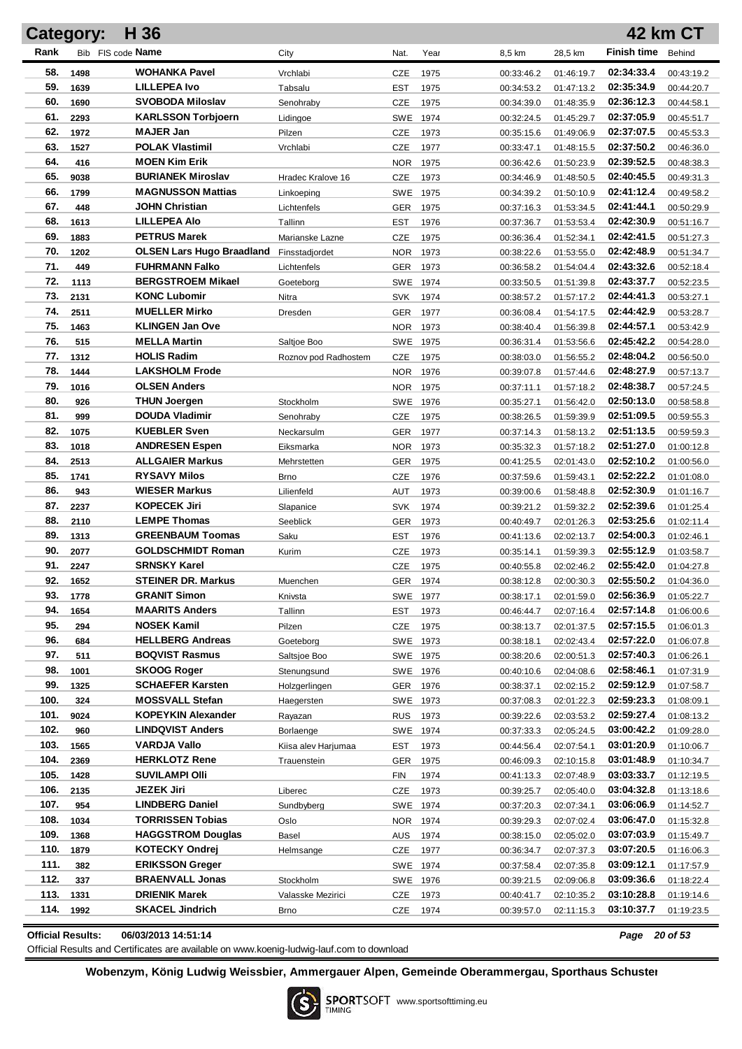|            | <b>Category:</b> | H 36                                        |                      |                   |              |                          |                          |                          | <b>42 km CT</b>          |
|------------|------------------|---------------------------------------------|----------------------|-------------------|--------------|--------------------------|--------------------------|--------------------------|--------------------------|
| Rank       |                  | Bib FIS code Name                           | City                 | Nat.              | Year         | 8,5 km                   | 28,5 km                  | <b>Finish time</b>       | Behind                   |
| 58.        | 1498             | WOHANKA Pavel                               | Vrchlabi             | CZE               | 1975         | 00:33:46.2               | 01:46:19.7               | 02:34:33.4               | 00:43:19.2               |
| 59.        | 1639             | <b>LILLEPEA Ivo</b>                         | Tabsalu              | EST               | 1975         | 00:34:53.2               | 01:47:13.2               | 02:35:34.9               | 00:44:20.7               |
| 60.        | 1690             | <b>SVOBODA Miloslav</b>                     | Senohrabv            | CZE               | 1975         | 00:34:39.0               | 01:48:35.9               | 02:36:12.3               | 00:44:58.1               |
| 61.        | 2293             | <b>KARLSSON Torbjoern</b>                   | Lidingoe             | SWE               | 1974         | 00:32:24.5               | 01:45:29.7               | 02:37:05.9               | 00:45:51.7               |
| 62.        | 1972             | MAJER Jan                                   | Pilzen               | CZE               | 1973         | 00:35:15.6               | 01:49:06.9               | 02:37:07.5               | 00:45:53.3               |
| 63.        | 1527             | <b>POLAK Vlastimil</b>                      | Vrchlabi             | CZE               | 1977         | 00:33:47.1               | 01:48:15.5               | 02:37:50.2               | 00:46:36.0               |
| 64.        | 416              | <b>MOEN Kim Erik</b>                        |                      | <b>NOR</b>        | 1975         | 00:36:42.6               | 01:50:23.9               | 02:39:52.5               | 00:48:38.3               |
| 65.        | 9038             | <b>BURIANEK Miroslav</b>                    | Hradec Kralove 16    | CZE               | 1973         | 00:34:46.9               | 01:48:50.5               | 02:40:45.5               | 00:49:31.3               |
| 66.        | 1799             | <b>MAGNUSSON Mattias</b>                    | Linkoeping           | SWE               | 1975         | 00:34:39.2               | 01:50:10.9               | 02:41:12.4               | 00:49:58.2               |
| 67.        | 448              | <b>JOHN Christian</b>                       | Lichtenfels          | GER               | 1975         | 00:37:16.3               | 01:53:34.5               | 02:41:44.1               | 00:50:29.9               |
| 68.        | 1613             | <b>LILLEPEA Alo</b>                         | Tallinn              | EST               | 1976         | 00:37:36.7               | 01:53:53.4               | 02:42:30.9               | 00:51:16.7               |
| 69.        | 1883             | <b>PETRUS Marek</b>                         | Marianske Lazne      | CZE               | 1975         | 00:36:36.4               | 01:52:34.1               | 02:42:41.5               | 00:51:27.3               |
| 70.        | 1202             | <b>OLSEN Lars Hugo Braadland</b>            | Finsstadjordet       | <b>NOR</b>        | 1973         | 00:38:22.6               | 01:53:55.0               | 02:42:48.9               | 00:51:34.7               |
| 71.        | 449              | <b>FUHRMANN Falko</b>                       | Lichtenfels          | GER               | 1973         | 00:36:58.2               | 01:54:04.4               | 02:43:32.6               | 00:52:18.4               |
| 72.        | 1113             | <b>BERGSTROEM Mikael</b>                    | Goeteborg            | SWE               | 1974         | 00:33:50.5               | 01:51:39.8               | 02:43:37.7               | 00:52:23.5               |
| 73.        | 2131             | <b>KONC Lubomir</b>                         | Nitra                | SVK               | 1974         | 00:38:57.2               | 01:57:17.2               | 02:44:41.3               | 00:53:27.1               |
| 74.        | 2511             | <b>MUELLER Mirko</b>                        | Dresden              | GER               | 1977         | 00:36:08.4               | 01:54:17.5               | 02:44:42.9               | 00:53:28.7               |
| 75.        | 1463             | <b>KLINGEN Jan Ove</b>                      |                      | <b>NOR</b>        | 1973         | 00:38:40.4               | 01:56:39.8               | 02:44:57.1               | 00:53:42.9               |
| 76.        | 515              | <b>MELLA Martin</b>                         | Saltioe Boo          | SWE               | 1975         | 00:36:31.4               | 01:53:56.6               | 02:45:42.2               | 00:54:28.0               |
| 77.        | 1312             | <b>HOLIS Radim</b>                          | Roznov pod Radhostem | <b>CZE</b>        | 1975         | 00:38:03.0               | 01:56:55.2               | 02:48:04.2               | 00:56:50.0               |
| 78.        | 1444             | <b>LAKSHOLM Frode</b>                       |                      | <b>NOR</b>        | 1976         | 00:39:07.8               | 01:57:44.6               | 02:48:27.9               | 00:57:13.7               |
| 79.        | 1016             | <b>OLSEN Anders</b>                         |                      | <b>NOR</b>        | 1975         | 00:37:11.1               | 01:57:18.2               | 02:48:38.7               | 00:57:24.5               |
| 80.        | 926              | THUN Joergen                                | Stockholm            | SWE.              | 1976         | 00:35:27.1               | 01:56:42.0               | 02:50:13.0               | 00:58:58.8               |
| 81.        | 999              | <b>DOUDA Vladimir</b>                       | Senohraby            | CZE               | 1975         | 00:38:26.5               | 01:59:39.9               | 02:51:09.5               | 00:59:55.3               |
| 82.        | 1075             | <b>KUEBLER Sven</b>                         | Neckarsulm           | <b>GER</b>        | 1977         | 00:37:14.3               | 01:58:13.2               | 02:51:13.5               | 00:59:59.3               |
| 83.        | 1018             | <b>ANDRESEN Espen</b>                       | Eiksmarka            | <b>NOR</b>        | 1973         | 00:35:32.3               | 01:57:18.2               | 02:51:27.0               | 01:00:12.8               |
| 84.        | 2513             | <b>ALLGAIER Markus</b>                      | Mehrstetten          | GER               | 1975         | 00:41:25.5               | 02:01:43.0               | 02:52:10.2               | 01:00:56.0               |
| 85.<br>86. | 1741             | <b>RYSAVY Milos</b>                         | <b>Brno</b>          | CZE               | 1976         | 00:37:59.6               | 01:59:43.1               | 02:52:22.2               | 01:01:08.0               |
| 87.        | 943              | <b>WIESER Markus</b><br><b>KOPECEK Jiri</b> | Lilienfeld           | AUT               | 1973         | 00:39:00.6               | 01:58:48.8               | 02:52:30.9<br>02:52:39.6 | 01:01:16.7               |
| 88.        | 2237             | <b>LEMPE Thomas</b>                         | Slapanice            | SVK               | 1974         | 00:39:21.2               | 01:59:32.2               | 02:53:25.6               | 01:01:25.4               |
| 89.        | 2110<br>1313     | <b>GREENBAUM Toomas</b>                     | Seeblick<br>Saku     | GER               | 1973         | 00:40:49.7               | 02:01:26.3               | 02:54:00.3               | 01:02:11.4               |
| 90.        | 2077             | <b>GOLDSCHMIDT Roman</b>                    | Kurim                | EST<br><b>CZE</b> | 1976<br>1973 | 00:41:13.6<br>00:35:14.1 | 02:02:13.7<br>01:59:39.3 | 02:55:12.9               | 01:02:46.1<br>01:03:58.7 |
| 91.        | 2247             | <b>SRNSKY Karel</b>                         |                      | <b>CZE</b>        | 1975         | 00:40:55.8               | 02:02:46.2               | 02:55:42.0               | 01:04:27.8               |
| 92.        | 1652             | <b>STEINER DR. Markus</b>                   | Muenchen             |                   | GER 1974     | 00:38:12.8               | 02:00:30.3               | 02:55:50.2               | 01:04:36.0               |
| 93.        | 1778             | <b>GRANIT Simon</b>                         | Knivsta              |                   | SWE 1977     | 00:38:17.1               | 02:01:59.0               | 02:56:36.9               | 01:05:22.7               |
| 94.        | 1654             | <b>MAARITS Anders</b>                       | Tallinn              | EST               | 1973         | 00:46:44.7               | 02:07:16.4               | 02:57:14.8               | 01:06:00.6               |
| 95.        | 294              | <b>NOSEK Kamil</b>                          | Pilzen               | <b>CZE</b>        | 1975         | 00:38:13.7               | 02:01:37.5               | 02:57:15.5               | 01:06:01.3               |
| 96.        | 684              | <b>HELLBERG Andreas</b>                     | Goeteborg            |                   | SWE 1973     | 00:38:18.1               | 02:02:43.4               | 02:57:22.0               | 01:06:07.8               |
| 97.        | 511              | <b>BOQVIST Rasmus</b>                       | Saltsjoe Boo         |                   | SWE 1975     | 00:38:20.6               | 02:00:51.3               | 02:57:40.3               | 01:06:26.1               |
| 98.        | 1001             | <b>SKOOG Roger</b>                          | Stenungsund          |                   | SWE 1976     | 00:40:10.6               | 02:04:08.6               | 02:58:46.1               | 01:07:31.9               |
| 99.        | 1325             | <b>SCHAEFER Karsten</b>                     | Holzgerlingen        |                   | GER 1976     | 00:38:37.1               | 02:02:15.2               | 02:59:12.9               | 01:07:58.7               |
| 100.       | 324              | <b>MOSSVALL Stefan</b>                      | Haegersten           |                   | SWE 1973     | 00:37:08.3               | 02:01:22.3               | 02:59:23.3               | 01:08:09.1               |
| 101.       | 9024             | <b>KOPEYKIN Alexander</b>                   | Rayazan              | <b>RUS</b>        | 1973         | 00:39:22.6               | 02:03:53.2               | 02:59:27.4               | 01:08:13.2               |
| 102.       | 960              | <b>LINDQVIST Anders</b>                     | Borlaenge            |                   | SWE 1974     | 00:37:33.3               | 02:05:24.5               | 03:00:42.2               | 01:09:28.0               |
| 103.       | 1565             | VARDJA Vallo                                | Kiisa alev Harjumaa  | EST               | 1973         | 00:44:56.4               | 02:07:54.1               | 03:01:20.9               | 01:10:06.7               |
| 104.       | 2369             | <b>HERKLOTZ Rene</b>                        | Trauenstein          | <b>GER</b>        | 1975         | 00:46:09.3               | 02:10:15.8               | 03:01:48.9               | 01:10:34.7               |
| 105.       | 1428             | <b>SUVILAMPI OIII</b>                       |                      | FIN               | 1974         | 00:41:13.3               | 02:07:48.9               | 03:03:33.7               | 01:12:19.5               |
| 106.       | 2135             | JEZEK Jiri                                  | Liberec              | CZE               | 1973         | 00:39:25.7               | 02:05:40.0               | 03:04:32.8               | 01:13:18.6               |
| 107.       | 954              | <b>LINDBERG Daniel</b>                      | Sundbyberg           |                   | SWE 1974     | 00:37:20.3               | 02:07:34.1               | 03:06:06.9               | 01:14:52.7               |
| 108.       | 1034             | <b>TORRISSEN Tobias</b>                     | Oslo                 |                   | NOR 1974     | 00:39:29.3               | 02:07:02.4               | 03:06:47.0               | 01:15:32.8               |
| 109.       | 1368             | <b>HAGGSTROM Douglas</b>                    | Basel                | <b>AUS</b>        | 1974         | 00:38:15.0               | 02:05:02.0               | 03:07:03.9               | 01:15:49.7               |
| 110.       | 1879             | <b>KOTECKY Ondrej</b>                       | Helmsange            | CZE               | 1977         | 00:36:34.7               | 02:07:37.3               | 03:07:20.5               | 01:16:06.3               |
| 111.       | 382              | <b>ERIKSSON Greger</b>                      |                      |                   | SWE 1974     | 00:37:58.4               | 02:07:35.8               | 03:09:12.1               | 01:17:57.9               |
| 112.       | 337              | <b>BRAENVALL Jonas</b>                      | Stockholm            |                   | SWE 1976     | 00:39:21.5               | 02:09:06.8               | 03:09:36.6               | 01:18:22.4               |
| 113.       | 1331             | <b>DRIENIK Marek</b>                        | Valasske Mezirici    | CZE               | 1973         | 00:40:41.7               | 02:10:35.2               | 03:10:28.8               | 01:19:14.6               |
| 114.       | 1992             | <b>SKACEL Jindrich</b>                      | <b>Brno</b>          | CZE               | 1974         | 00:39:57.0               | 02:11:15.3               | 03:10:37.7               | 01:19:23.5               |

**Official Results: 06/03/2013 14:51:14** *Page 20 of 53*

Official Results and Certificates are available on www.koenig-ludwig-lauf.com to download

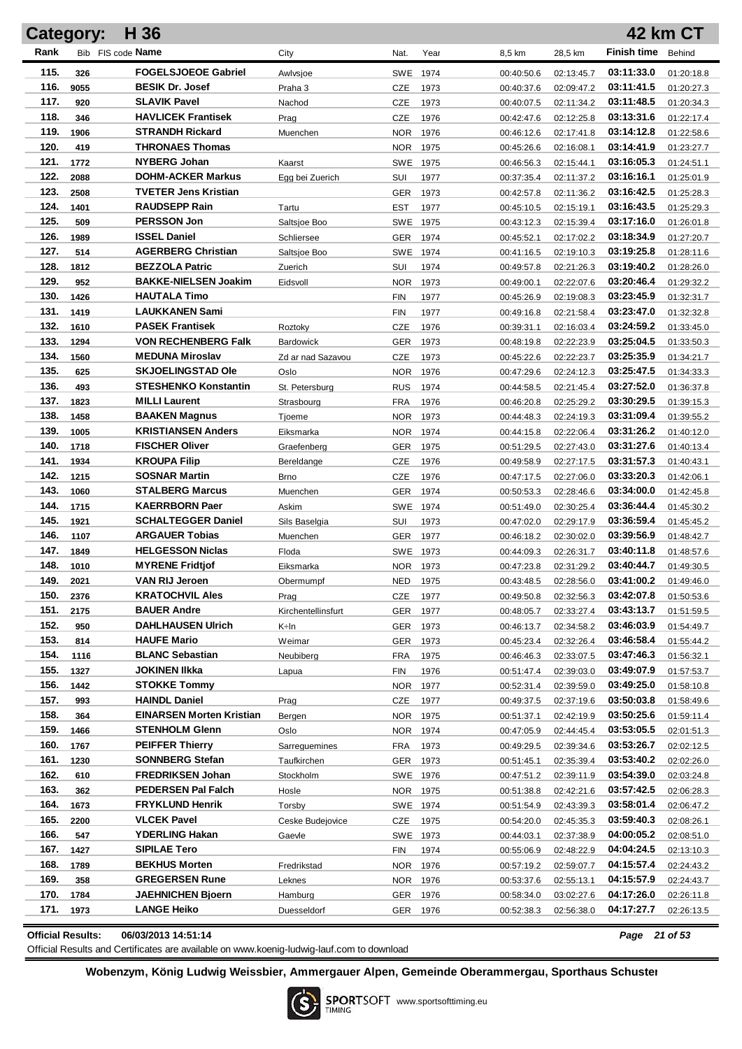|              | <b>Category:</b> | H 36                                        |                    |            |              |                          |                          |                          | <b>42 km CT</b>          |
|--------------|------------------|---------------------------------------------|--------------------|------------|--------------|--------------------------|--------------------------|--------------------------|--------------------------|
| Rank         |                  | Bib FIS code Name                           | City               | Nat.       | Year         | 8,5 km                   | 28,5 km                  | <b>Finish time</b>       | Behind                   |
| 115.         | 326              | <b>FOGELSJOEOE Gabriel</b>                  | Awlvsjoe           | SWE        | 1974         | 00:40:50.6               | 02:13:45.7               | 03:11:33.0               | 01:20:18.8               |
| 116.         | 9055             | <b>BESIK Dr. Josef</b>                      | Praha 3            | CZE        | 1973         | 00:40:37.6               | 02:09:47.2               | 03:11:41.5               | 01:20:27.3               |
| 117.         | 920              | <b>SLAVIK Pavel</b>                         | Nachod             | CZE        | 1973         | 00:40:07.5               | 02:11:34.2               | 03:11:48.5               | 01:20:34.3               |
| 118.         | 346              | <b>HAVLICEK Frantisek</b>                   | Prag               | CZE        | 1976         | 00:42:47.6               | 02:12:25.8               | 03:13:31.6               | 01:22:17.4               |
| 119.         | 1906             | <b>STRANDH Rickard</b>                      | Muenchen           | NOR.       | 1976         | 00:46:12.6               | 02:17:41.8               | 03:14:12.8               | 01:22:58.6               |
| 120.         | 419              | <b>THRONAES Thomas</b>                      |                    | NOR.       | 1975         | 00:45:26.6               | 02:16:08.1               | 03:14:41.9               | 01:23:27.7               |
| 121.         | 1772             | <b>NYBERG Johan</b>                         | Kaarst             | SWE        | 1975         | 00:46:56.3               | 02:15:44.1               | 03:16:05.3               | 01:24:51.1               |
| 122.         | 2088             | <b>DOHM-ACKER Markus</b>                    | Egg bei Zuerich    | SUI        | 1977         | 00:37:35.4               | 02:11:37.2               | 03:16:16.1               | 01:25:01.9               |
| 123.         | 2508             | <b>TVETER Jens Kristian</b>                 |                    | <b>GER</b> | 1973         | 00:42:57.8               | 02:11:36.2               | 03:16:42.5               | 01:25:28.3               |
| 124.         | 1401             | <b>RAUDSEPP Rain</b>                        | Tartu              | EST        | 1977         | 00:45:10.5               | 02:15:19.1               | 03:16:43.5               | 01:25:29.3               |
| 125.         | 509              | <b>PERSSON Jon</b>                          | Saltsjoe Boo       | SWE        | 1975         | 00:43:12.3               | 02:15:39.4               | 03:17:16.0               | 01:26:01.8               |
| 126.         | 1989             | <b>ISSEL Daniel</b>                         | Schliersee         | <b>GER</b> | 1974         | 00:45:52.1               | 02:17:02.2               | 03:18:34.9               | 01:27:20.7               |
| 127.         | 514              | <b>AGERBERG Christian</b>                   | Saltsjoe Boo       | SWE        | 1974         | 00:41:16.5               | 02:19:10.3               | 03:19:25.8               | 01:28:11.6               |
| 128.         | 1812             | <b>BEZZOLA Patric</b>                       | Zuerich            | SUI        | 1974         | 00:49:57.8               | 02:21:26.3               | 03:19:40.2               | 01:28:26.0               |
| 129.         | 952              | <b>BAKKE-NIELSEN Joakim</b>                 | Eidsvoll           | <b>NOR</b> | 1973         | 00:49:00.1               | 02:22:07.6               | 03:20:46.4               | 01:29:32.2               |
| 130.         | 1426             | <b>HAUTALA Timo</b>                         |                    | FIN        | 1977         | 00:45:26.9               | 02:19:08.3               | 03:23:45.9               | 01:32:31.7               |
| 131.         | 1419             | <b>LAUKKANEN Sami</b>                       |                    | FIN        | 1977         | 00:49:16.8               | 02:21:58.4               | 03:23:47.0               | 01:32:32.8               |
| 132.         | 1610             | <b>PASEK Frantisek</b>                      | Roztoky            | CZE        | 1976         | 00:39:31.1               | 02:16:03.4               | 03:24:59.2               | 01:33:45.0               |
| 133.         | 1294             | <b>VON RECHENBERG Falk</b>                  | <b>Bardowick</b>   | <b>GER</b> | 1973         | 00:48:19.8               | 02:22:23.9               | 03:25:04.5               | 01:33:50.3               |
| 134.         | 1560             | <b>MEDUNA Miroslav</b>                      | Zd ar nad Sazavou  | <b>CZE</b> | 1973         | 00:45:22.6               | 02:22:23.7               | 03:25:35.9               | 01:34:21.7               |
| 135.         | 625              | <b>SKJOELINGSTAD Ole</b>                    | Oslo               | <b>NOR</b> | 1976         | 00:47:29.6               | 02:24:12.3               | 03:25:47.5               | 01:34:33.3               |
| 136.         | 493              | <b>STESHENKO Konstantin</b>                 | St. Petersburg     | <b>RUS</b> | 1974         | 00:44:58.5               | 02:21:45.4               | 03:27:52.0               | 01:36:37.8               |
| 137.         | 1823             | <b>MILLI Laurent</b>                        | Strasbourg         | <b>FRA</b> | 1976         | 00:46:20.8               | 02:25:29.2               | 03:30:29.5               | 01:39:15.3               |
| 138.         | 1458             | <b>BAAKEN Magnus</b>                        | Tjoeme             | <b>NOR</b> | 1973         | 00:44:48.3               | 02:24:19.3               | 03:31:09.4               | 01:39:55.2               |
| 139.         | 1005             | <b>KRISTIANSEN Anders</b>                   | Eiksmarka          | <b>NOR</b> | 1974         | 00:44:15.8               | 02:22:06.4               | 03:31:26.2               | 01:40:12.0               |
| 140.         | 1718             | <b>FISCHER Oliver</b>                       | Graefenberg        | GER        | 1975         | 00:51:29.5               | 02:27:43.0               | 03:31:27.6               | 01:40:13.4               |
| 141.<br>142. | 1934             | <b>KROUPA Filip</b><br><b>SOSNAR Martin</b> | Bereldange         | <b>CZE</b> | 1976         | 00:49:58.9               | 02:27:17.5               | 03:31:57.3               | 01:40:43.1               |
| 143.         | 1215<br>1060     | <b>STALBERG Marcus</b>                      | <b>Brno</b>        | <b>CZE</b> | 1976         | 00:47:17.5               | 02:27:06.0               | 03:33:20.3<br>03:34:00.0 | 01:42:06.1               |
| 144.         | 1715             | <b>KAERRBORN Paer</b>                       | Muenchen<br>Askim  | GER<br>SWE | 1974<br>1974 | 00:50:53.3<br>00:51:49.0 | 02:28:46.6<br>02:30:25.4 | 03:36:44.4               | 01:42:45.8<br>01:45:30.2 |
| 145.         | 1921             | <b>SCHALTEGGER Daniel</b>                   | Sils Baselgia      | SUI        | 1973         | 00:47:02.0               | 02:29:17.9               | 03:36:59.4               | 01:45:45.2               |
| 146.         | 1107             | <b>ARGAUER Tobias</b>                       | Muenchen           | <b>GER</b> | 1977         | 00:46:18.2               | 02:30:02.0               | 03:39:56.9               | 01:48:42.7               |
| 147.         | 1849             | <b>HELGESSON Niclas</b>                     | Floda              | <b>SWE</b> | 1973         | 00:44:09.3               | 02:26:31.7               | 03:40:11.8               | 01:48:57.6               |
| 148.         | 1010             | <b>MYRENE Fridtjof</b>                      | Eiksmarka          | <b>NOR</b> | 1973         | 00:47:23.8               | 02:31:29.2               | 03:40:44.7               | 01:49:30.5               |
| 149.         | 2021             | <b>VAN RIJ Jeroen</b>                       | Obermumpf          | NED.       | 1975         | 00:43:48.5               | 02:28:56.0               | 03:41:00.2               | 01:49:46.0               |
| 150.         | 2376             | <b>KRATOCHVIL Ales</b>                      | Prag               | <b>CZE</b> | 1977         | 00:49:50.8               | 02:32:56.3               | 03:42:07.8               | 01:50:53.6               |
| 151.         | 2175             | <b>BAUER Andre</b>                          | Kirchentellinsfurt | <b>GER</b> | 1977         | 00:48:05.7               | 02:33:27.4               | 03:43:13.7               | 01:51:59.5               |
| 152.         | 950              | <b>DAHLHAUSEN Ulrich</b>                    | K÷ln               | <b>GER</b> | 1973         | 00:46:13.7               | 02:34:58.2               | 03:46:03.9               | 01:54:49.7               |
| 153.         | 814              | <b>HAUFE Mario</b>                          | Weimar             | <b>GER</b> | 1973         | 00:45:23.4               | 02:32:26.4               | 03:46:58.4               | 01:55:44.2               |
| 154.         | 1116             | <b>BLANC Sebastian</b>                      | Neubiberg          | <b>FRA</b> | 1975         | 00:46:46.3               | 02:33:07.5               | 03:47:46.3               | 01:56:32.1               |
| 155.         | 1327             | <b>JOKINEN IIkka</b>                        | Lapua              | FIN        | 1976         | 00:51:47.4               | 02:39:03.0               | 03:49:07.9               | 01:57:53.7               |
| 156.         | 1442             | <b>STOKKE Tommy</b>                         |                    | NOR        | 1977         | 00:52:31.4               | 02:39:59.0               | 03:49:25.0               | 01:58:10.8               |
| 157.         | 993              | <b>HAINDL Daniel</b>                        | Prag               | <b>CZE</b> | 1977         | 00:49:37.5               | 02:37:19.6               | 03:50:03.8               | 01:58:49.6               |
| 158.         | 364              | <b>EINARSEN Morten Kristian</b>             | Bergen             | NOR 1975   |              | 00:51:37.1               | 02:42:19.9               | 03:50:25.6               | 01:59:11.4               |
| 159.         | 1466             | <b>STENHOLM Glenn</b>                       | Oslo               | NOR 1974   |              | 00:47:05.9               | 02:44:45.4               | 03:53:05.5               | 02:01:51.3               |
| 160.         | 1767             | <b>PEIFFER Thierry</b>                      | Sarreguemines      | <b>FRA</b> | 1973         | 00:49:29.5               | 02:39:34.6               | 03:53:26.7               | 02:02:12.5               |
| 161.         | 1230             | <b>SONNBERG Stefan</b>                      | Taufkirchen        | GER        | 1973         | 00:51:45.1               | 02:35:39.4               | 03:53:40.2               | 02:02:26.0               |
| 162.         | 610              | <b>FREDRIKSEN Johan</b>                     | Stockholm          | SWE 1976   |              | 00:47:51.2               | 02:39:11.9               | 03:54:39.0               | 02:03:24.8               |
| 163.         | 362              | PEDERSEN Pal Falch                          | Hosle              | NOR 1975   |              | 00:51:38.8               | 02:42:21.6               | 03:57:42.5               | 02:06:28.3               |
| 164.         | 1673             | <b>FRYKLUND Henrik</b>                      | Torsby             | SWE 1974   |              | 00:51:54.9               | 02:43:39.3               | 03:58:01.4               | 02:06:47.2               |
| 165.         | 2200             | <b>VLCEK Pavel</b>                          | Ceske Budejovice   | CZE        | 1975         | 00:54:20.0               | 02:45:35.3               | 03:59:40.3               | 02:08:26.1               |
| 166.         | 547              | <b>YDERLING Hakan</b>                       | Gaevle             | SWE 1973   |              | 00:44:03.1               | 02:37:38.9               | 04:00:05.2               | 02:08:51.0               |
| 167.         | 1427             | <b>SIPILAE Tero</b>                         |                    | FIN        | 1974         | 00:55:06.9               | 02:48:22.9               | 04:04:24.5               | 02:13:10.3               |
| 168.         | 1789             | <b>BEKHUS Morten</b>                        | Fredrikstad        | NOR        | 1976         | 00:57:19.2               | 02:59:07.7               | 04:15:57.4               | 02:24:43.2               |
| 169.         | 358              | <b>GREGERSEN Rune</b>                       | Leknes             | NOR 1      | 1976         | 00:53:37.6               | 02:55:13.1               | 04:15:57.9               | 02:24:43.7               |
| 170.         | 1784             | <b>JAEHNICHEN Bjoern</b>                    | Hamburg            | GER        | 1976         | 00:58:34.0               | 03:02:27.6               | 04:17:26.0               | 02:26:11.8               |
| 171.         | 1973             | <b>LANGE Heiko</b>                          | Duesseldorf        | GER 1976   |              | 00:52:38.3               | 02:56:38.0               | 04:17:27.7               | 02:26:13.5               |

**Official Results: 06/03/2013 14:51:14** *Page 21 of 53*

Official Results and Certificates are available on www.koenig-ludwig-lauf.com to download

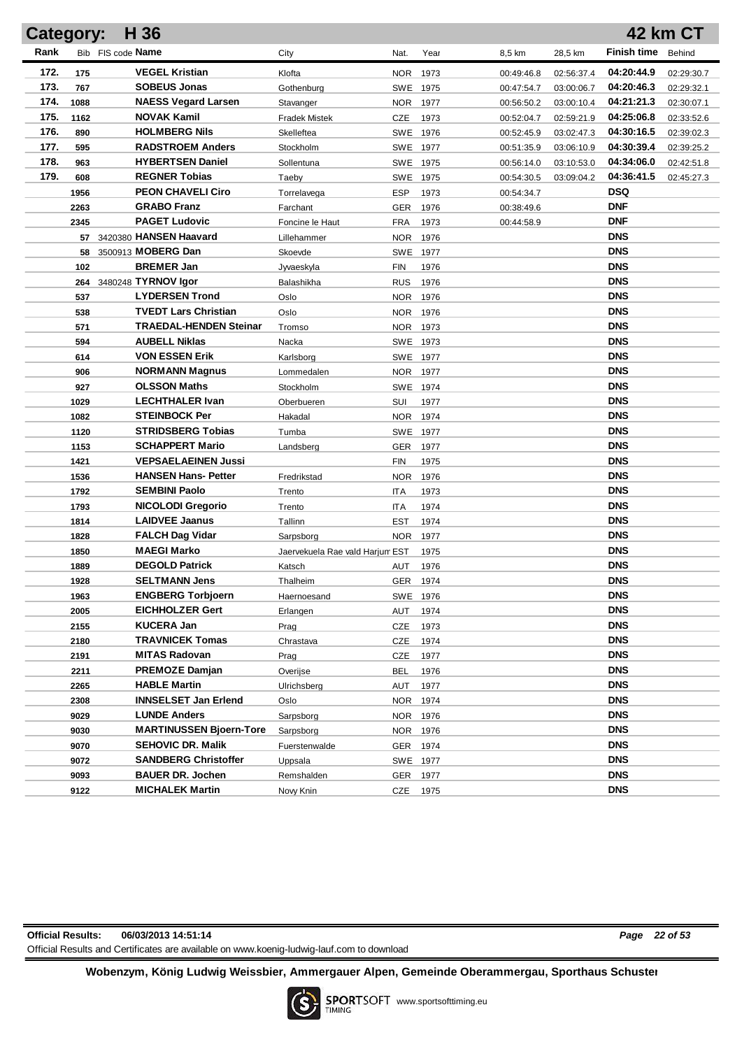|      | H 36<br>42 km CT<br><b>Category:</b> |                                             |                                 |                          |              |            |            |                          |            |  |
|------|--------------------------------------|---------------------------------------------|---------------------------------|--------------------------|--------------|------------|------------|--------------------------|------------|--|
| Rank |                                      | Bib FIS code <b>Name</b>                    | City                            | Nat.                     | Year         | 8,5 km     | 28,5 km    | <b>Finish time</b>       | Behind     |  |
| 172. | 175                                  | <b>VEGEL Kristian</b>                       | Klofta                          | <b>NOR</b>               | 1973         | 00:49:46.8 | 02:56:37.4 | 04:20:44.9               | 02:29:30.7 |  |
| 173. | 767                                  | <b>SOBEUS Jonas</b>                         | Gothenburg                      | SWE 1975                 |              | 00:47:54.7 | 03:00:06.7 | 04:20:46.3               | 02:29:32.1 |  |
| 174. | 1088                                 | <b>NAESS Vegard Larsen</b>                  | Stavanger                       | <b>NOR</b>               | 1977         | 00:56:50.2 | 03:00:10.4 | 04:21:21.3               | 02:30:07.1 |  |
| 175. | 1162                                 | <b>NOVAK Kamil</b>                          | <b>Fradek Mistek</b>            | CZE                      | 1973         | 00:52:04.7 | 02:59:21.9 | 04:25:06.8               | 02:33:52.6 |  |
| 176. | 890                                  | <b>HOLMBERG Nils</b>                        | Skelleftea                      | SWE 1976                 |              | 00:52:45.9 | 03:02:47.3 | 04:30:16.5               | 02:39:02.3 |  |
| 177. | 595                                  | <b>RADSTROEM Anders</b>                     | Stockholm                       | SWE 1977                 |              | 00:51:35.9 | 03:06:10.9 | 04:30:39.4               | 02:39:25.2 |  |
| 178. | 963                                  | <b>HYBERTSEN Daniel</b>                     | Sollentuna                      | SWE 1975                 |              | 00:56:14.0 | 03:10:53.0 | 04:34:06.0               | 02:42:51.8 |  |
| 179. | 608                                  | <b>REGNER Tobias</b>                        | Taeby                           | SWE 1975                 |              | 00:54:30.5 | 03:09:04.2 | 04:36:41.5               | 02:45:27.3 |  |
|      | 1956                                 | <b>PEON CHAVELI Ciro</b>                    | Torrelavega                     | ESP                      | 1973         | 00:54:34.7 |            | <b>DSQ</b>               |            |  |
|      | 2263                                 | <b>GRABO Franz</b>                          | Farchant                        | <b>GER</b>               | 1976         | 00:38:49.6 |            | <b>DNF</b>               |            |  |
|      | 2345                                 | <b>PAGET Ludovic</b>                        | Foncine le Haut                 | <b>FRA</b>               | 1973         | 00:44:58.9 |            | <b>DNF</b>               |            |  |
|      |                                      | 57 3420380 HANSEN Haavard                   | Lillehammer                     | NOR.                     | 1976         |            |            | <b>DNS</b>               |            |  |
|      | 58                                   | 3500913 MOBERG Dan                          | Skoevde                         | SWE                      | 1977         |            |            | <b>DNS</b>               |            |  |
|      | 102                                  | <b>BREMER Jan</b>                           | Jyvaeskyla                      | <b>FIN</b>               | 1976         |            |            | <b>DNS</b>               |            |  |
|      | 264                                  | 3480248 TYRNOV Igor                         | Balashikha                      | <b>RUS</b>               | 1976         |            |            | <b>DNS</b>               |            |  |
|      | 537                                  | <b>LYDERSEN Trond</b>                       | Oslo                            | <b>NOR</b>               | 1976         |            |            | <b>DNS</b>               |            |  |
|      | 538                                  | <b>TVEDT Lars Christian</b>                 | Oslo                            | <b>NOR</b>               | 1976         |            |            | <b>DNS</b>               |            |  |
|      | 571                                  | <b>TRAEDAL-HENDEN Steinar</b>               | Tromso                          | NOR                      | 1973         |            |            | <b>DNS</b>               |            |  |
|      | 594                                  | <b>AUBELL Niklas</b>                        | Nacka                           | SWE 1973                 |              |            |            | <b>DNS</b>               |            |  |
|      | 614                                  | <b>VON ESSEN Erik</b>                       | Karlsborg                       | SWE 1977                 |              |            |            | <b>DNS</b>               |            |  |
|      | 906                                  | <b>NORMANN Magnus</b>                       | Lommedalen                      | NOR 1977                 |              |            |            | <b>DNS</b>               |            |  |
|      | 927                                  | <b>OLSSON Maths</b>                         | Stockholm                       | SWE 1974                 |              |            |            | <b>DNS</b>               |            |  |
|      | 1029                                 | <b>LECHTHALER Ivan</b>                      | Oberbueren                      | SUI                      | 1977         |            |            | <b>DNS</b>               |            |  |
|      | 1082                                 | <b>STEINBOCK Per</b>                        | Hakadal                         | <b>NOR</b>               | 1974         |            |            | <b>DNS</b>               |            |  |
|      | 1120                                 | <b>STRIDSBERG Tobias</b>                    | Tumba                           | SWE 1977                 |              |            |            | <b>DNS</b>               |            |  |
|      | 1153                                 | <b>SCHAPPERT Mario</b>                      | Landsberg                       | <b>GER</b>               | 1977         |            |            | <b>DNS</b>               |            |  |
|      | 1421                                 | <b>VEPSAELAEINEN Jussi</b>                  |                                 | FIN                      | 1975         |            |            | <b>DNS</b>               |            |  |
|      | 1536                                 | <b>HANSEN Hans- Petter</b>                  | Fredrikstad                     | NOR.                     | 1976         |            |            | <b>DNS</b>               |            |  |
|      | 1792                                 | <b>SEMBINI Paolo</b>                        | Trento                          | ITA                      | 1973         |            |            | <b>DNS</b>               |            |  |
|      | 1793                                 | <b>NICOLODI Gregorio</b>                    | Trento                          | ITA                      | 1974         |            |            | <b>DNS</b>               |            |  |
|      | 1814                                 | <b>LAIDVEE Jaanus</b>                       | Tallinn                         | <b>EST</b>               | 1974         |            |            | <b>DNS</b>               |            |  |
|      | 1828                                 | <b>FALCH Dag Vidar</b>                      | Sarpsborg                       | <b>NOR</b>               | 1977         |            |            | <b>DNS</b>               |            |  |
|      | 1850                                 | <b>MAEGI Marko</b><br><b>DEGOLD Patrick</b> | Jaervekuela Rae vald Harjum EST |                          | 1975         |            |            | <b>DNS</b><br><b>DNS</b> |            |  |
|      | 1889                                 | <b>SELTMANN Jens</b>                        | Katsch                          | AUT                      | 1976         |            |            | <b>DNS</b>               |            |  |
|      | 1928                                 | <b>ENGBERG Torbjoern</b>                    | Thalheim                        | <b>GER</b>               | 1974         |            |            | <b>DNS</b>               |            |  |
|      | 1963<br>2005                         | <b>EICHHOLZER Gert</b>                      | Haernoesand<br>Erlangen         | SWE 1976                 |              |            |            | <b>DNS</b>               |            |  |
|      | 2155                                 | <b>KUCERA Jan</b>                           | Prag                            | AUT                      | 1974         |            |            | <b>DNS</b>               |            |  |
|      | 2180                                 | <b>TRAVNICEK Tomas</b>                      | Chrastava                       | <b>CZE</b><br><b>CZE</b> | 1973<br>1974 |            |            | <b>DNS</b>               |            |  |
|      | 2191                                 | <b>MITAS Radovan</b>                        | Prag                            | <b>CZE</b>               | 1977         |            |            | <b>DNS</b>               |            |  |
|      | 2211                                 | <b>PREMOZE Damjan</b>                       | Overijse                        | <b>BEL</b>               | 1976         |            |            | <b>DNS</b>               |            |  |
|      | 2265                                 | <b>HABLE Martin</b>                         | Ulrichsberg                     | AUT                      | 1977         |            |            | <b>DNS</b>               |            |  |
|      | 2308                                 | <b>INNSELSET Jan Erlend</b>                 | Oslo                            | NOR 1974                 |              |            |            | <b>DNS</b>               |            |  |
|      | 9029                                 | <b>LUNDE Anders</b>                         | Sarpsborg                       | NOR 1976                 |              |            |            | <b>DNS</b>               |            |  |
|      | 9030                                 | <b>MARTINUSSEN Bjoern-Tore</b>              | Sarpsborg                       | NOR 1976                 |              |            |            | <b>DNS</b>               |            |  |
|      | 9070                                 | <b>SEHOVIC DR. Malik</b>                    | Fuerstenwalde                   | GER 1974                 |              |            |            | <b>DNS</b>               |            |  |
|      | 9072                                 | <b>SANDBERG Christoffer</b>                 | Uppsala                         | SWE 1977                 |              |            |            | <b>DNS</b>               |            |  |
|      | 9093                                 | <b>BAUER DR. Jochen</b>                     | Remshalden                      | <b>GER</b>               | 1977         |            |            | <b>DNS</b>               |            |  |
|      | 9122                                 | <b>MICHALEK Martin</b>                      | Novy Knin                       | CZE 1975                 |              |            |            | <b>DNS</b>               |            |  |
|      |                                      |                                             |                                 |                          |              |            |            |                          |            |  |

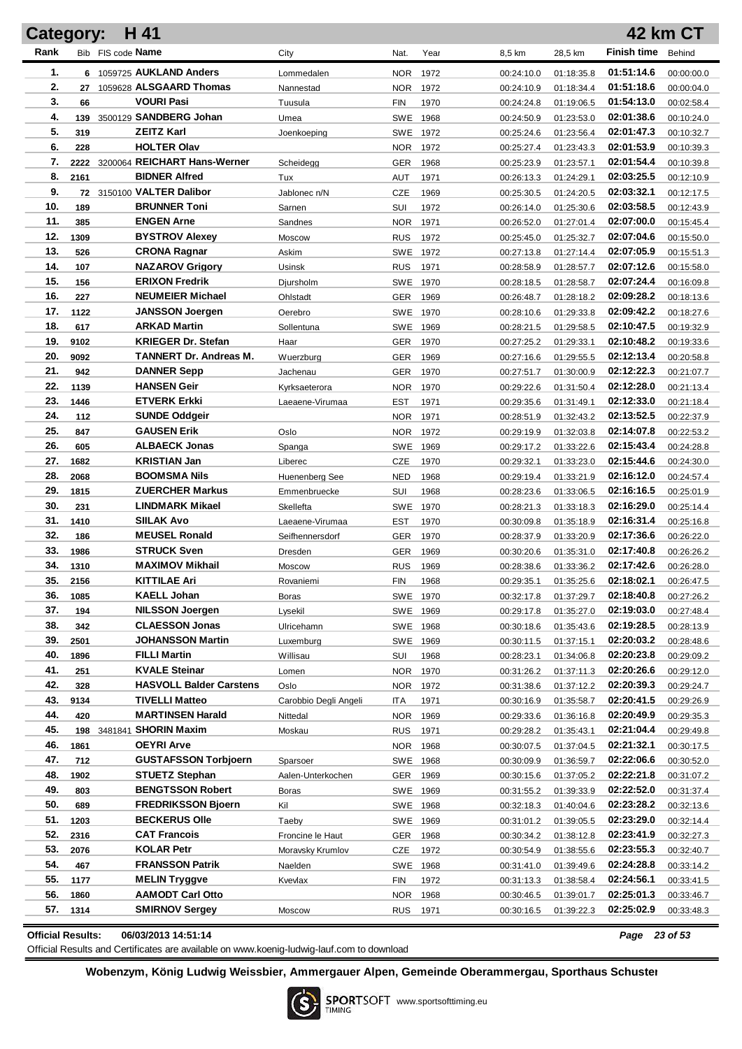| Category:  |             | H 41                                         |                       |                      |      |                          |                          |                          | <b>42 km CT</b>          |
|------------|-------------|----------------------------------------------|-----------------------|----------------------|------|--------------------------|--------------------------|--------------------------|--------------------------|
| Rank       |             | Bib FIS code Name                            | City                  | Nat.                 | Year | 8,5 km                   | 28,5 km                  | <b>Finish time</b>       | Behind                   |
| 1.         |             | 6 1059725 AUKLAND Anders                     | Lommedalen            | NOR.                 | 1972 | 00:24:10.0               | 01:18:35.8               | 01:51:14.6               | 00:00:00.0               |
| 2.         | 27          | 1059628 ALSGAARD Thomas                      | Nannestad             | NOR.                 | 1972 | 00:24:10.9               | 01:18:34.4               | 01:51:18.6               | 00:00:04.0               |
| 3.         | 66          | <b>VOURI Pasi</b>                            | Tuusula               | <b>FIN</b>           | 1970 | 00:24:24.8               | 01:19:06.5               | 01:54:13.0               | 00:02:58.4               |
| 4.         | 139         | 3500129 SANDBERG Johan                       | Umea                  | SWE 1968             |      | 00:24:50.9               | 01:23:53.0               | 02:01:38.6               | 00:10:24.0               |
| 5.         | 319         | <b>ZEITZ Karl</b>                            | Joenkoeping           | SWE 1972             |      | 00:25:24.6               | 01:23:56.4               | 02:01:47.3               | 00:10:32.7               |
| 6.         | 228         | <b>HOLTER Olav</b>                           |                       | NOR.                 | 1972 | 00:25:27.4               | 01:23:43.3               | 02:01:53.9               | 00:10:39.3               |
| 7.         |             | 2222 3200064 REICHART Hans-Werner            | Scheidegg             | GER                  | 1968 | 00:25:23.9               | 01:23:57.1               | 02:01:54.4               | 00:10:39.8               |
| 8.         | 2161        | <b>BIDNER Alfred</b>                         | Tux                   | <b>AUT</b>           | 1971 | 00:26:13.3               | 01:24:29.1               | 02:03:25.5               | 00:12:10.9               |
| 9.         |             | 72 3150100 VALTER Dalibor                    | Jablonec n/N          | <b>CZE</b>           | 1969 | 00:25:30.5               | 01:24:20.5               | 02:03:32.1               | 00:12:17.5               |
| 10.        | 189         | <b>BRUNNER Toni</b>                          | Sarnen                | SUI                  | 1972 | 00:26:14.0               | 01:25:30.6               | 02:03:58.5               | 00:12:43.9               |
| 11.        | 385         | <b>ENGEN Arne</b>                            | Sandnes               | NOR.                 | 1971 | 00:26:52.0               | 01:27:01.4               | 02:07:00.0               | 00:15:45.4               |
| 12.        | 1309        | <b>BYSTROV Alexey</b>                        | Moscow                | <b>RUS</b>           | 1972 | 00:25:45.0               | 01:25:32.7               | 02:07:04.6               | 00:15:50.0               |
| 13.        | 526         | <b>CRONA Ragnar</b>                          | Askim                 | SWE 1972             |      | 00:27:13.8               | 01:27:14.4               | 02:07:05.9               | 00:15:51.3               |
| 14.        | 107         | <b>NAZAROV Grigory</b>                       | Usinsk                | <b>RUS</b>           | 1971 | 00:28:58.9               | 01:28:57.7               | 02:07:12.6               | 00:15:58.0               |
| 15.        | 156         | <b>ERIXON Fredrik</b>                        | Djursholm             | SWE 1970             |      | 00:28:18.5               | 01:28:58.7               | 02:07:24.4               | 00:16:09.8               |
| 16.        | 227         | <b>NEUMEIER Michael</b>                      | Ohlstadt              | GER                  | 1969 | 00:26:48.7               | 01:28:18.2               | 02:09:28.2               | 00:18:13.6               |
| 17.        | 1122        | <b>JANSSON Joergen</b>                       | Oerebro               | SWE 1970             |      | 00:28:10.6               | 01:29:33.8               | 02:09:42.2               | 00:18:27.6               |
| 18.        | 617         | <b>ARKAD Martin</b>                          | Sollentuna            | SWE 1969             |      | 00:28:21.5               | 01:29:58.5               | 02:10:47.5               | 00:19:32.9               |
| 19.        | 9102        | <b>KRIEGER Dr. Stefan</b>                    | Haar                  | GER                  | 1970 | 00:27:25.2               | 01:29:33.1               | 02:10:48.2               | 00:19:33.6               |
| 20.        | 9092        | <b>TANNERT Dr. Andreas M.</b>                | Wuerzburg             | <b>GER</b>           | 1969 | 00:27:16.6               | 01:29:55.5               | 02:12:13.4               | 00:20:58.8               |
| 21.        | 942         | <b>DANNER Sepp</b>                           | Jachenau              | <b>GER</b>           | 1970 | 00:27:51.7               | 01:30:00.9               | 02:12:22.3               | 00:21:07.7               |
| 22.        | 1139        | <b>HANSEN Geir</b>                           | Kyrksaeterora         | <b>NOR</b>           | 1970 | 00:29:22.6               | 01:31:50.4               | 02:12:28.0               | 00:21:13.4               |
| 23.        | 1446        | <b>ETVERK Erkki</b>                          | Laeaene-Virumaa       | EST                  | 1971 | 00:29:35.6               | 01:31:49.1               | 02:12:33.0               | 00:21:18.4               |
| 24.        | 112         | <b>SUNDE Oddgeir</b>                         |                       | <b>NOR</b>           | 1971 | 00:28:51.9               | 01:32:43.2               | 02:13:52.5               | 00:22:37.9               |
| 25.        | 847         | <b>GAUSEN Erik</b>                           | Oslo                  | <b>NOR</b>           | 1972 | 00:29:19.9               | 01:32:03.8               | 02:14:07.8               | 00:22:53.2               |
| 26.        | 605         | <b>ALBAECK Jonas</b>                         | Spanga                | <b>SWE</b>           | 1969 | 00:29:17.2               | 01:33:22.6               | 02:15:43.4               | 00:24:28.8               |
| 27.        | 1682        | <b>KRISTIAN Jan</b>                          | Liberec               | <b>CZE</b>           | 1970 | 00:29:32.1               | 01:33:23.0               | 02:15:44.6               | 00:24:30.0               |
| 28.        | 2068        | <b>BOOMSMA Nils</b>                          | Huenenberg See        | <b>NED</b>           | 1968 | 00:29:19.4               | 01:33:21.9               | 02:16:12.0               | 00:24:57.4               |
| 29.        | 1815        | <b>ZUERCHER Markus</b>                       | Emmenbruecke          | SUI                  | 1968 | 00:28:23.6               | 01:33:06.5               | 02:16:16.5               | 00:25:01.9               |
| 30.        | 231         | <b>LINDMARK Mikael</b>                       | Skellefta             | SWE                  | 1970 | 00:28:21.3               | 01:33:18.3               | 02:16:29.0               | 00:25:14.4               |
| 31.        | 1410        | <b>SIILAK Avo</b>                            | Laeaene-Virumaa       | EST                  | 1970 | 00:30:09.8               | 01:35:18.9               | 02:16:31.4               | 00:25:16.8               |
| 32.        | 186         | <b>MEUSEL Ronald</b>                         | Seifhennersdorf       | <b>GER</b>           | 1970 | 00:28:37.9               | 01:33:20.9               | 02:17:36.6               | 00:26:22.0               |
| 33.        | 1986        | <b>STRUCK Sven</b><br><b>MAXIMOV Mikhail</b> | Dresden               | GER                  | 1969 | 00:30:20.6               | 01:35:31.0               | 02:17:40.8               | 00:26:26.2               |
| 34.        | 1310        |                                              | Moscow                | <b>RUS</b>           | 1969 | 00:28:38.6               | 01:33:36.2               | 02:17:42.6<br>02:18:02.1 | 00:26:28.0               |
| 35.<br>36. | 2156        | <b>KITTILAE Ari</b><br><b>KAELL Johan</b>    | Rovaniemi             | <b>FIN</b>           | 1968 | 00:29:35.1               | 01:35:25.6               | 02:18:40.8               | 00:26:47.5               |
| 37.        | 1085<br>194 | <b>NILSSON Joergen</b>                       | Boras<br>Lysekil      | SWE 1970             |      | 00:32:17.8               | 01:37:29.7               | 02:19:03.0               | 00:27:26.2               |
| 38.        | 342         | <b>CLAESSON Jonas</b>                        | Ulricehamn            | SWE 1969<br>SWE 1968 |      | 00:29:17.8<br>00:30:18.6 | 01:35:27.0<br>01:35:43.6 | 02:19:28.5               | 00:27:48.4<br>00:28:13.9 |
| 39.        | 2501        | <b>JOHANSSON Martin</b>                      | Luxemburg             | SWE 1969             |      | 00:30:11.5               | 01:37:15.1               | 02:20:03.2               | 00:28:48.6               |
| 40.        | 1896        | <b>FILLI Martin</b>                          | Willisau              | SUI                  | 1968 | 00:28:23.1               | 01:34:06.8               | 02:20:23.8               | 00:29:09.2               |
| 41.        | 251         | <b>KVALE Steinar</b>                         | Lomen                 | NOR                  | 1970 | 00:31:26.2               | 01:37:11.3               | 02:20:26.6               | 00:29:12.0               |
| 42.        | 328         | <b>HASVOLL Balder Carstens</b>               | Oslo                  | NOR                  | 1972 | 00:31:38.6               | 01:37:12.2               | 02:20:39.3               | 00:29:24.7               |
| 43.        | 9134        | <b>TIVELLI Matteo</b>                        | Carobbio Degli Angeli | ITA                  | 1971 | 00:30:16.9               | 01:35:58.7               | 02:20:41.5               | 00:29:26.9               |
| 44.        | 420         | <b>MARTINSEN Harald</b>                      | Nittedal              | NOR                  | 1969 | 00:29:33.6               | 01:36:16.8               | 02:20:49.9               | 00:29:35.3               |
| 45.        |             | 198 3481841 SHORIN Maxim                     | Moskau                | <b>RUS</b>           | 1971 | 00:29:28.2               | 01:35:43.1               | 02:21:04.4               | 00:29:49.8               |
| 46.        | 1861        | <b>OEYRI Arve</b>                            |                       | NOR                  | 1968 | 00:30:07.5               | 01:37:04.5               | 02:21:32.1               | 00:30:17.5               |
| 47.        | 712         | <b>GUSTAFSSON Torbjoern</b>                  | Sparsoer              | SWE 1968             |      | 00:30:09.9               | 01:36:59.7               | 02:22:06.6               | 00:30:52.0               |
| 48.        | 1902        | <b>STUETZ Stephan</b>                        | Aalen-Unterkochen     | <b>GER</b>           | 1969 | 00:30:15.6               | 01:37:05.2               | 02:22:21.8               | 00:31:07.2               |
| 49.        | 803         | <b>BENGTSSON Robert</b>                      | Boras                 | SWE 1969             |      | 00:31:55.2               | 01:39:33.9               | 02:22:52.0               | 00:31:37.4               |
| 50.        | 689         | <b>FREDRIKSSON Bjoern</b>                    | Kil                   | SWE 1968             |      | 00:32:18.3               | 01:40:04.6               | 02:23:28.2               | 00:32:13.6               |
| 51.        | 1203        | <b>BECKERUS Olle</b>                         | Taeby                 | SWE 1969             |      | 00:31:01.2               | 01:39:05.5               | 02:23:29.0               | 00:32:14.4               |
| 52.        | 2316        | <b>CAT Francois</b>                          | Froncine le Haut      | GER                  | 1968 | 00:30:34.2               | 01:38:12.8               | 02:23:41.9               | 00:32:27.3               |
| 53.        | 2076        | <b>KOLAR Petr</b>                            | Moravsky Krumlov      | CZE                  | 1972 | 00:30:54.9               | 01:38:55.6               | 02:23:55.3               | 00:32:40.7               |
| 54.        | 467         | <b>FRANSSON Patrik</b>                       | Naelden               | SWE 1968             |      | 00:31:41.0               | 01:39:49.6               | 02:24:28.8               | 00:33:14.2               |
| 55.        | 1177        | <b>MELIN Tryggve</b>                         | Kvevlax               | FIN                  | 1972 | 00:31:13.3               | 01:38:58.4               | 02:24:56.1               | 00:33:41.5               |
| 56.        | 1860        | <b>AAMODT Carl Otto</b>                      |                       | NOR.                 | 1968 | 00:30:46.5               | 01:39:01.7               | 02:25:01.3               | 00:33:46.7               |
| 57.        | 1314        | <b>SMIRNOV Sergey</b>                        | Moscow                | RUS 1971             |      | 00:30:16.5               | 01:39:22.3               | 02:25:02.9               | 00:33:48.3               |
|            |             |                                              |                       |                      |      |                          |                          |                          |                          |

**Official Results: 06/03/2013 14:51:14** *Page 23 of 53*

Official Results and Certificates are available on www.koenig-ludwig-lauf.com to download

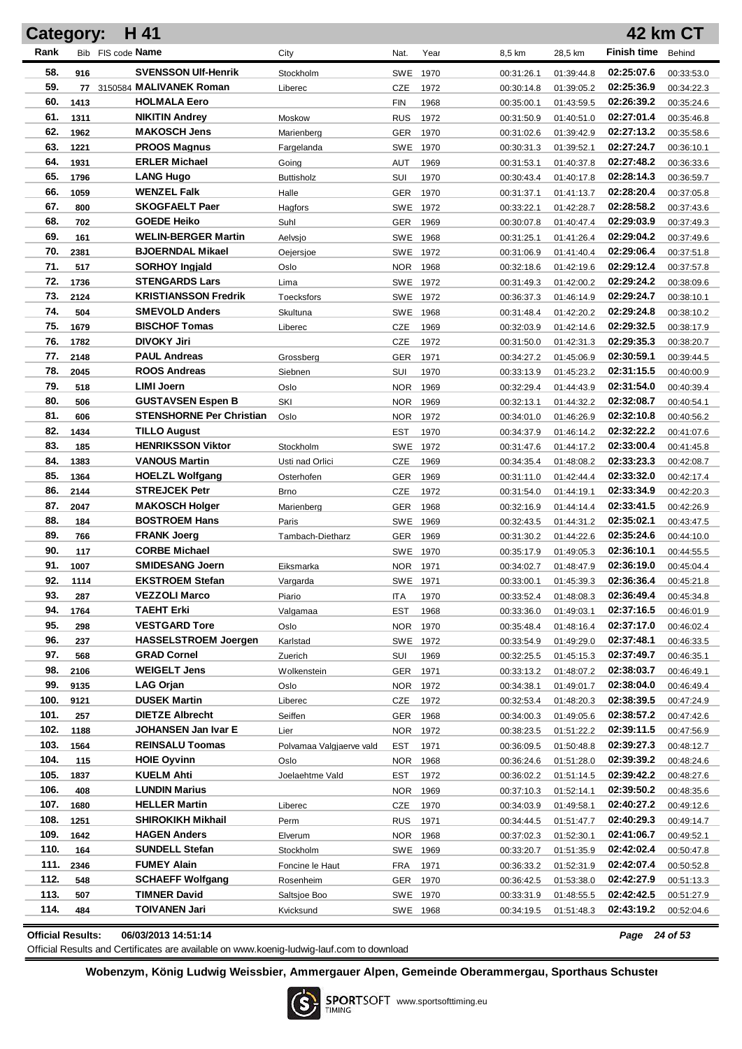| H 41<br><b>42 km CT</b><br>Category: |              |                                                |                           |                   |              |                          |                          |                          |                          |  |
|--------------------------------------|--------------|------------------------------------------------|---------------------------|-------------------|--------------|--------------------------|--------------------------|--------------------------|--------------------------|--|
| Rank                                 |              | Bib FIS code Name                              | City                      | Nat.              | Year         | 8,5 km                   | 28,5 km                  | <b>Finish time</b>       | Behind                   |  |
| 58.                                  | 916          | <b>SVENSSON Ulf-Henrik</b>                     | Stockholm                 | SWE               | 1970         | 00:31:26.1               | 01:39:44.8               | 02:25:07.6               | 00:33:53.0               |  |
| 59.                                  |              | 77 3150584 MALIVANEK Roman                     | Liberec                   | CZE               | 1972         | 00:30:14.8               | 01:39:05.2               | 02:25:36.9               | 00:34:22.3               |  |
| 60.                                  | 1413         | <b>HOLMALA Eero</b>                            |                           | <b>FIN</b>        | 1968         | 00:35:00.1               | 01:43:59.5               | 02:26:39.2               | 00:35:24.6               |  |
| 61.                                  | 1311         | <b>NIKITIN Andrey</b>                          | <b>Moskow</b>             | <b>RUS</b>        | 1972         | 00:31:50.9               | 01:40:51.0               | 02:27:01.4               | 00:35:46.8               |  |
| 62.                                  | 1962         | <b>MAKOSCH Jens</b>                            | Marienberg                | <b>GER</b>        | 1970         | 00:31:02.6               | 01:39:42.9               | 02:27:13.2               | 00:35:58.6               |  |
| 63.                                  | 1221         | <b>PROOS Magnus</b>                            | Fargelanda                | SWE               | 1970         | 00:30:31.3               | 01:39:52.1               | 02:27:24.7               | 00:36:10.1               |  |
| 64.                                  | 1931         | <b>ERLER Michael</b>                           | Going                     | AUT               | 1969         | 00:31:53.1               | 01:40:37.8               | 02:27:48.2               | 00:36:33.6               |  |
| 65.                                  | 1796         | <b>LANG Hugo</b>                               | <b>Buttisholz</b>         | SUI               | 1970         | 00:30:43.4               | 01:40:17.8               | 02:28:14.3               | 00:36:59.7               |  |
| 66.                                  | 1059         | <b>WENZEL Falk</b>                             | Halle                     | <b>GER</b>        | 1970         | 00:31:37.1               | 01:41:13.7               | 02:28:20.4               | 00:37:05.8               |  |
| 67.                                  | 800          | <b>SKOGFAELT Paer</b>                          | Hagfors                   | SWE               | 1972         | 00:33:22.1               | 01:42:28.7               | 02:28:58.2               | 00:37:43.6               |  |
| 68.                                  | 702          | <b>GOEDE Heiko</b>                             | Suhl                      | <b>GER</b>        | 1969         | 00:30:07.8               | 01:40:47.4               | 02:29:03.9               | 00:37:49.3               |  |
| 69.                                  | 161          | <b>WELIN-BERGER Martin</b>                     | Aelvsjo                   | SWE               | 1968         | 00:31:25.1               | 01:41:26.4               | 02:29:04.2               | 00:37:49.6               |  |
| 70.                                  | 2381         | <b>BJOERNDAL Mikael</b>                        | Oejersjoe                 | SWE 1972          |              | 00:31:06.9               | 01:41:40.4               | 02:29:06.4               | 00:37:51.8               |  |
| 71.                                  | 517          | <b>SORHOY Ingjald</b>                          | Oslo                      | <b>NOR</b>        | 1968         | 00:32:18.6               | 01:42:19.6               | 02:29:12.4               | 00:37:57.8               |  |
| 72.                                  | 1736         | <b>STENGARDS Lars</b>                          | Lima                      | SWE 1972          |              | 00:31:49.3               | 01:42:00.2               | 02:29:24.2               | 00:38:09.6               |  |
| 73.                                  | 2124         | <b>KRISTIANSSON Fredrik</b>                    | <b>Toecksfors</b>         | SWE 1972          |              | 00:36:37.3               | 01:46:14.9               | 02:29:24.7               | 00:38:10.1               |  |
| 74.                                  | 504          | <b>SMEVOLD Anders</b>                          | Skultuna                  | SWE               | 1968         | 00:31:48.4               | 01:42:20.2               | 02:29:24.8               | 00:38:10.2               |  |
| 75.                                  | 1679         | <b>BISCHOF Tomas</b>                           | Liberec                   | CZE               | 1969         | 00:32:03.9               | 01:42:14.6               | 02:29:32.5               | 00:38:17.9               |  |
| 76.                                  | 1782         | <b>DIVOKY Jiri</b>                             |                           | CZE               | 1972         | 00:31:50.0               | 01:42:31.3               | 02:29:35.3               | 00:38:20.7               |  |
| 77.                                  | 2148         | <b>PAUL Andreas</b>                            | Grossberg                 | GER               | 1971         | 00:34:27.2               | 01:45:06.9               | 02:30:59.1               | 00:39:44.5               |  |
| 78.                                  | 2045         | <b>ROOS Andreas</b>                            | Siebnen                   | SUI               | 1970         | 00:33:13.9               | 01:45:23.2               | 02:31:15.5               | 00:40:00.9               |  |
| 79.                                  | 518          | <b>LIMI Joern</b>                              | Oslo                      | <b>NOR</b>        | 1969         | 00:32:29.4               | 01:44:43.9               | 02:31:54.0               | 00:40:39.4               |  |
| 80.                                  | 506          | <b>GUSTAVSEN Espen B</b>                       | SKI                       | <b>NOR</b>        | 1969         | 00:32:13.1               | 01:44:32.2               | 02:32:08.7               | 00:40:54.1               |  |
| 81.                                  | 606          | <b>STENSHORNE Per Christian</b>                | Oslo                      | <b>NOR</b>        | 1972         | 00:34:01.0               | 01:46:26.9               | 02:32:10.8               | 00:40:56.2               |  |
| 82.                                  | 1434         | <b>TILLO August</b>                            |                           | <b>EST</b>        | 1970         | 00:34:37.9               | 01:46:14.2               | 02:32:22.2               | 00:41:07.6               |  |
| 83.                                  | 185          | <b>HENRIKSSON Viktor</b>                       | Stockholm                 | <b>SWE</b>        | 1972         | 00:31:47.6               | 01:44:17.2               | 02:33:00.4               | 00:41:45.8               |  |
| 84.<br>85.                           | 1383         | <b>VANOUS Martin</b><br><b>HOELZL Wolfgang</b> | Usti nad Orlici           | CZE               | 1969         | 00:34:35.4               | 01:48:08.2               | 02:33:23.3<br>02:33:32.0 | 00:42:08.7               |  |
| 86.                                  | 1364<br>2144 | <b>STREJCEK Petr</b>                           | Osterhofen                | <b>GER</b><br>CZE | 1969<br>1972 | 00:31:11.0               | 01:42:44.4               | 02:33:34.9               | 00:42:17.4               |  |
| 87.                                  | 2047         | <b>MAKOSCH Holger</b>                          | <b>Brno</b><br>Marienberg | <b>GER</b>        | 1968         | 00:31:54.0<br>00:32:16.9 | 01:44:19.1<br>01:44:14.4 | 02:33:41.5               | 00:42:20.3<br>00:42:26.9 |  |
| 88.                                  | 184          | <b>BOSTROEM Hans</b>                           | Paris                     | SWE               | 1969         | 00:32:43.5               | 01:44:31.2               | 02:35:02.1               | 00:43:47.5               |  |
| 89.                                  | 766          | <b>FRANK Joerg</b>                             | Tambach-Dietharz          | GER               | 1969         | 00:31:30.2               | 01:44:22.6               | 02:35:24.6               | 00:44:10.0               |  |
| 90.                                  | 117          | <b>CORBE Michael</b>                           |                           | <b>SWE</b>        | 1970         | 00:35:17.9               | 01:49:05.3               | 02:36:10.1               | 00:44:55.5               |  |
| 91.                                  | 1007         | <b>SMIDESANG Joern</b>                         | Eiksmarka                 | NOR.              | 1971         | 00:34:02.7               | 01:48:47.9               | 02:36:19.0               | 00:45:04.4               |  |
| 92.                                  | 1114         | <b>EKSTROEM Stefan</b>                         | Vargarda                  |                   | SWE 1971     | 00:33:00.1               | 01:45:39.3               | 02:36:36.4               | 00:45:21.8               |  |
| 93.                                  | 287          | <b>VEZZOLI Marco</b>                           | Piario                    | ITA               | 1970         | 00:33:52.4               | 01:48:08.3               | 02:36:49.4               | 00:45:34.8               |  |
| 94.                                  | 1764         | <b>TAEHT Erki</b>                              | Valgamaa                  | <b>EST</b>        | 1968         | 00:33:36.0               | 01:49:03.1               | 02:37:16.5               | 00:46:01.9               |  |
| 95.                                  | 298          | <b>VESTGARD Tore</b>                           | Oslo                      | NOR               | 1970         | 00:35:48.4               | 01:48:16.4               | 02:37:17.0               | 00:46:02.4               |  |
| 96.                                  | 237          | <b>HASSELSTROEM Joergen</b>                    | Karlstad                  |                   | SWE 1972     | 00:33:54.9               | 01:49:29.0               | 02:37:48.1               | 00:46:33.5               |  |
| 97.                                  | 568          | <b>GRAD Cornel</b>                             | Zuerich                   | SUI               | 1969         | 00:32:25.5               | 01:45:15.3               | 02:37:49.7               | 00:46:35.1               |  |
| 98.                                  | 2106         | <b>WEIGELT Jens</b>                            | Wolkenstein               | <b>GER</b>        | 1971         | 00:33:13.2               | 01:48:07.2               | 02:38:03.7               | 00:46:49.1               |  |
| 99.                                  | 9135         | LAG Orjan                                      | Oslo                      | NOR               | 1972         | 00:34:38.1               | 01:49:01.7               | 02:38:04.0               | 00:46:49.4               |  |
| 100.                                 | 9121         | <b>DUSEK Martin</b>                            | Liberec                   | <b>CZE</b>        | 1972         | 00:32:53.4               | 01:48:20.3               | 02:38:39.5               | 00:47:24.9               |  |
| 101.                                 | 257          | <b>DIETZE Albrecht</b>                         | Seiffen                   | <b>GER</b>        | 1968         | 00:34:00.3               | 01:49:05.6               | 02:38:57.2               | 00:47:42.6               |  |
| 102.                                 | 1188         | JOHANSEN Jan Ivar E                            | Lier                      | NOR               | 1972         | 00:38:23.5               | 01:51:22.2               | 02:39:11.5               | 00:47:56.9               |  |
| 103.                                 | 1564         | <b>REINSALU Toomas</b>                         | Polvamaa Valgjaerve vald  | EST               | 1971         | 00:36:09.5               | 01:50:48.8               | 02:39:27.3               | 00:48:12.7               |  |
| 104.                                 | 115          | <b>HOIE Oyvinn</b>                             | Oslo                      | <b>NOR</b>        | 1968         | 00:36:24.6               | 01:51:28.0               | 02:39:39.2               | 00:48:24.6               |  |
| 105.                                 | 1837         | <b>KUELM Ahti</b>                              | Joelaehtme Vald           | EST               | 1972         | 00:36:02.2               | 01:51:14.5               | 02:39:42.2               | 00:48:27.6               |  |
| 106.                                 | 408          | <b>LUNDIN Marius</b>                           |                           | <b>NOR</b>        | 1969         | 00:37:10.3               | 01:52:14.1               | 02:39:50.2               | 00:48:35.6               |  |
| 107.                                 | 1680         | <b>HELLER Martin</b>                           | Liberec                   | CZE               | 1970         | 00:34:03.9               | 01:49:58.1               | 02:40:27.2               | 00:49:12.6               |  |
| 108.                                 | 1251         | <b>SHIROKIKH Mikhail</b>                       | Perm                      | <b>RUS</b>        | 1971         | 00:34:44.5               | 01:51:47.7               | 02:40:29.3               | 00:49:14.7               |  |
| 109.                                 | 1642         | <b>HAGEN Anders</b>                            | Elverum                   | NOR.              | 1968         | 00:37:02.3               | 01:52:30.1               | 02:41:06.7               | 00:49:52.1               |  |
| 110.<br>111.                         | 164          | <b>SUNDELL Stefan</b><br><b>FUMEY Alain</b>    | Stockholm                 | SWE 1969          |              | 00:33:20.7               | 01:51:35.9               | 02:42:02.4<br>02:42:07.4 | 00:50:47.8               |  |
| 112.                                 | 2346<br>548  | <b>SCHAEFF Wolfgang</b>                        | Foncine le Haut           | FRA<br>GER        | 1971<br>1970 | 00:36:33.2               | 01:52:31.9               | 02:42:27.9               | 00:50:52.8               |  |
| 113.                                 | 507          | TIMNER David                                   | Rosenheim<br>Saltsjoe Boo |                   | SWE 1970     | 00:36:42.5<br>00:33:31.9 | 01:53:38.0<br>01:48:55.5 | 02:42:42.5               | 00:51:13.3<br>00:51:27.9 |  |
| 114.                                 | 484          | <b>TOIVANEN Jari</b>                           | Kvicksund                 |                   | SWE 1968     | 00:34:19.5               | 01:51:48.3               | 02:43:19.2               | 00:52:04.6               |  |
|                                      |              |                                                |                           |                   |              |                          |                          |                          |                          |  |

**Official Results: 06/03/2013 14:51:14** *Page 24 of 53*

Official Results and Certificates are available on www.koenig-ludwig-lauf.com to download

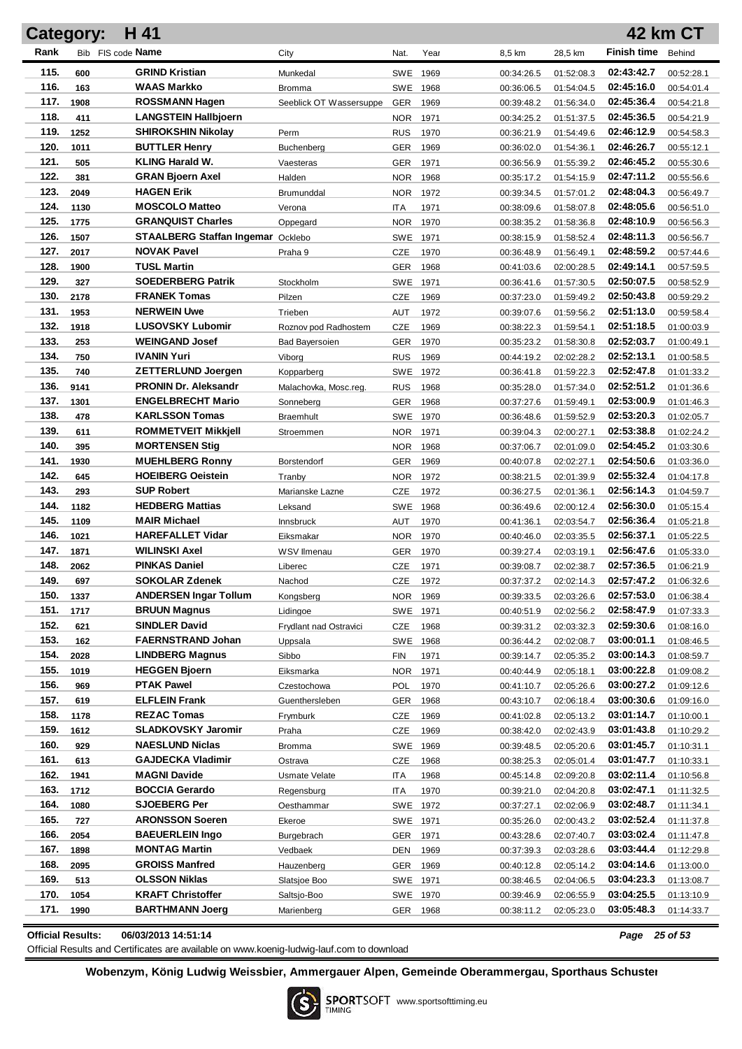| <b>Category:</b> |      | H 41                                     |                         |            |          |            |            |                    | 42 km CT   |
|------------------|------|------------------------------------------|-------------------------|------------|----------|------------|------------|--------------------|------------|
| Rank             |      | Bib FIS code Name                        | City                    | Nat.       | Year     | 8,5 km     | 28,5 km    | <b>Finish time</b> | Behind     |
| 115.             | 600  | <b>GRIND Kristian</b>                    | Munkedal                |            | SWE 1969 | 00:34:26.5 | 01:52:08.3 | 02:43:42.7         | 00:52:28.1 |
| 116.             | 163  | WAAS Markko                              | Bromma                  |            | SWE 1968 | 00:36:06.5 | 01:54:04.5 | 02:45:16.0         | 00:54:01.4 |
| 117.             | 1908 | <b>ROSSMANN Hagen</b>                    | Seeblick OT Wassersuppe | <b>GER</b> | 1969     | 00:39:48.2 | 01:56:34.0 | 02:45:36.4         | 00:54:21.8 |
| 118.             | 411  | <b>LANGSTEIN Hallbjoern</b>              |                         | <b>NOR</b> | 1971     | 00:34:25.2 | 01:51:37.5 | 02:45:36.5         | 00:54:21.9 |
| 119.             | 1252 | <b>SHIROKSHIN Nikolay</b>                | Perm                    | <b>RUS</b> | 1970     | 00:36:21.9 | 01:54:49.6 | 02:46:12.9         | 00:54:58.3 |
| 120.             | 1011 | <b>BUTTLER Henry</b>                     | Buchenberg              | <b>GER</b> | 1969     | 00:36:02.0 | 01:54:36.1 | 02:46:26.7         | 00:55:12.1 |
| 121.             | 505  | <b>KLING Harald W.</b>                   | Vaesteras               | <b>GER</b> | 1971     | 00:36:56.9 | 01:55:39.2 | 02:46:45.2         | 00:55:30.6 |
| 122.             | 381  | <b>GRAN Bjoern Axel</b>                  | Halden                  | <b>NOR</b> | 1968     | 00:35:17.2 | 01:54:15.9 | 02:47:11.2         | 00:55:56.6 |
| 123.             | 2049 | <b>HAGEN Erik</b>                        | Brumunddal              | <b>NOR</b> | 1972     | 00:39:34.5 | 01:57:01.2 | 02:48:04.3         | 00:56:49.7 |
| 124.             | 1130 | <b>MOSCOLO Matteo</b>                    | Verona                  | <b>ITA</b> | 1971     | 00:38:09.6 | 01:58:07.8 | 02:48:05.6         | 00:56:51.0 |
| 125.             | 1775 | <b>GRANQUIST Charles</b>                 | Oppegard                | <b>NOR</b> | 1970     | 00:38:35.2 | 01:58:36.8 | 02:48:10.9         | 00:56:56.3 |
| 126.             | 1507 | <b>STAALBERG Staffan Ingemar Ocklebo</b> |                         | SWE 1971   |          | 00:38:15.9 | 01:58:52.4 | 02:48:11.3         | 00:56:56.7 |
| 127.             | 2017 | <b>NOVAK Pavel</b>                       | Praha 9                 | CZE        | 1970     | 00:36:48.9 | 01:56:49.1 | 02:48:59.2         | 00:57:44.6 |
| 128.             | 1900 | <b>TUSL Martin</b>                       |                         | <b>GER</b> | 1968     | 00:41:03.6 | 02:00:28.5 | 02:49:14.1         | 00:57:59.5 |
| 129.             | 327  | <b>SOEDERBERG Patrik</b>                 | Stockholm               | SWE        | 1971     | 00:36:41.6 | 01:57:30.5 | 02:50:07.5         | 00:58:52.9 |
| 130.             | 2178 | <b>FRANEK Tomas</b>                      | Pilzen                  | CZE        | 1969     | 00:37:23.0 | 01:59:49.2 | 02:50:43.8         | 00:59:29.2 |
| 131.             | 1953 | <b>NERWEIN Uwe</b>                       | Trieben                 | <b>AUT</b> | 1972     | 00:39:07.6 | 01:59:56.2 | 02:51:13.0         | 00:59:58.4 |
| 132.             | 1918 | <b>LUSOVSKY Lubomir</b>                  | Roznov pod Radhostem    | CZE        | 1969     | 00:38:22.3 | 01:59:54.1 | 02:51:18.5         | 01:00:03.9 |
| 133.             | 253  | <b>WEINGAND Josef</b>                    | <b>Bad Bayersoien</b>   | <b>GER</b> | 1970     | 00:35:23.2 | 01:58:30.8 | 02:52:03.7         | 01:00:49.1 |
| 134.             | 750  | <b>IVANIN Yuri</b>                       | Viborg                  | <b>RUS</b> | 1969     | 00:44:19.2 | 02:02:28.2 | 02:52:13.1         | 01:00:58.5 |
| 135.             | 740  | <b>ZETTERLUND Joergen</b>                | Kopparberg              |            | SWE 1972 | 00:36:41.8 | 01:59:22.3 | 02:52:47.8         | 01:01:33.2 |
| 136.             | 9141 | <b>PRONIN Dr. Aleksandr</b>              | Malachovka, Mosc.reg.   | <b>RUS</b> | 1968     | 00:35:28.0 | 01:57:34.0 | 02:52:51.2         | 01:01:36.6 |
| 137.             | 1301 | <b>ENGELBRECHT Mario</b>                 | Sonneberg               | <b>GER</b> | 1968     | 00:37:27.6 | 01:59:49.1 | 02:53:00.9         | 01:01:46.3 |
| 138.             | 478  | <b>KARLSSON Tomas</b>                    | <b>Braemhult</b>        |            | SWE 1970 | 00:36:48.6 | 01:59:52.9 | 02:53:20.3         | 01:02:05.7 |
| 139.             | 611  | <b>ROMMETVEIT Mikkjell</b>               | Stroemmen               | NOR        | 1971     | 00:39:04.3 | 02:00:27.1 | 02:53:38.8         | 01:02:24.2 |
| 140.             | 395  | <b>MORTENSEN Stig</b>                    |                         | NOR        | 1968     | 00:37:06.7 | 02:01:09.0 | 02:54:45.2         | 01:03:30.6 |
| 141.             | 1930 | <b>MUEHLBERG Ronny</b>                   | Borstendorf             | <b>GER</b> | 1969     | 00:40:07.8 | 02:02:27.1 | 02:54:50.6         | 01:03:36.0 |
| 142.             | 645  | <b>HOEIBERG Oeistein</b>                 | Tranby                  | NOR        | 1972     | 00:38:21.5 | 02:01:39.9 | 02:55:32.4         | 01:04:17.8 |
| 143.             | 293  | <b>SUP Robert</b>                        | Marianske Lazne         | <b>CZE</b> | 1972     | 00:36:27.5 | 02:01:36.1 | 02:56:14.3         | 01:04:59.7 |
| 144.             | 1182 | <b>HEDBERG Mattias</b>                   | Leksand                 |            | SWE 1968 | 00:36:49.6 | 02:00:12.4 | 02:56:30.0         | 01:05:15.4 |
| 145.             | 1109 | <b>MAIR Michael</b>                      | Innsbruck               | <b>AUT</b> | 1970     | 00:41:36.1 | 02:03:54.7 | 02:56:36.4         | 01:05:21.8 |
| 146.             | 1021 | <b>HAREFALLET Vidar</b>                  | Eiksmakar               | NOR        | 1970     | 00:40:46.0 | 02:03:35.5 | 02:56:37.1         | 01:05:22.5 |
| 147.             | 1871 | <b>WILINSKI Axel</b>                     | WSV Ilmenau             | <b>GER</b> | 1970     | 00:39:27.4 | 02:03:19.1 | 02:56:47.6         | 01:05:33.0 |
| 148.             | 2062 | <b>PINKAS Daniel</b>                     | Liberec                 | <b>CZE</b> | 1971     | 00:39:08.7 | 02:02:38.7 | 02:57:36.5         | 01:06:21.9 |
| 149.             | 697  | <b>SOKOLAR Zdenek</b>                    | Nachod                  | CZE        | 1972     | 00:37:37.2 | 02:02:14.3 | 02:57:47.2         | 01:06:32.6 |
| 150.             | 1337 | <b>ANDERSEN Ingar Tollum</b>             | Kongsberg               |            | NOR 1969 | 00:39:33.5 | 02:03:26.6 | 02:57:53.0         | 01:06:38.4 |
| 151.             | 1717 | <b>BRUUN Magnus</b>                      | Lidingoe                | SWE        | 1971     | 00:40:51.9 | 02:02:56.2 | 02:58:47.9         | 01:07:33.3 |
| 152.             | 621  | <b>SINDLER David</b>                     | Frydlant nad Ostravici  | CZE        | 1968     | 00:39:31.2 | 02:03:32.3 | 02:59:30.6         | 01:08:16.0 |
| 153.             | 162  | <b>FAERNSTRAND Johan</b>                 | Uppsala                 | SWE        | 1968     | 00:36:44.2 | 02:02:08.7 | 03:00:01.1         | 01:08:46.5 |
| 154.             | 2028 | <b>LINDBERG Magnus</b>                   | Sibbo                   | <b>FIN</b> | 1971     | 00:39:14.7 | 02:05:35.2 | 03:00:14.3         | 01:08:59.7 |
| 155.             | 1019 | <b>HEGGEN Bjoern</b>                     | Eiksmarka               | NOR        | 1971     | 00:40:44.9 | 02:05:18.1 | 03:00:22.8         | 01:09:08.2 |
| 156.             | 969  | <b>PTAK Pawel</b>                        | Czestochowa             | <b>POL</b> | 1970     | 00:41:10.7 | 02:05:26.6 | 03:00:27.2         | 01:09:12.6 |
| 157.             | 619  | <b>ELFLEIN Frank</b>                     | Guenthersleben          | <b>GER</b> | 1968     | 00:43:10.7 | 02:06:18.4 | 03:00:30.6         | 01:09:16.0 |
| 158.             | 1178 | <b>REZAC Tomas</b>                       | Frymburk                | CZE        | 1969     | 00:41:02.8 | 02:05:13.2 | 03:01:14.7         | 01:10:00.1 |
| 159.             | 1612 | <b>SLADKOVSKY Jaromir</b>                | Praha                   | CZE        | 1969     | 00:38:42.0 | 02:02:43.9 | 03:01:43.8         | 01:10:29.2 |
| 160.             | 929  | <b>NAESLUND Niclas</b>                   | Bromma                  | SWE        | 1969     | 00:39:48.5 | 02:05:20.6 | 03:01:45.7         | 01:10:31.1 |
| 161.             | 613  | <b>GAJDECKA Vladimir</b>                 | Ostrava                 | CZE        | 1968     | 00:38:25.3 | 02:05:01.4 | 03:01:47.7         | 01:10:33.1 |
| 162.             | 1941 | <b>MAGNI Davide</b>                      | <b>Usmate Velate</b>    | <b>ITA</b> | 1968     | 00:45:14.8 | 02:09:20.8 | 03:02:11.4         | 01:10:56.8 |
| 163.             | 1712 | <b>BOCCIA Gerardo</b>                    | Regensburg              | ITA        | 1970     | 00:39:21.0 | 02:04:20.8 | 03:02:47.1         | 01:11:32.5 |
| 164.             | 1080 | <b>SJOEBERG Per</b>                      | Oesthammar              |            | SWE 1972 | 00:37:27.1 | 02:02:06.9 | 03:02:48.7         | 01:11:34.1 |
| 165.             | 727  | <b>ARONSSON Soeren</b>                   | Ekeroe                  |            | SWE 1971 | 00:35:26.0 | 02:00:43.2 | 03:02:52.4         | 01:11:37.8 |
| 166.             | 2054 | <b>BAEUERLEIN Ingo</b>                   | Burgebrach              | GER        | 1971     | 00:43:28.6 | 02:07:40.7 | 03:03:02.4         | 01:11:47.8 |
| 167.             | 1898 | <b>MONTAG Martin</b>                     | Vedbaek                 | DEN        | 1969     | 00:37:39.3 | 02:03:28.6 | 03:03:44.4         | 01:12:29.8 |
| 168.             | 2095 | <b>GROISS Manfred</b>                    | Hauzenberg              | GER        | 1969     | 00:40:12.8 | 02:05:14.2 | 03:04:14.6         | 01:13:00.0 |
| 169.             | 513  | <b>OLSSON Niklas</b>                     | Slatsjoe Boo            |            | SWE 1971 | 00:38:46.5 | 02:04:06.5 | 03:04:23.3         | 01:13:08.7 |
| 170.             | 1054 | <b>KRAFT Christoffer</b>                 | Saltsjo-Boo             |            | SWE 1970 | 00:39:46.9 | 02:06:55.9 | 03:04:25.5         | 01:13:10.9 |
| 171.             | 1990 | <b>BARTHMANN Joerg</b>                   | Marienberg              |            | GER 1968 | 00:38:11.2 | 02:05:23.0 | 03:05:48.3         | 01:14:33.7 |
|                  |      |                                          |                         |            |          |            |            |                    |            |

**Official Results: 06/03/2013 14:51:14** *Page 25 of 53*

Official Results and Certificates are available on www.koenig-ludwig-lauf.com to download

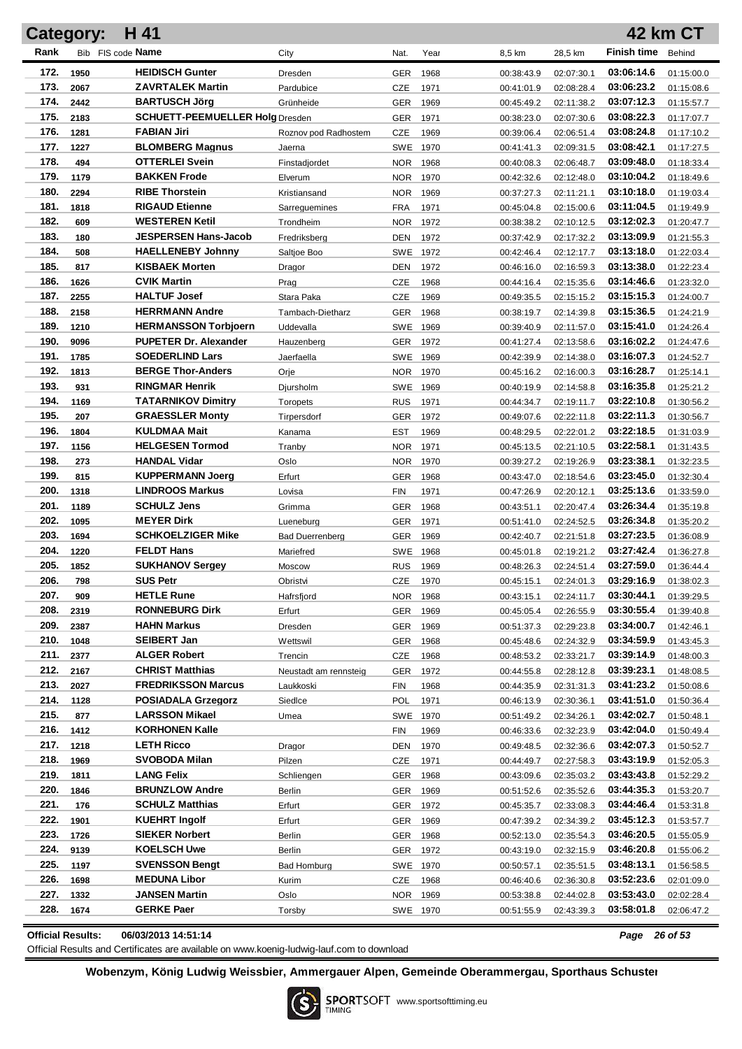| H 41<br><b>42 km CT</b><br><b>Category:</b> |              |                                                     |                        |                        |              |                          |                          |                          |                          |  |
|---------------------------------------------|--------------|-----------------------------------------------------|------------------------|------------------------|--------------|--------------------------|--------------------------|--------------------------|--------------------------|--|
| Rank                                        |              | Bib FIS code Name                                   | City                   | Nat.                   | Year         | 8,5 km                   | 28,5 km                  | <b>Finish time</b>       | Behind                   |  |
| 172.                                        | 1950         | <b>HEIDISCH Gunter</b>                              | <b>Dresden</b>         | GER                    | 1968         | 00:38:43.9               | 02:07:30.1               | 03:06:14.6               | 01:15:00.0               |  |
| 173.                                        | 2067         | <b>ZAVRTALEK Martin</b>                             | Pardubice              | CZE                    | 1971         | 00:41:01.9               | 02:08:28.4               | 03:06:23.2               | 01:15:08.6               |  |
| 174.                                        | 2442         | <b>BARTUSCH Jörg</b>                                | Grünheide              | GER                    | 1969         | 00:45:49.2               | 02:11:38.2               | 03:07:12.3               | 01:15:57.7               |  |
| 175.                                        | 2183         | <b>SCHUETT-PEEMUELLER Holg Dresden</b>              |                        | GER                    | 1971         | 00:38:23.0               | 02:07:30.6               | 03:08:22.3               | 01:17:07.7               |  |
| 176.                                        | 1281         | <b>FABIAN Jiri</b>                                  | Roznov pod Radhostem   | CZE                    | 1969         | 00:39:06.4               | 02:06:51.4               | 03:08:24.8               | 01:17:10.2               |  |
| 177.                                        | 1227         | <b>BLOMBERG Magnus</b>                              | Jaerna                 | <b>SWE</b>             | 1970         | 00:41:41.3               | 02:09:31.5               | 03:08:42.1               | 01:17:27.5               |  |
| 178.                                        | 494          | <b>OTTERLEI Svein</b>                               | Finstadjordet          | <b>NOR</b>             | 1968         | 00:40:08.3               | 02:06:48.7               | 03:09:48.0               | 01:18:33.4               |  |
| 179.                                        | 1179         | <b>BAKKEN Frode</b>                                 | Elverum                | <b>NOR</b>             | 1970         | 00:42:32.6               | 02:12:48.0               | 03:10:04.2               | 01:18:49.6               |  |
| 180.                                        | 2294         | <b>RIBE Thorstein</b>                               | Kristiansand           | <b>NOR</b>             | 1969         | 00:37:27.3               | 02:11:21.1               | 03:10:18.0               | 01:19:03.4               |  |
| 181.                                        | 1818         | <b>RIGAUD Etienne</b>                               | Sarreguemines          | <b>FRA</b>             | 1971         | 00:45:04.8               | 02:15:00.6               | 03:11:04.5               | 01:19:49.9               |  |
| 182.                                        | 609          | <b>WESTEREN Ketil</b>                               | Trondheim              | <b>NOR</b>             | 1972         | 00:38:38.2               | 02:10:12.5               | 03:12:02.3               | 01:20:47.7               |  |
| 183.                                        | 180          | <b>JESPERSEN Hans-Jacob</b>                         | Fredriksberg           | DEN                    | 1972         | 00:37:42.9               | 02:17:32.2               | 03:13:09.9               | 01:21:55.3               |  |
| 184.                                        | 508          | <b>HAELLENEBY Johnny</b>                            | Saltjoe Boo            | <b>SWE</b>             | 1972         | 00:42:46.4               | 02:12:17.7               | 03:13:18.0               | 01:22:03.4               |  |
| 185.                                        | 817          | <b>KISBAEK Morten</b>                               | Dragor                 | DEN                    | 1972         | 00:46:16.0               | 02:16:59.3               | 03:13:38.0               | 01:22:23.4               |  |
| 186.                                        | 1626         | <b>CVIK Martin</b>                                  | Prag                   | CZE                    | 1968         | 00:44:16.4               | 02:15:35.6               | 03:14:46.6               | 01:23:32.0               |  |
| 187.                                        | 2255         | <b>HALTUF Josef</b>                                 | Stara Paka             | CZE                    | 1969         | 00:49:35.5               | 02:15:15.2               | 03:15:15.3               | 01:24:00.7               |  |
| 188.                                        | 2158         | <b>HERRMANN Andre</b>                               | Tambach-Dietharz       | <b>GER</b>             | 1968         | 00:38:19.7               | 02:14:39.8               | 03:15:36.5               | 01:24:21.9               |  |
| 189.                                        | 1210         | <b>HERMANSSON Torbjoern</b>                         | Uddevalla              | <b>SWE</b>             | 1969         | 00:39:40.9               | 02:11:57.0               | 03:15:41.0               | 01:24:26.4               |  |
| 190.                                        | 9096         | <b>PUPETER Dr. Alexander</b>                        | Hauzenberg             | <b>GER</b>             | 1972         | 00:41:27.4               | 02:13:58.6               | 03:16:02.2               | 01:24:47.6               |  |
| 191.                                        | 1785         | <b>SOEDERLIND Lars</b>                              | Jaerfaella             | <b>SWE</b>             | 1969         | 00:42:39.9               | 02:14:38.0               | 03:16:07.3               | 01:24:52.7               |  |
| 192.                                        | 1813         | <b>BERGE Thor-Anders</b>                            | Orje                   | NOR.                   | 1970         | 00:45:16.2               | 02:16:00.3               | 03:16:28.7               | 01:25:14.1               |  |
| 193.                                        | 931          | <b>RINGMAR Henrik</b>                               | Djursholm              | SWE                    | 1969         | 00:40:19.9               | 02:14:58.8               | 03:16:35.8               | 01:25:21.2               |  |
| 194.<br>195.                                | 1169         | <b>TATARNIKOV Dimitry</b><br><b>GRAESSLER Monty</b> | Toropets               | <b>RUS</b>             | 1971         | 00:44:34.7               | 02:19:11.7               | 03:22:10.8<br>03:22:11.3 | 01:30:56.2               |  |
| 196.                                        | 207<br>1804  | <b>KULDMAA Mait</b>                                 | Tirpersdorf            | GER                    | 1972         | 00:49:07.6               | 02:22:11.8               | 03:22:18.5               | 01:30:56.7               |  |
| 197.                                        | 1156         | <b>HELGESEN Tormod</b>                              | Kanama                 | EST<br><b>NOR</b>      | 1969         | 00:48:29.5               | 02:22:01.2               | 03:22:58.1               | 01:31:03.9               |  |
| 198.                                        | 273          | <b>HANDAL Vidar</b>                                 | Tranby<br>Oslo         | NOR.                   | 1971<br>1970 | 00:45:13.5<br>00:39:27.2 | 02:21:10.5<br>02:19:26.9 | 03:23:38.1               | 01:31:43.5<br>01:32:23.5 |  |
| 199.                                        | 815          | <b>KUPPERMANN Joerg</b>                             | Erfurt                 | GER                    | 1968         | 00:43:47.0               | 02:18:54.6               | 03:23:45.0               | 01:32:30.4               |  |
| 200.                                        | 1318         | <b>LINDROOS Markus</b>                              | Lovisa                 | <b>FIN</b>             | 1971         | 00:47:26.9               | 02:20:12.1               | 03:25:13.6               | 01:33:59.0               |  |
| 201.                                        | 1189         | <b>SCHULZ Jens</b>                                  | Grimma                 | <b>GER</b>             | 1968         | 00:43:51.1               | 02:20:47.4               | 03:26:34.4               | 01:35:19.8               |  |
| 202.                                        | 1095         | <b>MEYER Dirk</b>                                   | Lueneburg              | <b>GER</b>             | 1971         | 00:51:41.0               | 02:24:52.5               | 03:26:34.8               | 01:35:20.2               |  |
| 203.                                        | 1694         | <b>SCHKOELZIGER Mike</b>                            | <b>Bad Duerrenberg</b> | <b>GER</b>             | 1969         | 00:42:40.7               | 02:21:51.8               | 03:27:23.5               | 01:36:08.9               |  |
| 204.                                        | 1220         | <b>FELDT Hans</b>                                   | Mariefred              | <b>SWE</b>             | 1968         | 00:45:01.8               | 02:19:21.2               | 03:27:42.4               | 01:36:27.8               |  |
| 205.                                        | 1852         | <b>SUKHANOV Sergey</b>                              | Moscow                 | <b>RUS</b>             | 1969         | 00:48:26.3               | 02:24:51.4               | 03:27:59.0               | 01:36:44.4               |  |
| 206.                                        | 798          | <b>SUS Petr</b>                                     | Obristvi               | CZE 1970               |              | 00:45:15.1               | 02:24:01.3               | 03:29:16.9               | 01:38:02.3               |  |
| 207.                                        | 909          | <b>HETLE Rune</b>                                   | Hafrsfjord             | NOR 1968               |              | 00:43:15.1               | 02:24:11.7               | 03:30:44.1               | 01:39:29.5               |  |
| 208.                                        | 2319         | <b>RONNEBURG Dirk</b>                               | Erfurt                 | <b>GER</b>             | 1969         | 00:45:05.4               | 02:26:55.9               | 03:30:55.4               | 01:39:40.8               |  |
| 209.                                        | 2387         | HAHN Markus                                         | Dresden                | <b>GER</b>             | 1969         | 00:51:37.3               | 02:29:23.8               | 03:34:00.7               | 01:42:46.1               |  |
| 210.                                        | 1048         | <b>SEIBERT Jan</b>                                  | Wettswil               | <b>GER</b>             | 1968         | 00:45:48.6               | 02:24:32.9               | 03:34:59.9               | 01:43:45.3               |  |
| 211.                                        | 2377         | <b>ALGER Robert</b>                                 | Trencin                | <b>CZE</b>             | 1968         | 00:48:53.2               | 02:33:21.7               | 03:39:14.9               | 01:48:00.3               |  |
| 212.                                        | 2167         | <b>CHRIST Matthias</b>                              | Neustadt am rennsteig  | <b>GER</b>             | 1972         | 00:44:55.8               | 02:28:12.8               | 03:39:23.1               | 01:48:08.5               |  |
| 213.                                        | 2027         | <b>FREDRIKSSON Marcus</b>                           | Laukkoski              | <b>FIN</b>             | 1968         | 00:44:35.9               | 02:31:31.3               | 03:41:23.2               | 01:50:08.6               |  |
| 214.                                        | 1128         | <b>POSIADALA Grzegorz</b>                           | Siedlce                | <b>POL</b>             | 1971         | 00:46:13.9               | 02:30:36.1               | 03:41:51.0               | 01:50:36.4               |  |
| 215.                                        | 877          | <b>LARSSON Mikael</b>                               | Umea                   | SWE 1970               |              | 00:51:49.2               | 02:34:26.1               | 03:42:02.7               | 01:50:48.1               |  |
| 216.                                        | 1412         | <b>KORHONEN Kalle</b>                               |                        | FIN                    | 1969         | 00:46:33.6               | 02:32:23.9               | 03:42:04.0               | 01:50:49.4               |  |
| 217.                                        | 1218         | <b>LETH Ricco</b>                                   | Dragor                 | DEN                    | 1970         | 00:49:48.5               | 02:32:36.6               | 03:42:07.3               | 01:50:52.7               |  |
| 218.                                        | 1969         | SVOBODA Milan                                       | Pilzen                 | <b>CZE</b>             | 1971         | 00:44:49.7               | 02:27:58.3               | 03:43:19.9               | 01:52:05.3               |  |
| 219.                                        | 1811         | <b>LANG Felix</b>                                   | Schliengen             | <b>GER</b>             | 1968         | 00:43:09.6               | 02:35:03.2               | 03:43:43.8               | 01:52:29.2               |  |
| 220.                                        | 1846         | <b>BRUNZLOW Andre</b>                               | Berlin                 | GER                    | 1969         | 00:51:52.6               | 02:35:52.6               | 03:44:35.3               | 01:53:20.7               |  |
| 221.                                        | 176          | <b>SCHULZ Matthias</b>                              | Erfurt                 | <b>GER</b>             | 1972         | 00:45:35.7               | 02:33:08.3               | 03:44:46.4               | 01:53:31.8               |  |
| 222.                                        | 1901         | <b>KUEHRT Ingolf</b>                                | Erfurt                 | GER                    | 1969         | 00:47:39.2               | 02:34:39.2               | 03:45:12.3               | 01:53:57.7               |  |
| 223.                                        | 1726         | <b>SIEKER Norbert</b>                               | Berlin                 | <b>GER</b>             | 1968         | 00:52:13.0               | 02:35:54.3               | 03:46:20.5               | 01:55:05.9               |  |
| 224.<br>225.                                | 9139         | <b>KOELSCH Uwe</b><br><b>SVENSSON Bengt</b>         | Berlin                 | GER 1972               |              | 00:43:19.0               | 02:32:15.9               | 03:46:20.8               | 01:55:06.2               |  |
| 226.                                        | 1197         | <b>MEDUNA Libor</b>                                 | <b>Bad Homburg</b>     | SWE 1970               |              | 00:50:57.1               | 02:35:51.5               | 03:48:13.1               | 01:56:58.5               |  |
| 227.                                        | 1698<br>1332 | <b>JANSEN Martin</b>                                | Kurim                  | <b>CZE</b>             | 1968         | 00:46:40.6               | 02:36:30.8               | 03:52:23.6<br>03:53:43.0 | 02:01:09.0               |  |
| 228.                                        | 1674         | <b>GERKE Paer</b>                                   | Oslo                   | <b>NOR</b><br>SWE 1970 | 1969         | 00:53:38.8               | 02:44:02.8<br>02:43:39.3 | 03:58:01.8               | 02:02:28.4<br>02:06:47.2 |  |
|                                             |              |                                                     | Torsby                 |                        |              | 00:51:55.9               |                          |                          |                          |  |

**Official Results: 06/03/2013 14:51:14** *Page 26 of 53*

Official Results and Certificates are available on www.koenig-ludwig-lauf.com to download

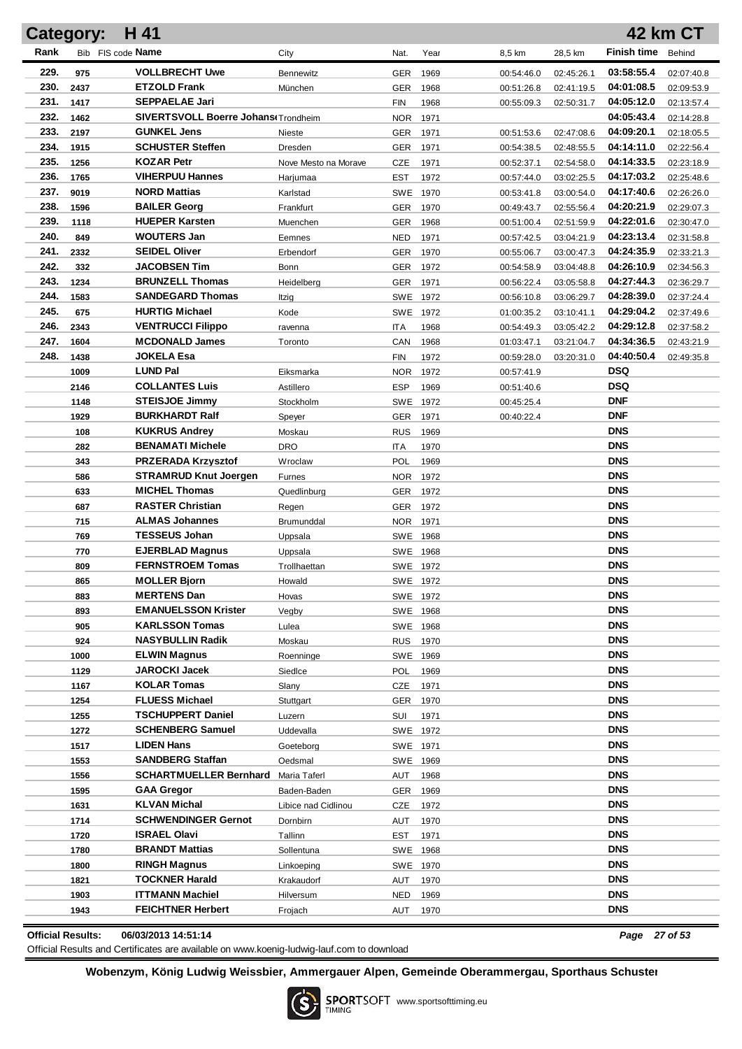|      | <b>Category:</b>         | H 41                                              |                      |                      |      |            |            |                          | <b>42 km CT</b> |
|------|--------------------------|---------------------------------------------------|----------------------|----------------------|------|------------|------------|--------------------------|-----------------|
| Rank |                          | Bib FIS code <b>Name</b>                          | City                 | Nat.                 | Year | 8,5 km     | 28,5 km    | <b>Finish time</b>       | Behind          |
| 229. | 975                      | <b>VOLLBRECHT Uwe</b>                             | Bennewitz            | GER                  | 1969 | 00:54:46.0 | 02:45:26.1 | 03:58:55.4               | 02:07:40.8      |
| 230. | 2437                     | <b>ETZOLD Frank</b>                               | München              | GER                  | 1968 | 00:51:26.8 | 02:41:19.5 | 04:01:08.5               | 02:09:53.9      |
| 231. | 1417                     | <b>SEPPAELAE Jari</b>                             |                      | <b>FIN</b>           | 1968 | 00:55:09.3 | 02:50:31.7 | 04:05:12.0               | 02:13:57.4      |
| 232. | 1462                     | SIVERTSVOLL Boerre Johans(Trondheim               |                      | <b>NOR</b>           | 1971 |            |            | 04:05:43.4               | 02:14:28.8      |
| 233. | 2197                     | <b>GUNKEL Jens</b>                                | Nieste               | GER                  | 1971 | 00:51:53.6 | 02:47:08.6 | 04:09:20.1               | 02:18:05.5      |
| 234. | 1915                     | <b>SCHUSTER Steffen</b>                           | Dresden              | GER                  | 1971 | 00:54:38.5 | 02:48:55.5 | 04:14:11.0               | 02:22:56.4      |
| 235. | 1256                     | <b>KOZAR Petr</b>                                 | Nove Mesto na Morave | <b>CZE</b>           | 1971 | 00:52:37.1 | 02:54:58.0 | 04:14:33.5               | 02:23:18.9      |
| 236. | 1765                     | <b>VIHERPUU Hannes</b>                            | Harjumaa             | EST                  | 1972 | 00:57:44.0 | 03:02:25.5 | 04:17:03.2               | 02:25:48.6      |
| 237. | 9019                     | <b>NORD Mattias</b>                               | Karlstad             | SWE                  | 1970 | 00:53:41.8 | 03:00:54.0 | 04:17:40.6               | 02:26:26.0      |
| 238. | 1596                     | <b>BAILER Georg</b>                               | Frankfurt            | GER                  | 1970 | 00:49:43.7 | 02:55:56.4 | 04:20:21.9               | 02:29:07.3      |
| 239. | 1118                     | <b>HUEPER Karsten</b>                             | Muenchen             | GER                  | 1968 | 00:51:00.4 | 02:51:59.9 | 04:22:01.6               | 02:30:47.0      |
| 240. | 849                      | <b>WOUTERS Jan</b>                                | Eemnes               | <b>NED</b>           | 1971 | 00:57:42.5 | 03:04:21.9 | 04:23:13.4               | 02:31:58.8      |
| 241. | 2332                     | <b>SEIDEL Oliver</b>                              | Erbendorf            | GER                  | 1970 | 00:55:06.7 | 03:00:47.3 | 04:24:35.9               | 02:33:21.3      |
| 242. | 332                      | <b>JACOBSEN Tim</b>                               | Bonn                 | GER                  | 1972 | 00:54:58.9 | 03:04:48.8 | 04:26:10.9               | 02:34:56.3      |
| 243. | 1234                     | <b>BRUNZELL Thomas</b>                            | Heidelberg           | GER                  | 1971 | 00:56:22.4 | 03:05:58.8 | 04:27:44.3               | 02:36:29.7      |
| 244. | 1583                     | <b>SANDEGARD Thomas</b>                           | Itzig                | SWE 1972             |      | 00:56:10.8 | 03:06:29.7 | 04:28:39.0               | 02:37:24.4      |
| 245. | 675                      | <b>HURTIG Michael</b>                             | Kode                 | SWE 1972             |      | 01:00:35.2 | 03:10:41.1 | 04:29:04.2               | 02:37:49.6      |
| 246. | 2343                     | <b>VENTRUCCI Filippo</b>                          | ravenna              | ITA                  | 1968 | 00:54:49.3 | 03:05:42.2 | 04:29:12.8               | 02:37:58.2      |
| 247. | 1604                     | <b>MCDONALD James</b>                             | Toronto              | CAN                  | 1968 | 01:03:47.1 | 03:21:04.7 | 04:34:36.5               | 02:43:21.9      |
| 248. | 1438                     | <b>JOKELA Esa</b>                                 |                      | <b>FIN</b>           | 1972 | 00:59:28.0 | 03:20:31.0 | 04:40:50.4               | 02:49:35.8      |
|      | 1009                     | <b>LUND Pal</b>                                   | Eiksmarka            | <b>NOR</b>           | 1972 | 00:57:41.9 |            | DSQ                      |                 |
|      | 2146                     | <b>COLLANTES Luis</b>                             | Astillero            | <b>ESP</b>           | 1969 | 00:51:40.6 |            | DSQ                      |                 |
|      | 1148                     | <b>STEISJOE Jimmy</b>                             | Stockholm            | SWE                  | 1972 | 00:45:25.4 |            | <b>DNF</b>               |                 |
|      | 1929                     | <b>BURKHARDT Ralf</b>                             | Speyer               | <b>GER</b>           | 1971 | 00:40:22.4 |            | <b>DNF</b>               |                 |
|      | 108                      | <b>KUKRUS Andrey</b>                              | Moskau               | <b>RUS</b>           | 1969 |            |            | <b>DNS</b>               |                 |
|      | 282                      | <b>BENAMATI Michele</b>                           | <b>DRO</b>           | <b>ITA</b>           | 1970 |            |            | <b>DNS</b>               |                 |
|      | 343                      | <b>PRZERADA Krzysztof</b>                         | Wroclaw              | POL                  | 1969 |            |            | <b>DNS</b>               |                 |
|      | 586                      | <b>STRAMRUD Knut Joergen</b>                      | <b>Furnes</b>        | <b>NOR</b>           | 1972 |            |            | <b>DNS</b>               |                 |
|      | 633                      | <b>MICHEL Thomas</b>                              | Quedlinburg          | GER                  | 1972 |            |            | <b>DNS</b>               |                 |
|      | 687                      | <b>RASTER Christian</b>                           | Regen                | GER                  | 1972 |            |            | <b>DNS</b>               |                 |
|      | 715                      | <b>ALMAS Johannes</b>                             | Brumunddal           | <b>NOR</b>           | 1971 |            |            | <b>DNS</b>               |                 |
|      | 769                      | <b>TESSEUS Johan</b>                              | Uppsala              | SWE 1968             |      |            |            | <b>DNS</b>               |                 |
|      | 770                      | <b>EJERBLAD Magnus</b><br><b>FERNSTROEM Tomas</b> | Uppsala              | SWE 1968             |      |            |            | <b>DNS</b><br><b>DNS</b> |                 |
|      | 809                      | <b>MOLLER Biorn</b>                               | Trollhaettan         | SWE 1972             |      |            |            | <b>DNS</b>               |                 |
|      | 865                      | <b>MERTENS Dan</b>                                | Howald               | SWE 1972             |      |            |            | <b>DNS</b>               |                 |
|      | 883<br>893               | <b>EMANUELSSON Krister</b>                        | Hovas<br>Vegby       | SWE 1972<br>SWE 1968 |      |            |            | <b>DNS</b>               |                 |
|      | 905                      | <b>KARLSSON Tomas</b>                             | Lulea                | SWE 1968             |      |            |            | <b>DNS</b>               |                 |
|      | 924                      | <b>NASYBULLIN Radik</b>                           | Moskau               | RUS 1970             |      |            |            | <b>DNS</b>               |                 |
|      | 1000                     | <b>ELWIN Magnus</b>                               | Roenninge            | SWE 1969             |      |            |            | <b>DNS</b>               |                 |
|      | 1129                     | JAROCKI Jacek                                     | SiedIce              | POL.                 | 1969 |            |            | <b>DNS</b>               |                 |
|      | 1167                     | <b>KOLAR Tomas</b>                                | Slany                | CZE                  | 1971 |            |            | <b>DNS</b>               |                 |
|      | 1254                     | <b>FLUESS Michael</b>                             | Stuttgart            | GER 1970             |      |            |            | <b>DNS</b>               |                 |
|      | 1255                     | TSCHUPPERT Daniel                                 | Luzern               | SUI                  | 1971 |            |            | <b>DNS</b>               |                 |
|      | 1272                     | <b>SCHENBERG Samuel</b>                           | Uddevalla            | SWE 1972             |      |            |            | <b>DNS</b>               |                 |
|      | 1517                     | <b>LIDEN Hans</b>                                 | Goeteborg            | SWE 1971             |      |            |            | <b>DNS</b>               |                 |
|      | 1553                     | <b>SANDBERG Staffan</b>                           | Oedsmal              | SWE 1969             |      |            |            | <b>DNS</b>               |                 |
|      | 1556                     | <b>SCHARTMUELLER Bernhard</b>                     | Maria Taferl         | AUT                  | 1968 |            |            | <b>DNS</b>               |                 |
|      | 1595                     | <b>GAA Gregor</b>                                 | Baden-Baden          | GER 1969             |      |            |            | <b>DNS</b>               |                 |
|      | 1631                     | KLVAN Michal                                      | Libice nad Cidlinou  | CZE                  | 1972 |            |            | <b>DNS</b>               |                 |
|      | 1714                     | <b>SCHWENDINGER Gernot</b>                        | Dornbirn             | AUT                  | 1970 |            |            | <b>DNS</b>               |                 |
|      | 1720                     | <b>ISRAEL Olavi</b>                               | Tallinn              | <b>EST</b>           | 1971 |            |            | <b>DNS</b>               |                 |
|      | 1780                     | <b>BRANDT Mattias</b>                             | Sollentuna           | SWE 1968             |      |            |            | <b>DNS</b>               |                 |
|      | 1800                     | <b>RINGH Magnus</b>                               | Linkoeping           | SWE 1970             |      |            |            | <b>DNS</b>               |                 |
|      | 1821                     | <b>TOCKNER Harald</b>                             | Krakaudorf           | AUT                  | 1970 |            |            | <b>DNS</b>               |                 |
|      | 1903                     | ITTMANN Machiel                                   | Hilversum            | <b>NED</b>           | 1969 |            |            | <b>DNS</b>               |                 |
|      | 1943                     | <b>FEICHTNER Herbert</b>                          | Frojach              | AUT                  | 1970 |            |            | <b>DNS</b>               |                 |
|      | <b>Official Results:</b> | 06/03/2013 14:51:14                               |                      |                      |      |            |            | Page 27 of 53            |                 |

Official Results and Certificates are available on www.koenig-ludwig-lauf.com to download

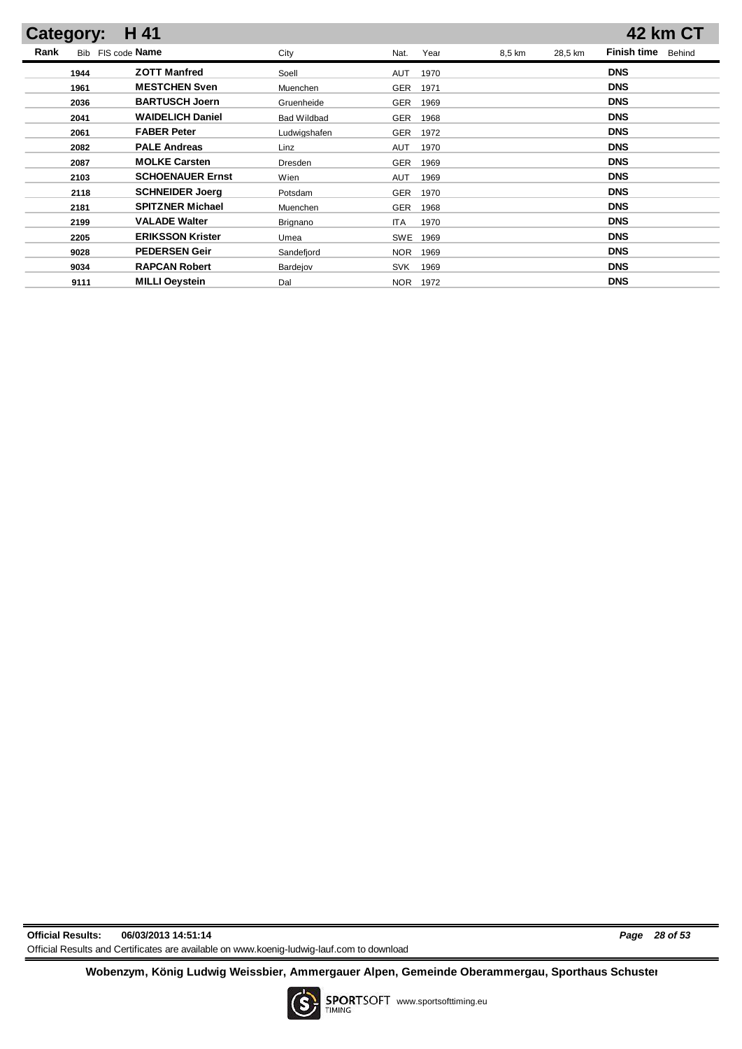| <b>Category:</b> | H 41                    |                    |                    |        |         | <b>42 km CT</b>              |
|------------------|-------------------------|--------------------|--------------------|--------|---------|------------------------------|
| Rank             | Bib FIS code Name       | City               | Year<br>Nat.       | 8,5 km | 28,5 km | <b>Finish time</b><br>Behind |
| 1944             | <b>ZOTT Manfred</b>     | Soell              | <b>AUT</b><br>1970 |        |         | <b>DNS</b>                   |
| 1961             | <b>MESTCHEN Sven</b>    | Muenchen           | GER<br>1971        |        |         | <b>DNS</b>                   |
| 2036             | <b>BARTUSCH Joern</b>   | Gruenheide         | <b>GER</b><br>1969 |        |         | <b>DNS</b>                   |
| 2041             | <b>WAIDELICH Daniel</b> | <b>Bad Wildbad</b> | GER<br>1968        |        |         | <b>DNS</b>                   |
| 2061             | <b>FABER Peter</b>      | Ludwigshafen       | <b>GER</b><br>1972 |        |         | <b>DNS</b>                   |
| 2082             | <b>PALE Andreas</b>     | Linz               | <b>AUT</b><br>1970 |        |         | <b>DNS</b>                   |
| 2087             | <b>MOLKE Carsten</b>    | Dresden            | GER<br>1969        |        |         | <b>DNS</b>                   |
| 2103             | <b>SCHOENAUER Ernst</b> | Wien               | <b>AUT</b><br>1969 |        |         | <b>DNS</b>                   |
| 2118             | <b>SCHNEIDER Joerg</b>  | Potsdam            | <b>GER</b><br>1970 |        |         | <b>DNS</b>                   |
| 2181             | <b>SPITZNER Michael</b> | Muenchen           | <b>GER</b><br>1968 |        |         | <b>DNS</b>                   |
| 2199             | <b>VALADE Walter</b>    | Brignano           | <b>ITA</b><br>1970 |        |         | <b>DNS</b>                   |
| 2205             | <b>ERIKSSON Krister</b> | Umea               | <b>SWE</b><br>1969 |        |         | <b>DNS</b>                   |
| 9028             | <b>PEDERSEN Geir</b>    | Sandefjord         | <b>NOR</b><br>1969 |        |         | <b>DNS</b>                   |
| 9034             | <b>RAPCAN Robert</b>    | Bardejov           | 1969<br><b>SVK</b> |        |         | <b>DNS</b>                   |
| 9111             | <b>MILLI Oeystein</b>   | Dal                | 1972<br>NOR.       |        |         | <b>DNS</b>                   |

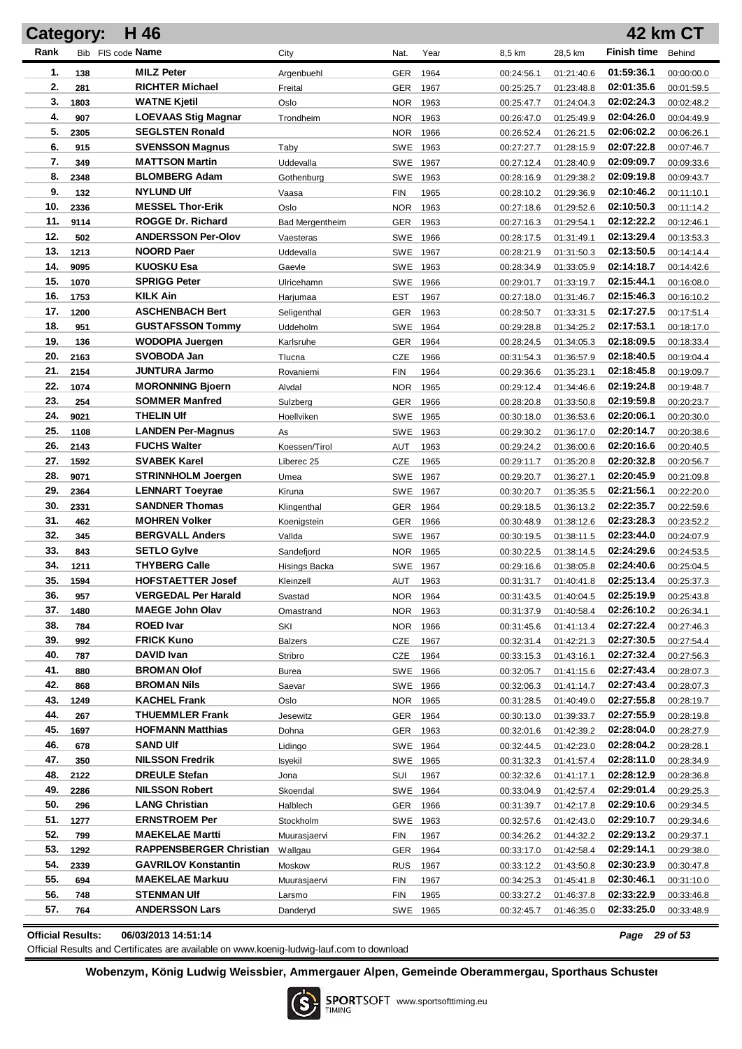| Rank<br>Bib FIS code Name<br><b>Finish time</b><br>Behind<br>City<br>8,5 km<br>28,5 km<br>Nat.<br>Year<br>1.<br><b>MILZ Peter</b><br>01:59:36.1<br>138<br>1964<br>Argenbuehl<br>GER<br>00:24:56.1<br>01:21:40.6<br>00:00:00.0<br>2.<br><b>RICHTER Michael</b><br>02:01:35.6<br>281<br>1967<br>Freital<br>GER<br>00:25:25.7<br>01:23:48.8<br>00:01:59.5<br>3.<br>1803<br><b>WATNE Kjetil</b><br>02:02:24.3<br>Oslo<br>1963<br><b>NOR</b><br>00:25:47.7<br>01:24:04.3<br>00:02:48.2<br>4.<br><b>LOEVAAS Stig Magnar</b><br>02:04:26.0<br>907<br>1963<br>Trondheim<br><b>NOR</b><br>00:26:47.0<br>01:25:49.9<br>00:04:49.9<br>5.<br><b>SEGLSTEN Ronald</b><br>02:06:02.2<br>2305<br>1966<br><b>NOR</b><br>00:26:52.4<br>01:26:21.5<br>00:06:26.1<br>6.<br><b>SVENSSON Magnus</b><br>02:07:22.8<br>915<br>1963<br>Taby<br>SWE<br>00:27:27.7<br>01:28:15.9<br>00:07:46.7<br>7.<br><b>MATTSON Martin</b><br>02:09:09.7<br>349<br>1967<br>Uddevalla<br>SWE<br>00:27:12.4<br>01:28:40.9<br>00:09:33.6<br>8.<br><b>BLOMBERG Adam</b><br>02:09:19.8<br>2348<br>1963<br>Gothenburg<br><b>SWE</b><br>00:28:16.9<br>01:29:38.2<br>00:09:43.7<br>9.<br><b>NYLUND UIf</b><br>02:10:46.2<br>132<br><b>FIN</b><br>1965<br>Vaasa<br>00:28:10.2<br>01:29:36.9<br>00:11:10.1<br>10.<br>2336<br><b>MESSEL Thor-Erik</b><br>02:10:50.3<br>Oslo<br><b>NOR</b><br>1963<br>00:27:18.6<br>01:29:52.6<br>00:11:14.2<br>11.<br><b>ROGGE Dr. Richard</b><br>02:12:22.2<br>9114<br>1963<br><b>Bad Mergentheim</b><br>GER<br>00:27:16.3<br>01:29:54.1<br>00:12:46.1<br>12.<br><b>ANDERSSON Per-Olov</b><br>02:13:29.4<br>502<br>1966<br>Vaesteras<br><b>SWE</b><br>00:28:17.5<br>01:31:49.1<br>00:13:53.3<br>13.<br>1213<br><b>NOORD Paer</b><br>02:13:50.5<br>1967<br>Uddevalla<br>SWE<br>00:28:21.9<br>01:31:50.3<br>00:14:14.4<br>14.<br>9095<br>KUOSKU Esa<br>02:14:18.7<br>1963<br>Gaevle<br>SWE<br>00:28:34.9<br>01:33:05.9<br>00:14:42.6<br><b>SPRIGG Peter</b><br>15.<br>1070<br>02:15:44.1<br>1966<br>Ulricehamn<br>SWE<br>00:29:01.7<br>01:33:19.7<br>00:16:08.0<br>16.<br><b>KILK Ain</b><br>02:15:46.3<br>1753<br>1967<br>EST<br>00:27:18.0<br>01:31:46.7<br>00:16:10.2<br>Harjumaa<br>17.<br><b>ASCHENBACH Bert</b><br>02:17:27.5<br>1200<br><b>GER</b><br>1963<br>Seligenthal<br>00:28:50.7<br>01:33:31.5<br>00:17:51.4<br>18.<br><b>GUSTAFSSON Tommy</b><br>02:17:53.1<br>951<br>1964<br>Uddeholm<br><b>SWE</b><br>00:29:28.8<br>01:34:25.2<br>00:18:17.0<br>19.<br>136<br><b>WODOPIA Juergen</b><br>02:18:09.5<br>1964<br>Karlsruhe<br>GER<br>00:28:24.5<br>01:34:05.3<br>00:18:33.4<br>20.<br>SVOBODA Jan<br>02:18:40.5<br>2163<br><b>CZE</b><br>1966<br>01:36:57.9<br>Tlucna<br>00:31:54.3<br>00:19:04.4<br>21.<br><b>JUNTURA Jarmo</b><br>2154<br>02:18:45.8<br><b>FIN</b><br>1964<br>01:35:23.1<br>Rovaniemi<br>00:29:36.6<br>00:19:09.7<br>22.<br><b>MORONNING Bjoern</b><br>02:19:24.8<br>1074<br>Alvdal<br><b>NOR</b><br>1965<br>00:29:12.4<br>01:34:46.6<br>00:19:48.7<br>23.<br><b>SOMMER Manfred</b><br>02:19:59.8<br>254<br><b>GER</b><br>1966<br>01:33:50.8<br>00:20:23.7<br>Sulzberg<br>00:28:20.8<br>24.<br><b>THELIN UIf</b><br>02:20:06.1<br>9021<br>1965<br>01:36:53.6<br>00:20:30.0<br>Hoellviken<br><b>SWE</b><br>00:30:18.0<br>25.<br><b>LANDEN Per-Magnus</b><br>02:20:14.7<br>1108<br>1963<br>01:36:17.0<br>00:20:38.6<br>As<br><b>SWE</b><br>00:29:30.2<br>26.<br><b>FUCHS Walter</b><br>02:20:16.6<br>2143<br>Koessen/Tirol<br>1963<br>01:36:00.6<br>AUT<br>00:29:24.2<br>00:20:40.5<br>27.<br><b>SVABEK Karel</b><br>02:20:32.8<br>1592<br><b>CZE</b><br>1965<br>01:35:20.8<br>00:20:56.7<br>Liberec 25<br>00:29:11.7<br>28.<br><b>STRINNHOLM Joergen</b><br>02:20:45.9<br>9071<br>1967<br>01:36:27.1<br>Umea<br><b>SWE</b><br>00:29:20.7<br>00:21:09.8<br>29.<br>02:21:56.1<br>2364<br><b>LENNART Toeyrae</b><br>01:35:35.5<br>00:22:20.0<br>Kiruna<br><b>SWE</b><br>1967<br>00:30:20.7<br>30.<br><b>SANDNER Thomas</b><br>02:22:35.7<br>2331<br>GER<br>1964<br>01:36:13.2<br>00:22:59.6<br>Klingenthal<br>00:29:18.5<br>31.<br><b>MOHREN Volker</b><br>02:23:28.3<br>462<br>1966<br>01:38:12.6<br>00:23:52.2<br>GER<br>00:30:48.9<br>Koenigstein<br>32.<br><b>BERGVALL Anders</b><br>02:23:44.0<br>345<br>Vallda<br>1967<br>01:38:11.5<br>00:24:07.9<br><b>SWE</b><br>00:30:19.5<br>33.<br>02:24:29.6<br><b>SETLO Gylve</b><br>843<br>Sandefjord<br><b>NOR</b><br>1965<br>00:30:22.5<br>01:38:14.5<br>00:24:53.5<br>34.<br><b>THYBERG Calle</b><br>02:24:40.6<br>1211<br>01:38:05.8<br>Hisings Backa<br><b>SWE</b><br>1967<br>00:29:16.6<br>00:25:04.5<br>35.<br><b>HOFSTAETTER Josef</b><br>02:25:13.4<br>1594<br>AUT I<br>1963<br>00:31:31.7<br>01:40:41.8<br>00:25:37.3<br>Kleinzell<br>36.<br><b>VERGEDAL Per Harald</b><br>02:25:19.9<br>957<br>00:25:43.8<br>Svastad<br>NOR 1964<br>00:31:43.5<br>01:40:04.5<br><b>MAEGE John Olav</b><br>02:26:10.2<br>37.<br>1480<br>1963<br>00:26:34.1<br>Omastrand<br>NOR<br>00:31:37.9<br>01:40:58.4<br>38.<br><b>ROED Ivar</b><br>02:27:22.4<br>784<br>1966<br>01:41:13.4<br>SKI<br>NOR<br>00:31:45.6<br>00:27:46.3<br>39.<br><b>FRICK Kuno</b><br>02:27:30.5<br>992<br>CZE<br>1967<br>00:32:31.4<br>01:42:21.3<br>00:27:54.4<br><b>Balzers</b><br>40.<br>DAVID Ivan<br>02:27:32.4<br>787<br>Stribro<br>CZE<br>1964<br>00:33:15.3<br>01:43:16.1<br>00:27:56.3<br>41.<br><b>BROMAN Olof</b><br>02:27:43.4<br>880<br>SWE<br>1966<br>00:32:05.7<br>01:41:15.6<br>00:28:07.3<br><b>Burea</b><br>42.<br>02:27:43.4<br><b>BROMAN Nils</b><br>868<br>SWE<br>1966<br>00:32:06.3<br>01:41:14.7<br>00:28:07.3<br>Saevar<br>43.<br><b>KACHEL Frank</b><br>02:27:55.8<br>1249<br>NOR 1965<br>00:31:28.5<br>01:40:49.0<br>00:28:19.7<br>Oslo<br>44.<br><b>THUEMMLER Frank</b><br>02:27:55.9<br>267<br>Jesewitz<br><b>GER</b><br>1964<br>00:30:13.0<br>01:39:33.7<br>00:28:19.8<br>45.<br><b>HOFMANN Matthias</b><br>02:28:04.0<br>1697<br><b>GER</b><br>1963<br>00:32:01.6<br>01:42:39.2<br>00:28:27.9<br>Dohna<br>46.<br><b>SAND UIf</b><br>02:28:04.2<br>678<br>SWE<br>1964<br>01:42:23.0<br>00:28:28.1<br>Lidingo<br>00:32:44.5<br>47.<br><b>NILSSON Fredrik</b><br>350<br>02:28:11.0<br>SWE<br>1965<br>00:31:32.3<br>01:41:57.4<br>00:28:34.9<br><b>Isyekil</b><br><b>DREULE Stefan</b><br>48.<br>2122<br>02:28:12.9<br>SUI<br>1967<br>00:32:32.6<br>01:41:17.1<br>00:28:36.8<br>Jona<br>49.<br><b>NILSSON Robert</b><br>2286<br>02:29:01.4<br>Skoendal<br><b>SWE</b><br>1964<br>01:42:57.4<br>00:29:25.3<br>00:33:04.9<br>50.<br><b>LANG Christian</b><br>296<br>02:29:10.6<br>Halblech<br><b>GER</b><br>1966<br>00:31:39.7<br>01:42:17.8<br>00:29:34.5<br>51.<br><b>ERNSTROEM Per</b><br>02:29:10.7<br>1277<br>Stockholm<br><b>SWE</b><br>1963<br>00:32:57.6<br>01:42:43.0<br>00:29:34.6<br>52.<br><b>MAEKELAE Martti</b><br>799<br>02:29:13.2<br>Muurasjaervi<br>FIN<br>1967<br>00:34:26.2<br>01:44:32.2<br>00:29:37.1<br>53.<br>RAPPENSBERGER Christian<br>02:29:14.1<br>1292<br>Wallgau<br>GER<br>1964<br>00:33:17.0<br>01:42:58.4<br>00:29:38.0<br>54.<br>2339<br><b>GAVRILOV Konstantin</b><br>02:30:23.9<br>Moskow<br><b>RUS</b><br>1967<br>00:33:12.2<br>01:43:50.8<br>00:30:47.8<br>55.<br><b>MAEKELAE Markuu</b><br>694<br>02:30:46.1<br>FIN<br>1967<br>00:34:25.3<br>01:45:41.8<br>00:31:10.0<br>Muurasjaervi<br>56.<br><b>STENMAN UIf</b><br>748<br>02:33:22.9<br>FIN<br>1965<br>00:33:27.2<br>01:46:37.8<br>00:33:46.8<br>Larsmo<br>57.<br><b>ANDERSSON Lars</b><br>02:33:25.0<br>764<br>SWE 1965<br>01:46:35.0<br>00:33:48.9<br>Danderyd<br>00:32:45.7 | Category: | H 46 |  |  |  | <b>42 km CT</b> |
|----------------------------------------------------------------------------------------------------------------------------------------------------------------------------------------------------------------------------------------------------------------------------------------------------------------------------------------------------------------------------------------------------------------------------------------------------------------------------------------------------------------------------------------------------------------------------------------------------------------------------------------------------------------------------------------------------------------------------------------------------------------------------------------------------------------------------------------------------------------------------------------------------------------------------------------------------------------------------------------------------------------------------------------------------------------------------------------------------------------------------------------------------------------------------------------------------------------------------------------------------------------------------------------------------------------------------------------------------------------------------------------------------------------------------------------------------------------------------------------------------------------------------------------------------------------------------------------------------------------------------------------------------------------------------------------------------------------------------------------------------------------------------------------------------------------------------------------------------------------------------------------------------------------------------------------------------------------------------------------------------------------------------------------------------------------------------------------------------------------------------------------------------------------------------------------------------------------------------------------------------------------------------------------------------------------------------------------------------------------------------------------------------------------------------------------------------------------------------------------------------------------------------------------------------------------------------------------------------------------------------------------------------------------------------------------------------------------------------------------------------------------------------------------------------------------------------------------------------------------------------------------------------------------------------------------------------------------------------------------------------------------------------------------------------------------------------------------------------------------------------------------------------------------------------------------------------------------------------------------------------------------------------------------------------------------------------------------------------------------------------------------------------------------------------------------------------------------------------------------------------------------------------------------------------------------------------------------------------------------------------------------------------------------------------------------------------------------------------------------------------------------------------------------------------------------------------------------------------------------------------------------------------------------------------------------------------------------------------------------------------------------------------------------------------------------------------------------------------------------------------------------------------------------------------------------------------------------------------------------------------------------------------------------------------------------------------------------------------------------------------------------------------------------------------------------------------------------------------------------------------------------------------------------------------------------------------------------------------------------------------------------------------------------------------------------------------------------------------------------------------------------------------------------------------------------------------------------------------------------------------------------------------------------------------------------------------------------------------------------------------------------------------------------------------------------------------------------------------------------------------------------------------------------------------------------------------------------------------------------------------------------------------------------------------------------------------------------------------------------------------------------------------------------------------------------------------------------------------------------------------------------------------------------------------------------------------------------------------------------------------------------------------------------------------------------------------------------------------------------------------------------------------------------------------------------------------------------------------------------------------------------------------------------------------------------------------------------------------------------------------------------------------------------------------------------------------------------------------------------------------------------------------------------------------------------------------------------------------------------------------------------------------------------------------------------------------------------------------------------------------------------------------------------------------------------------------------------------------------------------------------------------------------------------------------------------------------------------------------------------------------------------------------------------------------------------------------------------------------------------------------------------------------------------------------------------------------------------------------------------------------------------------------------------------------------------------------------------------------------------------------------------------------------------------------------------------------------------------------------------------------------------------------------------------------------------------------------------------------------------------------------------------------------------------------------------------------------------------------------------------------------------------------------------------------------------------------------------------------------------------------------------|-----------|------|--|--|--|-----------------|
|                                                                                                                                                                                                                                                                                                                                                                                                                                                                                                                                                                                                                                                                                                                                                                                                                                                                                                                                                                                                                                                                                                                                                                                                                                                                                                                                                                                                                                                                                                                                                                                                                                                                                                                                                                                                                                                                                                                                                                                                                                                                                                                                                                                                                                                                                                                                                                                                                                                                                                                                                                                                                                                                                                                                                                                                                                                                                                                                                                                                                                                                                                                                                                                                                                                                                                                                                                                                                                                                                                                                                                                                                                                                                                                                                                                                                                                                                                                                                                                                                                                                                                                                                                                                                                                                                                                                                                                                                                                                                                                                                                                                                                                                                                                                                                                                                                                                                                                                                                                                                                                                                                                                                                                                                                                                                                                                                                                                                                                                                                                                                                                                                                                                                                                                                                                                                                                                                                                                                                                                                                                                                                                                                                                                                                                                                                                                                                                                                                                                                                                                                                                                                                                                                                                                                                                                                                                                                                                                                                                                                                                                                                                                                                                                                                                                                                                                                                                                                                                                                                                      |           |      |  |  |  |                 |
|                                                                                                                                                                                                                                                                                                                                                                                                                                                                                                                                                                                                                                                                                                                                                                                                                                                                                                                                                                                                                                                                                                                                                                                                                                                                                                                                                                                                                                                                                                                                                                                                                                                                                                                                                                                                                                                                                                                                                                                                                                                                                                                                                                                                                                                                                                                                                                                                                                                                                                                                                                                                                                                                                                                                                                                                                                                                                                                                                                                                                                                                                                                                                                                                                                                                                                                                                                                                                                                                                                                                                                                                                                                                                                                                                                                                                                                                                                                                                                                                                                                                                                                                                                                                                                                                                                                                                                                                                                                                                                                                                                                                                                                                                                                                                                                                                                                                                                                                                                                                                                                                                                                                                                                                                                                                                                                                                                                                                                                                                                                                                                                                                                                                                                                                                                                                                                                                                                                                                                                                                                                                                                                                                                                                                                                                                                                                                                                                                                                                                                                                                                                                                                                                                                                                                                                                                                                                                                                                                                                                                                                                                                                                                                                                                                                                                                                                                                                                                                                                                                                      |           |      |  |  |  |                 |
|                                                                                                                                                                                                                                                                                                                                                                                                                                                                                                                                                                                                                                                                                                                                                                                                                                                                                                                                                                                                                                                                                                                                                                                                                                                                                                                                                                                                                                                                                                                                                                                                                                                                                                                                                                                                                                                                                                                                                                                                                                                                                                                                                                                                                                                                                                                                                                                                                                                                                                                                                                                                                                                                                                                                                                                                                                                                                                                                                                                                                                                                                                                                                                                                                                                                                                                                                                                                                                                                                                                                                                                                                                                                                                                                                                                                                                                                                                                                                                                                                                                                                                                                                                                                                                                                                                                                                                                                                                                                                                                                                                                                                                                                                                                                                                                                                                                                                                                                                                                                                                                                                                                                                                                                                                                                                                                                                                                                                                                                                                                                                                                                                                                                                                                                                                                                                                                                                                                                                                                                                                                                                                                                                                                                                                                                                                                                                                                                                                                                                                                                                                                                                                                                                                                                                                                                                                                                                                                                                                                                                                                                                                                                                                                                                                                                                                                                                                                                                                                                                                                      |           |      |  |  |  |                 |
|                                                                                                                                                                                                                                                                                                                                                                                                                                                                                                                                                                                                                                                                                                                                                                                                                                                                                                                                                                                                                                                                                                                                                                                                                                                                                                                                                                                                                                                                                                                                                                                                                                                                                                                                                                                                                                                                                                                                                                                                                                                                                                                                                                                                                                                                                                                                                                                                                                                                                                                                                                                                                                                                                                                                                                                                                                                                                                                                                                                                                                                                                                                                                                                                                                                                                                                                                                                                                                                                                                                                                                                                                                                                                                                                                                                                                                                                                                                                                                                                                                                                                                                                                                                                                                                                                                                                                                                                                                                                                                                                                                                                                                                                                                                                                                                                                                                                                                                                                                                                                                                                                                                                                                                                                                                                                                                                                                                                                                                                                                                                                                                                                                                                                                                                                                                                                                                                                                                                                                                                                                                                                                                                                                                                                                                                                                                                                                                                                                                                                                                                                                                                                                                                                                                                                                                                                                                                                                                                                                                                                                                                                                                                                                                                                                                                                                                                                                                                                                                                                                                      |           |      |  |  |  |                 |
|                                                                                                                                                                                                                                                                                                                                                                                                                                                                                                                                                                                                                                                                                                                                                                                                                                                                                                                                                                                                                                                                                                                                                                                                                                                                                                                                                                                                                                                                                                                                                                                                                                                                                                                                                                                                                                                                                                                                                                                                                                                                                                                                                                                                                                                                                                                                                                                                                                                                                                                                                                                                                                                                                                                                                                                                                                                                                                                                                                                                                                                                                                                                                                                                                                                                                                                                                                                                                                                                                                                                                                                                                                                                                                                                                                                                                                                                                                                                                                                                                                                                                                                                                                                                                                                                                                                                                                                                                                                                                                                                                                                                                                                                                                                                                                                                                                                                                                                                                                                                                                                                                                                                                                                                                                                                                                                                                                                                                                                                                                                                                                                                                                                                                                                                                                                                                                                                                                                                                                                                                                                                                                                                                                                                                                                                                                                                                                                                                                                                                                                                                                                                                                                                                                                                                                                                                                                                                                                                                                                                                                                                                                                                                                                                                                                                                                                                                                                                                                                                                                                      |           |      |  |  |  |                 |
|                                                                                                                                                                                                                                                                                                                                                                                                                                                                                                                                                                                                                                                                                                                                                                                                                                                                                                                                                                                                                                                                                                                                                                                                                                                                                                                                                                                                                                                                                                                                                                                                                                                                                                                                                                                                                                                                                                                                                                                                                                                                                                                                                                                                                                                                                                                                                                                                                                                                                                                                                                                                                                                                                                                                                                                                                                                                                                                                                                                                                                                                                                                                                                                                                                                                                                                                                                                                                                                                                                                                                                                                                                                                                                                                                                                                                                                                                                                                                                                                                                                                                                                                                                                                                                                                                                                                                                                                                                                                                                                                                                                                                                                                                                                                                                                                                                                                                                                                                                                                                                                                                                                                                                                                                                                                                                                                                                                                                                                                                                                                                                                                                                                                                                                                                                                                                                                                                                                                                                                                                                                                                                                                                                                                                                                                                                                                                                                                                                                                                                                                                                                                                                                                                                                                                                                                                                                                                                                                                                                                                                                                                                                                                                                                                                                                                                                                                                                                                                                                                                                      |           |      |  |  |  |                 |
|                                                                                                                                                                                                                                                                                                                                                                                                                                                                                                                                                                                                                                                                                                                                                                                                                                                                                                                                                                                                                                                                                                                                                                                                                                                                                                                                                                                                                                                                                                                                                                                                                                                                                                                                                                                                                                                                                                                                                                                                                                                                                                                                                                                                                                                                                                                                                                                                                                                                                                                                                                                                                                                                                                                                                                                                                                                                                                                                                                                                                                                                                                                                                                                                                                                                                                                                                                                                                                                                                                                                                                                                                                                                                                                                                                                                                                                                                                                                                                                                                                                                                                                                                                                                                                                                                                                                                                                                                                                                                                                                                                                                                                                                                                                                                                                                                                                                                                                                                                                                                                                                                                                                                                                                                                                                                                                                                                                                                                                                                                                                                                                                                                                                                                                                                                                                                                                                                                                                                                                                                                                                                                                                                                                                                                                                                                                                                                                                                                                                                                                                                                                                                                                                                                                                                                                                                                                                                                                                                                                                                                                                                                                                                                                                                                                                                                                                                                                                                                                                                                                      |           |      |  |  |  |                 |
|                                                                                                                                                                                                                                                                                                                                                                                                                                                                                                                                                                                                                                                                                                                                                                                                                                                                                                                                                                                                                                                                                                                                                                                                                                                                                                                                                                                                                                                                                                                                                                                                                                                                                                                                                                                                                                                                                                                                                                                                                                                                                                                                                                                                                                                                                                                                                                                                                                                                                                                                                                                                                                                                                                                                                                                                                                                                                                                                                                                                                                                                                                                                                                                                                                                                                                                                                                                                                                                                                                                                                                                                                                                                                                                                                                                                                                                                                                                                                                                                                                                                                                                                                                                                                                                                                                                                                                                                                                                                                                                                                                                                                                                                                                                                                                                                                                                                                                                                                                                                                                                                                                                                                                                                                                                                                                                                                                                                                                                                                                                                                                                                                                                                                                                                                                                                                                                                                                                                                                                                                                                                                                                                                                                                                                                                                                                                                                                                                                                                                                                                                                                                                                                                                                                                                                                                                                                                                                                                                                                                                                                                                                                                                                                                                                                                                                                                                                                                                                                                                                                      |           |      |  |  |  |                 |
|                                                                                                                                                                                                                                                                                                                                                                                                                                                                                                                                                                                                                                                                                                                                                                                                                                                                                                                                                                                                                                                                                                                                                                                                                                                                                                                                                                                                                                                                                                                                                                                                                                                                                                                                                                                                                                                                                                                                                                                                                                                                                                                                                                                                                                                                                                                                                                                                                                                                                                                                                                                                                                                                                                                                                                                                                                                                                                                                                                                                                                                                                                                                                                                                                                                                                                                                                                                                                                                                                                                                                                                                                                                                                                                                                                                                                                                                                                                                                                                                                                                                                                                                                                                                                                                                                                                                                                                                                                                                                                                                                                                                                                                                                                                                                                                                                                                                                                                                                                                                                                                                                                                                                                                                                                                                                                                                                                                                                                                                                                                                                                                                                                                                                                                                                                                                                                                                                                                                                                                                                                                                                                                                                                                                                                                                                                                                                                                                                                                                                                                                                                                                                                                                                                                                                                                                                                                                                                                                                                                                                                                                                                                                                                                                                                                                                                                                                                                                                                                                                                                      |           |      |  |  |  |                 |
|                                                                                                                                                                                                                                                                                                                                                                                                                                                                                                                                                                                                                                                                                                                                                                                                                                                                                                                                                                                                                                                                                                                                                                                                                                                                                                                                                                                                                                                                                                                                                                                                                                                                                                                                                                                                                                                                                                                                                                                                                                                                                                                                                                                                                                                                                                                                                                                                                                                                                                                                                                                                                                                                                                                                                                                                                                                                                                                                                                                                                                                                                                                                                                                                                                                                                                                                                                                                                                                                                                                                                                                                                                                                                                                                                                                                                                                                                                                                                                                                                                                                                                                                                                                                                                                                                                                                                                                                                                                                                                                                                                                                                                                                                                                                                                                                                                                                                                                                                                                                                                                                                                                                                                                                                                                                                                                                                                                                                                                                                                                                                                                                                                                                                                                                                                                                                                                                                                                                                                                                                                                                                                                                                                                                                                                                                                                                                                                                                                                                                                                                                                                                                                                                                                                                                                                                                                                                                                                                                                                                                                                                                                                                                                                                                                                                                                                                                                                                                                                                                                                      |           |      |  |  |  |                 |
|                                                                                                                                                                                                                                                                                                                                                                                                                                                                                                                                                                                                                                                                                                                                                                                                                                                                                                                                                                                                                                                                                                                                                                                                                                                                                                                                                                                                                                                                                                                                                                                                                                                                                                                                                                                                                                                                                                                                                                                                                                                                                                                                                                                                                                                                                                                                                                                                                                                                                                                                                                                                                                                                                                                                                                                                                                                                                                                                                                                                                                                                                                                                                                                                                                                                                                                                                                                                                                                                                                                                                                                                                                                                                                                                                                                                                                                                                                                                                                                                                                                                                                                                                                                                                                                                                                                                                                                                                                                                                                                                                                                                                                                                                                                                                                                                                                                                                                                                                                                                                                                                                                                                                                                                                                                                                                                                                                                                                                                                                                                                                                                                                                                                                                                                                                                                                                                                                                                                                                                                                                                                                                                                                                                                                                                                                                                                                                                                                                                                                                                                                                                                                                                                                                                                                                                                                                                                                                                                                                                                                                                                                                                                                                                                                                                                                                                                                                                                                                                                                                                      |           |      |  |  |  |                 |
|                                                                                                                                                                                                                                                                                                                                                                                                                                                                                                                                                                                                                                                                                                                                                                                                                                                                                                                                                                                                                                                                                                                                                                                                                                                                                                                                                                                                                                                                                                                                                                                                                                                                                                                                                                                                                                                                                                                                                                                                                                                                                                                                                                                                                                                                                                                                                                                                                                                                                                                                                                                                                                                                                                                                                                                                                                                                                                                                                                                                                                                                                                                                                                                                                                                                                                                                                                                                                                                                                                                                                                                                                                                                                                                                                                                                                                                                                                                                                                                                                                                                                                                                                                                                                                                                                                                                                                                                                                                                                                                                                                                                                                                                                                                                                                                                                                                                                                                                                                                                                                                                                                                                                                                                                                                                                                                                                                                                                                                                                                                                                                                                                                                                                                                                                                                                                                                                                                                                                                                                                                                                                                                                                                                                                                                                                                                                                                                                                                                                                                                                                                                                                                                                                                                                                                                                                                                                                                                                                                                                                                                                                                                                                                                                                                                                                                                                                                                                                                                                                                                      |           |      |  |  |  |                 |
|                                                                                                                                                                                                                                                                                                                                                                                                                                                                                                                                                                                                                                                                                                                                                                                                                                                                                                                                                                                                                                                                                                                                                                                                                                                                                                                                                                                                                                                                                                                                                                                                                                                                                                                                                                                                                                                                                                                                                                                                                                                                                                                                                                                                                                                                                                                                                                                                                                                                                                                                                                                                                                                                                                                                                                                                                                                                                                                                                                                                                                                                                                                                                                                                                                                                                                                                                                                                                                                                                                                                                                                                                                                                                                                                                                                                                                                                                                                                                                                                                                                                                                                                                                                                                                                                                                                                                                                                                                                                                                                                                                                                                                                                                                                                                                                                                                                                                                                                                                                                                                                                                                                                                                                                                                                                                                                                                                                                                                                                                                                                                                                                                                                                                                                                                                                                                                                                                                                                                                                                                                                                                                                                                                                                                                                                                                                                                                                                                                                                                                                                                                                                                                                                                                                                                                                                                                                                                                                                                                                                                                                                                                                                                                                                                                                                                                                                                                                                                                                                                                                      |           |      |  |  |  |                 |
|                                                                                                                                                                                                                                                                                                                                                                                                                                                                                                                                                                                                                                                                                                                                                                                                                                                                                                                                                                                                                                                                                                                                                                                                                                                                                                                                                                                                                                                                                                                                                                                                                                                                                                                                                                                                                                                                                                                                                                                                                                                                                                                                                                                                                                                                                                                                                                                                                                                                                                                                                                                                                                                                                                                                                                                                                                                                                                                                                                                                                                                                                                                                                                                                                                                                                                                                                                                                                                                                                                                                                                                                                                                                                                                                                                                                                                                                                                                                                                                                                                                                                                                                                                                                                                                                                                                                                                                                                                                                                                                                                                                                                                                                                                                                                                                                                                                                                                                                                                                                                                                                                                                                                                                                                                                                                                                                                                                                                                                                                                                                                                                                                                                                                                                                                                                                                                                                                                                                                                                                                                                                                                                                                                                                                                                                                                                                                                                                                                                                                                                                                                                                                                                                                                                                                                                                                                                                                                                                                                                                                                                                                                                                                                                                                                                                                                                                                                                                                                                                                                                      |           |      |  |  |  |                 |
|                                                                                                                                                                                                                                                                                                                                                                                                                                                                                                                                                                                                                                                                                                                                                                                                                                                                                                                                                                                                                                                                                                                                                                                                                                                                                                                                                                                                                                                                                                                                                                                                                                                                                                                                                                                                                                                                                                                                                                                                                                                                                                                                                                                                                                                                                                                                                                                                                                                                                                                                                                                                                                                                                                                                                                                                                                                                                                                                                                                                                                                                                                                                                                                                                                                                                                                                                                                                                                                                                                                                                                                                                                                                                                                                                                                                                                                                                                                                                                                                                                                                                                                                                                                                                                                                                                                                                                                                                                                                                                                                                                                                                                                                                                                                                                                                                                                                                                                                                                                                                                                                                                                                                                                                                                                                                                                                                                                                                                                                                                                                                                                                                                                                                                                                                                                                                                                                                                                                                                                                                                                                                                                                                                                                                                                                                                                                                                                                                                                                                                                                                                                                                                                                                                                                                                                                                                                                                                                                                                                                                                                                                                                                                                                                                                                                                                                                                                                                                                                                                                                      |           |      |  |  |  |                 |
|                                                                                                                                                                                                                                                                                                                                                                                                                                                                                                                                                                                                                                                                                                                                                                                                                                                                                                                                                                                                                                                                                                                                                                                                                                                                                                                                                                                                                                                                                                                                                                                                                                                                                                                                                                                                                                                                                                                                                                                                                                                                                                                                                                                                                                                                                                                                                                                                                                                                                                                                                                                                                                                                                                                                                                                                                                                                                                                                                                                                                                                                                                                                                                                                                                                                                                                                                                                                                                                                                                                                                                                                                                                                                                                                                                                                                                                                                                                                                                                                                                                                                                                                                                                                                                                                                                                                                                                                                                                                                                                                                                                                                                                                                                                                                                                                                                                                                                                                                                                                                                                                                                                                                                                                                                                                                                                                                                                                                                                                                                                                                                                                                                                                                                                                                                                                                                                                                                                                                                                                                                                                                                                                                                                                                                                                                                                                                                                                                                                                                                                                                                                                                                                                                                                                                                                                                                                                                                                                                                                                                                                                                                                                                                                                                                                                                                                                                                                                                                                                                                                      |           |      |  |  |  |                 |
|                                                                                                                                                                                                                                                                                                                                                                                                                                                                                                                                                                                                                                                                                                                                                                                                                                                                                                                                                                                                                                                                                                                                                                                                                                                                                                                                                                                                                                                                                                                                                                                                                                                                                                                                                                                                                                                                                                                                                                                                                                                                                                                                                                                                                                                                                                                                                                                                                                                                                                                                                                                                                                                                                                                                                                                                                                                                                                                                                                                                                                                                                                                                                                                                                                                                                                                                                                                                                                                                                                                                                                                                                                                                                                                                                                                                                                                                                                                                                                                                                                                                                                                                                                                                                                                                                                                                                                                                                                                                                                                                                                                                                                                                                                                                                                                                                                                                                                                                                                                                                                                                                                                                                                                                                                                                                                                                                                                                                                                                                                                                                                                                                                                                                                                                                                                                                                                                                                                                                                                                                                                                                                                                                                                                                                                                                                                                                                                                                                                                                                                                                                                                                                                                                                                                                                                                                                                                                                                                                                                                                                                                                                                                                                                                                                                                                                                                                                                                                                                                                                                      |           |      |  |  |  |                 |
|                                                                                                                                                                                                                                                                                                                                                                                                                                                                                                                                                                                                                                                                                                                                                                                                                                                                                                                                                                                                                                                                                                                                                                                                                                                                                                                                                                                                                                                                                                                                                                                                                                                                                                                                                                                                                                                                                                                                                                                                                                                                                                                                                                                                                                                                                                                                                                                                                                                                                                                                                                                                                                                                                                                                                                                                                                                                                                                                                                                                                                                                                                                                                                                                                                                                                                                                                                                                                                                                                                                                                                                                                                                                                                                                                                                                                                                                                                                                                                                                                                                                                                                                                                                                                                                                                                                                                                                                                                                                                                                                                                                                                                                                                                                                                                                                                                                                                                                                                                                                                                                                                                                                                                                                                                                                                                                                                                                                                                                                                                                                                                                                                                                                                                                                                                                                                                                                                                                                                                                                                                                                                                                                                                                                                                                                                                                                                                                                                                                                                                                                                                                                                                                                                                                                                                                                                                                                                                                                                                                                                                                                                                                                                                                                                                                                                                                                                                                                                                                                                                                      |           |      |  |  |  |                 |
|                                                                                                                                                                                                                                                                                                                                                                                                                                                                                                                                                                                                                                                                                                                                                                                                                                                                                                                                                                                                                                                                                                                                                                                                                                                                                                                                                                                                                                                                                                                                                                                                                                                                                                                                                                                                                                                                                                                                                                                                                                                                                                                                                                                                                                                                                                                                                                                                                                                                                                                                                                                                                                                                                                                                                                                                                                                                                                                                                                                                                                                                                                                                                                                                                                                                                                                                                                                                                                                                                                                                                                                                                                                                                                                                                                                                                                                                                                                                                                                                                                                                                                                                                                                                                                                                                                                                                                                                                                                                                                                                                                                                                                                                                                                                                                                                                                                                                                                                                                                                                                                                                                                                                                                                                                                                                                                                                                                                                                                                                                                                                                                                                                                                                                                                                                                                                                                                                                                                                                                                                                                                                                                                                                                                                                                                                                                                                                                                                                                                                                                                                                                                                                                                                                                                                                                                                                                                                                                                                                                                                                                                                                                                                                                                                                                                                                                                                                                                                                                                                                                      |           |      |  |  |  |                 |
|                                                                                                                                                                                                                                                                                                                                                                                                                                                                                                                                                                                                                                                                                                                                                                                                                                                                                                                                                                                                                                                                                                                                                                                                                                                                                                                                                                                                                                                                                                                                                                                                                                                                                                                                                                                                                                                                                                                                                                                                                                                                                                                                                                                                                                                                                                                                                                                                                                                                                                                                                                                                                                                                                                                                                                                                                                                                                                                                                                                                                                                                                                                                                                                                                                                                                                                                                                                                                                                                                                                                                                                                                                                                                                                                                                                                                                                                                                                                                                                                                                                                                                                                                                                                                                                                                                                                                                                                                                                                                                                                                                                                                                                                                                                                                                                                                                                                                                                                                                                                                                                                                                                                                                                                                                                                                                                                                                                                                                                                                                                                                                                                                                                                                                                                                                                                                                                                                                                                                                                                                                                                                                                                                                                                                                                                                                                                                                                                                                                                                                                                                                                                                                                                                                                                                                                                                                                                                                                                                                                                                                                                                                                                                                                                                                                                                                                                                                                                                                                                                                                      |           |      |  |  |  |                 |
|                                                                                                                                                                                                                                                                                                                                                                                                                                                                                                                                                                                                                                                                                                                                                                                                                                                                                                                                                                                                                                                                                                                                                                                                                                                                                                                                                                                                                                                                                                                                                                                                                                                                                                                                                                                                                                                                                                                                                                                                                                                                                                                                                                                                                                                                                                                                                                                                                                                                                                                                                                                                                                                                                                                                                                                                                                                                                                                                                                                                                                                                                                                                                                                                                                                                                                                                                                                                                                                                                                                                                                                                                                                                                                                                                                                                                                                                                                                                                                                                                                                                                                                                                                                                                                                                                                                                                                                                                                                                                                                                                                                                                                                                                                                                                                                                                                                                                                                                                                                                                                                                                                                                                                                                                                                                                                                                                                                                                                                                                                                                                                                                                                                                                                                                                                                                                                                                                                                                                                                                                                                                                                                                                                                                                                                                                                                                                                                                                                                                                                                                                                                                                                                                                                                                                                                                                                                                                                                                                                                                                                                                                                                                                                                                                                                                                                                                                                                                                                                                                                                      |           |      |  |  |  |                 |
|                                                                                                                                                                                                                                                                                                                                                                                                                                                                                                                                                                                                                                                                                                                                                                                                                                                                                                                                                                                                                                                                                                                                                                                                                                                                                                                                                                                                                                                                                                                                                                                                                                                                                                                                                                                                                                                                                                                                                                                                                                                                                                                                                                                                                                                                                                                                                                                                                                                                                                                                                                                                                                                                                                                                                                                                                                                                                                                                                                                                                                                                                                                                                                                                                                                                                                                                                                                                                                                                                                                                                                                                                                                                                                                                                                                                                                                                                                                                                                                                                                                                                                                                                                                                                                                                                                                                                                                                                                                                                                                                                                                                                                                                                                                                                                                                                                                                                                                                                                                                                                                                                                                                                                                                                                                                                                                                                                                                                                                                                                                                                                                                                                                                                                                                                                                                                                                                                                                                                                                                                                                                                                                                                                                                                                                                                                                                                                                                                                                                                                                                                                                                                                                                                                                                                                                                                                                                                                                                                                                                                                                                                                                                                                                                                                                                                                                                                                                                                                                                                                                      |           |      |  |  |  |                 |
|                                                                                                                                                                                                                                                                                                                                                                                                                                                                                                                                                                                                                                                                                                                                                                                                                                                                                                                                                                                                                                                                                                                                                                                                                                                                                                                                                                                                                                                                                                                                                                                                                                                                                                                                                                                                                                                                                                                                                                                                                                                                                                                                                                                                                                                                                                                                                                                                                                                                                                                                                                                                                                                                                                                                                                                                                                                                                                                                                                                                                                                                                                                                                                                                                                                                                                                                                                                                                                                                                                                                                                                                                                                                                                                                                                                                                                                                                                                                                                                                                                                                                                                                                                                                                                                                                                                                                                                                                                                                                                                                                                                                                                                                                                                                                                                                                                                                                                                                                                                                                                                                                                                                                                                                                                                                                                                                                                                                                                                                                                                                                                                                                                                                                                                                                                                                                                                                                                                                                                                                                                                                                                                                                                                                                                                                                                                                                                                                                                                                                                                                                                                                                                                                                                                                                                                                                                                                                                                                                                                                                                                                                                                                                                                                                                                                                                                                                                                                                                                                                                                      |           |      |  |  |  |                 |
|                                                                                                                                                                                                                                                                                                                                                                                                                                                                                                                                                                                                                                                                                                                                                                                                                                                                                                                                                                                                                                                                                                                                                                                                                                                                                                                                                                                                                                                                                                                                                                                                                                                                                                                                                                                                                                                                                                                                                                                                                                                                                                                                                                                                                                                                                                                                                                                                                                                                                                                                                                                                                                                                                                                                                                                                                                                                                                                                                                                                                                                                                                                                                                                                                                                                                                                                                                                                                                                                                                                                                                                                                                                                                                                                                                                                                                                                                                                                                                                                                                                                                                                                                                                                                                                                                                                                                                                                                                                                                                                                                                                                                                                                                                                                                                                                                                                                                                                                                                                                                                                                                                                                                                                                                                                                                                                                                                                                                                                                                                                                                                                                                                                                                                                                                                                                                                                                                                                                                                                                                                                                                                                                                                                                                                                                                                                                                                                                                                                                                                                                                                                                                                                                                                                                                                                                                                                                                                                                                                                                                                                                                                                                                                                                                                                                                                                                                                                                                                                                                                                      |           |      |  |  |  |                 |
|                                                                                                                                                                                                                                                                                                                                                                                                                                                                                                                                                                                                                                                                                                                                                                                                                                                                                                                                                                                                                                                                                                                                                                                                                                                                                                                                                                                                                                                                                                                                                                                                                                                                                                                                                                                                                                                                                                                                                                                                                                                                                                                                                                                                                                                                                                                                                                                                                                                                                                                                                                                                                                                                                                                                                                                                                                                                                                                                                                                                                                                                                                                                                                                                                                                                                                                                                                                                                                                                                                                                                                                                                                                                                                                                                                                                                                                                                                                                                                                                                                                                                                                                                                                                                                                                                                                                                                                                                                                                                                                                                                                                                                                                                                                                                                                                                                                                                                                                                                                                                                                                                                                                                                                                                                                                                                                                                                                                                                                                                                                                                                                                                                                                                                                                                                                                                                                                                                                                                                                                                                                                                                                                                                                                                                                                                                                                                                                                                                                                                                                                                                                                                                                                                                                                                                                                                                                                                                                                                                                                                                                                                                                                                                                                                                                                                                                                                                                                                                                                                                                      |           |      |  |  |  |                 |
|                                                                                                                                                                                                                                                                                                                                                                                                                                                                                                                                                                                                                                                                                                                                                                                                                                                                                                                                                                                                                                                                                                                                                                                                                                                                                                                                                                                                                                                                                                                                                                                                                                                                                                                                                                                                                                                                                                                                                                                                                                                                                                                                                                                                                                                                                                                                                                                                                                                                                                                                                                                                                                                                                                                                                                                                                                                                                                                                                                                                                                                                                                                                                                                                                                                                                                                                                                                                                                                                                                                                                                                                                                                                                                                                                                                                                                                                                                                                                                                                                                                                                                                                                                                                                                                                                                                                                                                                                                                                                                                                                                                                                                                                                                                                                                                                                                                                                                                                                                                                                                                                                                                                                                                                                                                                                                                                                                                                                                                                                                                                                                                                                                                                                                                                                                                                                                                                                                                                                                                                                                                                                                                                                                                                                                                                                                                                                                                                                                                                                                                                                                                                                                                                                                                                                                                                                                                                                                                                                                                                                                                                                                                                                                                                                                                                                                                                                                                                                                                                                                                      |           |      |  |  |  |                 |
|                                                                                                                                                                                                                                                                                                                                                                                                                                                                                                                                                                                                                                                                                                                                                                                                                                                                                                                                                                                                                                                                                                                                                                                                                                                                                                                                                                                                                                                                                                                                                                                                                                                                                                                                                                                                                                                                                                                                                                                                                                                                                                                                                                                                                                                                                                                                                                                                                                                                                                                                                                                                                                                                                                                                                                                                                                                                                                                                                                                                                                                                                                                                                                                                                                                                                                                                                                                                                                                                                                                                                                                                                                                                                                                                                                                                                                                                                                                                                                                                                                                                                                                                                                                                                                                                                                                                                                                                                                                                                                                                                                                                                                                                                                                                                                                                                                                                                                                                                                                                                                                                                                                                                                                                                                                                                                                                                                                                                                                                                                                                                                                                                                                                                                                                                                                                                                                                                                                                                                                                                                                                                                                                                                                                                                                                                                                                                                                                                                                                                                                                                                                                                                                                                                                                                                                                                                                                                                                                                                                                                                                                                                                                                                                                                                                                                                                                                                                                                                                                                                                      |           |      |  |  |  |                 |
|                                                                                                                                                                                                                                                                                                                                                                                                                                                                                                                                                                                                                                                                                                                                                                                                                                                                                                                                                                                                                                                                                                                                                                                                                                                                                                                                                                                                                                                                                                                                                                                                                                                                                                                                                                                                                                                                                                                                                                                                                                                                                                                                                                                                                                                                                                                                                                                                                                                                                                                                                                                                                                                                                                                                                                                                                                                                                                                                                                                                                                                                                                                                                                                                                                                                                                                                                                                                                                                                                                                                                                                                                                                                                                                                                                                                                                                                                                                                                                                                                                                                                                                                                                                                                                                                                                                                                                                                                                                                                                                                                                                                                                                                                                                                                                                                                                                                                                                                                                                                                                                                                                                                                                                                                                                                                                                                                                                                                                                                                                                                                                                                                                                                                                                                                                                                                                                                                                                                                                                                                                                                                                                                                                                                                                                                                                                                                                                                                                                                                                                                                                                                                                                                                                                                                                                                                                                                                                                                                                                                                                                                                                                                                                                                                                                                                                                                                                                                                                                                                                                      |           |      |  |  |  |                 |
|                                                                                                                                                                                                                                                                                                                                                                                                                                                                                                                                                                                                                                                                                                                                                                                                                                                                                                                                                                                                                                                                                                                                                                                                                                                                                                                                                                                                                                                                                                                                                                                                                                                                                                                                                                                                                                                                                                                                                                                                                                                                                                                                                                                                                                                                                                                                                                                                                                                                                                                                                                                                                                                                                                                                                                                                                                                                                                                                                                                                                                                                                                                                                                                                                                                                                                                                                                                                                                                                                                                                                                                                                                                                                                                                                                                                                                                                                                                                                                                                                                                                                                                                                                                                                                                                                                                                                                                                                                                                                                                                                                                                                                                                                                                                                                                                                                                                                                                                                                                                                                                                                                                                                                                                                                                                                                                                                                                                                                                                                                                                                                                                                                                                                                                                                                                                                                                                                                                                                                                                                                                                                                                                                                                                                                                                                                                                                                                                                                                                                                                                                                                                                                                                                                                                                                                                                                                                                                                                                                                                                                                                                                                                                                                                                                                                                                                                                                                                                                                                                                                      |           |      |  |  |  |                 |
|                                                                                                                                                                                                                                                                                                                                                                                                                                                                                                                                                                                                                                                                                                                                                                                                                                                                                                                                                                                                                                                                                                                                                                                                                                                                                                                                                                                                                                                                                                                                                                                                                                                                                                                                                                                                                                                                                                                                                                                                                                                                                                                                                                                                                                                                                                                                                                                                                                                                                                                                                                                                                                                                                                                                                                                                                                                                                                                                                                                                                                                                                                                                                                                                                                                                                                                                                                                                                                                                                                                                                                                                                                                                                                                                                                                                                                                                                                                                                                                                                                                                                                                                                                                                                                                                                                                                                                                                                                                                                                                                                                                                                                                                                                                                                                                                                                                                                                                                                                                                                                                                                                                                                                                                                                                                                                                                                                                                                                                                                                                                                                                                                                                                                                                                                                                                                                                                                                                                                                                                                                                                                                                                                                                                                                                                                                                                                                                                                                                                                                                                                                                                                                                                                                                                                                                                                                                                                                                                                                                                                                                                                                                                                                                                                                                                                                                                                                                                                                                                                                                      |           |      |  |  |  |                 |
|                                                                                                                                                                                                                                                                                                                                                                                                                                                                                                                                                                                                                                                                                                                                                                                                                                                                                                                                                                                                                                                                                                                                                                                                                                                                                                                                                                                                                                                                                                                                                                                                                                                                                                                                                                                                                                                                                                                                                                                                                                                                                                                                                                                                                                                                                                                                                                                                                                                                                                                                                                                                                                                                                                                                                                                                                                                                                                                                                                                                                                                                                                                                                                                                                                                                                                                                                                                                                                                                                                                                                                                                                                                                                                                                                                                                                                                                                                                                                                                                                                                                                                                                                                                                                                                                                                                                                                                                                                                                                                                                                                                                                                                                                                                                                                                                                                                                                                                                                                                                                                                                                                                                                                                                                                                                                                                                                                                                                                                                                                                                                                                                                                                                                                                                                                                                                                                                                                                                                                                                                                                                                                                                                                                                                                                                                                                                                                                                                                                                                                                                                                                                                                                                                                                                                                                                                                                                                                                                                                                                                                                                                                                                                                                                                                                                                                                                                                                                                                                                                                                      |           |      |  |  |  |                 |
|                                                                                                                                                                                                                                                                                                                                                                                                                                                                                                                                                                                                                                                                                                                                                                                                                                                                                                                                                                                                                                                                                                                                                                                                                                                                                                                                                                                                                                                                                                                                                                                                                                                                                                                                                                                                                                                                                                                                                                                                                                                                                                                                                                                                                                                                                                                                                                                                                                                                                                                                                                                                                                                                                                                                                                                                                                                                                                                                                                                                                                                                                                                                                                                                                                                                                                                                                                                                                                                                                                                                                                                                                                                                                                                                                                                                                                                                                                                                                                                                                                                                                                                                                                                                                                                                                                                                                                                                                                                                                                                                                                                                                                                                                                                                                                                                                                                                                                                                                                                                                                                                                                                                                                                                                                                                                                                                                                                                                                                                                                                                                                                                                                                                                                                                                                                                                                                                                                                                                                                                                                                                                                                                                                                                                                                                                                                                                                                                                                                                                                                                                                                                                                                                                                                                                                                                                                                                                                                                                                                                                                                                                                                                                                                                                                                                                                                                                                                                                                                                                                                      |           |      |  |  |  |                 |
|                                                                                                                                                                                                                                                                                                                                                                                                                                                                                                                                                                                                                                                                                                                                                                                                                                                                                                                                                                                                                                                                                                                                                                                                                                                                                                                                                                                                                                                                                                                                                                                                                                                                                                                                                                                                                                                                                                                                                                                                                                                                                                                                                                                                                                                                                                                                                                                                                                                                                                                                                                                                                                                                                                                                                                                                                                                                                                                                                                                                                                                                                                                                                                                                                                                                                                                                                                                                                                                                                                                                                                                                                                                                                                                                                                                                                                                                                                                                                                                                                                                                                                                                                                                                                                                                                                                                                                                                                                                                                                                                                                                                                                                                                                                                                                                                                                                                                                                                                                                                                                                                                                                                                                                                                                                                                                                                                                                                                                                                                                                                                                                                                                                                                                                                                                                                                                                                                                                                                                                                                                                                                                                                                                                                                                                                                                                                                                                                                                                                                                                                                                                                                                                                                                                                                                                                                                                                                                                                                                                                                                                                                                                                                                                                                                                                                                                                                                                                                                                                                                                      |           |      |  |  |  |                 |
|                                                                                                                                                                                                                                                                                                                                                                                                                                                                                                                                                                                                                                                                                                                                                                                                                                                                                                                                                                                                                                                                                                                                                                                                                                                                                                                                                                                                                                                                                                                                                                                                                                                                                                                                                                                                                                                                                                                                                                                                                                                                                                                                                                                                                                                                                                                                                                                                                                                                                                                                                                                                                                                                                                                                                                                                                                                                                                                                                                                                                                                                                                                                                                                                                                                                                                                                                                                                                                                                                                                                                                                                                                                                                                                                                                                                                                                                                                                                                                                                                                                                                                                                                                                                                                                                                                                                                                                                                                                                                                                                                                                                                                                                                                                                                                                                                                                                                                                                                                                                                                                                                                                                                                                                                                                                                                                                                                                                                                                                                                                                                                                                                                                                                                                                                                                                                                                                                                                                                                                                                                                                                                                                                                                                                                                                                                                                                                                                                                                                                                                                                                                                                                                                                                                                                                                                                                                                                                                                                                                                                                                                                                                                                                                                                                                                                                                                                                                                                                                                                                                      |           |      |  |  |  |                 |
|                                                                                                                                                                                                                                                                                                                                                                                                                                                                                                                                                                                                                                                                                                                                                                                                                                                                                                                                                                                                                                                                                                                                                                                                                                                                                                                                                                                                                                                                                                                                                                                                                                                                                                                                                                                                                                                                                                                                                                                                                                                                                                                                                                                                                                                                                                                                                                                                                                                                                                                                                                                                                                                                                                                                                                                                                                                                                                                                                                                                                                                                                                                                                                                                                                                                                                                                                                                                                                                                                                                                                                                                                                                                                                                                                                                                                                                                                                                                                                                                                                                                                                                                                                                                                                                                                                                                                                                                                                                                                                                                                                                                                                                                                                                                                                                                                                                                                                                                                                                                                                                                                                                                                                                                                                                                                                                                                                                                                                                                                                                                                                                                                                                                                                                                                                                                                                                                                                                                                                                                                                                                                                                                                                                                                                                                                                                                                                                                                                                                                                                                                                                                                                                                                                                                                                                                                                                                                                                                                                                                                                                                                                                                                                                                                                                                                                                                                                                                                                                                                                                      |           |      |  |  |  |                 |
|                                                                                                                                                                                                                                                                                                                                                                                                                                                                                                                                                                                                                                                                                                                                                                                                                                                                                                                                                                                                                                                                                                                                                                                                                                                                                                                                                                                                                                                                                                                                                                                                                                                                                                                                                                                                                                                                                                                                                                                                                                                                                                                                                                                                                                                                                                                                                                                                                                                                                                                                                                                                                                                                                                                                                                                                                                                                                                                                                                                                                                                                                                                                                                                                                                                                                                                                                                                                                                                                                                                                                                                                                                                                                                                                                                                                                                                                                                                                                                                                                                                                                                                                                                                                                                                                                                                                                                                                                                                                                                                                                                                                                                                                                                                                                                                                                                                                                                                                                                                                                                                                                                                                                                                                                                                                                                                                                                                                                                                                                                                                                                                                                                                                                                                                                                                                                                                                                                                                                                                                                                                                                                                                                                                                                                                                                                                                                                                                                                                                                                                                                                                                                                                                                                                                                                                                                                                                                                                                                                                                                                                                                                                                                                                                                                                                                                                                                                                                                                                                                                                      |           |      |  |  |  |                 |
|                                                                                                                                                                                                                                                                                                                                                                                                                                                                                                                                                                                                                                                                                                                                                                                                                                                                                                                                                                                                                                                                                                                                                                                                                                                                                                                                                                                                                                                                                                                                                                                                                                                                                                                                                                                                                                                                                                                                                                                                                                                                                                                                                                                                                                                                                                                                                                                                                                                                                                                                                                                                                                                                                                                                                                                                                                                                                                                                                                                                                                                                                                                                                                                                                                                                                                                                                                                                                                                                                                                                                                                                                                                                                                                                                                                                                                                                                                                                                                                                                                                                                                                                                                                                                                                                                                                                                                                                                                                                                                                                                                                                                                                                                                                                                                                                                                                                                                                                                                                                                                                                                                                                                                                                                                                                                                                                                                                                                                                                                                                                                                                                                                                                                                                                                                                                                                                                                                                                                                                                                                                                                                                                                                                                                                                                                                                                                                                                                                                                                                                                                                                                                                                                                                                                                                                                                                                                                                                                                                                                                                                                                                                                                                                                                                                                                                                                                                                                                                                                                                                      |           |      |  |  |  |                 |
|                                                                                                                                                                                                                                                                                                                                                                                                                                                                                                                                                                                                                                                                                                                                                                                                                                                                                                                                                                                                                                                                                                                                                                                                                                                                                                                                                                                                                                                                                                                                                                                                                                                                                                                                                                                                                                                                                                                                                                                                                                                                                                                                                                                                                                                                                                                                                                                                                                                                                                                                                                                                                                                                                                                                                                                                                                                                                                                                                                                                                                                                                                                                                                                                                                                                                                                                                                                                                                                                                                                                                                                                                                                                                                                                                                                                                                                                                                                                                                                                                                                                                                                                                                                                                                                                                                                                                                                                                                                                                                                                                                                                                                                                                                                                                                                                                                                                                                                                                                                                                                                                                                                                                                                                                                                                                                                                                                                                                                                                                                                                                                                                                                                                                                                                                                                                                                                                                                                                                                                                                                                                                                                                                                                                                                                                                                                                                                                                                                                                                                                                                                                                                                                                                                                                                                                                                                                                                                                                                                                                                                                                                                                                                                                                                                                                                                                                                                                                                                                                                                                      |           |      |  |  |  |                 |
|                                                                                                                                                                                                                                                                                                                                                                                                                                                                                                                                                                                                                                                                                                                                                                                                                                                                                                                                                                                                                                                                                                                                                                                                                                                                                                                                                                                                                                                                                                                                                                                                                                                                                                                                                                                                                                                                                                                                                                                                                                                                                                                                                                                                                                                                                                                                                                                                                                                                                                                                                                                                                                                                                                                                                                                                                                                                                                                                                                                                                                                                                                                                                                                                                                                                                                                                                                                                                                                                                                                                                                                                                                                                                                                                                                                                                                                                                                                                                                                                                                                                                                                                                                                                                                                                                                                                                                                                                                                                                                                                                                                                                                                                                                                                                                                                                                                                                                                                                                                                                                                                                                                                                                                                                                                                                                                                                                                                                                                                                                                                                                                                                                                                                                                                                                                                                                                                                                                                                                                                                                                                                                                                                                                                                                                                                                                                                                                                                                                                                                                                                                                                                                                                                                                                                                                                                                                                                                                                                                                                                                                                                                                                                                                                                                                                                                                                                                                                                                                                                                                      |           |      |  |  |  |                 |
|                                                                                                                                                                                                                                                                                                                                                                                                                                                                                                                                                                                                                                                                                                                                                                                                                                                                                                                                                                                                                                                                                                                                                                                                                                                                                                                                                                                                                                                                                                                                                                                                                                                                                                                                                                                                                                                                                                                                                                                                                                                                                                                                                                                                                                                                                                                                                                                                                                                                                                                                                                                                                                                                                                                                                                                                                                                                                                                                                                                                                                                                                                                                                                                                                                                                                                                                                                                                                                                                                                                                                                                                                                                                                                                                                                                                                                                                                                                                                                                                                                                                                                                                                                                                                                                                                                                                                                                                                                                                                                                                                                                                                                                                                                                                                                                                                                                                                                                                                                                                                                                                                                                                                                                                                                                                                                                                                                                                                                                                                                                                                                                                                                                                                                                                                                                                                                                                                                                                                                                                                                                                                                                                                                                                                                                                                                                                                                                                                                                                                                                                                                                                                                                                                                                                                                                                                                                                                                                                                                                                                                                                                                                                                                                                                                                                                                                                                                                                                                                                                                                      |           |      |  |  |  |                 |
|                                                                                                                                                                                                                                                                                                                                                                                                                                                                                                                                                                                                                                                                                                                                                                                                                                                                                                                                                                                                                                                                                                                                                                                                                                                                                                                                                                                                                                                                                                                                                                                                                                                                                                                                                                                                                                                                                                                                                                                                                                                                                                                                                                                                                                                                                                                                                                                                                                                                                                                                                                                                                                                                                                                                                                                                                                                                                                                                                                                                                                                                                                                                                                                                                                                                                                                                                                                                                                                                                                                                                                                                                                                                                                                                                                                                                                                                                                                                                                                                                                                                                                                                                                                                                                                                                                                                                                                                                                                                                                                                                                                                                                                                                                                                                                                                                                                                                                                                                                                                                                                                                                                                                                                                                                                                                                                                                                                                                                                                                                                                                                                                                                                                                                                                                                                                                                                                                                                                                                                                                                                                                                                                                                                                                                                                                                                                                                                                                                                                                                                                                                                                                                                                                                                                                                                                                                                                                                                                                                                                                                                                                                                                                                                                                                                                                                                                                                                                                                                                                                                      |           |      |  |  |  |                 |
|                                                                                                                                                                                                                                                                                                                                                                                                                                                                                                                                                                                                                                                                                                                                                                                                                                                                                                                                                                                                                                                                                                                                                                                                                                                                                                                                                                                                                                                                                                                                                                                                                                                                                                                                                                                                                                                                                                                                                                                                                                                                                                                                                                                                                                                                                                                                                                                                                                                                                                                                                                                                                                                                                                                                                                                                                                                                                                                                                                                                                                                                                                                                                                                                                                                                                                                                                                                                                                                                                                                                                                                                                                                                                                                                                                                                                                                                                                                                                                                                                                                                                                                                                                                                                                                                                                                                                                                                                                                                                                                                                                                                                                                                                                                                                                                                                                                                                                                                                                                                                                                                                                                                                                                                                                                                                                                                                                                                                                                                                                                                                                                                                                                                                                                                                                                                                                                                                                                                                                                                                                                                                                                                                                                                                                                                                                                                                                                                                                                                                                                                                                                                                                                                                                                                                                                                                                                                                                                                                                                                                                                                                                                                                                                                                                                                                                                                                                                                                                                                                                                      |           |      |  |  |  |                 |
|                                                                                                                                                                                                                                                                                                                                                                                                                                                                                                                                                                                                                                                                                                                                                                                                                                                                                                                                                                                                                                                                                                                                                                                                                                                                                                                                                                                                                                                                                                                                                                                                                                                                                                                                                                                                                                                                                                                                                                                                                                                                                                                                                                                                                                                                                                                                                                                                                                                                                                                                                                                                                                                                                                                                                                                                                                                                                                                                                                                                                                                                                                                                                                                                                                                                                                                                                                                                                                                                                                                                                                                                                                                                                                                                                                                                                                                                                                                                                                                                                                                                                                                                                                                                                                                                                                                                                                                                                                                                                                                                                                                                                                                                                                                                                                                                                                                                                                                                                                                                                                                                                                                                                                                                                                                                                                                                                                                                                                                                                                                                                                                                                                                                                                                                                                                                                                                                                                                                                                                                                                                                                                                                                                                                                                                                                                                                                                                                                                                                                                                                                                                                                                                                                                                                                                                                                                                                                                                                                                                                                                                                                                                                                                                                                                                                                                                                                                                                                                                                                                                      |           |      |  |  |  |                 |
|                                                                                                                                                                                                                                                                                                                                                                                                                                                                                                                                                                                                                                                                                                                                                                                                                                                                                                                                                                                                                                                                                                                                                                                                                                                                                                                                                                                                                                                                                                                                                                                                                                                                                                                                                                                                                                                                                                                                                                                                                                                                                                                                                                                                                                                                                                                                                                                                                                                                                                                                                                                                                                                                                                                                                                                                                                                                                                                                                                                                                                                                                                                                                                                                                                                                                                                                                                                                                                                                                                                                                                                                                                                                                                                                                                                                                                                                                                                                                                                                                                                                                                                                                                                                                                                                                                                                                                                                                                                                                                                                                                                                                                                                                                                                                                                                                                                                                                                                                                                                                                                                                                                                                                                                                                                                                                                                                                                                                                                                                                                                                                                                                                                                                                                                                                                                                                                                                                                                                                                                                                                                                                                                                                                                                                                                                                                                                                                                                                                                                                                                                                                                                                                                                                                                                                                                                                                                                                                                                                                                                                                                                                                                                                                                                                                                                                                                                                                                                                                                                                                      |           |      |  |  |  |                 |
|                                                                                                                                                                                                                                                                                                                                                                                                                                                                                                                                                                                                                                                                                                                                                                                                                                                                                                                                                                                                                                                                                                                                                                                                                                                                                                                                                                                                                                                                                                                                                                                                                                                                                                                                                                                                                                                                                                                                                                                                                                                                                                                                                                                                                                                                                                                                                                                                                                                                                                                                                                                                                                                                                                                                                                                                                                                                                                                                                                                                                                                                                                                                                                                                                                                                                                                                                                                                                                                                                                                                                                                                                                                                                                                                                                                                                                                                                                                                                                                                                                                                                                                                                                                                                                                                                                                                                                                                                                                                                                                                                                                                                                                                                                                                                                                                                                                                                                                                                                                                                                                                                                                                                                                                                                                                                                                                                                                                                                                                                                                                                                                                                                                                                                                                                                                                                                                                                                                                                                                                                                                                                                                                                                                                                                                                                                                                                                                                                                                                                                                                                                                                                                                                                                                                                                                                                                                                                                                                                                                                                                                                                                                                                                                                                                                                                                                                                                                                                                                                                                                      |           |      |  |  |  |                 |
|                                                                                                                                                                                                                                                                                                                                                                                                                                                                                                                                                                                                                                                                                                                                                                                                                                                                                                                                                                                                                                                                                                                                                                                                                                                                                                                                                                                                                                                                                                                                                                                                                                                                                                                                                                                                                                                                                                                                                                                                                                                                                                                                                                                                                                                                                                                                                                                                                                                                                                                                                                                                                                                                                                                                                                                                                                                                                                                                                                                                                                                                                                                                                                                                                                                                                                                                                                                                                                                                                                                                                                                                                                                                                                                                                                                                                                                                                                                                                                                                                                                                                                                                                                                                                                                                                                                                                                                                                                                                                                                                                                                                                                                                                                                                                                                                                                                                                                                                                                                                                                                                                                                                                                                                                                                                                                                                                                                                                                                                                                                                                                                                                                                                                                                                                                                                                                                                                                                                                                                                                                                                                                                                                                                                                                                                                                                                                                                                                                                                                                                                                                                                                                                                                                                                                                                                                                                                                                                                                                                                                                                                                                                                                                                                                                                                                                                                                                                                                                                                                                                      |           |      |  |  |  |                 |
|                                                                                                                                                                                                                                                                                                                                                                                                                                                                                                                                                                                                                                                                                                                                                                                                                                                                                                                                                                                                                                                                                                                                                                                                                                                                                                                                                                                                                                                                                                                                                                                                                                                                                                                                                                                                                                                                                                                                                                                                                                                                                                                                                                                                                                                                                                                                                                                                                                                                                                                                                                                                                                                                                                                                                                                                                                                                                                                                                                                                                                                                                                                                                                                                                                                                                                                                                                                                                                                                                                                                                                                                                                                                                                                                                                                                                                                                                                                                                                                                                                                                                                                                                                                                                                                                                                                                                                                                                                                                                                                                                                                                                                                                                                                                                                                                                                                                                                                                                                                                                                                                                                                                                                                                                                                                                                                                                                                                                                                                                                                                                                                                                                                                                                                                                                                                                                                                                                                                                                                                                                                                                                                                                                                                                                                                                                                                                                                                                                                                                                                                                                                                                                                                                                                                                                                                                                                                                                                                                                                                                                                                                                                                                                                                                                                                                                                                                                                                                                                                                                                      |           |      |  |  |  |                 |
|                                                                                                                                                                                                                                                                                                                                                                                                                                                                                                                                                                                                                                                                                                                                                                                                                                                                                                                                                                                                                                                                                                                                                                                                                                                                                                                                                                                                                                                                                                                                                                                                                                                                                                                                                                                                                                                                                                                                                                                                                                                                                                                                                                                                                                                                                                                                                                                                                                                                                                                                                                                                                                                                                                                                                                                                                                                                                                                                                                                                                                                                                                                                                                                                                                                                                                                                                                                                                                                                                                                                                                                                                                                                                                                                                                                                                                                                                                                                                                                                                                                                                                                                                                                                                                                                                                                                                                                                                                                                                                                                                                                                                                                                                                                                                                                                                                                                                                                                                                                                                                                                                                                                                                                                                                                                                                                                                                                                                                                                                                                                                                                                                                                                                                                                                                                                                                                                                                                                                                                                                                                                                                                                                                                                                                                                                                                                                                                                                                                                                                                                                                                                                                                                                                                                                                                                                                                                                                                                                                                                                                                                                                                                                                                                                                                                                                                                                                                                                                                                                                                      |           |      |  |  |  |                 |
|                                                                                                                                                                                                                                                                                                                                                                                                                                                                                                                                                                                                                                                                                                                                                                                                                                                                                                                                                                                                                                                                                                                                                                                                                                                                                                                                                                                                                                                                                                                                                                                                                                                                                                                                                                                                                                                                                                                                                                                                                                                                                                                                                                                                                                                                                                                                                                                                                                                                                                                                                                                                                                                                                                                                                                                                                                                                                                                                                                                                                                                                                                                                                                                                                                                                                                                                                                                                                                                                                                                                                                                                                                                                                                                                                                                                                                                                                                                                                                                                                                                                                                                                                                                                                                                                                                                                                                                                                                                                                                                                                                                                                                                                                                                                                                                                                                                                                                                                                                                                                                                                                                                                                                                                                                                                                                                                                                                                                                                                                                                                                                                                                                                                                                                                                                                                                                                                                                                                                                                                                                                                                                                                                                                                                                                                                                                                                                                                                                                                                                                                                                                                                                                                                                                                                                                                                                                                                                                                                                                                                                                                                                                                                                                                                                                                                                                                                                                                                                                                                                                      |           |      |  |  |  |                 |
|                                                                                                                                                                                                                                                                                                                                                                                                                                                                                                                                                                                                                                                                                                                                                                                                                                                                                                                                                                                                                                                                                                                                                                                                                                                                                                                                                                                                                                                                                                                                                                                                                                                                                                                                                                                                                                                                                                                                                                                                                                                                                                                                                                                                                                                                                                                                                                                                                                                                                                                                                                                                                                                                                                                                                                                                                                                                                                                                                                                                                                                                                                                                                                                                                                                                                                                                                                                                                                                                                                                                                                                                                                                                                                                                                                                                                                                                                                                                                                                                                                                                                                                                                                                                                                                                                                                                                                                                                                                                                                                                                                                                                                                                                                                                                                                                                                                                                                                                                                                                                                                                                                                                                                                                                                                                                                                                                                                                                                                                                                                                                                                                                                                                                                                                                                                                                                                                                                                                                                                                                                                                                                                                                                                                                                                                                                                                                                                                                                                                                                                                                                                                                                                                                                                                                                                                                                                                                                                                                                                                                                                                                                                                                                                                                                                                                                                                                                                                                                                                                                                      |           |      |  |  |  |                 |
|                                                                                                                                                                                                                                                                                                                                                                                                                                                                                                                                                                                                                                                                                                                                                                                                                                                                                                                                                                                                                                                                                                                                                                                                                                                                                                                                                                                                                                                                                                                                                                                                                                                                                                                                                                                                                                                                                                                                                                                                                                                                                                                                                                                                                                                                                                                                                                                                                                                                                                                                                                                                                                                                                                                                                                                                                                                                                                                                                                                                                                                                                                                                                                                                                                                                                                                                                                                                                                                                                                                                                                                                                                                                                                                                                                                                                                                                                                                                                                                                                                                                                                                                                                                                                                                                                                                                                                                                                                                                                                                                                                                                                                                                                                                                                                                                                                                                                                                                                                                                                                                                                                                                                                                                                                                                                                                                                                                                                                                                                                                                                                                                                                                                                                                                                                                                                                                                                                                                                                                                                                                                                                                                                                                                                                                                                                                                                                                                                                                                                                                                                                                                                                                                                                                                                                                                                                                                                                                                                                                                                                                                                                                                                                                                                                                                                                                                                                                                                                                                                                                      |           |      |  |  |  |                 |
|                                                                                                                                                                                                                                                                                                                                                                                                                                                                                                                                                                                                                                                                                                                                                                                                                                                                                                                                                                                                                                                                                                                                                                                                                                                                                                                                                                                                                                                                                                                                                                                                                                                                                                                                                                                                                                                                                                                                                                                                                                                                                                                                                                                                                                                                                                                                                                                                                                                                                                                                                                                                                                                                                                                                                                                                                                                                                                                                                                                                                                                                                                                                                                                                                                                                                                                                                                                                                                                                                                                                                                                                                                                                                                                                                                                                                                                                                                                                                                                                                                                                                                                                                                                                                                                                                                                                                                                                                                                                                                                                                                                                                                                                                                                                                                                                                                                                                                                                                                                                                                                                                                                                                                                                                                                                                                                                                                                                                                                                                                                                                                                                                                                                                                                                                                                                                                                                                                                                                                                                                                                                                                                                                                                                                                                                                                                                                                                                                                                                                                                                                                                                                                                                                                                                                                                                                                                                                                                                                                                                                                                                                                                                                                                                                                                                                                                                                                                                                                                                                                                      |           |      |  |  |  |                 |
|                                                                                                                                                                                                                                                                                                                                                                                                                                                                                                                                                                                                                                                                                                                                                                                                                                                                                                                                                                                                                                                                                                                                                                                                                                                                                                                                                                                                                                                                                                                                                                                                                                                                                                                                                                                                                                                                                                                                                                                                                                                                                                                                                                                                                                                                                                                                                                                                                                                                                                                                                                                                                                                                                                                                                                                                                                                                                                                                                                                                                                                                                                                                                                                                                                                                                                                                                                                                                                                                                                                                                                                                                                                                                                                                                                                                                                                                                                                                                                                                                                                                                                                                                                                                                                                                                                                                                                                                                                                                                                                                                                                                                                                                                                                                                                                                                                                                                                                                                                                                                                                                                                                                                                                                                                                                                                                                                                                                                                                                                                                                                                                                                                                                                                                                                                                                                                                                                                                                                                                                                                                                                                                                                                                                                                                                                                                                                                                                                                                                                                                                                                                                                                                                                                                                                                                                                                                                                                                                                                                                                                                                                                                                                                                                                                                                                                                                                                                                                                                                                                                      |           |      |  |  |  |                 |
|                                                                                                                                                                                                                                                                                                                                                                                                                                                                                                                                                                                                                                                                                                                                                                                                                                                                                                                                                                                                                                                                                                                                                                                                                                                                                                                                                                                                                                                                                                                                                                                                                                                                                                                                                                                                                                                                                                                                                                                                                                                                                                                                                                                                                                                                                                                                                                                                                                                                                                                                                                                                                                                                                                                                                                                                                                                                                                                                                                                                                                                                                                                                                                                                                                                                                                                                                                                                                                                                                                                                                                                                                                                                                                                                                                                                                                                                                                                                                                                                                                                                                                                                                                                                                                                                                                                                                                                                                                                                                                                                                                                                                                                                                                                                                                                                                                                                                                                                                                                                                                                                                                                                                                                                                                                                                                                                                                                                                                                                                                                                                                                                                                                                                                                                                                                                                                                                                                                                                                                                                                                                                                                                                                                                                                                                                                                                                                                                                                                                                                                                                                                                                                                                                                                                                                                                                                                                                                                                                                                                                                                                                                                                                                                                                                                                                                                                                                                                                                                                                                                      |           |      |  |  |  |                 |
|                                                                                                                                                                                                                                                                                                                                                                                                                                                                                                                                                                                                                                                                                                                                                                                                                                                                                                                                                                                                                                                                                                                                                                                                                                                                                                                                                                                                                                                                                                                                                                                                                                                                                                                                                                                                                                                                                                                                                                                                                                                                                                                                                                                                                                                                                                                                                                                                                                                                                                                                                                                                                                                                                                                                                                                                                                                                                                                                                                                                                                                                                                                                                                                                                                                                                                                                                                                                                                                                                                                                                                                                                                                                                                                                                                                                                                                                                                                                                                                                                                                                                                                                                                                                                                                                                                                                                                                                                                                                                                                                                                                                                                                                                                                                                                                                                                                                                                                                                                                                                                                                                                                                                                                                                                                                                                                                                                                                                                                                                                                                                                                                                                                                                                                                                                                                                                                                                                                                                                                                                                                                                                                                                                                                                                                                                                                                                                                                                                                                                                                                                                                                                                                                                                                                                                                                                                                                                                                                                                                                                                                                                                                                                                                                                                                                                                                                                                                                                                                                                                                      |           |      |  |  |  |                 |
|                                                                                                                                                                                                                                                                                                                                                                                                                                                                                                                                                                                                                                                                                                                                                                                                                                                                                                                                                                                                                                                                                                                                                                                                                                                                                                                                                                                                                                                                                                                                                                                                                                                                                                                                                                                                                                                                                                                                                                                                                                                                                                                                                                                                                                                                                                                                                                                                                                                                                                                                                                                                                                                                                                                                                                                                                                                                                                                                                                                                                                                                                                                                                                                                                                                                                                                                                                                                                                                                                                                                                                                                                                                                                                                                                                                                                                                                                                                                                                                                                                                                                                                                                                                                                                                                                                                                                                                                                                                                                                                                                                                                                                                                                                                                                                                                                                                                                                                                                                                                                                                                                                                                                                                                                                                                                                                                                                                                                                                                                                                                                                                                                                                                                                                                                                                                                                                                                                                                                                                                                                                                                                                                                                                                                                                                                                                                                                                                                                                                                                                                                                                                                                                                                                                                                                                                                                                                                                                                                                                                                                                                                                                                                                                                                                                                                                                                                                                                                                                                                                                      |           |      |  |  |  |                 |
|                                                                                                                                                                                                                                                                                                                                                                                                                                                                                                                                                                                                                                                                                                                                                                                                                                                                                                                                                                                                                                                                                                                                                                                                                                                                                                                                                                                                                                                                                                                                                                                                                                                                                                                                                                                                                                                                                                                                                                                                                                                                                                                                                                                                                                                                                                                                                                                                                                                                                                                                                                                                                                                                                                                                                                                                                                                                                                                                                                                                                                                                                                                                                                                                                                                                                                                                                                                                                                                                                                                                                                                                                                                                                                                                                                                                                                                                                                                                                                                                                                                                                                                                                                                                                                                                                                                                                                                                                                                                                                                                                                                                                                                                                                                                                                                                                                                                                                                                                                                                                                                                                                                                                                                                                                                                                                                                                                                                                                                                                                                                                                                                                                                                                                                                                                                                                                                                                                                                                                                                                                                                                                                                                                                                                                                                                                                                                                                                                                                                                                                                                                                                                                                                                                                                                                                                                                                                                                                                                                                                                                                                                                                                                                                                                                                                                                                                                                                                                                                                                                                      |           |      |  |  |  |                 |

**Official Results: 06/03/2013 14:51:14** *Page 29 of 53*

Official Results and Certificates are available on www.koenig-ludwig-lauf.com to download

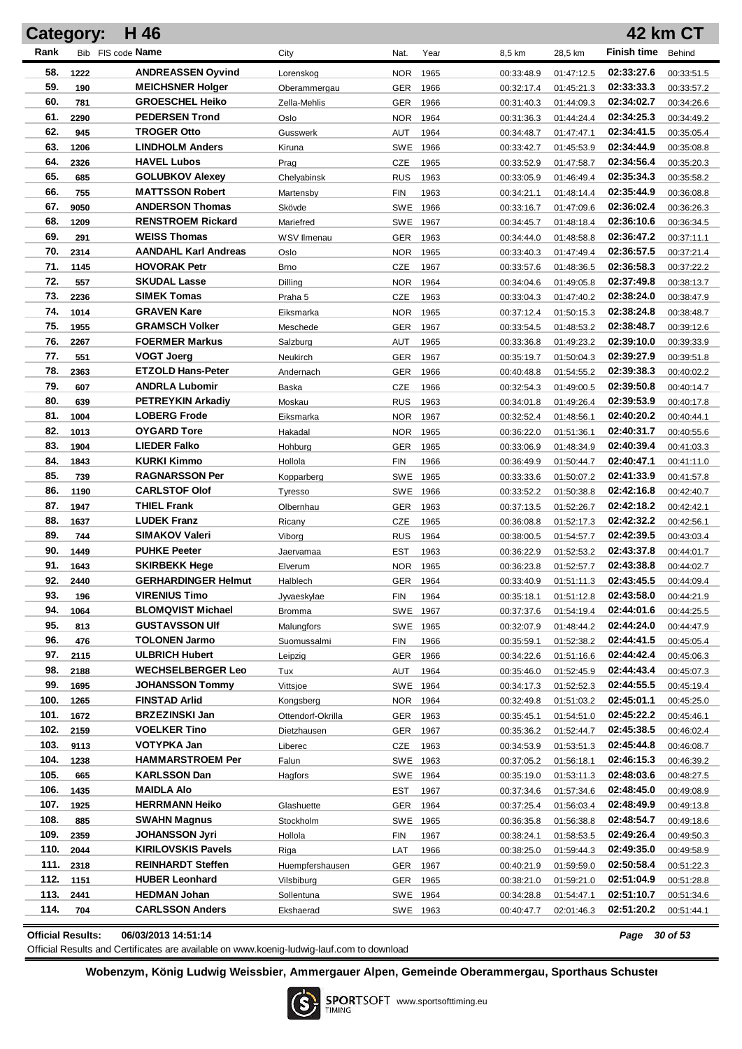|            | Category:    | H 46                                        |                         |                   |              |                          |                          |                          | 42 km CT                 |
|------------|--------------|---------------------------------------------|-------------------------|-------------------|--------------|--------------------------|--------------------------|--------------------------|--------------------------|
| Rank       |              | Bib FIS code Name                           | City                    | Nat.              | Year         | 8,5 km                   | 28,5 km                  | <b>Finish time</b>       | Behind                   |
| 58.        | 1222         | <b>ANDREASSEN Oyvind</b>                    | Lorenskog               | <b>NOR</b>        | 1965         | 00:33:48.9               | 01:47:12.5               | 02:33:27.6               | 00:33:51.5               |
| 59.        | 190          | <b>MEICHSNER Holger</b>                     | Oberammergau            | GER               | 1966         | 00:32:17.4               | 01:45:21.3               | 02:33:33.3               | 00:33:57.2               |
| 60.        | 781          | <b>GROESCHEL Heiko</b>                      | Zella-Mehlis            | <b>GER</b>        | 1966         | 00:31:40.3               | 01:44:09.3               | 02:34:02.7               | 00:34:26.6               |
| 61.        | 2290         | <b>PEDERSEN Trond</b>                       | Oslo                    | <b>NOR</b>        | 1964         | 00:31:36.3               | 01:44:24.4               | 02:34:25.3               | 00:34:49.2               |
| 62.        | 945          | <b>TROGER Otto</b>                          | Gusswerk                | AUT               | 1964         | 00:34:48.7               | 01:47:47.1               | 02:34:41.5               | 00:35:05.4               |
| 63.        | 1206         | <b>LINDHOLM Anders</b>                      | Kiruna                  | <b>SWE</b>        | 1966         | 00:33:42.7               | 01:45:53.9               | 02:34:44.9               | 00:35:08.8               |
| 64.        | 2326         | <b>HAVEL Lubos</b>                          | Prag                    | CZE               | 1965         | 00:33:52.9               | 01:47:58.7               | 02:34:56.4               | 00:35:20.3               |
| 65.        | 685          | <b>GOLUBKOV Alexey</b>                      | Chelyabinsk             | <b>RUS</b>        | 1963         | 00:33:05.9               | 01:46:49.4               | 02:35:34.3               | 00:35:58.2               |
| 66.        | 755          | <b>MATTSSON Robert</b>                      | Martensby               | <b>FIN</b>        | 1963         | 00:34:21.1               | 01:48:14.4               | 02:35:44.9               | 00:36:08.8               |
| 67.        | 9050         | <b>ANDERSON Thomas</b>                      | Skövde                  | SWE               | 1966         | 00:33:16.7               | 01:47:09.6               | 02:36:02.4               | 00:36:26.3               |
| 68.        | 1209         | <b>RENSTROEM Rickard</b>                    | Mariefred               | SWE               | 1967         | 00:34:45.7               | 01:48:18.4               | 02:36:10.6               | 00:36:34.5               |
| 69.        | 291          | <b>WEISS Thomas</b>                         | WSV Ilmenau             | <b>GER</b>        | 1963         | 00:34:44.0               | 01:48:58.8               | 02:36:47.2               | 00:37:11.1               |
| 70.        | 2314         | <b>AANDAHL Karl Andreas</b>                 | Oslo                    | <b>NOR</b>        | 1965         | 00:33:40.3               | 01:47:49.4               | 02:36:57.5               | 00:37:21.4               |
| 71.        | 1145         | <b>HOVORAK Petr</b>                         | <b>Brno</b>             | CZE               | 1967         | 00:33:57.6               | 01:48:36.5               | 02:36:58.3               | 00:37:22.2               |
| 72.        | 557          | <b>SKUDAL Lasse</b>                         | Dilling                 | <b>NOR</b>        | 1964         | 00:34:04.6               | 01:49:05.8               | 02:37:49.8               | 00:38:13.7               |
| 73.        | 2236         | <b>SIMEK Tomas</b>                          | Praha 5                 | CZE               | 1963         | 00:33:04.3               | 01:47:40.2               | 02:38:24.0               | 00:38:47.9               |
| 74.        | 1014         | <b>GRAVEN Kare</b>                          | Eiksmarka               | <b>NOR</b>        | 1965         | 00:37:12.4               | 01:50:15.3               | 02:38:24.8               | 00:38:48.7               |
| 75.        | 1955         | <b>GRAMSCH Volker</b>                       | Meschede                | <b>GER</b>        | 1967         | 00:33:54.5               | 01:48:53.2               | 02:38:48.7               | 00:39:12.6               |
| 76.        | 2267         | <b>FOERMER Markus</b>                       | Salzburg                | AUT               | 1965         | 00:33:36.8               | 01:49:23.2               | 02:39:10.0               | 00:39:33.9               |
| 77.        | 551          | <b>VOGT Joerg</b>                           | Neukirch                | <b>GER</b>        | 1967         | 00:35:19.7               | 01:50:04.3               | 02:39:27.9               | 00:39:51.8               |
| 78.        | 2363         | <b>ETZOLD Hans-Peter</b>                    | Andernach               | <b>GER</b>        | 1966         | 00:40:48.8               | 01:54:55.2               | 02:39:38.3               | 00:40:02.2               |
| 79.        | 607          | <b>ANDRLA Lubomir</b>                       | Baska                   | <b>CZE</b>        | 1966         | 00:32:54.3               | 01:49:00.5               | 02:39:50.8               | 00:40:14.7               |
| 80.        | 639          | <b>PETREYKIN Arkadiy</b>                    | Moskau                  | <b>RUS</b>        | 1963         | 00:34:01.8               | 01:49:26.4               | 02:39:53.9               | 00:40:17.8               |
| 81.        | 1004         | <b>LOBERG Frode</b>                         | Eiksmarka               | <b>NOR</b>        | 1967         | 00:32:52.4               | 01:48:56.1               | 02:40:20.2               | 00:40:44.1               |
| 82.        | 1013         | <b>OYGARD Tore</b>                          | Hakadal                 | NOR.              | 1965         | 00:36:22.0               | 01:51:36.1               | 02:40:31.7               | 00:40:55.6               |
| 83.        | 1904         | <b>LIEDER Falko</b>                         | Hohburg                 | <b>GER</b>        | 1965         | 00:33:06.9               | 01:48:34.9               | 02:40:39.4               | 00:41:03.3               |
| 84.        | 1843         | <b>KURKI Kimmo</b>                          | Hollola                 | <b>FIN</b>        | 1966         | 00:36:49.9               | 01:50:44.7               | 02:40:47.1               | 00:41:11.0               |
| 85.        | 739          | <b>RAGNARSSON Per</b>                       | Kopparberg              | <b>SWE</b>        | 1965         | 00:33:33.6               | 01:50:07.2               | 02:41:33.9               | 00:41:57.8               |
| 86.        | 1190         | <b>CARLSTOF Olof</b>                        | Tyresso                 | <b>SWE</b>        | 1966         | 00:33:52.2               | 01:50:38.8               | 02:42:16.8               | 00:42:40.7               |
| 87.        | 1947         | <b>THIEL Frank</b>                          | Olbernhau               | <b>GER</b>        | 1963         | 00:37:13.5               | 01:52:26.7               | 02:42:18.2               | 00:42:42.1               |
| 88.        | 1637         | <b>LUDEK Franz</b>                          | Ricany                  | <b>CZE</b>        | 1965         | 00:36:08.8               | 01:52:17.3               | 02:42:32.2               | 00:42:56.1               |
| 89.<br>90. | 744          | <b>SIMAKOV Valeri</b>                       | Viborg                  | <b>RUS</b>        | 1964         | 00:38:00.5               | 01:54:57.7               | 02:42:39.5               | 00:43:03.4               |
| 91.        | 1449         | <b>PUHKE Peeter</b><br><b>SKIRBEKK Hege</b> | Jaervamaa               | <b>EST</b>        | 1963         | 00:36:22.9               | 01:52:53.2               | 02:43:37.8<br>02:43:38.8 | 00:44:01.7               |
| 92.        | 1643<br>2440 | <b>GERHARDINGER Helmut</b>                  | Elverum                 | <b>NOR</b>        | 1965         | 00:36:23.8               | 01:52:57.7               | 02:43:45.5               | 00:44:02.7               |
| 93.        | 196          | <b>VIRENIUS Timo</b>                        | Halblech<br>Jyvaeskylae | <b>GER</b><br>FIN | 1964<br>1964 | 00:33:40.9<br>00:35:18.1 | 01:51:11.3<br>01:51:12.8 | 02:43:58.0               | 00:44:09.4<br>00:44:21.9 |
| 94.        | 1064         | <b>BLOMQVIST Michael</b>                    | Bromma                  | <b>SWE</b>        | 1967         | 00:37:37.6               | 01:54:19.4               | 02:44:01.6               | 00:44:25.5               |
| 95.        | 813          | <b>GUSTAVSSON UIf</b>                       | Malungfors              | SWE 1965          |              | 00:32:07.9               | 01:48:44.2               | 02:44:24.0               | 00:44:47.9               |
| 96.        | 476          | <b>TOLONEN Jarmo</b>                        | Suomussalmi             | FIN               | 1966         | 00:35:59.1               | 01:52:38.2               | 02:44:41.5               | 00:45:05.4               |
| 97.        | 2115         | <b>ULBRICH Hubert</b>                       | Leipzig                 | <b>GER</b>        | 1966         | 00:34:22.6               | 01:51:16.6               | 02:44:42.4               | 00:45:06.3               |
| 98.        | 2188         | <b>WECHSELBERGER Leo</b>                    | Tux                     | AUT               | 1964         | 00:35:46.0               | 01:52:45.9               | 02:44:43.4               | 00:45:07.3               |
| 99.        | 1695         | <b>JOHANSSON Tommy</b>                      | Vittsjoe                | SWE 1964          |              | 00:34:17.3               | 01:52:52.3               | 02:44:55.5               | 00:45:19.4               |
| 100.       | 1265         | <b>FINSTAD Arlid</b>                        | Kongsberg               | NOR 1964          |              | 00:32:49.8               | 01:51:03.2               | 02:45:01.1               | 00:45:25.0               |
| 101.       | 1672         | <b>BRZEZINSKI Jan</b>                       | Ottendorf-Okrilla       | <b>GER</b>        | 1963         | 00:35:45.1               | 01:54:51.0               | 02:45:22.2               | 00:45:46.1               |
| 102.       | 2159         | <b>VOELKER Tino</b>                         | Dietzhausen             | <b>GER</b>        | 1967         | 00:35:36.2               | 01:52:44.7               | 02:45:38.5               | 00:46:02.4               |
| 103.       | 9113         | VOTYPKA Jan                                 | Liberec                 | <b>CZE</b>        | 1963         | 00:34:53.9               | 01:53:51.3               | 02:45:44.8               | 00:46:08.7               |
| 104.       | 1238         | <b>HAMMARSTROEM Per</b>                     | Falun                   | SWE 1963          |              | 00:37:05.2               | 01:56:18.1               | 02:46:15.3               | 00:46:39.2               |
| 105.       | 665          | <b>KARLSSON Dan</b>                         | Hagfors                 | SWE 1964          |              | 00:35:19.0               | 01:53:11.3               | 02:48:03.6               | 00:48:27.5               |
| 106.       | 1435         | <b>MAIDLA AIO</b>                           |                         | <b>EST</b>        | 1967         | 00:37:34.6               | 01:57:34.6               | 02:48:45.0               | 00:49:08.9               |
| 107.       | 1925         | <b>HERRMANN Heiko</b>                       | Glashuette              | GER               | 1964         | 00:37:25.4               | 01:56:03.4               | 02:48:49.9               | 00:49:13.8               |
| 108.       | 885          | <b>SWAHN Magnus</b>                         | Stockholm               | SWE 1965          |              | 00:36:35.8               | 01:56:38.8               | 02:48:54.7               | 00:49:18.6               |
| 109.       | 2359         | <b>JOHANSSON Jyri</b>                       | Hollola                 | FIN               | 1967         | 00:38:24.1               | 01:58:53.5               | 02:49:26.4               | 00:49:50.3               |
| 110.       | 2044         | <b>KIRILOVSKIS Pavels</b>                   | Riga                    | LAT               | 1966         | 00:38:25.0               | 01:59:44.3               | 02:49:35.0               | 00:49:58.9               |
| 111.       | 2318         | <b>REINHARDT Steffen</b>                    | Huempfershausen         | GER               | 1967         | 00:40:21.9               | 01:59:59.0               | 02:50:58.4               | 00:51:22.3               |
| 112.       | 1151         | <b>HUBER Leonhard</b>                       | Vilsbiburg              | GER               | 1965         | 00:38:21.0               | 01:59:21.0               | 02:51:04.9               | 00:51:28.8               |
| 113.       | 2441         | <b>HEDMAN Johan</b>                         | Sollentuna              | SWE 1964          |              | 00:34:28.8               | 01:54:47.1               | 02:51:10.7               | 00:51:34.6               |
| 114.       | 704          | <b>CARLSSON Anders</b>                      | Ekshaerad               | SWE 1963          |              | 00:40:47.7               | 02:01:46.3               | 02:51:20.2               | 00:51:44.1               |
|            |              |                                             |                         |                   |              |                          |                          |                          |                          |

**Official Results: 06/03/2013 14:51:14** *Page 30 of 53*

Official Results and Certificates are available on www.koenig-ludwig-lauf.com to download

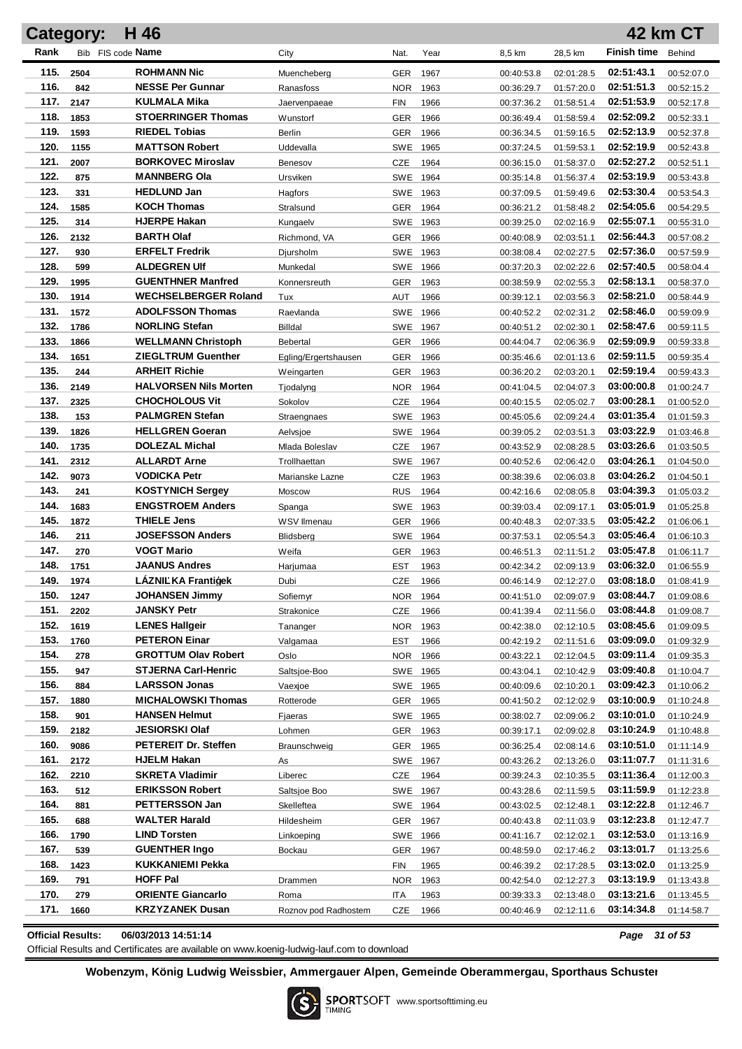|              | <b>Category:</b> | H 46                                          |                      |                   |              |                          |                          |                          | <b>42 km CT</b>          |
|--------------|------------------|-----------------------------------------------|----------------------|-------------------|--------------|--------------------------|--------------------------|--------------------------|--------------------------|
| Rank         |                  | Bib FIS code Name                             | City                 | Nat.              | Year         | 8,5 km                   | 28,5 km                  | <b>Finish time</b>       | Behind                   |
| 115.         | 2504             | <b>ROHMANN Nic</b>                            | Muencheberg          | GER               | 1967         | 00:40:53.8               | 02:01:28.5               | 02:51:43.1               | 00:52:07.0               |
| 116.         | 842              | <b>NESSE Per Gunnar</b>                       | Ranasfoss            | <b>NOR</b>        | 1963         | 00:36:29.7               | 01:57:20.0               | 02:51:51.3               | 00:52:15.2               |
| 117.         | 2147             | KULMALA Mika                                  | Jaervenpaeae         | <b>FIN</b>        | 1966         | 00:37:36.2               | 01:58:51.4               | 02:51:53.9               | 00:52:17.8               |
| 118.         | 1853             | <b>STOERRINGER Thomas</b>                     | <b>Wunstorf</b>      | GER               | 1966         | 00:36:49.4               | 01:58:59.4               | 02:52:09.2               | 00:52:33.1               |
| 119.         | 1593             | <b>RIEDEL Tobias</b>                          | Berlin               | <b>GER</b>        | 1966         | 00:36:34.5               | 01:59:16.5               | 02:52:13.9               | 00:52:37.8               |
| 120.         | 1155             | <b>MATTSON Robert</b>                         | Uddevalla            | SWE               | 1965         | 00:37:24.5               | 01:59:53.1               | 02:52:19.9               | 00:52:43.8               |
| 121.         | 2007             | <b>BORKOVEC Miroslav</b>                      | Benesov              | CZE               | 1964         | 00:36:15.0               | 01:58:37.0               | 02:52:27.2               | 00:52:51.1               |
| 122.         | 875              | <b>MANNBERG Ola</b>                           | Ursviken             | SWE 1964          |              | 00:35:14.8               | 01:56:37.4               | 02:53:19.9               | 00:53:43.8               |
| 123.         | 331              | <b>HEDLUND Jan</b>                            | Hagfors              | SWE               | 1963         | 00:37:09.5               | 01:59:49.6               | 02:53:30.4               | 00:53:54.3               |
| 124.         | 1585             | <b>KOCH Thomas</b>                            | Stralsund            | GER               | 1964         | 00:36:21.2               | 01:58:48.2               | 02:54:05.6               | 00:54:29.5               |
| 125.         | 314              | <b>HJERPE Hakan</b>                           | Kungaelv             | SWE               | 1963         | 00:39:25.0               | 02:02:16.9               | 02:55:07.1               | 00:55:31.0               |
| 126.         | 2132             | <b>BARTH Olaf</b>                             | Richmond, VA         | GER               | 1966         | 00:40:08.9               | 02:03:51.1               | 02:56:44.3               | 00:57:08.2               |
| 127.         | 930              | <b>ERFELT Fredrik</b>                         | Djursholm            | SWE               | 1963         | 00:38:08.4               | 02:02:27.5               | 02:57:36.0               | 00:57:59.9               |
| 128.         | 599              | <b>ALDEGREN UIf</b>                           | Munkedal             | SWE               | 1966         | 00:37:20.3               | 02:02:22.6               | 02:57:40.5               | 00:58:04.4               |
| 129.         | 1995             | <b>GUENTHNER Manfred</b>                      | Konnersreuth         | GER               | 1963         | 00:38:59.9               | 02:02:55.3               | 02:58:13.1               | 00:58:37.0               |
| 130.         | 1914             | <b>WECHSELBERGER Roland</b>                   | Tux                  | AUT               | 1966         | 00:39:12.1               | 02:03:56.3               | 02:58:21.0               | 00:58:44.9               |
| 131.         | 1572             | <b>ADOLFSSON Thomas</b>                       | Raevlanda            | SWE               | 1966         | 00:40:52.2               | 02:02:31.2               | 02:58:46.0               | 00:59:09.9               |
| 132.         | 1786             | <b>NORLING Stefan</b>                         | Billdal              | SWE               | 1967         | 00:40:51.2               | 02:02:30.1               | 02:58:47.6               | 00:59:11.5               |
| 133.         | 1866             | <b>WELLMANN Christoph</b>                     | <b>Bebertal</b>      | GER               | 1966         | 00:44:04.7               | 02:06:36.9               | 02:59:09.9               | 00:59:33.8               |
| 134.         | 1651             | <b>ZIEGLTRUM Guenther</b>                     | Egling/Ergertshausen | <b>GER</b>        | 1966         | 00:35:46.6               | 02:01:13.6               | 02:59:11.5               | 00:59:35.4               |
| 135.         | 244              | <b>ARHEIT Richie</b>                          | Weingarten           | GER               | 1963         | 00:36:20.2               | 02:03:20.1               | 02:59:19.4               | 00:59:43.3               |
| 136.         | 2149             | <b>HALVORSEN Nils Morten</b>                  | Tjodalyng            | <b>NOR</b>        | 1964         | 00:41:04.5               | 02:04:07.3               | 03:00:00.8               | 01:00:24.7               |
| 137.         | 2325             | <b>CHOCHOLOUS Vit</b>                         | Sokolov              | <b>CZE</b>        | 1964         | 00:40:15.5               | 02:05:02.7               | 03:00:28.1               | 01:00:52.0               |
| 138.         | 153              | <b>PALMGREN Stefan</b>                        | Straengnaes          | SWE 1963          |              | 00:45:05.6               | 02:09:24.4               | 03:01:35.4               | 01:01:59.3               |
| 139.         | 1826             | <b>HELLGREN Goeran</b>                        | Aelvsjoe             | SWE 1964          |              | 00:39:05.2               | 02:03:51.3               | 03:03:22.9               | 01:03:46.8               |
| 140.         | 1735             | <b>DOLEZAL Michal</b>                         | Mlada Boleslav       | <b>CZE</b>        | 1967         | 00:43:52.9               | 02:08:28.5               | 03:03:26.6               | 01:03:50.5               |
| 141.         | 2312             | <b>ALLARDT Arne</b>                           | Trollhaettan         | SWE               | 1967         | 00:40:52.6               | 02:06:42.0               | 03:04:26.1               | 01:04:50.0               |
| 142.         | 9073             | <b>VODICKA Petr</b>                           | Marianske Lazne      | <b>CZE</b>        | 1963         | 00:38:39.6               | 02:06:03.8               | 03:04:26.2               | 01:04:50.1               |
| 143.         | 241              | <b>KOSTYNICH Sergey</b>                       | Moscow               | <b>RUS</b>        | 1964         | 00:42:16.6               | 02:08:05.8               | 03:04:39.3               | 01:05:03.2               |
| 144.         | 1683             | <b>ENGSTROEM Anders</b>                       | Spanga               | SWE 1963          |              | 00:39:03.4               | 02:09:17.1               | 03:05:01.9               | 01:05:25.8               |
| 145.<br>146. | 1872             | <b>THIELE Jens</b><br><b>JOSEFSSON Anders</b> | WSV Ilmenau          | <b>GER</b>        | 1966         | 00:40:48.3               | 02:07:33.5               | 03:05:42.2<br>03:05:46.4 | 01:06:06.1               |
| 147.         | 211<br>270       | <b>VOGT Mario</b>                             | <b>Blidsberg</b>     | SWE               | 1964         | 00:37:53.1               | 02:05:54.3               | 03:05:47.8               | 01:06:10.3               |
| 148.         | 1751             | <b>JAANUS Andres</b>                          | Weifa                | <b>GER</b><br>EST | 1963<br>1963 | 00:46:51.3<br>00:42:34.2 | 02:11:51.2<br>02:09:13.9 | 03:06:32.0               | 01:06:11.7<br>01:06:55.9 |
| 149.         | 1974             | LÁZNI KA Frantiýek                            | Harjumaa<br>Dubi     | <b>CZE</b>        | 1966         | 00:46:14.9               | 02:12:27.0               | 03:08:18.0               | 01:08:41.9               |
| 150.         | 1247             | <b>JOHANSEN Jimmy</b>                         | Sofiemyr             | NOR 1964          |              | 00:41:51.0               | 02:09:07.9               | 03:08:44.7               | 01:09:08.6               |
| 151.         | 2202             | <b>JANSKY Petr</b>                            | Strakonice           | CZE               | 1966         | 00:41:39.4               | 02:11:56.0               | 03:08:44.8               | 01:09:08.7               |
| 152.         | 1619             | <b>LENES Hallgeir</b>                         | Tananger             | NOR               | 1963         | 00:42:38.0               | 02:12:10.5               | 03:08:45.6               | 01:09:09.5               |
| 153.         | 1760             | <b>PETERON Einar</b>                          | Valgamaa             | <b>EST</b>        | 1966         | 00:42:19.2               | 02:11:51.6               | 03:09:09.0               | 01:09:32.9               |
| 154.         | 278              | <b>GROTTUM Olav Robert</b>                    | Oslo                 | NOR               | 1966         | 00:43:22.1               | 02:12:04.5               | 03:09:11.4               | 01:09:35.3               |
| 155.         | 947              | <b>STJERNA Carl-Henric</b>                    | Saltsjoe-Boo         | SWE 1965          |              | 00:43:04.1               | 02:10:42.9               | 03:09:40.8               | 01:10:04.7               |
| 156.         | 884              | <b>LARSSON Jonas</b>                          | Vaexioe              | SWE 1965          |              | 00:40:09.6               | 02:10:20.1               | 03:09:42.3               | 01:10:06.2               |
| 157.         | 1880             | <b>MICHALOWSKI Thomas</b>                     | Rotterode            | <b>GER</b>        | 1965         | 00:41:50.2               | 02:12:02.9               | 03:10:00.9               | 01:10:24.8               |
| 158.         | 901              | <b>HANSEN Helmut</b>                          | Fjaeras              | SWE 1965          |              | 00:38:02.7               | 02:09:06.2               | 03:10:01.0               | 01:10:24.9               |
| 159.         | 2182             | <b>JESIORSKI Olaf</b>                         | Lohmen               | <b>GER</b>        | 1963         | 00:39:17.1               | 02:09:02.8               | 03:10:24.9               | 01:10:48.8               |
| 160.         | 9086             | <b>PETEREIT Dr. Steffen</b>                   | Braunschweig         | <b>GER</b>        | 1965         | 00:36:25.4               | 02:08:14.6               | 03:10:51.0               | 01:11:14.9               |
| 161.         | 2172             | <b>HJELM Hakan</b>                            | As                   | SWE 1967          |              | 00:43:26.2               | 02:13:26.0               | 03:11:07.7               | 01:11:31.6               |
| 162.         | 2210             | <b>SKRETA Vladimir</b>                        | Liberec              | CZE               | 1964         | 00:39:24.3               | 02:10:35.5               | 03:11:36.4               | 01:12:00.3               |
| 163.         | 512              | <b>ERIKSSON Robert</b>                        | Saltsjoe Boo         | SWE 1967          |              | 00:43:28.6               | 02:11:59.5               | 03:11:59.9               | 01:12:23.8               |
| 164.         | 881              | <b>PETTERSSON Jan</b>                         | Skelleftea           | SWE 1964          |              | 00:43:02.5               | 02:12:48.1               | 03:12:22.8               | 01:12:46.7               |
| 165.         | 688              | <b>WALTER Harald</b>                          | Hildesheim           | GER               | 1967         | 00:40:43.8               | 02:11:03.9               | 03:12:23.8               | 01:12:47.7               |
| 166.         | 1790             | <b>LIND Torsten</b>                           | Linkoeping           | SWE 1966          |              | 00:41:16.7               | 02:12:02.1               | 03:12:53.0               | 01:13:16.9               |
| 167.         | 539              | <b>GUENTHER Ingo</b>                          | Bockau               | GER               | 1967         | 00:48:59.0               | 02:17:46.2               | 03:13:01.7               | 01:13:25.6               |
| 168.         | 1423             | KUKKANIEMI Pekka                              |                      | FIN               | 1965         | 00:46:39.2               | 02:17:28.5               | 03:13:02.0               | 01:13:25.9               |
| 169.         | 791              | <b>HOFF Pal</b>                               | Drammen              | NOR.              | 1963         | 00:42:54.0               | 02:12:27.3               | 03:13:19.9               | 01:13:43.8               |
| 170.         | 279              | <b>ORIENTE Giancarlo</b>                      | Roma                 | ITA               | 1963         | 00:39:33.3               | 02:13:48.0               | 03:13:21.6               | 01:13:45.5               |
| 171.         | 1660             | <b>KRZYZANEK Dusan</b>                        | Roznov pod Radhostem | CZE               | 1966         | 00:40:46.9               | 02:12:11.6               | 03:14:34.8               | 01:14:58.7               |

**Official Results: 06/03/2013 14:51:14** *Page 31 of 53*

Official Results and Certificates are available on www.koenig-ludwig-lauf.com to download

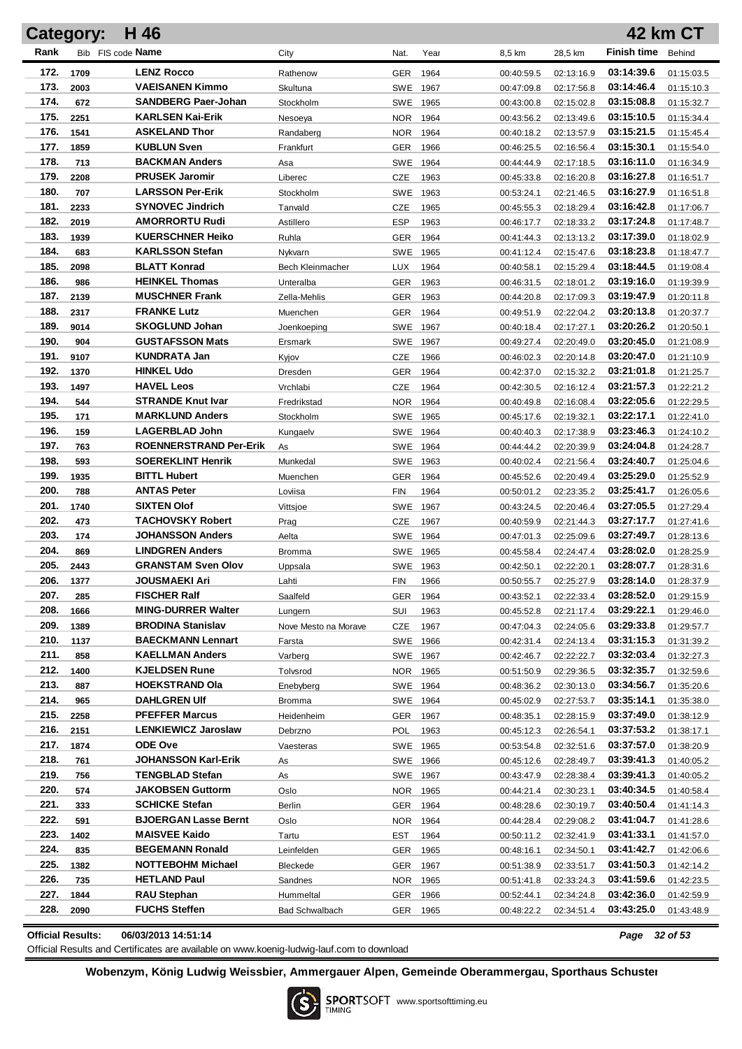|      | Category: | H 46                          |                       |            |      |            |            |                    | 42 km CT   |
|------|-----------|-------------------------------|-----------------------|------------|------|------------|------------|--------------------|------------|
| Rank |           | Bib FIS code Name             | City                  | Nat.       | Year | 8,5 km     | 28,5 km    | <b>Finish time</b> | Behind     |
| 172. | 1709      | <b>LENZ Rocco</b>             | Rathenow              | <b>GER</b> | 1964 | 00:40:59.5 | 02:13:16.9 | 03:14:39.6         | 01:15:03.5 |
| 173. | 2003      | <b>VAEISANEN Kimmo</b>        | Skultuna              | SWE 1967   |      | 00:47:09.8 | 02:17:56.8 | 03:14:46.4         | 01:15:10.3 |
| 174. | 672       | <b>SANDBERG Paer-Johan</b>    | Stockholm             | SWE 1965   |      | 00:43:00.8 | 02:15:02.8 | 03:15:08.8         | 01:15:32.7 |
| 175. | 2251      | <b>KARLSEN Kai-Erik</b>       | Nesoeya               | NOR.       | 1964 | 00:43:56.2 | 02:13:49.6 | 03:15:10.5         | 01:15:34.4 |
| 176. | 1541      | <b>ASKELAND Thor</b>          | Randaberg             | NOR.       | 1964 | 00:40:18.2 | 02:13:57.9 | 03:15:21.5         | 01:15:45.4 |
| 177. | 1859      | <b>KUBLUN Sven</b>            | Frankfurt             | GER        | 1966 | 00:46:25.5 | 02:16:56.4 | 03:15:30.1         | 01:15:54.0 |
| 178. | 713       | <b>BACKMAN Anders</b>         | Asa                   | SWE 1964   |      | 00:44:44.9 | 02:17:18.5 | 03:16:11.0         | 01:16:34.9 |
| 179. | 2208      | <b>PRUSEK Jaromir</b>         | Liberec               | CZE        | 1963 | 00:45:33.8 | 02:16:20.8 | 03:16:27.8         | 01:16:51.7 |
| 180. | 707       | <b>LARSSON Per-Erik</b>       | Stockholm             | SWE 1963   |      | 00:53:24.1 | 02:21:46.5 | 03:16:27.9         | 01:16:51.8 |
| 181. | 2233      | <b>SYNOVEC Jindrich</b>       | Tanvald               | CZE        | 1965 | 00:45:55.3 | 02:18:29.4 | 03:16:42.8         | 01:17:06.7 |
| 182. | 2019      | <b>AMORRORTU Rudi</b>         | Astillero             | ESP        | 1963 | 00:46:17.7 | 02:18:33.2 | 03:17:24.8         | 01:17:48.7 |
| 183. | 1939      | <b>KUERSCHNER Heiko</b>       | Ruhla                 | GER        | 1964 | 00:41:44.3 | 02:13:13.2 | 03:17:39.0         | 01:18:02.9 |
| 184. | 683       | <b>KARLSSON Stefan</b>        | Nykvarn               | SWE        | 1965 | 00:41:12.4 | 02:15:47.6 | 03:18:23.8         | 01:18:47.7 |
| 185. | 2098      | <b>BLATT Konrad</b>           | Bech Kleinmacher      | LUX        | 1964 | 00:40:58.1 | 02:15:29.4 | 03:18:44.5         | 01:19:08.4 |
| 186. | 986       | <b>HEINKEL Thomas</b>         | Unteralba             | GER        | 1963 | 00:46:31.5 | 02:18:01.2 | 03:19:16.0         | 01:19:39.9 |
| 187. | 2139      | <b>MUSCHNER Frank</b>         | Zella-Mehlis          | GER        | 1963 | 00:44:20.8 | 02:17:09.3 | 03:19:47.9         | 01:20:11.8 |
| 188. | 2317      | <b>FRANKE Lutz</b>            | Muenchen              | GER        | 1964 | 00:49:51.9 | 02:22:04.2 | 03:20:13.8         | 01:20:37.7 |
| 189. | 9014      | <b>SKOGLUND Johan</b>         | Joenkoeping           | SWE 1967   |      | 00:40:18.4 | 02:17:27.1 | 03:20:26.2         | 01:20:50.1 |
| 190. | 904       | <b>GUSTAFSSON Mats</b>        | Ersmark               | SWE 1967   |      | 00:49:27.4 | 02:20:49.0 | 03:20:45.0         | 01:21:08.9 |
| 191. | 9107      | <b>KUNDRATA Jan</b>           | Kyjov                 | <b>CZE</b> | 1966 | 00:46:02.3 | 02:20:14.8 | 03:20:47.0         | 01:21:10.9 |
| 192. | 1370      | <b>HINKEL Udo</b>             | Dresden               | <b>GER</b> | 1964 | 00:42:37.0 | 02:15:32.2 | 03:21:01.8         | 01:21:25.7 |
| 193. | 1497      | <b>HAVEL Leos</b>             | Vrchlabi              | <b>CZE</b> | 1964 | 00:42:30.5 | 02:16:12.4 | 03:21:57.3         | 01:22:21.2 |
| 194. | 544       | <b>STRANDE Knut Ivar</b>      | Fredrikstad           | NOR.       | 1964 | 00:40:49.8 | 02:16:08.4 | 03:22:05.6         | 01:22:29.5 |
| 195. | 171       | <b>MARKLUND Anders</b>        | Stockholm             | SWE 1965   |      | 00:45:17.6 | 02:19:32.1 | 03:22:17.1         | 01:22:41.0 |
| 196. | 159       | <b>LAGERBLAD John</b>         | Kungaelv              | SWE 1964   |      | 00:40:40.3 | 02:17:38.9 | 03:23:46.3         | 01:24:10.2 |
| 197. | 763       | <b>ROENNERSTRAND Per-Erik</b> | As                    | SWE 1964   |      | 00:44:44.2 | 02:20:39.9 | 03:24:04.8         | 01:24:28.7 |
| 198. | 593       | <b>SOEREKLINT Henrik</b>      | Munkedal              | SWE 1963   |      | 00:40:02.4 | 02:21:56.4 | 03:24:40.7         | 01:25:04.6 |
| 199. | 1935      | <b>BITTL Hubert</b>           | Muenchen              | <b>GER</b> | 1964 | 00:45:52.6 | 02:20:49.4 | 03:25:29.0         | 01:25:52.9 |
| 200. | 788       | <b>ANTAS Peter</b>            | Loviisa               | <b>FIN</b> | 1964 | 00:50:01.2 | 02:23:35.2 | 03:25:41.7         | 01:26:05.6 |
| 201. | 1740      | <b>SIXTEN Olof</b>            | Vittsjoe              | <b>SWE</b> | 1967 | 00:43:24.5 | 02:20:46.4 | 03:27:05.5         | 01:27:29.4 |
| 202. | 473       | <b>TACHOVSKY Robert</b>       | Prag                  | <b>CZE</b> | 1967 | 00:40:59.9 | 02:21:44.3 | 03:27:17.7         | 01:27:41.6 |
| 203. | 174       | <b>JOHANSSON Anders</b>       | Aelta                 | SWE 1964   |      | 00:47:01.3 | 02:25:09.6 | 03:27:49.7         | 01:28:13.6 |
| 204. | 869       | <b>LINDGREN Anders</b>        | Bromma                | SWE 1965   |      | 00:45:58.4 | 02:24:47.4 | 03:28:02.0         | 01:28:25.9 |
| 205. | 2443      | <b>GRANSTAM Sven Olov</b>     | Uppsala               | SWE        | 1963 | 00:42:50.1 | 02:22:20.1 | 03:28:07.7         | 01:28:31.6 |
| 206. | 1377      | JOUSMAEKI Ari                 | Lahti                 | <b>FIN</b> | 1966 | 00:50:55.7 | 02:25:27.9 | 03:28:14.0         | 01:28:37.9 |
| 207. | 285       | <b>FISCHER Ralf</b>           | Saalfeld              | GER 1964   |      | 00:43:52.1 | 02:22:33.4 | 03:28:52.0         | 01:29:15.9 |
| 208. | 1666      | <b>MING-DURRER Walter</b>     | Lungern               | SUI        | 1963 | 00:45:52.8 | 02:21:17.4 | 03:29:22.1         | 01:29:46.0 |
| 209. | 1389      | <b>BRODINA Stanislav</b>      | Nove Mesto na Morave  | <b>CZE</b> | 1967 | 00:47:04.3 | 02:24:05.6 | 03:29:33.8         | 01:29:57.7 |
| 210. | 1137      | <b>BAECKMANN Lennart</b>      | Farsta                | SWE 1966   |      | 00:42:31.4 | 02:24:13.4 | 03:31:15.3         | 01:31:39.2 |
| 211. | 858       | <b>KAELLMAN Anders</b>        | Varberg               | SWE 1967   |      | 00:42:46.7 | 02:22:22.7 | 03:32:03.4         | 01:32:27.3 |
| 212. | 1400      | <b>KJELDSEN Rune</b>          | Tolvsrod              | NOR 1965   |      | 00:51:50.9 | 02:29:36.5 | 03:32:35.7         | 01:32:59.6 |
| 213. | 887       | <b>HOEKSTRAND Ola</b>         | Enebyberg             | SWE 1964   |      | 00:48:36.2 | 02:30:13.0 | 03:34:56.7         | 01:35:20.6 |
| 214. | 965       | <b>DAHLGREN UIf</b>           | Bromma                | SWE 1964   |      | 00:45:02.9 | 02:27:53.7 | 03:35:14.1         | 01:35:38.0 |
| 215. | 2258      | <b>PFEFFER Marcus</b>         | Heidenheim            | GER        | 1967 | 00:48:35.1 | 02:28:15.9 | 03:37:49.0         | 01:38:12.9 |
| 216. | 2151      | <b>LENKIEWICZ Jaroslaw</b>    | Debrzno               | POL        | 1963 | 00:45:12.3 | 02:26:54.1 | 03:37:53.2         | 01:38:17.1 |
| 217. | 1874      | ODE Ove                       | Vaesteras             | SWE 1965   |      | 00:53:54.8 | 02:32:51.6 | 03:37:57.0         | 01:38:20.9 |
| 218. | 761       | <b>JOHANSSON Karl-Erik</b>    | As                    | SWE 1966   |      | 00:45:12.6 | 02:28:49.7 | 03:39:41.3         | 01:40:05.2 |
| 219. | 756       | <b>TENGBLAD Stefan</b>        | As                    | SWE 1967   |      | 00:43:47.9 | 02:28:38.4 | 03:39:41.3         | 01:40:05.2 |
| 220. | 574       | <b>JAKOBSEN Guttorm</b>       | Oslo                  | NOR 1965   |      | 00:44:21.4 | 02:30:23.1 | 03:40:34.5         | 01:40:58.4 |
| 221. | 333       | <b>SCHICKE Stefan</b>         | Berlin                | GER        | 1964 | 00:48:28.6 | 02:30:19.7 | 03:40:50.4         | 01:41:14.3 |
| 222. | 591       | <b>BJOERGAN Lasse Bernt</b>   | Oslo                  | NOR 1964   |      | 00:44:28.4 | 02:29:08.2 | 03:41:04.7         | 01:41:28.6 |
| 223. | 1402      | <b>MAISVEE Kaido</b>          | Tartu                 | EST        | 1964 | 00:50:11.2 | 02:32:41.9 | 03:41:33.1         | 01:41:57.0 |
| 224. | 835       | <b>BEGEMANN Ronald</b>        | Leinfelden            | GER        | 1965 | 00:48:16.1 | 02:34:50.1 | 03:41:42.7         | 01:42:06.6 |
| 225. | 1382      | <b>NOTTEBOHM Michael</b>      | Bleckede              | GER        | 1967 | 00:51:38.9 | 02:33:51.7 | 03:41:50.3         | 01:42:14.2 |
| 226. | 735       | <b>HETLAND Paul</b>           | Sandnes               | NOR 1965   |      | 00:51:41.8 | 02:33:24.3 | 03:41:59.6         | 01:42:23.5 |
| 227. | 1844      | RAU Stephan                   | Hummeltal             | GER        | 1966 | 00:52:44.1 | 02:34:24.8 | 03:42:36.0         | 01:42:59.9 |
| 228. | 2090      | <b>FUCHS Steffen</b>          | <b>Bad Schwalbach</b> | GER 1965   |      | 00:48:22.2 | 02:34:51.4 | 03:43:25.0         | 01:43:48.9 |
|      |           |                               |                       |            |      |            |            |                    |            |

**Official Results: 06/03/2013 14:51:14** *Page 32 of 53*

Official Results and Certificates are available on www.koenig-ludwig-lauf.com to download

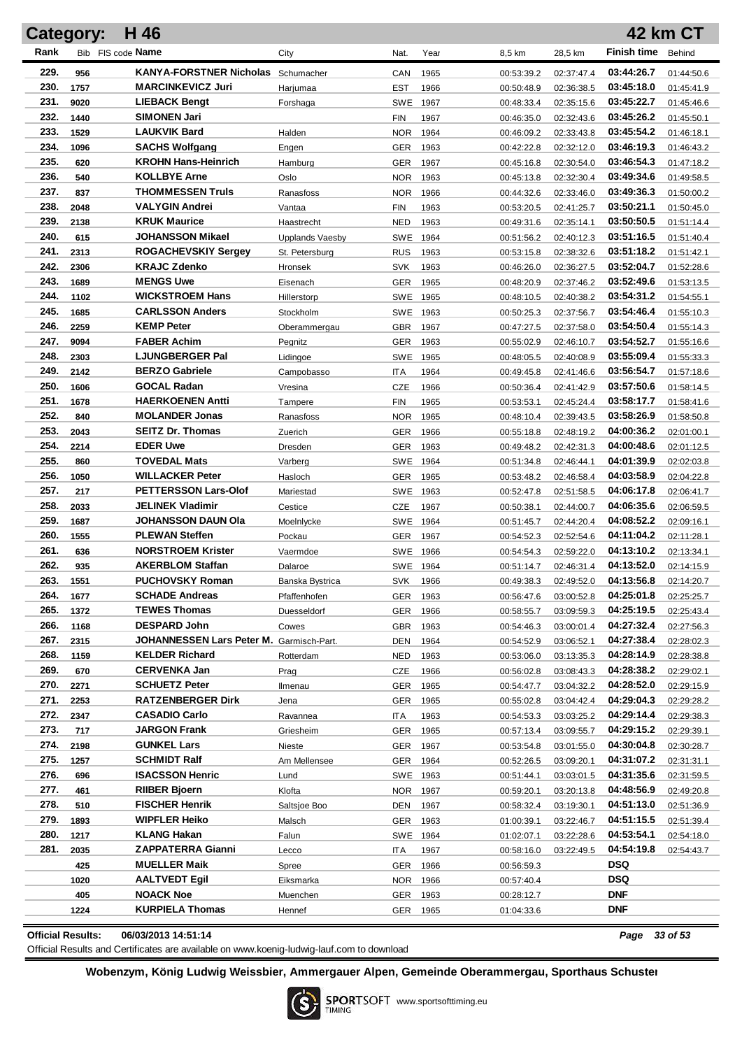|              | Category:   | H 46                                                  |                        |                   |              |                          |                          |                          | <b>42 km CT</b>          |
|--------------|-------------|-------------------------------------------------------|------------------------|-------------------|--------------|--------------------------|--------------------------|--------------------------|--------------------------|
| Rank         |             | Bib FIS code Name                                     | City                   | Nat.              | Year         | 8,5 km                   | 28,5 km                  | <b>Finish time</b>       | Behind                   |
| 229.         | 956         | <b>KANYA-FORSTNER Nicholas</b>                        | Schumacher             | CAN               | 1965         | 00:53:39.2               | 02:37:47.4               | 03:44:26.7               | 01:44:50.6               |
| 230.         | 1757        | <b>MARCINKEVICZ Juri</b>                              | Harjumaa               | EST               | 1966         | 00:50:48.9               | 02:36:38.5               | 03:45:18.0               | 01:45:41.9               |
| 231.         | 9020        | <b>LIEBACK Bengt</b>                                  | Forshaga               | SWE               | 1967         | 00:48:33.4               | 02:35:15.6               | 03:45:22.7               | 01:45:46.6               |
| 232.         | 1440        | <b>SIMONEN Jari</b>                                   |                        | FIN               | 1967         | 00:46:35.0               | 02:32:43.6               | 03:45:26.2               | 01:45:50.1               |
| 233.         | 1529        | <b>LAUKVIK Bard</b>                                   | Halden                 | <b>NOR</b>        | 1964         | 00:46:09.2               | 02:33:43.8               | 03:45:54.2               | 01:46:18.1               |
| 234.         | 1096        | <b>SACHS Wolfgang</b>                                 | Engen                  | <b>GER</b>        | 1963         | 00:42:22.8               | 02:32:12.0               | 03:46:19.3               | 01:46:43.2               |
| 235.         | 620         | <b>KROHN Hans-Heinrich</b>                            | Hamburg                | GER               | 1967         | 00:45:16.8               | 02:30:54.0               | 03:46:54.3               | 01:47:18.2               |
| 236.         | 540         | <b>KOLLBYE Arne</b>                                   | Oslo                   | <b>NOR</b>        | 1963         | 00:45:13.8               | 02:32:30.4               | 03:49:34.6               | 01:49:58.5               |
| 237.         | 837         | <b>THOMMESSEN Truls</b>                               | Ranasfoss              | <b>NOR</b>        | 1966         | 00:44:32.6               | 02:33:46.0               | 03:49:36.3               | 01:50:00.2               |
| 238.         | 2048        | <b>VALYGIN Andrei</b>                                 | Vantaa                 | <b>FIN</b>        | 1963         | 00:53:20.5               | 02:41:25.7               | 03:50:21.1               | 01:50:45.0               |
| 239.         | 2138        | <b>KRUK Maurice</b>                                   | Haastrecht             | <b>NED</b>        | 1963         | 00:49:31.6               | 02:35:14.1               | 03:50:50.5               | 01:51:14.4               |
| 240.         | 615         | JOHANSSON Mikael                                      | <b>Upplands Vaesby</b> | SWE               | 1964         | 00:51:56.2               | 02:40:12.3               | 03:51:16.5               | 01:51:40.4               |
| 241.         | 2313        | <b>ROGACHEVSKIY Sergey</b>                            | St. Petersburg         | <b>RUS</b>        | 1963         | 00:53:15.8               | 02:38:32.6               | 03:51:18.2               | 01:51:42.1               |
| 242.         | 2306        | <b>KRAJC Zdenko</b>                                   | Hronsek                | <b>SVK</b>        | 1963         | 00:46:26.0               | 02:36:27.5               | 03:52:04.7               | 01:52:28.6               |
| 243.         | 1689        | <b>MENGS Uwe</b>                                      | Eisenach               | GER               | 1965         | 00:48:20.9               | 02:37:46.2               | 03:52:49.6               | 01:53:13.5               |
| 244.         | 1102        | <b>WICKSTROEM Hans</b>                                | Hillerstorp            | <b>SWE</b>        | 1965         | 00:48:10.5               | 02:40:38.2               | 03:54:31.2               | 01:54:55.1               |
| 245.         | 1685        | <b>CARLSSON Anders</b>                                | Stockholm              | SWE               | 1963         | 00:50:25.3               | 02:37:56.7               | 03:54:46.4               | 01:55:10.3               |
| 246.         | 2259        | <b>KEMP Peter</b>                                     | Oberammergau           | <b>GBR</b>        | 1967         | 00:47:27.5               | 02:37:58.0               | 03:54:50.4               | 01:55:14.3               |
| 247.         | 9094        | <b>FABER Achim</b>                                    | Pegnitz                | GER               | 1963         | 00:55:02.9               | 02:46:10.7               | 03:54:52.7               | 01:55:16.6               |
| 248.         | 2303        | <b>LJUNGBERGER Pal</b>                                | Lidingoe               | SWE               | 1965         | 00:48:05.5               | 02:40:08.9               | 03:55:09.4               | 01:55:33.3               |
| 249.         | 2142        | <b>BERZO Gabriele</b>                                 | Campobasso             | <b>ITA</b>        | 1964         | 00:49:45.8               | 02:41:46.6               | 03:56:54.7               | 01:57:18.6               |
| 250.         | 1606        | <b>GOCAL Radan</b>                                    | Vresina                | CZE               | 1966         | 00:50:36.4               | 02:41:42.9               | 03:57:50.6               | 01:58:14.5               |
| 251.         | 1678        | <b>HAERKOENEN Antti</b>                               | Tampere                | <b>FIN</b>        | 1965         | 00:53:53.1               | 02:45:24.4               | 03:58:17.7               | 01:58:41.6               |
| 252.         | 840         | <b>MOLANDER Jonas</b>                                 | Ranasfoss              | <b>NOR</b>        | 1965         | 00:48:10.4               | 02:39:43.5               | 03:58:26.9               | 01:58:50.8               |
| 253.         | 2043        | <b>SEITZ Dr. Thomas</b>                               | Zuerich                | <b>GER</b>        | 1966         | 00:55:18.8               | 02:48:19.2               | 04:00:36.2               | 02:01:00.1               |
| 254.         | 2214        | <b>EDER Uwe</b>                                       | Dresden                | <b>GER</b>        | 1963         | 00:49:48.2               | 02:42:31.3               | 04:00:48.6               | 02:01:12.5               |
| 255.         | 860         | <b>TOVEDAL Mats</b>                                   | Varberg                | SWE               | 1964         | 00:51:34.8               | 02:46:44.1               | 04:01:39.9               | 02:02:03.8               |
| 256.<br>257. | 1050        | <b>WILLACKER Peter</b><br><b>PETTERSSON Lars-Olof</b> | Hasloch                | <b>GER</b>        | 1965         | 00:53:48.2               | 02:46:58.4               | 04:03:58.9<br>04:06:17.8 | 02:04:22.8               |
| 258.         | 217<br>2033 | <b>JELINEK Vladimir</b>                               | Mariestad<br>Cestice   | SWE               | 1963<br>1967 | 00:52:47.8               | 02:51:58.5               | 04:06:35.6               | 02:06:41.7               |
| 259.         | 1687        | <b>JOHANSSON DAUN Ola</b>                             | Moelnlycke             | <b>CZE</b><br>SWE | 1964         | 00:50:38.1<br>00:51:45.7 | 02:44:00.7<br>02:44:20.4 | 04:08:52.2               | 02:06:59.5<br>02:09:16.1 |
| 260.         | 1555        | <b>PLEWAN Steffen</b>                                 | Pockau                 | <b>GER</b>        | 1967         | 00:54:52.3               | 02:52:54.6               | 04:11:04.2               | 02:11:28.1               |
| 261.         | 636         | <b>NORSTROEM Krister</b>                              | Vaermdoe               | SWE               | 1966         | 00:54:54.3               | 02:59:22.0               | 04:13:10.2               | 02:13:34.1               |
| 262.         | 935         | <b>AKERBLOM Staffan</b>                               | Dalaroe                | SWE 1964          |              | 00:51:14.7               | 02:46:31.4               | 04:13:52.0               | 02:14:15.9               |
| 263.         | 1551        | <b>PUCHOVSKY Roman</b>                                | Banska Bystrica        | SVK 1966          |              | 00:49:38.3               | 02:49:52.0               | 04:13:56.8               | 02:14:20.7               |
| 264.         | 1677        | <b>SCHADE Andreas</b>                                 | Pfaffenhofen           | GER 1963          |              | 00:56:47.6               | 03:00:52.8               | 04:25:01.8               | 02:25:25.7               |
| 265.         | 1372        | <b>TEWES Thomas</b>                                   | Duesseldorf            | <b>GER</b>        | 1966         | 00:58:55.7               | 03:09:59.3               | 04:25:19.5               | 02:25:43.4               |
| 266.         | 1168        | <b>DESPARD John</b>                                   | Cowes                  | <b>GBR</b>        | 1963         | 00:54:46.3               | 03:00:01.4               | 04:27:32.4               | 02:27:56.3               |
| 267.         | 2315        | JOHANNESSEN Lars Peter M. Garmisch-Part.              |                        | DEN               | 1964         | 00:54:52.9               | 03:06:52.1               | 04:27:38.4               | 02:28:02.3               |
| 268.         | 1159        | <b>KELDER Richard</b>                                 | Rotterdam              | <b>NED</b>        | 1963         | 00:53:06.0               | 03:13:35.3               | 04:28:14.9               | 02:28:38.8               |
| 269.         | 670         | <b>CERVENKA Jan</b>                                   | Prag                   | CZE               | 1966         | 00:56:02.8               | 03:08:43.3               | 04:28:38.2               | 02:29:02.1               |
| 270.         | 2271        | <b>SCHUETZ Peter</b>                                  | Ilmenau                | <b>GER</b>        | 1965         | 00:54:47.7               | 03:04:32.2               | 04:28:52.0               | 02:29:15.9               |
| 271.         | 2253        | <b>RATZENBERGER Dirk</b>                              | Jena                   | <b>GER</b>        | 1965         | 00:55:02.8               | 03:04:42.4               | 04:29:04.3               | 02:29:28.2               |
| 272.         | 2347        | <b>CASADIO Carlo</b>                                  | Ravannea               | ITA               | 1963         | 00:54:53.3               | 03:03:25.2               | 04:29:14.4               | 02:29:38.3               |
| 273.         | 717         | JARGON Frank                                          | Griesheim              | <b>GER</b>        | 1965         | 00:57:13.4               | 03:09:55.7               | 04:29:15.2               | 02:29:39.1               |
| 274.         | 2198        | <b>GUNKEL Lars</b>                                    | Nieste                 | <b>GER</b>        | 1967         | 00:53:54.8               | 03:01:55.0               | 04:30:04.8               | 02:30:28.7               |
| 275.         | 1257        | <b>SCHMIDT Ralf</b>                                   | Am Mellensee           | GER               | 1964         | 00:52:26.5               | 03:09:20.1               | 04:31:07.2               | 02:31:31.1               |
| 276.         | 696         | <b>ISACSSON Henric</b>                                | Lund                   | SWE 1963          |              | 00:51:44.1               | 03:03:01.5               | 04:31:35.6               | 02:31:59.5               |
| 277.         | 461         | RIIBER Bjoern                                         | Klofta                 | NOR               | 1967         | 00:59:20.1               | 03:20:13.8               | 04:48:56.9               | 02:49:20.8               |
| 278.         | 510         | <b>FISCHER Henrik</b>                                 | Saltsjoe Boo           | DEN               | 1967         | 00:58:32.4               | 03:19:30.1               | 04:51:13.0               | 02:51:36.9               |
| 279.         | 1893        | <b>WIPFLER Heiko</b>                                  | Malsch                 | GER               | 1963         | 01:00:39.1               | 03:22:46.7               | 04:51:15.5               | 02:51:39.4               |
| 280.         | 1217        | KLANG Hakan                                           | Falun                  | SWE 1964          |              | 01:02:07.1               | 03:22:28.6               | 04:53:54.1               | 02:54:18.0               |
| 281.         | 2035        | ZAPPATERRA Gianni                                     | Lecco                  | ITA               | 1967         | 00:58:16.0               | 03:22:49.5               | 04:54:19.8               | 02:54:43.7               |
|              | 425         | <b>MUELLER Maik</b>                                   | Spree                  | GER               | 1966         | 00:56:59.3               |                          | DSQ                      |                          |
|              | 1020        | AALTVEDT Egil                                         | Eiksmarka              | NOR.              | 1966         | 00:57:40.4               |                          | <b>DSQ</b>               |                          |
|              | 405         | <b>NOACK Noe</b>                                      | Muenchen               | GER               | 1963         | 00:28:12.7               |                          | <b>DNF</b>               |                          |
|              | 1224        | <b>KURPIELA Thomas</b>                                | Hennef                 | GER 1965          |              | 01:04:33.6               |                          | DNF                      |                          |

**Official Results: 06/03/2013 14:51:14** *Page 33 of 53*

Official Results and Certificates are available on www.koenig-ludwig-lauf.com to download

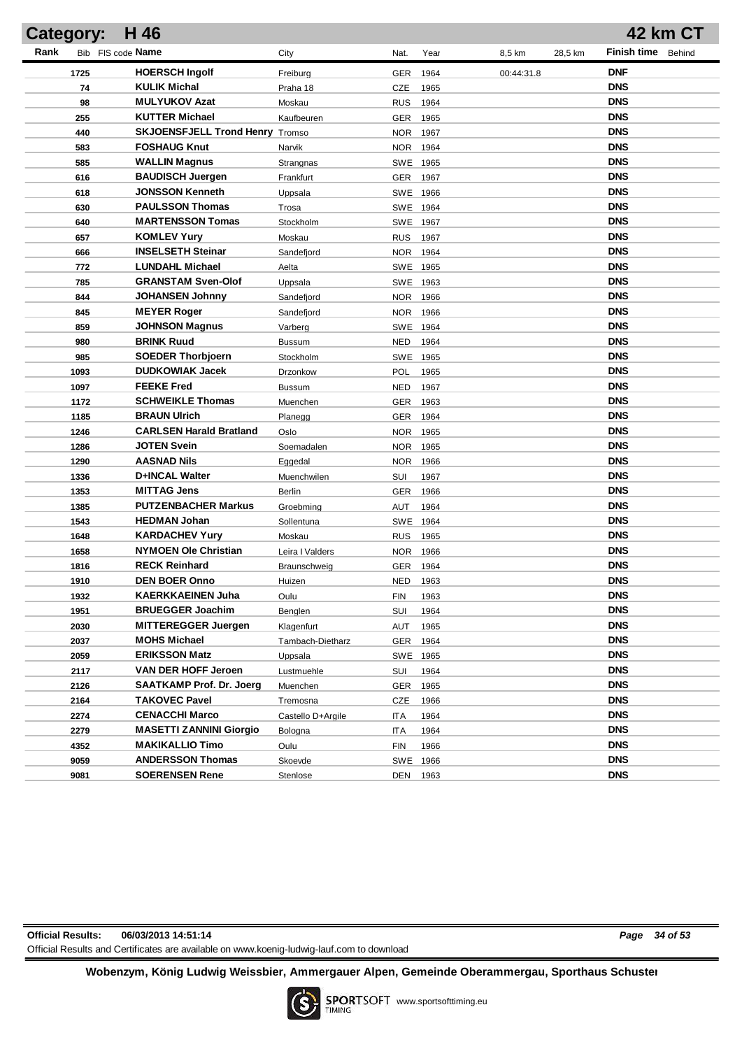| Category: | H 46                                   |                   |            |                    |         | 42 km CT    |        |
|-----------|----------------------------------------|-------------------|------------|--------------------|---------|-------------|--------|
| Rank      | Bib FIS code Name                      | City              | Nat.       | Year<br>8,5 km     | 28,5 km | Finish time | Behind |
| 1725      | <b>HOERSCH Ingolf</b>                  | Freiburg          | <b>GER</b> | 1964<br>00:44:31.8 |         | <b>DNF</b>  |        |
| 74        | <b>KULIK Michal</b>                    | Praha 18          | <b>CZE</b> | 1965               |         | <b>DNS</b>  |        |
| 98        | <b>MULYUKOV Azat</b>                   | Moskau            | <b>RUS</b> | 1964               |         | <b>DNS</b>  |        |
| 255       | <b>KUTTER Michael</b>                  | Kaufbeuren        | <b>GER</b> | 1965               |         | <b>DNS</b>  |        |
| 440       | <b>SKJOENSFJELL Trond Henry Tromso</b> |                   | <b>NOR</b> | 1967               |         | <b>DNS</b>  |        |
| 583       | <b>FOSHAUG Knut</b>                    | Narvik            | NOR 1964   |                    |         | <b>DNS</b>  |        |
| 585       | <b>WALLIN Magnus</b>                   | Strangnas         | SWE 1965   |                    |         | <b>DNS</b>  |        |
| 616       | <b>BAUDISCH Juergen</b>                | Frankfurt         | <b>GER</b> | 1967               |         | <b>DNS</b>  |        |
| 618       | <b>JONSSON Kenneth</b>                 | Uppsala           | SWE 1966   |                    |         | <b>DNS</b>  |        |
| 630       | <b>PAULSSON Thomas</b>                 | Trosa             | SWE 1964   |                    |         | <b>DNS</b>  |        |
| 640       | <b>MARTENSSON Tomas</b>                | Stockholm         | SWE 1967   |                    |         | <b>DNS</b>  |        |
| 657       | <b>KOMLEV Yury</b>                     | Moskau            | <b>RUS</b> | 1967               |         | <b>DNS</b>  |        |
| 666       | <b>INSELSETH Steinar</b>               | Sandefjord        | NOR 1964   |                    |         | <b>DNS</b>  |        |
| 772       | <b>LUNDAHL Michael</b>                 | Aelta             | SWE 1965   |                    |         | <b>DNS</b>  |        |
| 785       | <b>GRANSTAM Sven-Olof</b>              | Uppsala           | SWE 1963   |                    |         | <b>DNS</b>  |        |
| 844       | <b>JOHANSEN Johnny</b>                 | Sandefjord        | <b>NOR</b> | 1966               |         | <b>DNS</b>  |        |
| 845       | <b>MEYER Roger</b>                     | Sandefjord        | <b>NOR</b> | 1966               |         | <b>DNS</b>  |        |
| 859       | <b>JOHNSON Magnus</b>                  | Varberg           | SWE 1964   |                    |         | <b>DNS</b>  |        |
| 980       | <b>BRINK Ruud</b>                      | <b>Bussum</b>     | <b>NED</b> | 1964               |         | <b>DNS</b>  |        |
| 985       | <b>SOEDER Thorbjoern</b>               | Stockholm         | SWE        | 1965               |         | <b>DNS</b>  |        |
| 1093      | <b>DUDKOWIAK Jacek</b>                 | Drzonkow          | <b>POL</b> | 1965               |         | <b>DNS</b>  |        |
| 1097      | <b>FEEKE Fred</b>                      | <b>Bussum</b>     | <b>NED</b> | 1967               |         | <b>DNS</b>  |        |
| 1172      | <b>SCHWEIKLE Thomas</b>                | Muenchen          | GER 1963   |                    |         | <b>DNS</b>  |        |
| 1185      | <b>BRAUN Ulrich</b>                    | Planegg           | GER 1964   |                    |         | <b>DNS</b>  |        |
| 1246      | <b>CARLSEN Harald Bratland</b>         | Oslo              | NOR 1965   |                    |         | <b>DNS</b>  |        |
| 1286      | JOTEN Svein                            | Soemadalen        | NOR 1965   |                    |         | <b>DNS</b>  |        |
| 1290      | AASNAD Nils                            | Eggedal           | NOR 1966   |                    |         | <b>DNS</b>  |        |
| 1336      | D+INCAL Walter                         | Muenchwilen       | SUI        | 1967               |         | <b>DNS</b>  |        |
| 1353      | <b>MITTAG Jens</b>                     | Berlin            | <b>GER</b> | 1966               |         | <b>DNS</b>  |        |
| 1385      | <b>PUTZENBACHER Markus</b>             | Groebming         | AUT        | 1964               |         | <b>DNS</b>  |        |
| 1543      | <b>HEDMAN Johan</b>                    | Sollentuna        | SWE 1964   |                    |         | <b>DNS</b>  |        |
| 1648      | <b>KARDACHEV Yury</b>                  | Moskau            | RUS 1965   |                    |         | <b>DNS</b>  |        |
| 1658      | <b>NYMOEN Ole Christian</b>            | Leira I Valders   | NOR 1966   |                    |         | <b>DNS</b>  |        |
| 1816      | <b>RECK Reinhard</b>                   | Braunschweig      | GER 1964   |                    |         | <b>DNS</b>  |        |
| 1910      | <b>DEN BOER Onno</b>                   | Huizen            | NED 1963   |                    |         | <b>DNS</b>  |        |
| 1932      | <b>KAERKKAEINEN Juha</b>               | Oulu              | <b>FIN</b> | 1963               |         | DNS         |        |
| 1951      | <b>BRUEGGER Joachim</b>                | Benglen           | SUI        | 1964               |         | <b>DNS</b>  |        |
| 2030      | <b>MITTEREGGER Juergen</b>             | Klagenfurt        | AUT        | 1965               |         | <b>DNS</b>  |        |
| 2037      | <b>MOHS Michael</b>                    | Tambach-Dietharz  | <b>GER</b> | 1964               |         | <b>DNS</b>  |        |
| 2059      | <b>ERIKSSON Matz</b>                   | Uppsala           | <b>SWE</b> | 1965               |         | <b>DNS</b>  |        |
| 2117      | VAN DER HOFF Jeroen                    | Lustmuehle        | SUI        | 1964               |         | <b>DNS</b>  |        |
| 2126      | SAATKAMP Prof. Dr. Joerg               | Muenchen          | <b>GER</b> | 1965               |         | <b>DNS</b>  |        |
| 2164      | <b>TAKOVEC Pavel</b>                   | Tremosna          | CZE        | 1966               |         | <b>DNS</b>  |        |
| 2274      | <b>CENACCHI Marco</b>                  | Castello D+Argile | ITA        | 1964               |         | <b>DNS</b>  |        |
| 2279      | <b>MASETTI ZANNINI Giorgio</b>         | Bologna           | ITA        | 1964               |         | <b>DNS</b>  |        |
| 4352      | <b>MAKIKALLIO Timo</b>                 | Oulu              | <b>FIN</b> | 1966               |         | <b>DNS</b>  |        |
| 9059      | <b>ANDERSSON Thomas</b>                | Skoevde           | <b>SWE</b> | 1966               |         | <b>DNS</b>  |        |
| 9081      | <b>SOERENSEN Rene</b>                  | Stenlose          | DEN        | 1963               |         | <b>DNS</b>  |        |

**Official Results: 06/03/2013 14:51:14** *Page 34 of 53* Official Results and Certificates are available on www.koenig-ludwig-lauf.com to download

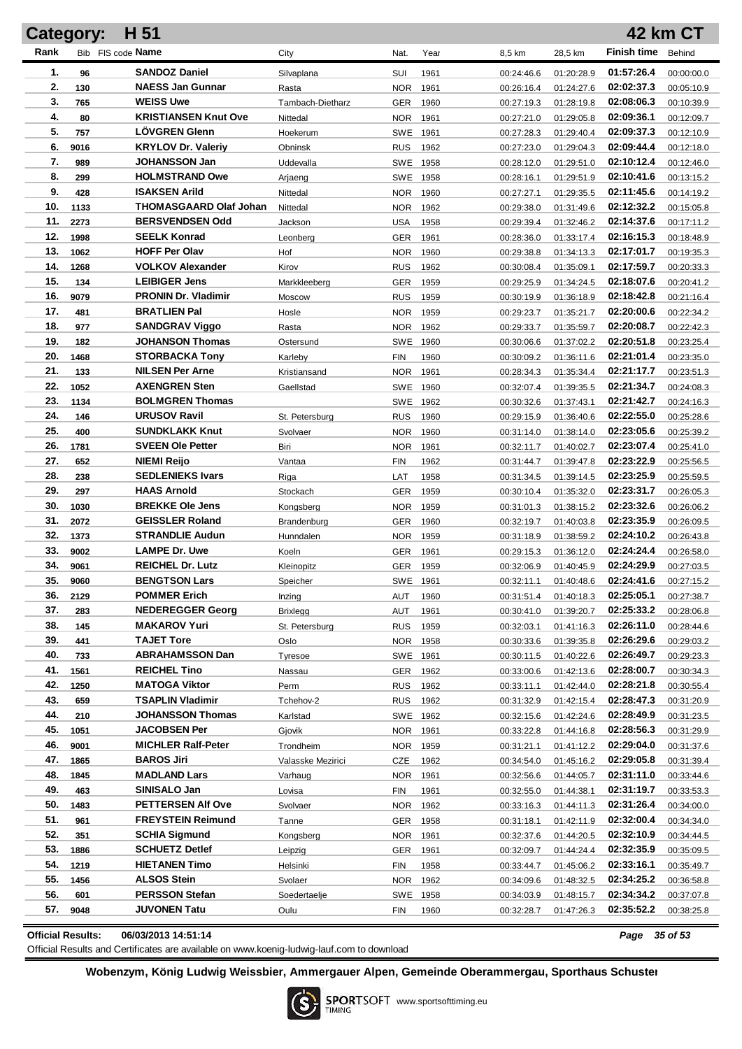|            | Category:    | H 51                                          |                     |                   |              |                          |                          |                          | 42 km CT                 |
|------------|--------------|-----------------------------------------------|---------------------|-------------------|--------------|--------------------------|--------------------------|--------------------------|--------------------------|
| Rank       |              | Bib FIS code Name                             | City                | Nat.              | Year         | 8,5 km                   | 28,5 km                  | <b>Finish time</b>       | Behind                   |
| 1.         | 96           | <b>SANDOZ Daniel</b>                          | Silvaplana          | SUI               | 1961         | 00:24:46.6               | 01:20:28.9               | 01:57:26.4               | 00:00:00.0               |
| 2.         | 130          | <b>NAESS Jan Gunnar</b>                       | Rasta               | <b>NOR</b>        | 1961         | 00:26:16.4               | 01:24:27.6               | 02:02:37.3               | 00:05:10.9               |
| 3.         | 765          | <b>WEISS Uwe</b>                              | Tambach-Dietharz    | GER               | 1960         | 00:27:19.3               | 01:28:19.8               | 02:08:06.3               | 00:10:39.9               |
| 4.         | 80           | <b>KRISTIANSEN Knut Ove</b>                   | Nittedal            | <b>NOR</b>        | 1961         | 00:27:21.0               | 01:29:05.8               | 02:09:36.1               | 00:12:09.7               |
| 5.         | 757          | <b>LOVGREN Glenn</b>                          | Hoekerum            | SWE 1961          |              | 00:27:28.3               | 01:29:40.4               | 02:09:37.3               | 00:12:10.9               |
| 6.         | 9016         | <b>KRYLOV Dr. Valeriy</b>                     | Obninsk             | <b>RUS</b>        | 1962         | 00:27:23.0               | 01:29:04.3               | 02:09:44.4               | 00:12:18.0               |
| 7.         | 989          | <b>JOHANSSON Jan</b>                          | Uddevalla           | SWE 1958          |              | 00:28:12.0               | 01:29:51.0               | 02:10:12.4               | 00:12:46.0               |
| 8.         | 299          | <b>HOLMSTRAND Owe</b>                         | Arjaeng             | SWE 1958          |              | 00:28:16.1               | 01:29:51.9               | 02:10:41.6               | 00:13:15.2               |
| 9.         | 428          | <b>ISAKSEN Arild</b>                          | Nittedal            | <b>NOR</b>        | 1960         | 00:27:27.1               | 01:29:35.5               | 02:11:45.6               | 00:14:19.2               |
| 10.        | 1133         | <b>THOMASGAARD Olaf Johan</b>                 | Nittedal            | <b>NOR</b>        | 1962         | 00:29:38.0               | 01:31:49.6               | 02:12:32.2               | 00:15:05.8               |
| 11.        | 2273         | <b>BERSVENDSEN Odd</b>                        | Jackson             | <b>USA</b>        | 1958         | 00:29:39.4               | 01:32:46.2               | 02:14:37.6               | 00:17:11.2               |
| 12.        | 1998         | <b>SEELK Konrad</b>                           | Leonberg            | GER               | 1961         | 00:28:36.0               | 01:33:17.4               | 02:16:15.3               | 00:18:48.9               |
| 13.        | 1062         | <b>HOFF Per Olav</b>                          | Hof                 | <b>NOR</b>        | 1960         | 00:29:38.8               | 01:34:13.3               | 02:17:01.7               | 00:19:35.3               |
| 14.        | 1268         | <b>VOLKOV Alexander</b>                       | Kirov               | <b>RUS</b>        | 1962         | 00:30:08.4               | 01:35:09.1               | 02:17:59.7               | 00:20:33.3               |
| 15.        | 134          | <b>LEIBIGER Jens</b>                          | Markkleeberg        | GER               | 1959         | 00:29:25.9               | 01:34:24.5               | 02:18:07.6               | 00:20:41.2               |
| 16.        | 9079         | <b>PRONIN Dr. Vladimir</b>                    | Moscow              | <b>RUS</b>        | 1959         | 00:30:19.9               | 01:36:18.9               | 02:18:42.8               | 00:21:16.4               |
| 17.        | 481          | <b>BRATLIEN Pal</b>                           | Hosle               | <b>NOR</b>        | 1959         | 00:29:23.7               | 01:35:21.7               | 02:20:00.6               | 00:22:34.2               |
| 18.        | 977          | <b>SANDGRAV Viggo</b>                         | Rasta               | <b>NOR</b>        | 1962         | 00:29:33.7               | 01:35:59.7               | 02:20:08.7               | 00:22:42.3               |
| 19.        | 182          | <b>JOHANSON Thomas</b>                        | Ostersund           | SWE               | 1960         | 00:30:06.6               | 01:37:02.2               | 02:20:51.8               | 00:23:25.4               |
| 20.        | 1468         | <b>STORBACKA Tony</b>                         | Karleby             | <b>FIN</b>        | 1960         | 00:30:09.2               | 01:36:11.6               | 02:21:01.4               | 00:23:35.0               |
| 21.        | 133          | <b>NILSEN Per Arne</b>                        | Kristiansand        | <b>NOR</b>        | 1961         | 00:28:34.3               | 01:35:34.4               | 02:21:17.7               | 00:23:51.3               |
| 22.        | 1052         | <b>AXENGREN Sten</b>                          | Gaellstad           | <b>SWE</b>        | 1960         | 00:32:07.4               | 01:39:35.5               | 02:21:34.7               | 00:24:08.3               |
| 23.        | 1134         | <b>BOLMGREN Thomas</b>                        |                     | SWE               | 1962         | 00:30:32.6               | 01:37:43.1               | 02:21:42.7               | 00:24:16.3               |
| 24.        | 146          | <b>URUSOV Ravil</b>                           | St. Petersburg      | <b>RUS</b>        | 1960         | 00:29:15.9               | 01:36:40.6               | 02:22:55.0               | 00:25:28.6               |
| 25.        | 400          | <b>SUNDKLAKK Knut</b>                         | Svolvaer            | <b>NOR</b>        | 1960         | 00:31:14.0               | 01:38:14.0               | 02:23:05.6               | 00:25:39.2               |
| 26.        | 1781         | <b>SVEEN Ole Petter</b>                       | Biri                | <b>NOR</b>        | 1961         | 00:32:11.7               | 01:40:02.7               | 02:23:07.4               | 00:25:41.0               |
| 27.        | 652          | NIEMI Reijo                                   | Vantaa              | <b>FIN</b>        | 1962         | 00:31:44.7               | 01:39:47.8               | 02:23:22.9               | 00:25:56.5               |
| 28.        | 238          | <b>SEDLENIEKS Ivars</b>                       | Riga                | LAT               | 1958         | 00:31:34.5               | 01:39:14.5               | 02:23:25.9               | 00:25:59.5               |
| 29.        | 297          | <b>HAAS Arnold</b>                            | Stockach            | GER               | 1959         | 00:30:10.4               | 01:35:32.0               | 02:23:31.7               | 00:26:05.3               |
| 30.        | 1030         | <b>BREKKE Ole Jens</b>                        | Kongsberg           | <b>NOR</b>        | 1959         | 00:31:01.3               | 01:38:15.2               | 02:23:32.6               | 00:26:06.2               |
| 31.        | 2072         | <b>GEISSLER Roland</b>                        | Brandenburg         | GER               | 1960         | 00:32:19.7               | 01:40:03.8               | 02:23:35.9               | 00:26:09.5               |
| 32.        | 1373         | <b>STRANDLIE Audun</b>                        | Hunndalen           | <b>NOR</b>        | 1959         | 00:31:18.9               | 01:38:59.2               | 02:24:10.2               | 00:26:43.8               |
| 33.        | 9002         | <b>LAMPE Dr. Uwe</b>                          | Koeln               | GER               | 1961         | 00:29:15.3               | 01:36:12.0               | 02:24:24.4               | 00:26:58.0               |
| 34.        | 9061         | <b>REICHEL Dr. Lutz</b>                       | Kleinopitz          | GER               | 1959         | 00:32:06.9               | 01:40:45.9               | 02:24:29.9               | 00:27:03.5               |
| 35.        | 9060         | <b>BENGTSON Lars</b>                          | Speicher            | SWE 1961          |              | 00:32:11.1               | 01:40:48.6               | 02:24:41.6               | 00:27:15.2               |
| 36.        | 2129         | <b>POMMER Erich</b>                           | Inzing              | AUT               | 1960         | 00:31:51.4               | 01:40:18.3               | 02:25:05.1               | 00:27:38.7               |
| 37.        | 283          | <b>NEDEREGGER Georg</b>                       | <b>Brixlegg</b>     | <b>AUT</b>        | 1961         | 00:30:41.0               | 01:39:20.7               | 02:25:33.2               | 00:28:06.8               |
| 38.        | 145          | <b>MAKAROV Yuri</b>                           | St. Petersburg      | <b>RUS</b>        | 1959         | 00:32:03.1               | 01:41:16.3               | 02:26:11.0               | 00:28:44.6               |
| 39.        | 441          | <b>TAJET Tore</b>                             | Oslo                | NOR 1958          |              | 00:30:33.6               | 01:39:35.8               | 02:26:29.6               | 00:29:03.2               |
| 40.        | 733          | <b>ABRAHAMSSON Dan</b><br><b>REICHEL Tino</b> | Tyresoe             | SWE 1961          |              | 00:30:11.5               | 01:40:22.6               | 02:26:49.7               | 00:29:23.3               |
| 41.        | 1561         | <b>MATOGA Viktor</b>                          | Nassau              | GER               | 1962         | 00:33:00.6               | 01:42:13.6               | 02:28:00.7               | 00:30:34.3               |
| 42.        | 1250         |                                               | Perm                | <b>RUS</b>        | 1962         | 00:33:11.1               | 01:42:44.0               | 02:28:21.8               | 00:30:55.4               |
| 43.<br>44. | 659          | <b>TSAPLIN Vladimir</b><br>JOHANSSON Thomas   | Tchehov-2           | <b>RUS</b>        | 1962         | 00:31:32.9               | 01:42:15.4               | 02:28:47.3<br>02:28:49.9 | 00:31:20.9               |
| 45.        | 210<br>1051  | <b>JACOBSEN Per</b>                           | Karlstad            | SWE 1962          |              | 00:32:15.6               | 01:42:24.6<br>01:44:16.8 | 02:28:56.3               | 00:31:23.5<br>00:31:29.9 |
| 46.        | 9001         | <b>MICHLER Ralf-Peter</b>                     | Gjovik              | NOR 1961          |              | 00:33:22.8               |                          | 02:29:04.0               | 00:31:37.6               |
|            |              | <b>BAROS Jiri</b>                             | Trondheim           | NOR 1959          |              | 00:31:21.1               | 01:41:12.2               |                          |                          |
| 47.<br>48. | 1865<br>1845 | <b>MADLAND Lars</b>                           | Valasske Mezirici   | CZE<br><b>NOR</b> | 1962<br>1961 | 00:34:54.0<br>00:32:56.6 | 01:45:16.2<br>01:44:05.7 | 02:29:05.8<br>02:31:11.0 | 00:31:39.4<br>00:33:44.6 |
| 49.        | 463          | SINISALO Jan                                  | Varhaug<br>Lovisa   | <b>FIN</b>        | 1961         | 00:32:55.0               | 01:44:38.1               | 02:31:19.7               | 00:33:53.3               |
| 50.        | 1483         | <b>PETTERSEN Alf Ove</b>                      | Svolvaer            | <b>NOR</b>        | 1962         | 00:33:16.3               | 01:44:11.3               | 02:31:26.4               | 00:34:00.0               |
| 51.        | 961          | <b>FREYSTEIN Reimund</b>                      | Tanne               | <b>GER</b>        | 1958         | 00:31:18.1               | 01:42:11.9               | 02:32:00.4               | 00:34:34.0               |
| 52.        | 351          | <b>SCHIA Sigmund</b>                          | Kongsberg           | <b>NOR</b>        | 1961         | 00:32:37.6               | 01:44:20.5               | 02:32:10.9               | 00:34:44.5               |
| 53.        | 1886         | <b>SCHUETZ Detlef</b>                         |                     | <b>GER</b>        | 1961         | 00:32:09.7               | 01:44:24.4               | 02:32:35.9               | 00:35:09.5               |
| 54.        | 1219         | <b>HIETANEN Timo</b>                          | Leipzig<br>Helsinki | <b>FIN</b>        | 1958         |                          | 01:45:06.2               | 02:33:16.1               | 00:35:49.7               |
| 55.        | 1456         | <b>ALSOS Stein</b>                            | Svolaer             | <b>NOR</b>        | 1962         | 00:33:44.7<br>00:34:09.6 | 01:48:32.5               | 02:34:25.2               | 00:36:58.8               |
| 56.        | 601          | <b>PERSSON Stefan</b>                         | Soedertaelje        | SWE 1958          |              | 00:34:03.9               | 01:48:15.7               | 02:34:34.2               | 00:37:07.8               |
| 57.        | 9048         | <b>JUVONEN Tatu</b>                           |                     | <b>FIN</b>        | 1960         | 00:32:28.7               | 01:47:26.3               | 02:35:52.2               | 00:38:25.8               |
|            |              |                                               | Oulu                |                   |              |                          |                          |                          |                          |

**Official Results: 06/03/2013 14:51:14** *Page 35 of 53*

Official Results and Certificates are available on www.koenig-ludwig-lauf.com to download

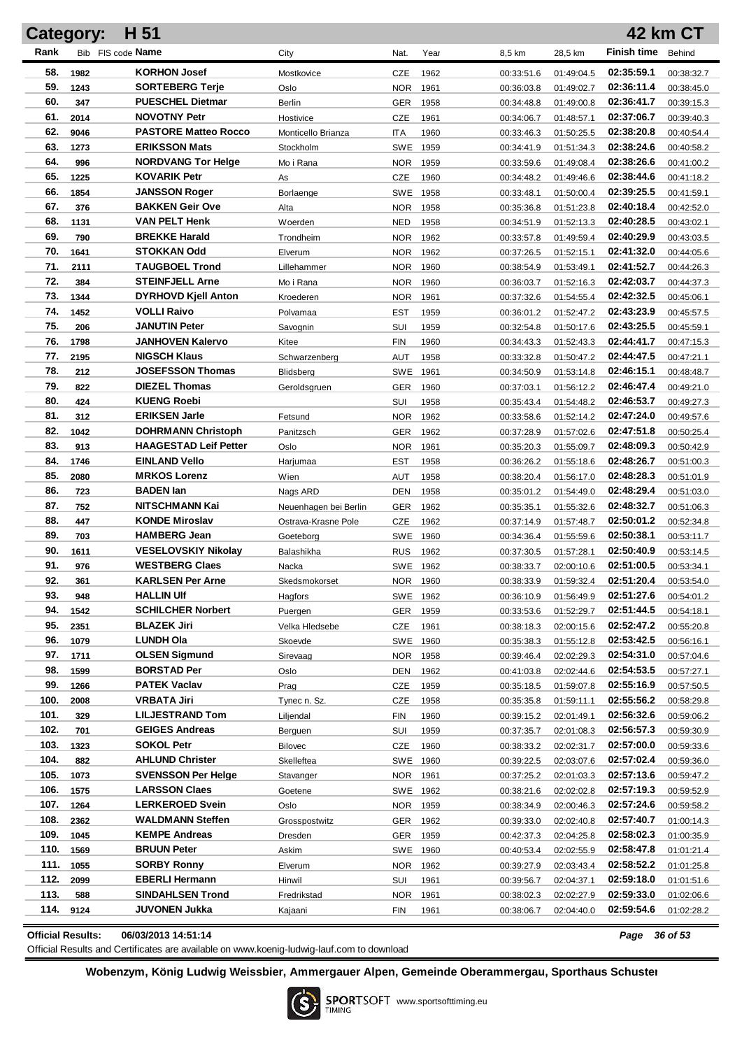|            | Category:         | H 51                                   |                       |                   |              |                          |                          |                          | 42 km CT                 |
|------------|-------------------|----------------------------------------|-----------------------|-------------------|--------------|--------------------------|--------------------------|--------------------------|--------------------------|
| Rank       | Bib FIS code Name |                                        | City                  | Nat.              | Year         | 8,5 km                   | 28,5 km                  | <b>Finish time</b>       | Behind                   |
| 58.        | 1982              | <b>KORHON Josef</b>                    | Mostkovice            | CZE               | 1962         | 00:33:51.6               | 01:49:04.5               | 02:35:59.1               | 00:38:32.7               |
| 59.        | 1243              | <b>SORTEBERG Terje</b>                 | Oslo                  | <b>NOR</b>        | 1961         | 00:36:03.8               | 01:49:02.7               | 02:36:11.4               | 00:38:45.0               |
| 60.        | 347               | <b>PUESCHEL Dietmar</b>                | Berlin                | GER               | 1958         | 00:34:48.8               | 01:49:00.8               | 02:36:41.7               | 00:39:15.3               |
| 61.        | 2014              | <b>NOVOTNY Petr</b>                    | Hostivice             | CZE               | 1961         | 00:34:06.7               | 01:48:57.1               | 02:37:06.7               | 00:39:40.3               |
| 62.        | 9046              | <b>PASTORE Matteo Rocco</b>            | Monticello Brianza    | <b>ITA</b>        | 1960         | 00:33:46.3               | 01:50:25.5               | 02:38:20.8               | 00:40:54.4               |
| 63.        | 1273              | <b>ERIKSSON Mats</b>                   | Stockholm             | SWE               | 1959         | 00:34:41.9               | 01:51:34.3               | 02:38:24.6               | 00:40:58.2               |
| 64.        | 996               | <b>NORDVANG Tor Helge</b>              | Mo i Rana             | <b>NOR</b>        | 1959         | 00:33:59.6               | 01:49:08.4               | 02:38:26.6               | 00:41:00.2               |
| 65.        | 1225              | <b>KOVARIK Petr</b>                    | As                    | CZE               | 1960         | 00:34:48.2               | 01:49:46.6               | 02:38:44.6               | 00:41:18.2               |
| 66.        | 1854              | <b>JANSSON Roger</b>                   | Borlaenge             | SWE               | 1958         | 00:33:48.1               | 01:50:00.4               | 02:39:25.5               | 00:41:59.1               |
| 67.        | 376               | <b>BAKKEN Geir Ove</b>                 | Alta                  | <b>NOR</b>        | 1958         | 00:35:36.8               | 01:51:23.8               | 02:40:18.4               | 00:42:52.0               |
| 68.        | 1131              | <b>VAN PELT Henk</b>                   | Woerden               | <b>NED</b>        | 1958         | 00:34:51.9               | 01:52:13.3               | 02:40:28.5               | 00:43:02.1               |
| 69.        | 790               | <b>BREKKE Harald</b>                   | Trondheim             | <b>NOR</b>        | 1962         | 00:33:57.8               | 01:49:59.4               | 02:40:29.9               | 00:43:03.5               |
| 70.        | 1641              | STOKKAN Odd                            | Elverum               | <b>NOR</b>        | 1962         | 00:37:26.5               | 01:52:15.1               | 02:41:32.0               | 00:44:05.6               |
| 71.        | 2111              | <b>TAUGBOEL Trond</b>                  | Lillehammer           | <b>NOR</b>        | 1960         | 00:38:54.9               | 01:53:49.1               | 02:41:52.7               | 00:44:26.3               |
| 72.        | 384               | <b>STEINFJELL Arne</b>                 | Mo i Rana             | <b>NOR</b>        | 1960         | 00:36:03.7               | 01:52:16.3               | 02:42:03.7               | 00:44:37.3               |
| 73.        | 1344              | <b>DYRHOVD Kjell Anton</b>             | Kroederen             | <b>NOR</b>        | 1961         | 00:37:32.6               | 01:54:55.4               | 02:42:32.5               | 00:45:06.1               |
| 74.        | 1452              | VOLLI Raivo                            | Polvamaa              | <b>EST</b>        | 1959         | 00:36:01.2               | 01:52:47.2               | 02:43:23.9               | 00:45:57.5               |
| 75.        | 206               | <b>JANUTIN Peter</b>                   | Savognin              | SUI               | 1959         | 00:32:54.8               | 01:50:17.6               | 02:43:25.5               | 00:45:59.1               |
| 76.        | 1798              | <b>JANHOVEN Kalervo</b>                | Kitee                 | <b>FIN</b>        | 1960         | 00:34:43.3               | 01:52:43.3               | 02:44:41.7               | 00:47:15.3               |
| 77.        | 2195              | <b>NIGSCH Klaus</b>                    | Schwarzenberg         | <b>AUT</b>        | 1958         | 00:33:32.8               | 01:50:47.2               | 02:44:47.5               | 00:47:21.1               |
| 78.        | 212               | <b>JOSEFSSON Thomas</b>                | Blidsberg             | <b>SWE</b>        | 1961         | 00:34:50.9               | 01:53:14.8               | 02:46:15.1               | 00:48:48.7               |
| 79.        | 822               | <b>DIEZEL Thomas</b>                   | Geroldsgruen          | GER               | 1960         | 00:37:03.1               | 01:56:12.2               | 02:46:47.4               | 00:49:21.0               |
| 80.        | 424               | <b>KUENG Roebi</b>                     |                       | SUI               | 1958         | 00:35:43.4               | 01:54:48.2               | 02:46:53.7               | 00:49:27.3               |
| 81.        | 312               | <b>ERIKSEN Jarle</b>                   | Fetsund               | <b>NOR</b>        | 1962         | 00:33:58.6               | 01:52:14.2               | 02:47:24.0               | 00:49:57.6               |
| 82.        | 1042              | <b>DOHRMANN Christoph</b>              | Panitzsch             | GER               | 1962         | 00:37:28.9               | 01:57:02.6               | 02:47:51.8               | 00:50:25.4               |
| 83.        | 913               | <b>HAAGESTAD Leif Petter</b>           | Oslo                  | <b>NOR</b>        | 1961         | 00:35:20.3               | 01:55:09.7               | 02:48:09.3               | 00:50:42.9               |
| 84.        | 1746              | <b>EINLAND Vello</b>                   | Harjumaa              | <b>EST</b>        | 1958         | 00:36:26.2               | 01:55:18.6               | 02:48:26.7               | 00:51:00.3               |
| 85.        | 2080              | <b>MRKOS Lorenz</b>                    | Wien                  | AUT               | 1958         | 00:38:20.4               | 01:56:17.0               | 02:48:28.3               | 00:51:01.9               |
| 86.        | 723               | <b>BADEN</b> lan                       | Nags ARD              | DEN               | 1958         | 00:35:01.2               | 01:54:49.0               | 02:48:29.4               | 00:51:03.0               |
| 87.        | 752               | <b>NITSCHMANN Kai</b>                  | Neuenhagen bei Berlin | GER               | 1962         | 00:35:35.1               | 01:55:32.6               | 02:48:32.7               | 00:51:06.3               |
| 88.        | 447               | <b>KONDE Miroslav</b>                  | Ostrava-Krasne Pole   | <b>CZE</b>        | 1962         | 00:37:14.9               | 01:57:48.7               | 02:50:01.2               | 00:52:34.8               |
| 89.        | 703               | <b>HAMBERG Jean</b>                    | Goeteborg             | <b>SWE</b>        | 1960         | 00:34:36.4               | 01:55:59.6               | 02:50:38.1               | 00:53:11.7               |
| 90.        | 1611              | <b>VESELOVSKIY Nikolay</b>             | Balashikha            | <b>RUS</b>        | 1962         | 00:37:30.5               | 01:57:28.1               | 02:50:40.9               | 00:53:14.5               |
| 91.        | 976               | <b>WESTBERG Claes</b>                  | Nacka                 |                   | SWE 1962     | 00:38:33.7               | 02:00:10.6               | 02:51:00.5               | 00:53:34.1               |
| 92.        | 361               | <b>KARLSEN Per Arne</b>                | Skedsmokorset         |                   | NOR 1960     | 00:38:33.9               | 01:59:32.4               | 02:51:20.4               | 00:53:54.0               |
| 93.        | 948               | <b>HALLIN UIf</b>                      | Hagfors               |                   | SWE 1962     | 00:36:10.9               | 01:56:49.9               | 02:51:27.6               | 00:54:01.2               |
| 94.        | 1542              | <b>SCHILCHER Norbert</b>               | Puergen               | <b>GER</b>        | 1959         | 00:33:53.6               | 01:52:29.7               | 02:51:44.5               | 00:54:18.1               |
| 95.        | 2351              | <b>BLAZEK Jiri</b><br><b>LUNDH Ola</b> | Velka Hledsebe        | <b>CZE</b>        | 1961         | 00:38:18.3               | 02:00:15.6               | 02:52:47.2               | 00:55:20.8               |
| 96.<br>97. | 1079<br>1711      | <b>OLSEN Sigmund</b>                   | Skoevde               | SWE<br><b>NOR</b> | 1960<br>1958 | 00:35:38.3<br>00:39:46.4 | 01:55:12.8<br>02:02:29.3 | 02:53:42.5<br>02:54:31.0 | 00:56:16.1<br>00:57:04.6 |
| 98.        | 1599              | <b>BORSTAD Per</b>                     | Sirevaag<br>Oslo      | DEN               | 1962         | 00:41:03.8               | 02:02:44.6               | 02:54:53.5               | 00:57:27.1               |
| 99.        | 1266              | <b>PATEK Vaclav</b>                    | Prag                  | CZE               | 1959         | 00:35:18.5               | 01:59:07.8               | 02:55:16.9               | 00:57:50.5               |
| 100.       | 2008              | VRBATA Jiri                            | Tynec n. Sz.          | <b>CZE</b>        | 1958         | 00:35:35.8               | 01:59:11.1               | 02:55:56.2               | 00:58:29.8               |
| 101.       | 329               | <b>LILJESTRAND Tom</b>                 | Liljendal             | <b>FIN</b>        | 1960         | 00:39:15.2               | 02:01:49.1               | 02:56:32.6               | 00:59:06.2               |
| 102.       | 701               | <b>GEIGES Andreas</b>                  | Berguen               | SUI               | 1959         | 00:37:35.7               | 02:01:08.3               | 02:56:57.3               | 00:59:30.9               |
| 103.       | 1323              | <b>SOKOL Petr</b>                      | <b>Bilovec</b>        | <b>CZE</b>        | 1960         | 00:38:33.2               | 02:02:31.7               | 02:57:00.0               | 00:59:33.6               |
| 104.       | 882               | <b>AHLUND Christer</b>                 | Skelleftea            |                   | SWE 1960     | 00:39:22.5               | 02:03:07.6               | 02:57:02.4               | 00:59:36.0               |
| 105.       | 1073              | <b>SVENSSON Per Helge</b>              | Stavanger             | NOR 1961          |              | 00:37:25.2               | 02:01:03.3               | 02:57:13.6               | 00:59:47.2               |
| 106.       | 1575              | <b>LARSSON Claes</b>                   | Goetene               |                   | SWE 1962     | 00:38:21.6               | 02:02:02.8               | 02:57:19.3               | 00:59:52.9               |
| 107.       | 1264              | <b>LERKEROED Svein</b>                 | Oslo                  | NOR 1959          |              | 00:38:34.9               | 02:00:46.3               | 02:57:24.6               | 00:59:58.2               |
| 108.       | 2362              | <b>WALDMANN Steffen</b>                | Grosspostwitz         | <b>GER</b>        | 1962         | 00:39:33.0               | 02:02:40.8               | 02:57:40.7               | 01:00:14.3               |
| 109.       | 1045              | <b>KEMPE Andreas</b>                   | Dresden               | <b>GER</b>        | 1959         | 00:42:37.3               | 02:04:25.8               | 02:58:02.3               | 01:00:35.9               |
| 110.       | 1569              | <b>BRUUN Peter</b>                     | Askim                 |                   | SWE 1960     | 00:40:53.4               | 02:02:55.9               | 02:58:47.8               | 01:01:21.4               |
| 111.       | 1055              | <b>SORBY Ronny</b>                     | Elverum               | <b>NOR</b>        | 1962         | 00:39:27.9               | 02:03:43.4               | 02:58:52.2               | 01:01:25.8               |
| 112.       | 2099              | <b>EBERLI Hermann</b>                  | Hinwil                | SUI               | 1961         | 00:39:56.7               | 02:04:37.1               | 02:59:18.0               | 01:01:51.6               |
| 113.       | 588               | <b>SINDAHLSEN Trond</b>                | Fredrikstad           | <b>NOR</b>        | 1961         | 00:38:02.3               | 02:02:27.9               | 02:59:33.0               | 01:02:06.6               |
| 114.       | 9124              | JUVONEN Jukka                          | Kajaani               | <b>FIN</b>        | 1961         | 00:38:06.7               | 02:04:40.0               | 02:59:54.6               | 01:02:28.2               |
|            |                   |                                        |                       |                   |              |                          |                          |                          |                          |

**Official Results: 06/03/2013 14:51:14** *Page 36 of 53*

Official Results and Certificates are available on www.koenig-ludwig-lauf.com to download

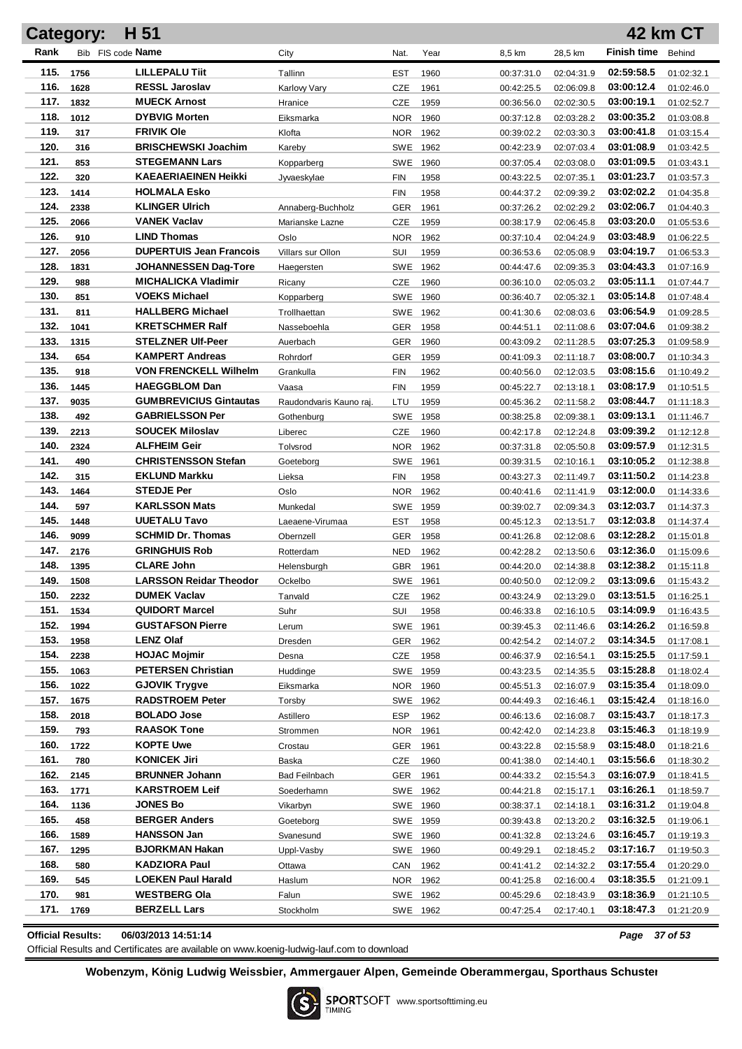| Rank<br>Bib FIS code Name<br><b>Finish time</b><br>City<br>Nat.<br>Year<br>8,5 km<br>28,5 km<br>Behind<br><b>LILLEPALU Tiit</b><br>115.<br>02:59:58.5<br>1756<br>Tallinn<br><b>EST</b><br>1960<br>01:02:32.1<br>00:37:31.0<br>02:04:31.9<br>116.<br><b>RESSL Jaroslav</b><br>03:00:12.4<br>1628<br>CZE<br>1961<br>Karlovy Vary<br>00:42:25.5<br>02:06:09.8<br>01:02:46.0<br>117.<br><b>MUECK Arnost</b><br>03:00:19.1<br>1832<br>CZE<br>1959<br>Hranice<br>00:36:56.0<br>02:02:30.5<br>01:02:52.7<br>118.<br><b>DYBVIG Morten</b><br>03:00:35.2<br>1012<br><b>NOR</b><br>1960<br>Eiksmarka<br>00:37:12.8<br>02:03:28.2<br>01:03:08.8<br>119.<br><b>FRIVIK Ole</b><br>03:00:41.8<br>317<br><b>NOR</b><br>1962<br>Klofta<br>00:39:02.2<br>02:03:30.3<br>01:03:15.4<br>120.<br><b>BRISCHEWSKI Joachim</b><br>316<br>SWE<br>1962<br>02:07:03.4<br>03:01:08.9<br>00:42:23.9<br>01:03:42.5<br>Kareby<br>121.<br><b>STEGEMANN Lars</b><br>03:01:09.5<br>853<br><b>SWE</b><br>1960<br>Kopparberg<br>00:37:05.4<br>02:03:08.0<br>01:03:43.1<br>122.<br><b>KAEAERIAEINEN Heikki</b><br>03:01:23.7<br>320<br><b>FIN</b><br>1958<br>02:07:35.1<br>00:43:22.5<br>01:03:57.3<br>Jyvaeskylae<br>123.<br>1414<br><b>HOLMALA Esko</b><br>03:02:02.2<br><b>FIN</b><br>1958<br>00:44:37.2<br>02:09:39.2<br>01:04:35.8<br>124.<br><b>KLINGER Ulrich</b><br>03:02:06.7<br>2338<br><b>GER</b><br>1961<br>02:02:29.2<br>Annaberg-Buchholz<br>00:37:26.2<br>01:04:40.3<br>125.<br><b>VANEK Vaclav</b><br>03:03:20.0<br>2066<br>CZE<br>1959<br>00:38:17.9<br>02:06:45.8<br>01:05:53.6<br>Marianske Lazne<br>126.<br><b>LIND Thomas</b><br>910<br><b>NOR</b><br>1962<br>03:03:48.9<br>Oslo<br>00:37:10.4<br>02:04:24.9<br>01:06:22.5<br>127.<br><b>DUPERTUIS Jean Francois</b><br>03:04:19.7<br>2056<br>SUI<br>1959<br>Villars sur Ollon<br>00:36:53.6<br>02:05:08.9<br>01:06:53.3<br>128.<br>1831<br><b>JOHANNESSEN Dag-Tore</b><br><b>SWE</b><br>1962<br>03:04:43.3<br>00:44:47.6<br>02:09:35.3<br>01:07:16.9<br>Haegersten<br>129.<br><b>MICHALICKA Vladimir</b><br>988<br>CZE<br>1960<br>03:05:11.1<br>00:36:10.0<br>02:05:03.2<br>01:07:44.7<br>Ricany<br>130.<br><b>VOEKS Michael</b><br>03:05:14.8<br>851<br>SWE 1960<br>Kopparberg<br>00:36:40.7<br>02:05:32.1<br>01:07:48.4<br>131.<br><b>HALLBERG Michael</b><br>811<br>SWE 1962<br>03:06:54.9<br>Trollhaettan<br>00:41:30.6<br>02:08:03.6<br>01:09:28.5<br>132.<br><b>KRETSCHMER Ralf</b><br>03:07:04.6<br>1041<br>1958<br>Nasseboehla<br>GER<br>00:44:51.1<br>02:11:08.6<br>01:09:38.2<br>133.<br><b>STELZNER Ulf-Peer</b><br>03:07:25.3<br>1315<br>1960<br>GER<br>00:43:09.2<br>02:11:28.5<br>01:09:58.9<br>Auerbach<br>134.<br><b>KAMPERT Andreas</b><br>03:08:00.7<br>654<br><b>GER</b><br>1959<br>Rohrdorf<br>00:41:09.3<br>02:11:18.7<br>01:10:34.3<br>135.<br><b>VON FRENCKELL Wilhelm</b><br>03:08:15.6<br>918<br>1962<br>Grankulla<br><b>FIN</b><br>00:40:56.0<br>02:12:03.5<br>01:10:49.2<br>136.<br><b>HAEGGBLOM Dan</b><br>03:08:17.9<br>1445<br><b>FIN</b><br>Vaasa<br>1959<br>00:45:22.7<br>02:13:18.1<br>01:10:51.5<br>137.<br><b>GUMBREVICIUS Gintautas</b><br>03:08:44.7<br>9035<br>LTU<br>1959<br>Raudondvaris Kauno raj.<br>00:45:36.2<br>02:11:58.2<br>01:11:18.3<br>138.<br><b>GABRIELSSON Per</b><br>03:09:13.1<br>492<br>SWE 1958<br>00:38:25.8<br>02:09:38.1<br>01:11:46.7<br>Gothenburg<br>139.<br><b>SOUCEK Miloslav</b><br>2213<br>03:09:39.2<br><b>CZE</b><br>1960<br>Liberec<br>00:42:17.8<br>02:12:24.8<br>01:12:12.8<br>140.<br><b>ALFHEIM Geir</b><br>03:09:57.9<br>2324<br>1962<br>Tolvsrod<br>NOR<br>00:37:31.8<br>02:05:50.8<br>01:12:31.5<br>141.<br><b>CHRISTENSSON Stefan</b><br>03:10:05.2<br>490<br>SWE 1961<br>00:39:31.5<br>02:10:16.1<br>01:12:38.8<br>Goeteborg<br>142.<br><b>EKLUND Markku</b><br>03:11:50.2<br>315<br><b>FIN</b><br>Lieksa<br>1958<br>00:43:27.3<br>02:11:49.7<br>01:14:23.8<br>143.<br><b>STEDJE Per</b><br>1464<br>03:12:00.0<br><b>NOR</b><br>Oslo<br>1962<br>00:40:41.6<br>02:11:41.9<br>01:14:33.6<br>144.<br><b>KARLSSON Mats</b><br>03:12:03.7<br>597<br>SWE 1959<br>00:39:02.7<br>02:09:34.3<br>01:14:37.3<br>Munkedal<br>145.<br><b>UUETALU Tavo</b><br>03:12:03.8<br>1448<br><b>EST</b><br>1958<br>00:45:12.3<br>02:13:51.7<br>01:14:37.4<br>Laeaene-Virumaa<br>146.<br><b>SCHMID Dr. Thomas</b><br>03:12:28.2<br>9099<br><b>GER</b><br>1958<br>Obernzell<br>00:41:26.8<br>02:12:08.6<br>01:15:01.8<br>147.<br><b>GRINGHUIS Rob</b><br>03:12:36.0<br>2176<br>1962<br>Rotterdam<br><b>NED</b><br>00:42:28.2<br>02:13:50.6<br>01:15:09.6<br>148.<br><b>CLARE John</b><br>03:12:38.2<br>1395<br>GBR<br>1961<br>00:44:20.0<br>02:14:38.8<br>01:15:11.8<br>Helensburgh<br>149.<br><b>LARSSON Reidar Theodor</b><br>03:13:09.6<br>1508<br>02:12:09.2<br>SWE 1961<br>00:40:50.0<br>Ockelbo<br>01:15:43.2<br><b>DUMEK Vaclav</b><br>03:13:51.5<br>150.<br>2232<br>Tanvald<br>CZE<br>1962<br>00:43:24.9<br>02:13:29.0<br>01:16:25.1<br>151.<br><b>QUIDORT Marcel</b><br>1534<br>03:14:09.9<br>Suhr<br>SUI<br>1958<br>00:46:33.8<br>02:16:10.5<br>01:16:43.5<br>152.<br><b>GUSTAFSON Pierre</b><br>1994<br>03:14:26.2<br>02:11:46.6<br>SWE 1961<br>00:39:45.3<br>01:16:59.8<br>Lerum<br>153.<br><b>LENZ Olaf</b><br>03:14:34.5<br>1958<br>Dresden<br><b>GER</b><br>1962<br>02:14:07.2<br>01:17:08.1<br>00:42:54.2<br>154.<br><b>HOJAC Mojmir</b><br>2238<br>03:15:25.5<br>CZE<br>1958<br>00:46:37.9<br>02:16:54.1<br>01:17:59.1<br>Desna<br>155.<br><b>PETERSEN Christian</b><br>03:15:28.8<br>1063<br>Huddinge<br>SWE 1959<br>02:14:35.5<br>01:18:02.4<br>00:43:23.5<br>156.<br><b>GJOVIK Trygve</b><br>03:15:35.4<br>1022<br>NOR<br>1960<br>02:16:07.9<br>01:18:09.0<br>Eiksmarka<br>00:45:51.3<br>157.<br><b>RADSTROEM Peter</b><br>1675<br>03:15:42.4<br>SWE 1962<br>02:16:46.1<br>01:18:16.0<br>Torsby<br>00:44:49.3<br>158.<br><b>BOLADO Jose</b><br>03:15:43.7<br>2018<br>Astillero<br><b>ESP</b><br>1962<br>02:16:08.7<br>01:18:17.3<br>00:46:13.6<br>159.<br><b>RAASOK Tone</b><br>03:15:46.3<br>793<br>NOR<br>1961<br>02:14:23.8<br>01:18:19.9<br>Strommen<br>00:42:42.0<br>160.<br><b>KOPTE Uwe</b><br>1722<br>03:15:48.0<br><b>GER</b><br>1961<br>02:15:58.9<br>01:18:21.6<br>Crostau<br>00:43:22.8<br>161.<br><b>KONICEK Jiri</b><br>780<br>03:15:56.6<br>Baska<br>CZE<br>1960<br>02:14:40.1<br>01:18:30.2<br>00:41:38.0<br>162.<br><b>BRUNNER Johann</b><br>2145<br>03:16:07.9<br><b>Bad Feilnbach</b><br>GER<br>1961<br>02:15:54.3<br>01:18:41.5<br>00:44:33.2<br>163.<br><b>KARSTROEM Leif</b><br>1771<br>03:16:26.1<br>SWE 1962<br>00:44:21.8<br>02:15:17.1<br>01:18:59.7<br>Soederhamn<br>164.<br><b>JONES Bo</b><br>1136<br>03:16:31.2<br>SWE 1960<br>02:14:18.1<br>01:19:04.8<br>Vikarbyn<br>00:38:37.1<br>165.<br><b>BERGER Anders</b><br>458<br>03:16:32.5<br>SWE 1959<br>02:13:20.2<br>01:19:06.1<br>Goeteborg<br>00:39:43.8<br>166.<br><b>HANSSON Jan</b><br>1589<br>03:16:45.7<br>Svanesund<br>SWE 1960<br>02:13:24.6<br>01:19:19.3<br>00:41:32.8<br>167.<br><b>BJORKMAN Hakan</b><br>03:17:16.7<br>1295<br>Uppl-Vasby<br>SWE 1960<br>02:18:45.2<br>01:19:50.3<br>00:49:29.1<br>168.<br><b>KADZIORA Paul</b><br>03:17:55.4<br>580<br>1962<br>02:14:32.2<br>01:20:29.0<br>Ottawa<br>CAN<br>00:41:41.2<br>169.<br><b>LOEKEN Paul Harald</b><br>03:18:35.5<br>545<br>Haslum<br>NOR 1962<br>02:16:00.4<br>01:21:09.1<br>00:41:25.8<br>170.<br><b>WESTBERG Ola</b><br>03:18:36.9<br>981<br>Falun<br>SWE 1962<br>02:18:43.9<br>01:21:10.5<br>00:45:29.6<br>171.<br><b>BERZELL Lars</b><br>03:18:47.3<br>1769<br>Stockholm<br>SWE 1962<br>02:17:40.1<br>01:21:20.9<br>00:47:25.4 | Category: | H 51 |  |  |  | 42 km CT |
|---------------------------------------------------------------------------------------------------------------------------------------------------------------------------------------------------------------------------------------------------------------------------------------------------------------------------------------------------------------------------------------------------------------------------------------------------------------------------------------------------------------------------------------------------------------------------------------------------------------------------------------------------------------------------------------------------------------------------------------------------------------------------------------------------------------------------------------------------------------------------------------------------------------------------------------------------------------------------------------------------------------------------------------------------------------------------------------------------------------------------------------------------------------------------------------------------------------------------------------------------------------------------------------------------------------------------------------------------------------------------------------------------------------------------------------------------------------------------------------------------------------------------------------------------------------------------------------------------------------------------------------------------------------------------------------------------------------------------------------------------------------------------------------------------------------------------------------------------------------------------------------------------------------------------------------------------------------------------------------------------------------------------------------------------------------------------------------------------------------------------------------------------------------------------------------------------------------------------------------------------------------------------------------------------------------------------------------------------------------------------------------------------------------------------------------------------------------------------------------------------------------------------------------------------------------------------------------------------------------------------------------------------------------------------------------------------------------------------------------------------------------------------------------------------------------------------------------------------------------------------------------------------------------------------------------------------------------------------------------------------------------------------------------------------------------------------------------------------------------------------------------------------------------------------------------------------------------------------------------------------------------------------------------------------------------------------------------------------------------------------------------------------------------------------------------------------------------------------------------------------------------------------------------------------------------------------------------------------------------------------------------------------------------------------------------------------------------------------------------------------------------------------------------------------------------------------------------------------------------------------------------------------------------------------------------------------------------------------------------------------------------------------------------------------------------------------------------------------------------------------------------------------------------------------------------------------------------------------------------------------------------------------------------------------------------------------------------------------------------------------------------------------------------------------------------------------------------------------------------------------------------------------------------------------------------------------------------------------------------------------------------------------------------------------------------------------------------------------------------------------------------------------------------------------------------------------------------------------------------------------------------------------------------------------------------------------------------------------------------------------------------------------------------------------------------------------------------------------------------------------------------------------------------------------------------------------------------------------------------------------------------------------------------------------------------------------------------------------------------------------------------------------------------------------------------------------------------------------------------------------------------------------------------------------------------------------------------------------------------------------------------------------------------------------------------------------------------------------------------------------------------------------------------------------------------------------------------------------------------------------------------------------------------------------------------------------------------------------------------------------------------------------------------------------------------------------------------------------------------------------------------------------------------------------------------------------------------------------------------------------------------------------------------------------------------------------------------------------------------------------------------------------------------------------------------------------------------------------------------------------------------------------------------------------------------------------------------------------------------------------------------------------------------------------------------------------------------------------------------------------------------------------------------------------------------------------------------------------------------------------------------------------------------------------------------------------------------------------------------------------------------------------------------------------------------------------------------------------------------------------------------------------------------------------------------------------------------------------------------------------------------------------------------------------------------------------------------------------------------------------------------------------------------------------------------------------------------------------------------------------------------------------------------------------------------------------------------------------|-----------|------|--|--|--|----------|
|                                                                                                                                                                                                                                                                                                                                                                                                                                                                                                                                                                                                                                                                                                                                                                                                                                                                                                                                                                                                                                                                                                                                                                                                                                                                                                                                                                                                                                                                                                                                                                                                                                                                                                                                                                                                                                                                                                                                                                                                                                                                                                                                                                                                                                                                                                                                                                                                                                                                                                                                                                                                                                                                                                                                                                                                                                                                                                                                                                                                                                                                                                                                                                                                                                                                                                                                                                                                                                                                                                                                                                                                                                                                                                                                                                                                                                                                                                                                                                                                                                                                                                                                                                                                                                                                                                                                                                                                                                                                                                                                                                                                                                                                                                                                                                                                                                                                                                                                                                                                                                                                                                                                                                                                                                                                                                                                                                                                                                                                                                                                                                                                                                                                                                                                                                                                                                                                                                                                                                                                                                                                                                                                                                                                                                                                                                                                                                                                                                                                                                                                                                                                                                                                                                                                                                                                                                                                                                                                                                                                                                                                                                                                                                                                                                                                                                                                                                                                                                                                                                                                                                                                   |           |      |  |  |  |          |
|                                                                                                                                                                                                                                                                                                                                                                                                                                                                                                                                                                                                                                                                                                                                                                                                                                                                                                                                                                                                                                                                                                                                                                                                                                                                                                                                                                                                                                                                                                                                                                                                                                                                                                                                                                                                                                                                                                                                                                                                                                                                                                                                                                                                                                                                                                                                                                                                                                                                                                                                                                                                                                                                                                                                                                                                                                                                                                                                                                                                                                                                                                                                                                                                                                                                                                                                                                                                                                                                                                                                                                                                                                                                                                                                                                                                                                                                                                                                                                                                                                                                                                                                                                                                                                                                                                                                                                                                                                                                                                                                                                                                                                                                                                                                                                                                                                                                                                                                                                                                                                                                                                                                                                                                                                                                                                                                                                                                                                                                                                                                                                                                                                                                                                                                                                                                                                                                                                                                                                                                                                                                                                                                                                                                                                                                                                                                                                                                                                                                                                                                                                                                                                                                                                                                                                                                                                                                                                                                                                                                                                                                                                                                                                                                                                                                                                                                                                                                                                                                                                                                                                                                   |           |      |  |  |  |          |
|                                                                                                                                                                                                                                                                                                                                                                                                                                                                                                                                                                                                                                                                                                                                                                                                                                                                                                                                                                                                                                                                                                                                                                                                                                                                                                                                                                                                                                                                                                                                                                                                                                                                                                                                                                                                                                                                                                                                                                                                                                                                                                                                                                                                                                                                                                                                                                                                                                                                                                                                                                                                                                                                                                                                                                                                                                                                                                                                                                                                                                                                                                                                                                                                                                                                                                                                                                                                                                                                                                                                                                                                                                                                                                                                                                                                                                                                                                                                                                                                                                                                                                                                                                                                                                                                                                                                                                                                                                                                                                                                                                                                                                                                                                                                                                                                                                                                                                                                                                                                                                                                                                                                                                                                                                                                                                                                                                                                                                                                                                                                                                                                                                                                                                                                                                                                                                                                                                                                                                                                                                                                                                                                                                                                                                                                                                                                                                                                                                                                                                                                                                                                                                                                                                                                                                                                                                                                                                                                                                                                                                                                                                                                                                                                                                                                                                                                                                                                                                                                                                                                                                                                   |           |      |  |  |  |          |
|                                                                                                                                                                                                                                                                                                                                                                                                                                                                                                                                                                                                                                                                                                                                                                                                                                                                                                                                                                                                                                                                                                                                                                                                                                                                                                                                                                                                                                                                                                                                                                                                                                                                                                                                                                                                                                                                                                                                                                                                                                                                                                                                                                                                                                                                                                                                                                                                                                                                                                                                                                                                                                                                                                                                                                                                                                                                                                                                                                                                                                                                                                                                                                                                                                                                                                                                                                                                                                                                                                                                                                                                                                                                                                                                                                                                                                                                                                                                                                                                                                                                                                                                                                                                                                                                                                                                                                                                                                                                                                                                                                                                                                                                                                                                                                                                                                                                                                                                                                                                                                                                                                                                                                                                                                                                                                                                                                                                                                                                                                                                                                                                                                                                                                                                                                                                                                                                                                                                                                                                                                                                                                                                                                                                                                                                                                                                                                                                                                                                                                                                                                                                                                                                                                                                                                                                                                                                                                                                                                                                                                                                                                                                                                                                                                                                                                                                                                                                                                                                                                                                                                                                   |           |      |  |  |  |          |
|                                                                                                                                                                                                                                                                                                                                                                                                                                                                                                                                                                                                                                                                                                                                                                                                                                                                                                                                                                                                                                                                                                                                                                                                                                                                                                                                                                                                                                                                                                                                                                                                                                                                                                                                                                                                                                                                                                                                                                                                                                                                                                                                                                                                                                                                                                                                                                                                                                                                                                                                                                                                                                                                                                                                                                                                                                                                                                                                                                                                                                                                                                                                                                                                                                                                                                                                                                                                                                                                                                                                                                                                                                                                                                                                                                                                                                                                                                                                                                                                                                                                                                                                                                                                                                                                                                                                                                                                                                                                                                                                                                                                                                                                                                                                                                                                                                                                                                                                                                                                                                                                                                                                                                                                                                                                                                                                                                                                                                                                                                                                                                                                                                                                                                                                                                                                                                                                                                                                                                                                                                                                                                                                                                                                                                                                                                                                                                                                                                                                                                                                                                                                                                                                                                                                                                                                                                                                                                                                                                                                                                                                                                                                                                                                                                                                                                                                                                                                                                                                                                                                                                                                   |           |      |  |  |  |          |
|                                                                                                                                                                                                                                                                                                                                                                                                                                                                                                                                                                                                                                                                                                                                                                                                                                                                                                                                                                                                                                                                                                                                                                                                                                                                                                                                                                                                                                                                                                                                                                                                                                                                                                                                                                                                                                                                                                                                                                                                                                                                                                                                                                                                                                                                                                                                                                                                                                                                                                                                                                                                                                                                                                                                                                                                                                                                                                                                                                                                                                                                                                                                                                                                                                                                                                                                                                                                                                                                                                                                                                                                                                                                                                                                                                                                                                                                                                                                                                                                                                                                                                                                                                                                                                                                                                                                                                                                                                                                                                                                                                                                                                                                                                                                                                                                                                                                                                                                                                                                                                                                                                                                                                                                                                                                                                                                                                                                                                                                                                                                                                                                                                                                                                                                                                                                                                                                                                                                                                                                                                                                                                                                                                                                                                                                                                                                                                                                                                                                                                                                                                                                                                                                                                                                                                                                                                                                                                                                                                                                                                                                                                                                                                                                                                                                                                                                                                                                                                                                                                                                                                                                   |           |      |  |  |  |          |
|                                                                                                                                                                                                                                                                                                                                                                                                                                                                                                                                                                                                                                                                                                                                                                                                                                                                                                                                                                                                                                                                                                                                                                                                                                                                                                                                                                                                                                                                                                                                                                                                                                                                                                                                                                                                                                                                                                                                                                                                                                                                                                                                                                                                                                                                                                                                                                                                                                                                                                                                                                                                                                                                                                                                                                                                                                                                                                                                                                                                                                                                                                                                                                                                                                                                                                                                                                                                                                                                                                                                                                                                                                                                                                                                                                                                                                                                                                                                                                                                                                                                                                                                                                                                                                                                                                                                                                                                                                                                                                                                                                                                                                                                                                                                                                                                                                                                                                                                                                                                                                                                                                                                                                                                                                                                                                                                                                                                                                                                                                                                                                                                                                                                                                                                                                                                                                                                                                                                                                                                                                                                                                                                                                                                                                                                                                                                                                                                                                                                                                                                                                                                                                                                                                                                                                                                                                                                                                                                                                                                                                                                                                                                                                                                                                                                                                                                                                                                                                                                                                                                                                                                   |           |      |  |  |  |          |
|                                                                                                                                                                                                                                                                                                                                                                                                                                                                                                                                                                                                                                                                                                                                                                                                                                                                                                                                                                                                                                                                                                                                                                                                                                                                                                                                                                                                                                                                                                                                                                                                                                                                                                                                                                                                                                                                                                                                                                                                                                                                                                                                                                                                                                                                                                                                                                                                                                                                                                                                                                                                                                                                                                                                                                                                                                                                                                                                                                                                                                                                                                                                                                                                                                                                                                                                                                                                                                                                                                                                                                                                                                                                                                                                                                                                                                                                                                                                                                                                                                                                                                                                                                                                                                                                                                                                                                                                                                                                                                                                                                                                                                                                                                                                                                                                                                                                                                                                                                                                                                                                                                                                                                                                                                                                                                                                                                                                                                                                                                                                                                                                                                                                                                                                                                                                                                                                                                                                                                                                                                                                                                                                                                                                                                                                                                                                                                                                                                                                                                                                                                                                                                                                                                                                                                                                                                                                                                                                                                                                                                                                                                                                                                                                                                                                                                                                                                                                                                                                                                                                                                                                   |           |      |  |  |  |          |
|                                                                                                                                                                                                                                                                                                                                                                                                                                                                                                                                                                                                                                                                                                                                                                                                                                                                                                                                                                                                                                                                                                                                                                                                                                                                                                                                                                                                                                                                                                                                                                                                                                                                                                                                                                                                                                                                                                                                                                                                                                                                                                                                                                                                                                                                                                                                                                                                                                                                                                                                                                                                                                                                                                                                                                                                                                                                                                                                                                                                                                                                                                                                                                                                                                                                                                                                                                                                                                                                                                                                                                                                                                                                                                                                                                                                                                                                                                                                                                                                                                                                                                                                                                                                                                                                                                                                                                                                                                                                                                                                                                                                                                                                                                                                                                                                                                                                                                                                                                                                                                                                                                                                                                                                                                                                                                                                                                                                                                                                                                                                                                                                                                                                                                                                                                                                                                                                                                                                                                                                                                                                                                                                                                                                                                                                                                                                                                                                                                                                                                                                                                                                                                                                                                                                                                                                                                                                                                                                                                                                                                                                                                                                                                                                                                                                                                                                                                                                                                                                                                                                                                                                   |           |      |  |  |  |          |
|                                                                                                                                                                                                                                                                                                                                                                                                                                                                                                                                                                                                                                                                                                                                                                                                                                                                                                                                                                                                                                                                                                                                                                                                                                                                                                                                                                                                                                                                                                                                                                                                                                                                                                                                                                                                                                                                                                                                                                                                                                                                                                                                                                                                                                                                                                                                                                                                                                                                                                                                                                                                                                                                                                                                                                                                                                                                                                                                                                                                                                                                                                                                                                                                                                                                                                                                                                                                                                                                                                                                                                                                                                                                                                                                                                                                                                                                                                                                                                                                                                                                                                                                                                                                                                                                                                                                                                                                                                                                                                                                                                                                                                                                                                                                                                                                                                                                                                                                                                                                                                                                                                                                                                                                                                                                                                                                                                                                                                                                                                                                                                                                                                                                                                                                                                                                                                                                                                                                                                                                                                                                                                                                                                                                                                                                                                                                                                                                                                                                                                                                                                                                                                                                                                                                                                                                                                                                                                                                                                                                                                                                                                                                                                                                                                                                                                                                                                                                                                                                                                                                                                                                   |           |      |  |  |  |          |
|                                                                                                                                                                                                                                                                                                                                                                                                                                                                                                                                                                                                                                                                                                                                                                                                                                                                                                                                                                                                                                                                                                                                                                                                                                                                                                                                                                                                                                                                                                                                                                                                                                                                                                                                                                                                                                                                                                                                                                                                                                                                                                                                                                                                                                                                                                                                                                                                                                                                                                                                                                                                                                                                                                                                                                                                                                                                                                                                                                                                                                                                                                                                                                                                                                                                                                                                                                                                                                                                                                                                                                                                                                                                                                                                                                                                                                                                                                                                                                                                                                                                                                                                                                                                                                                                                                                                                                                                                                                                                                                                                                                                                                                                                                                                                                                                                                                                                                                                                                                                                                                                                                                                                                                                                                                                                                                                                                                                                                                                                                                                                                                                                                                                                                                                                                                                                                                                                                                                                                                                                                                                                                                                                                                                                                                                                                                                                                                                                                                                                                                                                                                                                                                                                                                                                                                                                                                                                                                                                                                                                                                                                                                                                                                                                                                                                                                                                                                                                                                                                                                                                                                                   |           |      |  |  |  |          |
|                                                                                                                                                                                                                                                                                                                                                                                                                                                                                                                                                                                                                                                                                                                                                                                                                                                                                                                                                                                                                                                                                                                                                                                                                                                                                                                                                                                                                                                                                                                                                                                                                                                                                                                                                                                                                                                                                                                                                                                                                                                                                                                                                                                                                                                                                                                                                                                                                                                                                                                                                                                                                                                                                                                                                                                                                                                                                                                                                                                                                                                                                                                                                                                                                                                                                                                                                                                                                                                                                                                                                                                                                                                                                                                                                                                                                                                                                                                                                                                                                                                                                                                                                                                                                                                                                                                                                                                                                                                                                                                                                                                                                                                                                                                                                                                                                                                                                                                                                                                                                                                                                                                                                                                                                                                                                                                                                                                                                                                                                                                                                                                                                                                                                                                                                                                                                                                                                                                                                                                                                                                                                                                                                                                                                                                                                                                                                                                                                                                                                                                                                                                                                                                                                                                                                                                                                                                                                                                                                                                                                                                                                                                                                                                                                                                                                                                                                                                                                                                                                                                                                                                                   |           |      |  |  |  |          |
|                                                                                                                                                                                                                                                                                                                                                                                                                                                                                                                                                                                                                                                                                                                                                                                                                                                                                                                                                                                                                                                                                                                                                                                                                                                                                                                                                                                                                                                                                                                                                                                                                                                                                                                                                                                                                                                                                                                                                                                                                                                                                                                                                                                                                                                                                                                                                                                                                                                                                                                                                                                                                                                                                                                                                                                                                                                                                                                                                                                                                                                                                                                                                                                                                                                                                                                                                                                                                                                                                                                                                                                                                                                                                                                                                                                                                                                                                                                                                                                                                                                                                                                                                                                                                                                                                                                                                                                                                                                                                                                                                                                                                                                                                                                                                                                                                                                                                                                                                                                                                                                                                                                                                                                                                                                                                                                                                                                                                                                                                                                                                                                                                                                                                                                                                                                                                                                                                                                                                                                                                                                                                                                                                                                                                                                                                                                                                                                                                                                                                                                                                                                                                                                                                                                                                                                                                                                                                                                                                                                                                                                                                                                                                                                                                                                                                                                                                                                                                                                                                                                                                                                                   |           |      |  |  |  |          |
|                                                                                                                                                                                                                                                                                                                                                                                                                                                                                                                                                                                                                                                                                                                                                                                                                                                                                                                                                                                                                                                                                                                                                                                                                                                                                                                                                                                                                                                                                                                                                                                                                                                                                                                                                                                                                                                                                                                                                                                                                                                                                                                                                                                                                                                                                                                                                                                                                                                                                                                                                                                                                                                                                                                                                                                                                                                                                                                                                                                                                                                                                                                                                                                                                                                                                                                                                                                                                                                                                                                                                                                                                                                                                                                                                                                                                                                                                                                                                                                                                                                                                                                                                                                                                                                                                                                                                                                                                                                                                                                                                                                                                                                                                                                                                                                                                                                                                                                                                                                                                                                                                                                                                                                                                                                                                                                                                                                                                                                                                                                                                                                                                                                                                                                                                                                                                                                                                                                                                                                                                                                                                                                                                                                                                                                                                                                                                                                                                                                                                                                                                                                                                                                                                                                                                                                                                                                                                                                                                                                                                                                                                                                                                                                                                                                                                                                                                                                                                                                                                                                                                                                                   |           |      |  |  |  |          |
|                                                                                                                                                                                                                                                                                                                                                                                                                                                                                                                                                                                                                                                                                                                                                                                                                                                                                                                                                                                                                                                                                                                                                                                                                                                                                                                                                                                                                                                                                                                                                                                                                                                                                                                                                                                                                                                                                                                                                                                                                                                                                                                                                                                                                                                                                                                                                                                                                                                                                                                                                                                                                                                                                                                                                                                                                                                                                                                                                                                                                                                                                                                                                                                                                                                                                                                                                                                                                                                                                                                                                                                                                                                                                                                                                                                                                                                                                                                                                                                                                                                                                                                                                                                                                                                                                                                                                                                                                                                                                                                                                                                                                                                                                                                                                                                                                                                                                                                                                                                                                                                                                                                                                                                                                                                                                                                                                                                                                                                                                                                                                                                                                                                                                                                                                                                                                                                                                                                                                                                                                                                                                                                                                                                                                                                                                                                                                                                                                                                                                                                                                                                                                                                                                                                                                                                                                                                                                                                                                                                                                                                                                                                                                                                                                                                                                                                                                                                                                                                                                                                                                                                                   |           |      |  |  |  |          |
|                                                                                                                                                                                                                                                                                                                                                                                                                                                                                                                                                                                                                                                                                                                                                                                                                                                                                                                                                                                                                                                                                                                                                                                                                                                                                                                                                                                                                                                                                                                                                                                                                                                                                                                                                                                                                                                                                                                                                                                                                                                                                                                                                                                                                                                                                                                                                                                                                                                                                                                                                                                                                                                                                                                                                                                                                                                                                                                                                                                                                                                                                                                                                                                                                                                                                                                                                                                                                                                                                                                                                                                                                                                                                                                                                                                                                                                                                                                                                                                                                                                                                                                                                                                                                                                                                                                                                                                                                                                                                                                                                                                                                                                                                                                                                                                                                                                                                                                                                                                                                                                                                                                                                                                                                                                                                                                                                                                                                                                                                                                                                                                                                                                                                                                                                                                                                                                                                                                                                                                                                                                                                                                                                                                                                                                                                                                                                                                                                                                                                                                                                                                                                                                                                                                                                                                                                                                                                                                                                                                                                                                                                                                                                                                                                                                                                                                                                                                                                                                                                                                                                                                                   |           |      |  |  |  |          |
|                                                                                                                                                                                                                                                                                                                                                                                                                                                                                                                                                                                                                                                                                                                                                                                                                                                                                                                                                                                                                                                                                                                                                                                                                                                                                                                                                                                                                                                                                                                                                                                                                                                                                                                                                                                                                                                                                                                                                                                                                                                                                                                                                                                                                                                                                                                                                                                                                                                                                                                                                                                                                                                                                                                                                                                                                                                                                                                                                                                                                                                                                                                                                                                                                                                                                                                                                                                                                                                                                                                                                                                                                                                                                                                                                                                                                                                                                                                                                                                                                                                                                                                                                                                                                                                                                                                                                                                                                                                                                                                                                                                                                                                                                                                                                                                                                                                                                                                                                                                                                                                                                                                                                                                                                                                                                                                                                                                                                                                                                                                                                                                                                                                                                                                                                                                                                                                                                                                                                                                                                                                                                                                                                                                                                                                                                                                                                                                                                                                                                                                                                                                                                                                                                                                                                                                                                                                                                                                                                                                                                                                                                                                                                                                                                                                                                                                                                                                                                                                                                                                                                                                                   |           |      |  |  |  |          |
|                                                                                                                                                                                                                                                                                                                                                                                                                                                                                                                                                                                                                                                                                                                                                                                                                                                                                                                                                                                                                                                                                                                                                                                                                                                                                                                                                                                                                                                                                                                                                                                                                                                                                                                                                                                                                                                                                                                                                                                                                                                                                                                                                                                                                                                                                                                                                                                                                                                                                                                                                                                                                                                                                                                                                                                                                                                                                                                                                                                                                                                                                                                                                                                                                                                                                                                                                                                                                                                                                                                                                                                                                                                                                                                                                                                                                                                                                                                                                                                                                                                                                                                                                                                                                                                                                                                                                                                                                                                                                                                                                                                                                                                                                                                                                                                                                                                                                                                                                                                                                                                                                                                                                                                                                                                                                                                                                                                                                                                                                                                                                                                                                                                                                                                                                                                                                                                                                                                                                                                                                                                                                                                                                                                                                                                                                                                                                                                                                                                                                                                                                                                                                                                                                                                                                                                                                                                                                                                                                                                                                                                                                                                                                                                                                                                                                                                                                                                                                                                                                                                                                                                                   |           |      |  |  |  |          |
|                                                                                                                                                                                                                                                                                                                                                                                                                                                                                                                                                                                                                                                                                                                                                                                                                                                                                                                                                                                                                                                                                                                                                                                                                                                                                                                                                                                                                                                                                                                                                                                                                                                                                                                                                                                                                                                                                                                                                                                                                                                                                                                                                                                                                                                                                                                                                                                                                                                                                                                                                                                                                                                                                                                                                                                                                                                                                                                                                                                                                                                                                                                                                                                                                                                                                                                                                                                                                                                                                                                                                                                                                                                                                                                                                                                                                                                                                                                                                                                                                                                                                                                                                                                                                                                                                                                                                                                                                                                                                                                                                                                                                                                                                                                                                                                                                                                                                                                                                                                                                                                                                                                                                                                                                                                                                                                                                                                                                                                                                                                                                                                                                                                                                                                                                                                                                                                                                                                                                                                                                                                                                                                                                                                                                                                                                                                                                                                                                                                                                                                                                                                                                                                                                                                                                                                                                                                                                                                                                                                                                                                                                                                                                                                                                                                                                                                                                                                                                                                                                                                                                                                                   |           |      |  |  |  |          |
|                                                                                                                                                                                                                                                                                                                                                                                                                                                                                                                                                                                                                                                                                                                                                                                                                                                                                                                                                                                                                                                                                                                                                                                                                                                                                                                                                                                                                                                                                                                                                                                                                                                                                                                                                                                                                                                                                                                                                                                                                                                                                                                                                                                                                                                                                                                                                                                                                                                                                                                                                                                                                                                                                                                                                                                                                                                                                                                                                                                                                                                                                                                                                                                                                                                                                                                                                                                                                                                                                                                                                                                                                                                                                                                                                                                                                                                                                                                                                                                                                                                                                                                                                                                                                                                                                                                                                                                                                                                                                                                                                                                                                                                                                                                                                                                                                                                                                                                                                                                                                                                                                                                                                                                                                                                                                                                                                                                                                                                                                                                                                                                                                                                                                                                                                                                                                                                                                                                                                                                                                                                                                                                                                                                                                                                                                                                                                                                                                                                                                                                                                                                                                                                                                                                                                                                                                                                                                                                                                                                                                                                                                                                                                                                                                                                                                                                                                                                                                                                                                                                                                                                                   |           |      |  |  |  |          |
|                                                                                                                                                                                                                                                                                                                                                                                                                                                                                                                                                                                                                                                                                                                                                                                                                                                                                                                                                                                                                                                                                                                                                                                                                                                                                                                                                                                                                                                                                                                                                                                                                                                                                                                                                                                                                                                                                                                                                                                                                                                                                                                                                                                                                                                                                                                                                                                                                                                                                                                                                                                                                                                                                                                                                                                                                                                                                                                                                                                                                                                                                                                                                                                                                                                                                                                                                                                                                                                                                                                                                                                                                                                                                                                                                                                                                                                                                                                                                                                                                                                                                                                                                                                                                                                                                                                                                                                                                                                                                                                                                                                                                                                                                                                                                                                                                                                                                                                                                                                                                                                                                                                                                                                                                                                                                                                                                                                                                                                                                                                                                                                                                                                                                                                                                                                                                                                                                                                                                                                                                                                                                                                                                                                                                                                                                                                                                                                                                                                                                                                                                                                                                                                                                                                                                                                                                                                                                                                                                                                                                                                                                                                                                                                                                                                                                                                                                                                                                                                                                                                                                                                                   |           |      |  |  |  |          |
|                                                                                                                                                                                                                                                                                                                                                                                                                                                                                                                                                                                                                                                                                                                                                                                                                                                                                                                                                                                                                                                                                                                                                                                                                                                                                                                                                                                                                                                                                                                                                                                                                                                                                                                                                                                                                                                                                                                                                                                                                                                                                                                                                                                                                                                                                                                                                                                                                                                                                                                                                                                                                                                                                                                                                                                                                                                                                                                                                                                                                                                                                                                                                                                                                                                                                                                                                                                                                                                                                                                                                                                                                                                                                                                                                                                                                                                                                                                                                                                                                                                                                                                                                                                                                                                                                                                                                                                                                                                                                                                                                                                                                                                                                                                                                                                                                                                                                                                                                                                                                                                                                                                                                                                                                                                                                                                                                                                                                                                                                                                                                                                                                                                                                                                                                                                                                                                                                                                                                                                                                                                                                                                                                                                                                                                                                                                                                                                                                                                                                                                                                                                                                                                                                                                                                                                                                                                                                                                                                                                                                                                                                                                                                                                                                                                                                                                                                                                                                                                                                                                                                                                                   |           |      |  |  |  |          |
|                                                                                                                                                                                                                                                                                                                                                                                                                                                                                                                                                                                                                                                                                                                                                                                                                                                                                                                                                                                                                                                                                                                                                                                                                                                                                                                                                                                                                                                                                                                                                                                                                                                                                                                                                                                                                                                                                                                                                                                                                                                                                                                                                                                                                                                                                                                                                                                                                                                                                                                                                                                                                                                                                                                                                                                                                                                                                                                                                                                                                                                                                                                                                                                                                                                                                                                                                                                                                                                                                                                                                                                                                                                                                                                                                                                                                                                                                                                                                                                                                                                                                                                                                                                                                                                                                                                                                                                                                                                                                                                                                                                                                                                                                                                                                                                                                                                                                                                                                                                                                                                                                                                                                                                                                                                                                                                                                                                                                                                                                                                                                                                                                                                                                                                                                                                                                                                                                                                                                                                                                                                                                                                                                                                                                                                                                                                                                                                                                                                                                                                                                                                                                                                                                                                                                                                                                                                                                                                                                                                                                                                                                                                                                                                                                                                                                                                                                                                                                                                                                                                                                                                                   |           |      |  |  |  |          |
|                                                                                                                                                                                                                                                                                                                                                                                                                                                                                                                                                                                                                                                                                                                                                                                                                                                                                                                                                                                                                                                                                                                                                                                                                                                                                                                                                                                                                                                                                                                                                                                                                                                                                                                                                                                                                                                                                                                                                                                                                                                                                                                                                                                                                                                                                                                                                                                                                                                                                                                                                                                                                                                                                                                                                                                                                                                                                                                                                                                                                                                                                                                                                                                                                                                                                                                                                                                                                                                                                                                                                                                                                                                                                                                                                                                                                                                                                                                                                                                                                                                                                                                                                                                                                                                                                                                                                                                                                                                                                                                                                                                                                                                                                                                                                                                                                                                                                                                                                                                                                                                                                                                                                                                                                                                                                                                                                                                                                                                                                                                                                                                                                                                                                                                                                                                                                                                                                                                                                                                                                                                                                                                                                                                                                                                                                                                                                                                                                                                                                                                                                                                                                                                                                                                                                                                                                                                                                                                                                                                                                                                                                                                                                                                                                                                                                                                                                                                                                                                                                                                                                                                                   |           |      |  |  |  |          |
|                                                                                                                                                                                                                                                                                                                                                                                                                                                                                                                                                                                                                                                                                                                                                                                                                                                                                                                                                                                                                                                                                                                                                                                                                                                                                                                                                                                                                                                                                                                                                                                                                                                                                                                                                                                                                                                                                                                                                                                                                                                                                                                                                                                                                                                                                                                                                                                                                                                                                                                                                                                                                                                                                                                                                                                                                                                                                                                                                                                                                                                                                                                                                                                                                                                                                                                                                                                                                                                                                                                                                                                                                                                                                                                                                                                                                                                                                                                                                                                                                                                                                                                                                                                                                                                                                                                                                                                                                                                                                                                                                                                                                                                                                                                                                                                                                                                                                                                                                                                                                                                                                                                                                                                                                                                                                                                                                                                                                                                                                                                                                                                                                                                                                                                                                                                                                                                                                                                                                                                                                                                                                                                                                                                                                                                                                                                                                                                                                                                                                                                                                                                                                                                                                                                                                                                                                                                                                                                                                                                                                                                                                                                                                                                                                                                                                                                                                                                                                                                                                                                                                                                                   |           |      |  |  |  |          |
|                                                                                                                                                                                                                                                                                                                                                                                                                                                                                                                                                                                                                                                                                                                                                                                                                                                                                                                                                                                                                                                                                                                                                                                                                                                                                                                                                                                                                                                                                                                                                                                                                                                                                                                                                                                                                                                                                                                                                                                                                                                                                                                                                                                                                                                                                                                                                                                                                                                                                                                                                                                                                                                                                                                                                                                                                                                                                                                                                                                                                                                                                                                                                                                                                                                                                                                                                                                                                                                                                                                                                                                                                                                                                                                                                                                                                                                                                                                                                                                                                                                                                                                                                                                                                                                                                                                                                                                                                                                                                                                                                                                                                                                                                                                                                                                                                                                                                                                                                                                                                                                                                                                                                                                                                                                                                                                                                                                                                                                                                                                                                                                                                                                                                                                                                                                                                                                                                                                                                                                                                                                                                                                                                                                                                                                                                                                                                                                                                                                                                                                                                                                                                                                                                                                                                                                                                                                                                                                                                                                                                                                                                                                                                                                                                                                                                                                                                                                                                                                                                                                                                                                                   |           |      |  |  |  |          |
|                                                                                                                                                                                                                                                                                                                                                                                                                                                                                                                                                                                                                                                                                                                                                                                                                                                                                                                                                                                                                                                                                                                                                                                                                                                                                                                                                                                                                                                                                                                                                                                                                                                                                                                                                                                                                                                                                                                                                                                                                                                                                                                                                                                                                                                                                                                                                                                                                                                                                                                                                                                                                                                                                                                                                                                                                                                                                                                                                                                                                                                                                                                                                                                                                                                                                                                                                                                                                                                                                                                                                                                                                                                                                                                                                                                                                                                                                                                                                                                                                                                                                                                                                                                                                                                                                                                                                                                                                                                                                                                                                                                                                                                                                                                                                                                                                                                                                                                                                                                                                                                                                                                                                                                                                                                                                                                                                                                                                                                                                                                                                                                                                                                                                                                                                                                                                                                                                                                                                                                                                                                                                                                                                                                                                                                                                                                                                                                                                                                                                                                                                                                                                                                                                                                                                                                                                                                                                                                                                                                                                                                                                                                                                                                                                                                                                                                                                                                                                                                                                                                                                                                                   |           |      |  |  |  |          |
|                                                                                                                                                                                                                                                                                                                                                                                                                                                                                                                                                                                                                                                                                                                                                                                                                                                                                                                                                                                                                                                                                                                                                                                                                                                                                                                                                                                                                                                                                                                                                                                                                                                                                                                                                                                                                                                                                                                                                                                                                                                                                                                                                                                                                                                                                                                                                                                                                                                                                                                                                                                                                                                                                                                                                                                                                                                                                                                                                                                                                                                                                                                                                                                                                                                                                                                                                                                                                                                                                                                                                                                                                                                                                                                                                                                                                                                                                                                                                                                                                                                                                                                                                                                                                                                                                                                                                                                                                                                                                                                                                                                                                                                                                                                                                                                                                                                                                                                                                                                                                                                                                                                                                                                                                                                                                                                                                                                                                                                                                                                                                                                                                                                                                                                                                                                                                                                                                                                                                                                                                                                                                                                                                                                                                                                                                                                                                                                                                                                                                                                                                                                                                                                                                                                                                                                                                                                                                                                                                                                                                                                                                                                                                                                                                                                                                                                                                                                                                                                                                                                                                                                                   |           |      |  |  |  |          |
|                                                                                                                                                                                                                                                                                                                                                                                                                                                                                                                                                                                                                                                                                                                                                                                                                                                                                                                                                                                                                                                                                                                                                                                                                                                                                                                                                                                                                                                                                                                                                                                                                                                                                                                                                                                                                                                                                                                                                                                                                                                                                                                                                                                                                                                                                                                                                                                                                                                                                                                                                                                                                                                                                                                                                                                                                                                                                                                                                                                                                                                                                                                                                                                                                                                                                                                                                                                                                                                                                                                                                                                                                                                                                                                                                                                                                                                                                                                                                                                                                                                                                                                                                                                                                                                                                                                                                                                                                                                                                                                                                                                                                                                                                                                                                                                                                                                                                                                                                                                                                                                                                                                                                                                                                                                                                                                                                                                                                                                                                                                                                                                                                                                                                                                                                                                                                                                                                                                                                                                                                                                                                                                                                                                                                                                                                                                                                                                                                                                                                                                                                                                                                                                                                                                                                                                                                                                                                                                                                                                                                                                                                                                                                                                                                                                                                                                                                                                                                                                                                                                                                                                                   |           |      |  |  |  |          |
|                                                                                                                                                                                                                                                                                                                                                                                                                                                                                                                                                                                                                                                                                                                                                                                                                                                                                                                                                                                                                                                                                                                                                                                                                                                                                                                                                                                                                                                                                                                                                                                                                                                                                                                                                                                                                                                                                                                                                                                                                                                                                                                                                                                                                                                                                                                                                                                                                                                                                                                                                                                                                                                                                                                                                                                                                                                                                                                                                                                                                                                                                                                                                                                                                                                                                                                                                                                                                                                                                                                                                                                                                                                                                                                                                                                                                                                                                                                                                                                                                                                                                                                                                                                                                                                                                                                                                                                                                                                                                                                                                                                                                                                                                                                                                                                                                                                                                                                                                                                                                                                                                                                                                                                                                                                                                                                                                                                                                                                                                                                                                                                                                                                                                                                                                                                                                                                                                                                                                                                                                                                                                                                                                                                                                                                                                                                                                                                                                                                                                                                                                                                                                                                                                                                                                                                                                                                                                                                                                                                                                                                                                                                                                                                                                                                                                                                                                                                                                                                                                                                                                                                                   |           |      |  |  |  |          |
|                                                                                                                                                                                                                                                                                                                                                                                                                                                                                                                                                                                                                                                                                                                                                                                                                                                                                                                                                                                                                                                                                                                                                                                                                                                                                                                                                                                                                                                                                                                                                                                                                                                                                                                                                                                                                                                                                                                                                                                                                                                                                                                                                                                                                                                                                                                                                                                                                                                                                                                                                                                                                                                                                                                                                                                                                                                                                                                                                                                                                                                                                                                                                                                                                                                                                                                                                                                                                                                                                                                                                                                                                                                                                                                                                                                                                                                                                                                                                                                                                                                                                                                                                                                                                                                                                                                                                                                                                                                                                                                                                                                                                                                                                                                                                                                                                                                                                                                                                                                                                                                                                                                                                                                                                                                                                                                                                                                                                                                                                                                                                                                                                                                                                                                                                                                                                                                                                                                                                                                                                                                                                                                                                                                                                                                                                                                                                                                                                                                                                                                                                                                                                                                                                                                                                                                                                                                                                                                                                                                                                                                                                                                                                                                                                                                                                                                                                                                                                                                                                                                                                                                                   |           |      |  |  |  |          |
|                                                                                                                                                                                                                                                                                                                                                                                                                                                                                                                                                                                                                                                                                                                                                                                                                                                                                                                                                                                                                                                                                                                                                                                                                                                                                                                                                                                                                                                                                                                                                                                                                                                                                                                                                                                                                                                                                                                                                                                                                                                                                                                                                                                                                                                                                                                                                                                                                                                                                                                                                                                                                                                                                                                                                                                                                                                                                                                                                                                                                                                                                                                                                                                                                                                                                                                                                                                                                                                                                                                                                                                                                                                                                                                                                                                                                                                                                                                                                                                                                                                                                                                                                                                                                                                                                                                                                                                                                                                                                                                                                                                                                                                                                                                                                                                                                                                                                                                                                                                                                                                                                                                                                                                                                                                                                                                                                                                                                                                                                                                                                                                                                                                                                                                                                                                                                                                                                                                                                                                                                                                                                                                                                                                                                                                                                                                                                                                                                                                                                                                                                                                                                                                                                                                                                                                                                                                                                                                                                                                                                                                                                                                                                                                                                                                                                                                                                                                                                                                                                                                                                                                                   |           |      |  |  |  |          |
|                                                                                                                                                                                                                                                                                                                                                                                                                                                                                                                                                                                                                                                                                                                                                                                                                                                                                                                                                                                                                                                                                                                                                                                                                                                                                                                                                                                                                                                                                                                                                                                                                                                                                                                                                                                                                                                                                                                                                                                                                                                                                                                                                                                                                                                                                                                                                                                                                                                                                                                                                                                                                                                                                                                                                                                                                                                                                                                                                                                                                                                                                                                                                                                                                                                                                                                                                                                                                                                                                                                                                                                                                                                                                                                                                                                                                                                                                                                                                                                                                                                                                                                                                                                                                                                                                                                                                                                                                                                                                                                                                                                                                                                                                                                                                                                                                                                                                                                                                                                                                                                                                                                                                                                                                                                                                                                                                                                                                                                                                                                                                                                                                                                                                                                                                                                                                                                                                                                                                                                                                                                                                                                                                                                                                                                                                                                                                                                                                                                                                                                                                                                                                                                                                                                                                                                                                                                                                                                                                                                                                                                                                                                                                                                                                                                                                                                                                                                                                                                                                                                                                                                                   |           |      |  |  |  |          |
|                                                                                                                                                                                                                                                                                                                                                                                                                                                                                                                                                                                                                                                                                                                                                                                                                                                                                                                                                                                                                                                                                                                                                                                                                                                                                                                                                                                                                                                                                                                                                                                                                                                                                                                                                                                                                                                                                                                                                                                                                                                                                                                                                                                                                                                                                                                                                                                                                                                                                                                                                                                                                                                                                                                                                                                                                                                                                                                                                                                                                                                                                                                                                                                                                                                                                                                                                                                                                                                                                                                                                                                                                                                                                                                                                                                                                                                                                                                                                                                                                                                                                                                                                                                                                                                                                                                                                                                                                                                                                                                                                                                                                                                                                                                                                                                                                                                                                                                                                                                                                                                                                                                                                                                                                                                                                                                                                                                                                                                                                                                                                                                                                                                                                                                                                                                                                                                                                                                                                                                                                                                                                                                                                                                                                                                                                                                                                                                                                                                                                                                                                                                                                                                                                                                                                                                                                                                                                                                                                                                                                                                                                                                                                                                                                                                                                                                                                                                                                                                                                                                                                                                                   |           |      |  |  |  |          |
|                                                                                                                                                                                                                                                                                                                                                                                                                                                                                                                                                                                                                                                                                                                                                                                                                                                                                                                                                                                                                                                                                                                                                                                                                                                                                                                                                                                                                                                                                                                                                                                                                                                                                                                                                                                                                                                                                                                                                                                                                                                                                                                                                                                                                                                                                                                                                                                                                                                                                                                                                                                                                                                                                                                                                                                                                                                                                                                                                                                                                                                                                                                                                                                                                                                                                                                                                                                                                                                                                                                                                                                                                                                                                                                                                                                                                                                                                                                                                                                                                                                                                                                                                                                                                                                                                                                                                                                                                                                                                                                                                                                                                                                                                                                                                                                                                                                                                                                                                                                                                                                                                                                                                                                                                                                                                                                                                                                                                                                                                                                                                                                                                                                                                                                                                                                                                                                                                                                                                                                                                                                                                                                                                                                                                                                                                                                                                                                                                                                                                                                                                                                                                                                                                                                                                                                                                                                                                                                                                                                                                                                                                                                                                                                                                                                                                                                                                                                                                                                                                                                                                                                                   |           |      |  |  |  |          |
|                                                                                                                                                                                                                                                                                                                                                                                                                                                                                                                                                                                                                                                                                                                                                                                                                                                                                                                                                                                                                                                                                                                                                                                                                                                                                                                                                                                                                                                                                                                                                                                                                                                                                                                                                                                                                                                                                                                                                                                                                                                                                                                                                                                                                                                                                                                                                                                                                                                                                                                                                                                                                                                                                                                                                                                                                                                                                                                                                                                                                                                                                                                                                                                                                                                                                                                                                                                                                                                                                                                                                                                                                                                                                                                                                                                                                                                                                                                                                                                                                                                                                                                                                                                                                                                                                                                                                                                                                                                                                                                                                                                                                                                                                                                                                                                                                                                                                                                                                                                                                                                                                                                                                                                                                                                                                                                                                                                                                                                                                                                                                                                                                                                                                                                                                                                                                                                                                                                                                                                                                                                                                                                                                                                                                                                                                                                                                                                                                                                                                                                                                                                                                                                                                                                                                                                                                                                                                                                                                                                                                                                                                                                                                                                                                                                                                                                                                                                                                                                                                                                                                                                                   |           |      |  |  |  |          |
|                                                                                                                                                                                                                                                                                                                                                                                                                                                                                                                                                                                                                                                                                                                                                                                                                                                                                                                                                                                                                                                                                                                                                                                                                                                                                                                                                                                                                                                                                                                                                                                                                                                                                                                                                                                                                                                                                                                                                                                                                                                                                                                                                                                                                                                                                                                                                                                                                                                                                                                                                                                                                                                                                                                                                                                                                                                                                                                                                                                                                                                                                                                                                                                                                                                                                                                                                                                                                                                                                                                                                                                                                                                                                                                                                                                                                                                                                                                                                                                                                                                                                                                                                                                                                                                                                                                                                                                                                                                                                                                                                                                                                                                                                                                                                                                                                                                                                                                                                                                                                                                                                                                                                                                                                                                                                                                                                                                                                                                                                                                                                                                                                                                                                                                                                                                                                                                                                                                                                                                                                                                                                                                                                                                                                                                                                                                                                                                                                                                                                                                                                                                                                                                                                                                                                                                                                                                                                                                                                                                                                                                                                                                                                                                                                                                                                                                                                                                                                                                                                                                                                                                                   |           |      |  |  |  |          |
|                                                                                                                                                                                                                                                                                                                                                                                                                                                                                                                                                                                                                                                                                                                                                                                                                                                                                                                                                                                                                                                                                                                                                                                                                                                                                                                                                                                                                                                                                                                                                                                                                                                                                                                                                                                                                                                                                                                                                                                                                                                                                                                                                                                                                                                                                                                                                                                                                                                                                                                                                                                                                                                                                                                                                                                                                                                                                                                                                                                                                                                                                                                                                                                                                                                                                                                                                                                                                                                                                                                                                                                                                                                                                                                                                                                                                                                                                                                                                                                                                                                                                                                                                                                                                                                                                                                                                                                                                                                                                                                                                                                                                                                                                                                                                                                                                                                                                                                                                                                                                                                                                                                                                                                                                                                                                                                                                                                                                                                                                                                                                                                                                                                                                                                                                                                                                                                                                                                                                                                                                                                                                                                                                                                                                                                                                                                                                                                                                                                                                                                                                                                                                                                                                                                                                                                                                                                                                                                                                                                                                                                                                                                                                                                                                                                                                                                                                                                                                                                                                                                                                                                                   |           |      |  |  |  |          |
|                                                                                                                                                                                                                                                                                                                                                                                                                                                                                                                                                                                                                                                                                                                                                                                                                                                                                                                                                                                                                                                                                                                                                                                                                                                                                                                                                                                                                                                                                                                                                                                                                                                                                                                                                                                                                                                                                                                                                                                                                                                                                                                                                                                                                                                                                                                                                                                                                                                                                                                                                                                                                                                                                                                                                                                                                                                                                                                                                                                                                                                                                                                                                                                                                                                                                                                                                                                                                                                                                                                                                                                                                                                                                                                                                                                                                                                                                                                                                                                                                                                                                                                                                                                                                                                                                                                                                                                                                                                                                                                                                                                                                                                                                                                                                                                                                                                                                                                                                                                                                                                                                                                                                                                                                                                                                                                                                                                                                                                                                                                                                                                                                                                                                                                                                                                                                                                                                                                                                                                                                                                                                                                                                                                                                                                                                                                                                                                                                                                                                                                                                                                                                                                                                                                                                                                                                                                                                                                                                                                                                                                                                                                                                                                                                                                                                                                                                                                                                                                                                                                                                                                                   |           |      |  |  |  |          |
|                                                                                                                                                                                                                                                                                                                                                                                                                                                                                                                                                                                                                                                                                                                                                                                                                                                                                                                                                                                                                                                                                                                                                                                                                                                                                                                                                                                                                                                                                                                                                                                                                                                                                                                                                                                                                                                                                                                                                                                                                                                                                                                                                                                                                                                                                                                                                                                                                                                                                                                                                                                                                                                                                                                                                                                                                                                                                                                                                                                                                                                                                                                                                                                                                                                                                                                                                                                                                                                                                                                                                                                                                                                                                                                                                                                                                                                                                                                                                                                                                                                                                                                                                                                                                                                                                                                                                                                                                                                                                                                                                                                                                                                                                                                                                                                                                                                                                                                                                                                                                                                                                                                                                                                                                                                                                                                                                                                                                                                                                                                                                                                                                                                                                                                                                                                                                                                                                                                                                                                                                                                                                                                                                                                                                                                                                                                                                                                                                                                                                                                                                                                                                                                                                                                                                                                                                                                                                                                                                                                                                                                                                                                                                                                                                                                                                                                                                                                                                                                                                                                                                                                                   |           |      |  |  |  |          |
|                                                                                                                                                                                                                                                                                                                                                                                                                                                                                                                                                                                                                                                                                                                                                                                                                                                                                                                                                                                                                                                                                                                                                                                                                                                                                                                                                                                                                                                                                                                                                                                                                                                                                                                                                                                                                                                                                                                                                                                                                                                                                                                                                                                                                                                                                                                                                                                                                                                                                                                                                                                                                                                                                                                                                                                                                                                                                                                                                                                                                                                                                                                                                                                                                                                                                                                                                                                                                                                                                                                                                                                                                                                                                                                                                                                                                                                                                                                                                                                                                                                                                                                                                                                                                                                                                                                                                                                                                                                                                                                                                                                                                                                                                                                                                                                                                                                                                                                                                                                                                                                                                                                                                                                                                                                                                                                                                                                                                                                                                                                                                                                                                                                                                                                                                                                                                                                                                                                                                                                                                                                                                                                                                                                                                                                                                                                                                                                                                                                                                                                                                                                                                                                                                                                                                                                                                                                                                                                                                                                                                                                                                                                                                                                                                                                                                                                                                                                                                                                                                                                                                                                                   |           |      |  |  |  |          |
|                                                                                                                                                                                                                                                                                                                                                                                                                                                                                                                                                                                                                                                                                                                                                                                                                                                                                                                                                                                                                                                                                                                                                                                                                                                                                                                                                                                                                                                                                                                                                                                                                                                                                                                                                                                                                                                                                                                                                                                                                                                                                                                                                                                                                                                                                                                                                                                                                                                                                                                                                                                                                                                                                                                                                                                                                                                                                                                                                                                                                                                                                                                                                                                                                                                                                                                                                                                                                                                                                                                                                                                                                                                                                                                                                                                                                                                                                                                                                                                                                                                                                                                                                                                                                                                                                                                                                                                                                                                                                                                                                                                                                                                                                                                                                                                                                                                                                                                                                                                                                                                                                                                                                                                                                                                                                                                                                                                                                                                                                                                                                                                                                                                                                                                                                                                                                                                                                                                                                                                                                                                                                                                                                                                                                                                                                                                                                                                                                                                                                                                                                                                                                                                                                                                                                                                                                                                                                                                                                                                                                                                                                                                                                                                                                                                                                                                                                                                                                                                                                                                                                                                                   |           |      |  |  |  |          |
|                                                                                                                                                                                                                                                                                                                                                                                                                                                                                                                                                                                                                                                                                                                                                                                                                                                                                                                                                                                                                                                                                                                                                                                                                                                                                                                                                                                                                                                                                                                                                                                                                                                                                                                                                                                                                                                                                                                                                                                                                                                                                                                                                                                                                                                                                                                                                                                                                                                                                                                                                                                                                                                                                                                                                                                                                                                                                                                                                                                                                                                                                                                                                                                                                                                                                                                                                                                                                                                                                                                                                                                                                                                                                                                                                                                                                                                                                                                                                                                                                                                                                                                                                                                                                                                                                                                                                                                                                                                                                                                                                                                                                                                                                                                                                                                                                                                                                                                                                                                                                                                                                                                                                                                                                                                                                                                                                                                                                                                                                                                                                                                                                                                                                                                                                                                                                                                                                                                                                                                                                                                                                                                                                                                                                                                                                                                                                                                                                                                                                                                                                                                                                                                                                                                                                                                                                                                                                                                                                                                                                                                                                                                                                                                                                                                                                                                                                                                                                                                                                                                                                                                                   |           |      |  |  |  |          |
|                                                                                                                                                                                                                                                                                                                                                                                                                                                                                                                                                                                                                                                                                                                                                                                                                                                                                                                                                                                                                                                                                                                                                                                                                                                                                                                                                                                                                                                                                                                                                                                                                                                                                                                                                                                                                                                                                                                                                                                                                                                                                                                                                                                                                                                                                                                                                                                                                                                                                                                                                                                                                                                                                                                                                                                                                                                                                                                                                                                                                                                                                                                                                                                                                                                                                                                                                                                                                                                                                                                                                                                                                                                                                                                                                                                                                                                                                                                                                                                                                                                                                                                                                                                                                                                                                                                                                                                                                                                                                                                                                                                                                                                                                                                                                                                                                                                                                                                                                                                                                                                                                                                                                                                                                                                                                                                                                                                                                                                                                                                                                                                                                                                                                                                                                                                                                                                                                                                                                                                                                                                                                                                                                                                                                                                                                                                                                                                                                                                                                                                                                                                                                                                                                                                                                                                                                                                                                                                                                                                                                                                                                                                                                                                                                                                                                                                                                                                                                                                                                                                                                                                                   |           |      |  |  |  |          |
|                                                                                                                                                                                                                                                                                                                                                                                                                                                                                                                                                                                                                                                                                                                                                                                                                                                                                                                                                                                                                                                                                                                                                                                                                                                                                                                                                                                                                                                                                                                                                                                                                                                                                                                                                                                                                                                                                                                                                                                                                                                                                                                                                                                                                                                                                                                                                                                                                                                                                                                                                                                                                                                                                                                                                                                                                                                                                                                                                                                                                                                                                                                                                                                                                                                                                                                                                                                                                                                                                                                                                                                                                                                                                                                                                                                                                                                                                                                                                                                                                                                                                                                                                                                                                                                                                                                                                                                                                                                                                                                                                                                                                                                                                                                                                                                                                                                                                                                                                                                                                                                                                                                                                                                                                                                                                                                                                                                                                                                                                                                                                                                                                                                                                                                                                                                                                                                                                                                                                                                                                                                                                                                                                                                                                                                                                                                                                                                                                                                                                                                                                                                                                                                                                                                                                                                                                                                                                                                                                                                                                                                                                                                                                                                                                                                                                                                                                                                                                                                                                                                                                                                                   |           |      |  |  |  |          |
|                                                                                                                                                                                                                                                                                                                                                                                                                                                                                                                                                                                                                                                                                                                                                                                                                                                                                                                                                                                                                                                                                                                                                                                                                                                                                                                                                                                                                                                                                                                                                                                                                                                                                                                                                                                                                                                                                                                                                                                                                                                                                                                                                                                                                                                                                                                                                                                                                                                                                                                                                                                                                                                                                                                                                                                                                                                                                                                                                                                                                                                                                                                                                                                                                                                                                                                                                                                                                                                                                                                                                                                                                                                                                                                                                                                                                                                                                                                                                                                                                                                                                                                                                                                                                                                                                                                                                                                                                                                                                                                                                                                                                                                                                                                                                                                                                                                                                                                                                                                                                                                                                                                                                                                                                                                                                                                                                                                                                                                                                                                                                                                                                                                                                                                                                                                                                                                                                                                                                                                                                                                                                                                                                                                                                                                                                                                                                                                                                                                                                                                                                                                                                                                                                                                                                                                                                                                                                                                                                                                                                                                                                                                                                                                                                                                                                                                                                                                                                                                                                                                                                                                                   |           |      |  |  |  |          |
|                                                                                                                                                                                                                                                                                                                                                                                                                                                                                                                                                                                                                                                                                                                                                                                                                                                                                                                                                                                                                                                                                                                                                                                                                                                                                                                                                                                                                                                                                                                                                                                                                                                                                                                                                                                                                                                                                                                                                                                                                                                                                                                                                                                                                                                                                                                                                                                                                                                                                                                                                                                                                                                                                                                                                                                                                                                                                                                                                                                                                                                                                                                                                                                                                                                                                                                                                                                                                                                                                                                                                                                                                                                                                                                                                                                                                                                                                                                                                                                                                                                                                                                                                                                                                                                                                                                                                                                                                                                                                                                                                                                                                                                                                                                                                                                                                                                                                                                                                                                                                                                                                                                                                                                                                                                                                                                                                                                                                                                                                                                                                                                                                                                                                                                                                                                                                                                                                                                                                                                                                                                                                                                                                                                                                                                                                                                                                                                                                                                                                                                                                                                                                                                                                                                                                                                                                                                                                                                                                                                                                                                                                                                                                                                                                                                                                                                                                                                                                                                                                                                                                                                                   |           |      |  |  |  |          |
|                                                                                                                                                                                                                                                                                                                                                                                                                                                                                                                                                                                                                                                                                                                                                                                                                                                                                                                                                                                                                                                                                                                                                                                                                                                                                                                                                                                                                                                                                                                                                                                                                                                                                                                                                                                                                                                                                                                                                                                                                                                                                                                                                                                                                                                                                                                                                                                                                                                                                                                                                                                                                                                                                                                                                                                                                                                                                                                                                                                                                                                                                                                                                                                                                                                                                                                                                                                                                                                                                                                                                                                                                                                                                                                                                                                                                                                                                                                                                                                                                                                                                                                                                                                                                                                                                                                                                                                                                                                                                                                                                                                                                                                                                                                                                                                                                                                                                                                                                                                                                                                                                                                                                                                                                                                                                                                                                                                                                                                                                                                                                                                                                                                                                                                                                                                                                                                                                                                                                                                                                                                                                                                                                                                                                                                                                                                                                                                                                                                                                                                                                                                                                                                                                                                                                                                                                                                                                                                                                                                                                                                                                                                                                                                                                                                                                                                                                                                                                                                                                                                                                                                                   |           |      |  |  |  |          |
|                                                                                                                                                                                                                                                                                                                                                                                                                                                                                                                                                                                                                                                                                                                                                                                                                                                                                                                                                                                                                                                                                                                                                                                                                                                                                                                                                                                                                                                                                                                                                                                                                                                                                                                                                                                                                                                                                                                                                                                                                                                                                                                                                                                                                                                                                                                                                                                                                                                                                                                                                                                                                                                                                                                                                                                                                                                                                                                                                                                                                                                                                                                                                                                                                                                                                                                                                                                                                                                                                                                                                                                                                                                                                                                                                                                                                                                                                                                                                                                                                                                                                                                                                                                                                                                                                                                                                                                                                                                                                                                                                                                                                                                                                                                                                                                                                                                                                                                                                                                                                                                                                                                                                                                                                                                                                                                                                                                                                                                                                                                                                                                                                                                                                                                                                                                                                                                                                                                                                                                                                                                                                                                                                                                                                                                                                                                                                                                                                                                                                                                                                                                                                                                                                                                                                                                                                                                                                                                                                                                                                                                                                                                                                                                                                                                                                                                                                                                                                                                                                                                                                                                                   |           |      |  |  |  |          |
|                                                                                                                                                                                                                                                                                                                                                                                                                                                                                                                                                                                                                                                                                                                                                                                                                                                                                                                                                                                                                                                                                                                                                                                                                                                                                                                                                                                                                                                                                                                                                                                                                                                                                                                                                                                                                                                                                                                                                                                                                                                                                                                                                                                                                                                                                                                                                                                                                                                                                                                                                                                                                                                                                                                                                                                                                                                                                                                                                                                                                                                                                                                                                                                                                                                                                                                                                                                                                                                                                                                                                                                                                                                                                                                                                                                                                                                                                                                                                                                                                                                                                                                                                                                                                                                                                                                                                                                                                                                                                                                                                                                                                                                                                                                                                                                                                                                                                                                                                                                                                                                                                                                                                                                                                                                                                                                                                                                                                                                                                                                                                                                                                                                                                                                                                                                                                                                                                                                                                                                                                                                                                                                                                                                                                                                                                                                                                                                                                                                                                                                                                                                                                                                                                                                                                                                                                                                                                                                                                                                                                                                                                                                                                                                                                                                                                                                                                                                                                                                                                                                                                                                                   |           |      |  |  |  |          |
|                                                                                                                                                                                                                                                                                                                                                                                                                                                                                                                                                                                                                                                                                                                                                                                                                                                                                                                                                                                                                                                                                                                                                                                                                                                                                                                                                                                                                                                                                                                                                                                                                                                                                                                                                                                                                                                                                                                                                                                                                                                                                                                                                                                                                                                                                                                                                                                                                                                                                                                                                                                                                                                                                                                                                                                                                                                                                                                                                                                                                                                                                                                                                                                                                                                                                                                                                                                                                                                                                                                                                                                                                                                                                                                                                                                                                                                                                                                                                                                                                                                                                                                                                                                                                                                                                                                                                                                                                                                                                                                                                                                                                                                                                                                                                                                                                                                                                                                                                                                                                                                                                                                                                                                                                                                                                                                                                                                                                                                                                                                                                                                                                                                                                                                                                                                                                                                                                                                                                                                                                                                                                                                                                                                                                                                                                                                                                                                                                                                                                                                                                                                                                                                                                                                                                                                                                                                                                                                                                                                                                                                                                                                                                                                                                                                                                                                                                                                                                                                                                                                                                                                                   |           |      |  |  |  |          |
|                                                                                                                                                                                                                                                                                                                                                                                                                                                                                                                                                                                                                                                                                                                                                                                                                                                                                                                                                                                                                                                                                                                                                                                                                                                                                                                                                                                                                                                                                                                                                                                                                                                                                                                                                                                                                                                                                                                                                                                                                                                                                                                                                                                                                                                                                                                                                                                                                                                                                                                                                                                                                                                                                                                                                                                                                                                                                                                                                                                                                                                                                                                                                                                                                                                                                                                                                                                                                                                                                                                                                                                                                                                                                                                                                                                                                                                                                                                                                                                                                                                                                                                                                                                                                                                                                                                                                                                                                                                                                                                                                                                                                                                                                                                                                                                                                                                                                                                                                                                                                                                                                                                                                                                                                                                                                                                                                                                                                                                                                                                                                                                                                                                                                                                                                                                                                                                                                                                                                                                                                                                                                                                                                                                                                                                                                                                                                                                                                                                                                                                                                                                                                                                                                                                                                                                                                                                                                                                                                                                                                                                                                                                                                                                                                                                                                                                                                                                                                                                                                                                                                                                                   |           |      |  |  |  |          |
|                                                                                                                                                                                                                                                                                                                                                                                                                                                                                                                                                                                                                                                                                                                                                                                                                                                                                                                                                                                                                                                                                                                                                                                                                                                                                                                                                                                                                                                                                                                                                                                                                                                                                                                                                                                                                                                                                                                                                                                                                                                                                                                                                                                                                                                                                                                                                                                                                                                                                                                                                                                                                                                                                                                                                                                                                                                                                                                                                                                                                                                                                                                                                                                                                                                                                                                                                                                                                                                                                                                                                                                                                                                                                                                                                                                                                                                                                                                                                                                                                                                                                                                                                                                                                                                                                                                                                                                                                                                                                                                                                                                                                                                                                                                                                                                                                                                                                                                                                                                                                                                                                                                                                                                                                                                                                                                                                                                                                                                                                                                                                                                                                                                                                                                                                                                                                                                                                                                                                                                                                                                                                                                                                                                                                                                                                                                                                                                                                                                                                                                                                                                                                                                                                                                                                                                                                                                                                                                                                                                                                                                                                                                                                                                                                                                                                                                                                                                                                                                                                                                                                                                                   |           |      |  |  |  |          |
|                                                                                                                                                                                                                                                                                                                                                                                                                                                                                                                                                                                                                                                                                                                                                                                                                                                                                                                                                                                                                                                                                                                                                                                                                                                                                                                                                                                                                                                                                                                                                                                                                                                                                                                                                                                                                                                                                                                                                                                                                                                                                                                                                                                                                                                                                                                                                                                                                                                                                                                                                                                                                                                                                                                                                                                                                                                                                                                                                                                                                                                                                                                                                                                                                                                                                                                                                                                                                                                                                                                                                                                                                                                                                                                                                                                                                                                                                                                                                                                                                                                                                                                                                                                                                                                                                                                                                                                                                                                                                                                                                                                                                                                                                                                                                                                                                                                                                                                                                                                                                                                                                                                                                                                                                                                                                                                                                                                                                                                                                                                                                                                                                                                                                                                                                                                                                                                                                                                                                                                                                                                                                                                                                                                                                                                                                                                                                                                                                                                                                                                                                                                                                                                                                                                                                                                                                                                                                                                                                                                                                                                                                                                                                                                                                                                                                                                                                                                                                                                                                                                                                                                                   |           |      |  |  |  |          |
|                                                                                                                                                                                                                                                                                                                                                                                                                                                                                                                                                                                                                                                                                                                                                                                                                                                                                                                                                                                                                                                                                                                                                                                                                                                                                                                                                                                                                                                                                                                                                                                                                                                                                                                                                                                                                                                                                                                                                                                                                                                                                                                                                                                                                                                                                                                                                                                                                                                                                                                                                                                                                                                                                                                                                                                                                                                                                                                                                                                                                                                                                                                                                                                                                                                                                                                                                                                                                                                                                                                                                                                                                                                                                                                                                                                                                                                                                                                                                                                                                                                                                                                                                                                                                                                                                                                                                                                                                                                                                                                                                                                                                                                                                                                                                                                                                                                                                                                                                                                                                                                                                                                                                                                                                                                                                                                                                                                                                                                                                                                                                                                                                                                                                                                                                                                                                                                                                                                                                                                                                                                                                                                                                                                                                                                                                                                                                                                                                                                                                                                                                                                                                                                                                                                                                                                                                                                                                                                                                                                                                                                                                                                                                                                                                                                                                                                                                                                                                                                                                                                                                                                                   |           |      |  |  |  |          |
|                                                                                                                                                                                                                                                                                                                                                                                                                                                                                                                                                                                                                                                                                                                                                                                                                                                                                                                                                                                                                                                                                                                                                                                                                                                                                                                                                                                                                                                                                                                                                                                                                                                                                                                                                                                                                                                                                                                                                                                                                                                                                                                                                                                                                                                                                                                                                                                                                                                                                                                                                                                                                                                                                                                                                                                                                                                                                                                                                                                                                                                                                                                                                                                                                                                                                                                                                                                                                                                                                                                                                                                                                                                                                                                                                                                                                                                                                                                                                                                                                                                                                                                                                                                                                                                                                                                                                                                                                                                                                                                                                                                                                                                                                                                                                                                                                                                                                                                                                                                                                                                                                                                                                                                                                                                                                                                                                                                                                                                                                                                                                                                                                                                                                                                                                                                                                                                                                                                                                                                                                                                                                                                                                                                                                                                                                                                                                                                                                                                                                                                                                                                                                                                                                                                                                                                                                                                                                                                                                                                                                                                                                                                                                                                                                                                                                                                                                                                                                                                                                                                                                                                                   |           |      |  |  |  |          |

**Official Results: 06/03/2013 14:51:14** *Page 37 of 53*

Official Results and Certificates are available on www.koenig-ludwig-lauf.com to download

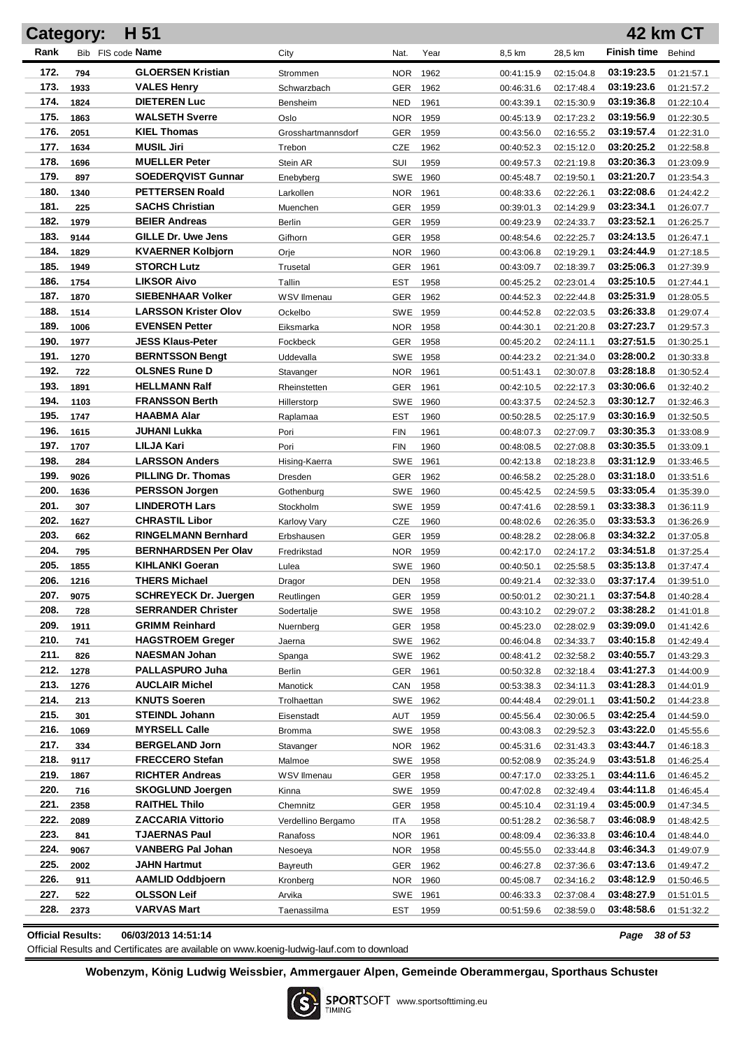|              | <b>Category:</b> | H 51                                                      |                     |                        |      |                          |                          |                          | <b>42 km CT</b>          |
|--------------|------------------|-----------------------------------------------------------|---------------------|------------------------|------|--------------------------|--------------------------|--------------------------|--------------------------|
| Rank         |                  | Bib FIS code Name                                         | City                | Nat.                   | Year | 8,5 km                   | 28,5 km                  | <b>Finish time</b>       | Behind                   |
| 172.         | 794              | <b>GLOERSEN Kristian</b>                                  | Strommen            | <b>NOR</b>             | 1962 | 00:41:15.9               | 02:15:04.8               | 03:19:23.5               | 01:21:57.1               |
| 173.         | 1933             | <b>VALES Henry</b>                                        | Schwarzbach         | <b>GER</b>             | 1962 | 00:46:31.6               | 02:17:48.4               | 03:19:23.6               | 01:21:57.2               |
| 174.         | 1824             | <b>DIETEREN Luc</b>                                       | Bensheim            | <b>NED</b>             | 1961 | 00:43:39.1               | 02:15:30.9               | 03:19:36.8               | 01:22:10.4               |
| 175.         | 1863             | <b>WALSETH Sverre</b>                                     | Oslo                | <b>NOR</b>             | 1959 | 00:45:13.9               | 02:17:23.2               | 03:19:56.9               | 01:22:30.5               |
| 176.         | 2051             | <b>KIEL Thomas</b>                                        | Grosshartmannsdorf  | GER                    | 1959 | 00:43:56.0               | 02:16:55.2               | 03:19:57.4               | 01:22:31.0               |
| 177.         | 1634             | <b>MUSIL Jiri</b>                                         | Trebon              | CZE                    | 1962 | 00:40:52.3               | 02:15:12.0               | 03:20:25.2               | 01:22:58.8               |
| 178.         | 1696             | <b>MUELLER Peter</b>                                      | Stein AR            | SUI                    | 1959 | 00:49:57.3               | 02:21:19.8               | 03:20:36.3               | 01:23:09.9               |
| 179.         | 897              | <b>SOEDERQVIST Gunnar</b>                                 | Enebyberg           | SWE                    | 1960 | 00:45:48.7               | 02:19:50.1               | 03:21:20.7               | 01:23:54.3               |
| 180.         | 1340             | <b>PETTERSEN Roald</b>                                    | Larkollen           | <b>NOR</b>             | 1961 | 00:48:33.6               | 02:22:26.1               | 03:22:08.6               | 01:24:42.2               |
| 181.         | 225              | <b>SACHS Christian</b>                                    | Muenchen            | <b>GER</b>             | 1959 | 00:39:01.3               | 02:14:29.9               | 03:23:34.1               | 01:26:07.7               |
| 182.         | 1979             | <b>BEIER Andreas</b>                                      | Berlin              | <b>GER</b>             | 1959 | 00:49:23.9               | 02:24:33.7               | 03:23:52.1               | 01:26:25.7               |
| 183.         | 9144             | GILLE Dr. Uwe Jens                                        | Gifhorn             | <b>GER</b>             | 1958 | 00:48:54.6               | 02:22:25.7               | 03:24:13.5               | 01:26:47.1               |
| 184.         | 1829             | <b>KVAERNER Kolbjorn</b>                                  | Orje                | <b>NOR</b>             | 1960 | 00:43:06.8               | 02:19:29.1               | 03:24:44.9               | 01:27:18.5               |
| 185.         | 1949             | <b>STORCH Lutz</b>                                        | Trusetal            | <b>GER</b>             | 1961 | 00:43:09.7               | 02:18:39.7               | 03:25:06.3               | 01:27:39.9               |
| 186.         | 1754             | <b>LIKSOR Aivo</b>                                        | Tallin              | <b>EST</b>             | 1958 | 00:45:25.2               | 02:23:01.4               | 03:25:10.5               | 01:27:44.1               |
| 187.         | 1870             | <b>SIEBENHAAR Volker</b>                                  | WSV Ilmenau         | <b>GER</b>             | 1962 | 00:44:52.3               | 02:22:44.8               | 03:25:31.9               | 01:28:05.5               |
| 188.         | 1514             | <b>LARSSON Krister Olov</b>                               | Ockelbo             | SWE 1959               |      | 00:44:52.8               | 02:22:03.5               | 03:26:33.8               | 01:29:07.4               |
| 189.         | 1006             | <b>EVENSEN Petter</b>                                     | Eiksmarka           | NOR.                   | 1958 | 00:44:30.1               | 02:21:20.8               | 03:27:23.7               | 01:29:57.3               |
| 190.         | 1977             | <b>JESS Klaus-Peter</b>                                   | Fockbeck            | GER                    | 1958 | 00:45:20.2               | 02:24:11.1               | 03:27:51.5               | 01:30:25.1               |
| 191.         | 1270             | <b>BERNTSSON Bengt</b>                                    | Uddevalla           | SWE 1958               |      | 00:44:23.2               | 02:21:34.0               | 03:28:00.2               | 01:30:33.8               |
| 192.         | 722              | <b>OLSNES Rune D</b>                                      | Stavanger           | NOR                    | 1961 | 00:51:43.1               | 02:30:07.8               | 03:28:18.8               | 01:30:52.4               |
| 193.         | 1891             | <b>HELLMANN Ralf</b>                                      | Rheinstetten        | <b>GER</b>             | 1961 | 00:42:10.5               | 02:22:17.3               | 03:30:06.6               | 01:32:40.2               |
| 194.         | 1103             | <b>FRANSSON Berth</b>                                     | Hillerstorp         | SWE                    | 1960 | 00:43:37.5               | 02:24:52.3               | 03:30:12.7               | 01:32:46.3               |
| 195.         | 1747             | <b>HAABMA Alar</b>                                        | Raplamaa            | <b>EST</b>             | 1960 | 00:50:28.5               | 02:25:17.9               | 03:30:16.9               | 01:32:50.5               |
| 196.         | 1615             | JUHANI Lukka                                              | Pori                | <b>FIN</b>             | 1961 | 00:48:07.3               | 02:27:09.7               | 03:30:35.3               | 01:33:08.9               |
| 197.         | 1707             | LILJA Kari                                                | Pori                | <b>FIN</b>             | 1960 | 00:48:08.5               | 02:27:08.8               | 03:30:35.5               | 01:33:09.1               |
| 198.         | 284              | <b>LARSSON Anders</b>                                     | Hising-Kaerra       | <b>SWE</b>             | 1961 | 00:42:13.8               | 02:18:23.8               | 03:31:12.9               | 01:33:46.5               |
| 199.         | 9026             | PILLING Dr. Thomas                                        | Dresden             | <b>GER</b>             | 1962 | 00:46:58.2               | 02:25:28.0               | 03:31:18.0               | 01:33:51.6               |
| 200.         | 1636             | <b>PERSSON Jorgen</b>                                     | Gothenburg          | SWE 1960               |      | 00:45:42.5               | 02:24:59.5               | 03:33:05.4               | 01:35:39.0               |
| 201.         | 307              | <b>LINDEROTH Lars</b>                                     | Stockholm           | SWE 1959               |      | 00:47:41.6               | 02:28:59.1               | 03:33:38.3               | 01:36:11.9               |
| 202.         | 1627             | <b>CHRASTIL Libor</b>                                     | <b>Karlovy Vary</b> | <b>CZE</b>             | 1960 | 00:48:02.6               | 02:26:35.0               | 03:33:53.3               | 01:36:26.9               |
| 203.         | 662              | <b>RINGELMANN Bernhard</b>                                | Erbshausen          | <b>GER</b>             | 1959 | 00:48:28.2               | 02:28:06.8               | 03:34:32.2               | 01:37:05.8               |
| 204.         | 795              | <b>BERNHARDSEN Per Olav</b>                               | Fredrikstad         | NOR                    | 1959 | 00:42:17.0               | 02:24:17.2               | 03:34:51.8               | 01:37:25.4               |
| 205.         | 1855             | <b>KIHLANKI Goeran</b>                                    | Lulea               | SWE 1960               |      | 00:40:50.1               | 02:25:58.5               | 03:35:13.8               | 01:37:47.4               |
| 206.         | 1216             | <b>THERS Michael</b>                                      | Dragor              | DEN 1958               |      | 00:49:21.4               | 02:32:33.0               | 03:37:17.4<br>03:37:54.8 | 01:39:51.0               |
| 207.<br>208. | 9075             | <b>SCHREYECK Dr. Juergen</b><br><b>SERRANDER Christer</b> | Reutlingen          | GER 1959               |      | 00:50:01.2               | 02:30:21.1               | 03:38:28.2               | 01:40:28.4               |
| 209.         | 728<br>1911      | <b>GRIMM Reinhard</b>                                     | Sodertalje          | SWE 1958               |      | 00:43:10.2               | 02:29:07.2               | 03:39:09.0               | 01:41:01.8               |
| 210.         | 741              | <b>HAGSTROEM Greger</b>                                   | Nuernberg           | <b>GER</b><br>SWE 1962 | 1958 | 00:45:23.0<br>00:46:04.8 | 02:28:02.9<br>02:34:33.7 | 03:40:15.8               | 01:41:42.6<br>01:42:49.4 |
| 211.         | 826              | <b>NAESMAN Johan</b>                                      | Jaerna<br>Spanga    | SWE 1962               |      | 00:48:41.2               | 02:32:58.2               | 03:40:55.7               | 01:43:29.3               |
| 212.         | 1278             | <b>PALLASPURO Juha</b>                                    | <b>Berlin</b>       | <b>GER</b>             | 1961 | 00:50:32.8               | 02:32:18.4               | 03:41:27.3               | 01:44:00.9               |
| 213.         | 1276             | <b>AUCLAIR Michel</b>                                     | Manotick            | CAN                    | 1958 | 00:53:38.3               | 02:34:11.3               | 03:41:28.3               | 01:44:01.9               |
| 214.         | 213              | <b>KNUTS Soeren</b>                                       | Trolhaettan         | SWE 1962               |      | 00:44:48.4               | 02:29:01.1               | 03:41:50.2               | 01:44:23.8               |
| 215.         | 301              | <b>STEINDL Johann</b>                                     | Eisenstadt          | AUT                    | 1959 | 00:45:56.4               | 02:30:06.5               | 03:42:25.4               | 01:44:59.0               |
| 216.         | 1069             | <b>MYRSELL Calle</b>                                      | <b>Bromma</b>       | SWE 1958               |      | 00:43:08.3               | 02:29:52.3               | 03:43:22.0               | 01:45:55.6               |
| 217.         | 334              | <b>BERGELAND Jorn</b>                                     | Stavanger           | NOR                    | 1962 | 00:45:31.6               | 02:31:43.3               | 03:43:44.7               | 01:46:18.3               |
| 218.         | 9117             | <b>FRECCERO Stefan</b>                                    | Malmoe              | SWE 1958               |      | 00:52:08.9               | 02:35:24.9               | 03:43:51.8               | 01:46:25.4               |
| 219.         | 1867             | <b>RICHTER Andreas</b>                                    | WSV Ilmenau         | GER                    | 1958 | 00:47:17.0               | 02:33:25.1               | 03:44:11.6               | 01:46:45.2               |
| 220.         | 716              | <b>SKOGLUND Joergen</b>                                   | Kinna               | SWE 1959               |      | 00:47:02.8               | 02:32:49.4               | 03:44:11.8               | 01:46:45.4               |
| 221.         | 2358             | <b>RAITHEL Thilo</b>                                      | Chemnitz            | GER                    | 1958 | 00:45:10.4               | 02:31:19.4               | 03:45:00.9               | 01:47:34.5               |
| 222.         | 2089             | <b>ZACCARIA Vittorio</b>                                  | Verdellino Bergamo  | ITA                    | 1958 | 00:51:28.2               | 02:36:58.7               | 03:46:08.9               | 01:48:42.5               |
| 223.         | 841              | <b>TJAERNAS Paul</b>                                      | Ranafoss            | NOR.                   | 1961 | 00:48:09.4               | 02:36:33.8               | 03:46:10.4               | 01:48:44.0               |
| 224.         | 9067             | <b>VANBERG Pal Johan</b>                                  | Nesoeya             | NOR.                   | 1958 | 00:45:55.0               | 02:33:44.8               | 03:46:34.3               | 01:49:07.9               |
| 225.         | 2002             | <b>JAHN Hartmut</b>                                       | Bayreuth            | GER                    | 1962 | 00:46:27.8               | 02:37:36.6               | 03:47:13.6               | 01:49:47.2               |
| 226.         | 911              | AAMLID Oddbjoern                                          | Kronberg            | NOR.                   | 1960 | 00:45:08.7               | 02:34:16.2               | 03:48:12.9               | 01:50:46.5               |
| 227.         | 522              | <b>OLSSON Leif</b>                                        | Arvika              | SWE                    | 1961 | 00:46:33.3               | 02:37:08.4               | 03:48:27.9               | 01:51:01.5               |
| 228.         | 2373             | <b>VARVAS Mart</b>                                        | Taenassilma         | EST                    | 1959 | 00:51:59.6               | 02:38:59.0               | 03:48:58.6               | 01:51:32.2               |
|              |                  |                                                           |                     |                        |      |                          |                          |                          |                          |

**Official Results: 06/03/2013 14:51:14** *Page 38 of 53*

Official Results and Certificates are available on www.koenig-ludwig-lauf.com to download

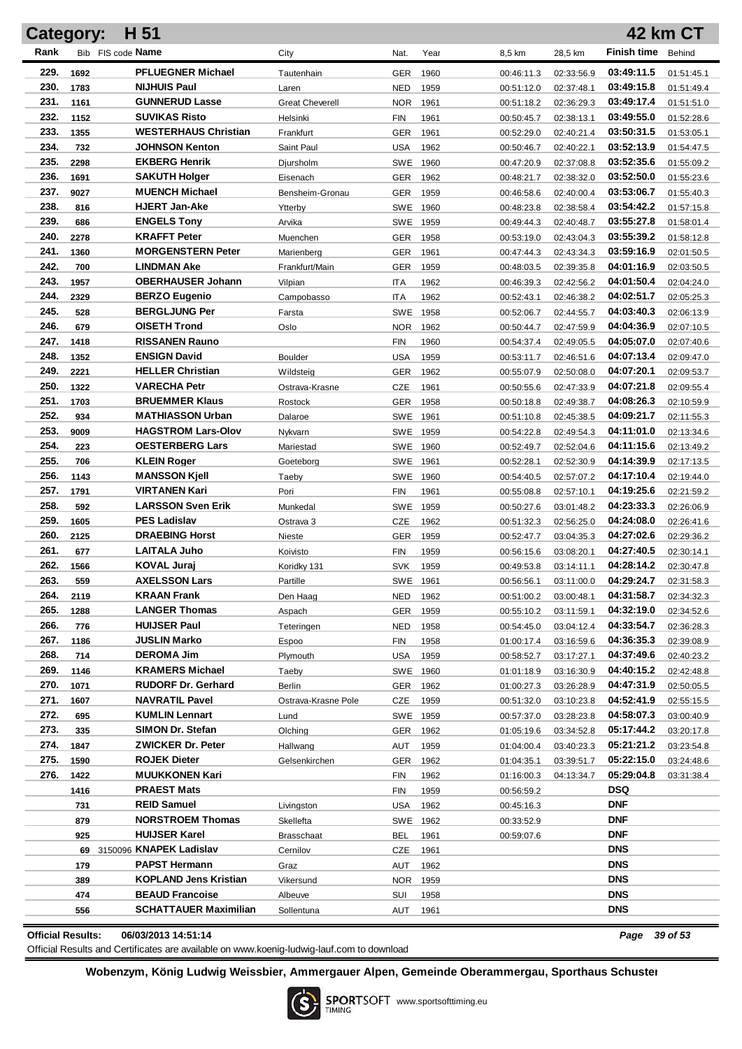|              | <b>Category:</b> | H 51                                                |                        |                          |              |                          |                          |                          | <b>42 km CT</b>          |
|--------------|------------------|-----------------------------------------------------|------------------------|--------------------------|--------------|--------------------------|--------------------------|--------------------------|--------------------------|
| Rank         |                  | Bib FIS code <b>Name</b>                            | City                   | Nat.                     | Year         | 8,5 km                   | 28,5 km                  | <b>Finish time</b>       | Behind                   |
| 229.         | 1692             | <b>PFLUEGNER Michael</b>                            | Tautenhain             | <b>GER</b>               | 1960         | 00:46:11.3               | 02:33:56.9               | 03:49:11.5               | 01:51:45.1               |
| 230.         | 1783             | <b>NIJHUIS Paul</b>                                 | Laren                  | <b>NED</b>               | 1959         | 00:51:12.0               | 02:37:48.1               | 03:49:15.8               | 01:51:49.4               |
| 231.         | 1161             | <b>GUNNERUD Lasse</b>                               | <b>Great Cheverell</b> | <b>NOR</b>               | 1961         | 00:51:18.2               | 02:36:29.3               | 03:49:17.4               | 01:51:51.0               |
| 232.         | 1152             | <b>SUVIKAS Risto</b>                                | Helsinki               | <b>FIN</b>               | 1961         | 00:50:45.7               | 02:38:13.1               | 03:49:55.0               | 01:52:28.6               |
| 233.         | 1355             | <b>WESTERHAUS Christian</b>                         | Frankfurt              | <b>GER</b>               | 1961         | 00:52:29.0               | 02:40:21.4               | 03:50:31.5               | 01:53:05.1               |
| 234.         | 732              | <b>JOHNSON Kenton</b>                               | Saint Paul             | USA                      | 1962         | 00:50:46.7               | 02:40:22.1               | 03:52:13.9               | 01:54:47.5               |
| 235.         | 2298             | <b>EKBERG Henrik</b>                                | Djursholm              | SWE                      | 1960         | 00:47:20.9               | 02:37:08.8               | 03:52:35.6               | 01:55:09.2               |
| 236.         | 1691             | <b>SAKUTH Holger</b>                                | Eisenach               | GER                      | 1962         | 00:48:21.7               | 02:38:32.0               | 03:52:50.0               | 01:55:23.6               |
| 237.         | 9027             | <b>MUENCH Michael</b>                               | Bensheim-Gronau        | GER                      | 1959         | 00:46:58.6               | 02:40:00.4               | 03:53:06.7               | 01:55:40.3               |
| 238.         | 816              | <b>HJERT Jan-Ake</b>                                | Ytterby                | SWE                      | 1960         | 00:48:23.8               | 02:38:58.4               | 03:54:42.2               | 01:57:15.8               |
| 239.         | 686              | <b>ENGELS Tony</b>                                  | Arvika                 | SWE 1959                 |              | 00:49:44.3               | 02:40:48.7               | 03:55:27.8               | 01:58:01.4               |
| 240.         | 2278             | <b>KRAFFT Peter</b>                                 | Muenchen               | GER                      | 1958         | 00:53:19.0               | 02:43:04.3               | 03:55:39.2               | 01:58:12.8               |
| 241.         | 1360             | <b>MORGENSTERN Peter</b>                            | Marienberg             | GER                      | 1961         | 00:47:44.3               | 02:43:34.3               | 03:59:16.9               | 02:01:50.5               |
| 242.         | 700              | <b>LINDMAN Ake</b>                                  | Frankfurt/Main         | GER                      | 1959         | 00:48:03.5               | 02:39:35.8               | 04:01:16.9               | 02:03:50.5               |
| 243.         | 1957             | <b>OBERHAUSER Johann</b>                            | Vilpian                | <b>ITA</b>               | 1962         | 00:46:39.3               | 02:42:56.2               | 04:01:50.4               | 02:04:24.0               |
| 244.         | 2329             | <b>BERZO Eugenio</b>                                | Campobasso             | <b>ITA</b>               | 1962         | 00:52:43.1               | 02:46:38.2               | 04:02:51.7               | 02:05:25.3               |
| 245.         | 528              | <b>BERGLJUNG Per</b>                                | Farsta                 | <b>SWE</b>               | 1958         | 00:52:06.7               | 02:44:55.7               | 04:03:40.3               | 02:06:13.9               |
| 246.         | 679              | <b>OISETH Trond</b>                                 | Oslo                   | <b>NOR</b>               | 1962         | 00:50:44.7               | 02:47:59.9               | 04:04:36.9               | 02:07:10.5               |
| 247.         | 1418             | <b>RISSANEN Rauno</b>                               |                        | <b>FIN</b>               | 1960         | 00:54:37.4               | 02:49:05.5               | 04:05:07.0               | 02:07:40.6               |
| 248.         | 1352             | <b>ENSIGN David</b>                                 | <b>Boulder</b>         | <b>USA</b>               | 1959         | 00:53:11.7               | 02:46:51.6               | 04:07:13.4               | 02:09:47.0               |
| 249.         | 2221             | <b>HELLER Christian</b>                             | Wildsteig              | GER                      | 1962         | 00:55:07.9               | 02:50:08.0               | 04:07:20.1               | 02:09:53.7               |
| 250.         | 1322             | <b>VARECHA Petr</b>                                 | Ostrava-Krasne         | CZE                      | 1961         | 00:50:55.6               | 02:47:33.9               | 04:07:21.8               | 02:09:55.4               |
| 251.         | 1703             | <b>BRUEMMER Klaus</b>                               | Rostock                | GER                      | 1958         | 00:50:18.8               | 02:49:38.7               | 04:08:26.3               | 02:10:59.9               |
| 252.         | 934              | <b>MATHIASSON Urban</b>                             | Dalaroe                | SWE                      | 1961         | 00:51:10.8               | 02:45:38.5               | 04:09:21.7               | 02:11:55.3               |
| 253.<br>254. | 9009             | <b>HAGSTROM Lars-Olov</b><br><b>OESTERBERG Lars</b> | Nykvarn                | SWE 1959                 |              | 00:54:22.8               | 02:49:54.3               | 04:11:01.0               | 02:13:34.6               |
| 255.         | 223              | <b>KLEIN Roger</b>                                  | Mariestad              | SWE 1960                 |              | 00:52:49.7               | 02:52:04.6               | 04:11:15.6<br>04:14:39.9 | 02:13:49.2               |
| 256.         | 706<br>1143      | <b>MANSSON Kjell</b>                                | Goeteborg              | SWE 1961                 |              | 00:52:28.1               | 02:52:30.9               | 04:17:10.4               | 02:17:13.5               |
| 257.         | 1791             | <b>VIRTANEN Kari</b>                                | Taeby<br>Pori          | <b>SWE</b><br><b>FIN</b> | 1960<br>1961 | 00:54:40.5<br>00:55:08.8 | 02:57:07.2<br>02:57:10.1 | 04:19:25.6               | 02:19:44.0<br>02:21:59.2 |
| 258.         | 592              | <b>LARSSON Sven Erik</b>                            | Munkedal               | <b>SWE</b>               | 1959         | 00:50:27.6               | 03:01:48.2               | 04:23:33.3               | 02:26:06.9               |
| 259.         | 1605             | <b>PES Ladislav</b>                                 | Ostrava 3              | <b>CZE</b>               | 1962         | 00:51:32.3               | 02:56:25.0               | 04:24:08.0               | 02:26:41.6               |
| 260.         | 2125             | <b>DRAEBING Horst</b>                               | Nieste                 | <b>GER</b>               | 1959         | 00:52:47.7               | 03:04:35.3               | 04:27:02.6               | 02:29:36.2               |
| 261.         | 677              | <b>LAITALA Juho</b>                                 | Koivisto               | <b>FIN</b>               | 1959         | 00:56:15.6               | 03:08:20.1               | 04:27:40.5               | 02:30:14.1               |
| 262.         | 1566             | <b>KOVAL Jurai</b>                                  | Koridky 131            | <b>SVK</b>               | 1959         | 00:49:53.8               | 03:14:11.1               | 04:28:14.2               | 02:30:47.8               |
| 263.         | 559              | <b>AXELSSON Lars</b>                                | Partille               | SWE 1961                 |              | 00:56:56.1               | 03:11:00.0               | 04:29:24.7               | 02:31:58.3               |
| 264.         | 2119             | KRAAN Frank                                         | Den Haag               | NED                      | 1962         | 00:51:00.2               | 03:00:48.1               | 04:31:58.7               | 02:34:32.3               |
| 265.         | 1288             | <b>LANGER Thomas</b>                                | Aspach                 | <b>GER</b>               | 1959         | 00:55:10.2               | 03:11:59.1               | 04:32:19.0               | 02:34:52.6               |
| 266.         | 776              | <b>HUIJSER Paul</b>                                 | Teteringen             | <b>NED</b>               | 1958         | 00:54:45.0               | 03:04:12.4               | 04:33:54.7               | 02:36:28.3               |
| 267.         | 1186             | JUSLIN Marko                                        | Espoo                  | FIN                      | 1958         | 01:00:17.4               | 03:16:59.6               | 04:36:35.3               | 02:39:08.9               |
| 268.         | 714              | <b>DEROMA Jim</b>                                   | Plymouth               | <b>USA</b>               | 1959         | 00:58:52.7               | 03:17:27.1               | 04:37:49.6               | 02:40:23.2               |
| 269.         | 1146             | <b>KRAMERS Michael</b>                              | Taeby                  | SWE 1960                 |              | 01:01:18.9               | 03:16:30.9               | 04:40:15.2               | 02:42:48.8               |
| 270.         | 1071             | <b>RUDORF Dr. Gerhard</b>                           | Berlin                 | <b>GER</b>               | 1962         | 01:00:27.3               | 03:26:28.9               | 04:47:31.9               | 02:50:05.5               |
| 271.         | 1607             | <b>NAVRATIL Pavel</b>                               | Ostrava-Krasne Pole    | CZE                      | 1959         | 00:51:32.0               | 03:10:23.8               | 04:52:41.9               | 02:55:15.5               |
| 272.         | 695              | <b>KUMLIN Lennart</b>                               | Lund                   | SWE 1959                 |              | 00:57:37.0               | 03:28:23.8               | 04:58:07.3               | 03:00:40.9               |
| 273.         | 335              | SIMON Dr. Stefan                                    | Olching                | <b>GER</b>               | 1962         | 01:05:19.6               | 03:34:52.8               | 05:17:44.2               | 03:20:17.8               |
| 274.         | 1847             | <b>ZWICKER Dr. Peter</b>                            | Hallwang               | AUT                      | 1959         | 01:04:00.4               | 03:40:23.3               | 05:21:21.2               | 03:23:54.8               |
| 275.         | 1590             | ROJEK Dieter                                        | Gelsenkirchen          | <b>GER</b>               | 1962         | 01:04:35.1               | 03:39:51.7               | 05:22:15.0               | 03:24:48.6               |
| 276.         | 1422             | <b>MUUKKONEN Kari</b>                               |                        | FIN                      | 1962         | 01:16:00.3               | 04:13:34.7               | 05:29:04.8               | 03:31:38.4               |
|              | 1416             | <b>PRAEST Mats</b>                                  |                        | FIN                      | 1959         | 00:56:59.2               |                          | <b>DSQ</b>               |                          |
|              | 731              | <b>REID Samuel</b>                                  | Livingston             | <b>USA</b>               | 1962         | 00:45:16.3               |                          | <b>DNF</b>               |                          |
|              | 879              | <b>NORSTROEM Thomas</b>                             | Skellefta              | SWE 1962                 |              | 00:33:52.9               |                          | <b>DNF</b>               |                          |
|              | 925              | <b>HUIJSER Karel</b>                                | Brasschaat             | <b>BEL</b>               | 1961         | 00:59:07.6               |                          | <b>DNF</b>               |                          |
|              |                  | 69 3150096 KNAPEK Ladislav                          | Cernilov               | CZE                      | 1961         |                          |                          | <b>DNS</b>               |                          |
|              | 179              | <b>PAPST Hermann</b>                                | Graz                   | AUT                      | 1962         |                          |                          | <b>DNS</b>               |                          |
|              | 389              | <b>KOPLAND Jens Kristian</b>                        | Vikersund              | <b>NOR</b>               | 1959         |                          |                          | <b>DNS</b>               |                          |
|              | 474              | <b>BEAUD Francoise</b>                              | Albeuve                | SUI                      | 1958         |                          |                          | <b>DNS</b>               |                          |
|              | 556              | <b>SCHATTAUER Maximilian</b>                        | Sollentuna             | AUT                      | 1961         |                          |                          | <b>DNS</b>               |                          |

**Official Results: 06/03/2013 14:51:14** *Page 39 of 53*

Official Results and Certificates are available on www.koenig-ludwig-lauf.com to download

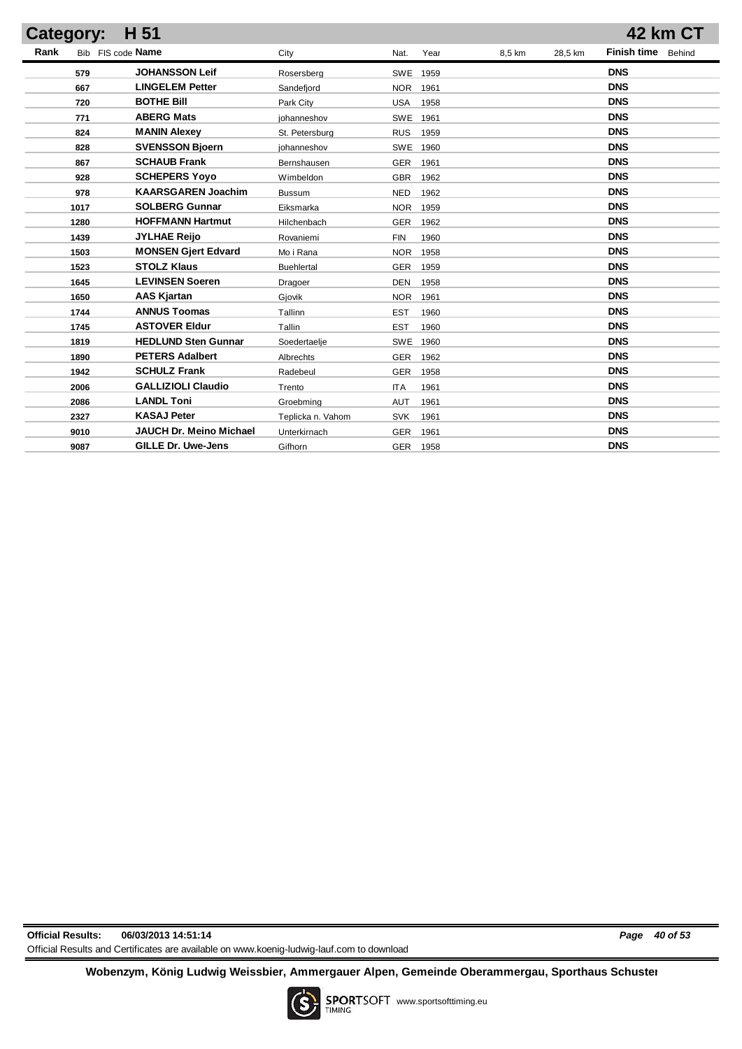| Category: | H 51                       |                   |                    |        |         | 42 km CT                     |
|-----------|----------------------------|-------------------|--------------------|--------|---------|------------------------------|
| Rank      | Bib FIS code Name          | City              | Year<br>Nat.       | 8,5 km | 28,5 km | <b>Finish time</b><br>Behind |
| 579       | <b>JOHANSSON Leif</b>      | Rosersberg        | <b>SWE</b><br>1959 |        |         | <b>DNS</b>                   |
| 667       | <b>LINGELEM Petter</b>     | Sandefjord        | <b>NOR</b><br>1961 |        |         | <b>DNS</b>                   |
| 720       | <b>BOTHE Bill</b>          | Park City         | <b>USA</b><br>1958 |        |         | <b>DNS</b>                   |
| 771       | <b>ABERG Mats</b>          | johanneshov       | <b>SWE</b><br>1961 |        |         | <b>DNS</b>                   |
| 824       | <b>MANIN Alexey</b>        | St. Petersburg    | <b>RUS</b><br>1959 |        |         | <b>DNS</b>                   |
| 828       | <b>SVENSSON Bjoern</b>     | johanneshov       | <b>SWE</b><br>1960 |        |         | <b>DNS</b>                   |
| 867       | <b>SCHAUB Frank</b>        | Bernshausen       | <b>GER</b><br>1961 |        |         | <b>DNS</b>                   |
| 928       | <b>SCHEPERS Yoyo</b>       | Wimbeldon         | <b>GBR</b><br>1962 |        |         | <b>DNS</b>                   |
| 978       | <b>KAARSGAREN Joachim</b>  | <b>Bussum</b>     | <b>NED</b><br>1962 |        |         | <b>DNS</b>                   |
| 1017      | <b>SOLBERG Gunnar</b>      | Eiksmarka         | <b>NOR</b><br>1959 |        |         | <b>DNS</b>                   |
| 1280      | <b>HOFFMANN Hartmut</b>    | Hilchenbach       | <b>GER</b><br>1962 |        |         | <b>DNS</b>                   |
| 1439      | <b>JYLHAE Reijo</b>        | Rovaniemi         | <b>FIN</b><br>1960 |        |         | <b>DNS</b>                   |
| 1503      | <b>MONSEN Gjert Edvard</b> | Mo i Rana         | <b>NOR</b><br>1958 |        |         | <b>DNS</b>                   |
| 1523      | <b>STOLZ Klaus</b>         | Buehlertal        | <b>GER</b><br>1959 |        |         | <b>DNS</b>                   |
| 1645      | <b>LEVINSEN Soeren</b>     | Dragoer           | <b>DEN</b><br>1958 |        |         | <b>DNS</b>                   |
| 1650      | <b>AAS Kjartan</b>         | Gjovik            | <b>NOR</b><br>1961 |        |         | <b>DNS</b>                   |
| 1744      | <b>ANNUS Toomas</b>        | Tallinn           | <b>EST</b><br>1960 |        |         | <b>DNS</b>                   |
| 1745      | <b>ASTOVER Eldur</b>       | Tallin            | <b>EST</b><br>1960 |        |         | <b>DNS</b>                   |
| 1819      | <b>HEDLUND Sten Gunnar</b> | Soedertaelje      | <b>SWE</b><br>1960 |        |         | <b>DNS</b>                   |
| 1890      | <b>PETERS Adalbert</b>     | Albrechts         | <b>GER</b><br>1962 |        |         | <b>DNS</b>                   |
| 1942      | <b>SCHULZ Frank</b>        | Radebeul          | <b>GER</b><br>1958 |        |         | <b>DNS</b>                   |
| 2006      | <b>GALLIZIOLI Claudio</b>  | Trento            | <b>ITA</b><br>1961 |        |         | <b>DNS</b>                   |
| 2086      | <b>LANDL Toni</b>          | Groebming         | <b>AUT</b><br>1961 |        |         | <b>DNS</b>                   |
| 2327      | <b>KASAJ Peter</b>         | Teplicka n. Vahom | 1961<br><b>SVK</b> |        |         | <b>DNS</b>                   |
| 9010      | JAUCH Dr. Meino Michael    | Unterkirnach      | <b>GER</b><br>1961 |        |         | <b>DNS</b>                   |
| 9087      | <b>GILLE Dr. Uwe-Jens</b>  | Gifhorn           | GER<br>1958        |        |         | <b>DNS</b>                   |
|           |                            |                   |                    |        |         |                              |

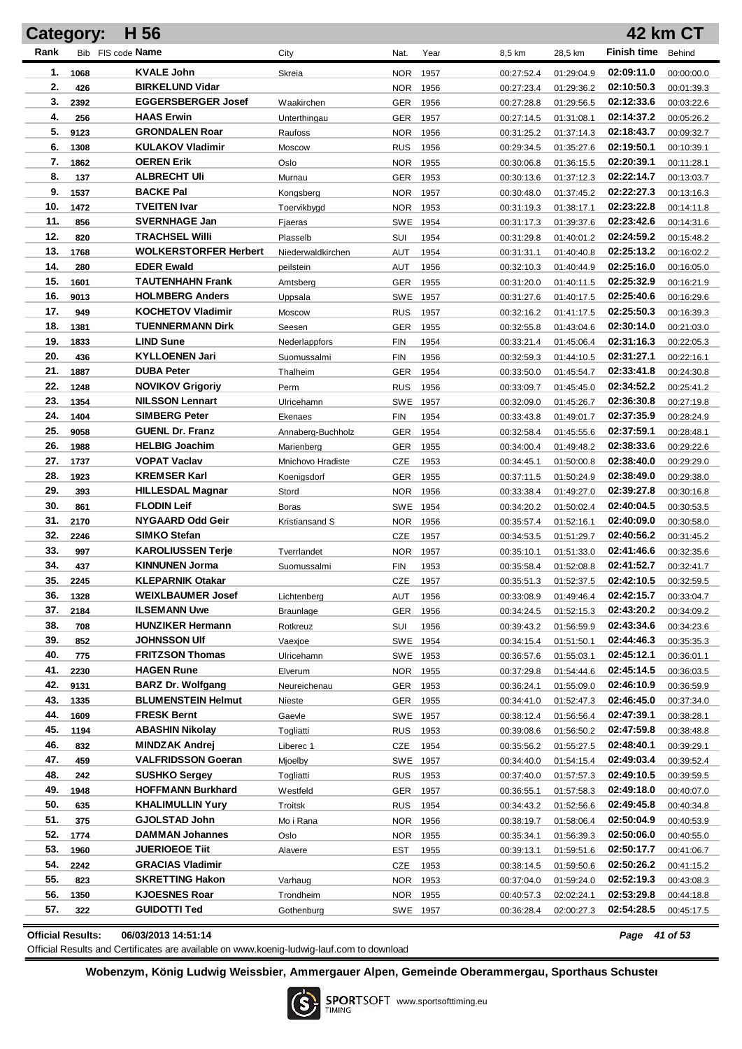|            | <b>Category:</b> | H 56                                          |                         |                   |              |                          |                          |                          | <b>42 km CT</b>          |
|------------|------------------|-----------------------------------------------|-------------------------|-------------------|--------------|--------------------------|--------------------------|--------------------------|--------------------------|
| Rank       |                  | Bib FIS code Name                             | City                    | Nat.              | Year         | 8,5 km                   | 28,5 km                  | <b>Finish time</b>       | Behind                   |
| 1.         | 1068             | <b>KVALE John</b>                             | Skreia                  | <b>NOR</b>        | 1957         | 00:27:52.4               | 01:29:04.9               | 02:09:11.0               | 00:00:00.0               |
| 2.         | 426              | <b>BIRKELUND Vidar</b>                        |                         | <b>NOR</b>        | 1956         | 00:27:23.4               | 01:29:36.2               | 02:10:50.3               | 00:01:39.3               |
| 3.         | 2392             | <b>EGGERSBERGER Josef</b>                     | Waakirchen              | GER               | 1956         | 00:27:28.8               | 01:29:56.5               | 02:12:33.6               | 00:03:22.6               |
| 4.         | 256              | <b>HAAS Erwin</b>                             | Unterthingau            | <b>GER</b>        | 1957         | 00:27:14.5               | 01:31:08.1               | 02:14:37.2               | 00:05:26.2               |
| 5.         | 9123             | <b>GRONDALEN Roar</b>                         | Raufoss                 | <b>NOR</b>        | 1956         | 00:31:25.2               | 01:37:14.3               | 02:18:43.7               | 00:09:32.7               |
| 6.         | 1308             | <b>KULAKOV Vladimir</b>                       | Moscow                  | <b>RUS</b>        | 1956         | 00:29:34.5               | 01:35:27.6               | 02:19:50.1               | 00:10:39.1               |
| 7.         | 1862             | <b>OEREN Erik</b>                             | Oslo                    | <b>NOR</b>        | 1955         | 00:30:06.8               | 01:36:15.5               | 02:20:39.1               | 00:11:28.1               |
| 8.         | 137              | <b>ALBRECHT UII</b>                           | Murnau                  | GER               | 1953         | 00:30:13.6               | 01:37:12.3               | 02:22:14.7               | 00:13:03.7               |
| 9.         | 1537             | <b>BACKE Pal</b>                              | Kongsberg               | <b>NOR</b>        | 1957         | 00:30:48.0               | 01:37:45.2               | 02:22:27.3               | 00:13:16.3               |
| 10.        | 1472             | <b>TVEITEN Ivar</b>                           | Toervikbygd             | <b>NOR</b>        | 1953         | 00:31:19.3               | 01:38:17.1               | 02:23:22.8               | 00:14:11.8               |
| 11.        | 856              | <b>SVERNHAGE Jan</b>                          | Fjaeras                 | <b>SWE</b>        | 1954         | 00:31:17.3               | 01:39:37.6               | 02:23:42.6               | 00:14:31.6               |
| 12.        | 820              | <b>TRACHSEL Willi</b>                         | Plasselb                | SUI               | 1954         | 00:31:29.8               | 01:40:01.2               | 02:24:59.2               | 00:15:48.2               |
| 13.        | 1768             | <b>WOLKERSTORFER Herbert</b>                  | Niederwaldkirchen       | AUT               | 1954         | 00:31:31.1               | 01:40:40.8               | 02:25:13.2               | 00:16:02.2               |
| 14.        | 280              | <b>EDER Ewald</b>                             | peilstein               | AUT               | 1956         | 00:32:10.3               | 01:40:44.9               | 02:25:16.0               | 00:16:05.0               |
| 15.        | 1601             | <b>TAUTENHAHN Frank</b>                       | Amtsberg                | <b>GER</b>        | 1955         | 00:31:20.0               | 01:40:11.5               | 02:25:32.9               | 00:16:21.9               |
| 16.        | 9013             | <b>HOLMBERG Anders</b>                        | Uppsala                 | <b>SWE</b>        | 1957         | 00:31:27.6               | 01:40:17.5               | 02:25:40.6               | 00:16:29.6               |
| 17.        | 949              | <b>KOCHETOV Vladimir</b>                      | Moscow                  | <b>RUS</b>        | 1957         | 00:32:16.2               | 01:41:17.5               | 02:25:50.3               | 00:16:39.3               |
| 18.        | 1381             | <b>TUENNERMANN Dirk</b>                       | Seesen                  | GER               | 1955         | 00:32:55.8               | 01:43:04.6               | 02:30:14.0               | 00:21:03.0               |
| 19.        | 1833             | <b>LIND Sune</b>                              | Nederlappfors           | <b>FIN</b>        | 1954         | 00:33:21.4               | 01:45:06.4               | 02:31:16.3               | 00:22:05.3               |
| 20.        | 436              | <b>KYLLOENEN Jari</b>                         | Suomussalmi             | <b>FIN</b>        | 1956         | 00:32:59.3               | 01:44:10.5               | 02:31:27.1               | 00:22:16.1               |
| 21.        | 1887             | <b>DUBA Peter</b>                             | Thalheim                | <b>GER</b>        | 1954         | 00:33:50.0               | 01:45:54.7               | 02:33:41.8               | 00:24:30.8               |
| 22.        | 1248             | <b>NOVIKOV Grigoriy</b>                       | Perm                    | <b>RUS</b>        | 1956         | 00:33:09.7               | 01:45:45.0               | 02:34:52.2               | 00:25:41.2               |
| 23.        | 1354             | <b>NILSSON Lennart</b>                        | Ulricehamn              | <b>SWE</b>        | 1957         | 00:32:09.0               | 01:45:26.7               | 02:36:30.8               | 00:27:19.8               |
| 24.        | 1404             | <b>SIMBERG Peter</b>                          | Ekenaes                 | FIN               | 1954         | 00:33:43.8               | 01:49:01.7               | 02:37:35.9               | 00:28:24.9               |
| 25.        | 9058             | <b>GUENL Dr. Franz</b>                        | Annaberg-Buchholz       | GER               | 1954         | 00:32:58.4               | 01:45:55.6               | 02:37:59.1               | 00:28:48.1               |
| 26.        | 1988             | <b>HELBIG Joachim</b>                         | Marienberg              | <b>GER</b>        | 1955         | 00:34:00.4               | 01:49:48.2               | 02:38:33.6               | 00:29:22.6               |
| 27.        | 1737             | <b>VOPAT Vaclav</b>                           | Mnichovo Hradiste       | <b>CZE</b>        | 1953         | 00:34:45.1               | 01:50:00.8               | 02:38:40.0               | 00:29:29.0               |
| 28.<br>29. | 1923             | <b>KREMSER Karl</b>                           | Koenigsdorf             | GER               | 1955         | 00:37:11.5               | 01:50:24.9               | 02:38:49.0               | 00:29:38.0               |
| 30.        | 393              | <b>HILLESDAL Magnar</b><br><b>FLODIN Leif</b> | Stord                   | <b>NOR</b>        | 1956         | 00:33:38.4               | 01:49:27.0               | 02:39:27.8<br>02:40:04.5 | 00:30:16.8               |
| 31.        | 861<br>2170      | NYGAARD Odd Geir                              | Boras<br>Kristiansand S | SWE 1954          |              | 00:34:20.2               | 01:50:02.4               | 02:40:09.0               | 00:30:53.5               |
| 32.        | 2246             | <b>SIMKO Stefan</b>                           |                         | NOR<br><b>CZE</b> | 1956<br>1957 | 00:35:57.4<br>00:34:53.5 | 01:52:16.1<br>01:51:29.7 | 02:40:56.2               | 00:30:58.0<br>00:31:45.2 |
| 33.        | 997              | <b>KAROLIUSSEN Terie</b>                      | Tverrlandet             | <b>NOR</b>        | 1957         | 00:35:10.1               | 01:51:33.0               | 02:41:46.6               | 00:32:35.6               |
| 34.        | 437              | <b>KINNUNEN Jorma</b>                         | Suomussalmi             | <b>FIN</b>        | 1953         | 00:35:58.4               | 01:52:08.8               | 02:41:52.7               | 00:32:41.7               |
| 35.        | 2245             | <b>KLEPARNIK Otakar</b>                       |                         | <b>CZE</b>        | 1957         | 00:35:51.3               | 01:52:37.5               | 02:42:10.5               | 00:32:59.5               |
| 36.        | 1328             | <b>WEIXLBAUMER Josef</b>                      | Lichtenberg             | <b>AUT</b>        | 1956         | 00:33:08.9               | 01:49:46.4               | 02:42:15.7               | 00:33:04.7               |
| 37.        | 2184             | <b>ILSEMANN Uwe</b>                           | Braunlage               | <b>GER</b>        | 1956         | 00:34:24.5               | 01:52:15.3               | 02:43:20.2               | 00:34:09.2               |
| 38.        | 708              | <b>HUNZIKER Hermann</b>                       | Rotkreuz                | SUI               | 1956         | 00:39:43.2               | 01:56:59.9               | 02:43:34.6               | 00:34:23.6               |
| 39.        | 852              | <b>JOHNSSON UIf</b>                           | Vaexioe                 | SWE 1954          |              | 00:34:15.4               | 01:51:50.1               | 02:44:46.3               | 00:35:35.3               |
| 40.        | 775              | <b>FRITZSON Thomas</b>                        | Ulricehamn              | SWE 1953          |              | 00:36:57.6               | 01:55:03.1               | 02:45:12.1               | 00:36:01.1               |
| 41.        | 2230             | <b>HAGEN Rune</b>                             | Elverum                 | NOR 1955          |              | 00:37:29.8               | 01:54:44.6               | 02:45:14.5               | 00:36:03.5               |
| 42.        | 9131             | <b>BARZ Dr. Wolfgang</b>                      | Neureichenau            | GER               | 1953         | 00:36:24.1               | 01:55:09.0               | 02:46:10.9               | 00:36:59.9               |
| 43.        | 1335             | <b>BLUMENSTEIN Helmut</b>                     | Nieste                  | <b>GER</b>        | 1955         | 00:34:41.0               | 01:52:47.3               | 02:46:45.0               | 00:37:34.0               |
| 44.        | 1609             | <b>FRESK Bernt</b>                            | Gaevle                  | SWE 1957          |              | 00:38:12.4               | 01:56:56.4               | 02:47:39.1               | 00:38:28.1               |
| 45.        | 1194             | <b>ABASHIN Nikolay</b>                        | Togliatti               | <b>RUS</b>        | 1953         | 00:39:08.6               | 01:56:50.2               | 02:47:59.8               | 00:38:48.8               |
| 46.        | 832              | <b>MINDZAK Andrej</b>                         | Liberec 1               | CZE               | 1954         | 00:35:56.2               | 01:55:27.5               | 02:48:40.1               | 00:39:29.1               |
| 47.        | 459              | <b>VALFRIDSSON Goeran</b>                     | Mioelby                 | SWE 1957          |              | 00:34:40.0               | 01:54:15.4               | 02:49:03.4               | 00:39:52.4               |
| 48.        | 242              | <b>SUSHKO Sergey</b>                          | Togliatti               | <b>RUS</b>        | 1953         | 00:37:40.0               | 01:57:57.3               | 02:49:10.5               | 00:39:59.5               |
| 49.        | 1948             | <b>HOFFMANN Burkhard</b>                      | Westfeld                | GER               | 1957         | 00:36:55.1               | 01:57:58.3               | 02:49:18.0               | 00:40:07.0               |
| 50.        | 635              | <b>KHALIMULLIN Yury</b>                       | Troitsk                 | <b>RUS</b>        | 1954         | 00:34:43.2               | 01:52:56.6               | 02:49:45.8               | 00:40:34.8               |
| 51.        | 375              | <b>GJOLSTAD John</b>                          | Mo i Rana               | NOR.              | 1956         | 00:38:19.7               | 01:58:06.4               | 02:50:04.9               | 00:40:53.9               |
| 52.        | 1774             | DAMMAN Johannes                               | Oslo                    | NOR.              | 1955         | 00:35:34.1               | 01:56:39.3               | 02:50:06.0               | 00:40:55.0               |
| 53.        | 1960             | <b>JUERIOEOE Tiit</b>                         | Alavere                 | EST               | 1955         | 00:39:13.1               | 01:59:51.6               | 02:50:17.7               | 00:41:06.7               |
| 54.        | 2242             | <b>GRACIAS Vladimir</b>                       |                         | CZE               | 1953         | 00:38:14.5               | 01:59:50.6               | 02:50:26.2               | 00:41:15.2               |
| 55.        | 823              | <b>SKRETTING Hakon</b>                        | Varhaug                 | NOR.              | 1953         | 00:37:04.0               | 01:59:24.0               | 02:52:19.3               | 00:43:08.3               |
| 56.        | 1350             | <b>KJOESNES Roar</b>                          | Trondheim               | <b>NOR</b>        | 1955         | 00:40:57.3               | 02:02:24.1               | 02:53:29.8               | 00:44:18.8               |
| 57.        | 322              | <b>GUIDOTTI Ted</b>                           | Gothenburg              | SWE 1957          |              | 00:36:28.4               | 02:00:27.3               | 02:54:28.5               | 00:45:17.5               |

**Official Results: 06/03/2013 14:51:14** *Page 41 of 53*

Official Results and Certificates are available on www.koenig-ludwig-lauf.com to download

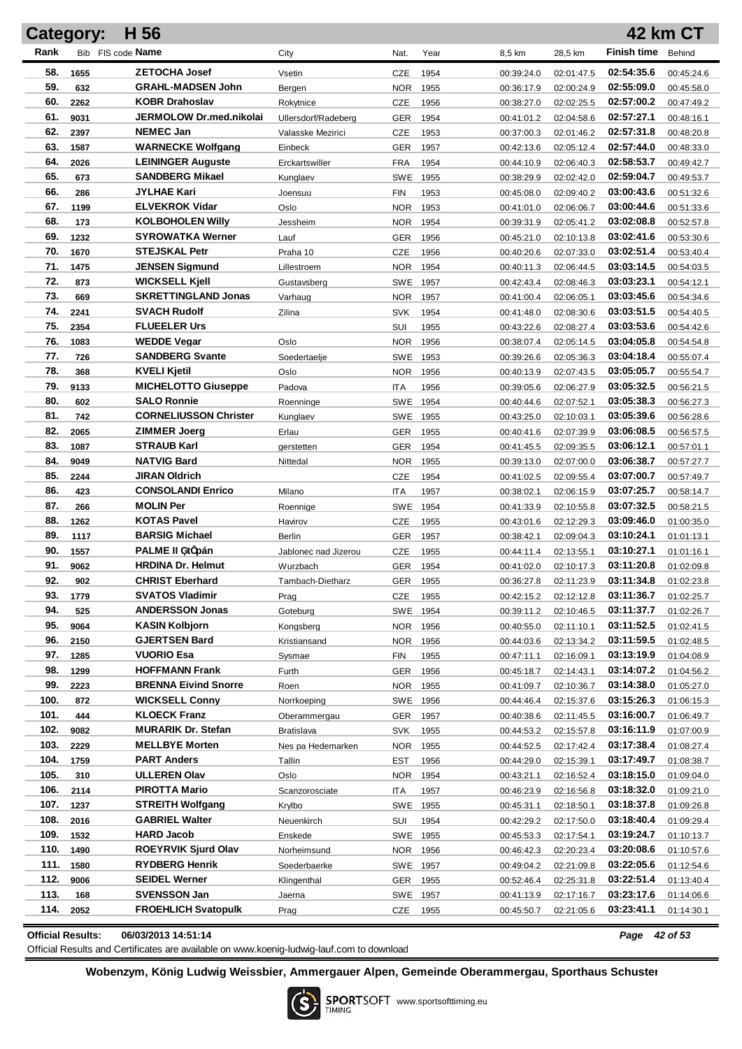|            | Category:  | H 56                                         |                      |                   |              |                          |                          |                          | 42 km CT                 |
|------------|------------|----------------------------------------------|----------------------|-------------------|--------------|--------------------------|--------------------------|--------------------------|--------------------------|
| Rank       |            | Bib FIS code Name                            | City                 | Nat.              | Year         | 8,5 km                   | 28,5 km                  | <b>Finish time</b>       | Behind                   |
| 58.        | 1655       | <b>ZETOCHA Josef</b>                         | Vsetin               | CZE               | 1954         | 00:39:24.0               | 02:01:47.5               | 02:54:35.6               | 00:45:24.6               |
| 59.        | 632        | <b>GRAHL-MADSEN John</b>                     | Bergen               | <b>NOR</b>        | 1955         | 00:36:17.9               | 02:00:24.9               | 02:55:09.0               | 00:45:58.0               |
| 60.        | 2262       | <b>KOBR Drahoslav</b>                        | Rokytnice            | CZE               | 1956         | 00:38:27.0               | 02:02:25.5               | 02:57:00.2               | 00:47:49.2               |
| 61.        | 9031       | JERMOLOW Dr.med.nikolai                      | Ullersdorf/Radeberg  | <b>GER</b>        | 1954         | 00:41:01.2               | 02:04:58.6               | 02:57:27.1               | 00:48:16.1               |
| 62.        | 2397       | <b>NEMEC Jan</b>                             | Valasske Mezirici    | CZE               | 1953         | 00:37:00.3               | 02:01:46.2               | 02:57:31.8               | 00:48:20.8               |
| 63.        | 1587       | <b>WARNECKE Wolfgang</b>                     | Einbeck              | <b>GER</b>        | 1957         | 00:42:13.6               | 02:05:12.4               | 02:57:44.0               | 00:48:33.0               |
| 64.        | 2026       | <b>LEININGER Auguste</b>                     | Erckartswiller       | <b>FRA</b>        | 1954         | 00:44:10.9               | 02:06:40.3               | 02:58:53.7               | 00:49:42.7               |
| 65.        | 673        | <b>SANDBERG Mikael</b>                       | Kunglaev             | SWE               | 1955         | 00:38:29.9               | 02:02:42.0               | 02:59:04.7               | 00:49:53.7               |
| 66.        | 286        | JYLHAE Kari                                  | Joensuu              | <b>FIN</b>        | 1953         | 00:45:08.0               | 02:09:40.2               | 03:00:43.6               | 00:51:32.6               |
| 67.        | 1199       | <b>ELVEKROK Vidar</b>                        | Oslo                 | <b>NOR</b>        | 1953         | 00:41:01.0               | 02:06:06.7               | 03:00:44.6               | 00:51:33.6               |
| 68.        | 173        | <b>KOLBOHOLEN Willy</b>                      | Jessheim             | <b>NOR</b>        | 1954         | 00:39:31.9               | 02:05:41.2               | 03:02:08.8               | 00:52:57.8               |
| 69.        | 1232       | <b>SYROWATKA Werner</b>                      | Lauf                 | <b>GER</b>        | 1956         | 00:45:21.0               | 02:10:13.8               | 03:02:41.6               | 00:53:30.6               |
| 70.        | 1670       | <b>STEJSKAL Petr</b>                         | Praha 10             | CZE               | 1956         | 00:40:20.6               | 02:07:33.0               | 03:02:51.4               | 00:53:40.4               |
| 71.        | 1475       | <b>JENSEN Sigmund</b>                        | Lillestroem          | <b>NOR</b>        | 1954         | 00:40:11.3               | 02:06:44.5               | 03:03:14.5               | 00:54:03.5               |
| 72.        | 873        | <b>WICKSELL Kjell</b>                        | Gustavsberg          | SWE               | 1957         | 00:42:43.4               | 02:08:46.3               | 03:03:23.1               | 00:54:12.1               |
| 73.        | 669        | <b>SKRETTINGLAND Jonas</b>                   | Varhaug              | <b>NOR</b>        | 1957         | 00:41:00.4               | 02:06:05.1               | 03:03:45.6               | 00:54:34.6               |
| 74.        | 2241       | <b>SVACH Rudolf</b>                          | Zilina               | <b>SVK</b>        | 1954         | 00:41:48.0               | 02:08:30.6               | 03:03:51.5               | 00:54:40.5               |
| 75.        | 2354       | <b>FLUEELER Urs</b>                          |                      | SUI               | 1955         | 00:43:22.6               | 02:08:27.4               | 03:03:53.6               | 00:54:42.6               |
| 76.        | 1083       | <b>WEDDE Vegar</b>                           | Oslo                 | <b>NOR</b>        | 1956         | 00:38:07.4               | 02:05:14.5               | 03:04:05.8               | 00:54:54.8               |
| 77.        | 726        | <b>SANDBERG Svante</b>                       | Soedertaelje         | <b>SWE</b>        | 1953         | 00:39:26.6               | 02:05:36.3               | 03:04:18.4               | 00:55:07.4               |
| 78.        | 368        | <b>KVELI Kjetil</b>                          | Oslo                 | <b>NOR</b>        | 1956         | 00:40:13.9               | 02:07:43.5               | 03:05:05.7               | 00:55:54.7               |
| 79.        | 9133       | <b>MICHELOTTO Giuseppe</b>                   | Padova               | ITA               | 1956         | 00:39:05.6               | 02:06:27.9               | 03:05:32.5               | 00:56:21.5               |
| 80.        | 602        | <b>SALO Ronnie</b>                           | Roenninge            | SWE 1954          |              | 00:40:44.6               | 02:07:52.1               | 03:05:38.3               | 00:56:27.3               |
| 81.        | 742        | <b>CORNELIUSSON Christer</b>                 | Kunglaev             | SWE 1955          |              | 00:43:25.0               | 02:10:03.1               | 03:05:39.6               | 00:56:28.6               |
| 82.        | 2065       | <b>ZIMMER Joerg</b>                          | Erlau                | <b>GER</b>        | 1955         | 00:40:41.6               | 02:07:39.9               | 03:06:08.5               | 00:56:57.5               |
| 83.        | 1087       | <b>STRAUB Karl</b>                           | gerstetten           | GER               | 1954         | 00:41:45.5               | 02:09:35.5               | 03:06:12.1               | 00:57:01.1               |
| 84.        | 9049       | <b>NATVIG Bard</b>                           | Nittedal             | <b>NOR</b>        | 1955         | 00:39:13.0               | 02:07:00.0               | 03:06:38.7               | 00:57:27.7               |
| 85.<br>86. | 2244       | <b>JIRAN Oldrich</b>                         |                      | CZE               | 1954         | 00:41:02.5               | 02:09:55.4               | 03:07:00.7               | 00:57:49.7               |
| 87.        | 423<br>266 | <b>CONSOLANDI Enrico</b><br><b>MOLIN Per</b> | Milano               | <b>ITA</b>        | 1957         | 00:38:02.1               | 02:06:15.9               | 03:07:25.7<br>03:07:32.5 | 00:58:14.7               |
| 88.        | 1262       | <b>KOTAS Pavel</b>                           | Roennige             | <b>SWE</b><br>CZE | 1954<br>1955 | 00:41:33.9               | 02:10:55.8<br>02:12:29.3 | 03:09:46.0               | 00:58:21.5               |
| 89.        | 1117       | <b>BARSIG Michael</b>                        | Havirov<br>Berlin    | <b>GER</b>        | 1957         | 00:43:01.6<br>00:38:42.1 | 02:09:04.3               | 03:10:24.1               | 01:00:35.0<br>01:01:13.1 |
| 90.        | 1557       | PALME II üt pán                              | Jablonec nad Jizerou | CZE               | 1955         | 00:44:11.4               | 02:13:55.1               | 03:10:27.1               | 01:01:16.1               |
| 91.        | 9062       | <b>HRDINA Dr. Helmut</b>                     | Wurzbach             | <b>GER</b>        | 1954         | 00:41:02.0               | 02:10:17.3               | 03:11:20.8               | 01:02:09.8               |
| 92.        | 902        | <b>CHRIST Eberhard</b>                       | Tambach-Dietharz     | <b>GER</b>        | 1955         | 00:36:27.8               | 02:11:23.9               | 03:11:34.8               | 01:02:23.8               |
| 93.        | 1779       | <b>SVATOS Vladimir</b>                       | Prag                 | CZE               | 1955         | 00:42:15.2               | 02:12:12.8               | 03:11:36.7               | 01:02:25.7               |
| 94.        | 525        | <b>ANDERSSON Jonas</b>                       | Goteburg             | SWE               | 1954         | 00:39:11.2               | 02:10:46.5               | 03:11:37.7               | 01:02:26.7               |
| 95.        | 9064       | <b>KASIN Kolbjorn</b>                        | Kongsberg            | NOR               | 1956         | 00:40:55.0               | 02:11:10.1               | 03:11:52.5               | 01:02:41.5               |
| 96.        | 2150       | <b>GJERTSEN Bard</b>                         | Kristiansand         | NOR               | 1956         | 00:44:03.6               | 02:13:34.2               | 03:11:59.5               | 01:02:48.5               |
| 97.        | 1285       | <b>VUORIO Esa</b>                            | Sysmae               | <b>FIN</b>        | 1955         | 00:47:11.1               | 02:16:09.1               | 03:13:19.9               | 01:04:08.9               |
| 98.        | 1299       | <b>HOFFMANN Frank</b>                        | Furth                | <b>GER</b>        | 1956         | 00:45:18.7               | 02:14:43.1               | 03:14:07.2               | 01:04:56.2               |
| 99.        | 2223       | <b>BRENNA Eivind Snorre</b>                  | Roen                 | NOR               | 1955         | 00:41:09.7               | 02:10:36.7               | 03:14:38.0               | 01:05:27.0               |
| 100.       | 872        | <b>WICKSELL Conny</b>                        | Norrkoeping          | SWE 1956          |              | 00:44:46.4               | 02:15:37.6               | 03:15:26.3               | 01:06:15.3               |
| 101.       | 444        | <b>KLOECK Franz</b>                          | Oberammergau         | <b>GER</b>        | 1957         | 00:40:38.6               | 02:11:45.5               | 03:16:00.7               | 01:06:49.7               |
| 102.       | 9082       | <b>MURARIK Dr. Stefan</b>                    | <b>Bratislava</b>    | <b>SVK</b>        | 1955         | 00:44:53.2               | 02:15:57.8               | 03:16:11.9               | 01:07:00.9               |
| 103.       | 2229       | <b>MELLBYE Morten</b>                        | Nes pa Hedemarken    | NOR               | 1955         | 00:44:52.5               | 02:17:42.4               | 03:17:38.4               | 01:08:27.4               |
| 104.       | 1759       | <b>PART Anders</b>                           | Tallin               | <b>EST</b>        | 1956         | 00:44:29.0               | 02:15:39.1               | 03:17:49.7               | 01:08:38.7               |
| 105.       | 310        | <b>ULLEREN Olav</b>                          | Oslo                 | NOR.              | 1954         | 00:43:21.1               | 02:16:52.4               | 03:18:15.0               | 01:09:04.0               |
| 106.       | 2114       | <b>PIROTTA Mario</b>                         | Scanzorosciate       | ITA               | 1957         | 00:46:23.9               | 02:16:56.8               | 03:18:32.0               | 01:09:21.0               |
| 107.       | 1237       | <b>STREITH Wolfgang</b>                      | Krylbo               | SWE 1955          |              | 00:45:31.1               | 02:18:50.1               | 03:18:37.8               | 01:09:26.8               |
| 108.       | 2016       | <b>GABRIEL Walter</b>                        | Neuenkirch           | SUI               | 1954         | 00:42:29.2               | 02:17:50.0               | 03:18:40.4               | 01:09:29.4               |
| 109.       | 1532       | <b>HARD Jacob</b>                            | Enskede              | SWE 1955          |              | 00:45:53.3               | 02:17:54.1               | 03:19:24.7               | 01:10:13.7               |
| 110.       | 1490       | <b>ROEYRVIK Sjurd Olav</b>                   | Norheimsund          | NOR.              | 1956         | 00:46:42.3               | 02:20:23.4               | 03:20:08.6               | 01:10:57.6               |
| 111.       | 1580       | <b>RYDBERG Henrik</b>                        | Soederbaerke         | SWE 1957          |              | 00:49:04.2               | 02:21:09.8               | 03:22:05.6               | 01:12:54.6               |
| 112.       | 9006       | <b>SEIDEL Werner</b>                         | Klingenthal          | GER               | 1955         | 00:52:46.4               | 02:25:31.8               | 03:22:51.4               | 01:13:40.4               |
| 113.       | 168        | <b>SVENSSON Jan</b>                          | Jaerna               | SWE 1957          |              | 00:41:13.9               | 02:17:16.7               | 03:23:17.6               | 01:14:06.6               |
| 114.       | 2052       | <b>FROEHLICH Svatopulk</b>                   | Prag                 | <b>CZE</b>        | 1955         | 00:45:50.7               | 02:21:05.6               | 03:23:41.1               | 01:14:30.1               |

**Official Results: 06/03/2013 14:51:14** *Page 42 of 53*

Official Results and Certificates are available on www.koenig-ludwig-lauf.com to download

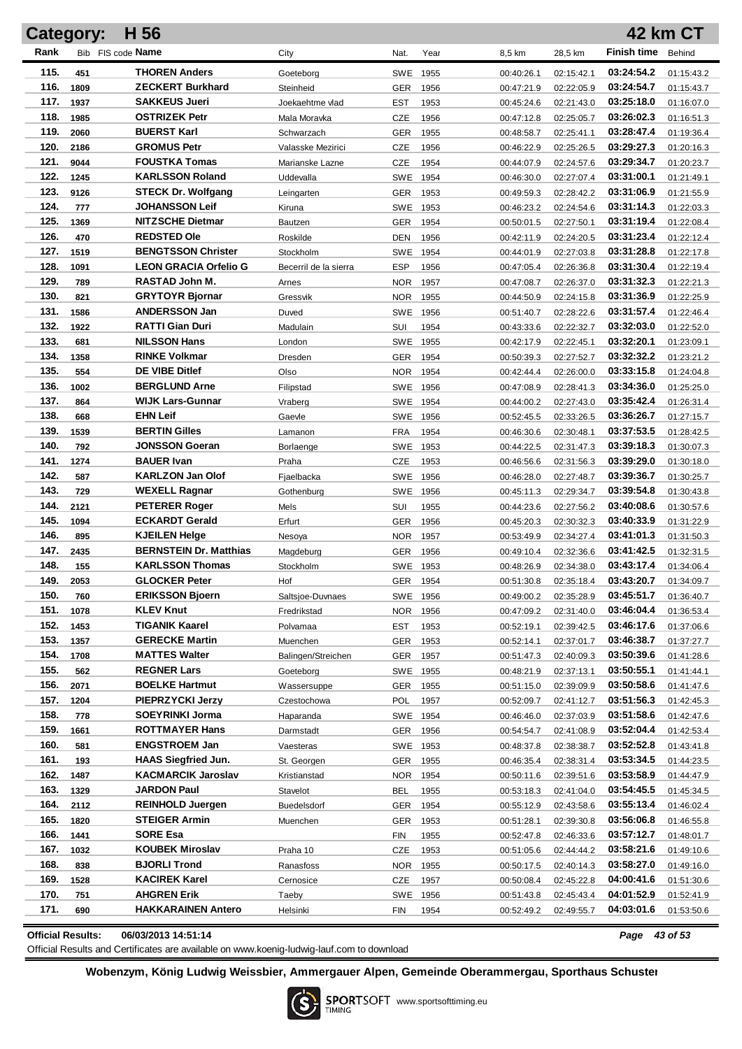|              | <b>Category:</b> | H 56                                            |                         |                          |              |                          |                          |                          | <b>42 km CT</b>          |
|--------------|------------------|-------------------------------------------------|-------------------------|--------------------------|--------------|--------------------------|--------------------------|--------------------------|--------------------------|
| Rank         |                  | Bib FIS code Name                               | City                    | Nat.                     | Year         | 8,5 km                   | 28,5 km                  | <b>Finish time</b>       | Behind                   |
| 115.         | 451              | <b>THOREN Anders</b>                            | Goeteborg               | SWE 1955                 |              | 00:40:26.1               | 02:15:42.1               | 03:24:54.2               | 01:15:43.2               |
| 116.         | 1809             | <b>ZECKERT Burkhard</b>                         | Steinheid               | <b>GER</b>               | 1956         | 00:47:21.9               | 02:22:05.9               | 03:24:54.7               | 01:15:43.7               |
| 117.         | 1937             | <b>SAKKEUS Jueri</b>                            | Joekaehtme vlad         | EST                      | 1953         | 00:45:24.6               | 02:21:43.0               | 03:25:18.0               | 01:16:07.0               |
| 118.         | 1985             | <b>OSTRIZEK Petr</b>                            | Mala Moravka            | CZE                      | 1956         | 00:47:12.8               | 02:25:05.7               | 03:26:02.3               | 01:16:51.3               |
| 119.         | 2060             | <b>BUERST Karl</b>                              | Schwarzach              | <b>GER</b>               | 1955         | 00:48:58.7               | 02:25:41.1               | 03:28:47.4               | 01:19:36.4               |
| 120.         | 2186             | <b>GROMUS Petr</b>                              | Valasske Mezirici       | CZE                      | 1956         | 00:46:22.9               | 02:25:26.5               | 03:29:27.3               | 01:20:16.3               |
| 121.         | 9044             | <b>FOUSTKA Tomas</b>                            | Marianske Lazne         | CZE                      | 1954         | 00:44:07.9               | 02:24:57.6               | 03:29:34.7               | 01:20:23.7               |
| 122.         | 1245             | <b>KARLSSON Roland</b>                          | Uddevalla               | SWE                      | 1954         | 00:46:30.0               | 02:27:07.4               | 03:31:00.1               | 01:21:49.1               |
| 123.         | 9126             | <b>STECK Dr. Wolfgang</b>                       | Leingarten              | GER                      | 1953         | 00:49:59.3               | 02:28:42.2               | 03:31:06.9               | 01:21:55.9               |
| 124.         | 777              | <b>JOHANSSON Leif</b>                           | Kiruna                  | SWE 1953                 |              | 00:46:23.2               | 02:24:54.6               | 03:31:14.3               | 01:22:03.3               |
| 125.         | 1369             | <b>NITZSCHE Dietmar</b>                         | Bautzen                 | <b>GER</b>               | 1954         | 00:50:01.5               | 02:27:50.1               | 03:31:19.4               | 01:22:08.4               |
| 126.         | 470              | <b>REDSTED Ole</b>                              | Roskilde                | <b>DEN</b>               | 1956         | 00:42:11.9               | 02:24:20.5               | 03:31:23.4               | 01:22:12.4               |
| 127.         | 1519             | <b>BENGTSSON Christer</b>                       | Stockholm               | <b>SWE</b>               | 1954         | 00:44:01.9               | 02:27:03.8               | 03:31:28.8               | 01:22:17.8               |
| 128.         | 1091             | <b>LEON GRACIA Orfelio G</b>                    | Becerril de la sierra   | ESP                      | 1956         | 00:47:05.4               | 02:26:36.8               | 03:31:30.4               | 01:22:19.4               |
| 129.         | 789              | RASTAD John M.                                  | Arnes                   | <b>NOR</b>               | 1957         | 00:47:08.7               | 02:26:37.0               | 03:31:32.3               | 01:22:21.3               |
| 130.         | 821              | <b>GRYTOYR Bjornar</b>                          | Gressvik                | <b>NOR</b>               | 1955         | 00:44:50.9               | 02:24:15.8               | 03:31:36.9               | 01:22:25.9               |
| 131.         | 1586             | <b>ANDERSSON Jan</b>                            | Duved                   | SWE 1956                 |              | 00:51:40.7               | 02:28:22.6               | 03:31:57.4               | 01:22:46.4               |
| 132.         | 1922             | <b>RATTI Gian Duri</b>                          | Madulain                | SUI                      | 1954         | 00:43:33.6               | 02:22:32.7               | 03:32:03.0               | 01:22:52.0               |
| 133.         | 681              | <b>NILSSON Hans</b>                             | London                  | SWE 1955                 |              | 00:42:17.9               | 02:22:45.1               | 03:32:20.1               | 01:23:09.1               |
| 134.<br>135. | 1358             | <b>RINKE Volkmar</b>                            | Dresden                 | <b>GER</b>               | 1954         | 00:50:39.3               | 02:27:52.7               | 03:32:32.2               | 01:23:21.2               |
| 136.         | 554              | DE VIBE Ditlef<br><b>BERGLUND Arne</b>          | Olso                    | NOR                      | 1954         | 00:42:44.4               | 02:26:00.0               | 03:33:15.8               | 01:24:04.8               |
| 137.         | 1002             | <b>WIJK Lars-Gunnar</b>                         | Filipstad               | SWE 1956                 |              | 00:47:08.9               | 02:28:41.3               | 03:34:36.0<br>03:35:42.4 | 01:25:25.0               |
| 138.         | 864<br>668       | <b>EHN Leif</b>                                 | Vraberg                 | SWE 1954                 |              | 00:44:00.2               | 02:27:43.0               | 03:36:26.7               | 01:26:31.4               |
| 139.         | 1539             | <b>BERTIN Gilles</b>                            | Gaevle                  | SWE 1956<br>FRA          | 1954         | 00:52:45.5<br>00:46:30.6 | 02:33:26.5<br>02:30:48.1 | 03:37:53.5               | 01:27:15.7<br>01:28:42.5 |
| 140.         | 792              | <b>JONSSON Goeran</b>                           | Lamanon<br>Borlaenge    | SWE 1953                 |              | 00:44:22.5               | 02:31:47.3               | 03:39:18.3               | 01:30:07.3               |
| 141.         | 1274             | <b>BAUER Ivan</b>                               | Praha                   | <b>CZE</b>               | 1953         | 00:46:56.6               | 02:31:56.3               | 03:39:29.0               | 01:30:18.0               |
| 142.         | 587              | <b>KARLZON Jan Olof</b>                         | Fjaelbacka              | SWE 1956                 |              | 00:46:28.0               | 02:27:48.7               | 03:39:36.7               | 01:30:25.7               |
| 143.         | 729              | <b>WEXELL Ragnar</b>                            | Gothenburg              | SWE 1956                 |              | 00:45:11.3               | 02:29:34.7               | 03:39:54.8               | 01:30:43.8               |
| 144.         | 2121             | <b>PETERER Roger</b>                            | Mels                    | SUI                      | 1955         | 00:44:23.6               | 02:27:56.2               | 03:40:08.6               | 01:30:57.6               |
| 145.         | 1094             | <b>ECKARDT Gerald</b>                           | Erfurt                  | <b>GER</b>               | 1956         | 00:45:20.3               | 02:30:32.3               | 03:40:33.9               | 01:31:22.9               |
| 146.         | 895              | <b>KJEILEN Helge</b>                            | Nesoya                  | NOR                      | 1957         | 00:53:49.9               | 02:34:27.4               | 03:41:01.3               | 01:31:50.3               |
| 147.         | 2435             | <b>BERNSTEIN Dr. Matthias</b>                   | Magdeburg               | <b>GER</b>               | 1956         | 00:49:10.4               | 02:32:36.6               | 03:41:42.5               | 01:32:31.5               |
| 148.         | 155              | <b>KARLSSON Thomas</b>                          | Stockholm               | SWE 1953                 |              | 00:48:26.9               | 02:34:38.0               | 03:43:17.4               | 01:34:06.4               |
| 149.         | 2053             | <b>GLOCKER Peter</b>                            | Hof                     | GER 1954                 |              | 00:51:30.8               | 02:35:18.4               | 03:43:20.7               | 01:34:09.7               |
| 150.         | 760              | <b>ERIKSSON Bjoern</b>                          | Saltsjoe-Duvnaes        | SWE 1956                 |              | 00:49:00.2               | 02:35:28.9               | 03:45:51.7               | 01:36:40.7               |
| 151.         | 1078             | <b>KLEV Knut</b>                                | Fredrikstad             | NOR                      | 1956         | 00:47:09.2               | 02:31:40.0               | 03:46:04.4               | 01:36:53.4               |
| 152.         | 1453             | <b>TIGANIK Kaarel</b>                           | Polvamaa                | <b>EST</b>               | 1953         | 00:52:19.1               | 02:39:42.5               | 03:46:17.6               | 01:37:06.6               |
| 153.         | 1357             | <b>GERECKE Martin</b>                           | Muenchen                | <b>GER</b>               | 1953         | 00:52:14.1               | 02:37:01.7               | 03:46:38.7               | 01:37:27.7               |
| 154.         | 1708             | <b>MATTES Walter</b>                            | Balingen/Streichen      | <b>GER</b>               | 1957         | 00:51:47.3               | 02:40:09.3               | 03:50:39.6               | 01:41:28.6               |
| 155.         | 562              | <b>REGNER Lars</b>                              | Goeteborg               | SWE 1955                 |              | 00:48:21.9               | 02:37:13.1               | 03:50:55.1               | 01:41:44.1               |
| 156.         | 2071             | <b>BOELKE Hartmut</b>                           | Wassersuppe             | <b>GER</b>               | 1955         | 00:51:15.0               | 02:39:09.9               | 03:50:58.6               | 01:41:47.6               |
| 157.         | 1204             | PIEPRZYCKI Jerzy                                | Czestochowa             | <b>POL</b>               | 1957         | 00:52:09.7               | 02:41:12.7               | 03:51:56.3               | 01:42:45.3               |
| 158.         | 778              | <b>SOEYRINKI Jorma</b>                          | Haparanda               | SWE 1954                 |              | 00:46:46.0               | 02:37:03.9               | 03:51:58.6               | 01:42:47.6               |
| 159.         | 1661             | <b>ROTTMAYER Hans</b>                           | Darmstadt               | <b>GER</b>               | 1956         | 00:54:54.7               | 02:41:08.9               | 03:52:04.4               | 01:42:53.4               |
| 160.         | 581              | <b>ENGSTROEM Jan</b>                            | Vaesteras               | SWE 1953                 |              | 00:48:37.8               | 02:38:38.7               | 03:52:52.8               | 01:43:41.8               |
| 161.         | 193              | <b>HAAS Siegfried Jun.</b>                      | St. Georgen             | GER                      | 1955         | 00:46:35.4               | 02:38:31.4               | 03:53:34.5               | 01:44:23.5               |
| 162.<br>163. | 1487             | <b>KACMARCIK Jaroslav</b><br><b>JARDON Paul</b> | Kristianstad            | NOR.                     | 1954         | 00:50:11.6               | 02:39:51.6               | 03:53:58.9<br>03:54:45.5 | 01:44:47.9               |
| 164.         | 1329             | <b>REINHOLD Juergen</b>                         | Stavelot                | <b>BEL</b>               | 1955         | 00:53:18.3               | 02:41:04.0               |                          | 01:45:34.5               |
| 165.         | 2112<br>1820     | <b>STEIGER Armin</b>                            | Buedelsdorf<br>Muenchen | <b>GER</b><br><b>GER</b> | 1954<br>1953 | 00:55:12.9               | 02:43:58.6<br>02:39:30.8 | 03:55:13.4<br>03:56:06.8 | 01:46:02.4               |
| 166.         | 1441             | <b>SORE Esa</b>                                 |                         | FIN                      | 1955         | 00:51:28.1<br>00:52:47.8 | 02:46:33.6               | 03:57:12.7               | 01:46:55.8<br>01:48:01.7 |
| 167.         | 1032             | <b>KOUBEK Miroslav</b>                          | Praha 10                | CZE                      | 1953         | 00:51:05.6               | 02:44:44.2               | 03:58:21.6               | 01:49:10.6               |
| 168.         | 838              | <b>BJORLI Trond</b>                             | Ranasfoss               | NOR.                     | 1955         | 00:50:17.5               | 02:40:14.3               | 03:58:27.0               | 01:49:16.0               |
| 169.         | 1528             | <b>KACIREK Karel</b>                            | Cernosice               | CZE                      | 1957         | 00:50:08.4               | 02:45:22.8               | 04:00:41.6               | 01:51:30.6               |
| 170.         | 751              | <b>AHGREN Erik</b>                              | Taeby                   | SWE 1956                 |              | 00:51:43.8               | 02:45:43.4               | 04:01:52.9               | 01:52:41.9               |
| 171.         | 690              | <b>HAKKARAINEN Antero</b>                       | Helsinki                | FIN                      | 1954         | 00:52:49.2               | 02:49:55.7               | 04:03:01.6               | 01:53:50.6               |
|              |                  |                                                 |                         |                          |              |                          |                          |                          |                          |

**Official Results: 06/03/2013 14:51:14** *Page 43 of 53*

Official Results and Certificates are available on www.koenig-ludwig-lauf.com to download

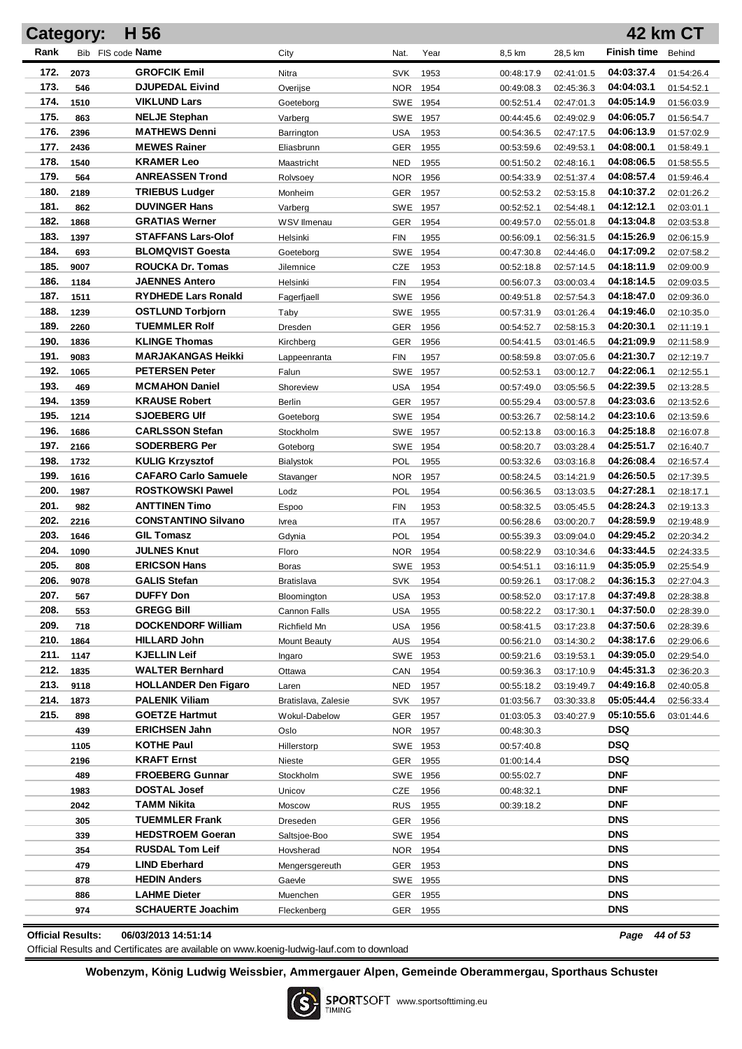|              | <b>Category:</b> | H 56                                            |                                  |                        |      |                          |                          |                          | 42 km CT                 |
|--------------|------------------|-------------------------------------------------|----------------------------------|------------------------|------|--------------------------|--------------------------|--------------------------|--------------------------|
| Rank         |                  | Bib FIS code Name                               | City                             | Nat.                   | Year | 8,5 km                   | 28,5 km                  | <b>Finish time</b>       | Behind                   |
| 172.         | 2073             | <b>GROFCIK Emil</b>                             | Nitra                            | <b>SVK</b>             | 1953 | 00:48:17.9               | 02:41:01.5               | 04:03:37.4               | 01:54:26.4               |
| 173.         | 546              | <b>DJUPEDAL Eivind</b>                          | Overijse                         | <b>NOR</b>             | 1954 | 00:49:08.3               | 02:45:36.3               | 04:04:03.1               | 01:54:52.1               |
| 174.         | 1510             | <b>VIKLUND Lars</b>                             | Goeteborg                        | SWE                    | 1954 | 00:52:51.4               | 02:47:01.3               | 04:05:14.9               | 01:56:03.9               |
| 175.         | 863              | <b>NELJE Stephan</b>                            | Varberg                          | SWE                    | 1957 | 00:44:45.6               | 02:49:02.9               | 04:06:05.7               | 01:56:54.7               |
| 176.         | 2396             | <b>MATHEWS Denni</b>                            | Barrington                       | <b>USA</b>             | 1953 | 00:54:36.5               | 02:47:17.5               | 04:06:13.9               | 01:57:02.9               |
| 177.         | 2436             | <b>MEWES Rainer</b>                             | Eliasbrunn                       | <b>GER</b>             | 1955 | 00:53:59.6               | 02:49:53.1               | 04:08:00.1               | 01:58:49.1               |
| 178.         | 1540             | <b>KRAMER Leo</b>                               | Maastricht                       | <b>NED</b>             | 1955 | 00:51:50.2               | 02:48:16.1               | 04:08:06.5               | 01:58:55.5               |
| 179.         | 564              | <b>ANREASSEN Trond</b>                          | Rolvsoey                         | <b>NOR</b>             | 1956 | 00:54:33.9               | 02:51:37.4               | 04:08:57.4               | 01:59:46.4               |
| 180.         | 2189             | <b>TRIEBUS Ludger</b>                           | Monheim                          | GER                    | 1957 | 00:52:53.2               | 02:53:15.8               | 04:10:37.2               | 02:01:26.2               |
| 181.         | 862              | <b>DUVINGER Hans</b>                            | Varberg                          | SWE                    | 1957 | 00:52:52.1               | 02:54:48.1               | 04:12:12.1               | 02:03:01.1               |
| 182.         | 1868             | <b>GRATIAS Werner</b>                           | WSV Ilmenau                      | GER                    | 1954 | 00:49:57.0               | 02:55:01.8               | 04:13:04.8               | 02:03:53.8               |
| 183.         | 1397             | <b>STAFFANS Lars-Olof</b>                       | Helsinki                         | <b>FIN</b>             | 1955 | 00:56:09.1               | 02:56:31.5               | 04:15:26.9               | 02:06:15.9               |
| 184.         | 693              | <b>BLOMQVIST Goesta</b>                         | Goeteborg                        | SWE                    | 1954 | 00:47:30.8               | 02:44:46.0               | 04:17:09.2               | 02:07:58.2               |
| 185.         | 9007             | <b>ROUCKA Dr. Tomas</b>                         | Jilemnice                        | CZE                    | 1953 | 00:52:18.8               | 02:57:14.5               | 04:18:11.9               | 02:09:00.9               |
| 186.         | 1184             | <b>JAENNES Antero</b>                           | Helsinki                         | <b>FIN</b>             | 1954 | 00:56:07.3               | 03:00:03.4               | 04:18:14.5               | 02:09:03.5               |
| 187.         | 1511             | <b>RYDHEDE Lars Ronald</b>                      | Fagerfjaell                      | <b>SWE</b>             | 1956 | 00:49:51.8               | 02:57:54.3               | 04:18:47.0               | 02:09:36.0               |
| 188.         | 1239             | <b>OSTLUND Torbjorn</b>                         | Taby                             | SWE                    | 1955 | 00:57:31.9               | 03:01:26.4               | 04:19:46.0               | 02:10:35.0               |
| 189.         | 2260             | <b>TUEMMLER Rolf</b>                            | <b>Dresden</b>                   | GER                    | 1956 | 00:54:52.7               | 02:58:15.3               | 04:20:30.1               | 02:11:19.1               |
| 190.         | 1836             | <b>KLINGE Thomas</b>                            | Kirchberg                        | <b>GER</b>             | 1956 | 00:54:41.5               | 03:01:46.5               | 04:21:09.9               | 02:11:58.9               |
| 191.         | 9083             | <b>MARJAKANGAS Heikki</b>                       | Lappeenranta                     | <b>FIN</b>             | 1957 | 00:58:59.8               | 03:07:05.6               | 04:21:30.7               | 02:12:19.7               |
| 192.         | 1065             | <b>PETERSEN Peter</b>                           | Falun                            | <b>SWE</b>             | 1957 | 00:52:53.1               | 03:00:12.7               | 04:22:06.1               | 02:12:55.1               |
| 193.         | 469              | <b>MCMAHON Daniel</b>                           | Shoreview                        | <b>USA</b>             | 1954 | 00:57:49.0               | 03:05:56.5               | 04:22:39.5               | 02:13:28.5               |
| 194.         | 1359             | <b>KRAUSE Robert</b>                            | Berlin                           | <b>GER</b>             | 1957 | 00:55:29.4               | 03:00:57.8               | 04:23:03.6               | 02:13:52.6               |
| 195.         | 1214             | <b>SJOEBERG UIf</b>                             | Goeteborg                        | SWE 1954               |      | 00:53:26.7               | 02:58:14.2               | 04:23:10.6               | 02:13:59.6               |
| 196.         | 1686             | <b>CARLSSON Stefan</b>                          | Stockholm                        | SWE 1957               |      | 00:52:13.8               | 03:00:16.3               | 04:25:18.8               | 02:16:07.8               |
| 197.         | 2166             | <b>SODERBERG Per</b>                            | Goteborg                         | SWE 1954               |      | 00:58:20.7               | 03:03:28.4               | 04:25:51.7               | 02:16:40.7               |
| 198.         | 1732             | <b>KULIG Krzysztof</b>                          | Bialystok                        | POL                    | 1955 | 00:53:32.6               | 03:03:16.8               | 04:26:08.4               | 02:16:57.4               |
| 199.         | 1616             | <b>CAFARO Carlo Samuele</b>                     | Stavanger                        | <b>NOR</b>             | 1957 | 00:58:24.5               | 03:14:21.9               | 04:26:50.5               | 02:17:39.5               |
| 200.         | 1987             | <b>ROSTKOWSKI Pawel</b>                         | Lodz                             | POL                    | 1954 | 00:56:36.5               | 03:13:03.5               | 04:27:28.1               | 02:18:17.1               |
| 201.         | 982              | <b>ANTTINEN Timo</b>                            | <b>Espoo</b>                     | <b>FIN</b>             | 1953 | 00:58:32.5               | 03:05:45.5               | 04:28:24.3               | 02:19:13.3               |
| 202.<br>203. | 2216             | <b>CONSTANTINO Silvano</b><br><b>GIL Tomasz</b> | Ivrea                            | <b>ITA</b>             | 1957 | 00:56:28.6               | 03:00:20.7               | 04:28:59.9               | 02:19:48.9               |
| 204.         | 1646             | <b>JULNES Knut</b>                              | Gdynia                           | POL                    | 1954 | 00:55:39.3               | 03:09:04.0               | 04:29:45.2<br>04:33:44.5 | 02:20:34.2               |
| 205.         | 1090<br>808      | <b>ERICSON Hans</b>                             | Floro                            | <b>NOR</b><br>SWE 1953 | 1954 | 00:58:22.9               | 03:10:34.6<br>03:16:11.9 | 04:35:05.9               | 02:24:33.5               |
| 206.         | 9078             | <b>GALIS Stefan</b>                             | <b>Boras</b>                     | <b>SVK</b>             | 1954 | 00:54:51.1               | 03:17:08.2               | 04:36:15.3               | 02:25:54.9               |
| 207.         | 567              | <b>DUFFY Don</b>                                | <b>Bratislava</b><br>Bloomington | <b>USA</b>             | 1953 | 00:59:26.1<br>00:58:52.0 | 03:17:17.8               | 04:37:49.8               | 02:27:04.3<br>02:28:38.8 |
| 208.         | 553              | <b>GREGG Bill</b>                               | Cannon Falls                     | <b>USA</b>             | 1955 | 00:58:22.2               | 03:17:30.1               | 04:37:50.0               | 02:28:39.0               |
| 209.         | 718              | <b>DOCKENDORF William</b>                       | Richfield Mn                     | <b>USA</b>             | 1956 | 00:58:41.5               | 03:17:23.8               | 04:37:50.6               | 02:28:39.6               |
| 210.         | 1864             | <b>HILLARD John</b>                             | <b>Mount Beauty</b>              | <b>AUS</b>             | 1954 | 00:56:21.0               | 03:14:30.2               | 04:38:17.6               | 02:29:06.6               |
| 211.         | 1147             | <b>KJELLIN Leif</b>                             | Ingaro                           | SWE                    | 1953 | 00:59:21.6               | 03:19:53.1               | 04:39:05.0               | 02:29:54.0               |
| 212.         | 1835             | <b>WALTER Bernhard</b>                          | Ottawa                           | CAN                    | 1954 | 00:59:36.3               | 03:17:10.9               | 04:45:31.3               | 02:36:20.3               |
| 213.         | 9118             | <b>HOLLANDER Den Figaro</b>                     | Laren                            | <b>NED</b>             | 1957 | 00:55:18.2               | 03:19:49.7               | 04:49:16.8               | 02:40:05.8               |
| 214.         | 1873             | <b>PALENIK Viliam</b>                           | Bratislava, Zalesie              | <b>SVK</b>             | 1957 | 01:03:56.7               | 03:30:33.8               | 05:05:44.4               | 02:56:33.4               |
| 215.         | 898              | <b>GOETZE Hartmut</b>                           | Wokul-Dabelow                    | <b>GER</b>             | 1957 | 01:03:05.3               | 03:40:27.9               | 05:10:55.6               | 03:01:44.6               |
|              | 439              | <b>ERICHSEN Jahn</b>                            | Oslo                             | NOR                    | 1957 | 00:48:30.3               |                          | <b>DSQ</b>               |                          |
|              | 1105             | <b>KOTHE Paul</b>                               | Hillerstorp                      | SWE 1953               |      | 00:57:40.8               |                          | <b>DSQ</b>               |                          |
|              | 2196             | <b>KRAFT Ernst</b>                              | Nieste                           | GER                    | 1955 | 01:00:14.4               |                          | <b>DSQ</b>               |                          |
|              | 489              | <b>FROEBERG Gunnar</b>                          | Stockholm                        | SWE 1956               |      | 00:55:02.7               |                          | <b>DNF</b>               |                          |
|              | 1983             | <b>DOSTAL Josef</b>                             | Unicov                           | CZE                    | 1956 | 00:48:32.1               |                          | DNF                      |                          |
|              | 2042             | TAMM Nikita                                     | Moscow                           | <b>RUS</b>             | 1955 | 00:39:18.2               |                          | <b>DNF</b>               |                          |
|              | 305              | <b>TUEMMLER Frank</b>                           | Dreseden                         | GER                    | 1956 |                          |                          | <b>DNS</b>               |                          |
|              | 339              | <b>HEDSTROEM Goeran</b>                         | Saltsjoe-Boo                     | SWE 1954               |      |                          |                          | <b>DNS</b>               |                          |
|              | 354              | <b>RUSDAL Tom Leif</b>                          | Hovsherad                        | <b>NOR</b>             | 1954 |                          |                          | <b>DNS</b>               |                          |
|              | 479              | <b>LIND Eberhard</b>                            | Mengersgereuth                   | GER                    | 1953 |                          |                          | <b>DNS</b>               |                          |
|              | 878              | <b>HEDIN Anders</b>                             | Gaevle                           | SWE 1955               |      |                          |                          | <b>DNS</b>               |                          |
|              | 886              | <b>LAHME Dieter</b>                             | Muenchen                         | GER                    | 1955 |                          |                          | <b>DNS</b>               |                          |
|              | 974              | <b>SCHAUERTE Joachim</b>                        | Fleckenberg                      | GER 1955               |      |                          |                          | DNS                      |                          |
|              |                  |                                                 |                                  |                        |      |                          |                          |                          |                          |

**Official Results: 06/03/2013 14:51:14** *Page 44 of 53*

Official Results and Certificates are available on www.koenig-ludwig-lauf.com to download

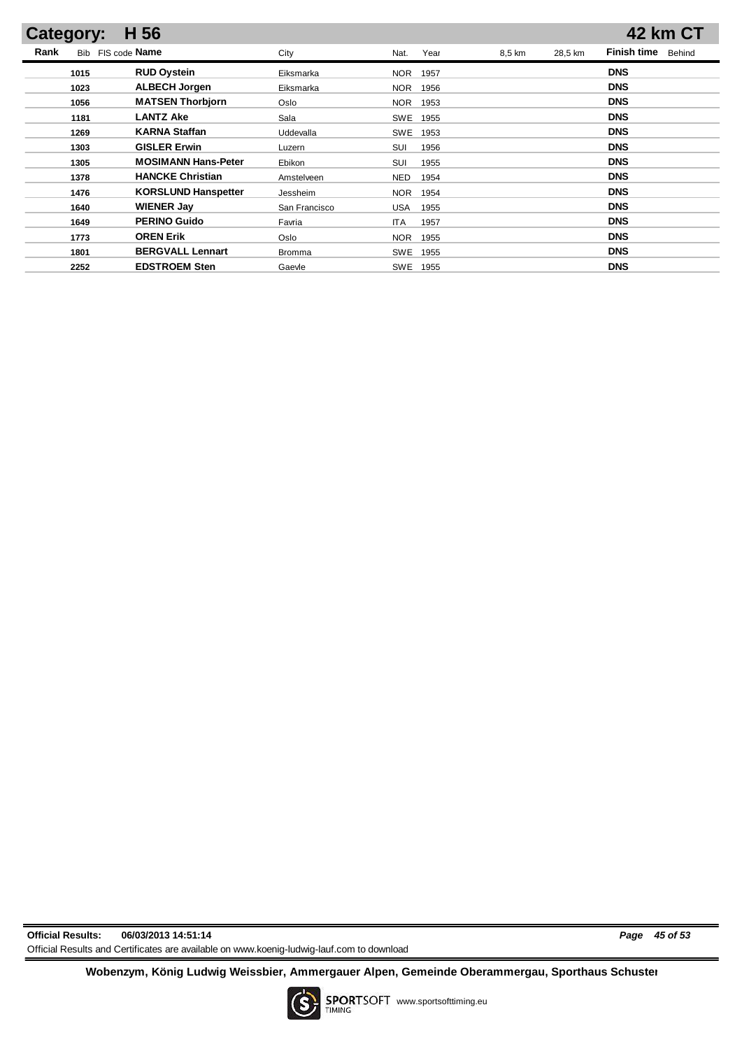| <b>Category:</b> | H 56                       |               |                    |        |         | 42 km CT                     |
|------------------|----------------------------|---------------|--------------------|--------|---------|------------------------------|
| Rank             | Bib FIS code Name          | City          | Year<br>Nat.       | 8,5 km | 28,5 km | <b>Finish time</b><br>Behind |
| 1015             | <b>RUD Oystein</b>         | Eiksmarka     | <b>NOR</b><br>1957 |        |         | <b>DNS</b>                   |
| 1023             | <b>ALBECH Jorgen</b>       | Eiksmarka     | <b>NOR</b><br>1956 |        |         | <b>DNS</b>                   |
| 1056             | <b>MATSEN Thorbjorn</b>    | Oslo          | <b>NOR</b><br>1953 |        |         | <b>DNS</b>                   |
| 1181             | <b>LANTZ Ake</b>           | Sala          | <b>SWE</b><br>1955 |        |         | <b>DNS</b>                   |
| 1269             | <b>KARNA Staffan</b>       | Uddevalla     | <b>SWE</b><br>1953 |        |         | <b>DNS</b>                   |
| 1303             | <b>GISLER Erwin</b>        | Luzern        | SUI<br>1956        |        |         | <b>DNS</b>                   |
| 1305             | <b>MOSIMANN Hans-Peter</b> | Ebikon        | SUI<br>1955        |        |         | <b>DNS</b>                   |
| 1378             | <b>HANCKE Christian</b>    | Amstelveen    | <b>NED</b><br>1954 |        |         | <b>DNS</b>                   |
| 1476             | <b>KORSLUND Hanspetter</b> | Jessheim      | <b>NOR</b><br>1954 |        |         | <b>DNS</b>                   |
| 1640             | <b>WIENER Jay</b>          | San Francisco | USA<br>1955        |        |         | <b>DNS</b>                   |
| 1649             | <b>PERINO Guido</b>        | Favria        | <b>ITA</b><br>1957 |        |         | <b>DNS</b>                   |
| 1773             | <b>OREN Erik</b>           | Oslo          | <b>NOR</b><br>1955 |        |         | <b>DNS</b>                   |
| 1801             | <b>BERGVALL Lennart</b>    | <b>Bromma</b> | <b>SWE</b><br>1955 |        |         | <b>DNS</b>                   |
| 2252             | <b>EDSTROEM Sten</b>       | Gaevle        | SWE<br>1955        |        |         | <b>DNS</b>                   |

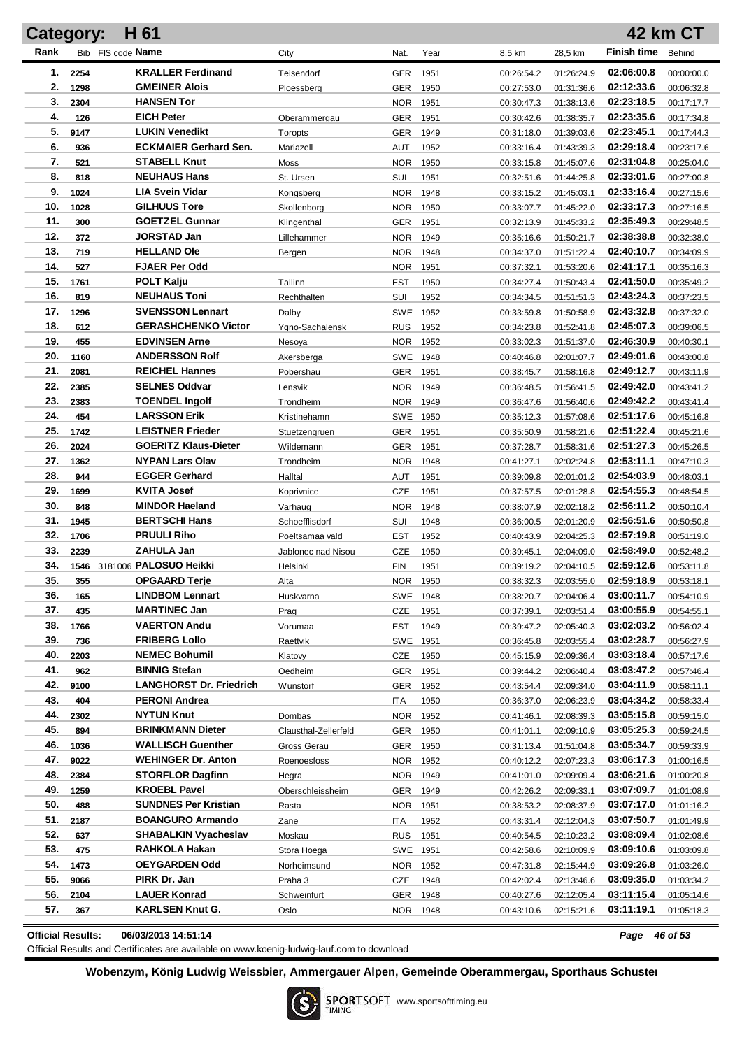| Category:  |      | H 61                                       |                                |                   |              |                          |                          |                          | 42 km CT                 |
|------------|------|--------------------------------------------|--------------------------------|-------------------|--------------|--------------------------|--------------------------|--------------------------|--------------------------|
| Rank       |      | Bib FIS code Name                          | City                           | Nat.              | Year         | 8,5 km                   | 28,5 km                  | <b>Finish time</b>       | Behind                   |
| 1.         | 2254 | <b>KRALLER Ferdinand</b>                   | Teisendorf                     | GER               | 1951         | 00:26:54.2               | 01:26:24.9               | 02:06:00.8               | 00:00:00.0               |
| 2.         | 1298 | <b>GMEINER Alois</b>                       | Ploessberg                     | GER               | 1950         | 00:27:53.0               | 01:31:36.6               | 02:12:33.6               | 00:06:32.8               |
| 3.         | 2304 | <b>HANSEN Tor</b>                          |                                | <b>NOR</b>        | 1951         | 00:30:47.3               | 01:38:13.6               | 02:23:18.5               | 00:17:17.7               |
| 4.         | 126  | <b>EICH Peter</b>                          | Oberammergau                   | GER               | 1951         | 00:30:42.6               | 01:38:35.7               | 02:23:35.6               | 00:17:34.8               |
| 5.         | 9147 | <b>LUKIN Venedikt</b>                      | Toropts                        | GER               | 1949         | 00:31:18.0               | 01:39:03.6               | 02:23:45.1               | 00:17:44.3               |
| 6.         | 936  | <b>ECKMAIER Gerhard Sen.</b>               | Mariazell                      | AUT               | 1952         | 00:33:16.4               | 01:43:39.3               | 02:29:18.4               | 00:23:17.6               |
| 7.         | 521  | <b>STABELL Knut</b>                        | Moss                           | <b>NOR</b>        | 1950         | 00:33:15.8               | 01:45:07.6               | 02:31:04.8               | 00:25:04.0               |
| 8.         | 818  | <b>NEUHAUS Hans</b>                        | St. Ursen                      | SUI               | 1951         | 00:32:51.6               | 01:44:25.8               | 02:33:01.6               | 00:27:00.8               |
| 9.         | 1024 | <b>LIA Svein Vidar</b>                     | Kongsberg                      | <b>NOR</b>        | 1948         | 00:33:15.2               | 01:45:03.1               | 02:33:16.4               | 00:27:15.6               |
| 10.        | 1028 | <b>GILHUUS Tore</b>                        | Skollenborg                    | <b>NOR</b>        | 1950         | 00:33:07.7               | 01:45:22.0               | 02:33:17.3               | 00:27:16.5               |
| 11.        | 300  | <b>GOETZEL Gunnar</b>                      | Klingenthal                    | GER               | 1951         | 00:32:13.9               | 01:45:33.2               | 02:35:49.3               | 00:29:48.5               |
| 12.        | 372  | JORSTAD Jan                                | Lillehammer                    | <b>NOR</b>        | 1949         | 00:35:16.6               | 01:50:21.7               | 02:38:38.8               | 00:32:38.0               |
| 13.        | 719  | <b>HELLAND Ole</b>                         | Bergen                         | <b>NOR</b>        | 1948         | 00:34:37.0               | 01:51:22.4               | 02:40:10.7               | 00:34:09.9               |
| 14.        | 527  | <b>FJAER Per Odd</b>                       |                                | <b>NOR</b>        | 1951         | 00:37:32.1               | 01:53:20.6               | 02:41:17.1               | 00:35:16.3               |
| 15.        | 1761 | <b>POLT Kalju</b>                          | Tallinn                        | EST               | 1950         | 00:34:27.4               | 01:50:43.4               | 02:41:50.0               | 00:35:49.2               |
| 16.        | 819  | <b>NEUHAUS Toni</b>                        | Rechthalten                    | SUI               | 1952         | 00:34:34.5               | 01:51:51.3               | 02:43:24.3               | 00:37:23.5               |
| 17.        | 1296 | <b>SVENSSON Lennart</b>                    | Dalby                          | <b>SWE</b>        | 1952         | 00:33:59.8               | 01:50:58.9               | 02:43:32.8               | 00:37:32.0               |
| 18.        | 612  | <b>GERASHCHENKO Victor</b>                 | Ygno-Sachalensk                | <b>RUS</b>        | 1952         | 00:34:23.8               | 01:52:41.8               | 02:45:07.3               | 00:39:06.5               |
| 19.        | 455  | <b>EDVINSEN Arne</b>                       | Nesoya                         | <b>NOR</b>        | 1952         | 00:33:02.3               | 01:51:37.0               | 02:46:30.9               | 00:40:30.1               |
| 20.        | 1160 | <b>ANDERSSON Rolf</b>                      | Akersberga                     | SWE 1948          |              | 00:40:46.8               | 02:01:07.7               | 02:49:01.6               | 00:43:00.8               |
| 21.        | 2081 | <b>REICHEL Hannes</b>                      | Pobershau                      | GER               | 1951         | 00:38:45.7               | 01:58:16.8               | 02:49:12.7               | 00:43:11.9               |
| 22.        | 2385 | <b>SELNES Oddvar</b>                       | Lensvik                        | NOR.              | 1949         | 00:36:48.5               | 01:56:41.5               | 02:49:42.0               | 00:43:41.2               |
| 23.        | 2383 | <b>TOENDEL Ingolf</b>                      | Trondheim                      | NOR.              | 1949         | 00:36:47.6               | 01:56:40.6               | 02:49:42.2               | 00:43:41.4               |
| 24.        | 454  | <b>LARSSON Erik</b>                        | Kristinehamn                   | SWE 1950          |              | 00:35:12.3               | 01:57:08.6               | 02:51:17.6               | 00:45:16.8               |
| 25.        | 1742 | <b>LEISTNER Frieder</b>                    | Stuetzengruen                  | GER               | 1951         | 00:35:50.9               | 01:58:21.6               | 02:51:22.4               | 00:45:21.6               |
| 26.        | 2024 | <b>GOERITZ Klaus-Dieter</b>                | Wildemann                      | GER               | 1951         | 00:37:28.7               | 01:58:31.6               | 02:51:27.3               | 00:45:26.5               |
| 27.        | 1362 | <b>NYPAN Lars Olav</b>                     | Trondheim                      | <b>NOR</b>        | 1948         | 00:41:27.1               | 02:02:24.8               | 02:53:11.1               | 00:47:10.3               |
| 28.        | 944  | <b>EGGER Gerhard</b>                       | Halltal                        | AUT               | 1951         | 00:39:09.8               | 02:01:01.2               | 02:54:03.9               | 00:48:03.1               |
| 29.        | 1699 | KVITA Josef                                | Koprivnice                     | <b>CZE</b>        | 1951         | 00:37:57.5               | 02:01:28.8               | 02:54:55.3               | 00:48:54.5               |
| 30.        | 848  | <b>MINDOR Haeland</b>                      | Varhaug                        | <b>NOR</b>        | 1948         | 00:38:07.9               | 02:02:18.2               | 02:56:11.2               | 00:50:10.4               |
| 31.<br>32. | 1945 | <b>BERTSCHI Hans</b><br><b>PRUULI Riho</b> | Schoefflisdorf                 | SUI               | 1948         | 00:36:00.5               | 02:01:20.9               | 02:56:51.6<br>02:57:19.8 | 00:50:50.8               |
| 33.        | 1706 | <b>ZAHULA Jan</b>                          | Poeltsamaa vald                | <b>EST</b>        | 1952         | 00:40:43.9               | 02:04:25.3               | 02:58:49.0               | 00:51:19.0               |
| 34.        | 2239 | 1546 3181006 PALOSUO Heikki                | Jablonec nad Nisou<br>Helsinki | CZE<br><b>FIN</b> | 1950<br>1951 | 00:39:45.1<br>00:39:19.2 | 02:04:09.0<br>02:04:10.5 | 02:59:12.6               | 00:52:48.2<br>00:53:11.8 |
| 35.        | 355  | <b>OPGAARD Terje</b>                       | Alta                           | <b>NOR</b>        | 1950         | 00:38:32.3               | 02:03:55.0               | 02:59:18.9               | 00:53:18.1               |
| 36.        | 165  | <b>LINDBOM Lennart</b>                     | Huskvarna                      | SWE 1948          |              | 00:38:20.7               | 02:04:06.4               | 03:00:11.7               | 00:54:10.9               |
| 37.        | 435  | <b>MARTINEC Jan</b>                        | Prag                           | <b>CZE</b>        | 1951         | 00:37:39.1               | 02:03:51.4               | 03:00:55.9               | 00:54:55.1               |
| 38.        | 1766 | <b>VAERTON Andu</b>                        | Vorumaa                        | <b>EST</b>        | 1949         | 00:39:47.2               | 02:05:40.3               | 03:02:03.2               | 00:56:02.4               |
| 39.        | 736  | <b>FRIBERG Lollo</b>                       | Raettvik                       | SWE               | 1951         | 00:36:45.8               | 02:03:55.4               | 03:02:28.7               | 00:56:27.9               |
| 40.        | 2203 | <b>NEMEC Bohumil</b>                       | Klatovy                        | <b>CZE</b>        | 1950         | 00:45:15.9               | 02:09:36.4               | 03:03:18.4               | 00:57:17.6               |
| 41.        | 962  | <b>BINNIG Stefan</b>                       | Oedheim                        | <b>GER</b>        | 1951         | 00:39:44.2               | 02:06:40.4               | 03:03:47.2               | 00:57:46.4               |
| 42.        | 9100 | <b>LANGHORST Dr. Friedrich</b>             | Wunstorf                       | GER               | 1952         | 00:43:54.4               | 02:09:34.0               | 03:04:11.9               | 00:58:11.1               |
| 43.        | 404  | <b>PERONI Andrea</b>                       |                                | ITA               | 1950         | 00:36:37.0               | 02:06:23.9               | 03:04:34.2               | 00:58:33.4               |
| 44.        | 2302 | <b>NYTUN Knut</b>                          | Dombas                         | NOR 1952          |              | 00:41:46.1               | 02:08:39.3               | 03:05:15.8               | 00:59:15.0               |
| 45.        | 894  | <b>BRINKMANN Dieter</b>                    | Clausthal-Zellerfeld           | GER               | 1950         | 00:41:01.1               | 02:09:10.9               | 03:05:25.3               | 00:59:24.5               |
| 46.        | 1036 | <b>WALLISCH Guenther</b>                   | Gross Gerau                    | GER               | 1950         | 00:31:13.4               | 01:51:04.8               | 03:05:34.7               | 00:59:33.9               |
| 47.        | 9022 | <b>WEHINGER Dr. Anton</b>                  | Roenoesfoss                    | NOR 1952          |              | 00:40:12.2               | 02:07:23.3               | 03:06:17.3               | 01:00:16.5               |
| 48.        | 2384 | <b>STORFLOR Dagfinn</b>                    | Hegra                          | NOR 1949          |              | 00:41:01.0               | 02:09:09.4               | 03:06:21.6               | 01:00:20.8               |
| 49.        | 1259 | <b>KROEBL Pavel</b>                        | Oberschleissheim               | GER 1949          |              | 00:42:26.2               | 02:09:33.1               | 03:07:09.7               | 01:01:08.9               |
| 50.        | 488  | <b>SUNDNES Per Kristian</b>                | Rasta                          | NOR 1951          |              | 00:38:53.2               | 02:08:37.9               | 03:07:17.0               | 01:01:16.2               |
| 51.        | 2187 | <b>BOANGURO Armando</b>                    | Zane                           | ITA               | 1952         | 00:43:31.4               | 02:12:04.3               | 03:07:50.7               | 01:01:49.9               |
| 52.        | 637  | <b>SHABALKIN Vyacheslav</b>                | Moskau                         | <b>RUS</b>        | 1951         | 00:40:54.5               | 02:10:23.2               | 03:08:09.4               | 01:02:08.6               |
| 53.        | 475  | RAHKOLA Hakan                              | Stora Hoega                    | SWE 1951          |              | 00:42:58.6               | 02:10:09.9               | 03:09:10.6               | 01:03:09.8               |
| 54.        | 1473 | <b>OEYGARDEN Odd</b>                       | Norheimsund                    | NOR 1952          |              | 00:47:31.8               | 02:15:44.9               | 03:09:26.8               | 01:03:26.0               |
| 55.        | 9066 | PIRK Dr. Jan                               | Praha 3                        | CZE               | 1948         | 00:42:02.4               | 02:13:46.6               | 03:09:35.0               | 01:03:34.2               |
| 56.        | 2104 | <b>LAUER Konrad</b>                        | Schweinfurt                    | GER 1948          |              | 00:40:27.6               | 02:12:05.4               | 03:11:15.4               | 01:05:14.6               |
| 57.        | 367  | <b>KARLSEN Knut G.</b>                     | Oslo                           | NOR 1948          |              | 00:43:10.6               | 02:15:21.6               | 03:11:19.1               | 01:05:18.3               |
|            |      |                                            |                                |                   |              |                          |                          |                          |                          |

**Official Results: 06/03/2013 14:51:14** *Page 46 of 53*

Official Results and Certificates are available on www.koenig-ludwig-lauf.com to download

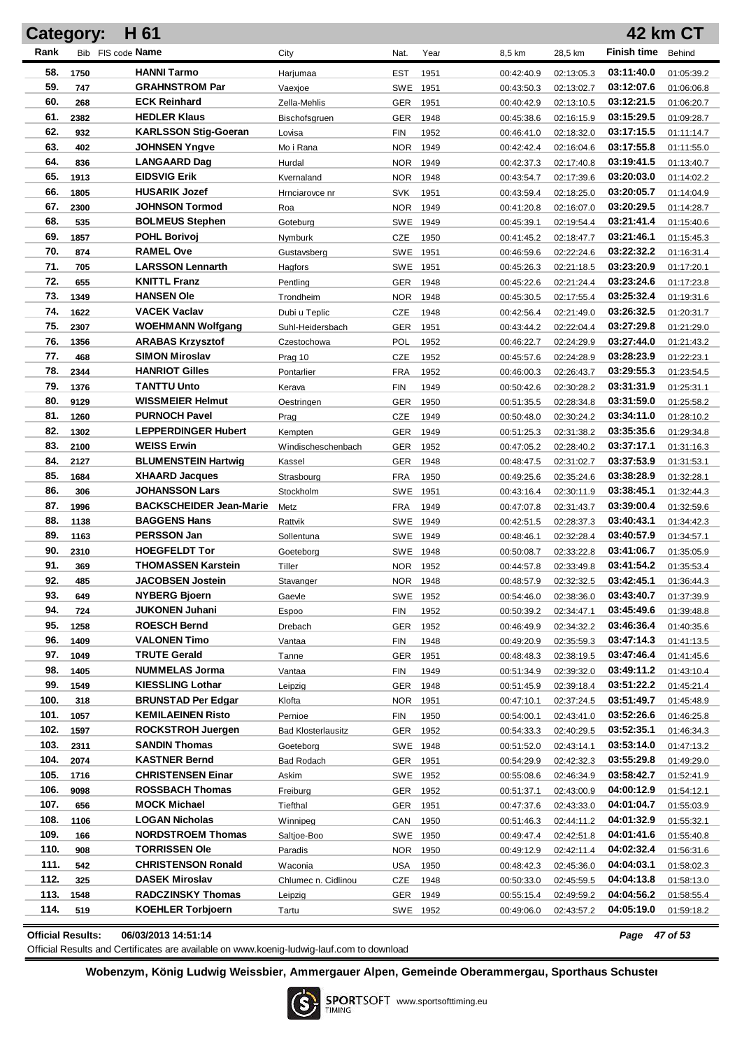|              | <b>Category:</b> | H 61                                                 |                           |                          |              |                          |                          |                          | <b>42 km CT</b>          |
|--------------|------------------|------------------------------------------------------|---------------------------|--------------------------|--------------|--------------------------|--------------------------|--------------------------|--------------------------|
| Rank         |                  | Bib FIS code Name                                    | City                      | Nat.                     | Year         | 8,5 km                   | 28,5 km                  | <b>Finish time</b>       | Behind                   |
| 58.          | 1750             | <b>HANNI Tarmo</b>                                   | Harjumaa                  | <b>EST</b>               | 1951         | 00:42:40.9               | 02:13:05.3               | 03:11:40.0               | 01:05:39.2               |
| 59.          | 747              | <b>GRAHNSTROM Par</b>                                | Vaexjoe                   | SWE                      | 1951         | 00:43:50.3               | 02:13:02.7               | 03:12:07.6               | 01:06:06.8               |
| 60.          | 268              | <b>ECK Reinhard</b>                                  | Zella-Mehlis              | GER                      | 1951         | 00:40:42.9               | 02:13:10.5               | 03:12:21.5               | 01:06:20.7               |
| 61.          | 2382             | <b>HEDLER Klaus</b>                                  | Bischofsgruen             | <b>GER</b>               | 1948         | 00:45:38.6               | 02:16:15.9               | 03:15:29.5               | 01:09:28.7               |
| 62.          | 932              | <b>KARLSSON Stig-Goeran</b>                          | Lovisa                    | <b>FIN</b>               | 1952         | 00:46:41.0               | 02:18:32.0               | 03:17:15.5               | 01:11:14.7               |
| 63.          | 402              | <b>JOHNSEN Yngve</b>                                 | Mo i Rana                 | <b>NOR</b>               | 1949         | 00:42:42.4               | 02:16:04.6               | 03:17:55.8               | 01:11:55.0               |
| 64.          | 836              | <b>LANGAARD Dag</b>                                  | Hurdal                    | NOR 1949                 |              | 00:42:37.3               | 02:17:40.8               | 03:19:41.5               | 01:13:40.7               |
| 65.          | 1913             | <b>EIDSVIG Erik</b>                                  | Kvernaland                | NOR.                     | 1948         | 00:43:54.7               | 02:17:39.6               | 03:20:03.0               | 01:14:02.2               |
| 66.          | 1805             | <b>HUSARIK Jozef</b>                                 | Hrnciarovce nr            | <b>SVK</b>               | 1951         | 00:43:59.4               | 02:18:25.0               | 03:20:05.7               | 01:14:04.9               |
| 67.          | 2300             | <b>JOHNSON Tormod</b>                                | Roa                       | NOR.                     | 1949         | 00:41:20.8               | 02:16:07.0               | 03:20:29.5               | 01:14:28.7               |
| 68.          | 535              | <b>BOLMEUS Stephen</b>                               | Goteburg                  | SWE 1949                 |              | 00:45:39.1               | 02:19:54.4               | 03:21:41.4               | 01:15:40.6               |
| 69.          | 1857             | <b>POHL Borivoj</b>                                  | Nymburk                   | CZE                      | 1950         | 00:41:45.2               | 02:18:47.7               | 03:21:46.1               | 01:15:45.3               |
| 70.          | 874              | <b>RAMEL Ove</b>                                     | Gustavsberg               | SWE                      | 1951         | 00:46:59.6               | 02:22:24.6               | 03:22:32.2               | 01:16:31.4               |
| 71.          | 705              | <b>LARSSON Lennarth</b>                              | Hagfors                   | SWE                      | 1951         | 00:45:26.3               | 02:21:18.5               | 03:23:20.9               | 01:17:20.1               |
| 72.          | 655              | <b>KNITTL Franz</b>                                  | Pentling                  | GER                      | 1948         | 00:45:22.6               | 02:21:24.4               | 03:23:24.6               | 01:17:23.8               |
| 73.          | 1349             | <b>HANSEN Ole</b>                                    | Trondheim                 | NOR.                     | 1948         | 00:45:30.5               | 02:17:55.4               | 03:25:32.4               | 01:19:31.6               |
| 74.          | 1622             | <b>VACEK Vaclav</b>                                  | Dubi u Teplic             | CZE                      | 1948         | 00:42:56.4               | 02:21:49.0               | 03:26:32.5               | 01:20:31.7               |
| 75.          | 2307             | <b>WOEHMANN Wolfgang</b>                             | Suhl-Heidersbach          | <b>GER</b>               | 1951         | 00:43:44.2               | 02:22:04.4               | 03:27:29.8               | 01:21:29.0               |
| 76.          | 1356             | <b>ARABAS Krzysztof</b>                              | Czestochowa               | POL                      | 1952         | 00:46:22.7               | 02:24:29.9               | 03:27:44.0               | 01:21:43.2               |
| 77.          | 468              | <b>SIMON Miroslav</b>                                | Prag 10                   | <b>CZE</b>               | 1952         | 00:45:57.6               | 02:24:28.9               | 03:28:23.9               | 01:22:23.1               |
| 78.          | 2344             | <b>HANRIOT Gilles</b>                                | Pontarlier                | <b>FRA</b>               | 1952         | 00:46:00.3               | 02:26:43.7               | 03:29:55.3               | 01:23:54.5               |
| 79.          | 1376             | <b>TANTTU Unto</b>                                   | Kerava                    | <b>FIN</b>               | 1949         | 00:50:42.6               | 02:30:28.2               | 03:31:31.9               | 01:25:31.1               |
| 80.          | 9129             | <b>WISSMEIER Helmut</b>                              | Oestringen                | <b>GER</b>               | 1950         | 00:51:35.5               | 02:28:34.8               | 03:31:59.0               | 01:25:58.2               |
| 81.          | 1260             | <b>PURNOCH Pavel</b>                                 | Prag                      | <b>CZE</b>               | 1949         | 00:50:48.0               | 02:30:24.2               | 03:34:11.0               | 01:28:10.2               |
| 82.<br>83.   | 1302             | <b>LEPPERDINGER Hubert</b><br><b>WEISS Erwin</b>     | Kempten                   | <b>GER</b>               | 1949         | 00:51:25.3               | 02:31:38.2               | 03:35:35.6               | 01:29:34.8               |
| 84.          | 2100             | <b>BLUMENSTEIN Hartwig</b>                           | Windischeschenbach        | GER                      | 1952         | 00:47:05.2               | 02:28:40.2               | 03:37:17.1<br>03:37:53.9 | 01:31:16.3               |
| 85.          | 2127<br>1684     | <b>XHAARD Jacques</b>                                | Kassel                    | GER                      | 1948<br>1950 | 00:48:47.5               | 02:31:02.7               | 03:38:28.9               | 01:31:53.1               |
| 86.          | 306              | <b>JOHANSSON Lars</b>                                | Strasbourg<br>Stockholm   | <b>FRA</b><br><b>SWE</b> | 1951         | 00:49:25.6<br>00:43:16.4 | 02:35:24.6<br>02:30:11.9 | 03:38:45.1               | 01:32:28.1<br>01:32:44.3 |
| 87.          | 1996             | <b>BACKSCHEIDER Jean-Marie</b>                       | Metz                      | <b>FRA</b>               | 1949         | 00:47:07.8               | 02:31:43.7               | 03:39:00.4               | 01:32:59.6               |
| 88.          | 1138             | <b>BAGGENS Hans</b>                                  | Rattvik                   | SWE 1949                 |              | 00:42:51.5               | 02:28:37.3               | 03:40:43.1               | 01:34:42.3               |
| 89.          | 1163             | <b>PERSSON Jan</b>                                   | Sollentuna                | SWE 1949                 |              | 00:48:46.1               | 02:32:28.4               | 03:40:57.9               | 01:34:57.1               |
| 90.          | 2310             | <b>HOEGFELDT Tor</b>                                 | Goeteborg                 | SWE 1948                 |              | 00:50:08.7               | 02:33:22.8               | 03:41:06.7               | 01:35:05.9               |
| 91.          | 369              | <b>THOMASSEN Karstein</b>                            | Tiller                    | NOR 1952                 |              | 00:44:57.8               | 02:33:49.8               | 03:41:54.2               | 01:35:53.4               |
| 92.          | 485              | JACOBSEN Jostein                                     | Stavanger                 | NOR 1948                 |              | 00:48:57.9               | 02:32:32.5               | 03:42:45.1               | 01:36:44.3               |
| 93.          | 649              | <b>NYBERG Bjoern</b>                                 | Gaevle                    | SWE 1952                 |              | 00:54:46.0               | 02:38:36.0               | 03:43:40.7               | 01:37:39.9               |
| 94.          | 724              | <b>JUKONEN Juhani</b>                                | Espoo                     | FIN                      | 1952         | 00:50:39.2               | 02:34:47.1               | 03:45:49.6               | 01:39:48.8               |
| 95.          | 1258             | <b>ROESCH Bernd</b>                                  | Drebach                   | <b>GER</b>               | 1952         | 00:46:49.9               | 02:34:32.2               | 03:46:36.4               | 01:40:35.6               |
| 96.          | 1409             | <b>VALONEN Timo</b>                                  | Vantaa                    | FIN                      | 1948         | 00:49:20.9               | 02:35:59.3               | 03:47:14.3               | 01:41:13.5               |
| 97.          | 1049             | <b>TRUTE Gerald</b>                                  | Tanne                     | <b>GER</b>               | 1951         | 00:48:48.3               | 02:38:19.5               | 03:47:46.4               | 01:41:45.6               |
| 98.          | 1405             | <b>NUMMELAS Jorma</b>                                | Vantaa                    | FIN                      | 1949         | 00:51:34.9               | 02:39:32.0               | 03:49:11.2               | 01:43:10.4               |
| 99.          | 1549             | <b>KIESSLING Lothar</b>                              | Leipzig                   | GER                      | 1948         | 00:51:45.9               | 02:39:18.4               | 03:51:22.2               | 01:45:21.4               |
| 100.         | 318              | <b>BRUNSTAD Per Edgar</b>                            | Klofta                    | <b>NOR</b>               | 1951         | 00:47:10.1               | 02:37:24.5               | 03:51:49.7               | 01:45:48.9               |
| 101.         | 1057             | <b>KEMILAEINEN Risto</b>                             | Pernioe                   | FIN                      | 1950         | 00:54:00.1               | 02:43:41.0               | 03:52:26.6               | 01:46:25.8               |
| 102.         | 1597             | <b>ROCKSTROH Juergen</b>                             | <b>Bad Klosterlausitz</b> | GER 1952                 |              | 00:54:33.3               | 02:40:29.5               | 03:52:35.1               | 01:46:34.3               |
| 103.         | 2311             | <b>SANDIN Thomas</b>                                 | Goeteborg                 | SWE 1948                 |              | 00:51:52.0               | 02:43:14.1               | 03:53:14.0               | 01:47:13.2               |
| 104.         | 2074             | <b>KASTNER Bernd</b>                                 | Bad Rodach                | GER 1951                 |              | 00:54:29.9               | 02:42:32.3               | 03:55:29.8               | 01:49:29.0               |
| 105.         | 1716             | <b>CHRISTENSEN Einar</b>                             | Askim                     | SWE 1952                 |              | 00:55:08.6               | 02:46:34.9               | 03:58:42.7               | 01:52:41.9               |
| 106.         | 9098             | <b>ROSSBACH Thomas</b>                               | Freiburg                  | GER 1952                 |              | 00:51:37.1               | 02:43:00.9               | 04:00:12.9               | 01:54:12.1               |
| 107.         | 656              | <b>MOCK Michael</b>                                  | Tiefthal                  | GER                      | 1951         | 00:47:37.6               | 02:43:33.0               | 04:01:04.7               | 01:55:03.9               |
| 108.         | 1106             | <b>LOGAN Nicholas</b>                                | Winnipeg                  | CAN                      | 1950         | 00:51:46.3               | 02:44:11.2               | 04:01:32.9               | 01:55:32.1               |
| 109.         | 166              | <b>NORDSTROEM Thomas</b>                             | Saltjoe-Boo               | SWE 1950                 |              | 00:49:47.4               | 02:42:51.8               | 04:01:41.6               | 01:55:40.8               |
| 110.         | 908              | <b>TORRISSEN Ole</b>                                 | Paradis                   | NOR 1950                 |              | 00:49:12.9               | 02:42:11.4               | 04:02:32.4               | 01:56:31.6               |
| 111.         | 542              | <b>CHRISTENSON Ronald</b>                            | Waconia                   | <b>USA</b>               | 1950         | 00:48:42.3               | 02:45:36.0               | 04:04:03.1               | 01:58:02.3               |
| 112.         | 325              | <b>DASEK Miroslav</b>                                | Chlumec n. Cidlinou       | CZE                      | 1948         | 00:50:33.0               | 02:45:59.5               | 04:04:13.8               | 01:58:13.0               |
| 113.<br>114. | 1548             | <b>RADCZINSKY Thomas</b><br><b>KOEHLER Torbjoern</b> | Leipzig                   | GER 1949                 |              | 00:55:15.4               | 02:49:59.2               | 04:04:56.2<br>04:05:19.0 | 01:58:55.4               |
|              | 519              |                                                      | Tartu                     | SWE 1952                 |              | 00:49:06.0               | 02:43:57.2               |                          | 01:59:18.2               |

**Official Results: 06/03/2013 14:51:14** *Page 47 of 53*

Official Results and Certificates are available on www.koenig-ludwig-lauf.com to download

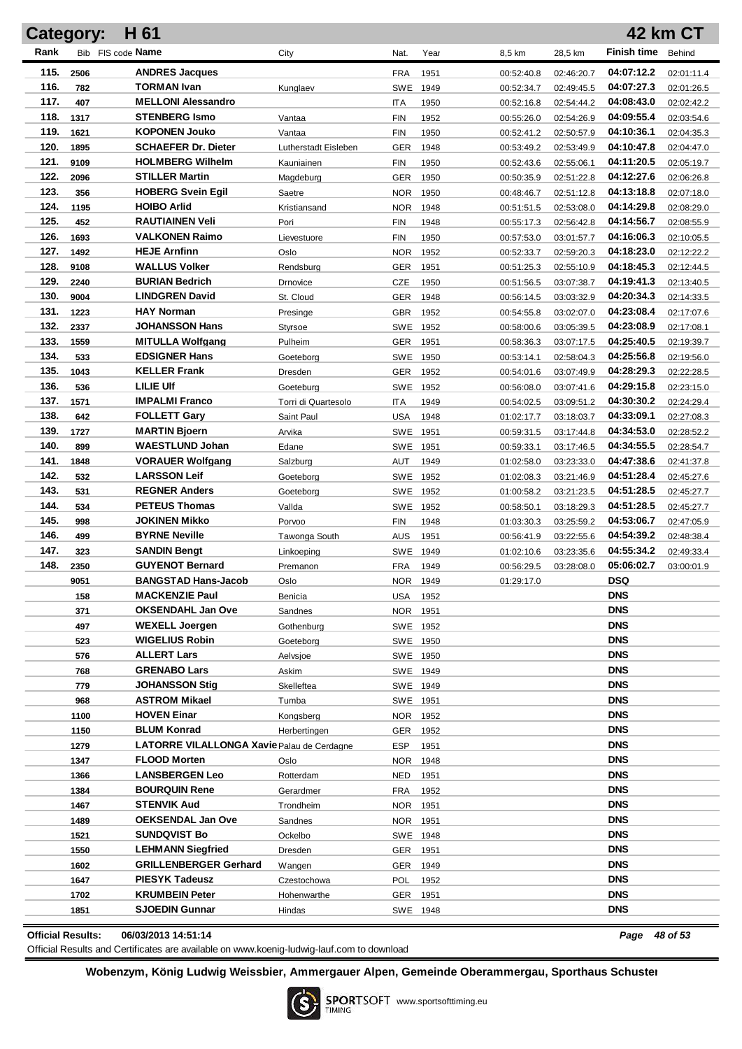|                          | Category:   | H 61                                            |                      |                          |                      |                          |                          |                          | <b>42 km CT</b>          |
|--------------------------|-------------|-------------------------------------------------|----------------------|--------------------------|----------------------|--------------------------|--------------------------|--------------------------|--------------------------|
| Rank                     |             | Bib FIS code Name                               | City                 | Nat.                     | Year                 | 8,5 km                   | 28,5 km                  | <b>Finish time</b>       | Behind                   |
| 115.                     | 2506        | <b>ANDRES Jacques</b>                           |                      | <b>FRA</b>               | 1951                 | 00:52:40.8               | 02:46:20.7               | 04:07:12.2               | 02:01:11.4               |
| 116.                     | 782         | <b>TORMAN Ivan</b>                              | Kunglaev             | <b>SWE</b>               | 1949                 | 00:52:34.7               | 02:49:45.5               | 04:07:27.3               | 02:01:26.5               |
| 117.                     | 407         | <b>MELLONI Alessandro</b>                       |                      | ITA                      | 1950                 | 00:52:16.8               | 02:54:44.2               | 04:08:43.0               | 02:02:42.2               |
| 118.                     | 1317        | <b>STENBERG Ismo</b>                            | Vantaa               | <b>FIN</b>               | 1952                 | 00:55:26.0               | 02:54:26.9               | 04:09:55.4               | 02:03:54.6               |
| 119.                     | 1621        | <b>KOPONEN Jouko</b>                            | Vantaa               | <b>FIN</b>               | 1950                 | 00:52:41.2               | 02:50:57.9               | 04:10:36.1               | 02:04:35.3               |
| 120.                     | 1895        | <b>SCHAEFER Dr. Dieter</b>                      | Lutherstadt Eisleben | <b>GER</b>               | 1948                 | 00:53:49.2               | 02:53:49.9               | 04:10:47.8               | 02:04:47.0               |
| 121.                     | 9109        | <b>HOLMBERG Wilhelm</b>                         | Kauniainen           | FIN                      | 1950                 | 00:52:43.6               | 02:55:06.1               | 04:11:20.5               | 02:05:19.7               |
| 122.                     | 2096        | <b>STILLER Martin</b>                           | Magdeburg            | <b>GER</b>               | 1950                 | 00:50:35.9               | 02:51:22.8               | 04:12:27.6               | 02:06:26.8               |
| 123.                     | 356         | <b>HOBERG Svein Egil</b>                        | Saetre               | <b>NOR</b>               | 1950                 | 00:48:46.7               | 02:51:12.8               | 04:13:18.8               | 02:07:18.0               |
| 124.                     | 1195        | <b>HOIBO Arlid</b>                              | Kristiansand         | <b>NOR</b>               | 1948                 | 00:51:51.5               | 02:53:08.0               | 04:14:29.8               | 02:08:29.0               |
| 125.                     | 452         | <b>RAUTIAINEN Veli</b>                          | Pori                 | <b>FIN</b>               | 1948                 | 00:55:17.3               | 02:56:42.8               | 04:14:56.7               | 02:08:55.9               |
| 126.                     | 1693        | <b>VALKONEN Raimo</b>                           | Lievestuore          | <b>FIN</b>               | 1950                 | 00:57:53.0               | 03:01:57.7               | 04:16:06.3               | 02:10:05.5               |
| 127.                     | 1492        | <b>HEJE Arnfinn</b>                             | Oslo                 | <b>NOR</b>               | 1952                 | 00:52:33.7               | 02:59:20.3               | 04:18:23.0               | 02:12:22.2               |
| 128.                     | 9108        | <b>WALLUS Volker</b>                            | Rendsburg            | GER                      | 1951                 | 00:51:25.3               | 02:55:10.9               | 04:18:45.3               | 02:12:44.5               |
| 129.                     | 2240        | <b>BURIAN Bedrich</b>                           | Drnovice             | CZE                      | 1950                 | 00:51:56.5               | 03:07:38.7               | 04:19:41.3               | 02:13:40.5               |
| 130.                     | 9004        | <b>LINDGREN David</b>                           | St. Cloud            | <b>GER</b>               | 1948                 | 00:56:14.5               | 03:03:32.9               | 04:20:34.3               | 02:14:33.5               |
| 131.                     | 1223        | <b>HAY Norman</b>                               | Presinge             | GBR                      | 1952                 | 00:54:55.8               | 03:02:07.0               | 04:23:08.4               | 02:17:07.6               |
| 132.<br>133.             | 2337        | JOHANSSON Hans                                  | Styrsoe              | SWE                      | 1952                 | 00:58:00.6               | 03:05:39.5               | 04:23:08.9               | 02:17:08.1               |
| 134.                     | 1559        | <b>MITULLA Wolfgang</b><br><b>EDSIGNER Hans</b> | Pulheim              | GER                      | 1951                 | 00:58:36.3               | 03:07:17.5               | 04:25:40.5<br>04:25:56.8 | 02:19:39.7               |
| 135.                     | 533<br>1043 | <b>KELLER Frank</b>                             | Goetebora<br>Dresden | <b>SWE</b>               | 1950<br>1952         | 00:53:14.1               | 02:58:04.3               | 04:28:29.3               | 02:19:56.0<br>02:22:28.5 |
| 136.                     | 536         | <b>LILIE UIf</b>                                | Goeteburg            | <b>GER</b><br><b>SWE</b> | 1952                 | 00:54:01.6<br>00:56:08.0 | 03:07:49.9<br>03:07:41.6 | 04:29:15.8               | 02:23:15.0               |
| 137.                     | 1571        | <b>IMPALMI Franco</b>                           | Torri di Quartesolo  | ITA                      | 1949                 | 00:54:02.5               | 03:09:51.2               | 04:30:30.2               | 02:24:29.4               |
| 138.                     | 642         | <b>FOLLETT Gary</b>                             | Saint Paul           | USA                      | 1948                 | 01:02:17.7               | 03:18:03.7               | 04:33:09.1               | 02:27:08.3               |
| 139.                     | 1727        | <b>MARTIN Bjoern</b>                            | Arvika               | <b>SWE</b>               | 1951                 | 00:59:31.5               | 03:17:44.8               | 04:34:53.0               | 02:28:52.2               |
| 140.                     | 899         | <b>WAESTLUND Johan</b>                          | Edane                | SWE                      | 1951                 | 00:59:33.1               | 03:17:46.5               | 04:34:55.5               | 02:28:54.7               |
| 141.                     | 1848        | <b>VORAUER Wolfgang</b>                         | Salzburg             | AUT                      | 1949                 | 01:02:58.0               | 03:23:33.0               | 04:47:38.6               | 02:41:37.8               |
| 142.                     | 532         | <b>LARSSON Leif</b>                             | Goeteborg            | <b>SWE</b>               | 1952                 | 01:02:08.3               | 03:21:46.9               | 04:51:28.4               | 02:45:27.6               |
| 143.                     | 531         | <b>REGNER Anders</b>                            | Goeteborg            | <b>SWE</b>               | 1952                 | 01:00:58.2               | 03:21:23.5               | 04:51:28.5               | 02:45:27.7               |
| 144.                     | 534         | <b>PETEUS Thomas</b>                            | Vallda               | <b>SWE</b>               | 1952                 | 00:58:50.1               | 03:18:29.3               | 04:51:28.5               | 02:45:27.7               |
| 145.                     | 998         | JOKINEN Mikko                                   | Porvoo               | <b>FIN</b>               | 1948                 | 01:03:30.3               | 03:25:59.2               | 04:53:06.7               | 02:47:05.9               |
| 146.                     | 499         | <b>BYRNE Neville</b>                            | Tawonga South        | <b>AUS</b>               | 1951                 | 00:56:41.9               | 03:22:55.6               | 04:54:39.2               | 02:48:38.4               |
| 147.                     | 323         | <b>SANDIN Bengt</b>                             | Linkoeping           | <b>SWE</b>               | 1949                 | 01:02:10.6               | 03:23:35.6               | 04:55:34.2               | 02:49:33.4               |
| 148.                     | 2350        | <b>GUYENOT Bernard</b>                          | Premanon             | <b>FRA</b>               | 1949                 | 00:56:29.5               | 03:28:08.0               | 05:06:02.7               | 03:00:01.9               |
|                          | 9051        | BANGSTAD Hans-Jacob                             | Oslo                 | NOR 1949                 |                      | 01:29:17.0               |                          | <b>DSQ</b>               |                          |
|                          | 158         | <b>MACKENZIE Paul</b>                           | Benicia              |                          | USA 1952             |                          |                          | <b>DNS</b>               |                          |
|                          | 371         | <b>OKSENDAHL Jan Ove</b>                        | Sandnes              | NOR 1951                 |                      |                          |                          | <b>DNS</b>               |                          |
|                          | 497         | <b>WEXELL Joergen</b>                           | Gothenburg           |                          | SWE 1952             |                          |                          | <b>DNS</b>               |                          |
|                          | 523         | <b>WIGELIUS Robin</b>                           | Goeteborg            |                          | SWE 1950             |                          |                          | <b>DNS</b><br><b>DNS</b> |                          |
|                          | 576<br>768  | <b>ALLERT Lars</b><br><b>GRENABO Lars</b>       | Aelvsjoe             |                          | SWE 1950             |                          |                          | <b>DNS</b>               |                          |
|                          | 779         | <b>JOHANSSON Stig</b>                           | Askim<br>Skelleftea  |                          | SWE 1949<br>SWE 1949 |                          |                          | <b>DNS</b>               |                          |
|                          | 968         | <b>ASTROM Mikael</b>                            | Tumba                | SWE 1951                 |                      |                          |                          | <b>DNS</b>               |                          |
|                          | 1100        | <b>HOVEN Einar</b>                              | Kongsberg            |                          | NOR 1952             |                          |                          | <b>DNS</b>               |                          |
|                          | 1150        | <b>BLUM Konrad</b>                              | Herbertingen         |                          | GER 1952             |                          |                          | <b>DNS</b>               |                          |
|                          | 1279        | LATORRE VILALLONGA Xavie Palau de Cerdagne      |                      | <b>ESP</b>               | 1951                 |                          |                          | <b>DNS</b>               |                          |
|                          | 1347        | <b>FLOOD Morten</b>                             | Oslo                 | NOR 1948                 |                      |                          |                          | <b>DNS</b>               |                          |
|                          | 1366        | <b>LANSBERGEN Leo</b>                           | Rotterdam            | NED                      | 1951                 |                          |                          | <b>DNS</b>               |                          |
|                          | 1384        | <b>BOURQUIN Rene</b>                            | Gerardmer            | FRA                      | 1952                 |                          |                          | <b>DNS</b>               |                          |
|                          | 1467        | <b>STENVIK Aud</b>                              | Trondheim            | NOR 1951                 |                      |                          |                          | <b>DNS</b>               |                          |
|                          | 1489        | <b>OEKSENDAL Jan Ove</b>                        | Sandnes              | NOR 1951                 |                      |                          |                          | <b>DNS</b>               |                          |
|                          | 1521        | <b>SUNDQVIST Bo</b>                             | Ockelbo              |                          | SWE 1948             |                          |                          | <b>DNS</b>               |                          |
|                          | 1550        | <b>LEHMANN Siegfried</b>                        | Dresden              | GER 1951                 |                      |                          |                          | <b>DNS</b>               |                          |
|                          | 1602        | <b>GRILLENBERGER Gerhard</b>                    | Wangen               |                          | GER 1949             |                          |                          | <b>DNS</b>               |                          |
|                          | 1647        | <b>PIESYK Tadeusz</b>                           | Czestochowa          | POL                      | 1952                 |                          |                          | <b>DNS</b>               |                          |
|                          | 1702        | <b>KRUMBEIN Peter</b>                           | Hohenwarthe          |                          | GER 1951             |                          |                          | <b>DNS</b>               |                          |
|                          | 1851        | SJOEDIN Gunnar                                  | Hindas               |                          | SWE 1948             |                          |                          | <b>DNS</b>               |                          |
| <b>Official Results:</b> |             | 06/03/2013 14:51:14                             |                      |                          |                      |                          |                          | Page 48 of 53            |                          |

Official Results and Certificates are available on www.koenig-ludwig-lauf.com to download

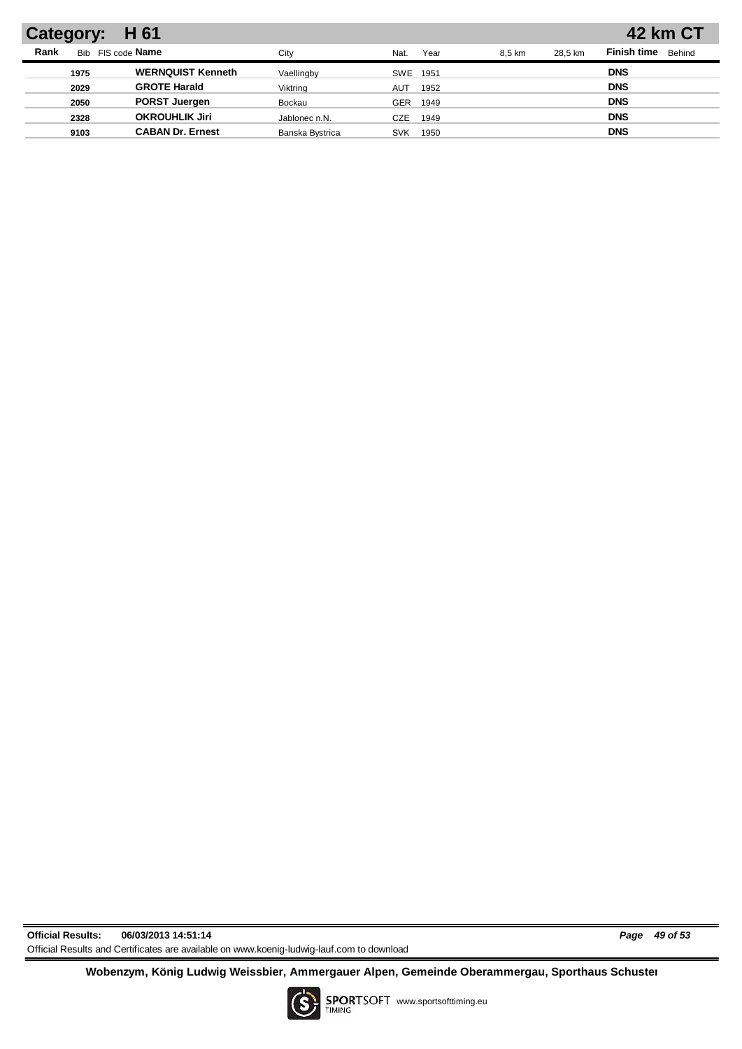| Category: H 61                                                                   | <b>42 km CT</b>              |
|----------------------------------------------------------------------------------|------------------------------|
| Rank<br>FIS code <b>Name</b><br>Bib<br>Year<br>28.5 km<br>Citv<br>8.5 km<br>Nat. | <b>Finish time</b><br>Behind |
| <b>WERNQUIST Kenneth</b><br>1975<br>Vaellingby<br>SWE 1951                       | <b>DNS</b>                   |
| <b>GROTE Harald</b><br>2029<br>Viktring<br>1952<br><b>AUT</b>                    | <b>DNS</b>                   |
| <b>PORST Juergen</b><br>2050<br>Bockau<br>1949<br>GER                            | <b>DNS</b>                   |
| <b>OKROUHLIK Jiri</b><br>2328<br>Jablonec n.N.<br>CZE<br>1949                    | <b>DNS</b>                   |
| <b>CABAN Dr. Ernest</b><br>9103<br>Banska Bystrica<br><b>SVK</b><br>1950         | <b>DNS</b>                   |

**Official Results: 06/03/2013 14:51:14** *Page 49 of 53* Official Results and Certificates are available on www.koenig-ludwig-lauf.com to download

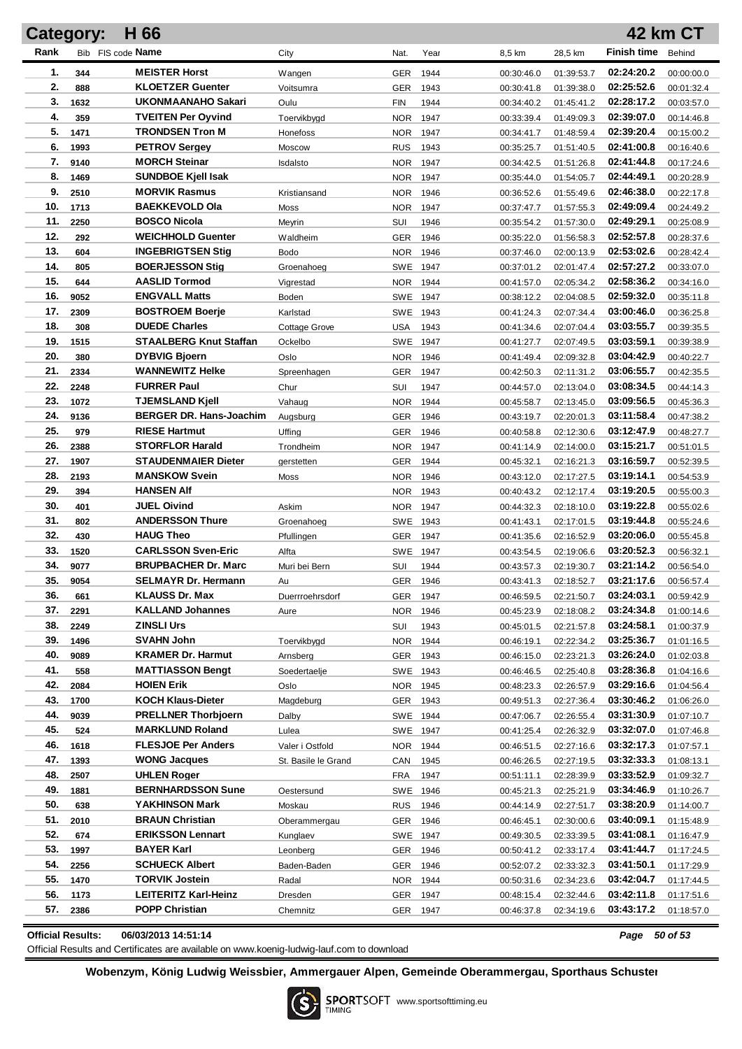|            | Category:    | H 66                                          |                        |                 |      |                          |                          |                          | 42 km CT                 |
|------------|--------------|-----------------------------------------------|------------------------|-----------------|------|--------------------------|--------------------------|--------------------------|--------------------------|
| Rank       |              | Bib FIS code Name                             | City                   | Nat.            | Year | 8,5 km                   | 28,5 km                  | <b>Finish time</b>       | Behind                   |
| 1.         | 344          | <b>MEISTER Horst</b>                          | Wangen                 | GER             | 1944 | 00:30:46.0               | 01:39:53.7               | 02:24:20.2               | 00:00:00.0               |
| 2.         | 888          | <b>KLOETZER Guenter</b>                       | Voitsumra              | GER             | 1943 | 00:30:41.8               | 01:39:38.0               | 02:25:52.6               | 00:01:32.4               |
| 3.         | 1632         | UKONMAANAHO Sakari                            | Oulu                   | <b>FIN</b>      | 1944 | 00:34:40.2               | 01:45:41.2               | 02:28:17.2               | 00:03:57.0               |
| 4.         | 359          | <b>TVEITEN Per Oyvind</b>                     | Toervikbygd            | <b>NOR</b>      | 1947 | 00:33:39.4               | 01:49:09.3               | 02:39:07.0               | 00:14:46.8               |
| 5.         | 1471         | <b>TRONDSEN Tron M</b>                        | Honefoss               | NOR.            | 1947 | 00:34:41.7               | 01:48:59.4               | 02:39:20.4               | 00:15:00.2               |
| 6.         | 1993         | <b>PETROV Sergey</b>                          | Moscow                 | <b>RUS</b>      | 1943 | 00:35:25.7               | 01:51:40.5               | 02:41:00.8               | 00:16:40.6               |
| 7.         | 9140         | <b>MORCH Steinar</b>                          | Isdalsto               | NOR.            | 1947 | 00:34:42.5               | 01:51:26.8               | 02:41:44.8               | 00:17:24.6               |
| 8.         | 1469         | <b>SUNDBOE Kjell Isak</b>                     |                        | NOR.            | 1947 | 00:35:44.0               | 01:54:05.7               | 02:44:49.1               | 00:20:28.9               |
| 9.         | 2510         | <b>MORVIK Rasmus</b>                          | Kristiansand           | NOR.            | 1946 | 00:36:52.6               | 01:55:49.6               | 02:46:38.0               | 00:22:17.8               |
| 10.        | 1713         | <b>BAEKKEVOLD Ola</b>                         | Moss                   | <b>NOR</b>      | 1947 | 00:37:47.7               | 01:57:55.3               | 02:49:09.4               | 00:24:49.2               |
| 11.        | 2250         | <b>BOSCO Nicola</b>                           | Meyrin                 | SUI             | 1946 | 00:35:54.2               | 01:57:30.0               | 02:49:29.1               | 00:25:08.9               |
| 12.        | 292          | <b>WEICHHOLD Guenter</b>                      | Waldheim               | GER             | 1946 | 00:35:22.0               | 01:56:58.3               | 02:52:57.8               | 00:28:37.6               |
| 13.        | 604          | <b>INGEBRIGTSEN Stig</b>                      | Bodo                   | NOR.            | 1946 | 00:37:46.0               | 02:00:13.9               | 02:53:02.6               | 00:28:42.4               |
| 14.        | 805          | <b>BOERJESSON Stig</b>                        | Groenahoeg             | SWE 1947        |      | 00:37:01.2               | 02:01:47.4               | 02:57:27.2               | 00:33:07.0               |
| 15.        | 644          | <b>AASLID Tormod</b>                          | Vigrestad              | NOR.            | 1944 | 00:41:57.0               | 02:05:34.2               | 02:58:36.2               | 00:34:16.0               |
| 16.        | 9052         | <b>ENGVALL Matts</b>                          | Boden                  | SWE 1947        |      | 00:38:12.2               | 02:04:08.5               | 02:59:32.0               | 00:35:11.8               |
| 17.        | 2309         | <b>BOSTROEM Boerje</b>                        | Karlstad               | SWE 1943        |      | 00:41:24.3               | 02:07:34.4               | 03:00:46.0               | 00:36:25.8               |
| 18.        | 308          | <b>DUEDE Charles</b>                          | Cottage Grove          | USA             | 1943 | 00:41:34.6               | 02:07:04.4               | 03:03:55.7               | 00:39:35.5               |
| 19.        | 1515         | <b>STAALBERG Knut Staffan</b>                 | Ockelbo                | SWE 1947        |      | 00:41:27.7               | 02:07:49.5               | 03:03:59.1               | 00:39:38.9               |
| 20.        | 380          | <b>DYBVIG Bjoern</b>                          | Oslo                   | NOR.            | 1946 | 00:41:49.4               | 02:09:32.8               | 03:04:42.9               | 00:40:22.7               |
| 21.        | 2334         | <b>WANNEWITZ Helke</b>                        | Spreenhagen            | GER             | 1947 | 00:42:50.3               | 02:11:31.2               | 03:06:55.7               | 00:42:35.5               |
| 22.        | 2248         | <b>FURRER Paul</b>                            | Chur                   | SUI             | 1947 | 00:44:57.0               | 02:13:04.0               | 03:08:34.5               | 00:44:14.3               |
| 23.        | 1072         | <b>TJEMSLAND Kjell</b>                        | Vahaug                 | <b>NOR</b>      | 1944 | 00:45:58.7               | 02:13:45.0               | 03:09:56.5               | 00:45:36.3               |
| 24.        | 9136         | <b>BERGER DR. Hans-Joachim</b>                | Augsburg               | <b>GER</b>      | 1946 | 00:43:19.7               | 02:20:01.3               | 03:11:58.4               | 00:47:38.2               |
| 25.        | 979          | <b>RIESE Hartmut</b>                          | Uffing                 | GER             | 1946 | 00:40:58.8               | 02:12:30.6               | 03:12:47.9               | 00:48:27.7               |
| 26.        | 2388         | <b>STORFLOR Harald</b>                        | Trondheim              | NOR.            | 1947 | 00:41:14.9               | 02:14:00.0               | 03:15:21.7               | 00:51:01.5               |
| 27.        | 1907         | <b>STAUDENMAIER Dieter</b>                    | gerstetten             | GER             | 1944 | 00:45:32.1               | 02:16:21.3               | 03:16:59.7               | 00:52:39.5               |
| 28.        | 2193         | <b>MANSKOW Svein</b>                          | Moss                   | NOR.            | 1946 | 00:43:12.0               | 02:17:27.5               | 03:19:14.1               | 00:54:53.9               |
| 29.        | 394          | <b>HANSEN Alf</b>                             |                        | NOR.            | 1943 | 00:40:43.2               | 02:12:17.4               | 03:19:20.5               | 00:55:00.3               |
| 30.        | 401          | <b>JUEL Oivind</b>                            | Askim                  | NOR.            | 1947 | 00:44:32.3               | 02:18:10.0               | 03:19:22.8               | 00:55:02.6               |
| 31.<br>32. | 802          | <b>ANDERSSON Thure</b>                        | Groenahoeg             | SWE 1943        |      | 00:41:43.1               | 02:17:01.5               | 03:19:44.8               | 00:55:24.6               |
| 33.        | 430          | <b>HAUG Theo</b><br><b>CARLSSON Sven-Eric</b> | Pfullingen             | GER             | 1947 | 00:41:35.6               | 02:16:52.9               | 03:20:06.0<br>03:20:52.3 | 00:55:45.8               |
| 34.        | 1520<br>9077 | <b>BRUPBACHER Dr. Marc</b>                    | Alfta<br>Muri bei Bern | SWE 1947<br>SUI | 1944 | 00:43:54.5<br>00:43:57.3 | 02:19:06.6<br>02:19:30.7 | 03:21:14.2               | 00:56:32.1               |
| 35.        | 9054         | <b>SELMAYR Dr. Hermann</b>                    |                        | <b>GER</b>      | 1946 | 00:43:41.3               | 02:18:52.7               | 03:21:17.6               | 00:56:54.0<br>00:56:57.4 |
| 36.        | 661          | <b>KLAUSS Dr. Max</b>                         | Au<br>Duerrroehrsdorf  | GER 1947        |      | 00:46:59.5               | 02:21:50.7               | 03:24:03.1               | 00:59:42.9               |
| 37.        | 2291         | <b>KALLAND Johannes</b>                       | Aure                   | NOR.            | 1946 | 00:45:23.9               | 02:18:08.2               | 03:24:34.8               | 01:00:14.6               |
| 38.        | 2249         | <b>ZINSLI Urs</b>                             |                        | SUI             | 1943 | 00:45:01.5               | 02:21:57.8               | 03:24:58.1               | 01:00:37.9               |
| 39.        | 1496         | <b>SVAHN John</b>                             | Toervikbygd            | NOR 1944        |      | 00:46:19.1               | 02:22:34.2               | 03:25:36.7               | 01:01:16.5               |
| 40.        | 9089         | <b>KRAMER Dr. Harmut</b>                      | Arnsberg               | GER 1943        |      | 00:46:15.0               | 02:23:21.3               | 03:26:24.0               | 01:02:03.8               |
| 41.        | 558          | <b>MATTIASSON Bengt</b>                       | Soedertaelje           | SWE 1943        |      | 00:46:46.5               | 02:25:40.8               | 03:28:36.8               | 01:04:16.6               |
| 42.        | 2084         | <b>HOIEN Erik</b>                             | Oslo                   | NOR 1945        |      | 00:48:23.3               | 02:26:57.9               | 03:29:16.6               | 01:04:56.4               |
| 43.        | 1700         | <b>KOCH Klaus-Dieter</b>                      | Magdeburg              | GER 1943        |      | 00:49:51.3               | 02:27:36.4               | 03:30:46.2               | 01:06:26.0               |
| 44.        | 9039         | <b>PRELLNER Thorbjoern</b>                    | Dalby                  | SWE 1944        |      | 00:47:06.7               | 02:26:55.4               | 03:31:30.9               | 01:07:10.7               |
| 45.        | 524          | <b>MARKLUND Roland</b>                        | Lulea                  | SWE 1947        |      | 00:41:25.4               | 02:26:32.9               | 03:32:07.0               | 01:07:46.8               |
| 46.        | 1618         | <b>FLESJOE Per Anders</b>                     | Valer i Ostfold        | NOR 1944        |      | 00:46:51.5               | 02:27:16.6               | 03:32:17.3               | 01:07:57.1               |
| 47.        | 1393         | <b>WONG Jacques</b>                           | St. Basile le Grand    | CAN             | 1945 | 00:46:26.5               | 02:27:19.5               | 03:32:33.3               | 01:08:13.1               |
| 48.        | 2507         | <b>UHLEN Roger</b>                            |                        | <b>FRA</b>      | 1947 | 00:51:11.1               | 02:28:39.9               | 03:33:52.9               | 01:09:32.7               |
| 49.        | 1881         | <b>BERNHARDSSON Sune</b>                      | Oestersund             | SWE 1946        |      | 00:45:21.3               | 02:25:21.9               | 03:34:46.9               | 01:10:26.7               |
| 50.        | 638          | YAKHINSON Mark                                | Moskau                 | <b>RUS</b>      | 1946 | 00:44:14.9               | 02:27:51.7               | 03:38:20.9               | 01:14:00.7               |
| 51.        | 2010         | <b>BRAUN Christian</b>                        | Oberammergau           | GER             | 1946 | 00:46:45.1               | 02:30:00.6               | 03:40:09.1               | 01:15:48.9               |
| 52.        | 674          | <b>ERIKSSON Lennart</b>                       | Kunglaev               | SWE 1947        |      | 00:49:30.5               | 02:33:39.5               | 03:41:08.1               | 01:16:47.9               |
| 53.        | 1997         | <b>BAYER Karl</b>                             | Leonberg               | GER 1946        |      | 00:50:41.2               | 02:33:17.4               | 03:41:44.7               | 01:17:24.5               |
| 54.        | 2256         | <b>SCHUECK Albert</b>                         | Baden-Baden            | GER             | 1946 | 00:52:07.2               | 02:33:32.3               | 03:41:50.1               | 01:17:29.9               |
| 55.        | 1470         | <b>TORVIK Jostein</b>                         | Radal                  | NOR 1944        |      | 00:50:31.6               | 02:34:23.6               | 03:42:04.7               | 01:17:44.5               |
| 56.        | 1173         | <b>LEITERITZ Karl-Heinz</b>                   | Dresden                | GER 1947        |      | 00:48:15.4               | 02:32:44.6               | 03:42:11.8               | 01:17:51.6               |
| 57.        | 2386         | <b>POPP Christian</b>                         | Chemnitz               | GER 1947        |      | 00:46:37.8               | 02:34:19.6               | 03:43:17.2               | 01:18:57.0               |
|            |              |                                               |                        |                 |      |                          |                          |                          |                          |

**Official Results: 06/03/2013 14:51:14** *Page 50 of 53*

Official Results and Certificates are available on www.koenig-ludwig-lauf.com to download

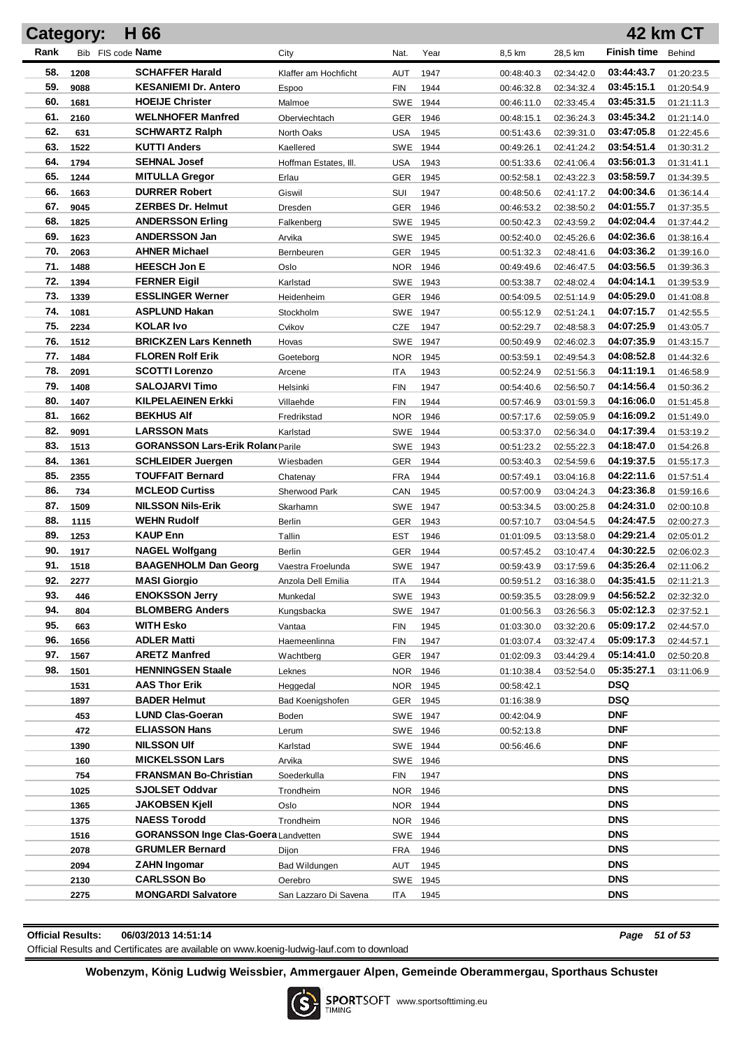|      | <b>Category:</b> | H 66                                        |                         |            |      |            |            |                          | <b>42 km CT</b> |
|------|------------------|---------------------------------------------|-------------------------|------------|------|------------|------------|--------------------------|-----------------|
| Rank |                  | Bib FIS code Name                           | City                    | Nat.       | Year | 8,5 km     | 28,5 km    | <b>Finish time</b>       | Behind          |
| 58.  | 1208             | <b>SCHAFFER Harald</b>                      | Klaffer am Hochficht    | <b>AUT</b> | 1947 | 00:48:40.3 | 02:34:42.0 | 03:44:43.7               | 01:20:23.5      |
| 59.  | 9088             | <b>KESANIEMI Dr. Antero</b>                 | <b>Espoo</b>            | <b>FIN</b> | 1944 | 00:46:32.8 | 02:34:32.4 | 03:45:15.1               | 01:20:54.9      |
| 60.  | 1681             | <b>HOEIJE Christer</b>                      | Malmoe                  | <b>SWE</b> | 1944 | 00:46:11.0 | 02:33:45.4 | 03:45:31.5               | 01:21:11.3      |
| 61.  | 2160             | <b>WELNHOFER Manfred</b>                    | Oberviechtach           | GER        | 1946 | 00:48:15.1 | 02:36:24.3 | 03:45:34.2               | 01:21:14.0      |
| 62.  | 631              | <b>SCHWARTZ Ralph</b>                       | North Oaks              | <b>USA</b> | 1945 | 00:51:43.6 | 02:39:31.0 | 03:47:05.8               | 01:22:45.6      |
| 63.  | 1522             | <b>KUTTI Anders</b>                         | Kaellered               | <b>SWE</b> | 1944 | 00:49:26.1 | 02:41:24.2 | 03:54:51.4               | 01:30:31.2      |
| 64.  | 1794             | <b>SEHNAL Josef</b>                         | Hoffman Estates, III.   | USA        | 1943 | 00:51:33.6 | 02:41:06.4 | 03:56:01.3               | 01:31:41.1      |
| 65.  | 1244             | <b>MITULLA Gregor</b>                       | Erlau                   | GER        | 1945 | 00:52:58.1 | 02:43:22.3 | 03:58:59.7               | 01:34:39.5      |
| 66.  | 1663             | <b>DURRER Robert</b>                        | Giswil                  | SUI        | 1947 | 00:48:50.6 | 02:41:17.2 | 04:00:34.6               | 01:36:14.4      |
| 67.  | 9045             | <b>ZERBES Dr. Helmut</b>                    | Dresden                 | GER        | 1946 | 00:46:53.2 | 02:38:50.2 | 04:01:55.7               | 01:37:35.5      |
| 68.  | 1825             | <b>ANDERSSON Erling</b>                     | Falkenberg              | SWE 1945   |      | 00:50:42.3 | 02:43:59.2 | 04:02:04.4               | 01:37:44.2      |
| 69.  | 1623             | <b>ANDERSSON Jan</b>                        | Arvika                  | SWE 1945   |      | 00:52:40.0 | 02:45:26.6 | 04:02:36.6               | 01:38:16.4      |
| 70.  | 2063             | <b>AHNER Michael</b>                        | Bernbeuren              | GER        | 1945 | 00:51:32.3 | 02:48:41.6 | 04:03:36.2               | 01:39:16.0      |
| 71.  | 1488             | <b>HEESCH Jon E</b>                         | Oslo                    | NOR 1946   |      | 00:49:49.6 | 02:46:47.5 | 04:03:56.5               | 01:39:36.3      |
| 72.  | 1394             | <b>FERNER Eigil</b>                         | Karlstad                | SWE 1943   |      | 00:53:38.7 | 02:48:02.4 | 04:04:14.1               | 01:39:53.9      |
| 73.  | 1339             | <b>ESSLINGER Werner</b>                     | Heidenheim              | GER        | 1946 | 00:54:09.5 | 02:51:14.9 | 04:05:29.0               | 01:41:08.8      |
| 74.  | 1081             | <b>ASPLUND Hakan</b>                        | Stockholm               | SWE 1947   |      | 00:55:12.9 | 02:51:24.1 | 04:07:15.7               | 01:42:55.5      |
| 75.  | 2234             | <b>KOLAR Ivo</b>                            | Cvikov                  | CZE        | 1947 | 00:52:29.7 | 02:48:58.3 | 04:07:25.9               | 01:43:05.7      |
| 76.  | 1512             | <b>BRICKZEN Lars Kenneth</b>                | Hovas                   | SWE 1947   |      | 00:50:49.9 | 02:46:02.3 | 04:07:35.9               | 01:43:15.7      |
| 77.  | 1484             | <b>FLOREN Rolf Erik</b>                     | Goeteborg               | NOR.       | 1945 | 00:53:59.1 | 02:49:54.3 | 04:08:52.8               | 01:44:32.6      |
| 78.  | 2091             | <b>SCOTTI Lorenzo</b>                       | Arcene                  | <b>ITA</b> | 1943 | 00:52:24.9 | 02:51:56.3 | 04:11:19.1               | 01:46:58.9      |
| 79.  | 1408             | <b>SALOJARVI Timo</b>                       | Helsinki                | <b>FIN</b> | 1947 | 00:54:40.6 | 02:56:50.7 | 04:14:56.4               | 01:50:36.2      |
| 80.  | 1407             | <b>KILPELAEINEN Erkki</b>                   | Villaehde               | <b>FIN</b> | 1944 | 00:57:46.9 | 03:01:59.3 | 04:16:06.0               | 01:51:45.8      |
| 81.  | 1662             | <b>BEKHUS Alf</b>                           | Fredrikstad             | <b>NOR</b> | 1946 | 00:57:17.6 | 02:59:05.9 | 04:16:09.2               | 01:51:49.0      |
| 82.  | 9091             | <b>LARSSON Mats</b>                         | Karlstad                | SWE 1944   |      | 00:53:37.0 | 02:56:34.0 | 04:17:39.4               | 01:53:19.2      |
| 83.  | 1513             | <b>GORANSSON Lars-Erik Rolan(Parile)</b>    |                         | SWE 1943   |      | 00:51:23.2 | 02:55:22.3 | 04:18:47.0               | 01:54:26.8      |
| 84.  | 1361             | <b>SCHLEIDER Juergen</b>                    | Wiesbaden               | GER        | 1944 | 00:53:40.3 | 02:54:59.6 | 04:19:37.5               | 01:55:17.3      |
| 85.  | 2355             | <b>TOUFFAIT Bernard</b>                     | Chatenay                | <b>FRA</b> | 1944 | 00:57:49.1 | 03:04:16.8 | 04:22:11.6               | 01:57:51.4      |
| 86.  | 734              | <b>MCLEOD Curtiss</b>                       | Sherwood Park           | CAN        | 1945 | 00:57:00.9 | 03:04:24.3 | 04:23:36.8               | 01:59:16.6      |
| 87.  | 1509             | <b>NILSSON Nils-Erik</b>                    | Skarhamn                | SWE 1947   |      | 00:53:34.5 | 03:00:25.8 | 04:24:31.0               | 02:00:10.8      |
| 88.  | 1115             | <b>WEHN Rudolf</b>                          | <b>Berlin</b>           | GER        | 1943 | 00:57:10.7 | 03:04:54.5 | 04:24:47.5               | 02:00:27.3      |
| 89.  | 1253             | <b>KAUP Enn</b>                             | Tallin                  | <b>EST</b> | 1946 | 01:01:09.5 | 03:13:58.0 | 04:29:21.4               | 02:05:01.2      |
| 90.  | 1917             | <b>NAGEL Wolfgang</b>                       | Berlin                  | GER        | 1944 | 00:57:45.2 | 03:10:47.4 | 04:30:22.5               | 02:06:02.3      |
| 91.  | 1518             | <b>BAAGENHOLM Dan Georg</b>                 | Vaestra Froelunda       | SWE 1947   |      | 00:59:43.9 | 03:17:59.6 | 04:35:26.4               | 02:11:06.2      |
| 92.  | 2277             | <b>MASI Giorgio</b>                         | Anzola Dell Emilia      | ITA.       | 1944 | 00:59:51.2 | 03:16:38.0 | 04:35:41.5               | 02:11:21.3      |
| 93.  | 446              | <b>ENOKSSON Jerry</b>                       | Munkedal                | SWE 1943   |      | 00:59:35.5 | 03:28:09.9 | 04:56:52.2               | 02:32:32.0      |
| 94.  | 804              | <b>BLOMBERG Anders</b>                      | Kungsbacka              | SWE 1947   |      | 01:00:56.3 | 03:26:56.3 | 05:02:12.3               | 02:37:52.1      |
| 95.  | 663              | <b>WITH Esko</b>                            | Vantaa                  | <b>FIN</b> | 1945 | 01:03:30.0 | 03:32:20.6 | 05:09:17.2               | 02:44:57.0      |
| 96.  | 1656             | <b>ADLER Matti</b>                          | Haemeenlinna            | FIN        | 1947 | 01:03:07.4 | 03:32:47.4 | 05:09:17.3               | 02:44:57.1      |
| 97.  | 1567             | <b>ARETZ Manfred</b>                        | Wachtberg               | GER 1947   |      | 01:02:09.3 | 03:44:29.4 | 05:14:41.0               | 02:50:20.8      |
| 98.  | 1501             | <b>HENNINGSEN Staale</b>                    | Leknes                  | NOR 1946   |      | 01:10:38.4 | 03:52:54.0 | 05:35:27.1               | 03:11:06.9      |
|      | 1531             | <b>AAS Thor Erik</b>                        | Heggedal                | NOR 1945   |      | 00:58:42.1 |            | <b>DSQ</b>               |                 |
|      | 1897             | <b>BADER Helmut</b>                         | <b>Bad Koenigshofen</b> | GER 1945   |      | 01:16:38.9 |            | <b>DSQ</b>               |                 |
|      | 453              | <b>LUND Clas-Goeran</b>                     | Boden                   | SWE 1947   |      | 00:42:04.9 |            | <b>DNF</b>               |                 |
|      | 472              | <b>ELIASSON Hans</b>                        | Lerum                   | SWE 1946   |      | 00:52:13.8 |            | <b>DNF</b>               |                 |
|      | 1390             | <b>NILSSON UIf</b>                          | Karlstad                | SWE 1944   |      | 00:56:46.6 |            | <b>DNF</b>               |                 |
|      | 160              | <b>MICKELSSON Lars</b>                      | Arvika                  | SWE 1946   |      |            |            | <b>DNS</b>               |                 |
|      | 754              | <b>FRANSMAN Bo-Christian</b>                | Soederkulla             | <b>FIN</b> | 1947 |            |            | <b>DNS</b>               |                 |
|      | 1025             | <b>SJOLSET Oddvar</b>                       | Trondheim               | NOR 1946   |      |            |            | <b>DNS</b>               |                 |
|      | 1365             | <b>JAKOBSEN Kjell</b>                       | Oslo                    | NOR 1944   |      |            |            | <b>DNS</b>               |                 |
|      | 1375             | <b>NAESS Torodd</b>                         | Trondheim               | NOR 1946   |      |            |            | <b>DNS</b>               |                 |
|      | 1516             | <b>GORANSSON Inge Clas-Goera Landvetten</b> |                         | SWE 1944   |      |            |            | <b>DNS</b>               |                 |
|      | 2078             | <b>GRUMLER Bernard</b>                      | Dijon                   | <b>FRA</b> | 1946 |            |            | <b>DNS</b><br><b>DNS</b> |                 |
|      | 2094             | <b>ZAHN Ingomar</b>                         | Bad Wildungen           | AUT        | 1945 |            |            | <b>DNS</b>               |                 |
|      | 2130             | <b>CARLSSON Bo</b>                          | Oerebro                 | SWE 1945   |      |            |            |                          |                 |
|      | 2275             | <b>MONGARDI Salvatore</b>                   | San Lazzaro Di Savena   | ITA.       | 1945 |            |            | <b>DNS</b>               |                 |

## **Official Results: 06/03/2013 14:51:14** *Page 51 of 53*

Official Results and Certificates are available on www.koenig-ludwig-lauf.com to download

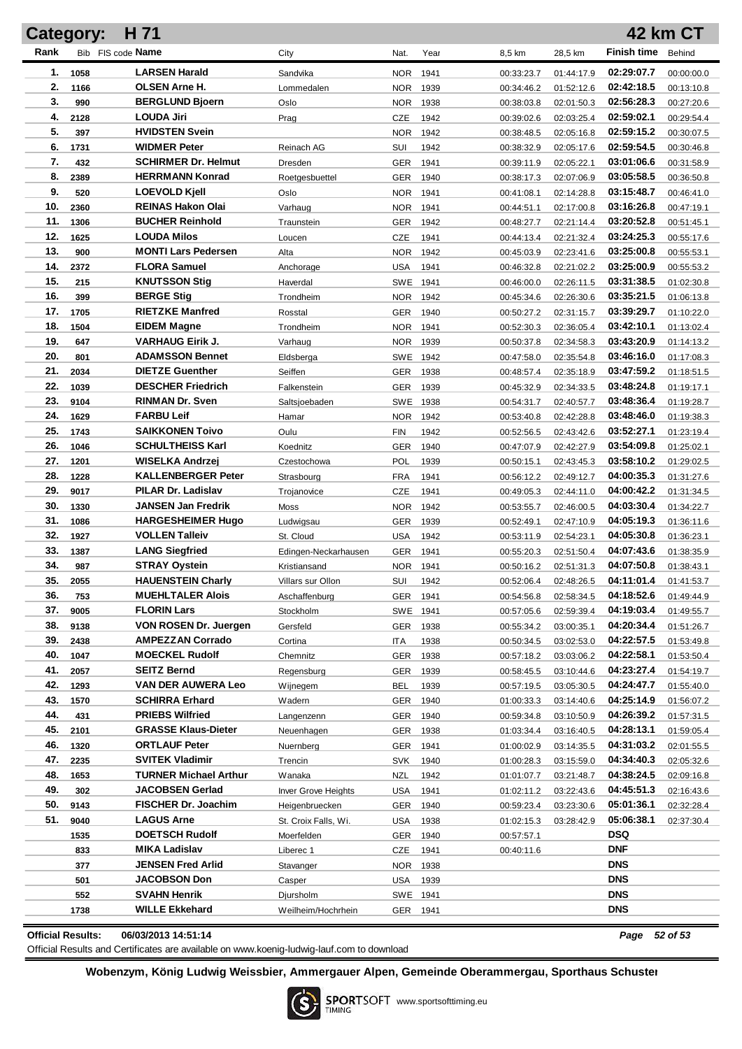|            | <b>Category:</b>  | H 71                                         |                           |                   |              |                          |                          |                          | <b>42 km CT</b>          |
|------------|-------------------|----------------------------------------------|---------------------------|-------------------|--------------|--------------------------|--------------------------|--------------------------|--------------------------|
| Rank       | Bib FIS code Name |                                              | City                      | Nat.              | Year         | 8,5 km                   | 28,5 km                  | <b>Finish time</b>       | Behind                   |
| 1.         | 1058              | <b>LARSEN Harald</b>                         | Sandvika                  | <b>NOR</b>        | 1941         | 00:33:23.7               | 01:44:17.9               | 02:29:07.7               | 00:00:00.0               |
| 2.         | 1166              | OLSEN Arne H.                                | Lommedalen                | <b>NOR</b>        | 1939         | 00:34:46.2               | 01:52:12.6               | 02:42:18.5               | 00:13:10.8               |
| 3.         | 990               | <b>BERGLUND Bjoern</b>                       | Oslo                      | <b>NOR</b>        | 1938         | 00:38:03.8               | 02:01:50.3               | 02:56:28.3               | 00:27:20.6               |
| 4.         | 2128              | <b>LOUDA Jiri</b>                            | Prag                      | CZE               | 1942         | 00:39:02.6               | 02:03:25.4               | 02:59:02.1               | 00:29:54.4               |
| 5.         | 397               | <b>HVIDSTEN Svein</b>                        |                           | <b>NOR</b>        | 1942         | 00:38:48.5               | 02:05:16.8               | 02:59:15.2               | 00:30:07.5               |
| 6.         | 1731              | <b>WIDMER Peter</b>                          | Reinach AG                | SUI               | 1942         | 00:38:32.9               | 02:05:17.6               | 02:59:54.5               | 00:30:46.8               |
| 7.         | 432               | <b>SCHIRMER Dr. Helmut</b>                   | Dresden                   | GER               | 1941         | 00:39:11.9               | 02:05:22.1               | 03:01:06.6               | 00:31:58.9               |
| 8.         | 2389              | <b>HERRMANN Konrad</b>                       | Roetgesbuettel            | GER               | 1940         | 00:38:17.3               | 02:07:06.9               | 03:05:58.5               | 00:36:50.8               |
| 9.         | 520               | <b>LOEVOLD Kjell</b>                         | Oslo                      | <b>NOR</b>        | 1941         | 00:41:08.1               | 02:14:28.8               | 03:15:48.7               | 00:46:41.0               |
| 10.        | 2360              | <b>REINAS Hakon Olai</b>                     | Varhaug                   | <b>NOR</b>        | 1941         | 00:44:51.1               | 02:17:00.8               | 03:16:26.8               | 00:47:19.1               |
| 11.        | 1306              | <b>BUCHER Reinhold</b>                       | Traunstein                | <b>GER</b>        | 1942         | 00:48:27.7               | 02:21:14.4               | 03:20:52.8               | 00:51:45.1               |
| 12.        | 1625              | <b>LOUDA Milos</b>                           | Loucen                    | CZE               | 1941         | 00:44:13.4               | 02:21:32.4               | 03:24:25.3               | 00:55:17.6               |
| 13.        | 900               | <b>MONTI Lars Pedersen</b>                   | Alta                      | <b>NOR</b>        | 1942         | 00:45:03.9               | 02:23:41.6               | 03:25:00.8               | 00:55:53.1               |
| 14.        | 2372              | <b>FLORA Samuel</b>                          | Anchorage                 | <b>USA</b>        | 1941         | 00:46:32.8               | 02:21:02.2               | 03:25:00.9               | 00:55:53.2               |
| 15.        | 215               | <b>KNUTSSON Stig</b>                         | Haverdal                  | SWE               | 1941         | 00:46:00.0               | 02:26:11.5               | 03:31:38.5               | 01:02:30.8               |
| 16.        | 399               | <b>BERGE Stig</b>                            | Trondheim                 | <b>NOR</b>        | 1942         | 00:45:34.6               | 02:26:30.6               | 03:35:21.5               | 01:06:13.8               |
| 17.        | 1705              | <b>RIETZKE Manfred</b>                       | Rosstal                   | <b>GER</b>        | 1940         | 00:50:27.2               | 02:31:15.7               | 03:39:29.7               | 01:10:22.0               |
| 18.        | 1504              | EIDEM Magne                                  | Trondheim                 | <b>NOR</b>        | 1941         | 00:52:30.3               | 02:36:05.4               | 03:42:10.1               | 01:13:02.4               |
| 19.        | 647               | <b>VARHAUG Eirik J.</b>                      | Varhaug                   | <b>NOR</b>        | 1939         | 00:50:37.8               | 02:34:58.3               | 03:43:20.9               | 01:14:13.2               |
| 20.        | 801               | <b>ADAMSSON Bennet</b>                       | Eldsberga                 | <b>SWE</b>        | 1942         | 00:47:58.0               | 02:35:54.8               | 03:46:16.0               | 01:17:08.3               |
| 21.        | 2034              | <b>DIETZE Guenther</b>                       | Seiffen                   | <b>GER</b>        | 1938         | 00:48:57.4               | 02:35:18.9               | 03:47:59.2               | 01:18:51.5               |
| 22.        | 1039              | <b>DESCHER Friedrich</b>                     | Falkenstein               | GER               | 1939         | 00:45:32.9               | 02:34:33.5               | 03:48:24.8               | 01:19:17.1               |
| 23.        | 9104              | <b>RINMAN Dr. Sven</b>                       | Saltsjoebaden             | SWE               | 1938         | 00:54:31.7               | 02:40:57.7               | 03:48:36.4               | 01:19:28.7               |
| 24.        | 1629              | <b>FARBU Leif</b>                            | Hamar                     | <b>NOR</b>        | 1942         | 00:53:40.8               | 02:42:28.8               | 03:48:46.0               | 01:19:38.3               |
| 25.        | 1743              | <b>SAIKKONEN Toivo</b>                       | Oulu                      | <b>FIN</b>        | 1942         | 00:52:56.5               | 02:43:42.6               | 03:52:27.1               | 01:23:19.4               |
| 26.        | 1046              | <b>SCHULTHEISS Karl</b>                      | Koednitz                  | <b>GER</b>        | 1940         | 00:47:07.9               | 02:42:27.9               | 03:54:09.8               | 01:25:02.1               |
| 27.<br>28. | 1201              | WISELKA Andrzej<br><b>KALLENBERGER Peter</b> | Czestochowa               | POL               | 1939         | 00:50:15.1               | 02:43:45.3               | 03:58:10.2<br>04:00:35.3 | 01:29:02.5               |
| 29.        | 1228<br>9017      | PILAR Dr. Ladislav                           | Strasbourg<br>Trojanovice | <b>FRA</b><br>CZE | 1941<br>1941 | 00:56:12.2               | 02:49:12.7<br>02:44:11.0 | 04:00:42.2               | 01:31:27.6               |
| 30.        | 1330              | JANSEN Jan Fredrik                           | Moss                      | <b>NOR</b>        | 1942         | 00:49:05.3<br>00:53:55.7 | 02:46:00.5               | 04:03:30.4               | 01:31:34.5<br>01:34:22.7 |
| 31.        | 1086              | <b>HARGESHEIMER Hugo</b>                     | Ludwigsau                 | <b>GER</b>        | 1939         | 00:52:49.1               | 02:47:10.9               | 04:05:19.3               | 01:36:11.6               |
| 32.        | 1927              | <b>VOLLEN Talleiv</b>                        | St. Cloud                 | <b>USA</b>        | 1942         | 00:53:11.9               | 02:54:23.1               | 04:05:30.8               | 01:36:23.1               |
| 33.        | 1387              | <b>LANG Siegfried</b>                        | Edingen-Neckarhausen      | GER               | 1941         | 00:55:20.3               | 02:51:50.4               | 04:07:43.6               | 01:38:35.9               |
| 34.        | 987               | <b>STRAY Oystein</b>                         | Kristiansand              | <b>NOR</b>        | 1941         | 00:50:16.2               | 02:51:31.3               | 04:07:50.8               | 01:38:43.1               |
| 35.        | 2055              | <b>HAUENSTEIN Charly</b>                     | Villars sur Ollon         | SUI               | 1942         | 00:52:06.4               | 02:48:26.5               | 04:11:01.4               | 01:41:53.7               |
| 36.        | 753               | <b>MUEHLTALER Alois</b>                      | Aschaffenburg             | GER 1941          |              | 00:54:56.8               | 02:58:34.5               | 04:18:52.6               | 01:49:44.9               |
| 37.        | 9005              | <b>FLORIN Lars</b>                           | Stockholm                 | SWE               | 1941         | 00:57:05.6               | 02:59:39.4               | 04:19:03.4               | 01:49:55.7               |
| 38.        | 9138              | VON ROSEN Dr. Juergen                        | Gersfeld                  | <b>GER</b>        | 1938         | 00:55:34.2               | 03:00:35.1               | 04:20:34.4               | 01:51:26.7               |
| 39.        | 2438              | <b>AMPEZZAN Corrado</b>                      | Cortina                   | ITA               | 1938         | 00:50:34.5               | 03:02:53.0               | 04:22:57.5               | 01:53:49.8               |
| 40.        | 1047              | <b>MOECKEL Rudolf</b>                        | Chemnitz                  | <b>GER</b>        | 1938         | 00:57:18.2               | 03:03:06.2               | 04:22:58.1               | 01:53:50.4               |
| 41.        | 2057              | SEITZ Bernd                                  | Regensburg                | <b>GER</b>        | 1939         | 00:58:45.5               | 03:10:44.6               | 04:23:27.4               | 01:54:19.7               |
| 42.        | 1293              | VAN DER AUWERA Leo                           | Wijnegem                  | <b>BEL</b>        | 1939         | 00:57:19.5               | 03:05:30.5               | 04:24:47.7               | 01:55:40.0               |
| 43.        | 1570              | <b>SCHIRRA Erhard</b>                        | Wadern                    | <b>GER</b>        | 1940         | 01:00:33.3               | 03:14:40.6               | 04:25:14.9               | 01:56:07.2               |
| 44.        | 431               | <b>PRIEBS Wilfried</b>                       | Langenzenn                | <b>GER</b>        | 1940         | 00:59:34.8               | 03:10:50.9               | 04:26:39.2               | 01:57:31.5               |
| 45.        | 2101              | <b>GRASSE Klaus-Dieter</b>                   | Neuenhagen                | <b>GER</b>        | 1938         | 01:03:34.4               | 03:16:40.5               | 04:28:13.1               | 01:59:05.4               |
| 46.        | 1320              | <b>ORTLAUF Peter</b>                         | Nuernberg                 | <b>GER</b>        | 1941         | 01:00:02.9               | 03:14:35.5               | 04:31:03.2               | 02:01:55.5               |
| 47.        | 2235              | <b>SVITEK Vladimir</b>                       | Trencin                   | <b>SVK</b>        | 1940         | 01:00:28.3               | 03:15:59.0               | 04:34:40.3               | 02:05:32.6               |
| 48.        | 1653              | <b>TURNER Michael Arthur</b>                 | Wanaka                    | <b>NZL</b>        | 1942         | 01:01:07.7               | 03:21:48.7               | 04:38:24.5               | 02:09:16.8               |
| 49.        | 302               | JACOBSEN Gerlad                              | Inver Grove Heights       | <b>USA</b>        | 1941         | 01:02:11.2               | 03:22:43.6               | 04:45:51.3               | 02:16:43.6               |
| 50.        | 9143              | <b>FISCHER Dr. Joachim</b>                   | Heigenbruecken            | <b>GER</b>        | 1940         | 00:59:23.4               | 03:23:30.6               | 05:01:36.1               | 02:32:28.4               |
| 51.        | 9040              | <b>LAGUS Arne</b>                            | St. Croix Falls, Wi.      | <b>USA</b>        | 1938         | 01:02:15.3               | 03:28:42.9               | 05:06:38.1               | 02:37:30.4               |
|            | 1535              | <b>DOETSCH Rudolf</b>                        | Moerfelden                | GER               | 1940         | 00:57:57.1               |                          | DSQ                      |                          |
|            | 833               | MIKA Ladislav                                | Liberec 1                 | CZE               | 1941         | 00:40:11.6               |                          | DNF                      |                          |
|            | 377               | <b>JENSEN Fred Arlid</b>                     | Stavanger                 | NOR.              | 1938         |                          |                          | <b>DNS</b>               |                          |
|            | 501               | <b>JACOBSON Don</b>                          | Casper                    | USA               | 1939         |                          |                          | <b>DNS</b>               |                          |
|            | 552               | <b>SVAHN Henrik</b>                          | Djursholm                 | SWE 1941          |              |                          |                          | <b>DNS</b>               |                          |
|            | 1738              | <b>WILLE Ekkehard</b>                        | Weilheim/Hochrhein        | GER 1941          |              |                          |                          | <b>DNS</b>               |                          |

**Official Results: 06/03/2013 14:51:14** *Page 52 of 53*

Official Results and Certificates are available on www.koenig-ludwig-lauf.com to download